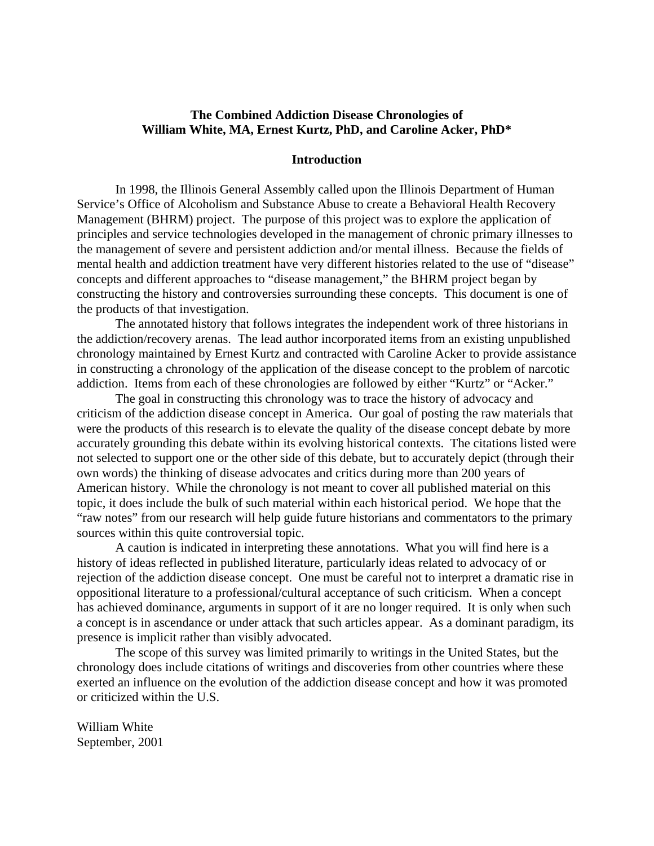#### **The Combined Addiction Disease Chronologies of William White, MA, Ernest Kurtz, PhD, and Caroline Acker, PhD\***

#### **Introduction**

In 1998, the Illinois General Assembly called upon the Illinois Department of Human Service's Office of Alcoholism and Substance Abuse to create a Behavioral Health Recovery Management (BHRM) project. The purpose of this project was to explore the application of principles and service technologies developed in the management of chronic primary illnesses to the management of severe and persistent addiction and/or mental illness. Because the fields of mental health and addiction treatment have very different histories related to the use of "disease" concepts and different approaches to "disease management," the BHRM project began by constructing the history and controversies surrounding these concepts. This document is one of the products of that investigation.

The annotated history that follows integrates the independent work of three historians in the addiction/recovery arenas. The lead author incorporated items from an existing unpublished chronology maintained by Ernest Kurtz and contracted with Caroline Acker to provide assistance in constructing a chronology of the application of the disease concept to the problem of narcotic addiction. Items from each of these chronologies are followed by either "Kurtz" or "Acker."

The goal in constructing this chronology was to trace the history of advocacy and criticism of the addiction disease concept in America. Our goal of posting the raw materials that were the products of this research is to elevate the quality of the disease concept debate by more accurately grounding this debate within its evolving historical contexts. The citations listed were not selected to support one or the other side of this debate, but to accurately depict (through their own words) the thinking of disease advocates and critics during more than 200 years of American history. While the chronology is not meant to cover all published material on this topic, it does include the bulk of such material within each historical period. We hope that the "raw notes" from our research will help guide future historians and commentators to the primary sources within this quite controversial topic.

A caution is indicated in interpreting these annotations. What you will find here is a history of ideas reflected in published literature, particularly ideas related to advocacy of or rejection of the addiction disease concept. One must be careful not to interpret a dramatic rise in oppositional literature to a professional/cultural acceptance of such criticism. When a concept has achieved dominance, arguments in support of it are no longer required. It is only when such a concept is in ascendance or under attack that such articles appear. As a dominant paradigm, its presence is implicit rather than visibly advocated.

The scope of this survey was limited primarily to writings in the United States, but the chronology does include citations of writings and discoveries from other countries where these exerted an influence on the evolution of the addiction disease concept and how it was promoted or criticized within the U.S.

William White September, 2001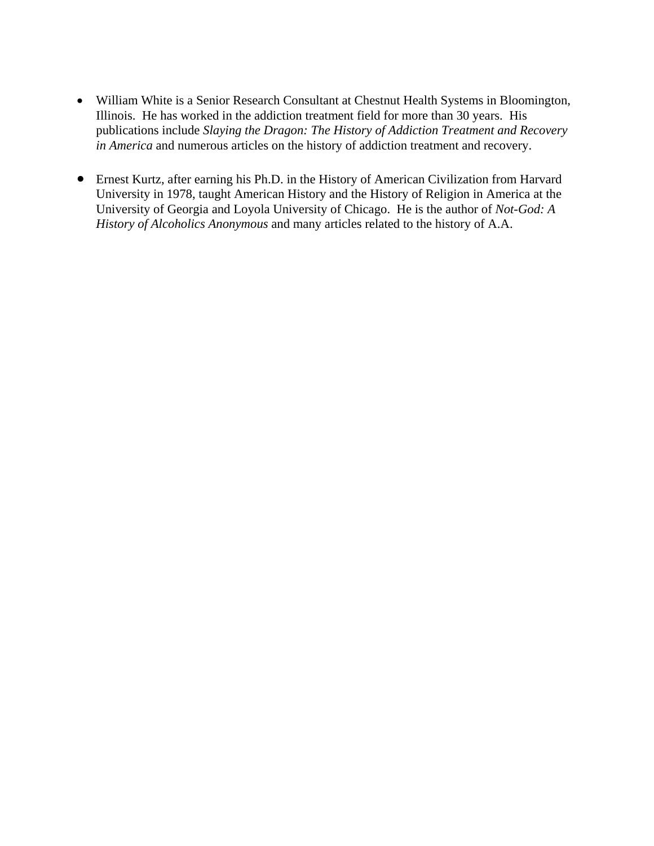- William White is a Senior Research Consultant at Chestnut Health Systems in Bloomington, Illinois. He has worked in the addiction treatment field for more than 30 years. His publications include *Slaying the Dragon: The History of Addiction Treatment and Recovery in America* and numerous articles on the history of addiction treatment and recovery.
- Ernest Kurtz, after earning his Ph.D. in the History of American Civilization from Harvard University in 1978, taught American History and the History of Religion in America at the University of Georgia and Loyola University of Chicago. He is the author of *Not-God: A History of Alcoholics Anonymous* and many articles related to the history of A.A.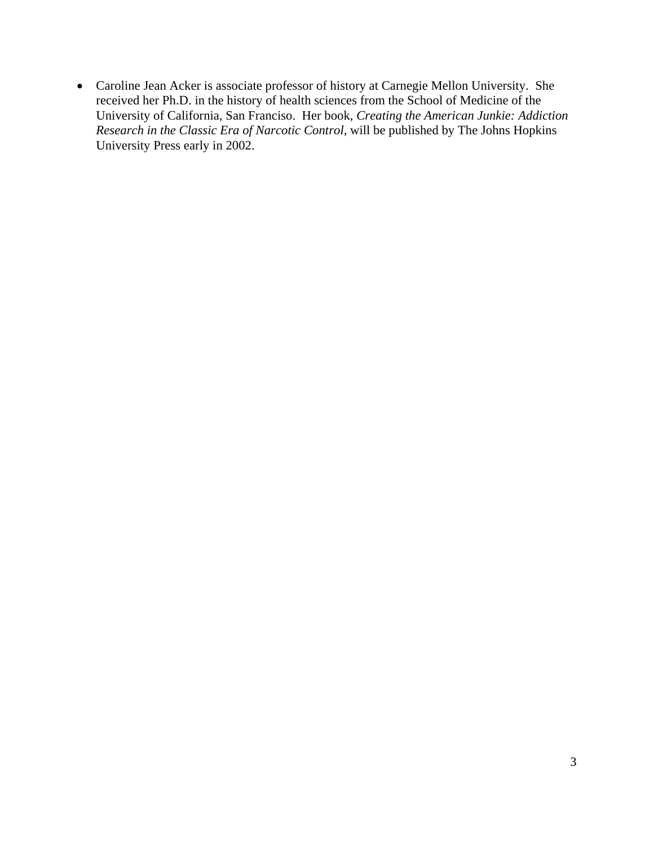Caroline Jean Acker is associate professor of history at Carnegie Mellon University. She received her Ph.D. in the history of health sciences from the School of Medicine of the University of California, San Franciso. Her book, *Creating the American Junkie: Addiction Research in the Classic Era of Narcotic Control*, will be published by The Johns Hopkins University Press early in 2002.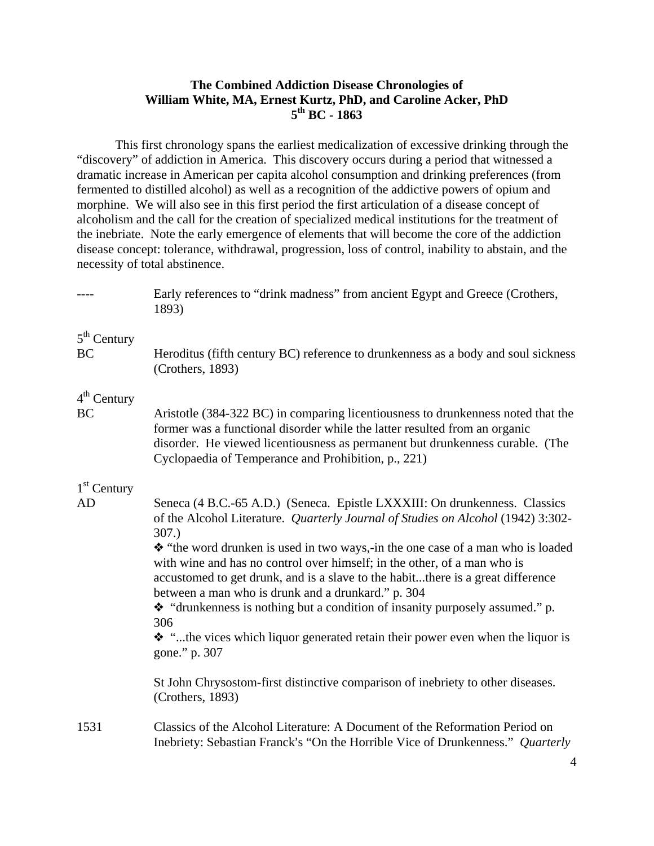# **The Combined Addiction Disease Chronologies of William White, MA, Ernest Kurtz, PhD, and Caroline Acker, PhD 5th BC - 1863**

This first chronology spans the earliest medicalization of excessive drinking through the "discovery" of addiction in America. This discovery occurs during a period that witnessed a dramatic increase in American per capita alcohol consumption and drinking preferences (from fermented to distilled alcohol) as well as a recognition of the addictive powers of opium and morphine. We will also see in this first period the first articulation of a disease concept of alcoholism and the call for the creation of specialized medical institutions for the treatment of the inebriate. Note the early emergence of elements that will become the core of the addiction disease concept: tolerance, withdrawal, progression, loss of control, inability to abstain, and the necessity of total abstinence.

| $---$                                | Early references to "drink madness" from ancient Egypt and Greece (Crothers,<br>1893)                                                                                                                                                                                                                                                                                                                                                                                                                                                                                                                                                                                                                                                                                           |
|--------------------------------------|---------------------------------------------------------------------------------------------------------------------------------------------------------------------------------------------------------------------------------------------------------------------------------------------------------------------------------------------------------------------------------------------------------------------------------------------------------------------------------------------------------------------------------------------------------------------------------------------------------------------------------------------------------------------------------------------------------------------------------------------------------------------------------|
| 5 <sup>th</sup> Century<br><b>BC</b> | Heroditus (fifth century BC) reference to drunkenness as a body and soul sickness<br>(Crothers, 1893)                                                                                                                                                                                                                                                                                                                                                                                                                                                                                                                                                                                                                                                                           |
| 4 <sup>th</sup> Century<br>BC        | Aristotle (384-322 BC) in comparing licentiousness to drunkenness noted that the<br>former was a functional disorder while the latter resulted from an organic<br>disorder. He viewed licentiousness as permanent but drunkenness curable. (The<br>Cyclopaedia of Temperance and Prohibition, p., 221)                                                                                                                                                                                                                                                                                                                                                                                                                                                                          |
| $1st$ Century<br>AD                  | Seneca (4 B.C.-65 A.D.) (Seneca. Epistle LXXXIII: On drunkenness. Classics<br>of the Alcohol Literature. Quarterly Journal of Studies on Alcohol (1942) 3:302-<br>307.<br>* "the word drunken is used in two ways,-in the one case of a man who is loaded<br>with wine and has no control over himself; in the other, of a man who is<br>accustomed to get drunk, and is a slave to the habitthere is a great difference<br>between a man who is drunk and a drunkard." p. 304<br>* "drunkenness is nothing but a condition of insanity purposely assumed." p.<br>306<br>• "the vices which liquor generated retain their power even when the liquor is<br>gone." p. 307<br>St John Chrysostom-first distinctive comparison of inebriety to other diseases.<br>(Crothers, 1893) |
| 1531                                 | Classics of the Alcohol Literature: A Document of the Reformation Period on<br>Inebriety: Sebastian Franck's "On the Horrible Vice of Drunkenness." Quarterly                                                                                                                                                                                                                                                                                                                                                                                                                                                                                                                                                                                                                   |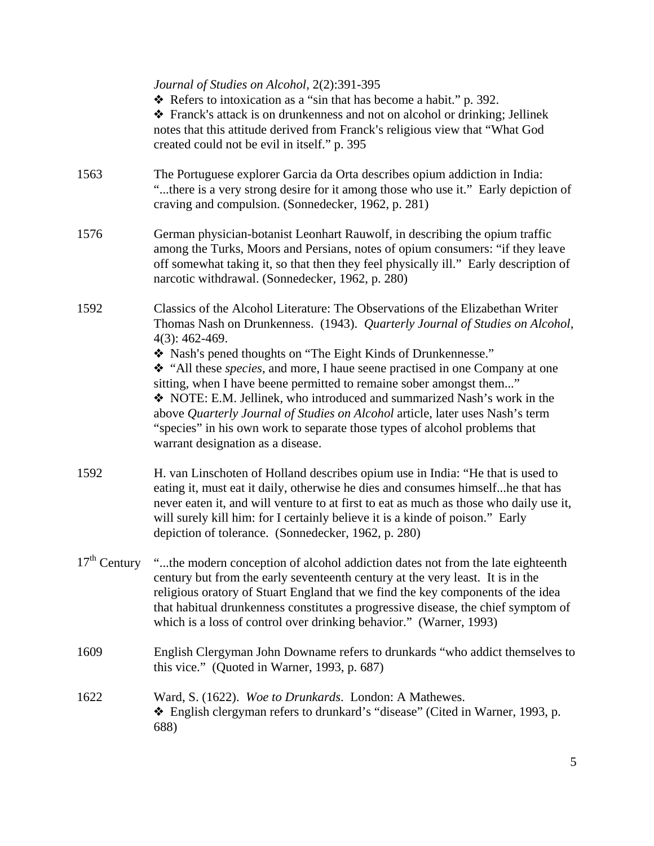|                          | Journal of Studies on Alcohol, 2(2):391-395<br>Refers to intoxication as a "sin that has become a habit." p. 392.<br>❖ Franck's attack is on drunkenness and not on alcohol or drinking; Jellinek<br>notes that this attitude derived from Franck's religious view that "What God<br>created could not be evil in itself." p. 395                                                                                                                                                                                                                                                                                                                                                                 |
|--------------------------|---------------------------------------------------------------------------------------------------------------------------------------------------------------------------------------------------------------------------------------------------------------------------------------------------------------------------------------------------------------------------------------------------------------------------------------------------------------------------------------------------------------------------------------------------------------------------------------------------------------------------------------------------------------------------------------------------|
| 1563                     | The Portuguese explorer Garcia da Orta describes opium addiction in India:<br>"there is a very strong desire for it among those who use it." Early depiction of<br>craving and compulsion. (Sonnedecker, 1962, p. 281)                                                                                                                                                                                                                                                                                                                                                                                                                                                                            |
| 1576                     | German physician-botanist Leonhart Rauwolf, in describing the opium traffic<br>among the Turks, Moors and Persians, notes of opium consumers: "if they leave<br>off somewhat taking it, so that then they feel physically ill." Early description of<br>narcotic withdrawal. (Sonnedecker, 1962, p. 280)                                                                                                                                                                                                                                                                                                                                                                                          |
| 1592                     | Classics of the Alcohol Literature: The Observations of the Elizabethan Writer<br>Thomas Nash on Drunkenness. (1943). Quarterly Journal of Studies on Alcohol,<br>$4(3): 462 - 469.$<br>* Nash's pened thoughts on "The Eight Kinds of Drunkennesse."<br>* "All these <i>species</i> , and more, I haue seene practised in one Company at one<br>sitting, when I have beene permitted to remaine sober amongst them"<br>NOTE: E.M. Jellinek, who introduced and summarized Nash's work in the<br>above Quarterly Journal of Studies on Alcohol article, later uses Nash's term<br>"species" in his own work to separate those types of alcohol problems that<br>warrant designation as a disease. |
| 1592                     | H. van Linschoten of Holland describes opium use in India: "He that is used to<br>eating it, must eat it daily, otherwise he dies and consumes himselfhe that has<br>never eaten it, and will venture to at first to eat as much as those who daily use it,<br>will surely kill him: for I certainly believe it is a kinde of poison." Early<br>depiction of tolerance. (Sonnedecker, 1962, p. 280)                                                                                                                                                                                                                                                                                               |
| $17^{\text{th}}$ Century | "the modern conception of alcohol addiction dates not from the late eighteenth<br>century but from the early seventeenth century at the very least. It is in the<br>religious oratory of Stuart England that we find the key components of the idea<br>that habitual drunkenness constitutes a progressive disease, the chief symptom of<br>which is a loss of control over drinking behavior." (Warner, 1993)                                                                                                                                                                                                                                                                                    |
| 1609                     | English Clergyman John Downame refers to drunkards "who addict themselves to<br>this vice." (Quoted in Warner, 1993, p. 687)                                                                                                                                                                                                                                                                                                                                                                                                                                                                                                                                                                      |
| 1622                     | Ward, S. (1622). Woe to Drunkards. London: A Mathewes.<br>◆ English clergyman refers to drunkard's "disease" (Cited in Warner, 1993, p.<br>688)                                                                                                                                                                                                                                                                                                                                                                                                                                                                                                                                                   |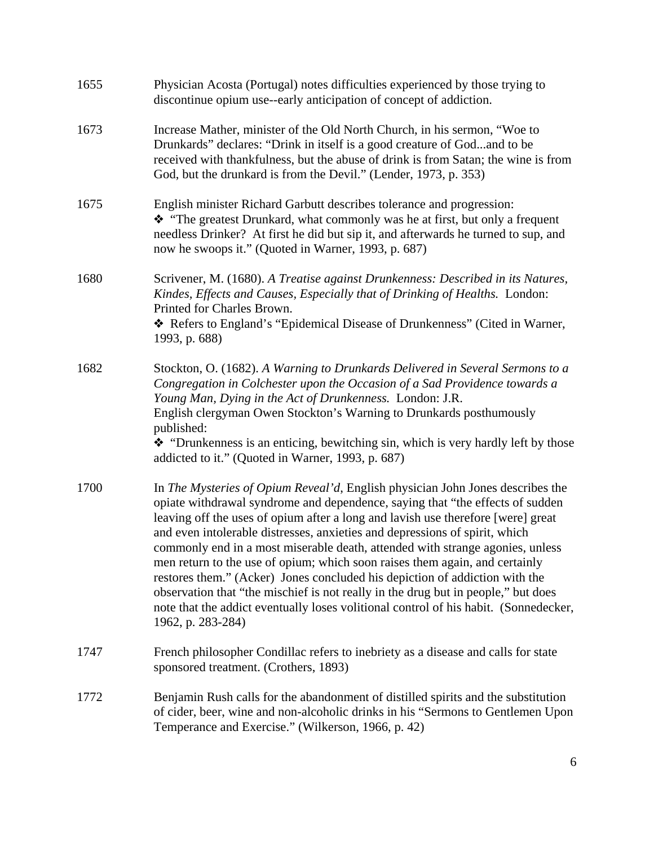| 1655 | Physician Acosta (Portugal) notes difficulties experienced by those trying to<br>discontinue opium use-early anticipation of concept of addiction.                                                                                                                                                                                                                                                                                                                                                                                                                                                                                                                                                                                                                                  |
|------|-------------------------------------------------------------------------------------------------------------------------------------------------------------------------------------------------------------------------------------------------------------------------------------------------------------------------------------------------------------------------------------------------------------------------------------------------------------------------------------------------------------------------------------------------------------------------------------------------------------------------------------------------------------------------------------------------------------------------------------------------------------------------------------|
| 1673 | Increase Mather, minister of the Old North Church, in his sermon, "Woe to<br>Drunkards" declares: "Drink in itself is a good creature of Godand to be<br>received with thankfulness, but the abuse of drink is from Satan; the wine is from<br>God, but the drunkard is from the Devil." (Lender, 1973, p. 353)                                                                                                                                                                                                                                                                                                                                                                                                                                                                     |
| 1675 | English minister Richard Garbutt describes tolerance and progression:<br>• "The greatest Drunkard, what commonly was he at first, but only a frequent<br>needless Drinker? At first he did but sip it, and afterwards he turned to sup, and<br>now he swoops it." (Quoted in Warner, 1993, p. 687)                                                                                                                                                                                                                                                                                                                                                                                                                                                                                  |
| 1680 | Scrivener, M. (1680). A Treatise against Drunkenness: Described in its Natures,<br>Kindes, Effects and Causes, Especially that of Drinking of Healths. London:<br>Printed for Charles Brown.<br>* Refers to England's "Epidemical Disease of Drunkenness" (Cited in Warner,<br>1993, p. 688)                                                                                                                                                                                                                                                                                                                                                                                                                                                                                        |
| 1682 | Stockton, O. (1682). A Warning to Drunkards Delivered in Several Sermons to a<br>Congregation in Colchester upon the Occasion of a Sad Providence towards a<br>Young Man, Dying in the Act of Drunkenness. London: J.R.<br>English clergyman Owen Stockton's Warning to Drunkards posthumously<br>published:<br>* "Drunkenness is an enticing, bewitching sin, which is very hardly left by those<br>addicted to it." (Quoted in Warner, 1993, p. 687)                                                                                                                                                                                                                                                                                                                              |
| 1700 | In The Mysteries of Opium Reveal'd, English physician John Jones describes the<br>opiate withdrawal syndrome and dependence, saying that "the effects of sudden<br>leaving off the uses of opium after a long and lavish use therefore [were] great<br>and even intolerable distresses, anxieties and depressions of spirit, which<br>commonly end in a most miserable death, attended with strange agonies, unless<br>men return to the use of opium; which soon raises them again, and certainly<br>restores them." (Acker) Jones concluded his depiction of addiction with the<br>observation that "the mischief is not really in the drug but in people," but does<br>note that the addict eventually loses volitional control of his habit. (Sonnedecker,<br>1962, p. 283-284) |
| 1747 | French philosopher Condillac refers to inebriety as a disease and calls for state<br>sponsored treatment. (Crothers, 1893)                                                                                                                                                                                                                                                                                                                                                                                                                                                                                                                                                                                                                                                          |
| 1772 | Benjamin Rush calls for the abandonment of distilled spirits and the substitution<br>of cider, beer, wine and non-alcoholic drinks in his "Sermons to Gentlemen Upon<br>Temperance and Exercise." (Wilkerson, 1966, p. 42)                                                                                                                                                                                                                                                                                                                                                                                                                                                                                                                                                          |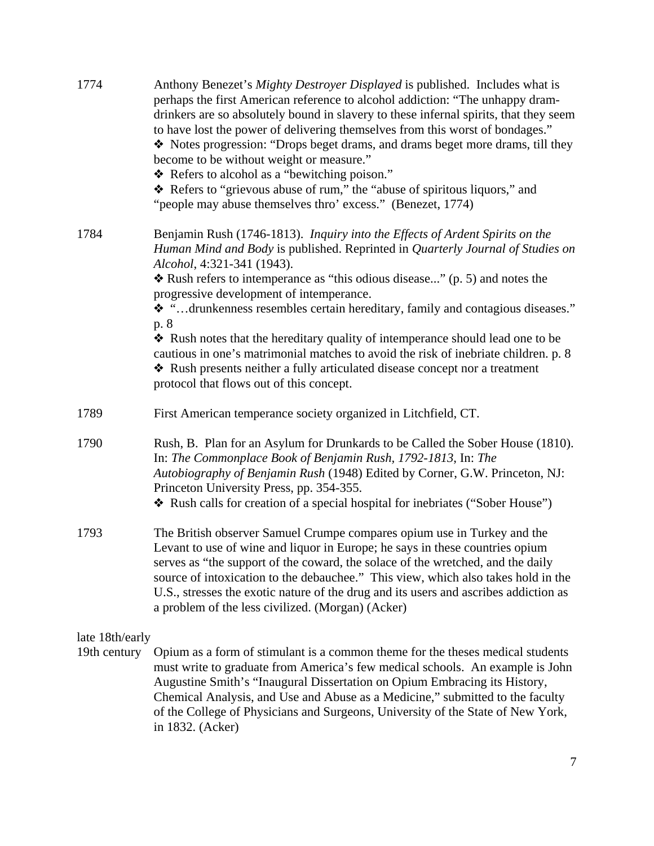| 1774                            | Anthony Benezet's Mighty Destroyer Displayed is published. Includes what is<br>perhaps the first American reference to alcohol addiction: "The unhappy dram-<br>drinkers are so absolutely bound in slavery to these infernal spirits, that they seem<br>to have lost the power of delivering themselves from this worst of bondages."<br>Notes progression: "Drops beget drams, and drams beget more drams, till they<br>become to be without weight or measure."<br>* Refers to alcohol as a "bewitching poison."<br>* Refers to "grievous abuse of rum," the "abuse of spiritous liquors," and<br>"people may abuse themselves thro' excess." (Benezet, 1774)                                                                   |
|---------------------------------|------------------------------------------------------------------------------------------------------------------------------------------------------------------------------------------------------------------------------------------------------------------------------------------------------------------------------------------------------------------------------------------------------------------------------------------------------------------------------------------------------------------------------------------------------------------------------------------------------------------------------------------------------------------------------------------------------------------------------------|
| 1784                            | Benjamin Rush (1746-1813). Inquiry into the Effects of Ardent Spirits on the<br>Human Mind and Body is published. Reprinted in Quarterly Journal of Studies on<br>Alcohol, 4:321-341 (1943).<br>$\triangleleft$ Rush refers to intemperance as "this odious disease" (p. 5) and notes the<br>progressive development of intemperance.<br>* "drunkenness resembles certain hereditary, family and contagious diseases."<br>p. 8<br>* Rush notes that the hereditary quality of intemperance should lead one to be<br>cautious in one's matrimonial matches to avoid the risk of inebriate children. p. 8<br>* Rush presents neither a fully articulated disease concept nor a treatment<br>protocol that flows out of this concept. |
| 1789                            | First American temperance society organized in Litchfield, CT.                                                                                                                                                                                                                                                                                                                                                                                                                                                                                                                                                                                                                                                                     |
| 1790                            | Rush, B. Plan for an Asylum for Drunkards to be Called the Sober House (1810).<br>In: The Commonplace Book of Benjamin Rush, 1792-1813, In: The<br>Autobiography of Benjamin Rush (1948) Edited by Corner, G.W. Princeton, NJ:<br>Princeton University Press, pp. 354-355.<br>* Rush calls for creation of a special hospital for inebriates ("Sober House")                                                                                                                                                                                                                                                                                                                                                                       |
| 1793                            | The British observer Samuel Crumpe compares opium use in Turkey and the<br>Levant to use of wine and liquor in Europe; he says in these countries opium<br>serves as "the support of the coward, the solace of the wretched, and the daily<br>source of intoxication to the debauchee." This view, which also takes hold in the<br>U.S., stresses the exotic nature of the drug and its users and ascribes addiction as<br>a problem of the less civilized. (Morgan) (Acker)                                                                                                                                                                                                                                                       |
| late 18th/early<br>19th century | Opium as a form of stimulant is a common theme for the theses medical students<br>must write to graduate from America's few medical schools. An example is John<br>Augustine Smith's "Inaugural Dissertation on Opium Embracing its History,<br>Chemical Analysis, and Use and Abuse as a Medicine," submitted to the faculty<br>of the College of Physicians and Surgeons, University of the State of New York,<br>in 1832. (Acker)                                                                                                                                                                                                                                                                                               |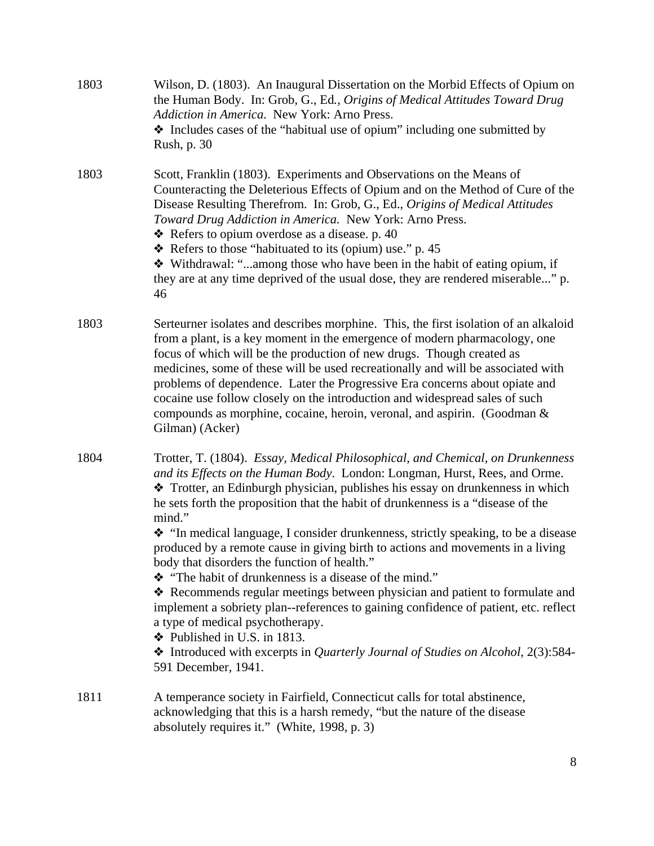| 1803 | Wilson, D. (1803). An Inaugural Dissertation on the Morbid Effects of Opium on<br>the Human Body. In: Grob, G., Ed., Origins of Medical Attitudes Toward Drug<br>Addiction in America. New York: Arno Press.<br>• Includes cases of the "habitual use of opium" including one submitted by<br>Rush, p. 30                                                                                                                                                                                                                                                                                                                                                                                                                                                                                                                                                                                                                                                                                                        |
|------|------------------------------------------------------------------------------------------------------------------------------------------------------------------------------------------------------------------------------------------------------------------------------------------------------------------------------------------------------------------------------------------------------------------------------------------------------------------------------------------------------------------------------------------------------------------------------------------------------------------------------------------------------------------------------------------------------------------------------------------------------------------------------------------------------------------------------------------------------------------------------------------------------------------------------------------------------------------------------------------------------------------|
| 1803 | Scott, Franklin (1803). Experiments and Observations on the Means of<br>Counteracting the Deleterious Effects of Opium and on the Method of Cure of the<br>Disease Resulting Therefrom. In: Grob, G., Ed., Origins of Medical Attitudes<br>Toward Drug Addiction in America. New York: Arno Press.<br>Refers to opium overdose as a disease. p. 40<br>❖ Refers to those "habituated to its (opium) use." p. 45<br>◆ Withdrawal: "among those who have been in the habit of eating opium, if<br>they are at any time deprived of the usual dose, they are rendered miserable" p.<br>46                                                                                                                                                                                                                                                                                                                                                                                                                            |
| 1803 | Serteurner isolates and describes morphine. This, the first isolation of an alkaloid<br>from a plant, is a key moment in the emergence of modern pharmacology, one<br>focus of which will be the production of new drugs. Though created as<br>medicines, some of these will be used recreationally and will be associated with<br>problems of dependence. Later the Progressive Era concerns about opiate and<br>cocaine use follow closely on the introduction and widespread sales of such<br>compounds as morphine, cocaine, heroin, veronal, and aspirin. (Goodman &<br>Gilman) (Acker)                                                                                                                                                                                                                                                                                                                                                                                                                     |
| 1804 | Trotter, T. (1804). Essay, Medical Philosophical, and Chemical, on Drunkenness<br>and its Effects on the Human Body. London: Longman, Hurst, Rees, and Orme.<br>Trotter, an Edinburgh physician, publishes his essay on drunkenness in which<br>he sets forth the proposition that the habit of drunkenness is a "disease of the<br>mind."<br>• "In medical language, I consider drunkenness, strictly speaking, to be a disease<br>produced by a remote cause in giving birth to actions and movements in a living<br>body that disorders the function of health."<br>* "The habit of drunkenness is a disease of the mind."<br>* Recommends regular meetings between physician and patient to formulate and<br>implement a sobriety plan--references to gaining confidence of patient, etc. reflect<br>a type of medical psychotherapy.<br>$\triangleleft$ Published in U.S. in 1813.<br>$\triangleleft$ Introduced with excerpts in Quarterly Journal of Studies on Alcohol, 2(3):584-<br>591 December, 1941. |
| 1811 | A temperance society in Fairfield, Connecticut calls for total abstinence,<br>acknowledging that this is a harsh remedy, "but the nature of the disease<br>absolutely requires it." (White, 1998, p. 3)                                                                                                                                                                                                                                                                                                                                                                                                                                                                                                                                                                                                                                                                                                                                                                                                          |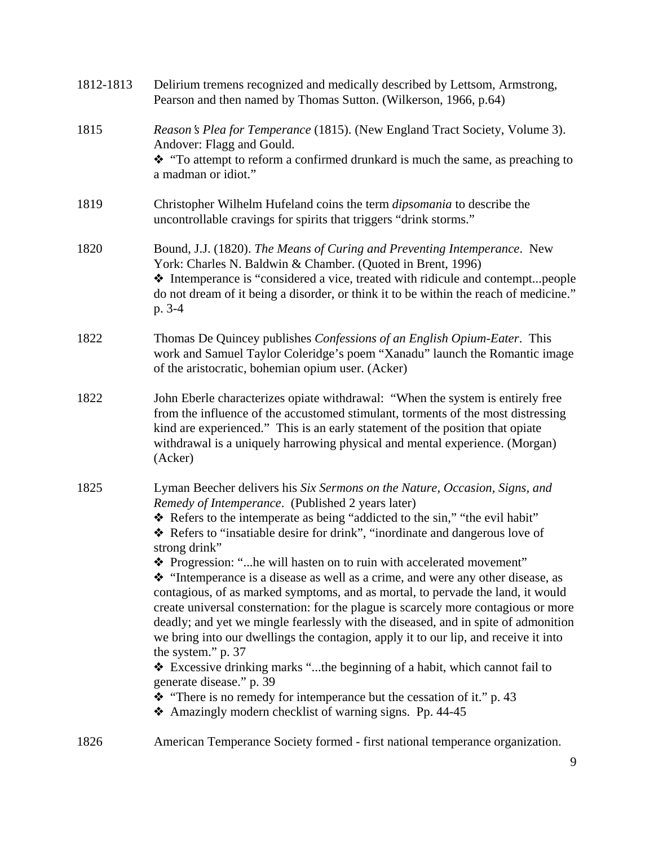|           | 9                                                                                                                                                                                                                                                                                                                                                                                                                                     |
|-----------|---------------------------------------------------------------------------------------------------------------------------------------------------------------------------------------------------------------------------------------------------------------------------------------------------------------------------------------------------------------------------------------------------------------------------------------|
| 1826      | American Temperance Society formed - first national temperance organization.                                                                                                                                                                                                                                                                                                                                                          |
|           | the system." p. 37<br>* Excessive drinking marks "the beginning of a habit, which cannot fail to<br>generate disease." p. 39<br>$\hat{P}$ "There is no remedy for intemperance but the cessation of it." p. 43<br>Amazingly modern checklist of warning signs. Pp. 44-45                                                                                                                                                              |
|           | * "Intemperance is a disease as well as a crime, and were any other disease, as<br>contagious, of as marked symptoms, and as mortal, to pervade the land, it would<br>create universal consternation: for the plague is scarcely more contagious or more<br>deadly; and yet we mingle fearlessly with the diseased, and in spite of admonition<br>we bring into our dwellings the contagion, apply it to our lip, and receive it into |
|           | * Refers to the intemperate as being "addicted to the sin," "the evil habit"<br>◆ Refers to "insatiable desire for drink", "inordinate and dangerous love of<br>strong drink"<br>* Progression: " he will hasten on to ruin with accelerated movement"                                                                                                                                                                                |
| 1825      | Lyman Beecher delivers his Six Sermons on the Nature, Occasion, Signs, and<br>Remedy of Intemperance. (Published 2 years later)                                                                                                                                                                                                                                                                                                       |
| 1822      | John Eberle characterizes opiate withdrawal: "When the system is entirely free<br>from the influence of the accustomed stimulant, torments of the most distressing<br>kind are experienced." This is an early statement of the position that opiate<br>withdrawal is a uniquely harrowing physical and mental experience. (Morgan)<br>(Acker)                                                                                         |
| 1822      | Thomas De Quincey publishes Confessions of an English Opium-Eater. This<br>work and Samuel Taylor Coleridge's poem "Xanadu" launch the Romantic image<br>of the aristocratic, bohemian opium user. (Acker)                                                                                                                                                                                                                            |
| 1820      | Bound, J.J. (1820). The Means of Curing and Preventing Intemperance. New<br>York: Charles N. Baldwin & Chamber. (Quoted in Brent, 1996)<br>* Intemperance is "considered a vice, treated with ridicule and contemptpeople<br>do not dream of it being a disorder, or think it to be within the reach of medicine."<br>$p. 3-4$                                                                                                        |
| 1819      | Christopher Wilhelm Hufeland coins the term <i>dipsomania</i> to describe the<br>uncontrollable cravings for spirits that triggers "drink storms."                                                                                                                                                                                                                                                                                    |
|           | Andover: Flagg and Gould.<br>* "To attempt to reform a confirmed drunkard is much the same, as preaching to<br>a madman or idiot."                                                                                                                                                                                                                                                                                                    |
| 1815      | Pearson and then named by Thomas Sutton. (Wilkerson, 1966, p.64)<br>Reason's Plea for Temperance (1815). (New England Tract Society, Volume 3).                                                                                                                                                                                                                                                                                       |
| 1812-1813 | Delirium tremens recognized and medically described by Lettsom, Armstrong,                                                                                                                                                                                                                                                                                                                                                            |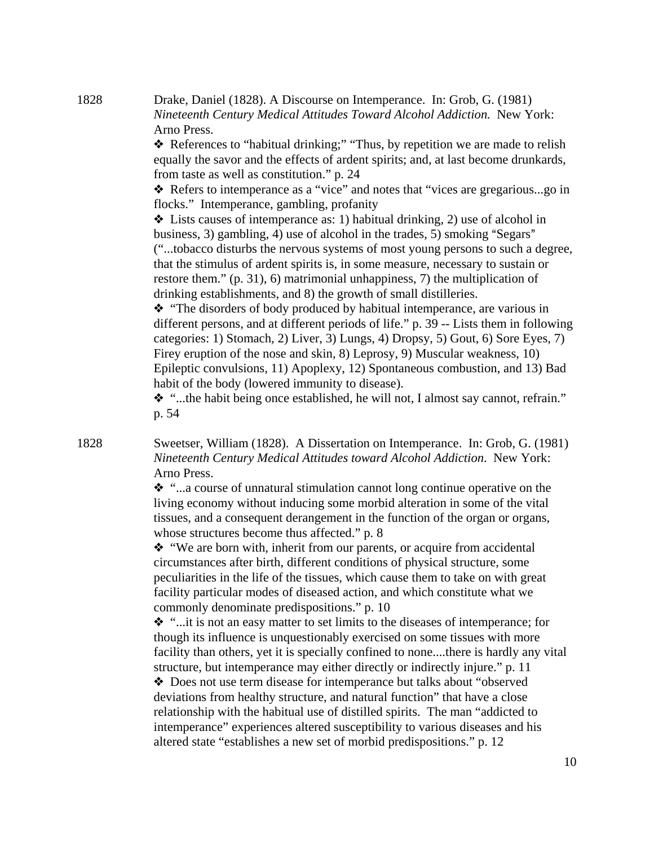1828 Drake, Daniel (1828). A Discourse on Intemperance. In: Grob, G. (1981) *Nineteenth Century Medical Attitudes Toward Alcohol Addiction.* New York: Arno Press.

> ˜ References to "habitual drinking;" "Thus, by repetition we are made to relish equally the savor and the effects of ardent spirits; and, at last become drunkards, from taste as well as constitution." p. 24

> ˜ Refers to intemperance as a "vice" and notes that "vices are gregarious...go in flocks." Intemperance, gambling, profanity

> $\triangleleft$  Lists causes of intemperance as: 1) habitual drinking, 2) use of alcohol in business, 3) gambling, 4) use of alcohol in the trades, 5) smoking "Segars" ("...tobacco disturbs the nervous systems of most young persons to such a degree, that the stimulus of ardent spirits is, in some measure, necessary to sustain or restore them." (p. 31), 6) matrimonial unhappiness, 7) the multiplication of drinking establishments, and 8) the growth of small distilleries.

> ˜ "The disorders of body produced by habitual intemperance, are various in different persons, and at different periods of life." p. 39 -- Lists them in following categories: 1) Stomach, 2) Liver, 3) Lungs, 4) Dropsy, 5) Gout, 6) Sore Eyes, 7) Firey eruption of the nose and skin, 8) Leprosy, 9) Muscular weakness, 10) Epileptic convulsions, 11) Apoplexy, 12) Spontaneous combustion, and 13) Bad habit of the body (lowered immunity to disease).

˜ "...the habit being once established, he will not, I almost say cannot, refrain." p. 54

1828 Sweetser, William (1828). A Dissertation on Intemperance. In: Grob, G. (1981) *Nineteenth Century Medical Attitudes toward Alcohol Addiction*. New York: Arno Press.

˜ "...a course of unnatural stimulation cannot long continue operative on the living economy without inducing some morbid alteration in some of the vital tissues, and a consequent derangement in the function of the organ or organs, whose structures become thus affected." p. 8

˜ "We are born with, inherit from our parents, or acquire from accidental circumstances after birth, different conditions of physical structure, some peculiarities in the life of the tissues, which cause them to take on with great facility particular modes of diseased action, and which constitute what we commonly denominate predispositions." p. 10

˜ "...it is not an easy matter to set limits to the diseases of intemperance; for though its influence is unquestionably exercised on some tissues with more facility than others, yet it is specially confined to none....there is hardly any vital structure, but intemperance may either directly or indirectly injure." p. 11

˜ Does not use term disease for intemperance but talks about "observed deviations from healthy structure, and natural function" that have a close relationship with the habitual use of distilled spirits. The man "addicted to intemperance" experiences altered susceptibility to various diseases and his altered state "establishes a new set of morbid predispositions." p. 12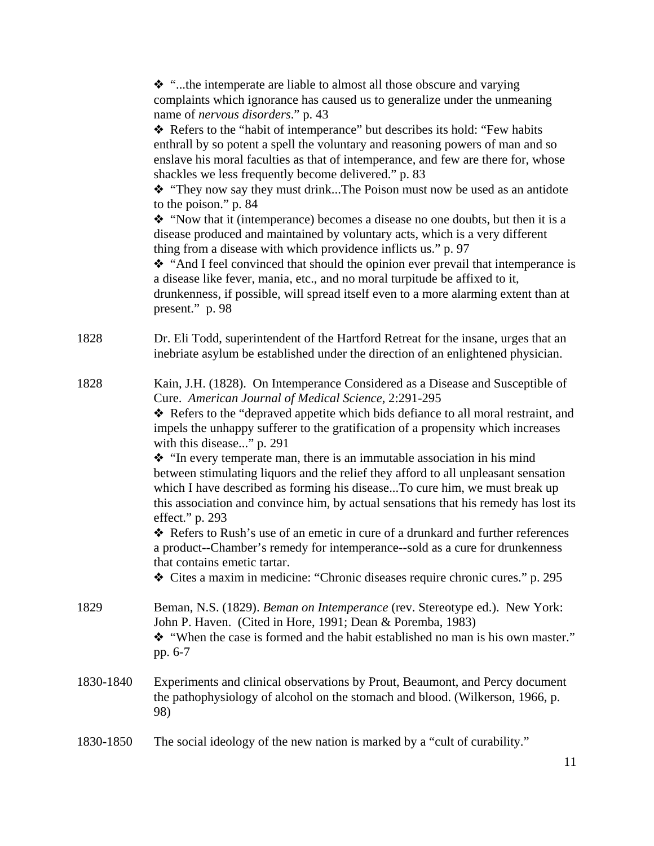|           | • "the intemperate are liable to almost all those obscure and varying<br>complaints which ignorance has caused us to generalize under the unmeaning<br>name of nervous disorders." p. 43<br>* Refers to the "habit of intemperance" but describes its hold: "Few habits"<br>enthrall by so potent a spell the voluntary and reasoning powers of man and so<br>enslave his moral faculties as that of intemperance, and few are there for, whose<br>shackles we less frequently become delivered." p. 83<br>* "They now say they must drinkThe Poison must now be used as an antidote<br>to the poison." $p. 84$<br>• "Now that it (intemperance) becomes a disease no one doubts, but then it is a<br>disease produced and maintained by voluntary acts, which is a very different<br>thing from a disease with which providence inflicts us." p. 97<br>And I feel convinced that should the opinion ever prevail that intemperance is<br>a disease like fever, mania, etc., and no moral turpitude be affixed to it,<br>drunkenness, if possible, will spread itself even to a more alarming extent than at<br>present." p. 98 |
|-----------|---------------------------------------------------------------------------------------------------------------------------------------------------------------------------------------------------------------------------------------------------------------------------------------------------------------------------------------------------------------------------------------------------------------------------------------------------------------------------------------------------------------------------------------------------------------------------------------------------------------------------------------------------------------------------------------------------------------------------------------------------------------------------------------------------------------------------------------------------------------------------------------------------------------------------------------------------------------------------------------------------------------------------------------------------------------------------------------------------------------------------------|
| 1828      | Dr. Eli Todd, superintendent of the Hartford Retreat for the insane, urges that an<br>inebriate asylum be established under the direction of an enlightened physician.                                                                                                                                                                                                                                                                                                                                                                                                                                                                                                                                                                                                                                                                                                                                                                                                                                                                                                                                                          |
| 1828      | Kain, J.H. (1828). On Intemperance Considered as a Disease and Susceptible of<br>Cure. American Journal of Medical Science, 2:291-295<br>Refers to the "depraved appetite which bids defiance to all moral restraint, and<br>impels the unhappy sufferer to the gratification of a propensity which increases<br>with this disease" p. 291<br>• "In every temperate man, there is an immutable association in his mind<br>between stimulating liquors and the relief they afford to all unpleasant sensation<br>which I have described as forming his diseaseTo cure him, we must break up<br>this association and convince him, by actual sensations that his remedy has lost its<br>effect." p. 293<br>Refers to Rush's use of an emetic in cure of a drunkard and further references<br>a product--Chamber's remedy for intemperance--sold as a cure for drunkenness<br>that contains emetic tartar.<br>◆ Cites a maxim in medicine: "Chronic diseases require chronic cures." p. 295                                                                                                                                        |
| 1829      | Beman, N.S. (1829). Beman on Intemperance (rev. Stereotype ed.). New York:<br>John P. Haven. (Cited in Hore, 1991; Dean & Poremba, 1983)<br>* "When the case is formed and the habit established no man is his own master."<br>pp. 6-7                                                                                                                                                                                                                                                                                                                                                                                                                                                                                                                                                                                                                                                                                                                                                                                                                                                                                          |
| 1830-1840 | Experiments and clinical observations by Prout, Beaumont, and Percy document<br>the pathophysiology of alcohol on the stomach and blood. (Wilkerson, 1966, p.<br>98)                                                                                                                                                                                                                                                                                                                                                                                                                                                                                                                                                                                                                                                                                                                                                                                                                                                                                                                                                            |
| 1830-1850 | The social ideology of the new nation is marked by a "cult of curability."                                                                                                                                                                                                                                                                                                                                                                                                                                                                                                                                                                                                                                                                                                                                                                                                                                                                                                                                                                                                                                                      |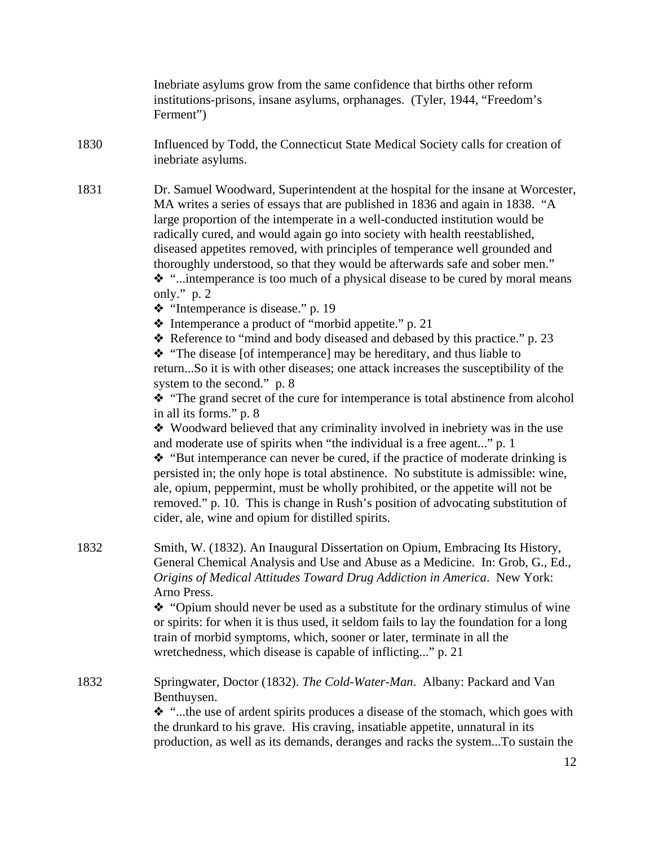Inebriate asylums grow from the same confidence that births other reform institutions-prisons, insane asylums, orphanages. (Tyler, 1944, "Freedom's Ferment")

- 1830 Influenced by Todd, the Connecticut State Medical Society calls for creation of inebriate asylums.
- 1831 Dr. Samuel Woodward, Superintendent at the hospital for the insane at Worcester, MA writes a series of essays that are published in 1836 and again in 1838. "A large proportion of the intemperate in a well-conducted institution would be radically cured, and would again go into society with health reestablished, diseased appetites removed, with principles of temperance well grounded and thoroughly understood, so that they would be afterwards safe and sober men." ˜ "...intemperance is too much of a physical disease to be cured by moral means only." p. 2
	- ˜ "Intemperance is disease." p. 19
	- ˜ Intemperance a product of "morbid appetite." p. 21
	- ˜ Reference to "mind and body diseased and debased by this practice." p. 23

˜ "The disease [of intemperance] may be hereditary, and thus liable to return...So it is with other diseases; one attack increases the susceptibility of the system to the second." p. 8

˜ "The grand secret of the cure for intemperance is total abstinence from alcohol in all its forms." p. 8

˜ Woodward believed that any criminality involved in inebriety was in the use and moderate use of spirits when "the individual is a free agent..." p. 1

˜ "But intemperance can never be cured, if the practice of moderate drinking is persisted in; the only hope is total abstinence. No substitute is admissible: wine, ale, opium, peppermint, must be wholly prohibited, or the appetite will not be removed." p. 10. This is change in Rush's position of advocating substitution of cider, ale, wine and opium for distilled spirits.

1832 Smith, W. (1832). An Inaugural Dissertation on Opium, Embracing Its History, General Chemical Analysis and Use and Abuse as a Medicine. In: Grob, G., Ed., *Origins of Medical Attitudes Toward Drug Addiction in America*. New York: Arno Press.

> ˜ "Opium should never be used as a substitute for the ordinary stimulus of wine or spirits: for when it is thus used, it seldom fails to lay the foundation for a long train of morbid symptoms, which, sooner or later, terminate in all the wretchedness, which disease is capable of inflicting..." p. 21

1832 Springwater, Doctor (1832). *The Cold-Water-Man*. Albany: Packard and Van Benthuysen.

> ˜ "...the use of ardent spirits produces a disease of the stomach, which goes with the drunkard to his grave. His craving, insatiable appetite, unnatural in its production, as well as its demands, deranges and racks the system...To sustain the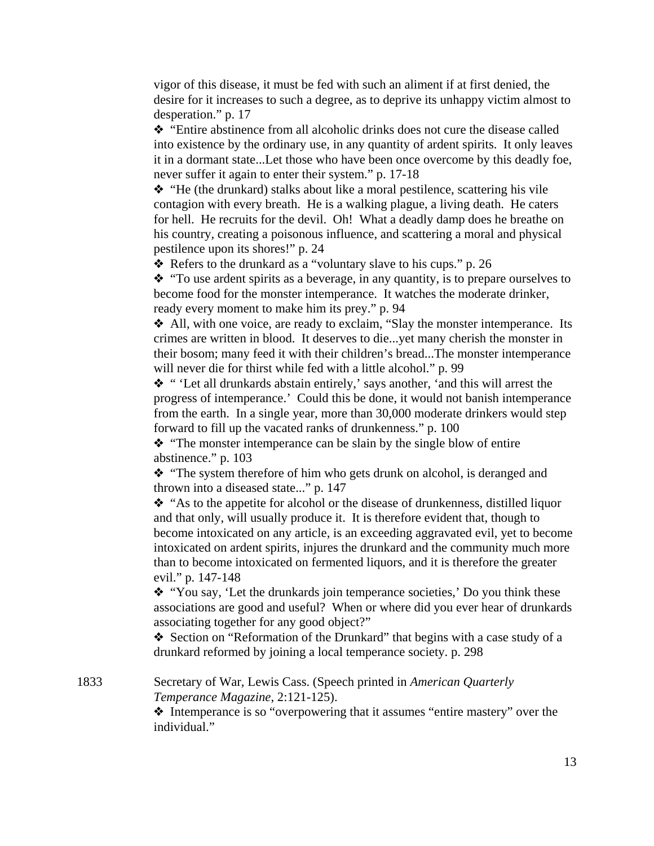vigor of this disease, it must be fed with such an aliment if at first denied, the desire for it increases to such a degree, as to deprive its unhappy victim almost to desperation." p. 17

˜ "Entire abstinence from all alcoholic drinks does not cure the disease called into existence by the ordinary use, in any quantity of ardent spirits. It only leaves it in a dormant state...Let those who have been once overcome by this deadly foe, never suffer it again to enter their system." p. 17-18

˜ "He (the drunkard) stalks about like a moral pestilence, scattering his vile contagion with every breath. He is a walking plague, a living death. He caters for hell. He recruits for the devil. Oh! What a deadly damp does he breathe on his country, creating a poisonous influence, and scattering a moral and physical pestilence upon its shores!" p. 24

˜ Refers to the drunkard as a "voluntary slave to his cups." p. 26

˜ "To use ardent spirits as a beverage, in any quantity, is to prepare ourselves to become food for the monster intemperance. It watches the moderate drinker, ready every moment to make him its prey." p. 94

˜ All, with one voice, are ready to exclaim, "Slay the monster intemperance. Its crimes are written in blood. It deserves to die...yet many cherish the monster in their bosom; many feed it with their children's bread...The monster intemperance will never die for thirst while fed with a little alcohol." p. 99

˜ " 'Let all drunkards abstain entirely,' says another, 'and this will arrest the progress of intemperance.' Could this be done, it would not banish intemperance from the earth. In a single year, more than 30,000 moderate drinkers would step forward to fill up the vacated ranks of drunkenness." p. 100

˜ "The monster intemperance can be slain by the single blow of entire abstinence." p. 103

˜ "The system therefore of him who gets drunk on alcohol, is deranged and thrown into a diseased state..." p. 147

˜ "As to the appetite for alcohol or the disease of drunkenness, distilled liquor and that only, will usually produce it. It is therefore evident that, though to become intoxicated on any article, is an exceeding aggravated evil, yet to become intoxicated on ardent spirits, injures the drunkard and the community much more than to become intoxicated on fermented liquors, and it is therefore the greater evil." p. 147-148

˜ "You say, 'Let the drunkards join temperance societies,' Do you think these associations are good and useful? When or where did you ever hear of drunkards associating together for any good object?"

˜ Section on "Reformation of the Drunkard" that begins with a case study of a drunkard reformed by joining a local temperance society. p. 298

1833 Secretary of War, Lewis Cass. (Speech printed in *American Quarterly Temperance Magazine*, 2:121-125).

> ˜ Intemperance is so "overpowering that it assumes "entire mastery" over the individual."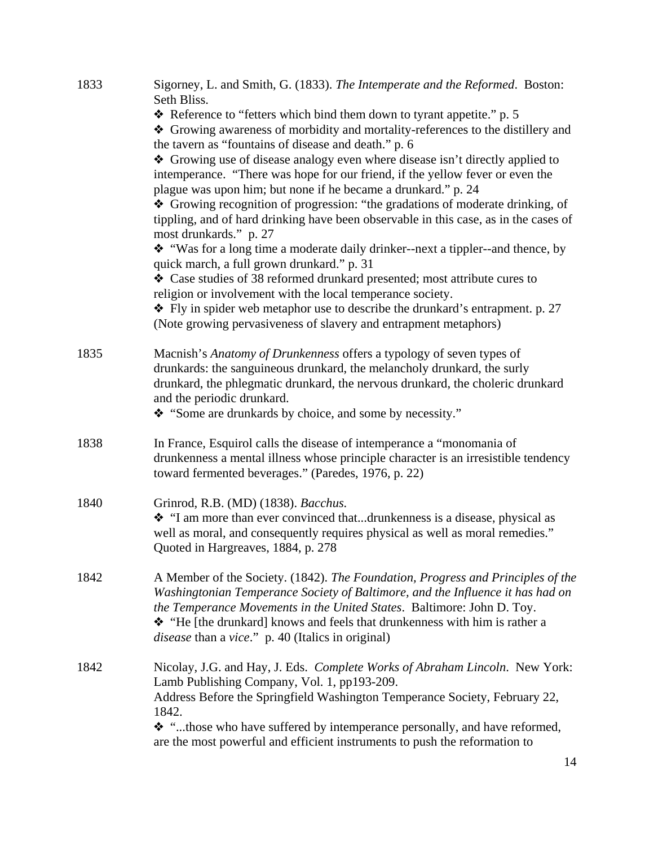| 1833 | Sigorney, L. and Smith, G. (1833). The Intemperate and the Reformed. Boston:<br>Seth Bliss.<br>❖ Reference to "fetters which bind them down to tyrant appetite." p. 5<br>Growing awareness of morbidity and mortality-references to the distillery and<br>the tavern as "fountains of disease and death." p. 6                                                                 |
|------|--------------------------------------------------------------------------------------------------------------------------------------------------------------------------------------------------------------------------------------------------------------------------------------------------------------------------------------------------------------------------------|
|      | ❖ Growing use of disease analogy even where disease isn't directly applied to<br>intemperance. "There was hope for our friend, if the yellow fever or even the<br>plague was upon him; but none if he became a drunkard." p. 24                                                                                                                                                |
|      | ◆ Growing recognition of progression: "the gradations of moderate drinking, of<br>tippling, and of hard drinking have been observable in this case, as in the cases of<br>most drunkards." p. 27<br>* "Was for a long time a moderate daily drinker--next a tippler--and thence, by                                                                                            |
|      | quick march, a full grown drunkard." p. 31<br>❖ Case studies of 38 reformed drunkard presented; most attribute cures to<br>religion or involvement with the local temperance society.                                                                                                                                                                                          |
|      | $\bullet$ Fly in spider web metaphor use to describe the drunkard's entrapment. p. 27<br>(Note growing pervasiveness of slavery and entrapment metaphors)                                                                                                                                                                                                                      |
| 1835 | Macnish's Anatomy of Drunkenness offers a typology of seven types of<br>drunkards: the sanguineous drunkard, the melancholy drunkard, the surly<br>drunkard, the phlegmatic drunkard, the nervous drunkard, the choleric drunkard<br>and the periodic drunkard.<br>* "Some are drunkards by choice, and some by necessity."                                                    |
| 1838 | In France, Esquirol calls the disease of intemperance a "monomania of<br>drunkenness a mental illness whose principle character is an irresistible tendency<br>toward fermented beverages." (Paredes, 1976, p. 22)                                                                                                                                                             |
| 1840 | Grinrod, R.B. (MD) (1838). Bacchus.<br>• "I am more than ever convinced thatdrunkenness is a disease, physical as<br>well as moral, and consequently requires physical as well as moral remedies."<br>Quoted in Hargreaves, 1884, p. 278                                                                                                                                       |
| 1842 | A Member of the Society. (1842). The Foundation, Progress and Principles of the<br>Washingtonian Temperance Society of Baltimore, and the Influence it has had on<br>the Temperance Movements in the United States. Baltimore: John D. Toy.<br>◆ "He [the drunkard] knows and feels that drunkenness with him is rather a<br>disease than a vice." p. 40 (Italics in original) |
| 1842 | Nicolay, J.G. and Hay, J. Eds. Complete Works of Abraham Lincoln. New York:<br>Lamb Publishing Company, Vol. 1, pp193-209.<br>Address Before the Springfield Washington Temperance Society, February 22,<br>1842.                                                                                                                                                              |
|      | * "those who have suffered by intemperance personally, and have reformed,<br>are the most powerful and efficient instruments to push the reformation to                                                                                                                                                                                                                        |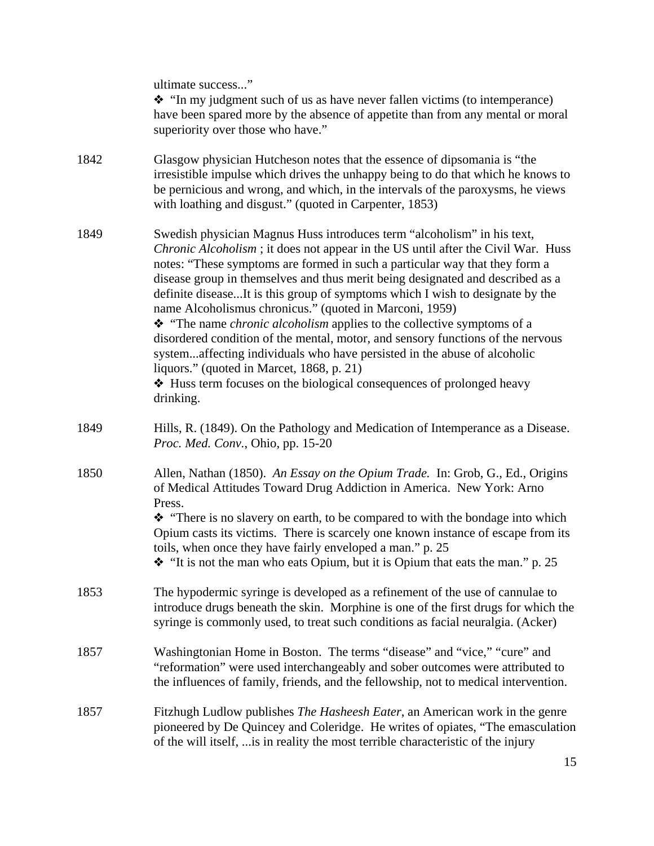ultimate success..."

˜ "In my judgment such of us as have never fallen victims (to intemperance) have been spared more by the absence of appetite than from any mental or moral superiority over those who have."

1842 Glasgow physician Hutcheson notes that the essence of dipsomania is "the irresistible impulse which drives the unhappy being to do that which he knows to be pernicious and wrong, and which, in the intervals of the paroxysms, he views with loathing and disgust." (quoted in Carpenter, 1853)

1849 Swedish physician Magnus Huss introduces term "alcoholism" in his text, *Chronic Alcoholism* ; it does not appear in the US until after the Civil War. Huss notes: "These symptoms are formed in such a particular way that they form a disease group in themselves and thus merit being designated and described as a definite disease...It is this group of symptoms which I wish to designate by the name Alcoholismus chronicus." (quoted in Marconi, 1959)

˜ "The name *chronic alcoholism* applies to the collective symptoms of a disordered condition of the mental, motor, and sensory functions of the nervous system...affecting individuals who have persisted in the abuse of alcoholic liquors." (quoted in Marcet, 1868, p. 21)

˜ Huss term focuses on the biological consequences of prolonged heavy drinking.

- 1849 Hills, R. (1849). On the Pathology and Medication of Intemperance as a Disease. *Proc. Med. Conv.*, Ohio, pp. 15-20
- 1850 Allen, Nathan (1850). *An Essay on the Opium Trade.* In: Grob, G., Ed., Origins of Medical Attitudes Toward Drug Addiction in America. New York: Arno Press.

˜ "There is no slavery on earth, to be compared to with the bondage into which Opium casts its victims. There is scarcely one known instance of escape from its toils, when once they have fairly enveloped a man." p. 25

 $\cdot$  "It is not the man who eats Opium, but it is Opium that eats the man." p. 25

- 1853 The hypodermic syringe is developed as a refinement of the use of cannulae to introduce drugs beneath the skin. Morphine is one of the first drugs for which the syringe is commonly used, to treat such conditions as facial neuralgia. (Acker)
- 1857 Washingtonian Home in Boston. The terms "disease" and "vice," "cure" and "reformation" were used interchangeably and sober outcomes were attributed to the influences of family, friends, and the fellowship, not to medical intervention.
- 1857 Fitzhugh Ludlow publishes *The Hasheesh Eater*, an American work in the genre pioneered by De Quincey and Coleridge. He writes of opiates, "The emasculation of the will itself, ...is in reality the most terrible characteristic of the injury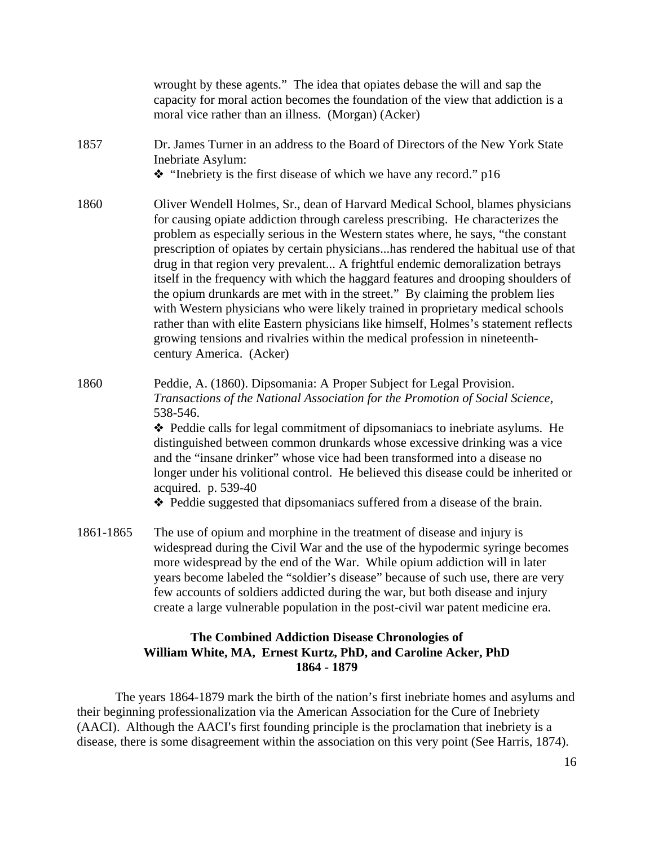|           | wrought by these agents." The idea that opiates debase the will and sap the<br>capacity for moral action becomes the foundation of the view that addiction is a<br>moral vice rather than an illness. (Morgan) (Acker)                                                                                                                                                                                                                                                                                                                                                                                                                                                                                                                                                                                                                                                                 |
|-----------|----------------------------------------------------------------------------------------------------------------------------------------------------------------------------------------------------------------------------------------------------------------------------------------------------------------------------------------------------------------------------------------------------------------------------------------------------------------------------------------------------------------------------------------------------------------------------------------------------------------------------------------------------------------------------------------------------------------------------------------------------------------------------------------------------------------------------------------------------------------------------------------|
| 1857      | Dr. James Turner in an address to the Board of Directors of the New York State<br>Inebriate Asylum:<br>* "Inebriety is the first disease of which we have any record." p16                                                                                                                                                                                                                                                                                                                                                                                                                                                                                                                                                                                                                                                                                                             |
| 1860      | Oliver Wendell Holmes, Sr., dean of Harvard Medical School, blames physicians<br>for causing opiate addiction through careless prescribing. He characterizes the<br>problem as especially serious in the Western states where, he says, "the constant<br>prescription of opiates by certain physicianshas rendered the habitual use of that<br>drug in that region very prevalent A frightful endemic demoralization betrays<br>itself in the frequency with which the haggard features and drooping shoulders of<br>the opium drunkards are met with in the street." By claiming the problem lies<br>with Western physicians who were likely trained in proprietary medical schools<br>rather than with elite Eastern physicians like himself, Holmes's statement reflects<br>growing tensions and rivalries within the medical profession in nineteenth-<br>century America. (Acker) |
| 1860      | Peddie, A. (1860). Dipsomania: A Proper Subject for Legal Provision.<br>Transactions of the National Association for the Promotion of Social Science,<br>538-546.<br>◆ Peddie calls for legal commitment of dipsomaniacs to inebriate asylums. He<br>distinguished between common drunkards whose excessive drinking was a vice<br>and the "insane drinker" whose vice had been transformed into a disease no<br>longer under his volitional control. He believed this disease could be inherited or<br>acquired. p. 539-40<br>◆ Peddie suggested that dipsomaniacs suffered from a disease of the brain.                                                                                                                                                                                                                                                                              |
| 1861-1865 | The use of opium and morphine in the treatment of disease and injury is<br>widespread during the Civil War and the use of the hypodermic syringe becomes<br>more widespread by the end of the War. While opium addiction will in later<br>years become labeled the "soldier's disease" because of such use, there are very<br>few accounts of soldiers addicted during the war, but both disease and injury<br>create a large vulnerable population in the post-civil war patent medicine era.                                                                                                                                                                                                                                                                                                                                                                                         |

## **The Combined Addiction Disease Chronologies of William White, MA, Ernest Kurtz, PhD, and Caroline Acker, PhD 1864 - 1879**

The years 1864-1879 mark the birth of the nation's first inebriate homes and asylums and their beginning professionalization via the American Association for the Cure of Inebriety (AACI). Although the AACI's first founding principle is the proclamation that inebriety is a disease, there is some disagreement within the association on this very point (See Harris, 1874).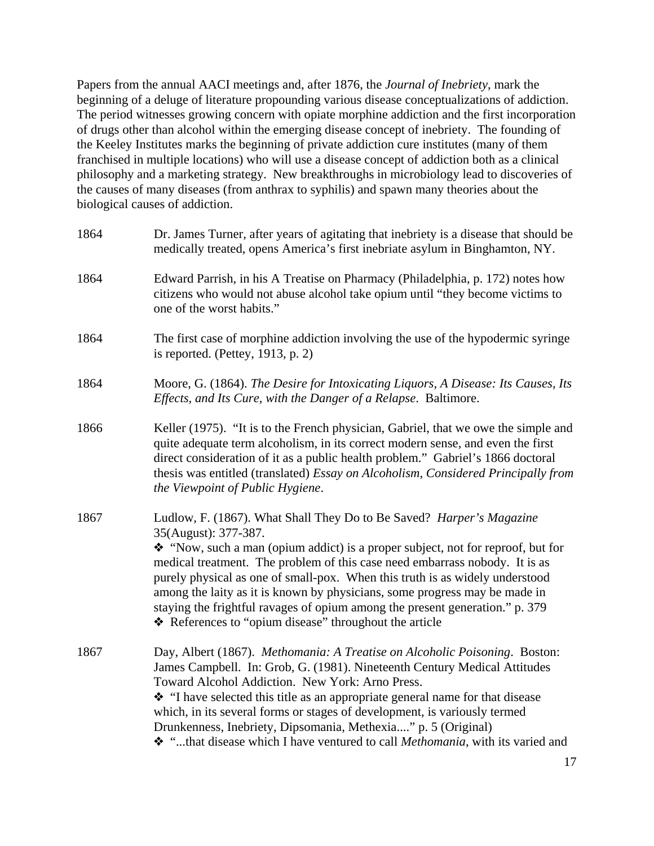Papers from the annual AACI meetings and, after 1876, the *Journal of Inebriety*, mark the beginning of a deluge of literature propounding various disease conceptualizations of addiction. The period witnesses growing concern with opiate morphine addiction and the first incorporation of drugs other than alcohol within the emerging disease concept of inebriety. The founding of the Keeley Institutes marks the beginning of private addiction cure institutes (many of them franchised in multiple locations) who will use a disease concept of addiction both as a clinical philosophy and a marketing strategy. New breakthroughs in microbiology lead to discoveries of the causes of many diseases (from anthrax to syphilis) and spawn many theories about the biological causes of addiction.

| 1864 | Dr. James Turner, after years of agitating that inebriety is a disease that should be<br>medically treated, opens America's first inebriate asylum in Binghamton, NY.                                                                                                                                                                                                                                                                                                                                                                                                  |
|------|------------------------------------------------------------------------------------------------------------------------------------------------------------------------------------------------------------------------------------------------------------------------------------------------------------------------------------------------------------------------------------------------------------------------------------------------------------------------------------------------------------------------------------------------------------------------|
| 1864 | Edward Parrish, in his A Treatise on Pharmacy (Philadelphia, p. 172) notes how<br>citizens who would not abuse alcohol take opium until "they become victims to<br>one of the worst habits."                                                                                                                                                                                                                                                                                                                                                                           |
| 1864 | The first case of morphine addiction involving the use of the hypodermic syringe<br>is reported. (Pettey, $1913$ , p. 2)                                                                                                                                                                                                                                                                                                                                                                                                                                               |
| 1864 | Moore, G. (1864). The Desire for Intoxicating Liquors, A Disease: Its Causes, Its<br>Effects, and Its Cure, with the Danger of a Relapse. Baltimore.                                                                                                                                                                                                                                                                                                                                                                                                                   |
| 1866 | Keller (1975). "It is to the French physician, Gabriel, that we owe the simple and<br>quite adequate term alcoholism, in its correct modern sense, and even the first<br>direct consideration of it as a public health problem." Gabriel's 1866 doctoral<br>thesis was entitled (translated) Essay on Alcoholism, Considered Principally from<br>the Viewpoint of Public Hygiene.                                                                                                                                                                                      |
| 1867 | Ludlow, F. (1867). What Shall They Do to Be Saved? Harper's Magazine<br>35(August): 377-387.<br>• "Now, such a man (opium addict) is a proper subject, not for reproof, but for<br>medical treatment. The problem of this case need embarrass nobody. It is as<br>purely physical as one of small-pox. When this truth is as widely understood<br>among the laity as it is known by physicians, some progress may be made in<br>staying the frightful ravages of opium among the present generation." p. 379<br>❖ References to "opium disease" throughout the article |
| 1867 | Day, Albert (1867). Methomania: A Treatise on Alcoholic Poisoning. Boston:<br>James Campbell. In: Grob, G. (1981). Nineteenth Century Medical Attitudes<br>Toward Alcohol Addiction. New York: Arno Press.<br>• "I have selected this title as an appropriate general name for that disease<br>which, in its several forms or stages of development, is variously termed<br>Drunkenness, Inebriety, Dipsomania, Methexia" p. 5 (Original)<br>❖ "that disease which I have ventured to call <i>Methomania</i> , with its varied and                                     |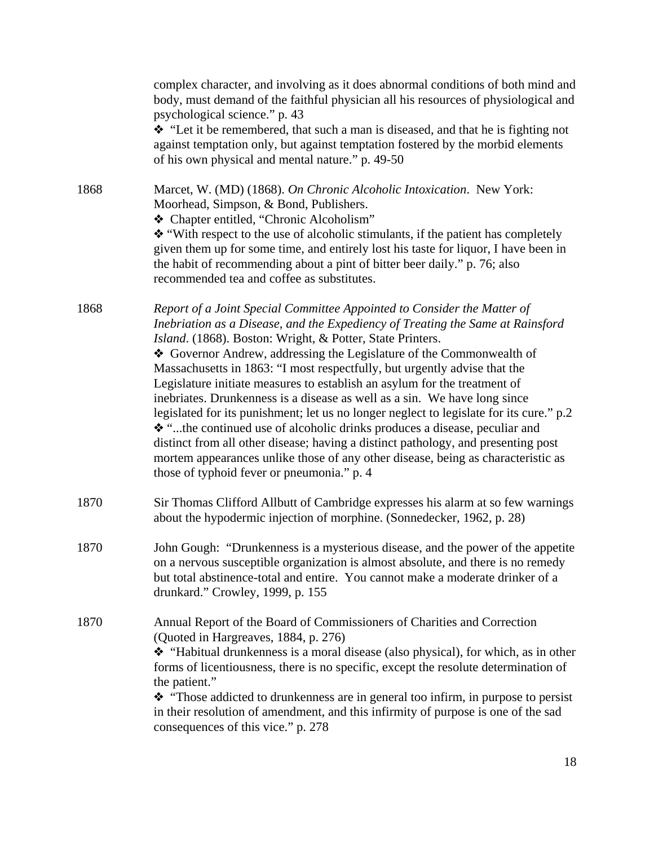|      | complex character, and involving as it does abnormal conditions of both mind and<br>body, must demand of the faithful physician all his resources of physiological and<br>psychological science." p. 43<br><b>❖</b> "Let it be remembered, that such a man is diseased, and that he is fighting not<br>against temptation only, but against temptation fostered by the morbid elements<br>of his own physical and mental nature." p. 49-50                                                                                                                                                                                                                                                                                                                                                                                                                                                                                           |
|------|--------------------------------------------------------------------------------------------------------------------------------------------------------------------------------------------------------------------------------------------------------------------------------------------------------------------------------------------------------------------------------------------------------------------------------------------------------------------------------------------------------------------------------------------------------------------------------------------------------------------------------------------------------------------------------------------------------------------------------------------------------------------------------------------------------------------------------------------------------------------------------------------------------------------------------------|
| 1868 | Marcet, W. (MD) (1868). On Chronic Alcoholic Intoxication. New York:<br>Moorhead, Simpson, & Bond, Publishers.<br>* Chapter entitled, "Chronic Alcoholism"<br>❖ "With respect to the use of alcoholic stimulants, if the patient has completely<br>given them up for some time, and entirely lost his taste for liquor, I have been in<br>the habit of recommending about a pint of bitter beer daily." p. 76; also<br>recommended tea and coffee as substitutes.                                                                                                                                                                                                                                                                                                                                                                                                                                                                    |
| 1868 | Report of a Joint Special Committee Appointed to Consider the Matter of<br>Inebriation as a Disease, and the Expediency of Treating the Same at Rainsford<br>Island. (1868). Boston: Wright, & Potter, State Printers.<br>❖ Governor Andrew, addressing the Legislature of the Commonwealth of<br>Massachusetts in 1863: "I most respectfully, but urgently advise that the<br>Legislature initiate measures to establish an asylum for the treatment of<br>inebriates. Drunkenness is a disease as well as a sin. We have long since<br>legislated for its punishment; let us no longer neglect to legislate for its cure." p.2<br>• "the continued use of alcoholic drinks produces a disease, peculiar and<br>distinct from all other disease; having a distinct pathology, and presenting post<br>mortem appearances unlike those of any other disease, being as characteristic as<br>those of typhoid fever or pneumonia." p. 4 |
| 1870 | Sir Thomas Clifford Allbutt of Cambridge expresses his alarm at so few warnings<br>about the hypodermic injection of morphine. (Sonnedecker, 1962, p. 28)                                                                                                                                                                                                                                                                                                                                                                                                                                                                                                                                                                                                                                                                                                                                                                            |
| 1870 | John Gough: "Drunkenness is a mysterious disease, and the power of the appetite<br>on a nervous susceptible organization is almost absolute, and there is no remedy<br>but total abstinence-total and entire. You cannot make a moderate drinker of a<br>drunkard." Crowley, 1999, p. 155                                                                                                                                                                                                                                                                                                                                                                                                                                                                                                                                                                                                                                            |
| 1870 | Annual Report of the Board of Commissioners of Charities and Correction<br>(Quoted in Hargreaves, 1884, p. 276)<br>* "Habitual drunkenness is a moral disease (also physical), for which, as in other<br>forms of licentiousness, there is no specific, except the resolute determination of<br>the patient."<br>• "Those addicted to drunkenness are in general too infirm, in purpose to persist<br>in their resolution of amendment, and this infirmity of purpose is one of the sad<br>consequences of this vice." p. 278                                                                                                                                                                                                                                                                                                                                                                                                        |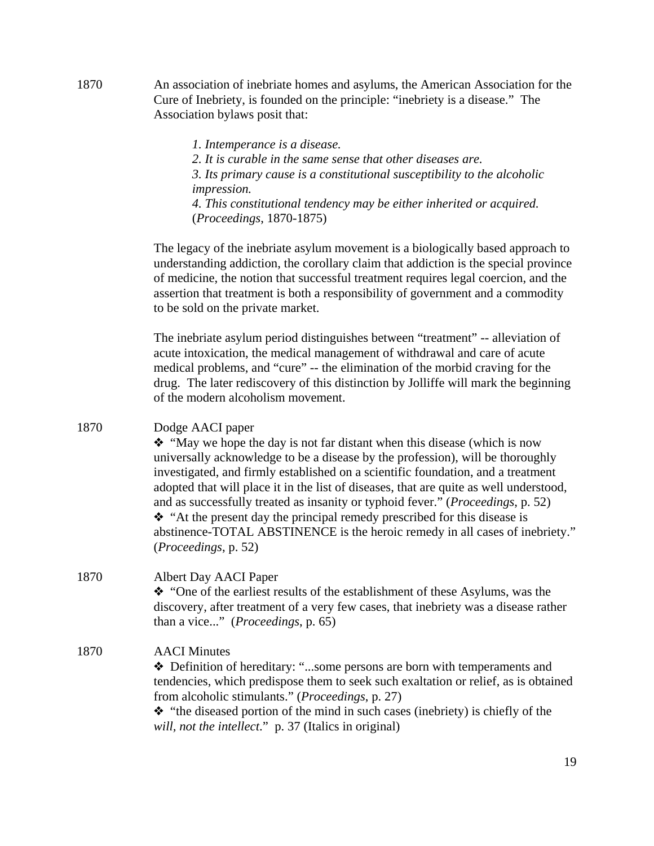1870 An association of inebriate homes and asylums, the American Association for the Cure of Inebriety, is founded on the principle: "inebriety is a disease." The Association bylaws posit that:

> *1. Intemperance is a disease. 2. It is curable in the same sense that other diseases are. 3. Its primary cause is a constitutional susceptibility to the alcoholic impression. 4. This constitutional tendency may be either inherited or acquired.*  (*Proceedings*, 1870-1875)

The legacy of the inebriate asylum movement is a biologically based approach to understanding addiction, the corollary claim that addiction is the special province of medicine, the notion that successful treatment requires legal coercion, and the assertion that treatment is both a responsibility of government and a commodity to be sold on the private market.

The inebriate asylum period distinguishes between "treatment" -- alleviation of acute intoxication, the medical management of withdrawal and care of acute medical problems, and "cure" -- the elimination of the morbid craving for the drug. The later rediscovery of this distinction by Jolliffe will mark the beginning of the modern alcoholism movement.

# 1870 Dodge AACI paper

˜ "May we hope the day is not far distant when this disease (which is now universally acknowledge to be a disease by the profession), will be thoroughly investigated, and firmly established on a scientific foundation, and a treatment adopted that will place it in the list of diseases, that are quite as well understood, and as successfully treated as insanity or typhoid fever." (*Proceedings*, p. 52) ˜ "At the present day the principal remedy prescribed for this disease is abstinence-TOTAL ABSTINENCE is the heroic remedy in all cases of inebriety." (*Proceedings*, p. 52)

## 1870 Albert Day AACI Paper

˜ "One of the earliest results of the establishment of these Asylums, was the discovery, after treatment of a very few cases, that inebriety was a disease rather than a vice..." (*Proceedings*, p. 65)

## 1870 AACI Minutes ˜ Definition of hereditary: "...some persons are born with temperaments and tendencies, which predispose them to seek such exaltation or relief, as is obtained from alcoholic stimulants." (*Proceedings*, p. 27) ˜ "the diseased portion of the mind in such cases (inebriety) is chiefly of the *will, not the intellect*." p. 37 (Italics in original)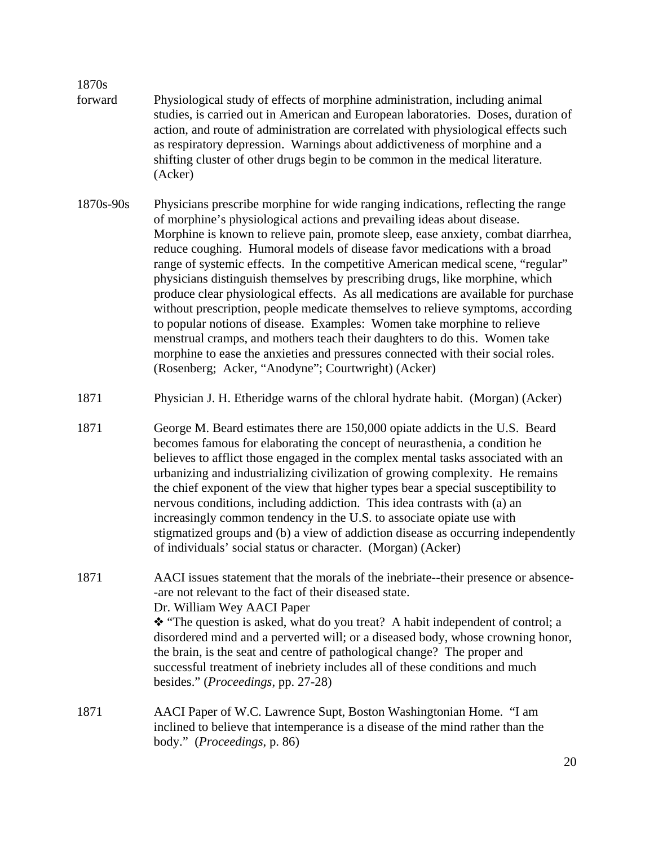1870s

- forward Physiological study of effects of morphine administration, including animal studies, is carried out in American and European laboratories. Doses, duration of action, and route of administration are correlated with physiological effects such as respiratory depression. Warnings about addictiveness of morphine and a shifting cluster of other drugs begin to be common in the medical literature. (Acker)
- 1870s-90s Physicians prescribe morphine for wide ranging indications, reflecting the range of morphine's physiological actions and prevailing ideas about disease. Morphine is known to relieve pain, promote sleep, ease anxiety, combat diarrhea, reduce coughing. Humoral models of disease favor medications with a broad range of systemic effects. In the competitive American medical scene, "regular" physicians distinguish themselves by prescribing drugs, like morphine, which produce clear physiological effects. As all medications are available for purchase without prescription, people medicate themselves to relieve symptoms, according to popular notions of disease. Examples: Women take morphine to relieve menstrual cramps, and mothers teach their daughters to do this. Women take morphine to ease the anxieties and pressures connected with their social roles. (Rosenberg; Acker, "Anodyne"; Courtwright) (Acker)
- 1871 Physician J. H. Etheridge warns of the chloral hydrate habit. (Morgan) (Acker)
- 1871 George M. Beard estimates there are 150,000 opiate addicts in the U.S. Beard becomes famous for elaborating the concept of neurasthenia, a condition he believes to afflict those engaged in the complex mental tasks associated with an urbanizing and industrializing civilization of growing complexity. He remains the chief exponent of the view that higher types bear a special susceptibility to nervous conditions, including addiction. This idea contrasts with (a) an increasingly common tendency in the U.S. to associate opiate use with stigmatized groups and (b) a view of addiction disease as occurring independently of individuals' social status or character. (Morgan) (Acker)
- 1871 AACI issues statement that the morals of the inebriate--their presence or absence- -are not relevant to the fact of their diseased state. Dr. William Wey AACI Paper ˜ "The question is asked, what do you treat? A habit independent of control; a disordered mind and a perverted will; or a diseased body, whose crowning honor, the brain, is the seat and centre of pathological change? The proper and successful treatment of inebriety includes all of these conditions and much besides." (*Proceedings*, pp. 27-28)
- 1871 AACI Paper of W.C. Lawrence Supt, Boston Washingtonian Home. "I am inclined to believe that intemperance is a disease of the mind rather than the body." (*Proceedings*, p. 86)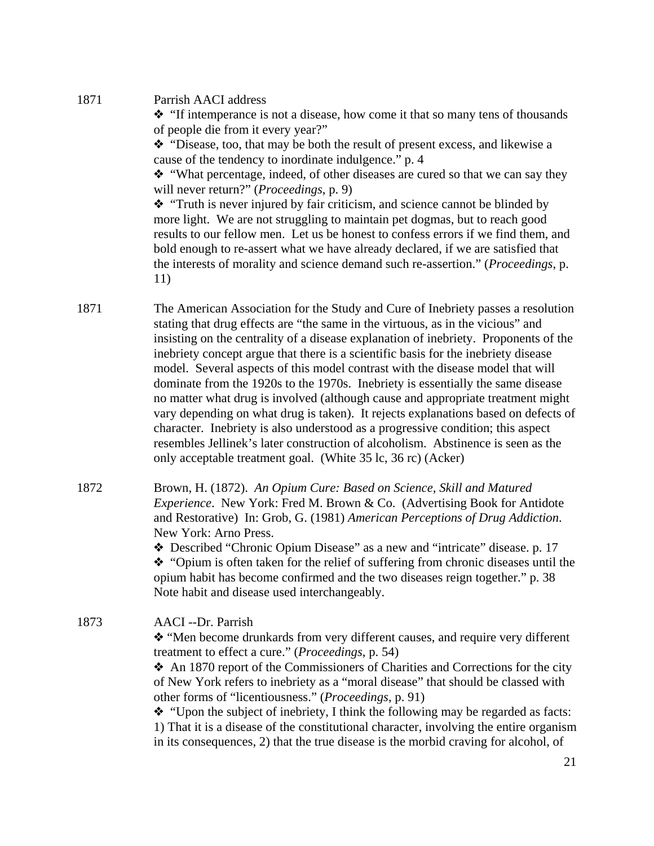1871 Parrish AACI address

˜ "If intemperance is not a disease, how come it that so many tens of thousands of people die from it every year?"

˜ "Disease, too, that may be both the result of present excess, and likewise a cause of the tendency to inordinate indulgence." p. 4

˜ "What percentage, indeed, of other diseases are cured so that we can say they will never return?" (*Proceedings*, p. 9)

˜ "Truth is never injured by fair criticism, and science cannot be blinded by more light. We are not struggling to maintain pet dogmas, but to reach good results to our fellow men. Let us be honest to confess errors if we find them, and bold enough to re-assert what we have already declared, if we are satisfied that the interests of morality and science demand such re-assertion." (*Proceedings*, p. 11)

- 1871 The American Association for the Study and Cure of Inebriety passes a resolution stating that drug effects are "the same in the virtuous, as in the vicious" and insisting on the centrality of a disease explanation of inebriety. Proponents of the inebriety concept argue that there is a scientific basis for the inebriety disease model. Several aspects of this model contrast with the disease model that will dominate from the 1920s to the 1970s. Inebriety is essentially the same disease no matter what drug is involved (although cause and appropriate treatment might vary depending on what drug is taken). It rejects explanations based on defects of character. Inebriety is also understood as a progressive condition; this aspect resembles Jellinek's later construction of alcoholism. Abstinence is seen as the only acceptable treatment goal. (White 35 lc, 36 rc) (Acker)
- 1872 Brown, H. (1872). *An Opium Cure: Based on Science, Skill and Matured Experience*. New York: Fred M. Brown & Co. (Advertising Book for Antidote and Restorative) In: Grob, G. (1981) *American Perceptions of Drug Addiction*. New York: Arno Press.

˜ Described "Chronic Opium Disease" as a new and "intricate" disease. p. 17 ˜ "Opium is often taken for the relief of suffering from chronic diseases until the opium habit has become confirmed and the two diseases reign together." p. 38 Note habit and disease used interchangeably.

1873 AACI --Dr. Parrish

˜ "Men become drunkards from very different causes, and require very different treatment to effect a cure." (*Proceedings*, p. 54)

˜ An 1870 report of the Commissioners of Charities and Corrections for the city of New York refers to inebriety as a "moral disease" that should be classed with other forms of "licentiousness." (*Proceedings*, p. 91)

˜ "Upon the subject of inebriety, I think the following may be regarded as facts: 1) That it is a disease of the constitutional character, involving the entire organism in its consequences, 2) that the true disease is the morbid craving for alcohol, of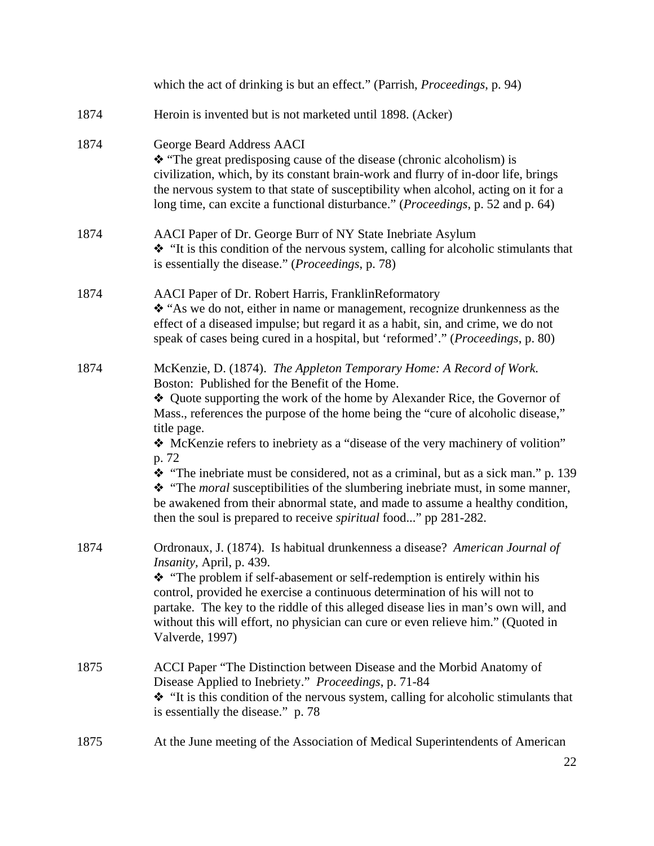|      | which the act of drinking is but an effect." (Parrish, <i>Proceedings</i> , p. 94)                                                                                                                                                                                                                                                                                                                                                                                                                                                                                                                                                                                                                                                              |
|------|-------------------------------------------------------------------------------------------------------------------------------------------------------------------------------------------------------------------------------------------------------------------------------------------------------------------------------------------------------------------------------------------------------------------------------------------------------------------------------------------------------------------------------------------------------------------------------------------------------------------------------------------------------------------------------------------------------------------------------------------------|
| 1874 | Heroin is invented but is not marketed until 1898. (Acker)                                                                                                                                                                                                                                                                                                                                                                                                                                                                                                                                                                                                                                                                                      |
| 1874 | George Beard Address AACI<br>• The great predisposing cause of the disease (chronic alcoholism) is<br>civilization, which, by its constant brain-work and flurry of in-door life, brings<br>the nervous system to that state of susceptibility when alcohol, acting on it for a<br>long time, can excite a functional disturbance." ( <i>Proceedings</i> , p. 52 and p. 64)                                                                                                                                                                                                                                                                                                                                                                     |
| 1874 | AACI Paper of Dr. George Burr of NY State Inebriate Asylum<br><b>❖</b> "It is this condition of the nervous system, calling for alcoholic stimulants that<br>is essentially the disease." ( <i>Proceedings</i> , p. 78)                                                                                                                                                                                                                                                                                                                                                                                                                                                                                                                         |
| 1874 | AACI Paper of Dr. Robert Harris, FranklinReformatory<br>* "As we do not, either in name or management, recognize drunkenness as the<br>effect of a diseased impulse; but regard it as a habit, sin, and crime, we do not<br>speak of cases being cured in a hospital, but 'reformed'." (Proceedings, p. 80)                                                                                                                                                                                                                                                                                                                                                                                                                                     |
| 1874 | McKenzie, D. (1874). The Appleton Temporary Home: A Record of Work.<br>Boston: Published for the Benefit of the Home.<br>♦ Quote supporting the work of the home by Alexander Rice, the Governor of<br>Mass., references the purpose of the home being the "cure of alcoholic disease,"<br>title page.<br>* McKenzie refers to inebriety as a "disease of the very machinery of volition"<br>p. 72<br>* "The inebriate must be considered, not as a criminal, but as a sick man." p. 139<br>* "The <i>moral</i> susceptibilities of the slumbering inebriate must, in some manner,<br>be awakened from their abnormal state, and made to assume a healthy condition,<br>then the soul is prepared to receive <i>spiritual</i> food" pp 281-282. |
| 1874 | Ordronaux, J. (1874). Is habitual drunkenness a disease? American Journal of<br>Insanity, April, p. 439.<br>• The problem if self-abasement or self-redemption is entirely within his<br>control, provided he exercise a continuous determination of his will not to<br>partake. The key to the riddle of this alleged disease lies in man's own will, and<br>without this will effort, no physician can cure or even relieve him." (Quoted in<br>Valverde, 1997)                                                                                                                                                                                                                                                                               |
| 1875 | ACCI Paper "The Distinction between Disease and the Morbid Anatomy of<br>Disease Applied to Inebriety." Proceedings, p. 71-84<br><b>❖</b> "It is this condition of the nervous system, calling for alcoholic stimulants that<br>is essentially the disease." p. 78                                                                                                                                                                                                                                                                                                                                                                                                                                                                              |
| 1875 | At the June meeting of the Association of Medical Superintendents of American                                                                                                                                                                                                                                                                                                                                                                                                                                                                                                                                                                                                                                                                   |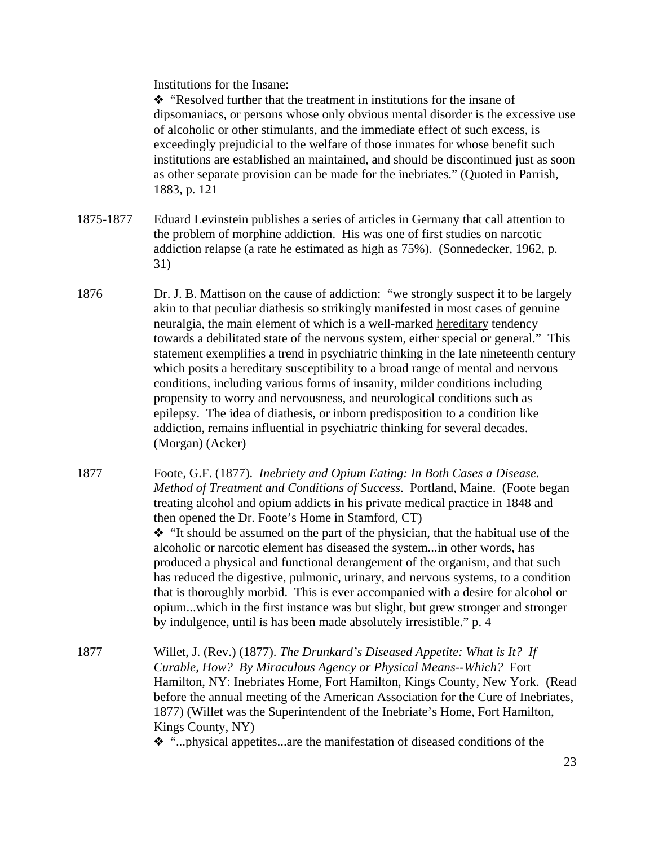Institutions for the Insane:

˜ "Resolved further that the treatment in institutions for the insane of dipsomaniacs, or persons whose only obvious mental disorder is the excessive use of alcoholic or other stimulants, and the immediate effect of such excess, is exceedingly prejudicial to the welfare of those inmates for whose benefit such institutions are established an maintained, and should be discontinued just as soon as other separate provision can be made for the inebriates." (Quoted in Parrish, 1883, p. 121

- 1875-1877 Eduard Levinstein publishes a series of articles in Germany that call attention to the problem of morphine addiction. His was one of first studies on narcotic addiction relapse (a rate he estimated as high as 75%). (Sonnedecker, 1962, p. 31)
- 1876 Dr. J. B. Mattison on the cause of addiction: "we strongly suspect it to be largely akin to that peculiar diathesis so strikingly manifested in most cases of genuine neuralgia, the main element of which is a well-marked hereditary tendency towards a debilitated state of the nervous system, either special or general." This statement exemplifies a trend in psychiatric thinking in the late nineteenth century which posits a hereditary susceptibility to a broad range of mental and nervous conditions, including various forms of insanity, milder conditions including propensity to worry and nervousness, and neurological conditions such as epilepsy. The idea of diathesis, or inborn predisposition to a condition like addiction, remains influential in psychiatric thinking for several decades. (Morgan) (Acker)
- 1877 Foote, G.F. (1877). *Inebriety and Opium Eating: In Both Cases a Disease. Method of Treatment and Conditions of Success*. Portland, Maine. (Foote began treating alcohol and opium addicts in his private medical practice in 1848 and then opened the Dr. Foote's Home in Stamford, CT)

˜ "It should be assumed on the part of the physician, that the habitual use of the alcoholic or narcotic element has diseased the system...in other words, has produced a physical and functional derangement of the organism, and that such has reduced the digestive, pulmonic, urinary, and nervous systems, to a condition that is thoroughly morbid. This is ever accompanied with a desire for alcohol or opium...which in the first instance was but slight, but grew stronger and stronger by indulgence, until is has been made absolutely irresistible." p. 4

1877 Willet, J. (Rev.) (1877). *The Drunkard's Diseased Appetite: What is It? If Curable, How? By Miraculous Agency or Physical Means--Which?* Fort Hamilton, NY: Inebriates Home, Fort Hamilton, Kings County, New York. (Read before the annual meeting of the American Association for the Cure of Inebriates, 1877) (Willet was the Superintendent of the Inebriate's Home, Fort Hamilton, Kings County, NY)

˜ "...physical appetites...are the manifestation of diseased conditions of the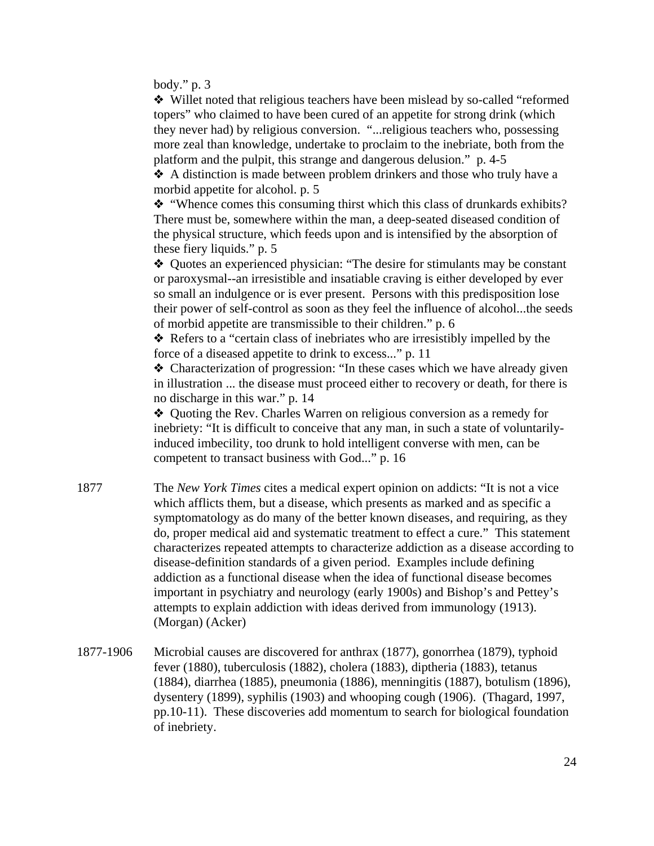body." p. 3

˜ Willet noted that religious teachers have been mislead by so-called "reformed topers" who claimed to have been cured of an appetite for strong drink (which they never had) by religious conversion. "...religious teachers who, possessing more zeal than knowledge, undertake to proclaim to the inebriate, both from the platform and the pulpit, this strange and dangerous delusion." p. 4-5

˜ A distinction is made between problem drinkers and those who truly have a morbid appetite for alcohol. p. 5

˜ "Whence comes this consuming thirst which this class of drunkards exhibits? There must be, somewhere within the man, a deep-seated diseased condition of the physical structure, which feeds upon and is intensified by the absorption of these fiery liquids." p. 5

˜ Quotes an experienced physician: "The desire for stimulants may be constant or paroxysmal--an irresistible and insatiable craving is either developed by ever so small an indulgence or is ever present. Persons with this predisposition lose their power of self-control as soon as they feel the influence of alcohol...the seeds of morbid appetite are transmissible to their children." p. 6

˜ Refers to a "certain class of inebriates who are irresistibly impelled by the force of a diseased appetite to drink to excess..." p. 11

˜ Characterization of progression: "In these cases which we have already given in illustration ... the disease must proceed either to recovery or death, for there is no discharge in this war." p. 14

˜ Quoting the Rev. Charles Warren on religious conversion as a remedy for inebriety: "It is difficult to conceive that any man, in such a state of voluntarilyinduced imbecility, too drunk to hold intelligent converse with men, can be competent to transact business with God..." p. 16

- 1877 The *New York Times* cites a medical expert opinion on addicts: "It is not a vice which afflicts them, but a disease, which presents as marked and as specific a symptomatology as do many of the better known diseases, and requiring, as they do, proper medical aid and systematic treatment to effect a cure." This statement characterizes repeated attempts to characterize addiction as a disease according to disease-definition standards of a given period. Examples include defining addiction as a functional disease when the idea of functional disease becomes important in psychiatry and neurology (early 1900s) and Bishop's and Pettey's attempts to explain addiction with ideas derived from immunology (1913). (Morgan) (Acker)
- 1877-1906 Microbial causes are discovered for anthrax (1877), gonorrhea (1879), typhoid fever (1880), tuberculosis (1882), cholera (1883), diptheria (1883), tetanus (1884), diarrhea (1885), pneumonia (1886), menningitis (1887), botulism (1896), dysentery (1899), syphilis (1903) and whooping cough (1906). (Thagard, 1997, pp.10-11). These discoveries add momentum to search for biological foundation of inebriety.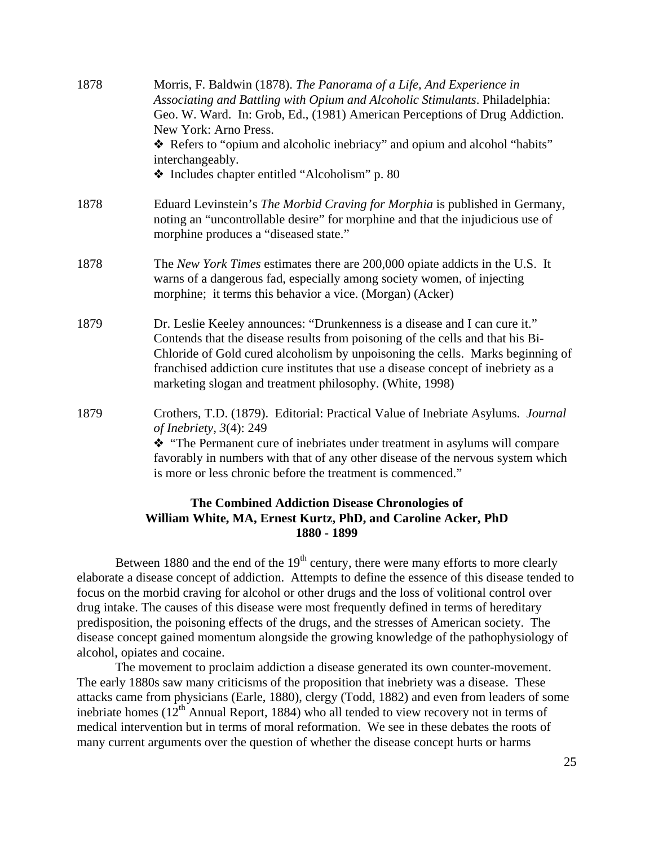| 1878 | Morris, F. Baldwin (1878). The Panorama of a Life, And Experience in<br>Associating and Battling with Opium and Alcoholic Stimulants. Philadelphia:<br>Geo. W. Ward. In: Grob, Ed., (1981) American Perceptions of Drug Addiction.<br>New York: Arno Press.<br>* Refers to "opium and alcoholic inebriacy" and opium and alcohol "habits"<br>interchangeably.<br>* Includes chapter entitled "Alcoholism" p. 80 |
|------|-----------------------------------------------------------------------------------------------------------------------------------------------------------------------------------------------------------------------------------------------------------------------------------------------------------------------------------------------------------------------------------------------------------------|
| 1878 | Eduard Levinstein's The Morbid Craving for Morphia is published in Germany,<br>noting an "uncontrollable desire" for morphine and that the injudicious use of<br>morphine produces a "diseased state."                                                                                                                                                                                                          |
| 1878 | The New York Times estimates there are 200,000 opiate addicts in the U.S. It<br>warns of a dangerous fad, especially among society women, of injecting<br>morphine; it terms this behavior a vice. (Morgan) (Acker)                                                                                                                                                                                             |
| 1879 | Dr. Leslie Keeley announces: "Drunkenness is a disease and I can cure it."<br>Contends that the disease results from poisoning of the cells and that his Bi-<br>Chloride of Gold cured alcoholism by unpoisoning the cells. Marks beginning of<br>franchised addiction cure institutes that use a disease concept of inebriety as a<br>marketing slogan and treatment philosophy. (White, 1998)                 |
| 1879 | Crothers, T.D. (1879). Editorial: Practical Value of Inebriate Asylums. Journal<br>of Inebriety, $3(4)$ : 249<br>* "The Permanent cure of inebriates under treatment in asylums will compare<br>favorably in numbers with that of any other disease of the nervous system which<br>is more or less chronic before the treatment is commenced."                                                                  |

### **The Combined Addiction Disease Chronologies of William White, MA, Ernest Kurtz, PhD, and Caroline Acker, PhD 1880 - 1899**

Between 1880 and the end of the  $19<sup>th</sup>$  century, there were many efforts to more clearly elaborate a disease concept of addiction. Attempts to define the essence of this disease tended to focus on the morbid craving for alcohol or other drugs and the loss of volitional control over drug intake. The causes of this disease were most frequently defined in terms of hereditary predisposition, the poisoning effects of the drugs, and the stresses of American society. The disease concept gained momentum alongside the growing knowledge of the pathophysiology of alcohol, opiates and cocaine.

The movement to proclaim addiction a disease generated its own counter-movement. The early 1880s saw many criticisms of the proposition that inebriety was a disease. These attacks came from physicians (Earle, 1880), clergy (Todd, 1882) and even from leaders of some inebriate homes  $(12<sup>th</sup>$  Annual Report, 1884) who all tended to view recovery not in terms of medical intervention but in terms of moral reformation. We see in these debates the roots of many current arguments over the question of whether the disease concept hurts or harms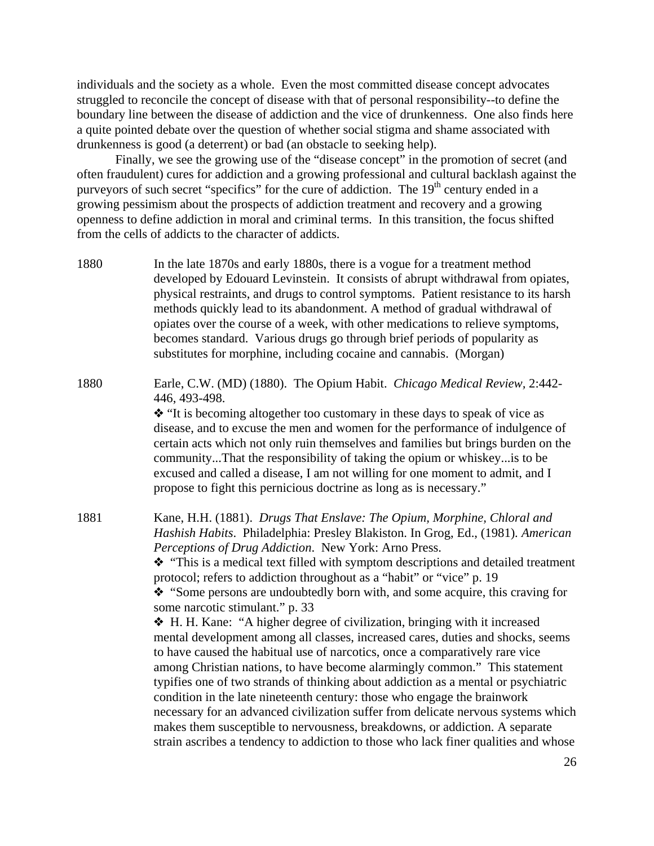individuals and the society as a whole. Even the most committed disease concept advocates struggled to reconcile the concept of disease with that of personal responsibility--to define the boundary line between the disease of addiction and the vice of drunkenness. One also finds here a quite pointed debate over the question of whether social stigma and shame associated with drunkenness is good (a deterrent) or bad (an obstacle to seeking help).

Finally, we see the growing use of the "disease concept" in the promotion of secret (and often fraudulent) cures for addiction and a growing professional and cultural backlash against the purveyors of such secret "specifics" for the cure of addiction. The  $19<sup>th</sup>$  century ended in a growing pessimism about the prospects of addiction treatment and recovery and a growing openness to define addiction in moral and criminal terms. In this transition, the focus shifted from the cells of addicts to the character of addicts.

1880 In the late 1870s and early 1880s, there is a vogue for a treatment method developed by Edouard Levinstein. It consists of abrupt withdrawal from opiates, physical restraints, and drugs to control symptoms. Patient resistance to its harsh methods quickly lead to its abandonment. A method of gradual withdrawal of opiates over the course of a week, with other medications to relieve symptoms, becomes standard. Various drugs go through brief periods of popularity as substitutes for morphine, including cocaine and cannabis. (Morgan)

1880 Earle, C.W. (MD) (1880). The Opium Habit. *Chicago Medical Review,* 2:442- 446, 493-498. ˜ "It is becoming altogether too customary in these days to speak of vice as disease, and to excuse the men and women for the performance of indulgence of certain acts which not only ruin themselves and families but brings burden on the community...That the responsibility of taking the opium or whiskey...is to be excused and called a disease, I am not willing for one moment to admit, and I propose to fight this pernicious doctrine as long as is necessary."

1881 Kane, H.H. (1881). *Drugs That Enslave: The Opium, Morphine, Chloral and Hashish Habits*. Philadelphia: Presley Blakiston. In Grog, Ed., (1981)*. American Perceptions of Drug Addiction*. New York: Arno Press. ˜ "This is a medical text filled with symptom descriptions and detailed treatment protocol; refers to addiction throughout as a "habit" or "vice" p. 19 ˜ "Some persons are undoubtedly born with, and some acquire, this craving for some narcotic stimulant." p. 33 ˜ H. H. Kane: "A higher degree of civilization, bringing with it increased mental development among all classes, increased cares, duties and shocks, seems to have caused the habitual use of narcotics, once a comparatively rare vice among Christian nations, to have become alarmingly common." This statement typifies one of two strands of thinking about addiction as a mental or psychiatric condition in the late nineteenth century: those who engage the brainwork necessary for an advanced civilization suffer from delicate nervous systems which

makes them susceptible to nervousness, breakdowns, or addiction. A separate strain ascribes a tendency to addiction to those who lack finer qualities and whose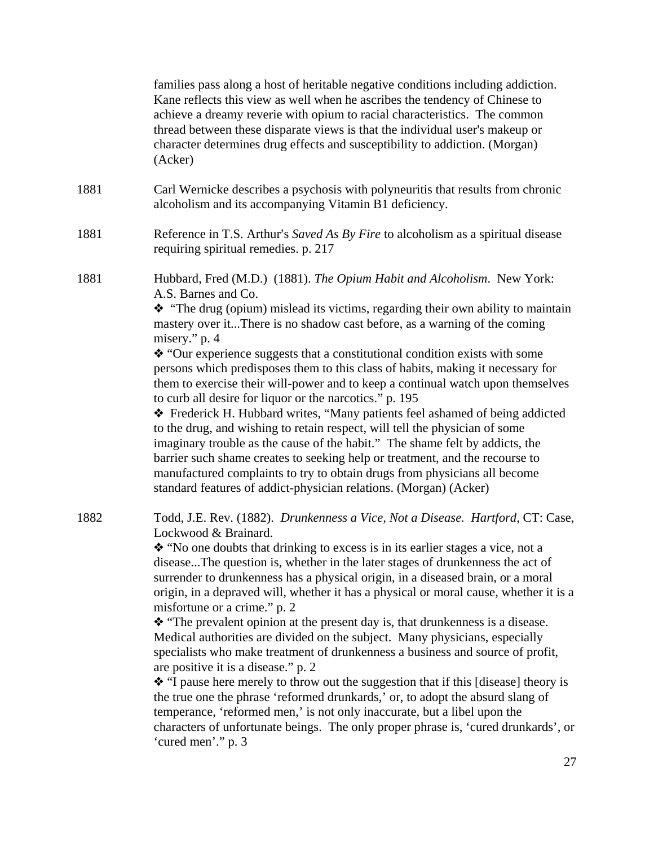|      | families pass along a host of heritable negative conditions including addiction.<br>Kane reflects this view as well when he ascribes the tendency of Chinese to<br>achieve a dreamy reverie with opium to racial characteristics. The common<br>thread between these disparate views is that the individual user's makeup or<br>character determines drug effects and susceptibility to addiction. (Morgan)<br>(Acker)                                                                                                                                                                                                                                                                                                                                                                                                                                                                                                                                                                                                                                                                                                                                  |
|------|---------------------------------------------------------------------------------------------------------------------------------------------------------------------------------------------------------------------------------------------------------------------------------------------------------------------------------------------------------------------------------------------------------------------------------------------------------------------------------------------------------------------------------------------------------------------------------------------------------------------------------------------------------------------------------------------------------------------------------------------------------------------------------------------------------------------------------------------------------------------------------------------------------------------------------------------------------------------------------------------------------------------------------------------------------------------------------------------------------------------------------------------------------|
| 1881 | Carl Wernicke describes a psychosis with polyneuritis that results from chronic<br>alcoholism and its accompanying Vitamin B1 deficiency.                                                                                                                                                                                                                                                                                                                                                                                                                                                                                                                                                                                                                                                                                                                                                                                                                                                                                                                                                                                                               |
| 1881 | Reference in T.S. Arthur's Saved As By Fire to alcoholism as a spiritual disease<br>requiring spiritual remedies. p. 217                                                                                                                                                                                                                                                                                                                                                                                                                                                                                                                                                                                                                                                                                                                                                                                                                                                                                                                                                                                                                                |
| 1881 | Hubbard, Fred (M.D.) (1881). The Opium Habit and Alcoholism. New York:<br>A.S. Barnes and Co.<br>* "The drug (opium) mislead its victims, regarding their own ability to maintain<br>mastery over itThere is no shadow cast before, as a warning of the coming<br>misery." p. 4<br>♦ "Our experience suggests that a constitutional condition exists with some<br>persons which predisposes them to this class of habits, making it necessary for<br>them to exercise their will-power and to keep a continual watch upon themselves<br>to curb all desire for liquor or the narcotics." p. 195<br>◆ Frederick H. Hubbard writes, "Many patients feel ashamed of being addicted<br>to the drug, and wishing to retain respect, will tell the physician of some<br>imaginary trouble as the cause of the habit." The shame felt by addicts, the<br>barrier such shame creates to seeking help or treatment, and the recourse to<br>manufactured complaints to try to obtain drugs from physicians all become<br>standard features of addict-physician relations. (Morgan) (Acker)                                                                        |
| 1882 | Todd, J.E. Rev. (1882). Drunkenness a Vice, Not a Disease. Hartford, CT: Case,<br>Lockwood & Brainard.<br>• "No one doubts that drinking to excess is in its earlier stages a vice, not a<br>diseaseThe question is, whether in the later stages of drunkenness the act of<br>surrender to drunkenness has a physical origin, in a diseased brain, or a moral<br>origin, in a depraved will, whether it has a physical or moral cause, whether it is a<br>misfortune or a crime." p. 2<br>• The prevalent opinion at the present day is, that drunkenness is a disease.<br>Medical authorities are divided on the subject. Many physicians, especially<br>specialists who make treatment of drunkenness a business and source of profit,<br>are positive it is a disease." p. 2<br><b>♦</b> "I pause here merely to throw out the suggestion that if this [disease] theory is<br>the true one the phrase 'reformed drunkards,' or, to adopt the absurd slang of<br>temperance, 'reformed men,' is not only inaccurate, but a libel upon the<br>characters of unfortunate beings. The only proper phrase is, 'cured drunkards', or<br>'cured men'." p. 3 |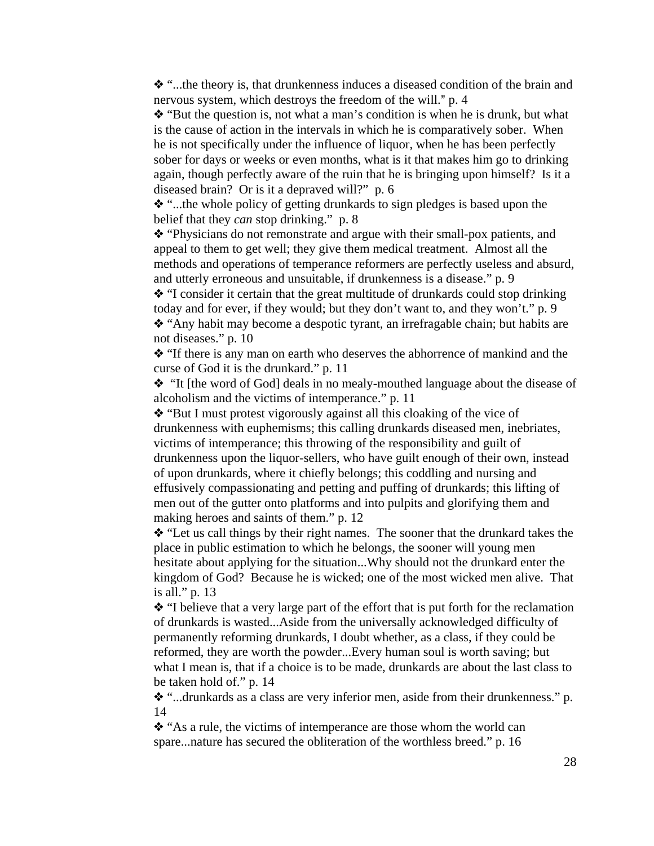˜ "...the theory is, that drunkenness induces a diseased condition of the brain and nervous system, which destroys the freedom of the will." p. 4

˜ "But the question is, not what a man's condition is when he is drunk, but what is the cause of action in the intervals in which he is comparatively sober. When he is not specifically under the influence of liquor, when he has been perfectly sober for days or weeks or even months, what is it that makes him go to drinking again, though perfectly aware of the ruin that he is bringing upon himself? Is it a diseased brain? Or is it a depraved will?" p. 6

˜ "...the whole policy of getting drunkards to sign pledges is based upon the belief that they *can* stop drinking." p. 8

˜ "Physicians do not remonstrate and argue with their small-pox patients, and appeal to them to get well; they give them medical treatment. Almost all the methods and operations of temperance reformers are perfectly useless and absurd, and utterly erroneous and unsuitable, if drunkenness is a disease." p. 9

˜ "I consider it certain that the great multitude of drunkards could stop drinking today and for ever, if they would; but they don't want to, and they won't." p. 9 ˜ "Any habit may become a despotic tyrant, an irrefragable chain; but habits are not diseases." p. 10

˜ "If there is any man on earth who deserves the abhorrence of mankind and the curse of God it is the drunkard." p. 11

˜ "It [the word of God] deals in no mealy-mouthed language about the disease of alcoholism and the victims of intemperance." p. 11

˜ "But I must protest vigorously against all this cloaking of the vice of drunkenness with euphemisms; this calling drunkards diseased men, inebriates, victims of intemperance; this throwing of the responsibility and guilt of drunkenness upon the liquor-sellers, who have guilt enough of their own, instead of upon drunkards, where it chiefly belongs; this coddling and nursing and effusively compassionating and petting and puffing of drunkards; this lifting of men out of the gutter onto platforms and into pulpits and glorifying them and making heroes and saints of them." p. 12

˜ "Let us call things by their right names. The sooner that the drunkard takes the place in public estimation to which he belongs, the sooner will young men hesitate about applying for the situation...Why should not the drunkard enter the kingdom of God? Because he is wicked; one of the most wicked men alive. That is all." p. 13

˜ "I believe that a very large part of the effort that is put forth for the reclamation of drunkards is wasted...Aside from the universally acknowledged difficulty of permanently reforming drunkards, I doubt whether, as a class, if they could be reformed, they are worth the powder...Every human soul is worth saving; but what I mean is, that if a choice is to be made, drunkards are about the last class to be taken hold of." p. 14

˜ "...drunkards as a class are very inferior men, aside from their drunkenness." p. 14

˜ "As a rule, the victims of intemperance are those whom the world can spare...nature has secured the obliteration of the worthless breed." p. 16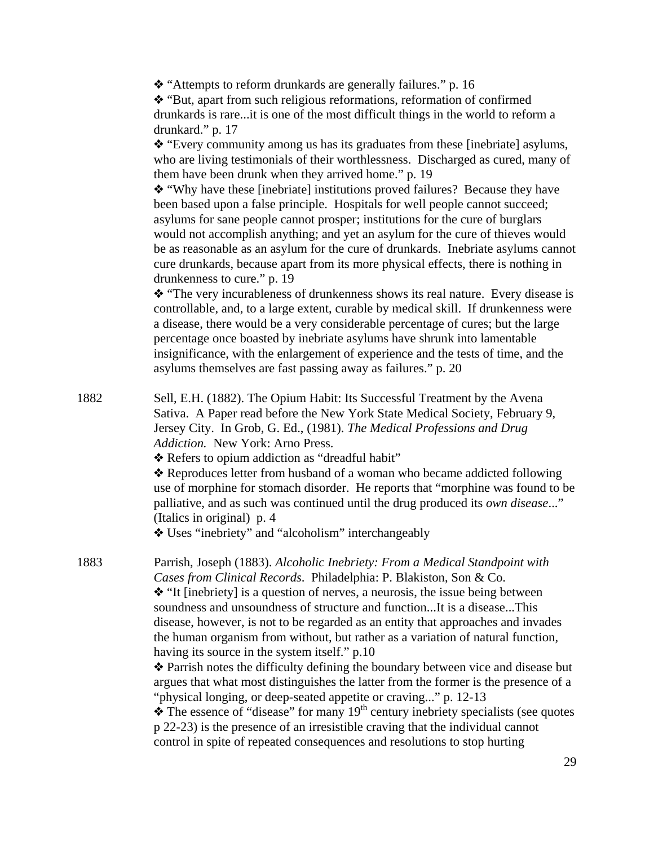˜ "Attempts to reform drunkards are generally failures." p. 16

˜ "But, apart from such religious reformations, reformation of confirmed drunkards is rare...it is one of the most difficult things in the world to reform a drunkard." p. 17

˜ "Every community among us has its graduates from these [inebriate] asylums, who are living testimonials of their worthlessness. Discharged as cured, many of them have been drunk when they arrived home." p. 19

˜ "Why have these [inebriate] institutions proved failures? Because they have been based upon a false principle. Hospitals for well people cannot succeed; asylums for sane people cannot prosper; institutions for the cure of burglars would not accomplish anything; and yet an asylum for the cure of thieves would be as reasonable as an asylum for the cure of drunkards. Inebriate asylums cannot cure drunkards, because apart from its more physical effects, there is nothing in drunkenness to cure." p. 19

˜ "The very incurableness of drunkenness shows its real nature. Every disease is controllable, and, to a large extent, curable by medical skill. If drunkenness were a disease, there would be a very considerable percentage of cures; but the large percentage once boasted by inebriate asylums have shrunk into lamentable insignificance, with the enlargement of experience and the tests of time, and the asylums themselves are fast passing away as failures." p. 20

1882 Sell, E.H. (1882). The Opium Habit: Its Successful Treatment by the Avena Sativa. A Paper read before the New York State Medical Society, February 9, Jersey City. In Grob, G. Ed., (1981). *The Medical Professions and Drug Addiction.* New York: Arno Press.

˜ Refers to opium addiction as "dreadful habit"

˜ Reproduces letter from husband of a woman who became addicted following use of morphine for stomach disorder. He reports that "morphine was found to be palliative, and as such was continued until the drug produced its *own disease*..." (Italics in original) p. 4

˜ Uses "inebriety" and "alcoholism" interchangeably

1883 Parrish, Joseph (1883). *Alcoholic Inebriety: From a Medical Standpoint with Cases from Clinical Records*. Philadelphia: P. Blakiston, Son & Co. ˜ "It [inebriety] is a question of nerves, a neurosis, the issue being between soundness and unsoundness of structure and function...It is a disease...This disease, however, is not to be regarded as an entity that approaches and invades the human organism from without, but rather as a variation of natural function, having its source in the system itself." p.10

˜ Parrish notes the difficulty defining the boundary between vice and disease but argues that what most distinguishes the latter from the former is the presence of a "physical longing, or deep-seated appetite or craving..." p. 12-13

 $\triangle$  The essence of "disease" for many 19<sup>th</sup> century inebriety specialists (see quotes p 22-23) is the presence of an irresistible craving that the individual cannot control in spite of repeated consequences and resolutions to stop hurting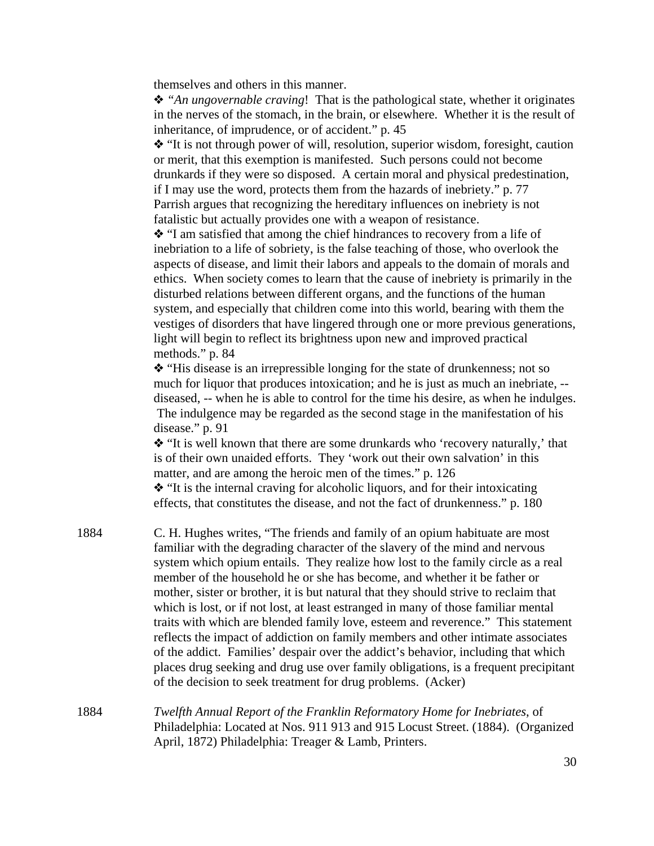themselves and others in this manner.

˜ *"An ungovernable craving*! That is the pathological state, whether it originates in the nerves of the stomach, in the brain, or elsewhere. Whether it is the result of inheritance, of imprudence, or of accident." p. 45

˜ "It is not through power of will, resolution, superior wisdom, foresight, caution or merit, that this exemption is manifested. Such persons could not become drunkards if they were so disposed. A certain moral and physical predestination, if I may use the word, protects them from the hazards of inebriety." p. 77 Parrish argues that recognizing the hereditary influences on inebriety is not fatalistic but actually provides one with a weapon of resistance.

˜ "I am satisfied that among the chief hindrances to recovery from a life of inebriation to a life of sobriety, is the false teaching of those, who overlook the aspects of disease, and limit their labors and appeals to the domain of morals and ethics. When society comes to learn that the cause of inebriety is primarily in the disturbed relations between different organs, and the functions of the human system, and especially that children come into this world, bearing with them the vestiges of disorders that have lingered through one or more previous generations, light will begin to reflect its brightness upon new and improved practical methods." p. 84

˜ "His disease is an irrepressible longing for the state of drunkenness; not so much for liquor that produces intoxication; and he is just as much an inebriate, -diseased, -- when he is able to control for the time his desire, as when he indulges. The indulgence may be regarded as the second stage in the manifestation of his disease." p. 91

 $\hat{\mathbf{v}}$  "It is well known that there are some drunkards who 'recovery naturally,' that is of their own unaided efforts. They 'work out their own salvation' in this matter, and are among the heroic men of the times." p. 126

˜ "It is the internal craving for alcoholic liquors, and for their intoxicating effects, that constitutes the disease, and not the fact of drunkenness." p. 180

- 1884 C. H. Hughes writes, "The friends and family of an opium habituate are most familiar with the degrading character of the slavery of the mind and nervous system which opium entails. They realize how lost to the family circle as a real member of the household he or she has become, and whether it be father or mother, sister or brother, it is but natural that they should strive to reclaim that which is lost, or if not lost, at least estranged in many of those familiar mental traits with which are blended family love, esteem and reverence." This statement reflects the impact of addiction on family members and other intimate associates of the addict. Families' despair over the addict's behavior, including that which places drug seeking and drug use over family obligations, is a frequent precipitant of the decision to seek treatment for drug problems. (Acker)
- 1884 *Twelfth Annual Report of the Franklin Reformatory Home for Inebriates*, of Philadelphia: Located at Nos. 911 913 and 915 Locust Street. (1884). (Organized April, 1872) Philadelphia: Treager & Lamb, Printers.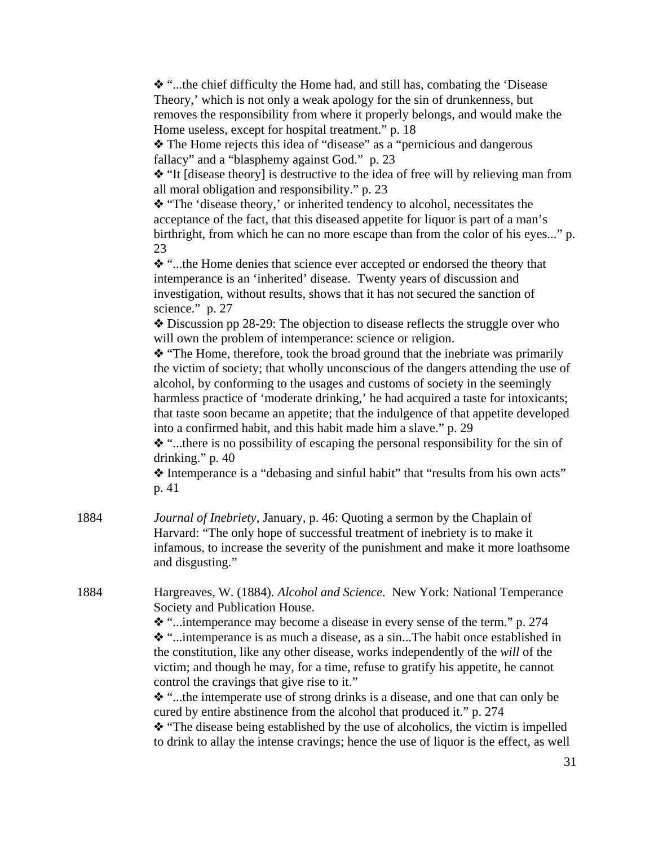˜ "...the chief difficulty the Home had, and still has, combating the 'Disease Theory,' which is not only a weak apology for the sin of drunkenness, but removes the responsibility from where it properly belongs, and would make the Home useless, except for hospital treatment." p. 18

˜ The Home rejects this idea of "disease" as a "pernicious and dangerous fallacy" and a "blasphemy against God." p. 23

 $\hat{\mathbf{v}}$  "It [disease theory] is destructive to the idea of free will by relieving man from all moral obligation and responsibility." p. 23

˜ "The 'disease theory,' or inherited tendency to alcohol, necessitates the acceptance of the fact, that this diseased appetite for liquor is part of a man's birthright, from which he can no more escape than from the color of his eyes..." p. 23

 ˜ "...the Home denies that science ever accepted or endorsed the theory that intemperance is an 'inherited' disease. Twenty years of discussion and investigation, without results, shows that it has not secured the sanction of science." p. 27

˜ Discussion pp 28-29: The objection to disease reflects the struggle over who will own the problem of intemperance: science or religion.

˜ "The Home, therefore, took the broad ground that the inebriate was primarily the victim of society; that wholly unconscious of the dangers attending the use of alcohol, by conforming to the usages and customs of society in the seemingly harmless practice of 'moderate drinking,' he had acquired a taste for intoxicants; that taste soon became an appetite; that the indulgence of that appetite developed into a confirmed habit, and this habit made him a slave." p. 29

 $\clubsuit$  "...there is no possibility of escaping the personal responsibility for the sin of drinking." p. 40

˜ Intemperance is a "debasing and sinful habit" that "results from his own acts" p. 41

- 1884 *Journal of Inebriety*, January, p. 46: Quoting a sermon by the Chaplain of Harvard: "The only hope of successful treatment of inebriety is to make it infamous, to increase the severity of the punishment and make it more loathsome and disgusting."
- 1884 Hargreaves, W. (1884). *Alcohol and Science*. New York: National Temperance Society and Publication House.

˜ "...intemperance may become a disease in every sense of the term." p. 274 ˜ "...intemperance is as much a disease, as a sin...The habit once established in the constitution, like any other disease, works independently of the *will* of the victim; and though he may, for a time, refuse to gratify his appetite, he cannot control the cravings that give rise to it."

˜ "...the intemperate use of strong drinks is a disease, and one that can only be cured by entire abstinence from the alcohol that produced it." p. 274

˜ "The disease being established by the use of alcoholics, the victim is impelled to drink to allay the intense cravings; hence the use of liquor is the effect, as well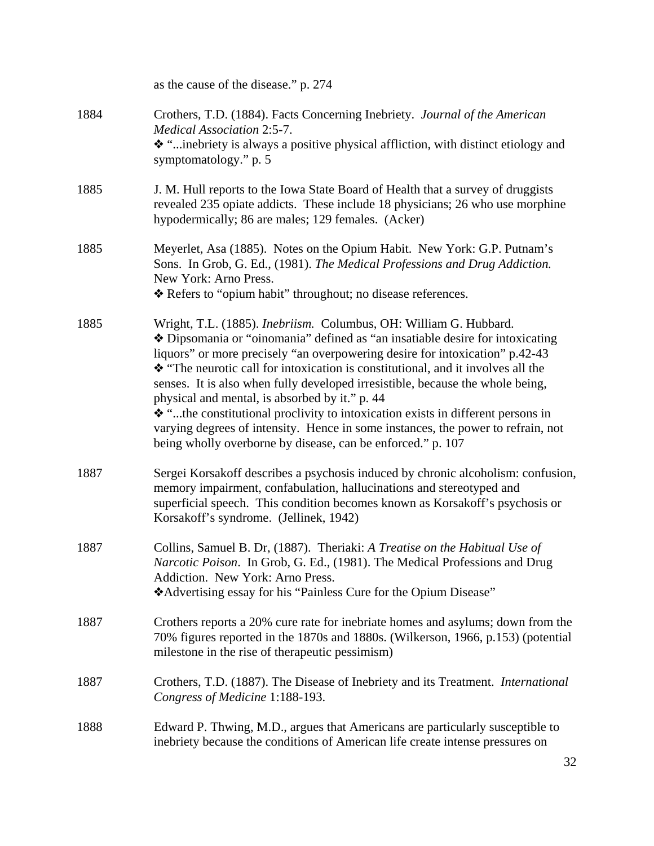|      | as the cause of the disease." p. 274                                                                                                                                                                                                                                                                                                                                                                                                                                                                                                                                                                                                                                                             |
|------|--------------------------------------------------------------------------------------------------------------------------------------------------------------------------------------------------------------------------------------------------------------------------------------------------------------------------------------------------------------------------------------------------------------------------------------------------------------------------------------------------------------------------------------------------------------------------------------------------------------------------------------------------------------------------------------------------|
| 1884 | Crothers, T.D. (1884). Facts Concerning Inebriety. Journal of the American<br>Medical Association 2:5-7.<br>* "inebriety is always a positive physical affliction, with distinct etiology and<br>symptomatology." p. 5                                                                                                                                                                                                                                                                                                                                                                                                                                                                           |
| 1885 | J. M. Hull reports to the Iowa State Board of Health that a survey of druggists<br>revealed 235 opiate addicts. These include 18 physicians; 26 who use morphine<br>hypodermically; 86 are males; 129 females. (Acker)                                                                                                                                                                                                                                                                                                                                                                                                                                                                           |
| 1885 | Meyerlet, Asa (1885). Notes on the Opium Habit. New York: G.P. Putnam's<br>Sons. In Grob, G. Ed., (1981). The Medical Professions and Drug Addiction.<br>New York: Arno Press.<br>* Refers to "opium habit" throughout; no disease references.                                                                                                                                                                                                                                                                                                                                                                                                                                                   |
| 1885 | Wright, T.L. (1885). Inebriism. Columbus, OH: William G. Hubbard.<br>* Dipsomania or "oinomania" defined as "an insatiable desire for intoxicating<br>liquors" or more precisely "an overpowering desire for intoxication" p.42-43<br>* "The neurotic call for intoxication is constitutional, and it involves all the<br>senses. It is also when fully developed irresistible, because the whole being,<br>physical and mental, is absorbed by it." p. 44<br>• "the constitutional proclivity to intoxication exists in different persons in<br>varying degrees of intensity. Hence in some instances, the power to refrain, not<br>being wholly overborne by disease, can be enforced." p. 107 |
| 1887 | Sergei Korsakoff describes a psychosis induced by chronic alcoholism: confusion,<br>memory impairment, confabulation, hallucinations and stereotyped and<br>superficial speech. This condition becomes known as Korsakoff's psychosis or<br>Korsakoff's syndrome. (Jellinek, 1942)                                                                                                                                                                                                                                                                                                                                                                                                               |
| 1887 | Collins, Samuel B. Dr, (1887). Theriaki: A Treatise on the Habitual Use of<br>Narcotic Poison. In Grob, G. Ed., (1981). The Medical Professions and Drug<br>Addiction. New York: Arno Press.<br>*Advertising essay for his "Painless Cure for the Opium Disease"                                                                                                                                                                                                                                                                                                                                                                                                                                 |
| 1887 | Crothers reports a 20% cure rate for inebriate homes and asylums; down from the<br>70% figures reported in the 1870s and 1880s. (Wilkerson, 1966, p.153) (potential<br>milestone in the rise of therapeutic pessimism)                                                                                                                                                                                                                                                                                                                                                                                                                                                                           |
| 1887 | Crothers, T.D. (1887). The Disease of Inebriety and its Treatment. <i>International</i><br>Congress of Medicine 1:188-193.                                                                                                                                                                                                                                                                                                                                                                                                                                                                                                                                                                       |
| 1888 | Edward P. Thwing, M.D., argues that Americans are particularly susceptible to<br>inebriety because the conditions of American life create intense pressures on                                                                                                                                                                                                                                                                                                                                                                                                                                                                                                                                   |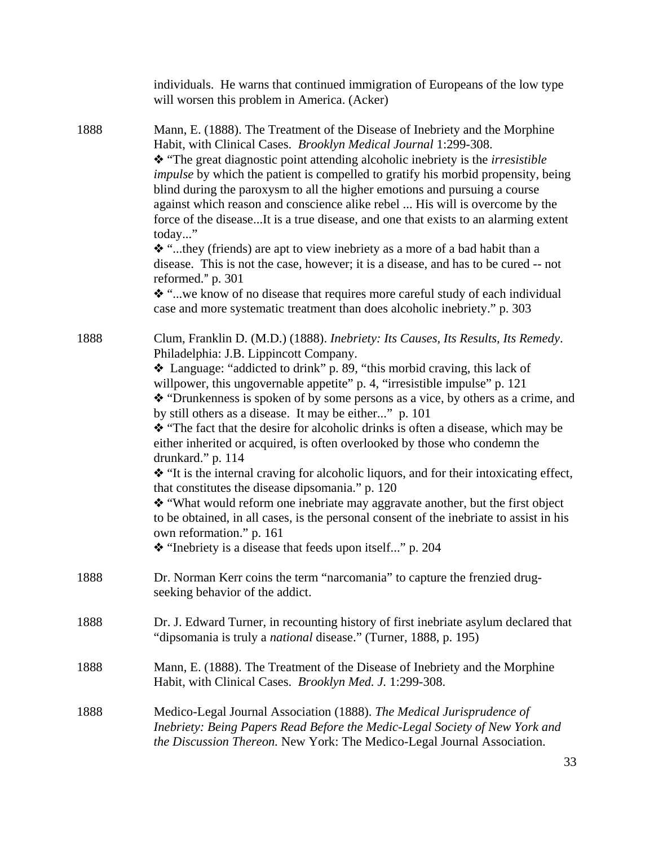|      | individuals. He warns that continued immigration of Europeans of the low type<br>will worsen this problem in America. (Acker)                                                                                                                                                                                                                                                                                                                                                                                                                                                                                                                                                                                                                                                                                                                                                                                                                                                                                                                                  |
|------|----------------------------------------------------------------------------------------------------------------------------------------------------------------------------------------------------------------------------------------------------------------------------------------------------------------------------------------------------------------------------------------------------------------------------------------------------------------------------------------------------------------------------------------------------------------------------------------------------------------------------------------------------------------------------------------------------------------------------------------------------------------------------------------------------------------------------------------------------------------------------------------------------------------------------------------------------------------------------------------------------------------------------------------------------------------|
| 1888 | Mann, E. (1888). The Treatment of the Disease of Inebriety and the Morphine<br>Habit, with Clinical Cases. Brooklyn Medical Journal 1:299-308.<br>* "The great diagnostic point attending alcoholic inebriety is the <i>irresistible</i><br><i>impulse</i> by which the patient is compelled to gratify his morbid propensity, being<br>blind during the paroxysm to all the higher emotions and pursuing a course<br>against which reason and conscience alike rebel  His will is overcome by the<br>force of the diseaseIt is a true disease, and one that exists to an alarming extent<br>today"<br>❖ "they (friends) are apt to view inebriety as a more of a bad habit than a<br>disease. This is not the case, however; it is a disease, and has to be cured -- not<br>reformed." p. 301<br>◆ "we know of no disease that requires more careful study of each individual<br>case and more systematic treatment than does alcoholic inebriety." p. 303                                                                                                    |
| 1888 | Clum, Franklin D. (M.D.) (1888). <i>Inebriety: Its Causes, Its Results, Its Remedy</i> .<br>Philadelphia: J.B. Lippincott Company.<br>◆ Language: "addicted to drink" p. 89, "this morbid craving, this lack of<br>willpower, this ungovernable appetite" p. 4, "irresistible impulse" p. 121<br>◆ "Drunkenness is spoken of by some persons as a vice, by others as a crime, and<br>by still others as a disease. It may be either" p. 101<br>* "The fact that the desire for alcoholic drinks is often a disease, which may be<br>either inherited or acquired, is often overlooked by those who condemn the<br>drunkard." p. 114<br><b>❖</b> "It is the internal craving for alcoholic liquors, and for their intoxicating effect,<br>that constitutes the disease dipsomania." p. 120<br>• "What would reform one inebriate may aggravate another, but the first object<br>to be obtained, in all cases, is the personal consent of the inebriate to assist in his<br>own reformation." p. 161<br>* "Inebriety is a disease that feeds upon itself" p. 204 |
| 1888 | Dr. Norman Kerr coins the term "narcomania" to capture the frenzied drug-<br>seeking behavior of the addict.                                                                                                                                                                                                                                                                                                                                                                                                                                                                                                                                                                                                                                                                                                                                                                                                                                                                                                                                                   |
| 1888 | Dr. J. Edward Turner, in recounting history of first inebriate asylum declared that<br>"dipsomania is truly a <i>national</i> disease." (Turner, 1888, p. 195)                                                                                                                                                                                                                                                                                                                                                                                                                                                                                                                                                                                                                                                                                                                                                                                                                                                                                                 |
| 1888 | Mann, E. (1888). The Treatment of the Disease of Inebriety and the Morphine<br>Habit, with Clinical Cases. Brooklyn Med. J. 1:299-308.                                                                                                                                                                                                                                                                                                                                                                                                                                                                                                                                                                                                                                                                                                                                                                                                                                                                                                                         |
| 1888 | Medico-Legal Journal Association (1888). The Medical Jurisprudence of<br>Inebriety: Being Papers Read Before the Medic-Legal Society of New York and<br>the Discussion Thereon. New York: The Medico-Legal Journal Association.                                                                                                                                                                                                                                                                                                                                                                                                                                                                                                                                                                                                                                                                                                                                                                                                                                |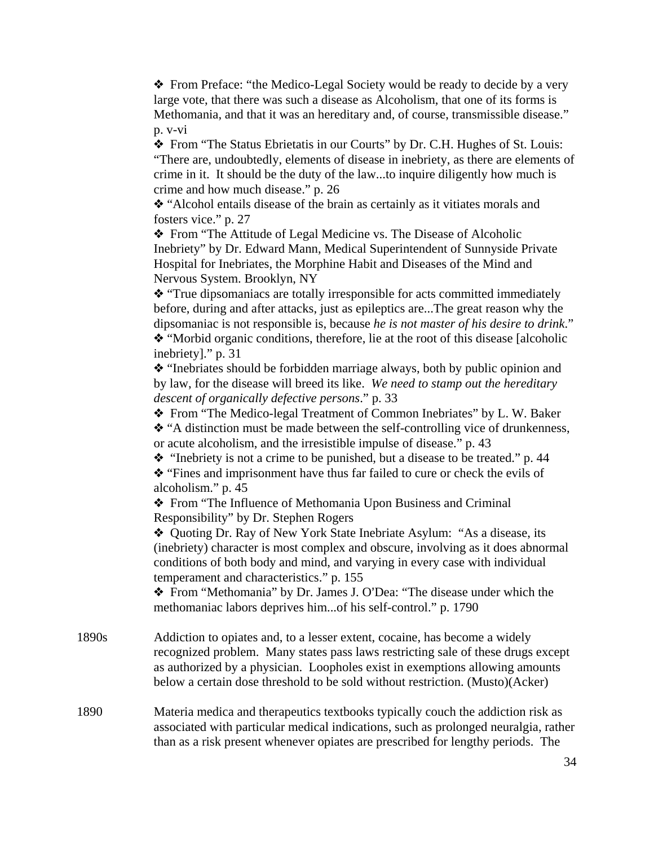˜ From Preface: "the Medico-Legal Society would be ready to decide by a very large vote, that there was such a disease as Alcoholism, that one of its forms is Methomania, and that it was an hereditary and, of course, transmissible disease." p. v-vi

˜ From "The Status Ebrietatis in our Courts" by Dr. C.H. Hughes of St. Louis: "There are, undoubtedly, elements of disease in inebriety, as there are elements of crime in it. It should be the duty of the law...to inquire diligently how much is crime and how much disease." p. 26

˜ "Alcohol entails disease of the brain as certainly as it vitiates morals and fosters vice." p. 27

˜ From "The Attitude of Legal Medicine vs. The Disease of Alcoholic Inebriety" by Dr. Edward Mann, Medical Superintendent of Sunnyside Private Hospital for Inebriates, the Morphine Habit and Diseases of the Mind and Nervous System. Brooklyn, NY

˜ "True dipsomaniacs are totally irresponsible for acts committed immediately before, during and after attacks, just as epileptics are...The great reason why the dipsomaniac is not responsible is, because *he is not master of his desire to drink*." ˜ "Morbid organic conditions, therefore, lie at the root of this disease [alcoholic inebriety]." p. 31

˜ "Inebriates should be forbidden marriage always, both by public opinion and by law, for the disease will breed its like. *We need to stamp out the hereditary descent of organically defective persons*." p. 33

˜ From "The Medico-legal Treatment of Common Inebriates" by L. W. Baker

˜ "A distinction must be made between the self-controlling vice of drunkenness, or acute alcoholism, and the irresistible impulse of disease." p. 43

˜ "Inebriety is not a crime to be punished, but a disease to be treated." p. 44

˜ "Fines and imprisonment have thus far failed to cure or check the evils of alcoholism." p. 45

˜ From "The Influence of Methomania Upon Business and Criminal Responsibility" by Dr. Stephen Rogers

˜ Quoting Dr. Ray of New York State Inebriate Asylum: "As a disease, its (inebriety) character is most complex and obscure, involving as it does abnormal conditions of both body and mind, and varying in every case with individual temperament and characteristics." p. 155

◆ From "Methomania" by Dr. James J. O'Dea: "The disease under which the methomaniac labors deprives him...of his self-control." p. 1790

- 1890s Addiction to opiates and, to a lesser extent, cocaine, has become a widely recognized problem. Many states pass laws restricting sale of these drugs except as authorized by a physician. Loopholes exist in exemptions allowing amounts below a certain dose threshold to be sold without restriction. (Musto)(Acker)
- 1890 Materia medica and therapeutics textbooks typically couch the addiction risk as associated with particular medical indications, such as prolonged neuralgia, rather than as a risk present whenever opiates are prescribed for lengthy periods. The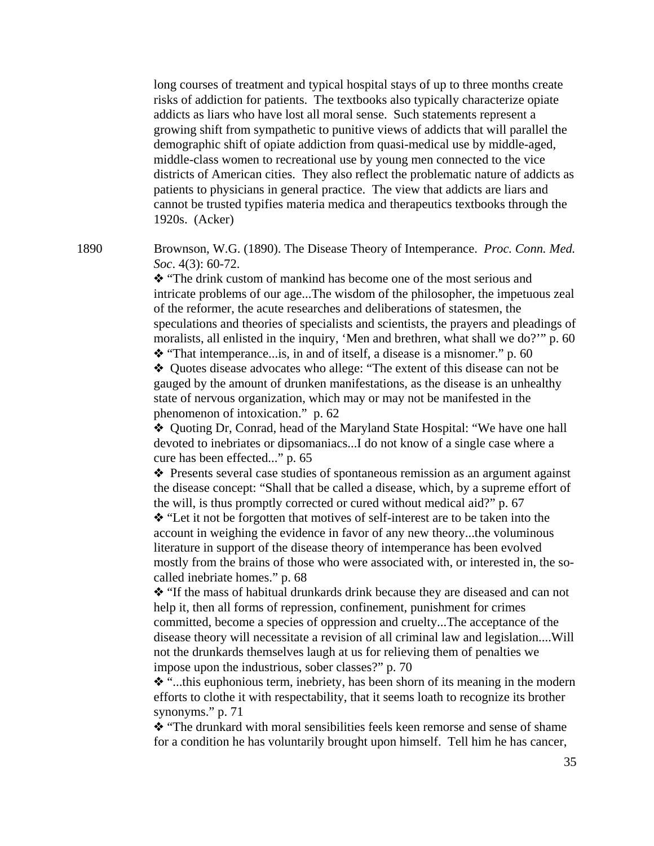long courses of treatment and typical hospital stays of up to three months create risks of addiction for patients. The textbooks also typically characterize opiate addicts as liars who have lost all moral sense. Such statements represent a growing shift from sympathetic to punitive views of addicts that will parallel the demographic shift of opiate addiction from quasi-medical use by middle-aged, middle-class women to recreational use by young men connected to the vice districts of American cities. They also reflect the problematic nature of addicts as patients to physicians in general practice. The view that addicts are liars and cannot be trusted typifies materia medica and therapeutics textbooks through the 1920s. (Acker)

1890 Brownson, W.G. (1890). The Disease Theory of Intemperance. *Proc. Conn. Med. Soc*. 4(3): 60-72.

> ˜ "The drink custom of mankind has become one of the most serious and intricate problems of our age...The wisdom of the philosopher, the impetuous zeal of the reformer, the acute researches and deliberations of statesmen, the speculations and theories of specialists and scientists, the prayers and pleadings of moralists, all enlisted in the inquiry, 'Men and brethren, what shall we do?'" p. 60

˜ "That intemperance...is, in and of itself, a disease is a misnomer." p. 60

˜ Quotes disease advocates who allege: "The extent of this disease can not be gauged by the amount of drunken manifestations, as the disease is an unhealthy state of nervous organization, which may or may not be manifested in the phenomenon of intoxication." p. 62

˜ Quoting Dr, Conrad, head of the Maryland State Hospital: "We have one hall devoted to inebriates or dipsomaniacs...I do not know of a single case where a cure has been effected..." p. 65

˜ Presents several case studies of spontaneous remission as an argument against the disease concept: "Shall that be called a disease, which, by a supreme effort of the will, is thus promptly corrected or cured without medical aid?" p. 67

˜ "Let it not be forgotten that motives of self-interest are to be taken into the account in weighing the evidence in favor of any new theory...the voluminous literature in support of the disease theory of intemperance has been evolved mostly from the brains of those who were associated with, or interested in, the socalled inebriate homes." p. 68

˜ "If the mass of habitual drunkards drink because they are diseased and can not help it, then all forms of repression, confinement, punishment for crimes committed, become a species of oppression and cruelty...The acceptance of the disease theory will necessitate a revision of all criminal law and legislation....Will not the drunkards themselves laugh at us for relieving them of penalties we impose upon the industrious, sober classes?" p. 70

˜ "...this euphonious term, inebriety, has been shorn of its meaning in the modern efforts to clothe it with respectability, that it seems loath to recognize its brother synonyms." p. 71

˜ "The drunkard with moral sensibilities feels keen remorse and sense of shame for a condition he has voluntarily brought upon himself. Tell him he has cancer,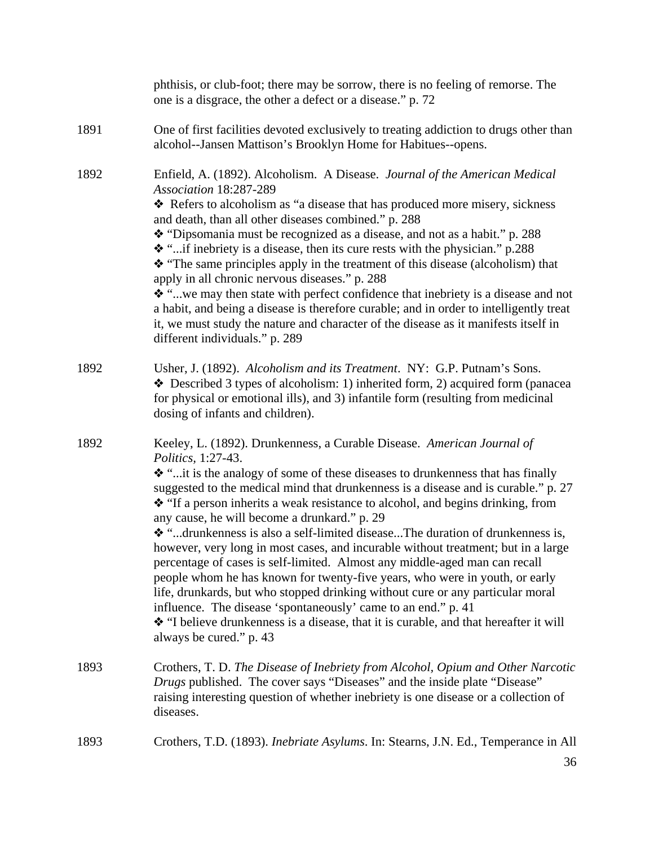|      | phthisis, or club-foot; there may be sorrow, there is no feeling of remorse. The<br>one is a disgrace, the other a defect or a disease." p. 72                                                                                                                                                                                                                                                                                                                                                                                                                                                                                                                                                                                                                                                                                                                                                                                                                                                                           |
|------|--------------------------------------------------------------------------------------------------------------------------------------------------------------------------------------------------------------------------------------------------------------------------------------------------------------------------------------------------------------------------------------------------------------------------------------------------------------------------------------------------------------------------------------------------------------------------------------------------------------------------------------------------------------------------------------------------------------------------------------------------------------------------------------------------------------------------------------------------------------------------------------------------------------------------------------------------------------------------------------------------------------------------|
| 1891 | One of first facilities devoted exclusively to treating addiction to drugs other than<br>alcohol--Jansen Mattison's Brooklyn Home for Habitues--opens.                                                                                                                                                                                                                                                                                                                                                                                                                                                                                                                                                                                                                                                                                                                                                                                                                                                                   |
| 1892 | Enfield, A. (1892). Alcoholism. A Disease. Journal of the American Medical<br>Association 18:287-289<br>Refers to alcoholism as "a disease that has produced more misery, sickness<br>and death, than all other diseases combined." p. 288<br>❖ "Dipsomania must be recognized as a disease, and not as a habit." p. 288<br>• "if inebriety is a disease, then its cure rests with the physician." p.288<br>* "The same principles apply in the treatment of this disease (alcoholism) that<br>apply in all chronic nervous diseases." p. 288<br>• "we may then state with perfect confidence that inebriety is a disease and not<br>a habit, and being a disease is therefore curable; and in order to intelligently treat<br>it, we must study the nature and character of the disease as it manifests itself in<br>different individuals." p. 289                                                                                                                                                                     |
| 1892 | Usher, J. (1892). Alcoholism and its Treatment. NY: G.P. Putnam's Sons.<br>$\triangleleft$ Described 3 types of alcoholism: 1) inherited form, 2) acquired form (panacea<br>for physical or emotional ills), and 3) infantile form (resulting from medicinal<br>dosing of infants and children).                                                                                                                                                                                                                                                                                                                                                                                                                                                                                                                                                                                                                                                                                                                         |
| 1892 | Keeley, L. (1892). Drunkenness, a Curable Disease. American Journal of<br><i>Politics</i> , 1:27-43.<br>• "it is the analogy of some of these diseases to drunkenness that has finally<br>suggested to the medical mind that drunkenness is a disease and is curable." p. 27<br>* "If a person inherits a weak resistance to alcohol, and begins drinking, from<br>any cause, he will become a drunkard." p. 29<br>* "drunkenness is also a self-limited diseaseThe duration of drunkenness is,<br>however, very long in most cases, and incurable without treatment; but in a large<br>percentage of cases is self-limited. Almost any middle-aged man can recall<br>people whom he has known for twenty-five years, who were in youth, or early<br>life, drunkards, but who stopped drinking without cure or any particular moral<br>influence. The disease 'spontaneously' came to an end." p. 41<br>* "I believe drunkenness is a disease, that it is curable, and that hereafter it will<br>always be cured." p. 43 |
| 1893 | Crothers, T. D. The Disease of Inebriety from Alcohol, Opium and Other Narcotic<br><i>Drugs</i> published. The cover says "Diseases" and the inside plate "Disease"<br>raising interesting question of whether inebriety is one disease or a collection of<br>diseases.                                                                                                                                                                                                                                                                                                                                                                                                                                                                                                                                                                                                                                                                                                                                                  |
| 1893 | Crothers, T.D. (1893). <i>Inebriate Asylums</i> . In: Stearns, J.N. Ed., Temperance in All                                                                                                                                                                                                                                                                                                                                                                                                                                                                                                                                                                                                                                                                                                                                                                                                                                                                                                                               |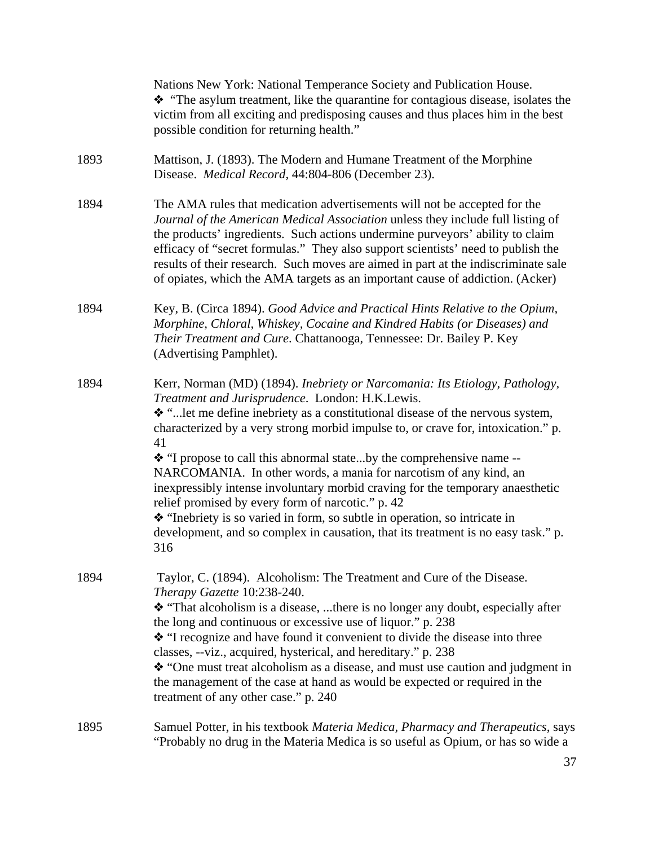|      | Nations New York: National Temperance Society and Publication House.<br>• "The asylum treatment, like the quarantine for contagious disease, isolates the<br>victim from all exciting and predisposing causes and thus places him in the best<br>possible condition for returning health."                                                                                                                                                                                                                                                                                                                                                                                                                                                                                |
|------|---------------------------------------------------------------------------------------------------------------------------------------------------------------------------------------------------------------------------------------------------------------------------------------------------------------------------------------------------------------------------------------------------------------------------------------------------------------------------------------------------------------------------------------------------------------------------------------------------------------------------------------------------------------------------------------------------------------------------------------------------------------------------|
| 1893 | Mattison, J. (1893). The Modern and Humane Treatment of the Morphine<br>Disease. Medical Record, 44:804-806 (December 23).                                                                                                                                                                                                                                                                                                                                                                                                                                                                                                                                                                                                                                                |
| 1894 | The AMA rules that medication advertisements will not be accepted for the<br>Journal of the American Medical Association unless they include full listing of<br>the products' ingredients. Such actions undermine purveyors' ability to claim<br>efficacy of "secret formulas." They also support scientists' need to publish the<br>results of their research. Such moves are aimed in part at the indiscriminate sale<br>of opiates, which the AMA targets as an important cause of addiction. (Acker)                                                                                                                                                                                                                                                                  |
| 1894 | Key, B. (Circa 1894). Good Advice and Practical Hints Relative to the Opium,<br>Morphine, Chloral, Whiskey, Cocaine and Kindred Habits (or Diseases) and<br>Their Treatment and Cure. Chattanooga, Tennessee: Dr. Bailey P. Key<br>(Advertising Pamphlet).                                                                                                                                                                                                                                                                                                                                                                                                                                                                                                                |
| 1894 | Kerr, Norman (MD) (1894). Inebriety or Narcomania: Its Etiology, Pathology,<br>Treatment and Jurisprudence. London: H.K.Lewis.<br>• " let me define inebriety as a constitutional disease of the nervous system,<br>characterized by a very strong morbid impulse to, or crave for, intoxication." p.<br>41<br>• "I propose to call this abnormal stateby the comprehensive name --<br>NARCOMANIA. In other words, a mania for narcotism of any kind, an<br>inexpressibly intense involuntary morbid craving for the temporary anaesthetic<br>relief promised by every form of narcotic." p. 42<br>* "Inebriety is so varied in form, so subtle in operation, so intricate in<br>development, and so complex in causation, that its treatment is no easy task." p.<br>316 |
| 1894 | Taylor, C. (1894). Alcoholism: The Treatment and Cure of the Disease.<br>Therapy Gazette 10:238-240.<br>* "That alcoholism is a disease, there is no longer any doubt, especially after<br>the long and continuous or excessive use of liquor." p. 238<br><b>♦ "I recognize and have found it convenient to divide the disease into three</b><br>classes, --viz., acquired, hysterical, and hereditary." p. 238<br>* "One must treat alcoholism as a disease, and must use caution and judgment in<br>the management of the case at hand as would be expected or required in the<br>treatment of any other case." p. 240                                                                                                                                                  |
| 1895 | Samuel Potter, in his textbook Materia Medica, Pharmacy and Therapeutics, says<br>"Probably no drug in the Materia Medica is so useful as Opium, or has so wide a                                                                                                                                                                                                                                                                                                                                                                                                                                                                                                                                                                                                         |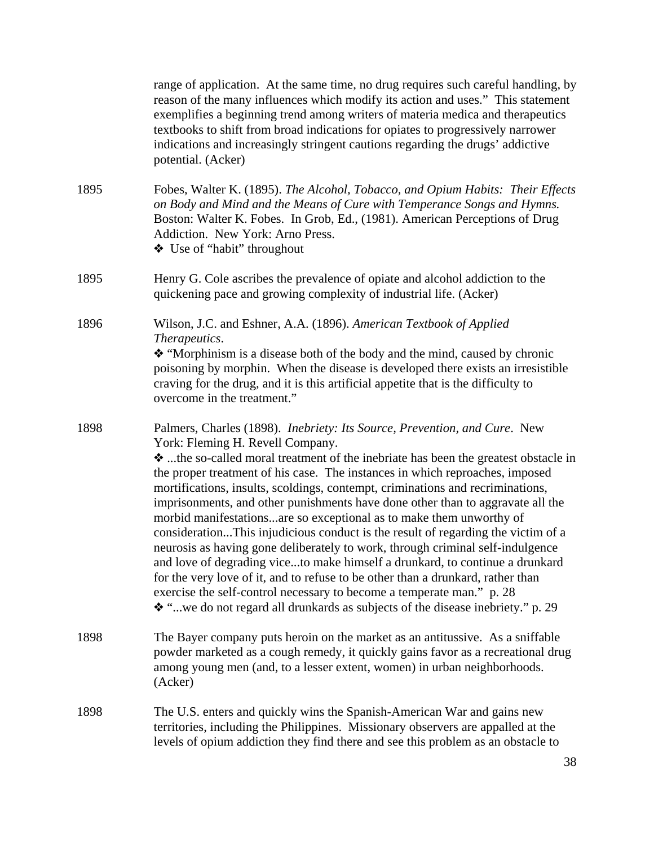| range of application. At the same time, no drug requires such careful handling, by<br>reason of the many influences which modify its action and uses." This statement<br>exemplifies a beginning trend among writers of materia medica and therapeutics<br>textbooks to shift from broad indications for opiates to progressively narrower<br>indications and increasingly stringent cautions regarding the drugs' addictive                                                                                                                                                                                                                                                   |
|--------------------------------------------------------------------------------------------------------------------------------------------------------------------------------------------------------------------------------------------------------------------------------------------------------------------------------------------------------------------------------------------------------------------------------------------------------------------------------------------------------------------------------------------------------------------------------------------------------------------------------------------------------------------------------|
| Fobes, Walter K. (1895). The Alcohol, Tobacco, and Opium Habits: Their Effects<br>on Body and Mind and the Means of Cure with Temperance Songs and Hymns.<br>Boston: Walter K. Fobes. In Grob, Ed., (1981). American Perceptions of Drug                                                                                                                                                                                                                                                                                                                                                                                                                                       |
|                                                                                                                                                                                                                                                                                                                                                                                                                                                                                                                                                                                                                                                                                |
| * "Morphinism is a disease both of the body and the mind, caused by chronic<br>poisoning by morphin. When the disease is developed there exists an irresistible                                                                                                                                                                                                                                                                                                                                                                                                                                                                                                                |
|                                                                                                                                                                                                                                                                                                                                                                                                                                                                                                                                                                                                                                                                                |
| • the so-called moral treatment of the inebriate has been the greatest obstacle in<br>the proper treatment of his case. The instances in which reproaches, imposed<br>mortifications, insults, scoldings, contempt, criminations and recriminations,<br>imprisonments, and other punishments have done other than to aggravate all the<br>considerationThis injudicious conduct is the result of regarding the victim of a<br>neurosis as having gone deliberately to work, through criminal self-indulgence<br>and love of degrading viceto make himself a drunkard, to continue a drunkard<br>◆ "we do not regard all drunkards as subjects of the disease inebriety." p. 29 |
| The Bayer company puts heroin on the market as an antitussive. As a sniffable<br>powder marketed as a cough remedy, it quickly gains favor as a recreational drug                                                                                                                                                                                                                                                                                                                                                                                                                                                                                                              |
|                                                                                                                                                                                                                                                                                                                                                                                                                                                                                                                                                                                                                                                                                |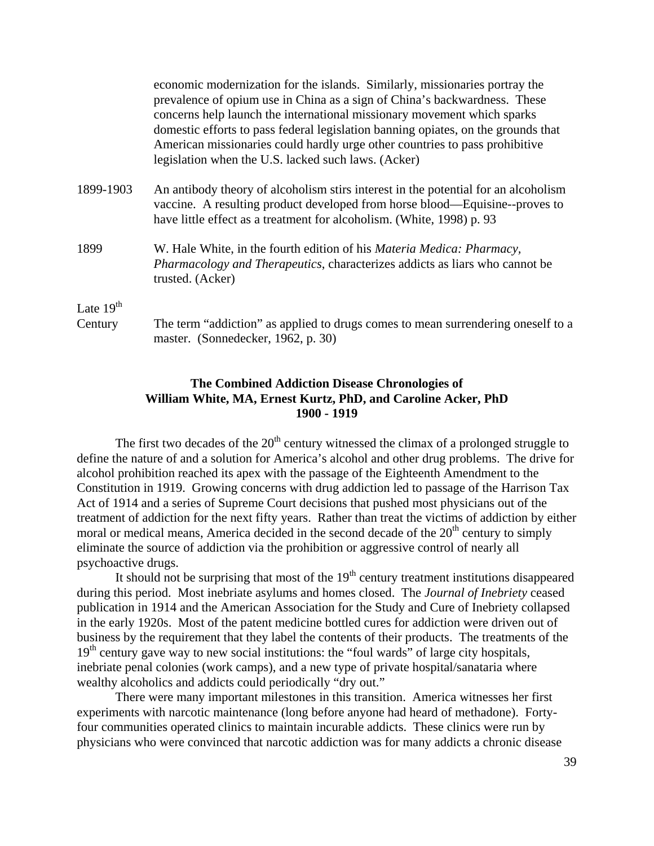|                        | economic modernization for the islands. Similarly, missionaries portray the<br>prevalence of opium use in China as a sign of China's backwardness. These<br>concerns help launch the international missionary movement which sparks<br>domestic efforts to pass federal legislation banning opiates, on the grounds that<br>American missionaries could hardly urge other countries to pass prohibitive<br>legislation when the U.S. lacked such laws. (Acker) |
|------------------------|----------------------------------------------------------------------------------------------------------------------------------------------------------------------------------------------------------------------------------------------------------------------------------------------------------------------------------------------------------------------------------------------------------------------------------------------------------------|
| 1899-1903              | An antibody theory of alcoholism stirs interest in the potential for an alcoholism<br>vaccine. A resulting product developed from horse blood—Equisine--proves to<br>have little effect as a treatment for alcoholism. (White, 1998) p. 93                                                                                                                                                                                                                     |
| 1899                   | W. Hale White, in the fourth edition of his <i>Materia Medica: Pharmacy</i> ,<br>Pharmacology and Therapeutics, characterizes addicts as liars who cannot be<br>trusted. (Acker)                                                                                                                                                                                                                                                                               |
| Late $19th$<br>Century | The term "addiction" as applied to drugs comes to mean surrendering oneself to a<br>master. (Sonnedecker, 1962, p. 30)                                                                                                                                                                                                                                                                                                                                         |

## **The Combined Addiction Disease Chronologies of William White, MA, Ernest Kurtz, PhD, and Caroline Acker, PhD 1900 - 1919**

The first two decades of the  $20<sup>th</sup>$  century witnessed the climax of a prolonged struggle to define the nature of and a solution for America's alcohol and other drug problems. The drive for alcohol prohibition reached its apex with the passage of the Eighteenth Amendment to the Constitution in 1919. Growing concerns with drug addiction led to passage of the Harrison Tax Act of 1914 and a series of Supreme Court decisions that pushed most physicians out of the treatment of addiction for the next fifty years. Rather than treat the victims of addiction by either moral or medical means, America decided in the second decade of the  $20<sup>th</sup>$  century to simply eliminate the source of addiction via the prohibition or aggressive control of nearly all psychoactive drugs.

It should not be surprising that most of the  $19<sup>th</sup>$  century treatment institutions disappeared during this period. Most inebriate asylums and homes closed. The *Journal of Inebriety* ceased publication in 1914 and the American Association for the Study and Cure of Inebriety collapsed in the early 1920s. Most of the patent medicine bottled cures for addiction were driven out of business by the requirement that they label the contents of their products. The treatments of the  $19<sup>th</sup>$  century gave way to new social institutions: the "foul wards" of large city hospitals, inebriate penal colonies (work camps), and a new type of private hospital/sanataria where wealthy alcoholics and addicts could periodically "dry out."

There were many important milestones in this transition. America witnesses her first experiments with narcotic maintenance (long before anyone had heard of methadone). Fortyfour communities operated clinics to maintain incurable addicts. These clinics were run by physicians who were convinced that narcotic addiction was for many addicts a chronic disease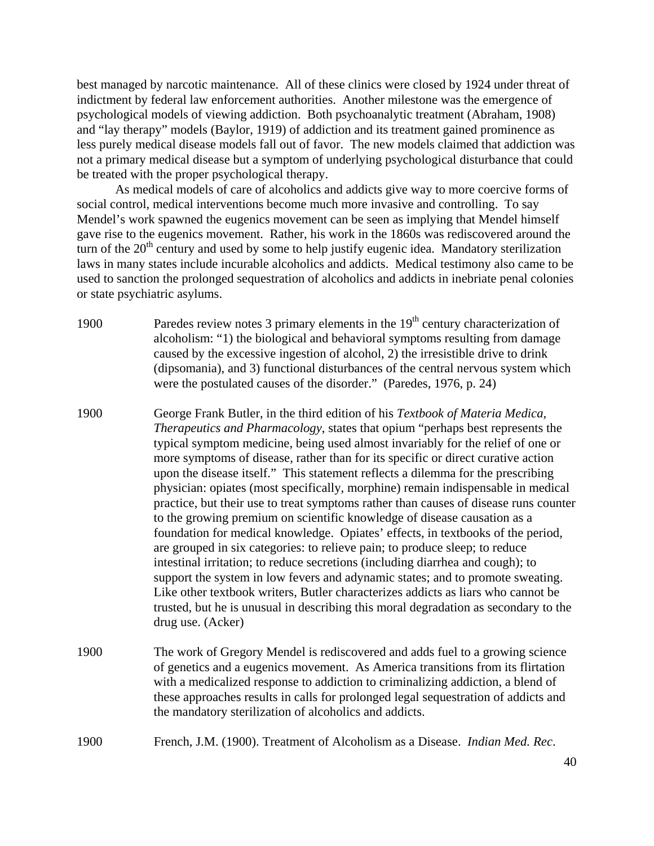best managed by narcotic maintenance. All of these clinics were closed by 1924 under threat of indictment by federal law enforcement authorities. Another milestone was the emergence of psychological models of viewing addiction. Both psychoanalytic treatment (Abraham, 1908) and "lay therapy" models (Baylor, 1919) of addiction and its treatment gained prominence as less purely medical disease models fall out of favor. The new models claimed that addiction was not a primary medical disease but a symptom of underlying psychological disturbance that could be treated with the proper psychological therapy.

As medical models of care of alcoholics and addicts give way to more coercive forms of social control, medical interventions become much more invasive and controlling. To say Mendel's work spawned the eugenics movement can be seen as implying that Mendel himself gave rise to the eugenics movement. Rather, his work in the 1860s was rediscovered around the turn of the  $20<sup>th</sup>$  century and used by some to help justify eugenic idea. Mandatory sterilization laws in many states include incurable alcoholics and addicts. Medical testimony also came to be used to sanction the prolonged sequestration of alcoholics and addicts in inebriate penal colonies or state psychiatric asylums.

- 1900 Paredes review notes 3 primary elements in the  $19<sup>th</sup>$  century characterization of alcoholism: "1) the biological and behavioral symptoms resulting from damage caused by the excessive ingestion of alcohol, 2) the irresistible drive to drink (dipsomania), and 3) functional disturbances of the central nervous system which were the postulated causes of the disorder." (Paredes, 1976, p. 24)
- 1900 George Frank Butler, in the third edition of his *Textbook of Materia Medica, Therapeutics and Pharmacology*, states that opium "perhaps best represents the typical symptom medicine, being used almost invariably for the relief of one or more symptoms of disease, rather than for its specific or direct curative action upon the disease itself." This statement reflects a dilemma for the prescribing physician: opiates (most specifically, morphine) remain indispensable in medical practice, but their use to treat symptoms rather than causes of disease runs counter to the growing premium on scientific knowledge of disease causation as a foundation for medical knowledge. Opiates' effects, in textbooks of the period, are grouped in six categories: to relieve pain; to produce sleep; to reduce intestinal irritation; to reduce secretions (including diarrhea and cough); to support the system in low fevers and adynamic states; and to promote sweating. Like other textbook writers, Butler characterizes addicts as liars who cannot be trusted, but he is unusual in describing this moral degradation as secondary to the drug use. (Acker)
- 1900 The work of Gregory Mendel is rediscovered and adds fuel to a growing science of genetics and a eugenics movement. As America transitions from its flirtation with a medicalized response to addiction to criminalizing addiction, a blend of these approaches results in calls for prolonged legal sequestration of addicts and the mandatory sterilization of alcoholics and addicts.
- 1900 French, J.M. (1900). Treatment of Alcoholism as a Disease. *Indian Med. Rec*.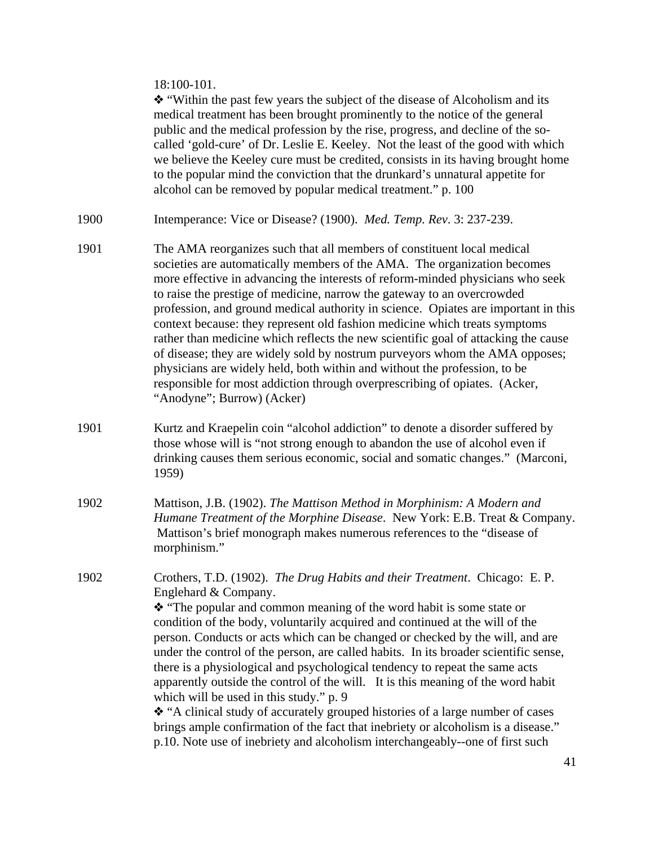18:100-101.

˜ "Within the past few years the subject of the disease of Alcoholism and its medical treatment has been brought prominently to the notice of the general public and the medical profession by the rise, progress, and decline of the socalled 'gold-cure' of Dr. Leslie E. Keeley. Not the least of the good with which we believe the Keeley cure must be credited, consists in its having brought home to the popular mind the conviction that the drunkard's unnatural appetite for alcohol can be removed by popular medical treatment." p. 100

1900 Intemperance: Vice or Disease? (1900). *Med. Temp. Rev*. 3: 237-239.

- 1901 The AMA reorganizes such that all members of constituent local medical societies are automatically members of the AMA. The organization becomes more effective in advancing the interests of reform-minded physicians who seek to raise the prestige of medicine, narrow the gateway to an overcrowded profession, and ground medical authority in science. Opiates are important in this context because: they represent old fashion medicine which treats symptoms rather than medicine which reflects the new scientific goal of attacking the cause of disease; they are widely sold by nostrum purveyors whom the AMA opposes; physicians are widely held, both within and without the profession, to be responsible for most addiction through overprescribing of opiates. (Acker, "Anodyne"; Burrow) (Acker)
- 1901 Kurtz and Kraepelin coin "alcohol addiction" to denote a disorder suffered by those whose will is "not strong enough to abandon the use of alcohol even if drinking causes them serious economic, social and somatic changes." (Marconi, 1959)
- 1902 Mattison, J.B. (1902). *The Mattison Method in Morphinism: A Modern and Humane Treatment of the Morphine Disease*. New York: E.B. Treat & Company. Mattison's brief monograph makes numerous references to the "disease of morphinism."

1902 Crothers, T.D. (1902). *The Drug Habits and their Treatment*. Chicago: E. P. Englehard & Company. ˜ "The popular and common meaning of the word habit is some state or condition of the body, voluntarily acquired and continued at the will of the person. Conducts or acts which can be changed or checked by the will, and are under the control of the person, are called habits. In its broader scientific sense, there is a physiological and psychological tendency to repeat the same acts apparently outside the control of the will. It is this meaning of the word habit which will be used in this study." p. 9

˜ "A clinical study of accurately grouped histories of a large number of cases brings ample confirmation of the fact that inebriety or alcoholism is a disease." p.10. Note use of inebriety and alcoholism interchangeably--one of first such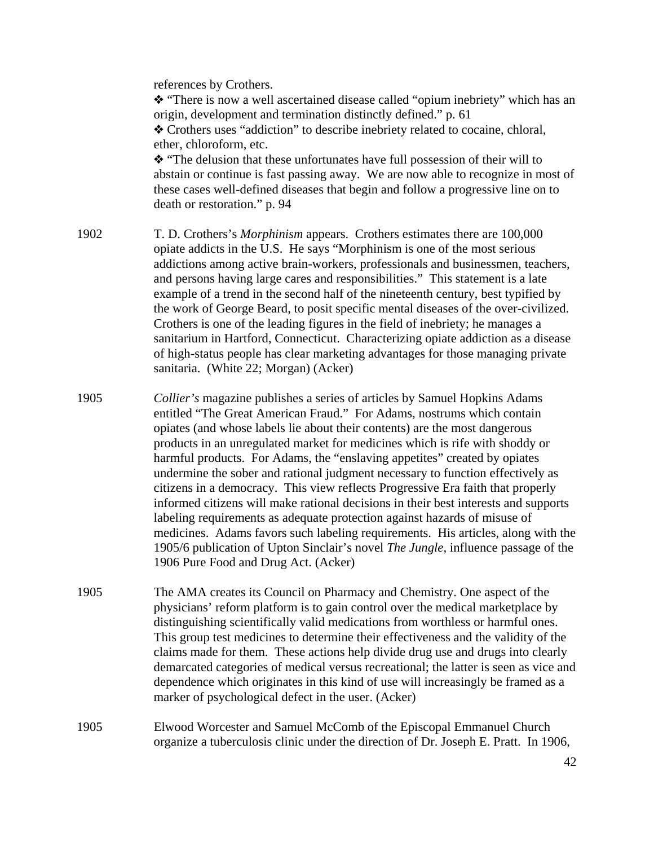references by Crothers.

˜ "There is now a well ascertained disease called "opium inebriety" which has an origin, development and termination distinctly defined." p. 61 ˜ Crothers uses "addiction" to describe inebriety related to cocaine, chloral, ether, chloroform, etc.

˜ "The delusion that these unfortunates have full possession of their will to abstain or continue is fast passing away. We are now able to recognize in most of these cases well-defined diseases that begin and follow a progressive line on to death or restoration." p. 94

- 1902 T. D. Crothers's *Morphinism* appears. Crothers estimates there are 100,000 opiate addicts in the U.S. He says "Morphinism is one of the most serious addictions among active brain-workers, professionals and businessmen, teachers, and persons having large cares and responsibilities." This statement is a late example of a trend in the second half of the nineteenth century, best typified by the work of George Beard, to posit specific mental diseases of the over-civilized. Crothers is one of the leading figures in the field of inebriety; he manages a sanitarium in Hartford, Connecticut. Characterizing opiate addiction as a disease of high-status people has clear marketing advantages for those managing private sanitaria. (White 22; Morgan) (Acker)
- 1905 *Collier's* magazine publishes a series of articles by Samuel Hopkins Adams entitled "The Great American Fraud." For Adams, nostrums which contain opiates (and whose labels lie about their contents) are the most dangerous products in an unregulated market for medicines which is rife with shoddy or harmful products. For Adams, the "enslaving appetites" created by opiates undermine the sober and rational judgment necessary to function effectively as citizens in a democracy. This view reflects Progressive Era faith that properly informed citizens will make rational decisions in their best interests and supports labeling requirements as adequate protection against hazards of misuse of medicines. Adams favors such labeling requirements. His articles, along with the 1905/6 publication of Upton Sinclair's novel *The Jungle*, influence passage of the 1906 Pure Food and Drug Act. (Acker)
- 1905 The AMA creates its Council on Pharmacy and Chemistry. One aspect of the physicians' reform platform is to gain control over the medical marketplace by distinguishing scientifically valid medications from worthless or harmful ones. This group test medicines to determine their effectiveness and the validity of the claims made for them. These actions help divide drug use and drugs into clearly demarcated categories of medical versus recreational; the latter is seen as vice and dependence which originates in this kind of use will increasingly be framed as a marker of psychological defect in the user. (Acker)
- 1905 Elwood Worcester and Samuel McComb of the Episcopal Emmanuel Church organize a tuberculosis clinic under the direction of Dr. Joseph E. Pratt. In 1906,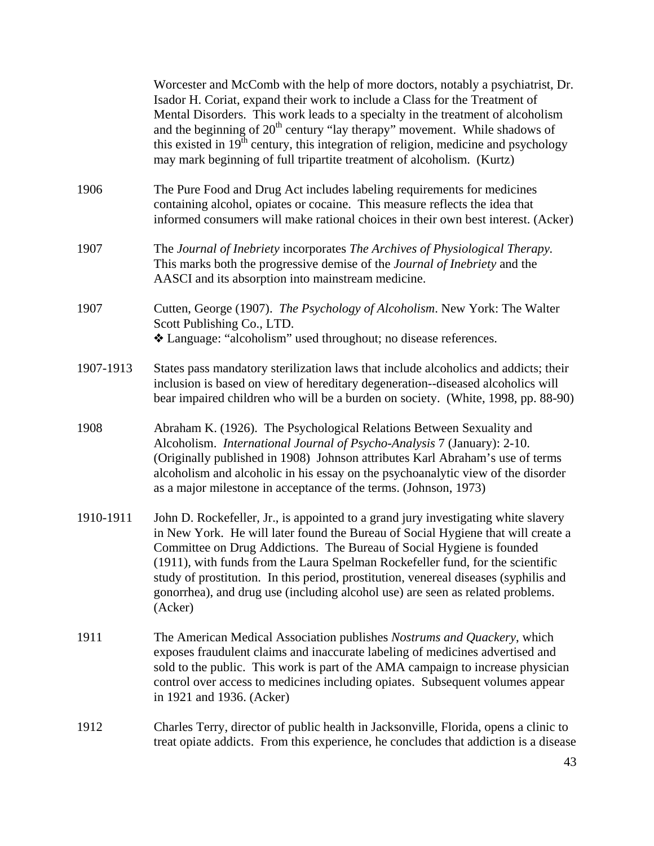|           | Worcester and McComb with the help of more doctors, notably a psychiatrist, Dr.<br>Isador H. Coriat, expand their work to include a Class for the Treatment of<br>Mental Disorders. This work leads to a specialty in the treatment of alcoholism<br>and the beginning of $20th$ century "lay therapy" movement. While shadows of<br>this existed in 19 <sup>th</sup> century, this integration of religion, medicine and psychology<br>may mark beginning of full tripartite treatment of alcoholism. (Kurtz)         |
|-----------|------------------------------------------------------------------------------------------------------------------------------------------------------------------------------------------------------------------------------------------------------------------------------------------------------------------------------------------------------------------------------------------------------------------------------------------------------------------------------------------------------------------------|
| 1906      | The Pure Food and Drug Act includes labeling requirements for medicines<br>containing alcohol, opiates or cocaine. This measure reflects the idea that<br>informed consumers will make rational choices in their own best interest. (Acker)                                                                                                                                                                                                                                                                            |
| 1907      | The Journal of Inebriety incorporates The Archives of Physiological Therapy.<br>This marks both the progressive demise of the <i>Journal of Inebriety</i> and the<br>AASCI and its absorption into mainstream medicine.                                                                                                                                                                                                                                                                                                |
| 1907      | Cutten, George (1907). The Psychology of Alcoholism. New York: The Walter<br>Scott Publishing Co., LTD.<br>* Language: "alcoholism" used throughout; no disease references.                                                                                                                                                                                                                                                                                                                                            |
| 1907-1913 | States pass mandatory sterilization laws that include alcoholics and addicts; their<br>inclusion is based on view of hereditary degeneration--diseased alcoholics will<br>bear impaired children who will be a burden on society. (White, 1998, pp. 88-90)                                                                                                                                                                                                                                                             |
| 1908      | Abraham K. (1926). The Psychological Relations Between Sexuality and<br>Alcoholism. International Journal of Psycho-Analysis 7 (January): 2-10.<br>(Originally published in 1908) Johnson attributes Karl Abraham's use of terms<br>alcoholism and alcoholic in his essay on the psychoanalytic view of the disorder<br>as a major milestone in acceptance of the terms. (Johnson, 1973)                                                                                                                               |
| 1910-1911 | John D. Rockefeller, Jr., is appointed to a grand jury investigating white slavery<br>in New York. He will later found the Bureau of Social Hygiene that will create a<br>Committee on Drug Addictions. The Bureau of Social Hygiene is founded<br>(1911), with funds from the Laura Spelman Rockefeller fund, for the scientific<br>study of prostitution. In this period, prostitution, venereal diseases (syphilis and<br>gonorrhea), and drug use (including alcohol use) are seen as related problems.<br>(Acker) |
| 1911      | The American Medical Association publishes Nostrums and Quackery, which<br>exposes fraudulent claims and inaccurate labeling of medicines advertised and<br>sold to the public. This work is part of the AMA campaign to increase physician<br>control over access to medicines including opiates. Subsequent volumes appear<br>in 1921 and 1936. (Acker)                                                                                                                                                              |
| 1912      | Charles Terry, director of public health in Jacksonville, Florida, opens a clinic to<br>treat opiate addicts. From this experience, he concludes that addiction is a disease                                                                                                                                                                                                                                                                                                                                           |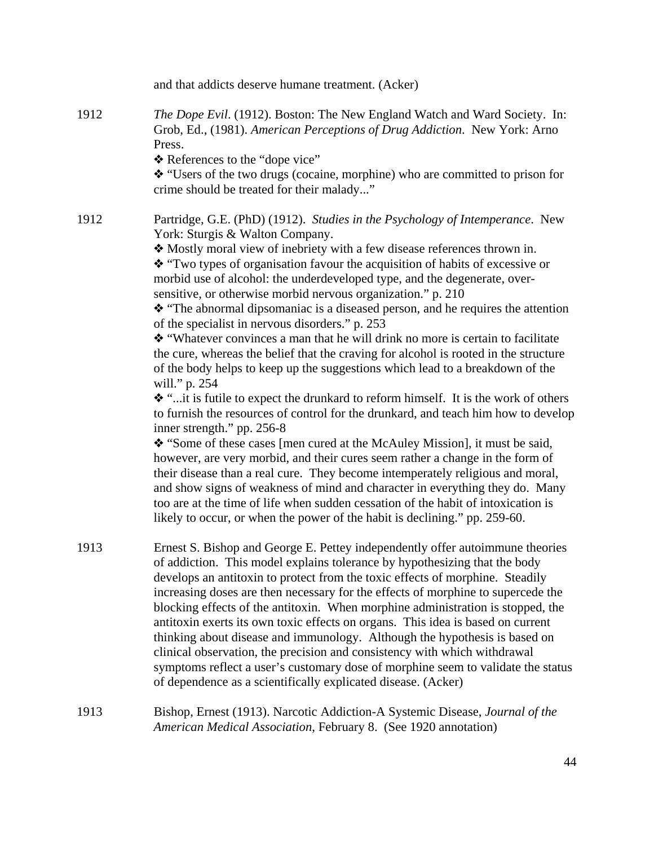|      | and that addicts deserve humane treatment. (Acker)                                                                                                                                                                                                                                                                                                                                                                                                                                                                                                                                                                                                                                                                                                                                                                                                                                                                                                                                                                                                                                                                                                                                                                                                                                                                                                                                                                                                                                                                                                         |
|------|------------------------------------------------------------------------------------------------------------------------------------------------------------------------------------------------------------------------------------------------------------------------------------------------------------------------------------------------------------------------------------------------------------------------------------------------------------------------------------------------------------------------------------------------------------------------------------------------------------------------------------------------------------------------------------------------------------------------------------------------------------------------------------------------------------------------------------------------------------------------------------------------------------------------------------------------------------------------------------------------------------------------------------------------------------------------------------------------------------------------------------------------------------------------------------------------------------------------------------------------------------------------------------------------------------------------------------------------------------------------------------------------------------------------------------------------------------------------------------------------------------------------------------------------------------|
| 1912 | The Dope Evil. (1912). Boston: The New England Watch and Ward Society. In:<br>Grob, Ed., (1981). American Perceptions of Drug Addiction. New York: Arno<br>Press.<br>* References to the "dope vice"<br>* "Users of the two drugs (cocaine, morphine) who are committed to prison for<br>crime should be treated for their malady"                                                                                                                                                                                                                                                                                                                                                                                                                                                                                                                                                                                                                                                                                                                                                                                                                                                                                                                                                                                                                                                                                                                                                                                                                         |
| 1912 | Partridge, G.E. (PhD) (1912). Studies in the Psychology of Intemperance. New<br>York: Sturgis & Walton Company.<br>Mostly moral view of inebriety with a few disease references thrown in.<br>• "Two types of organisation favour the acquisition of habits of excessive or<br>morbid use of alcohol: the underdeveloped type, and the degenerate, over-<br>sensitive, or otherwise morbid nervous organization." p. 210<br>* "The abnormal dipsomaniac is a diseased person, and he requires the attention<br>of the specialist in nervous disorders." p. 253<br>❖ "Whatever convinces a man that he will drink no more is certain to facilitate<br>the cure, whereas the belief that the craving for alcohol is rooted in the structure<br>of the body helps to keep up the suggestions which lead to a breakdown of the<br>will." p. 254<br>• "it is futile to expect the drunkard to reform himself. It is the work of others<br>to furnish the resources of control for the drunkard, and teach him how to develop<br>inner strength." pp. 256-8<br>* "Some of these cases [men cured at the McAuley Mission], it must be said,<br>however, are very morbid, and their cures seem rather a change in the form of<br>their disease than a real cure. They become intemperately religious and moral,<br>and show signs of weakness of mind and character in everything they do. Many<br>too are at the time of life when sudden cessation of the habit of intoxication is<br>likely to occur, or when the power of the habit is declining." pp. 259-60. |
| 1913 | Ernest S. Bishop and George E. Pettey independently offer autoimmune theories<br>of addiction. This model explains tolerance by hypothesizing that the body<br>develops an antitoxin to protect from the toxic effects of morphine. Steadily<br>increasing doses are then necessary for the effects of morphine to supercede the<br>blocking effects of the antitoxin. When morphine administration is stopped, the<br>antitoxin exerts its own toxic effects on organs. This idea is based on current<br>thinking about disease and immunology. Although the hypothesis is based on<br>clinical observation, the precision and consistency with which withdrawal<br>symptoms reflect a user's customary dose of morphine seem to validate the status<br>of dependence as a scientifically explicated disease. (Acker)                                                                                                                                                                                                                                                                                                                                                                                                                                                                                                                                                                                                                                                                                                                                     |
| 1913 | Bishop, Ernest (1913). Narcotic Addiction-A Systemic Disease, Journal of the<br>American Medical Association, February 8. (See 1920 annotation)                                                                                                                                                                                                                                                                                                                                                                                                                                                                                                                                                                                                                                                                                                                                                                                                                                                                                                                                                                                                                                                                                                                                                                                                                                                                                                                                                                                                            |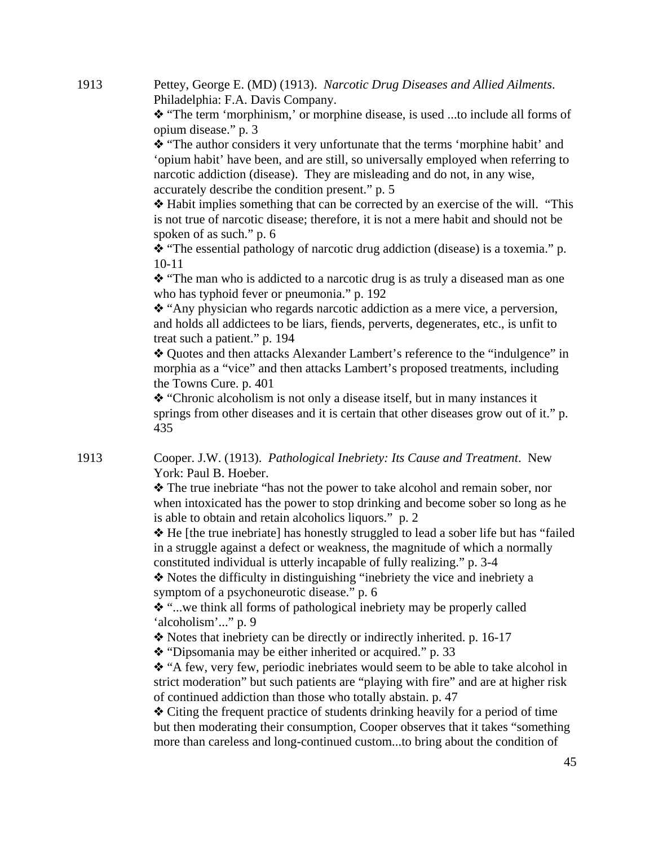1913 Pettey, George E. (MD) (1913). *Narcotic Drug Diseases and Allied Ailments*. Philadelphia: F.A. Davis Company.

> ˜ "The term 'morphinism,' or morphine disease, is used ...to include all forms of opium disease." p. 3

> ˜ "The author considers it very unfortunate that the terms 'morphine habit' and 'opium habit' have been, and are still, so universally employed when referring to narcotic addiction (disease). They are misleading and do not, in any wise, accurately describe the condition present." p. 5

˜ Habit implies something that can be corrected by an exercise of the will. "This is not true of narcotic disease; therefore, it is not a mere habit and should not be spoken of as such." p. 6

˜ "The essential pathology of narcotic drug addiction (disease) is a toxemia." p. 10-11

 $\hat{\mathbf{\bullet}}$  "The man who is addicted to a narcotic drug is as truly a diseased man as one who has typhoid fever or pneumonia." p. 192

˜ "Any physician who regards narcotic addiction as a mere vice, a perversion, and holds all addictees to be liars, fiends, perverts, degenerates, etc., is unfit to treat such a patient." p. 194

˜ Quotes and then attacks Alexander Lambert's reference to the "indulgence" in morphia as a "vice" and then attacks Lambert's proposed treatments, including the Towns Cure. p. 401

˜ "Chronic alcoholism is not only a disease itself, but in many instances it springs from other diseases and it is certain that other diseases grow out of it." p. 435

1913 Cooper. J.W. (1913). *Pathological Inebriety: Its Cause and Treatment*. New York: Paul B. Hoeber.

> ˜ The true inebriate "has not the power to take alcohol and remain sober, nor when intoxicated has the power to stop drinking and become sober so long as he is able to obtain and retain alcoholics liquors." p. 2

˜ He [the true inebriate] has honestly struggled to lead a sober life but has "failed in a struggle against a defect or weakness, the magnitude of which a normally constituted individual is utterly incapable of fully realizing." p. 3-4

˜ Notes the difficulty in distinguishing "inebriety the vice and inebriety a symptom of a psychoneurotic disease." p. 6

˜ "...we think all forms of pathological inebriety may be properly called 'alcoholism'..." p. 9

˜ Notes that inebriety can be directly or indirectly inherited. p. 16-17

˜ "Dipsomania may be either inherited or acquired." p. 33

˜ "A few, very few, periodic inebriates would seem to be able to take alcohol in strict moderation" but such patients are "playing with fire" and are at higher risk of continued addiction than those who totally abstain. p. 47

˜ Citing the frequent practice of students drinking heavily for a period of time but then moderating their consumption, Cooper observes that it takes "something more than careless and long-continued custom...to bring about the condition of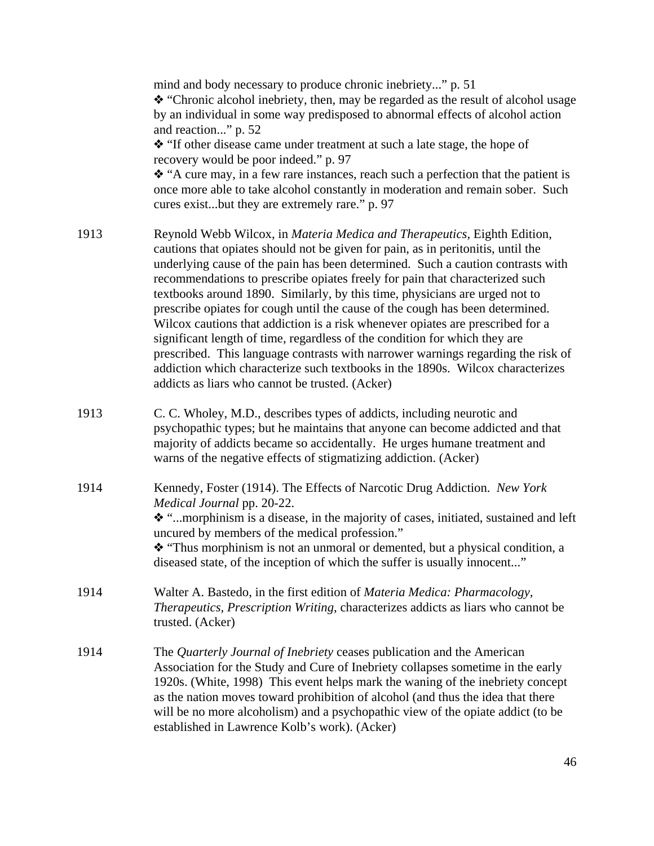|      | mind and body necessary to produce chronic inebriety" p. 51<br>* "Chronic alcohol inebriety, then, may be regarded as the result of alcohol usage<br>by an individual in some way predisposed to abnormal effects of alcohol action<br>and reaction" p. 52<br>* "If other disease came under treatment at such a late stage, the hope of<br>recovery would be poor indeed." p. 97<br>* "A cure may, in a few rare instances, reach such a perfection that the patient is<br>once more able to take alcohol constantly in moderation and remain sober. Such<br>cures existbut they are extremely rare." p. 97                                                                                                                                                                                                                                                                             |
|------|------------------------------------------------------------------------------------------------------------------------------------------------------------------------------------------------------------------------------------------------------------------------------------------------------------------------------------------------------------------------------------------------------------------------------------------------------------------------------------------------------------------------------------------------------------------------------------------------------------------------------------------------------------------------------------------------------------------------------------------------------------------------------------------------------------------------------------------------------------------------------------------|
| 1913 | Reynold Webb Wilcox, in Materia Medica and Therapeutics, Eighth Edition,<br>cautions that opiates should not be given for pain, as in peritonitis, until the<br>underlying cause of the pain has been determined. Such a caution contrasts with<br>recommendations to prescribe opiates freely for pain that characterized such<br>textbooks around 1890. Similarly, by this time, physicians are urged not to<br>prescribe opiates for cough until the cause of the cough has been determined.<br>Wilcox cautions that addiction is a risk whenever opiates are prescribed for a<br>significant length of time, regardless of the condition for which they are<br>prescribed. This language contrasts with narrower warnings regarding the risk of<br>addiction which characterize such textbooks in the 1890s. Wilcox characterizes<br>addicts as liars who cannot be trusted. (Acker) |
| 1913 | C. C. Wholey, M.D., describes types of addicts, including neurotic and<br>psychopathic types; but he maintains that anyone can become addicted and that<br>majority of addicts became so accidentally. He urges humane treatment and<br>warns of the negative effects of stigmatizing addiction. (Acker)                                                                                                                                                                                                                                                                                                                                                                                                                                                                                                                                                                                 |
| 1914 | Kennedy, Foster (1914). The Effects of Narcotic Drug Addiction. New York<br>Medical Journal pp. 20-22.<br>* "morphinism is a disease, in the majority of cases, initiated, sustained and left<br>uncured by members of the medical profession."<br>* "Thus morphinism is not an unmoral or demented, but a physical condition, a<br>diseased state, of the inception of which the suffer is usually innocent"                                                                                                                                                                                                                                                                                                                                                                                                                                                                            |
| 1914 | Walter A. Bastedo, in the first edition of Materia Medica: Pharmacology,<br>Therapeutics, Prescription Writing, characterizes addicts as liars who cannot be<br>trusted. (Acker)                                                                                                                                                                                                                                                                                                                                                                                                                                                                                                                                                                                                                                                                                                         |
| 1914 | The Quarterly Journal of Inebriety ceases publication and the American<br>Association for the Study and Cure of Inebriety collapses sometime in the early<br>1920s. (White, 1998) This event helps mark the waning of the inebriety concept<br>as the nation moves toward prohibition of alcohol (and thus the idea that there<br>will be no more alcoholism) and a psychopathic view of the opiate addict (to be<br>established in Lawrence Kolb's work). (Acker)                                                                                                                                                                                                                                                                                                                                                                                                                       |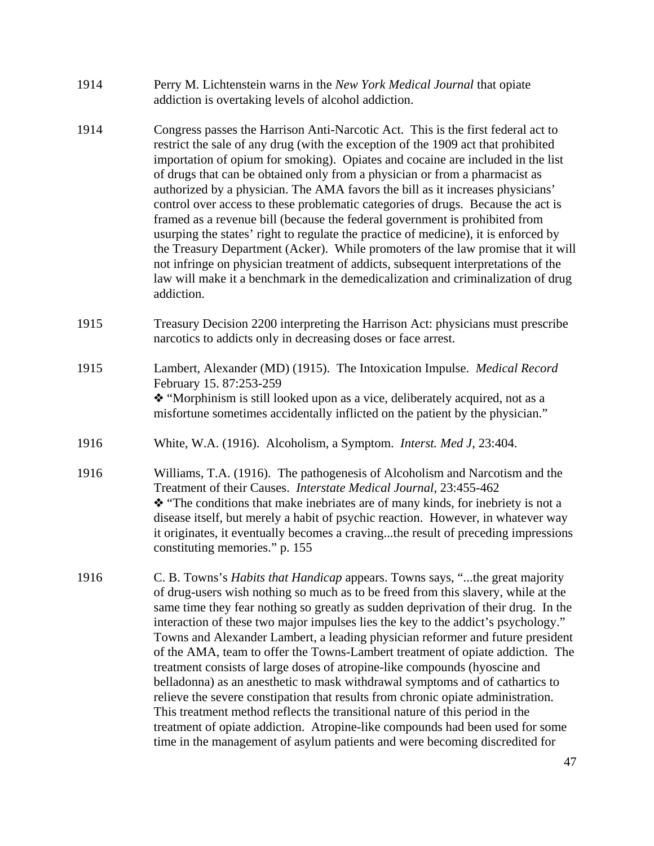- 1914 Perry M. Lichtenstein warns in the *New York Medical Journal* that opiate addiction is overtaking levels of alcohol addiction.
- 1914 Congress passes the Harrison Anti-Narcotic Act. This is the first federal act to restrict the sale of any drug (with the exception of the 1909 act that prohibited importation of opium for smoking). Opiates and cocaine are included in the list of drugs that can be obtained only from a physician or from a pharmacist as authorized by a physician. The AMA favors the bill as it increases physicians' control over access to these problematic categories of drugs. Because the act is framed as a revenue bill (because the federal government is prohibited from usurping the states' right to regulate the practice of medicine), it is enforced by the Treasury Department (Acker). While promoters of the law promise that it will not infringe on physician treatment of addicts, subsequent interpretations of the law will make it a benchmark in the demedicalization and criminalization of drug addiction.
- 1915 Treasury Decision 2200 interpreting the Harrison Act: physicians must prescribe narcotics to addicts only in decreasing doses or face arrest.
- 1915 Lambert, Alexander (MD) (1915). The Intoxication Impulse. *Medical Record* February 15. 87:253-259 ˜ "Morphinism is still looked upon as a vice, deliberately acquired, not as a misfortune sometimes accidentally inflicted on the patient by the physician."
- 1916 White, W.A. (1916). Alcoholism, a Symptom. *Interst. Med J*, 23:404.
- 1916 Williams, T.A. (1916). The pathogenesis of Alcoholism and Narcotism and the Treatment of their Causes. *Interstate Medical Journal*, 23:455-462 ˜ "The conditions that make inebriates are of many kinds, for inebriety is not a disease itself, but merely a habit of psychic reaction. However, in whatever way it originates, it eventually becomes a craving...the result of preceding impressions constituting memories." p. 155
- 1916 C. B. Towns's *Habits that Handicap* appears. Towns says, "...the great majority of drug-users wish nothing so much as to be freed from this slavery, while at the same time they fear nothing so greatly as sudden deprivation of their drug. In the interaction of these two major impulses lies the key to the addict's psychology." Towns and Alexander Lambert, a leading physician reformer and future president of the AMA, team to offer the Towns-Lambert treatment of opiate addiction. The treatment consists of large doses of atropine-like compounds (hyoscine and belladonna) as an anesthetic to mask withdrawal symptoms and of cathartics to relieve the severe constipation that results from chronic opiate administration. This treatment method reflects the transitional nature of this period in the treatment of opiate addiction. Atropine-like compounds had been used for some time in the management of asylum patients and were becoming discredited for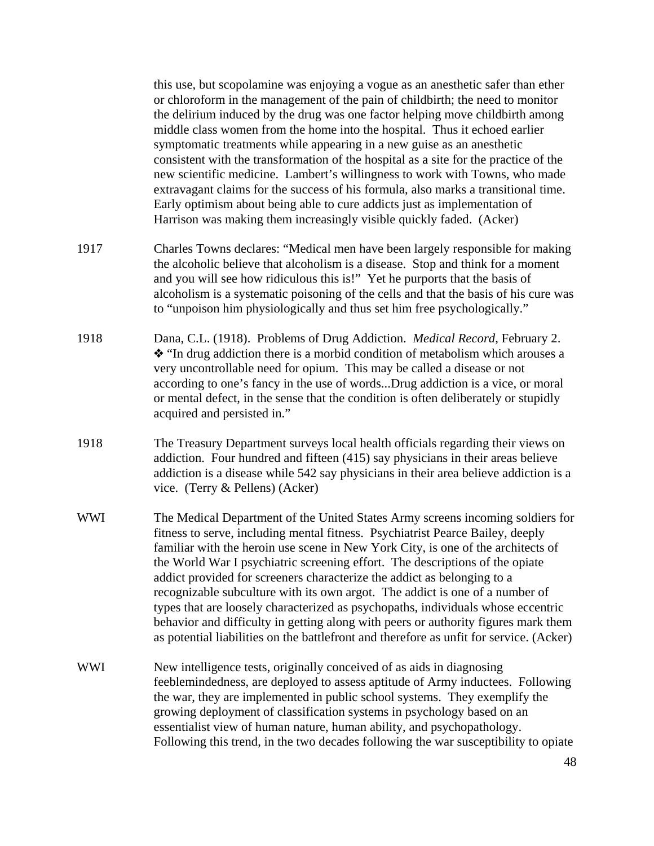this use, but scopolamine was enjoying a vogue as an anesthetic safer than ether or chloroform in the management of the pain of childbirth; the need to monitor the delirium induced by the drug was one factor helping move childbirth among middle class women from the home into the hospital. Thus it echoed earlier symptomatic treatments while appearing in a new guise as an anesthetic consistent with the transformation of the hospital as a site for the practice of the new scientific medicine. Lambert's willingness to work with Towns, who made extravagant claims for the success of his formula, also marks a transitional time. Early optimism about being able to cure addicts just as implementation of Harrison was making them increasingly visible quickly faded. (Acker)

- 1917 Charles Towns declares: "Medical men have been largely responsible for making the alcoholic believe that alcoholism is a disease. Stop and think for a moment and you will see how ridiculous this is!" Yet he purports that the basis of alcoholism is a systematic poisoning of the cells and that the basis of his cure was to "unpoison him physiologically and thus set him free psychologically."
- 1918 Dana, C.L. (1918). Problems of Drug Addiction. *Medical Record*, February 2. ˜ "In drug addiction there is a morbid condition of metabolism which arouses a very uncontrollable need for opium. This may be called a disease or not according to one's fancy in the use of words...Drug addiction is a vice, or moral or mental defect, in the sense that the condition is often deliberately or stupidly acquired and persisted in."
- 1918 The Treasury Department surveys local health officials regarding their views on addiction. Four hundred and fifteen (415) say physicians in their areas believe addiction is a disease while 542 say physicians in their area believe addiction is a vice. (Terry & Pellens) (Acker)
- WWI The Medical Department of the United States Army screens incoming soldiers for fitness to serve, including mental fitness. Psychiatrist Pearce Bailey, deeply familiar with the heroin use scene in New York City, is one of the architects of the World War I psychiatric screening effort. The descriptions of the opiate addict provided for screeners characterize the addict as belonging to a recognizable subculture with its own argot. The addict is one of a number of types that are loosely characterized as psychopaths, individuals whose eccentric behavior and difficulty in getting along with peers or authority figures mark them as potential liabilities on the battlefront and therefore as unfit for service. (Acker)
- WWI New intelligence tests, originally conceived of as aids in diagnosing feeblemindedness, are deployed to assess aptitude of Army inductees. Following the war, they are implemented in public school systems. They exemplify the growing deployment of classification systems in psychology based on an essentialist view of human nature, human ability, and psychopathology. Following this trend, in the two decades following the war susceptibility to opiate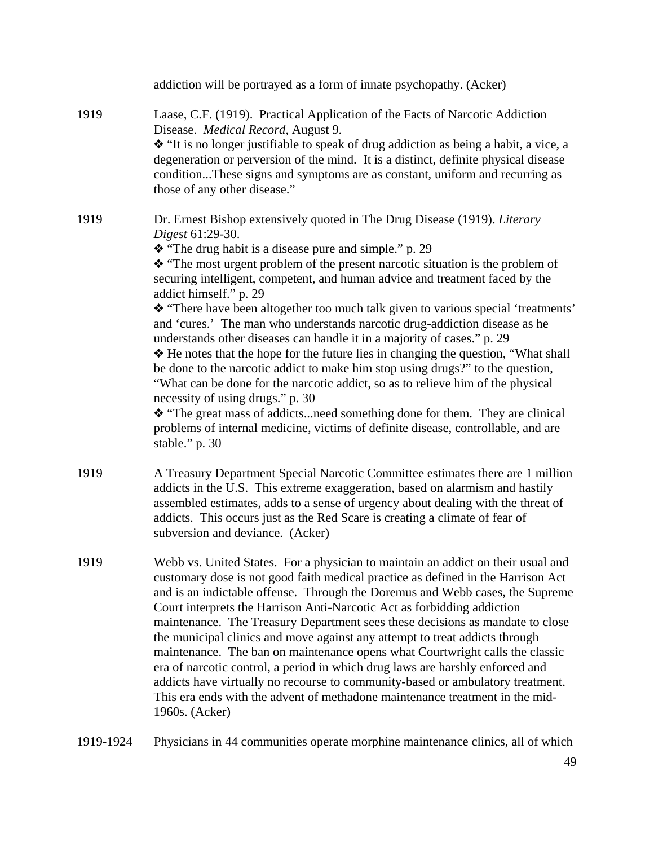|           | addiction will be portrayed as a form of innate psychopathy. (Acker)                                                                                                                                                                                                                                                                                                                                                                                                                                                                                                                                                                                                                                                                                                                                                                                                                                                                                                                                                                                                                   |
|-----------|----------------------------------------------------------------------------------------------------------------------------------------------------------------------------------------------------------------------------------------------------------------------------------------------------------------------------------------------------------------------------------------------------------------------------------------------------------------------------------------------------------------------------------------------------------------------------------------------------------------------------------------------------------------------------------------------------------------------------------------------------------------------------------------------------------------------------------------------------------------------------------------------------------------------------------------------------------------------------------------------------------------------------------------------------------------------------------------|
| 1919      | Laase, C.F. (1919). Practical Application of the Facts of Narcotic Addiction<br>Disease. Medical Record, August 9.<br>* "It is no longer justifiable to speak of drug addiction as being a habit, a vice, a<br>degeneration or perversion of the mind. It is a distinct, definite physical disease<br>conditionThese signs and symptoms are as constant, uniform and recurring as<br>those of any other disease."                                                                                                                                                                                                                                                                                                                                                                                                                                                                                                                                                                                                                                                                      |
| 1919      | Dr. Ernest Bishop extensively quoted in The Drug Disease (1919). Literary<br>Digest 61:29-30.<br>* "The drug habit is a disease pure and simple." p. 29<br>* "The most urgent problem of the present narcotic situation is the problem of<br>securing intelligent, competent, and human advice and treatment faced by the<br>addict himself." p. 29<br>* "There have been altogether too much talk given to various special 'treatments'<br>and 'cures.' The man who understands narcotic drug-addiction disease as he<br>understands other diseases can handle it in a majority of cases." p. 29<br>◆ He notes that the hope for the future lies in changing the question, "What shall<br>be done to the narcotic addict to make him stop using drugs?" to the question,<br>"What can be done for the narcotic addict, so as to relieve him of the physical<br>necessity of using drugs." p. 30<br>* "The great mass of addictsneed something done for them. They are clinical<br>problems of internal medicine, victims of definite disease, controllable, and are<br>stable." p. 30 |
| 1919      | A Treasury Department Special Narcotic Committee estimates there are 1 million<br>addicts in the U.S. This extreme exaggeration, based on alarmism and hastily<br>assembled estimates, adds to a sense of urgency about dealing with the threat of<br>addicts. This occurs just as the Red Scare is creating a climate of fear of<br>subversion and deviance. (Acker)                                                                                                                                                                                                                                                                                                                                                                                                                                                                                                                                                                                                                                                                                                                  |
| 1919      | Webb vs. United States. For a physician to maintain an addict on their usual and<br>customary dose is not good faith medical practice as defined in the Harrison Act<br>and is an indictable offense. Through the Doremus and Webb cases, the Supreme<br>Court interprets the Harrison Anti-Narcotic Act as forbidding addiction<br>maintenance. The Treasury Department sees these decisions as mandate to close<br>the municipal clinics and move against any attempt to treat addicts through<br>maintenance. The ban on maintenance opens what Courtwright calls the classic<br>era of narcotic control, a period in which drug laws are harshly enforced and<br>addicts have virtually no recourse to community-based or ambulatory treatment.<br>This era ends with the advent of methadone maintenance treatment in the mid-<br>1960s. (Acker)                                                                                                                                                                                                                                  |
| 1919-1924 | Physicians in 44 communities operate morphine maintenance clinics, all of which                                                                                                                                                                                                                                                                                                                                                                                                                                                                                                                                                                                                                                                                                                                                                                                                                                                                                                                                                                                                        |
|           | 49                                                                                                                                                                                                                                                                                                                                                                                                                                                                                                                                                                                                                                                                                                                                                                                                                                                                                                                                                                                                                                                                                     |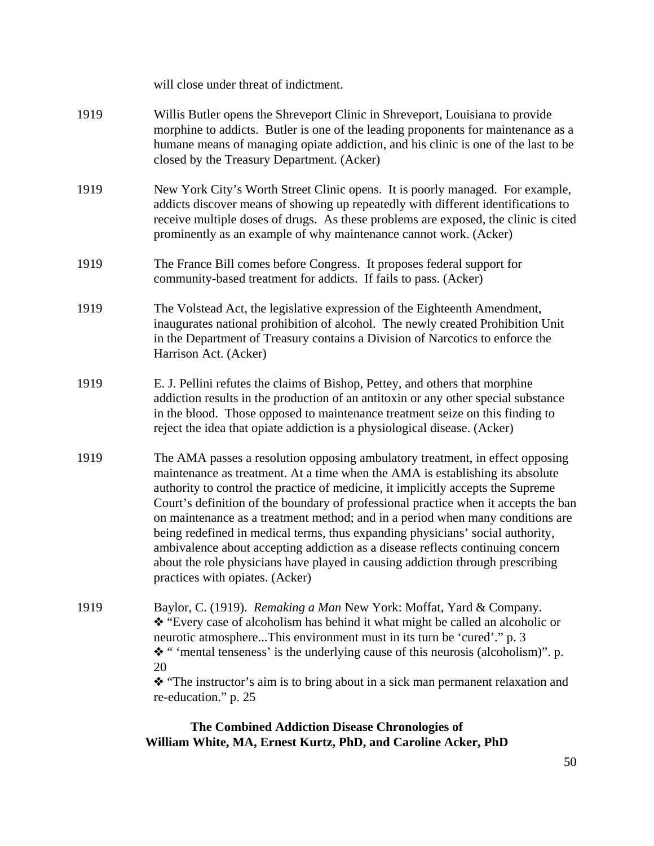|      | will close under threat of indictment.                                                                                                                                                                                                                                                                                                                                                                                                                                                                                                                                                                                                                                                                               |
|------|----------------------------------------------------------------------------------------------------------------------------------------------------------------------------------------------------------------------------------------------------------------------------------------------------------------------------------------------------------------------------------------------------------------------------------------------------------------------------------------------------------------------------------------------------------------------------------------------------------------------------------------------------------------------------------------------------------------------|
| 1919 | Willis Butler opens the Shreveport Clinic in Shreveport, Louisiana to provide<br>morphine to addicts. Butler is one of the leading proponents for maintenance as a<br>humane means of managing opiate addiction, and his clinic is one of the last to be<br>closed by the Treasury Department. (Acker)                                                                                                                                                                                                                                                                                                                                                                                                               |
| 1919 | New York City's Worth Street Clinic opens. It is poorly managed. For example,<br>addicts discover means of showing up repeatedly with different identifications to<br>receive multiple doses of drugs. As these problems are exposed, the clinic is cited<br>prominently as an example of why maintenance cannot work. (Acker)                                                                                                                                                                                                                                                                                                                                                                                       |
| 1919 | The France Bill comes before Congress. It proposes federal support for<br>community-based treatment for addicts. If fails to pass. (Acker)                                                                                                                                                                                                                                                                                                                                                                                                                                                                                                                                                                           |
| 1919 | The Volstead Act, the legislative expression of the Eighteenth Amendment,<br>inaugurates national prohibition of alcohol. The newly created Prohibition Unit<br>in the Department of Treasury contains a Division of Narcotics to enforce the<br>Harrison Act. (Acker)                                                                                                                                                                                                                                                                                                                                                                                                                                               |
| 1919 | E. J. Pellini refutes the claims of Bishop, Pettey, and others that morphine<br>addiction results in the production of an antitoxin or any other special substance<br>in the blood. Those opposed to maintenance treatment seize on this finding to<br>reject the idea that opiate addiction is a physiological disease. (Acker)                                                                                                                                                                                                                                                                                                                                                                                     |
| 1919 | The AMA passes a resolution opposing ambulatory treatment, in effect opposing<br>maintenance as treatment. At a time when the AMA is establishing its absolute<br>authority to control the practice of medicine, it implicitly accepts the Supreme<br>Court's definition of the boundary of professional practice when it accepts the ban<br>on maintenance as a treatment method; and in a period when many conditions are<br>being redefined in medical terms, thus expanding physicians' social authority,<br>ambivalence about accepting addiction as a disease reflects continuing concern<br>about the role physicians have played in causing addiction through prescribing<br>practices with opiates. (Acker) |
| 1919 | Baylor, C. (1919). Remaking a Man New York: Moffat, Yard & Company.<br>* "Every case of alcoholism has behind it what might be called an alcoholic or<br>neurotic atmosphereThis environment must in its turn be 'cured'." p. 3<br>* "mental tenseness' is the underlying cause of this neurosis (alcoholism)". p.<br>20                                                                                                                                                                                                                                                                                                                                                                                             |
|      | * "The instructor's aim is to bring about in a sick man permanent relaxation and<br>re-education." p. 25                                                                                                                                                                                                                                                                                                                                                                                                                                                                                                                                                                                                             |
|      | The Combined Addiction Disease Chronologies of                                                                                                                                                                                                                                                                                                                                                                                                                                                                                                                                                                                                                                                                       |

**William White, MA, Ernest Kurtz, PhD, and Caroline Acker, PhD**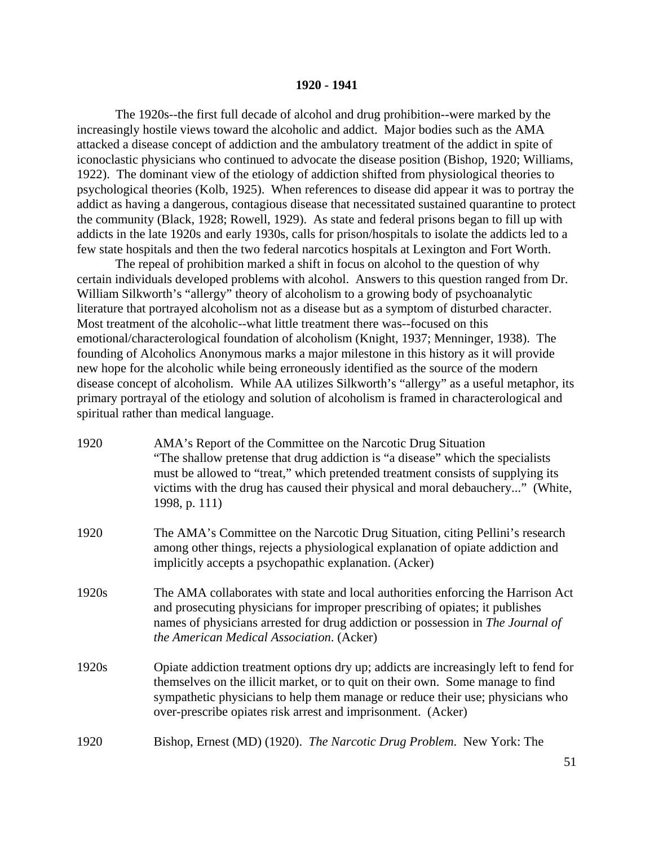## **1920 - 1941**

The 1920s--the first full decade of alcohol and drug prohibition--were marked by the increasingly hostile views toward the alcoholic and addict. Major bodies such as the AMA attacked a disease concept of addiction and the ambulatory treatment of the addict in spite of iconoclastic physicians who continued to advocate the disease position (Bishop, 1920; Williams, 1922). The dominant view of the etiology of addiction shifted from physiological theories to psychological theories (Kolb, 1925). When references to disease did appear it was to portray the addict as having a dangerous, contagious disease that necessitated sustained quarantine to protect the community (Black, 1928; Rowell, 1929). As state and federal prisons began to fill up with addicts in the late 1920s and early 1930s, calls for prison/hospitals to isolate the addicts led to a few state hospitals and then the two federal narcotics hospitals at Lexington and Fort Worth.

The repeal of prohibition marked a shift in focus on alcohol to the question of why certain individuals developed problems with alcohol. Answers to this question ranged from Dr. William Silkworth's "allergy" theory of alcoholism to a growing body of psychoanalytic literature that portrayed alcoholism not as a disease but as a symptom of disturbed character. Most treatment of the alcoholic--what little treatment there was--focused on this emotional/characterological foundation of alcoholism (Knight, 1937; Menninger, 1938). The founding of Alcoholics Anonymous marks a major milestone in this history as it will provide new hope for the alcoholic while being erroneously identified as the source of the modern disease concept of alcoholism. While AA utilizes Silkworth's "allergy" as a useful metaphor, its primary portrayal of the etiology and solution of alcoholism is framed in characterological and spiritual rather than medical language.

- 1920 AMA's Report of the Committee on the Narcotic Drug Situation "The shallow pretense that drug addiction is "a disease" which the specialists must be allowed to "treat," which pretended treatment consists of supplying its victims with the drug has caused their physical and moral debauchery..." (White, 1998, p. 111)
- 1920 The AMA's Committee on the Narcotic Drug Situation, citing Pellini's research among other things, rejects a physiological explanation of opiate addiction and implicitly accepts a psychopathic explanation. (Acker)
- 1920s The AMA collaborates with state and local authorities enforcing the Harrison Act and prosecuting physicians for improper prescribing of opiates; it publishes names of physicians arrested for drug addiction or possession in *The Journal of the American Medical Association*. (Acker)
- 1920s Opiate addiction treatment options dry up; addicts are increasingly left to fend for themselves on the illicit market, or to quit on their own. Some manage to find sympathetic physicians to help them manage or reduce their use; physicians who over-prescribe opiates risk arrest and imprisonment. (Acker)
- 1920 Bishop, Ernest (MD) (1920). *The Narcotic Drug Problem*. New York: The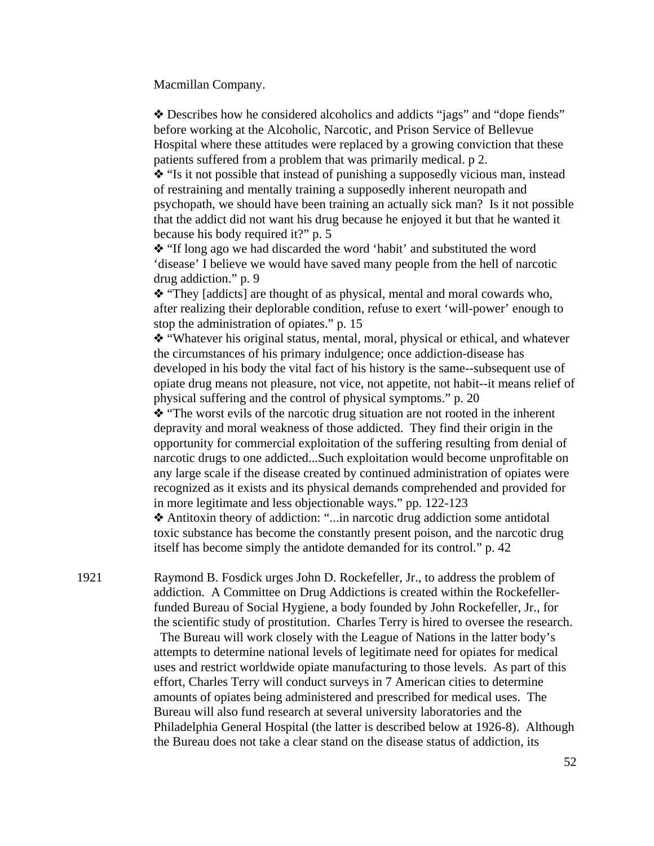Macmillan Company.

˜ Describes how he considered alcoholics and addicts "jags" and "dope fiends" before working at the Alcoholic, Narcotic, and Prison Service of Bellevue Hospital where these attitudes were replaced by a growing conviction that these patients suffered from a problem that was primarily medical. p 2.

˜ "Is it not possible that instead of punishing a supposedly vicious man, instead of restraining and mentally training a supposedly inherent neuropath and psychopath, we should have been training an actually sick man? Is it not possible that the addict did not want his drug because he enjoyed it but that he wanted it because his body required it?" p. 5

˜ "If long ago we had discarded the word 'habit' and substituted the word 'disease' I believe we would have saved many people from the hell of narcotic drug addiction." p. 9

˜ "They [addicts] are thought of as physical, mental and moral cowards who, after realizing their deplorable condition, refuse to exert 'will-power' enough to stop the administration of opiates." p. 15

˜ "Whatever his original status, mental, moral, physical or ethical, and whatever the circumstances of his primary indulgence; once addiction-disease has developed in his body the vital fact of his history is the same--subsequent use of opiate drug means not pleasure, not vice, not appetite, not habit--it means relief of physical suffering and the control of physical symptoms." p. 20

˜ "The worst evils of the narcotic drug situation are not rooted in the inherent depravity and moral weakness of those addicted. They find their origin in the opportunity for commercial exploitation of the suffering resulting from denial of narcotic drugs to one addicted...Such exploitation would become unprofitable on any large scale if the disease created by continued administration of opiates were recognized as it exists and its physical demands comprehended and provided for in more legitimate and less objectionable ways." pp. 122-123

˜ Antitoxin theory of addiction: "...in narcotic drug addiction some antidotal toxic substance has become the constantly present poison, and the narcotic drug itself has become simply the antidote demanded for its control." p. 42

1921 Raymond B. Fosdick urges John D. Rockefeller, Jr., to address the problem of addiction. A Committee on Drug Addictions is created within the Rockefellerfunded Bureau of Social Hygiene, a body founded by John Rockefeller, Jr., for the scientific study of prostitution. Charles Terry is hired to oversee the research.

 The Bureau will work closely with the League of Nations in the latter body's attempts to determine national levels of legitimate need for opiates for medical uses and restrict worldwide opiate manufacturing to those levels. As part of this effort, Charles Terry will conduct surveys in 7 American cities to determine amounts of opiates being administered and prescribed for medical uses. The Bureau will also fund research at several university laboratories and the Philadelphia General Hospital (the latter is described below at 1926-8). Although the Bureau does not take a clear stand on the disease status of addiction, its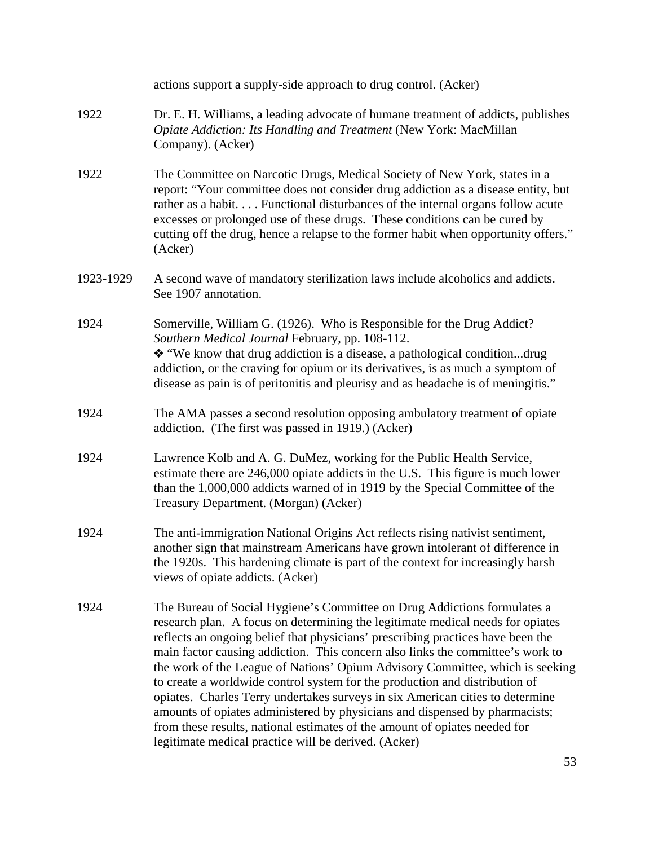|           | actions support a supply-side approach to drug control. (Acker)                                                                                                                                                                                                                                                                                                                                                                                                                                                                                                                                                                                                                                                                                                                                       |
|-----------|-------------------------------------------------------------------------------------------------------------------------------------------------------------------------------------------------------------------------------------------------------------------------------------------------------------------------------------------------------------------------------------------------------------------------------------------------------------------------------------------------------------------------------------------------------------------------------------------------------------------------------------------------------------------------------------------------------------------------------------------------------------------------------------------------------|
| 1922      | Dr. E. H. Williams, a leading advocate of humane treatment of addicts, publishes<br>Opiate Addiction: Its Handling and Treatment (New York: MacMillan<br>Company). (Acker)                                                                                                                                                                                                                                                                                                                                                                                                                                                                                                                                                                                                                            |
| 1922      | The Committee on Narcotic Drugs, Medical Society of New York, states in a<br>report: "Your committee does not consider drug addiction as a disease entity, but<br>rather as a habit Functional disturbances of the internal organs follow acute<br>excesses or prolonged use of these drugs. These conditions can be cured by<br>cutting off the drug, hence a relapse to the former habit when opportunity offers."<br>(Acker)                                                                                                                                                                                                                                                                                                                                                                       |
| 1923-1929 | A second wave of mandatory sterilization laws include alcoholics and addicts.<br>See 1907 annotation.                                                                                                                                                                                                                                                                                                                                                                                                                                                                                                                                                                                                                                                                                                 |
| 1924      | Somerville, William G. (1926). Who is Responsible for the Drug Addict?<br>Southern Medical Journal February, pp. 108-112.<br><b>❖</b> "We know that drug addiction is a disease, a pathological conditiondrug<br>addiction, or the craving for opium or its derivatives, is as much a symptom of<br>disease as pain is of peritonitis and pleurisy and as headache is of meningitis."                                                                                                                                                                                                                                                                                                                                                                                                                 |
| 1924      | The AMA passes a second resolution opposing ambulatory treatment of opiate<br>addiction. (The first was passed in 1919.) (Acker)                                                                                                                                                                                                                                                                                                                                                                                                                                                                                                                                                                                                                                                                      |
| 1924      | Lawrence Kolb and A. G. DuMez, working for the Public Health Service,<br>estimate there are 246,000 opiate addicts in the U.S. This figure is much lower<br>than the 1,000,000 addicts warned of in 1919 by the Special Committee of the<br>Treasury Department. (Morgan) (Acker)                                                                                                                                                                                                                                                                                                                                                                                                                                                                                                                     |
| 1924      | The anti-immigration National Origins Act reflects rising nativist sentiment,<br>another sign that mainstream Americans have grown intolerant of difference in<br>the 1920s. This hardening climate is part of the context for increasingly harsh<br>views of opiate addicts. (Acker)                                                                                                                                                                                                                                                                                                                                                                                                                                                                                                                 |
| 1924      | The Bureau of Social Hygiene's Committee on Drug Addictions formulates a<br>research plan. A focus on determining the legitimate medical needs for opiates<br>reflects an ongoing belief that physicians' prescribing practices have been the<br>main factor causing addiction. This concern also links the committee's work to<br>the work of the League of Nations' Opium Advisory Committee, which is seeking<br>to create a worldwide control system for the production and distribution of<br>opiates. Charles Terry undertakes surveys in six American cities to determine<br>amounts of opiates administered by physicians and dispensed by pharmacists;<br>from these results, national estimates of the amount of opiates needed for<br>legitimate medical practice will be derived. (Acker) |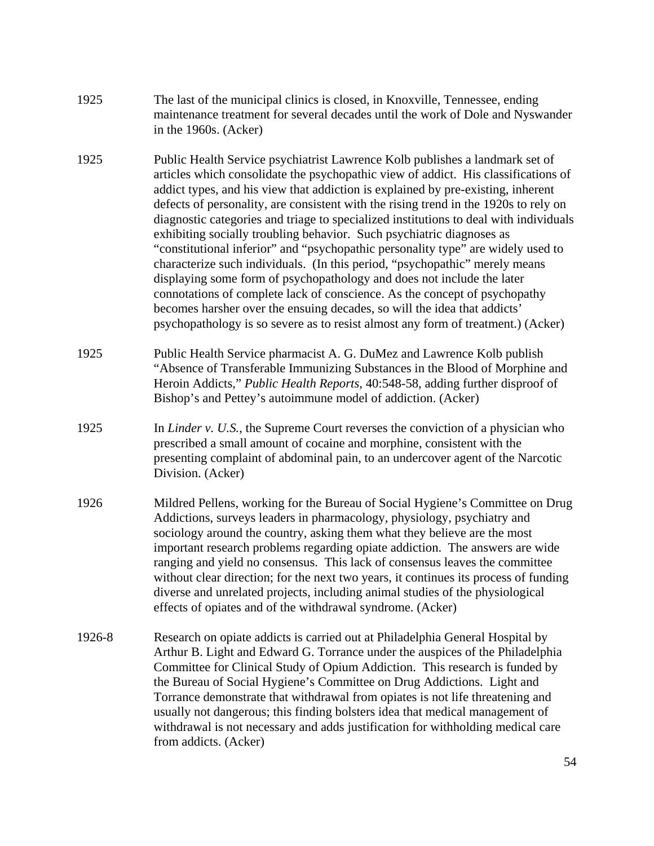- 1925 The last of the municipal clinics is closed, in Knoxville, Tennessee, ending maintenance treatment for several decades until the work of Dole and Nyswander in the 1960s. (Acker)
- 1925 Public Health Service psychiatrist Lawrence Kolb publishes a landmark set of articles which consolidate the psychopathic view of addict. His classifications of addict types, and his view that addiction is explained by pre-existing, inherent defects of personality, are consistent with the rising trend in the 1920s to rely on diagnostic categories and triage to specialized institutions to deal with individuals exhibiting socially troubling behavior. Such psychiatric diagnoses as "constitutional inferior" and "psychopathic personality type" are widely used to characterize such individuals. (In this period, "psychopathic" merely means displaying some form of psychopathology and does not include the later connotations of complete lack of conscience. As the concept of psychopathy becomes harsher over the ensuing decades, so will the idea that addicts' psychopathology is so severe as to resist almost any form of treatment.) (Acker)
- 1925 Public Health Service pharmacist A. G. DuMez and Lawrence Kolb publish "Absence of Transferable Immunizing Substances in the Blood of Morphine and Heroin Addicts," *Public Health Reports,* 40:548-58, adding further disproof of Bishop's and Pettey's autoimmune model of addiction. (Acker)
- 1925 In *Linder v. U.S.*, the Supreme Court reverses the conviction of a physician who prescribed a small amount of cocaine and morphine, consistent with the presenting complaint of abdominal pain, to an undercover agent of the Narcotic Division. (Acker)
- 1926 Mildred Pellens, working for the Bureau of Social Hygiene's Committee on Drug Addictions, surveys leaders in pharmacology, physiology, psychiatry and sociology around the country, asking them what they believe are the most important research problems regarding opiate addiction. The answers are wide ranging and yield no consensus. This lack of consensus leaves the committee without clear direction; for the next two years, it continues its process of funding diverse and unrelated projects, including animal studies of the physiological effects of opiates and of the withdrawal syndrome. (Acker)
- 1926-8 Research on opiate addicts is carried out at Philadelphia General Hospital by Arthur B. Light and Edward G. Torrance under the auspices of the Philadelphia Committee for Clinical Study of Opium Addiction. This research is funded by the Bureau of Social Hygiene's Committee on Drug Addictions. Light and Torrance demonstrate that withdrawal from opiates is not life threatening and usually not dangerous; this finding bolsters idea that medical management of withdrawal is not necessary and adds justification for withholding medical care from addicts. (Acker)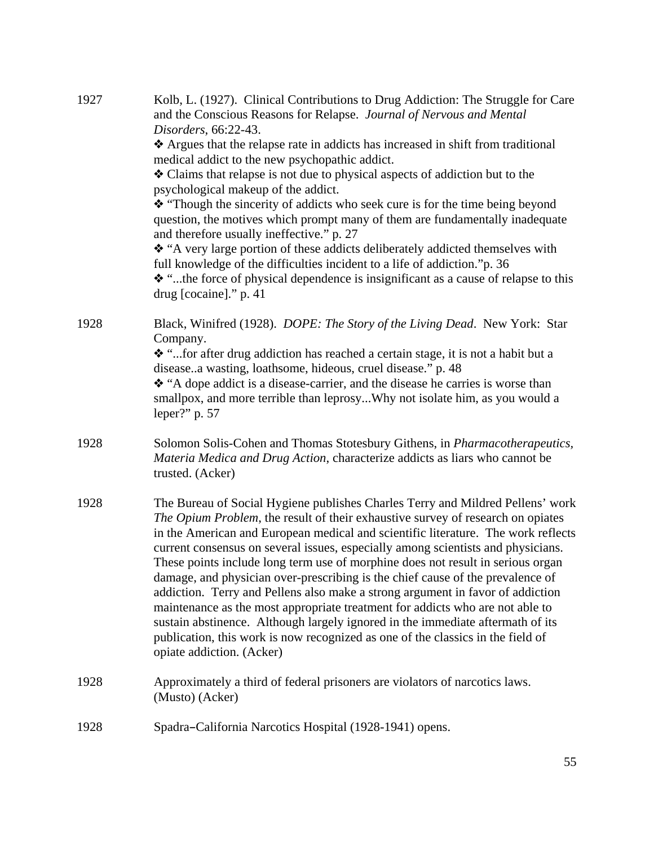| 1927 | Kolb, L. (1927). Clinical Contributions to Drug Addiction: The Struggle for Care<br>and the Conscious Reasons for Relapse. Journal of Nervous and Mental<br>Disorders, 66:22-43.<br>◆ Argues that the relapse rate in addicts has increased in shift from traditional<br>medical addict to the new psychopathic addict.<br>* Claims that relapse is not due to physical aspects of addiction but to the<br>psychological makeup of the addict.<br>* "Though the sincerity of addicts who seek cure is for the time being beyond<br>question, the motives which prompt many of them are fundamentally inadequate<br>and therefore usually ineffective." p. 27<br>* "A very large portion of these addicts deliberately addicted themselves with<br>full knowledge of the difficulties incident to a life of addiction."p. 36<br>• "the force of physical dependence is insignificant as a cause of relapse to this<br>drug [cocaine]." $p. 41$ |
|------|-----------------------------------------------------------------------------------------------------------------------------------------------------------------------------------------------------------------------------------------------------------------------------------------------------------------------------------------------------------------------------------------------------------------------------------------------------------------------------------------------------------------------------------------------------------------------------------------------------------------------------------------------------------------------------------------------------------------------------------------------------------------------------------------------------------------------------------------------------------------------------------------------------------------------------------------------|
| 1928 | Black, Winifred (1928). DOPE: The Story of the Living Dead. New York: Star<br>Company.<br>* " for after drug addiction has reached a certain stage, it is not a habit but a<br>diseasea wasting, loathsome, hideous, cruel disease." p. 48<br>* "A dope addict is a disease-carrier, and the disease he carries is worse than<br>smallpox, and more terrible than leprosyWhy not isolate him, as you would a<br>leper?" $p. 57$                                                                                                                                                                                                                                                                                                                                                                                                                                                                                                               |
| 1928 | Solomon Solis-Cohen and Thomas Stotesbury Githens, in Pharmacotherapeutics,<br>Materia Medica and Drug Action, characterize addicts as liars who cannot be<br>trusted. (Acker)                                                                                                                                                                                                                                                                                                                                                                                                                                                                                                                                                                                                                                                                                                                                                                |
| 1928 | The Bureau of Social Hygiene publishes Charles Terry and Mildred Pellens' work<br>The Opium Problem, the result of their exhaustive survey of research on opiates<br>in the American and European medical and scientific literature. The work reflects<br>current consensus on several issues, especially among scientists and physicians.<br>These points include long term use of morphine does not result in serious organ<br>damage, and physician over-prescribing is the chief cause of the prevalence of<br>addiction. Terry and Pellens also make a strong argument in favor of addiction<br>maintenance as the most appropriate treatment for addicts who are not able to<br>sustain abstinence. Although largely ignored in the immediate aftermath of its<br>publication, this work is now recognized as one of the classics in the field of<br>opiate addiction. (Acker)                                                          |
| 1928 | Approximately a third of federal prisoners are violators of narcotics laws.<br>(Musto) (Acker)                                                                                                                                                                                                                                                                                                                                                                                                                                                                                                                                                                                                                                                                                                                                                                                                                                                |
| 1928 | Spadra-California Narcotics Hospital (1928-1941) opens.                                                                                                                                                                                                                                                                                                                                                                                                                                                                                                                                                                                                                                                                                                                                                                                                                                                                                       |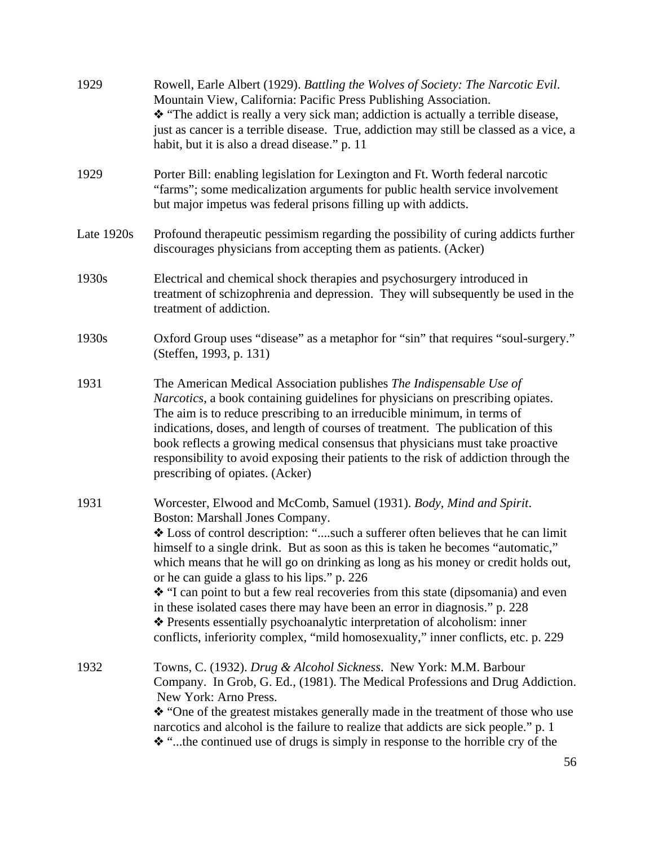| 1929         | Rowell, Earle Albert (1929). Battling the Wolves of Society: The Narcotic Evil.<br>Mountain View, California: Pacific Press Publishing Association.<br>* "The addict is really a very sick man; addiction is actually a terrible disease,<br>just as cancer is a terrible disease. True, addiction may still be classed as a vice, a<br>habit, but it is also a dread disease." p. 11                                                                                                                                                                                                                                                                                                                                                                    |
|--------------|----------------------------------------------------------------------------------------------------------------------------------------------------------------------------------------------------------------------------------------------------------------------------------------------------------------------------------------------------------------------------------------------------------------------------------------------------------------------------------------------------------------------------------------------------------------------------------------------------------------------------------------------------------------------------------------------------------------------------------------------------------|
| 1929         | Porter Bill: enabling legislation for Lexington and Ft. Worth federal narcotic<br>"farms"; some medicalization arguments for public health service involvement<br>but major impetus was federal prisons filling up with addicts.                                                                                                                                                                                                                                                                                                                                                                                                                                                                                                                         |
| Late $1920s$ | Profound therapeutic pessimism regarding the possibility of curing addicts further<br>discourages physicians from accepting them as patients. (Acker)                                                                                                                                                                                                                                                                                                                                                                                                                                                                                                                                                                                                    |
| 1930s        | Electrical and chemical shock therapies and psychosurgery introduced in<br>treatment of schizophrenia and depression. They will subsequently be used in the<br>treatment of addiction.                                                                                                                                                                                                                                                                                                                                                                                                                                                                                                                                                                   |
| 1930s        | Oxford Group uses "disease" as a metaphor for "sin" that requires "soul-surgery."<br>(Steffen, 1993, p. 131)                                                                                                                                                                                                                                                                                                                                                                                                                                                                                                                                                                                                                                             |
| 1931         | The American Medical Association publishes The Indispensable Use of<br>Narcotics, a book containing guidelines for physicians on prescribing opiates.<br>The aim is to reduce prescribing to an irreducible minimum, in terms of<br>indications, doses, and length of courses of treatment. The publication of this<br>book reflects a growing medical consensus that physicians must take proactive<br>responsibility to avoid exposing their patients to the risk of addiction through the<br>prescribing of opiates. (Acker)                                                                                                                                                                                                                          |
| 1931         | Worcester, Elwood and McComb, Samuel (1931). Body, Mind and Spirit.<br>Boston: Marshall Jones Company.<br>* Loss of control description: "such a sufferer often believes that he can limit<br>himself to a single drink. But as soon as this is taken he becomes "automatic,"<br>which means that he will go on drinking as long as his money or credit holds out,<br>or he can guide a glass to his lips." p. 226<br>* "I can point to but a few real recoveries from this state (dipsomania) and even<br>in these isolated cases there may have been an error in diagnosis." p. 228<br>◆ Presents essentially psychoanalytic interpretation of alcoholism: inner<br>conflicts, inferiority complex, "mild homosexuality," inner conflicts, etc. p. 229 |
| 1932         | Towns, C. (1932). Drug & Alcohol Sickness. New York: M.M. Barbour<br>Company. In Grob, G. Ed., (1981). The Medical Professions and Drug Addiction.<br>New York: Arno Press.<br>• "One of the greatest mistakes generally made in the treatment of those who use<br>narcotics and alcohol is the failure to realize that addicts are sick people." p. 1<br>• "the continued use of drugs is simply in response to the horrible cry of the                                                                                                                                                                                                                                                                                                                 |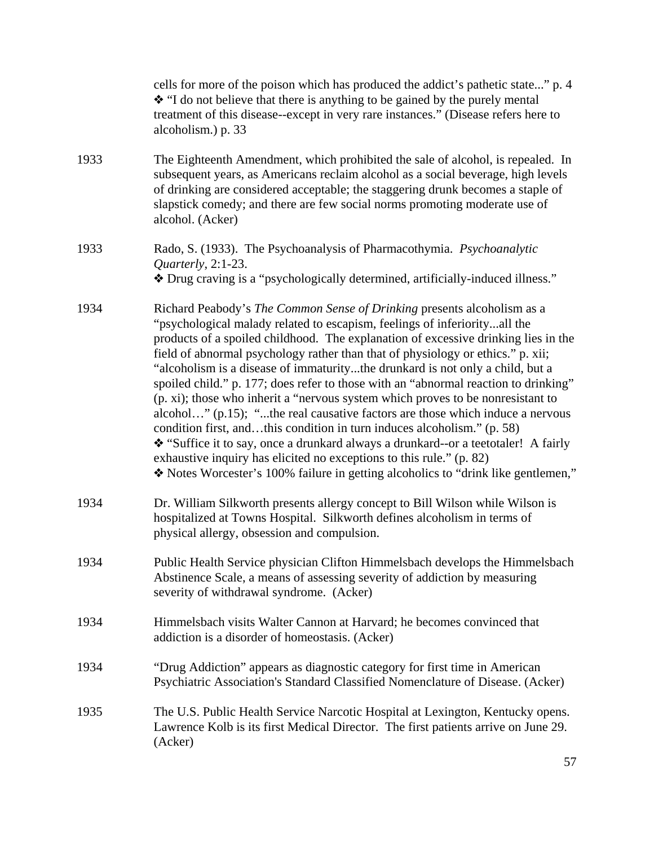|      | cells for more of the poison which has produced the addict's pathetic state" p. 4<br>* "I do not believe that there is anything to be gained by the purely mental<br>treatment of this disease-except in very rare instances." (Disease refers here to<br>alcoholism.) p. 33                                                                                                                                                                                                                                                                                                                                                                                                                                                                                                                                                                                                                                                                                                                               |
|------|------------------------------------------------------------------------------------------------------------------------------------------------------------------------------------------------------------------------------------------------------------------------------------------------------------------------------------------------------------------------------------------------------------------------------------------------------------------------------------------------------------------------------------------------------------------------------------------------------------------------------------------------------------------------------------------------------------------------------------------------------------------------------------------------------------------------------------------------------------------------------------------------------------------------------------------------------------------------------------------------------------|
| 1933 | The Eighteenth Amendment, which prohibited the sale of alcohol, is repealed. In<br>subsequent years, as Americans reclaim alcohol as a social beverage, high levels<br>of drinking are considered acceptable; the staggering drunk becomes a staple of<br>slapstick comedy; and there are few social norms promoting moderate use of<br>alcohol. (Acker)                                                                                                                                                                                                                                                                                                                                                                                                                                                                                                                                                                                                                                                   |
| 1933 | Rado, S. (1933). The Psychoanalysis of Pharmacothymia. Psychoanalytic<br>$Quarterly, 2:1-23.$<br>* Drug craving is a "psychologically determined, artificially-induced illness."                                                                                                                                                                                                                                                                                                                                                                                                                                                                                                                                                                                                                                                                                                                                                                                                                           |
| 1934 | Richard Peabody's The Common Sense of Drinking presents alcoholism as a<br>"psychological malady related to escapism, feelings of inferiorityall the<br>products of a spoiled childhood. The explanation of excessive drinking lies in the<br>field of abnormal psychology rather than that of physiology or ethics." p. xii;<br>"alcoholism is a disease of immaturitythe drunkard is not only a child, but a<br>spoiled child." p. 177; does refer to those with an "abnormal reaction to drinking"<br>(p. xi); those who inherit a "nervous system which proves to be nonresistant to<br>alcohol" $(p.15)$ ; "the real causative factors are those which induce a nervous<br>condition first, andthis condition in turn induces alcoholism." (p. 58)<br>* "Suffice it to say, once a drunkard always a drunkard--or a teetotaler! A fairly<br>exhaustive inquiry has elicited no exceptions to this rule." (p. 82)<br>* Notes Worcester's 100% failure in getting alcoholics to "drink like gentlemen," |
| 1934 | Dr. William Silkworth presents allergy concept to Bill Wilson while Wilson is<br>hospitalized at Towns Hospital. Silkworth defines alcoholism in terms of<br>physical allergy, obsession and compulsion.                                                                                                                                                                                                                                                                                                                                                                                                                                                                                                                                                                                                                                                                                                                                                                                                   |
| 1934 | Public Health Service physician Clifton Himmelsbach develops the Himmelsbach<br>Abstinence Scale, a means of assessing severity of addiction by measuring<br>severity of withdrawal syndrome. (Acker)                                                                                                                                                                                                                                                                                                                                                                                                                                                                                                                                                                                                                                                                                                                                                                                                      |
| 1934 | Himmelsbach visits Walter Cannon at Harvard; he becomes convinced that<br>addiction is a disorder of homeostasis. (Acker)                                                                                                                                                                                                                                                                                                                                                                                                                                                                                                                                                                                                                                                                                                                                                                                                                                                                                  |
| 1934 | "Drug Addiction" appears as diagnostic category for first time in American<br>Psychiatric Association's Standard Classified Nomenclature of Disease. (Acker)                                                                                                                                                                                                                                                                                                                                                                                                                                                                                                                                                                                                                                                                                                                                                                                                                                               |
| 1935 | The U.S. Public Health Service Narcotic Hospital at Lexington, Kentucky opens.<br>Lawrence Kolb is its first Medical Director. The first patients arrive on June 29.<br>(Acker)                                                                                                                                                                                                                                                                                                                                                                                                                                                                                                                                                                                                                                                                                                                                                                                                                            |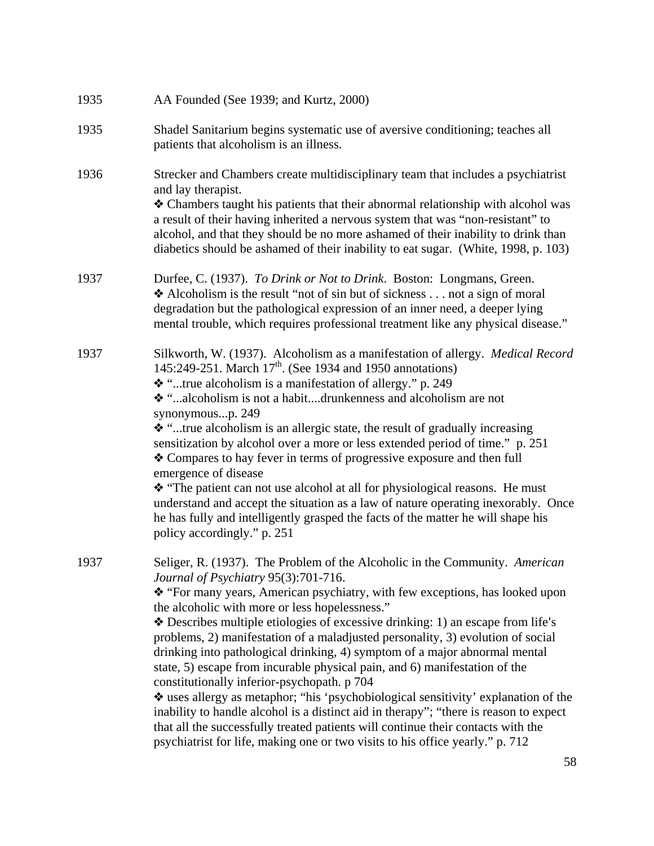| 1935 | AA Founded (See 1939; and Kurtz, 2000)                                                                                                                                                                                                                                                                                                                                                                                                                                                                                                                                                                                                                                                                                                                                                                                                                                                                                                                                                     |
|------|--------------------------------------------------------------------------------------------------------------------------------------------------------------------------------------------------------------------------------------------------------------------------------------------------------------------------------------------------------------------------------------------------------------------------------------------------------------------------------------------------------------------------------------------------------------------------------------------------------------------------------------------------------------------------------------------------------------------------------------------------------------------------------------------------------------------------------------------------------------------------------------------------------------------------------------------------------------------------------------------|
| 1935 | Shadel Sanitarium begins systematic use of aversive conditioning; teaches all<br>patients that alcoholism is an illness.                                                                                                                                                                                                                                                                                                                                                                                                                                                                                                                                                                                                                                                                                                                                                                                                                                                                   |
| 1936 | Strecker and Chambers create multidisciplinary team that includes a psychiatrist<br>and lay therapist.<br>* Chambers taught his patients that their abnormal relationship with alcohol was<br>a result of their having inherited a nervous system that was "non-resistant" to<br>alcohol, and that they should be no more ashamed of their inability to drink than<br>diabetics should be ashamed of their inability to eat sugar. (White, 1998, p. 103)                                                                                                                                                                                                                                                                                                                                                                                                                                                                                                                                   |
| 1937 | Durfee, C. (1937). To Drink or Not to Drink. Boston: Longmans, Green.<br>Alcoholism is the result "not of sin but of sickness not a sign of moral<br>degradation but the pathological expression of an inner need, a deeper lying<br>mental trouble, which requires professional treatment like any physical disease."                                                                                                                                                                                                                                                                                                                                                                                                                                                                                                                                                                                                                                                                     |
| 1937 | Silkworth, W. (1937). Alcoholism as a manifestation of allergy. Medical Record<br>145:249-251. March $17^{th}$ . (See 1934 and 1950 annotations)<br><b>❖</b> "true alcoholism is a manifestation of allergy." p. 249<br>❖ "alcoholism is not a habitdrunkenness and alcoholism are not<br>synonymousp. 249<br>* "true alcoholism is an allergic state, the result of gradually increasing<br>sensitization by alcohol over a more or less extended period of time." p. 251<br>* Compares to hay fever in terms of progressive exposure and then full<br>emergence of disease<br>* "The patient can not use alcohol at all for physiological reasons. He must<br>understand and accept the situation as a law of nature operating inexorably. Once<br>he has fully and intelligently grasped the facts of the matter he will shape his<br>policy accordingly." p. 251                                                                                                                       |
| 1937 | Seliger, R. (1937). The Problem of the Alcoholic in the Community. American<br>Journal of Psychiatry 95(3):701-716.<br>* "For many years, American psychiatry, with few exceptions, has looked upon<br>the alcoholic with more or less hopelessness."<br>◆ Describes multiple etiologies of excessive drinking: 1) an escape from life's<br>problems, 2) manifestation of a maladjusted personality, 3) evolution of social<br>drinking into pathological drinking, 4) symptom of a major abnormal mental<br>state, 5) escape from incurable physical pain, and 6) manifestation of the<br>constitutionally inferior-psychopath. p 704<br>❖ uses allergy as metaphor; "his 'psychobiological sensitivity' explanation of the<br>inability to handle alcohol is a distinct aid in therapy"; "there is reason to expect<br>that all the successfully treated patients will continue their contacts with the<br>psychiatrist for life, making one or two visits to his office yearly." p. 712 |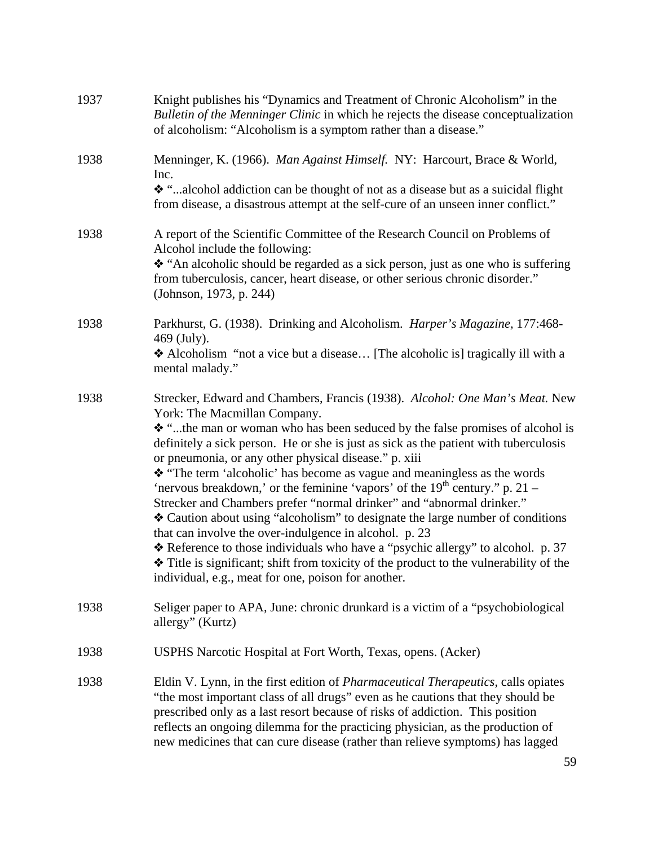| 1937 | Knight publishes his "Dynamics and Treatment of Chronic Alcoholism" in the<br>Bulletin of the Menninger Clinic in which he rejects the disease conceptualization<br>of alcoholism: "Alcoholism is a symptom rather than a disease."                                                                                                                                                                                              |
|------|----------------------------------------------------------------------------------------------------------------------------------------------------------------------------------------------------------------------------------------------------------------------------------------------------------------------------------------------------------------------------------------------------------------------------------|
| 1938 | Menninger, K. (1966). Man Against Himself. NY: Harcourt, Brace & World,<br>Inc.                                                                                                                                                                                                                                                                                                                                                  |
|      | • "alcohol addiction can be thought of not as a disease but as a suicidal flight<br>from disease, a disastrous attempt at the self-cure of an unseen inner conflict."                                                                                                                                                                                                                                                            |
| 1938 | A report of the Scientific Committee of the Research Council on Problems of<br>Alcohol include the following:<br>* "An alcoholic should be regarded as a sick person, just as one who is suffering<br>from tuberculosis, cancer, heart disease, or other serious chronic disorder."<br>(Johnson, 1973, p. 244)                                                                                                                   |
| 1938 | Parkhurst, G. (1938). Drinking and Alcoholism. Harper's Magazine, 177:468-<br>469 (July).                                                                                                                                                                                                                                                                                                                                        |
|      | Alcoholism "not a vice but a disease [The alcoholic is] tragically ill with a<br>mental malady."                                                                                                                                                                                                                                                                                                                                 |
| 1938 | Strecker, Edward and Chambers, Francis (1938). Alcohol: One Man's Meat. New<br>York: The Macmillan Company.<br>• "the man or woman who has been seduced by the false promises of alcohol is<br>definitely a sick person. He or she is just as sick as the patient with tuberculosis                                                                                                                                              |
|      | or pneumonia, or any other physical disease." p. xiii<br>* "The term 'alcoholic' has become as vague and meaningless as the words<br>'nervous breakdown,' or the feminine 'vapors' of the $19th$ century." p. 21 –                                                                                                                                                                                                               |
|      | Strecker and Chambers prefer "normal drinker" and "abnormal drinker."<br>* Caution about using "alcoholism" to designate the large number of conditions<br>that can involve the over-indulgence in alcohol. p. 23                                                                                                                                                                                                                |
|      | * Reference to those individuals who have a "psychic allergy" to alcohol. p. 37<br>Title is significant; shift from toxicity of the product to the vulnerability of the<br>individual, e.g., meat for one, poison for another.                                                                                                                                                                                                   |
| 1938 | Seliger paper to APA, June: chronic drunkard is a victim of a "psychobiological"<br>allergy" (Kurtz)                                                                                                                                                                                                                                                                                                                             |
| 1938 | USPHS Narcotic Hospital at Fort Worth, Texas, opens. (Acker)                                                                                                                                                                                                                                                                                                                                                                     |
| 1938 | Eldin V. Lynn, in the first edition of <i>Pharmaceutical Therapeutics</i> , calls opiates<br>"the most important class of all drugs" even as he cautions that they should be<br>prescribed only as a last resort because of risks of addiction. This position<br>reflects an ongoing dilemma for the practicing physician, as the production of<br>new medicines that can cure disease (rather than relieve symptoms) has lagged |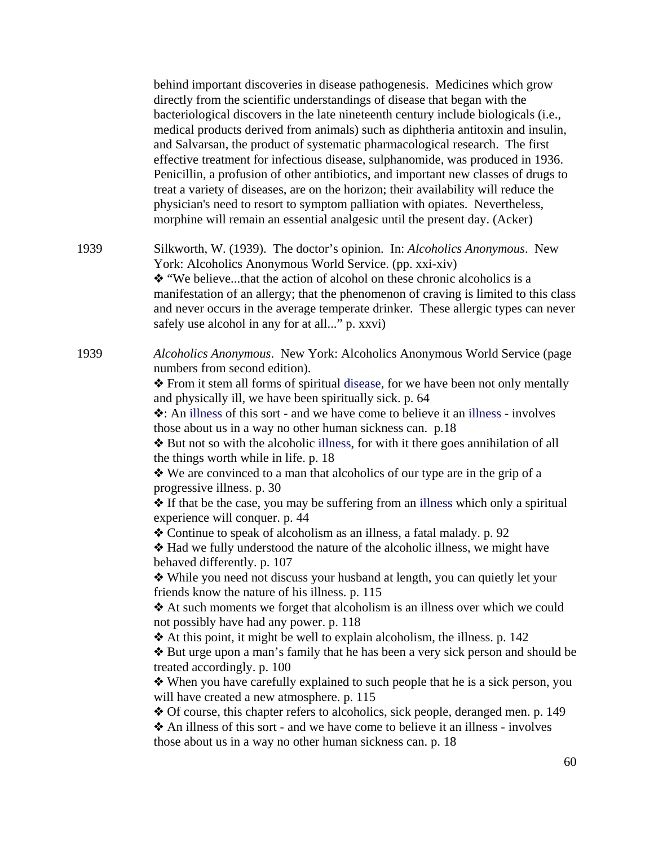60 behind important discoveries in disease pathogenesis. Medicines which grow directly from the scientific understandings of disease that began with the bacteriological discovers in the late nineteenth century include biologicals (i.e., medical products derived from animals) such as diphtheria antitoxin and insulin, and Salvarsan, the product of systematic pharmacological research. The first effective treatment for infectious disease, sulphanomide, was produced in 1936. Penicillin, a profusion of other antibiotics, and important new classes of drugs to treat a variety of diseases, are on the horizon; their availability will reduce the physician's need to resort to symptom palliation with opiates. Nevertheless, morphine will remain an essential analgesic until the present day. (Acker) 1939 Silkworth, W. (1939). The doctor's opinion. In: *Alcoholics Anonymous*. New York: Alcoholics Anonymous World Service. (pp. xxi-xiv) ˜ "We believe...that the action of alcohol on these chronic alcoholics is a manifestation of an allergy; that the phenomenon of craving is limited to this class and never occurs in the average temperate drinker. These allergic types can never safely use alcohol in any for at all..." p. xxvi) 1939 *Alcoholics Anonymous*. New York: Alcoholics Anonymous World Service (page numbers from second edition). ˜ From it stem all forms of spiritual disease, for we have been not only mentally and physically ill, we have been spiritually sick. p. 64 ˜: An illness of this sort - and we have come to believe it an illness - involves those about us in a way no other human sickness can. p.18 ˜ But not so with the alcoholic illness, for with it there goes annihilation of all the things worth while in life. p. 18 ˜ We are convinced to a man that alcoholics of our type are in the grip of a progressive illness. p. 30 ˜ If that be the case, you may be suffering from an illness which only a spiritual experience will conquer. p. 44 ˜ Continue to speak of alcoholism as an illness, a fatal malady. p. 92 ˜ Had we fully understood the nature of the alcoholic illness, we might have behaved differently. p. 107 ˜ While you need not discuss your husband at length, you can quietly let your friends know the nature of his illness. p. 115 ˜ At such moments we forget that alcoholism is an illness over which we could not possibly have had any power. p. 118 ˜ At this point, it might be well to explain alcoholism, the illness. p. 142 ˜ But urge upon a man's family that he has been a very sick person and should be treated accordingly. p. 100 ˜ When you have carefully explained to such people that he is a sick person, you will have created a new atmosphere. p. 115 ˜ Of course, this chapter refers to alcoholics, sick people, deranged men. p. 149 ˜ An illness of this sort - and we have come to believe it an illness - involves those about us in a way no other human sickness can. p. 18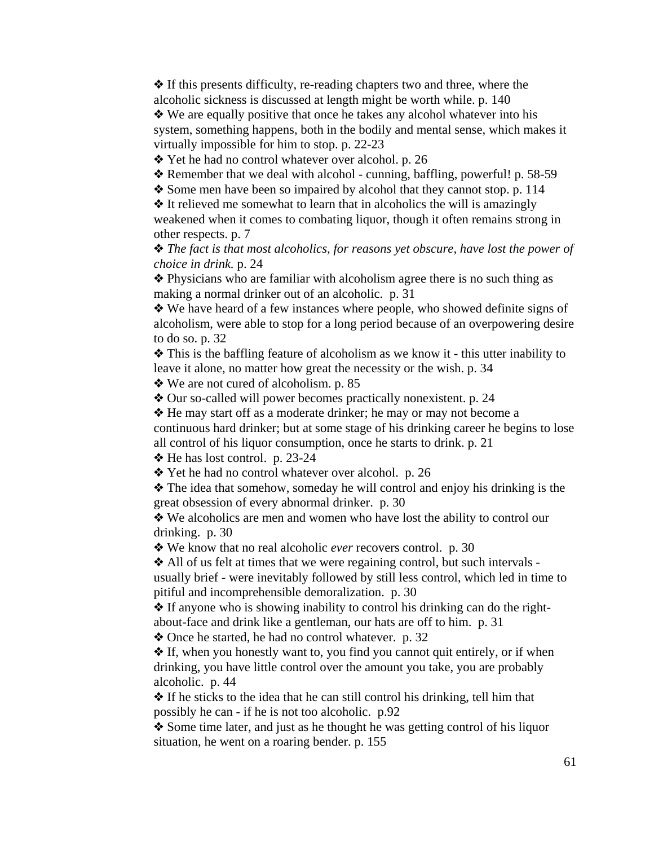˜ If this presents difficulty, re-reading chapters two and three, where the alcoholic sickness is discussed at length might be worth while. p. 140

˜ We are equally positive that once he takes any alcohol whatever into his system, something happens, both in the bodily and mental sense, which makes it virtually impossible for him to stop. p. 22-23

˜ Yet he had no control whatever over alcohol. p. 26

˜ Remember that we deal with alcohol - cunning, baffling, powerful! p. 58-59

˜ Some men have been so impaired by alcohol that they cannot stop. p. 114

˜ It relieved me somewhat to learn that in alcoholics the will is amazingly weakened when it comes to combating liquor, though it often remains strong in other respects. p. 7

˜ *The fact is that most alcoholics, for reasons yet obscure, have lost the power of choice in drink.* p. 24

˜ Physicians who are familiar with alcoholism agree there is no such thing as making a normal drinker out of an alcoholic. p. 31

˜ We have heard of a few instances where people, who showed definite signs of alcoholism, were able to stop for a long period because of an overpowering desire to do so. p. 32

˜ This is the baffling feature of alcoholism as we know it - this utter inability to leave it alone, no matter how great the necessity or the wish. p. 34

˜ We are not cured of alcoholism. p. 85

˜ Our so-called will power becomes practically nonexistent. p. 24

˜ He may start off as a moderate drinker; he may or may not become a continuous hard drinker; but at some stage of his drinking career he begins to lose all control of his liquor consumption, once he starts to drink. p. 21

˜ He has lost control. p. 23-24

˜ Yet he had no control whatever over alcohol. p. 26

˜ The idea that somehow, someday he will control and enjoy his drinking is the great obsession of every abnormal drinker. p. 30

˜ We alcoholics are men and women who have lost the ability to control our drinking. p. 30

˜ We know that no real alcoholic *ever* recovers control. p. 30

˜ All of us felt at times that we were regaining control, but such intervals usually brief - were inevitably followed by still less control, which led in time to pitiful and incomprehensible demoralization. p. 30

˜ If anyone who is showing inability to control his drinking can do the rightabout-face and drink like a gentleman, our hats are off to him. p. 31

˜ Once he started, he had no control whatever. p. 32

˜ If, when you honestly want to, you find you cannot quit entirely, or if when drinking, you have little control over the amount you take, you are probably alcoholic. p. 44

˜ If he sticks to the idea that he can still control his drinking, tell him that possibly he can - if he is not too alcoholic. p.92

˜ Some time later, and just as he thought he was getting control of his liquor situation, he went on a roaring bender. p. 155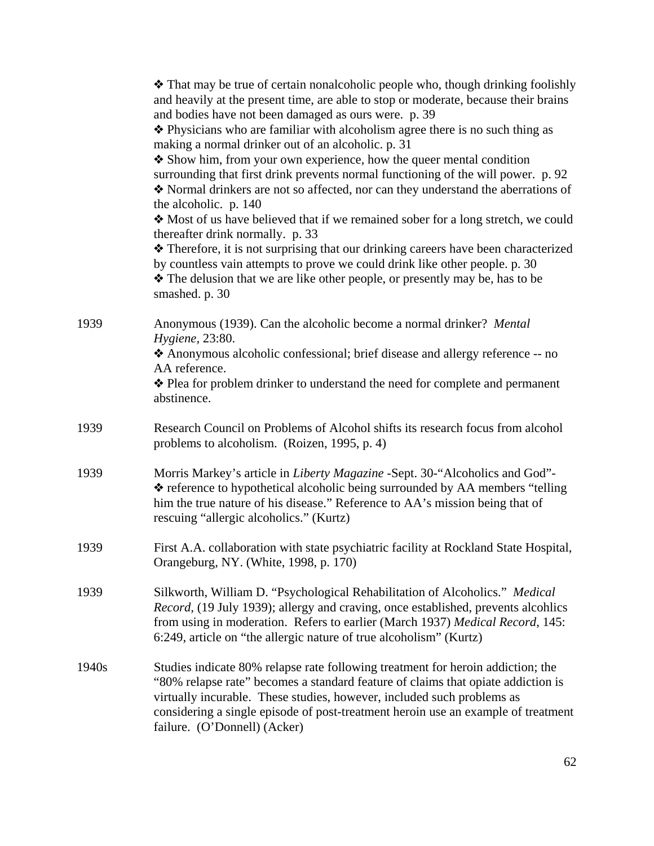|       | That may be true of certain nonalcoholic people who, though drinking foolishly<br>and heavily at the present time, are able to stop or moderate, because their brains<br>and bodies have not been damaged as ours were. p. 39<br>◆ Physicians who are familiar with alcoholism agree there is no such thing as<br>making a normal drinker out of an alcoholic. p. 31                      |
|-------|-------------------------------------------------------------------------------------------------------------------------------------------------------------------------------------------------------------------------------------------------------------------------------------------------------------------------------------------------------------------------------------------|
|       | Show him, from your own experience, how the queer mental condition<br>surrounding that first drink prevents normal functioning of the will power. p. 92<br>Normal drinkers are not so affected, nor can they understand the aberrations of<br>the alcoholic. p. 140                                                                                                                       |
|       | • Most of us have believed that if we remained sober for a long stretch, we could<br>thereafter drink normally. p. 33<br>Therefore, it is not surprising that our drinking careers have been characterized<br>by countless vain attempts to prove we could drink like other people. p. 30<br>The delusion that we are like other people, or presently may be, has to be<br>smashed. p. 30 |
| 1939  | Anonymous (1939). Can the alcoholic become a normal drinker? Mental<br>Hygiene, 23:80.<br>◆ Anonymous alcoholic confessional; brief disease and allergy reference -- no<br>AA reference.<br>◆ Plea for problem drinker to understand the need for complete and permanent<br>abstinence.                                                                                                   |
| 1939  | Research Council on Problems of Alcohol shifts its research focus from alcohol<br>problems to alcoholism. (Roizen, 1995, p. 4)                                                                                                                                                                                                                                                            |
| 1939  | Morris Markey's article in Liberty Magazine -Sept. 30-"Alcoholics and God"-<br>❖ reference to hypothetical alcoholic being surrounded by AA members "telling<br>him the true nature of his disease." Reference to AA's mission being that of<br>rescuing "allergic alcoholics." (Kurtz)                                                                                                   |
| 1939  | First A.A. collaboration with state psychiatric facility at Rockland State Hospital,<br>Orangeburg, NY. (White, 1998, p. 170)                                                                                                                                                                                                                                                             |
| 1939  | Silkworth, William D. "Psychological Rehabilitation of Alcoholics." Medical<br>Record, (19 July 1939); allergy and craving, once established, prevents alcohlics<br>from using in moderation. Refers to earlier (March 1937) Medical Record, 145:<br>6:249, article on "the allergic nature of true alcoholism" (Kurtz)                                                                   |
| 1940s | Studies indicate 80% relapse rate following treatment for heroin addiction; the<br>"80% relapse rate" becomes a standard feature of claims that opiate addiction is<br>virtually incurable. These studies, however, included such problems as<br>considering a single episode of post-treatment heroin use an example of treatment<br>failure. (O'Donnell) (Acker)                        |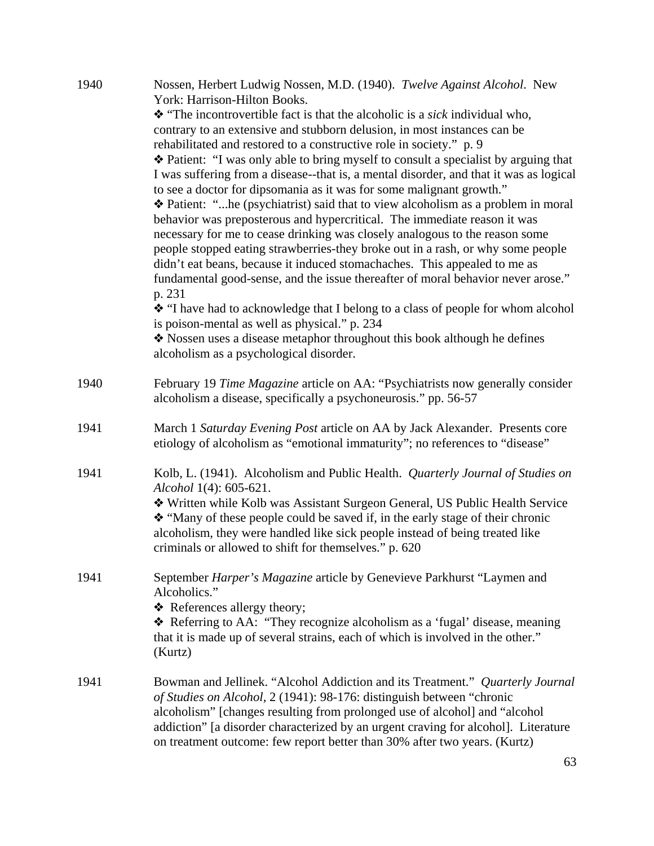| 1940 | Nossen, Herbert Ludwig Nossen, M.D. (1940). Twelve Against Alcohol. New<br>York: Harrison-Hilton Books.<br>$\triangle$ "The incontrovertible fact is that the alcoholic is a <i>sick</i> individual who,<br>contrary to an extensive and stubborn delusion, in most instances can be<br>rehabilitated and restored to a constructive role in society." p. 9<br>❖ Patient: "I was only able to bring myself to consult a specialist by arguing that<br>I was suffering from a disease--that is, a mental disorder, and that it was as logical<br>to see a doctor for dipsomania as it was for some malignant growth."<br>◆ Patient: "he (psychiatrist) said that to view alcoholism as a problem in moral<br>behavior was preposterous and hypercritical. The immediate reason it was<br>necessary for me to cease drinking was closely analogous to the reason some<br>people stopped eating strawberries-they broke out in a rash, or why some people<br>didn't eat beans, because it induced stomachaches. This appealed to me as<br>fundamental good-sense, and the issue thereafter of moral behavior never arose."<br>p. 231<br>* "I have had to acknowledge that I belong to a class of people for whom alcohol<br>is poison-mental as well as physical." p. 234 |
|------|------------------------------------------------------------------------------------------------------------------------------------------------------------------------------------------------------------------------------------------------------------------------------------------------------------------------------------------------------------------------------------------------------------------------------------------------------------------------------------------------------------------------------------------------------------------------------------------------------------------------------------------------------------------------------------------------------------------------------------------------------------------------------------------------------------------------------------------------------------------------------------------------------------------------------------------------------------------------------------------------------------------------------------------------------------------------------------------------------------------------------------------------------------------------------------------------------------------------------------------------------------------------|
|      | Nossen uses a disease metaphor throughout this book although he defines<br>alcoholism as a psychological disorder.                                                                                                                                                                                                                                                                                                                                                                                                                                                                                                                                                                                                                                                                                                                                                                                                                                                                                                                                                                                                                                                                                                                                                     |
| 1940 | February 19 Time Magazine article on AA: "Psychiatrists now generally consider<br>alcoholism a disease, specifically a psychoneurosis." pp. 56-57                                                                                                                                                                                                                                                                                                                                                                                                                                                                                                                                                                                                                                                                                                                                                                                                                                                                                                                                                                                                                                                                                                                      |
| 1941 | March 1 Saturday Evening Post article on AA by Jack Alexander. Presents core<br>etiology of alcoholism as "emotional immaturity"; no references to "disease"                                                                                                                                                                                                                                                                                                                                                                                                                                                                                                                                                                                                                                                                                                                                                                                                                                                                                                                                                                                                                                                                                                           |
| 1941 | Kolb, L. (1941). Alcoholism and Public Health. Quarterly Journal of Studies on<br>Alcohol 1(4): 605-621.<br>Written while Kolb was Assistant Surgeon General, US Public Health Service<br>• "Many of these people could be saved if, in the early stage of their chronic<br>alcoholism, they were handled like sick people instead of being treated like<br>criminals or allowed to shift for themselves." p. 620                                                                                                                                                                                                                                                                                                                                                                                                                                                                                                                                                                                                                                                                                                                                                                                                                                                      |
| 1941 | September Harper's Magazine article by Genevieve Parkhurst "Laymen and<br>Alcoholics."<br>❖ References allergy theory;<br>◆ Referring to AA: "They recognize alcoholism as a 'fugal' disease, meaning<br>that it is made up of several strains, each of which is involved in the other."<br>(Kurtz)                                                                                                                                                                                                                                                                                                                                                                                                                                                                                                                                                                                                                                                                                                                                                                                                                                                                                                                                                                    |
| 1941 | Bowman and Jellinek. "Alcohol Addiction and its Treatment." <i>Quarterly Journal</i><br>of Studies on Alcohol, 2 (1941): 98-176: distinguish between "chronic<br>alcoholism" [changes resulting from prolonged use of alcohol] and "alcohol<br>addiction" [a disorder characterized by an urgent craving for alcohol]. Literature<br>on treatment outcome: few report better than 30% after two years. (Kurtz)                                                                                                                                                                                                                                                                                                                                                                                                                                                                                                                                                                                                                                                                                                                                                                                                                                                         |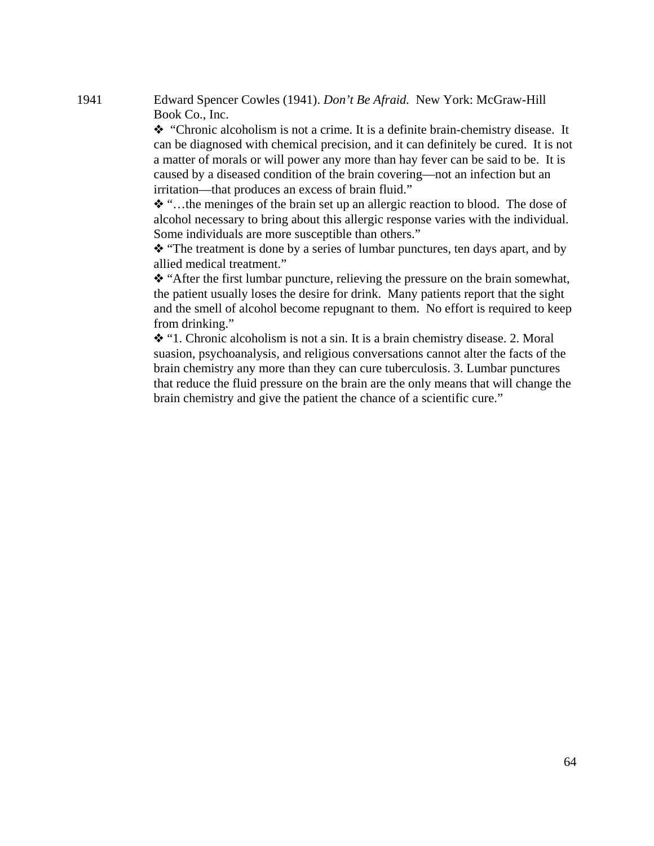1941 Edward Spencer Cowles (1941). *Don't Be Afraid.* New York: McGraw-Hill Book Co., Inc.

> ˜ "Chronic alcoholism is not a crime. It is a definite brain-chemistry disease. It can be diagnosed with chemical precision, and it can definitely be cured. It is not a matter of morals or will power any more than hay fever can be said to be. It is caused by a diseased condition of the brain covering—not an infection but an irritation—that produces an excess of brain fluid."

˜ "…the meninges of the brain set up an allergic reaction to blood. The dose of alcohol necessary to bring about this allergic response varies with the individual. Some individuals are more susceptible than others."

˜ "The treatment is done by a series of lumbar punctures, ten days apart, and by allied medical treatment."

˜ "After the first lumbar puncture, relieving the pressure on the brain somewhat, the patient usually loses the desire for drink. Many patients report that the sight and the smell of alcohol become repugnant to them. No effort is required to keep from drinking."

˜ "1. Chronic alcoholism is not a sin. It is a brain chemistry disease. 2. Moral suasion, psychoanalysis, and religious conversations cannot alter the facts of the brain chemistry any more than they can cure tuberculosis. 3. Lumbar punctures that reduce the fluid pressure on the brain are the only means that will change the brain chemistry and give the patient the chance of a scientific cure."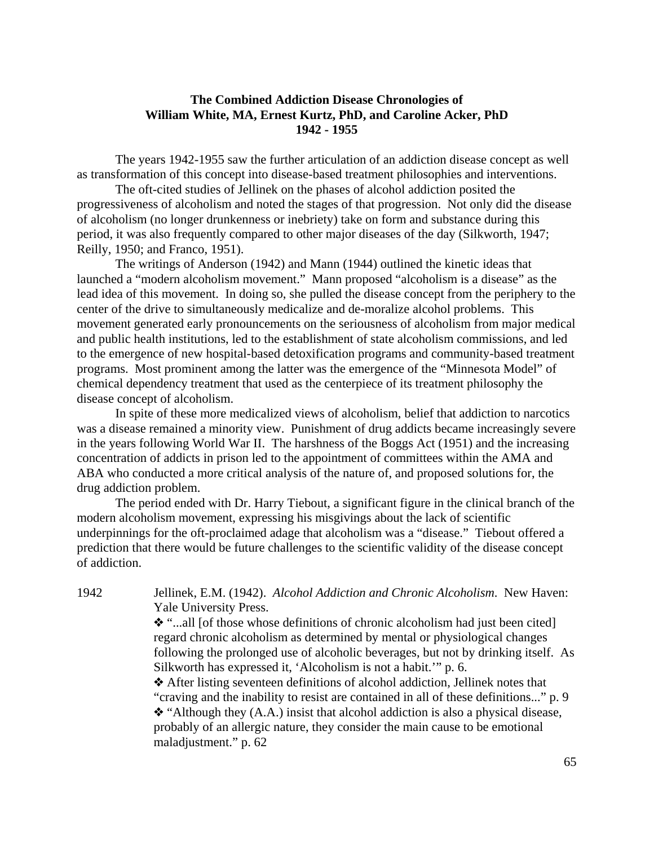## **The Combined Addiction Disease Chronologies of William White, MA, Ernest Kurtz, PhD, and Caroline Acker, PhD 1942 - 1955**

The years 1942-1955 saw the further articulation of an addiction disease concept as well as transformation of this concept into disease-based treatment philosophies and interventions.

The oft-cited studies of Jellinek on the phases of alcohol addiction posited the progressiveness of alcoholism and noted the stages of that progression. Not only did the disease of alcoholism (no longer drunkenness or inebriety) take on form and substance during this period, it was also frequently compared to other major diseases of the day (Silkworth, 1947; Reilly, 1950; and Franco, 1951).

The writings of Anderson (1942) and Mann (1944) outlined the kinetic ideas that launched a "modern alcoholism movement." Mann proposed "alcoholism is a disease" as the lead idea of this movement. In doing so, she pulled the disease concept from the periphery to the center of the drive to simultaneously medicalize and de-moralize alcohol problems. This movement generated early pronouncements on the seriousness of alcoholism from major medical and public health institutions, led to the establishment of state alcoholism commissions, and led to the emergence of new hospital-based detoxification programs and community-based treatment programs. Most prominent among the latter was the emergence of the "Minnesota Model" of chemical dependency treatment that used as the centerpiece of its treatment philosophy the disease concept of alcoholism.

In spite of these more medicalized views of alcoholism, belief that addiction to narcotics was a disease remained a minority view. Punishment of drug addicts became increasingly severe in the years following World War II. The harshness of the Boggs Act (1951) and the increasing concentration of addicts in prison led to the appointment of committees within the AMA and ABA who conducted a more critical analysis of the nature of, and proposed solutions for, the drug addiction problem.

The period ended with Dr. Harry Tiebout, a significant figure in the clinical branch of the modern alcoholism movement, expressing his misgivings about the lack of scientific underpinnings for the oft-proclaimed adage that alcoholism was a "disease." Tiebout offered a prediction that there would be future challenges to the scientific validity of the disease concept of addiction.

1942 Jellinek, E.M. (1942). *Alcohol Addiction and Chronic Alcoholism*. New Haven: Yale University Press.

˜ "...all [of those whose definitions of chronic alcoholism had just been cited] regard chronic alcoholism as determined by mental or physiological changes following the prolonged use of alcoholic beverages, but not by drinking itself. As Silkworth has expressed it, 'Alcoholism is not a habit.'" p. 6.

˜ After listing seventeen definitions of alcohol addiction, Jellinek notes that "craving and the inability to resist are contained in all of these definitions..." p. 9  $*$  "Although they (A.A.) insist that alcohol addiction is also a physical disease, probably of an allergic nature, they consider the main cause to be emotional maladjustment." p. 62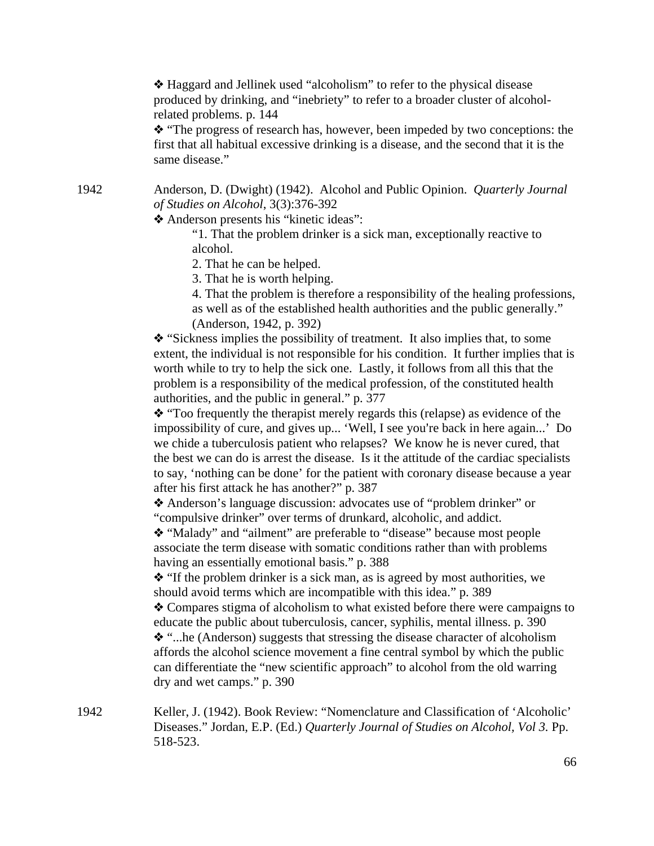˜ Haggard and Jellinek used "alcoholism" to refer to the physical disease produced by drinking, and "inebriety" to refer to a broader cluster of alcoholrelated problems. p. 144

˜ "The progress of research has, however, been impeded by two conceptions: the first that all habitual excessive drinking is a disease, and the second that it is the same disease."

1942 Anderson, D. (Dwight) (1942). Alcohol and Public Opinion. *Quarterly Journal of Studies on Alcohol*, 3(3):376-392

˜ Anderson presents his "kinetic ideas":

"1. That the problem drinker is a sick man, exceptionally reactive to alcohol.

2. That he can be helped.

3. That he is worth helping.

4. That the problem is therefore a responsibility of the healing professions, as well as of the established health authorities and the public generally." (Anderson, 1942, p. 392)

˜ "Sickness implies the possibility of treatment. It also implies that, to some extent, the individual is not responsible for his condition. It further implies that is worth while to try to help the sick one. Lastly, it follows from all this that the problem is a responsibility of the medical profession, of the constituted health authorities, and the public in general." p. 377

˜ "Too frequently the therapist merely regards this (relapse) as evidence of the impossibility of cure, and gives up... 'Well, I see you're back in here again...' Do we chide a tuberculosis patient who relapses? We know he is never cured, that the best we can do is arrest the disease. Is it the attitude of the cardiac specialists to say, 'nothing can be done' for the patient with coronary disease because a year after his first attack he has another?" p. 387

˜ Anderson's language discussion: advocates use of "problem drinker" or "compulsive drinker" over terms of drunkard, alcoholic, and addict.

˜ "Malady" and "ailment" are preferable to "disease" because most people associate the term disease with somatic conditions rather than with problems having an essentially emotional basis." p. 388

˜ "If the problem drinker is a sick man, as is agreed by most authorities, we should avoid terms which are incompatible with this idea." p. 389

˜ Compares stigma of alcoholism to what existed before there were campaigns to educate the public about tuberculosis, cancer, syphilis, mental illness. p. 390 ˜ "...he (Anderson) suggests that stressing the disease character of alcoholism affords the alcohol science movement a fine central symbol by which the public can differentiate the "new scientific approach" to alcohol from the old warring dry and wet camps." p. 390

1942 Keller, J. (1942). Book Review: "Nomenclature and Classification of 'Alcoholic' Diseases." Jordan, E.P. (Ed.) *Quarterly Journal of Studies on Alcohol, Vol 3.* Pp. 518-523.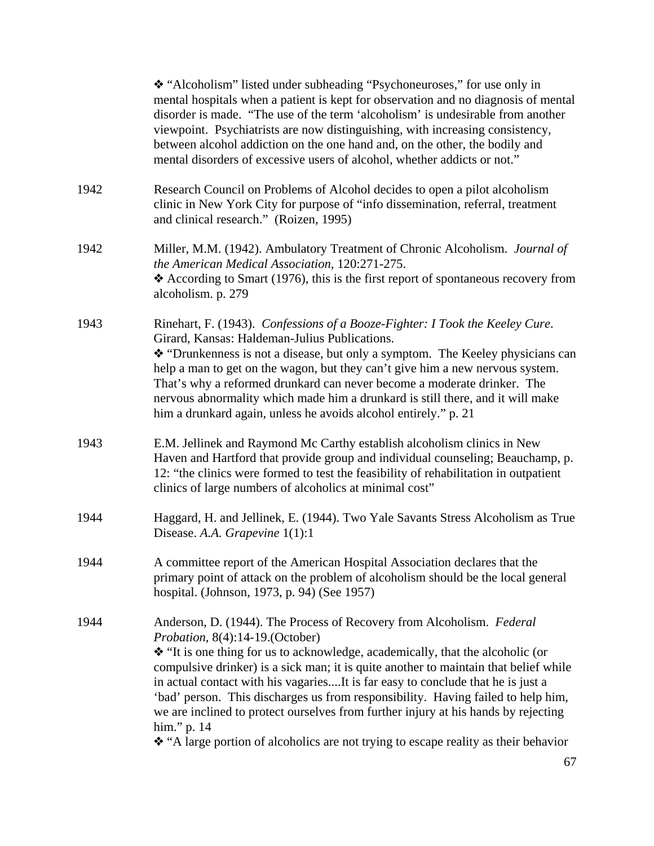|      | * "Alcoholism" listed under subheading "Psychoneuroses," for use only in<br>mental hospitals when a patient is kept for observation and no diagnosis of mental<br>disorder is made. "The use of the term 'alcoholism' is undesirable from another<br>viewpoint. Psychiatrists are now distinguishing, with increasing consistency,<br>between alcohol addiction on the one hand and, on the other, the bodily and<br>mental disorders of excessive users of alcohol, whether addicts or not."                                                                                                                                                                |
|------|--------------------------------------------------------------------------------------------------------------------------------------------------------------------------------------------------------------------------------------------------------------------------------------------------------------------------------------------------------------------------------------------------------------------------------------------------------------------------------------------------------------------------------------------------------------------------------------------------------------------------------------------------------------|
| 1942 | Research Council on Problems of Alcohol decides to open a pilot alcoholism<br>clinic in New York City for purpose of "info dissemination, referral, treatment<br>and clinical research." (Roizen, 1995)                                                                                                                                                                                                                                                                                                                                                                                                                                                      |
| 1942 | Miller, M.M. (1942). Ambulatory Treatment of Chronic Alcoholism. Journal of<br>the American Medical Association, 120:271-275.<br>* According to Smart (1976), this is the first report of spontaneous recovery from<br>alcoholism. p. 279                                                                                                                                                                                                                                                                                                                                                                                                                    |
| 1943 | Rinehart, F. (1943). Confessions of a Booze-Fighter: I Took the Keeley Cure.<br>Girard, Kansas: Haldeman-Julius Publications.<br>* "Drunkenness is not a disease, but only a symptom. The Keeley physicians can<br>help a man to get on the wagon, but they can't give him a new nervous system.<br>That's why a reformed drunkard can never become a moderate drinker. The<br>nervous abnormality which made him a drunkard is still there, and it will make<br>him a drunkard again, unless he avoids alcohol entirely." p. 21                                                                                                                             |
| 1943 | E.M. Jellinek and Raymond Mc Carthy establish alcoholism clinics in New<br>Haven and Hartford that provide group and individual counseling; Beauchamp, p.<br>12: "the clinics were formed to test the feasibility of rehabilitation in outpatient<br>clinics of large numbers of alcoholics at minimal cost"                                                                                                                                                                                                                                                                                                                                                 |
| 1944 | Haggard, H. and Jellinek, E. (1944). Two Yale Savants Stress Alcoholism as True<br>Disease. A.A. Grapevine 1(1):1                                                                                                                                                                                                                                                                                                                                                                                                                                                                                                                                            |
| 1944 | A committee report of the American Hospital Association declares that the<br>primary point of attack on the problem of alcoholism should be the local general<br>hospital. (Johnson, 1973, p. 94) (See 1957)                                                                                                                                                                                                                                                                                                                                                                                                                                                 |
| 1944 | Anderson, D. (1944). The Process of Recovery from Alcoholism. Federal<br>Probation, 8(4):14-19.(October)<br><b>❖</b> "It is one thing for us to acknowledge, academically, that the alcoholic (or<br>compulsive drinker) is a sick man; it is quite another to maintain that belief while<br>in actual contact with his vagariesIt is far easy to conclude that he is just a<br>'bad' person. This discharges us from responsibility. Having failed to help him,<br>we are inclined to protect ourselves from further injury at his hands by rejecting<br>him." p. 14<br>* "A large portion of alcoholics are not trying to escape reality as their behavior |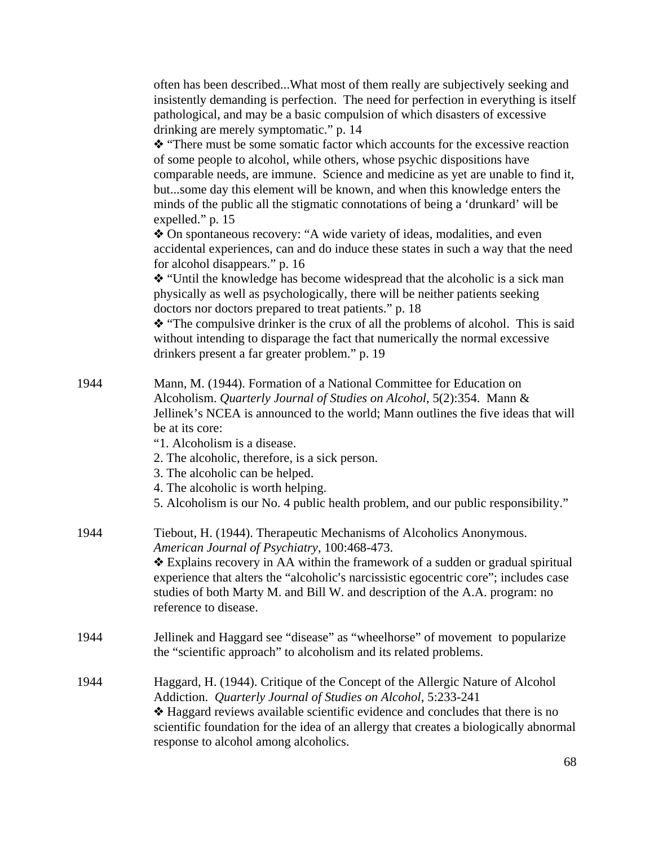|      | often has been describedWhat most of them really are subjectively seeking and<br>insistently demanding is perfection. The need for perfection in everything is itself<br>pathological, and may be a basic compulsion of which disasters of excessive<br>drinking are merely symptomatic." p. 14<br>• There must be some somatic factor which accounts for the excessive reaction<br>of some people to alcohol, while others, whose psychic dispositions have<br>comparable needs, are immune. Science and medicine as yet are unable to find it,<br>butsome day this element will be known, and when this knowledge enters the<br>minds of the public all the stigmatic connotations of being a 'drunkard' will be<br>expelled." p. 15<br>◆ On spontaneous recovery: "A wide variety of ideas, modalities, and even<br>accidental experiences, can and do induce these states in such a way that the need<br>for alcohol disappears." p. 16<br><b>❖</b> "Until the knowledge has become widespread that the alcoholic is a sick man<br>physically as well as psychologically, there will be neither patients seeking<br>doctors nor doctors prepared to treat patients." p. 18<br>* "The compulsive drinker is the crux of all the problems of alcohol. This is said |
|------|----------------------------------------------------------------------------------------------------------------------------------------------------------------------------------------------------------------------------------------------------------------------------------------------------------------------------------------------------------------------------------------------------------------------------------------------------------------------------------------------------------------------------------------------------------------------------------------------------------------------------------------------------------------------------------------------------------------------------------------------------------------------------------------------------------------------------------------------------------------------------------------------------------------------------------------------------------------------------------------------------------------------------------------------------------------------------------------------------------------------------------------------------------------------------------------------------------------------------------------------------------------------|
|      | without intending to disparage the fact that numerically the normal excessive<br>drinkers present a far greater problem." p. 19                                                                                                                                                                                                                                                                                                                                                                                                                                                                                                                                                                                                                                                                                                                                                                                                                                                                                                                                                                                                                                                                                                                                      |
| 1944 | Mann, M. (1944). Formation of a National Committee for Education on<br>Alcoholism. Quarterly Journal of Studies on Alcohol, 5(2):354. Mann &<br>Jellinek's NCEA is announced to the world; Mann outlines the five ideas that will<br>be at its core:<br>"1. Alcoholism is a disease.<br>2. The alcoholic, therefore, is a sick person.<br>3. The alcoholic can be helped.<br>4. The alcoholic is worth helping.<br>5. Alcoholism is our No. 4 public health problem, and our public responsibility."                                                                                                                                                                                                                                                                                                                                                                                                                                                                                                                                                                                                                                                                                                                                                                 |
| 1944 | Tiebout, H. (1944). Therapeutic Mechanisms of Alcoholics Anonymous.<br>American Journal of Psychiatry, 100:468-473.<br>❖ Explains recovery in AA within the framework of a sudden or gradual spiritual<br>experience that alters the "alcoholic's narcissistic egocentric core"; includes case<br>studies of both Marty M. and Bill W. and description of the A.A. program: no<br>reference to disease.                                                                                                                                                                                                                                                                                                                                                                                                                                                                                                                                                                                                                                                                                                                                                                                                                                                              |
| 1944 | Jellinek and Haggard see "disease" as "wheelhorse" of movement to popularize<br>the "scientific approach" to alcoholism and its related problems.                                                                                                                                                                                                                                                                                                                                                                                                                                                                                                                                                                                                                                                                                                                                                                                                                                                                                                                                                                                                                                                                                                                    |
| 1944 | Haggard, H. (1944). Critique of the Concept of the Allergic Nature of Alcohol<br>Addiction. Quarterly Journal of Studies on Alcohol, 5:233-241<br>* Haggard reviews available scientific evidence and concludes that there is no<br>scientific foundation for the idea of an allergy that creates a biologically abnormal<br>response to alcohol among alcoholics.                                                                                                                                                                                                                                                                                                                                                                                                                                                                                                                                                                                                                                                                                                                                                                                                                                                                                                   |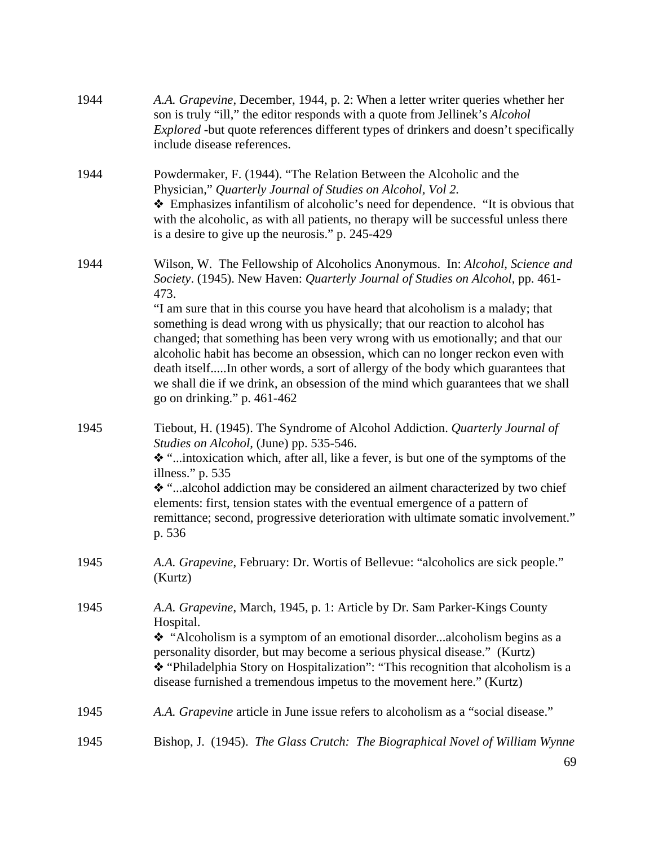| 1944 | A.A. Grapevine, December, 1944, p. 2: When a letter writer queries whether her<br>son is truly "ill," the editor responds with a quote from Jellinek's Alcohol<br><i>Explored</i> -but quote references different types of drinkers and doesn't specifically<br>include disease references.                                                                                                                                                                                                                                                                                                                                                                                                                       |
|------|-------------------------------------------------------------------------------------------------------------------------------------------------------------------------------------------------------------------------------------------------------------------------------------------------------------------------------------------------------------------------------------------------------------------------------------------------------------------------------------------------------------------------------------------------------------------------------------------------------------------------------------------------------------------------------------------------------------------|
| 1944 | Powdermaker, F. (1944). "The Relation Between the Alcoholic and the<br>Physician," Quarterly Journal of Studies on Alcohol, Vol 2.<br>Emphasizes infantilism of alcoholic's need for dependence. "It is obvious that<br>with the alcoholic, as with all patients, no therapy will be successful unless there<br>is a desire to give up the neurosis." p. 245-429                                                                                                                                                                                                                                                                                                                                                  |
| 1944 | Wilson, W. The Fellowship of Alcoholics Anonymous. In: Alcohol, Science and<br>Society. (1945). New Haven: Quarterly Journal of Studies on Alcohol, pp. 461-<br>473.<br>"I am sure that in this course you have heard that alcoholism is a malady; that<br>something is dead wrong with us physically; that our reaction to alcohol has<br>changed; that something has been very wrong with us emotionally; and that our<br>alcoholic habit has become an obsession, which can no longer reckon even with<br>death itselfIn other words, a sort of allergy of the body which guarantees that<br>we shall die if we drink, an obsession of the mind which guarantees that we shall<br>go on drinking." $p.461-462$ |
| 1945 | Tiebout, H. (1945). The Syndrome of Alcohol Addiction. Quarterly Journal of<br>Studies on Alcohol, (June) pp. 535-546.<br>• "intoxication which, after all, like a fever, is but one of the symptoms of the<br>illness." $p. 535$<br>• "alcohol addiction may be considered an ailment characterized by two chief<br>elements: first, tension states with the eventual emergence of a pattern of<br>remittance; second, progressive deterioration with ultimate somatic involvement."<br>p. 536                                                                                                                                                                                                                   |
| 1945 | A.A. Grapevine, February: Dr. Wortis of Bellevue: "alcoholics are sick people."<br>(Kurtz)                                                                                                                                                                                                                                                                                                                                                                                                                                                                                                                                                                                                                        |
| 1945 | A.A. Grapevine, March, 1945, p. 1: Article by Dr. Sam Parker-Kings County<br>Hospital.<br>* "Alcoholism is a symptom of an emotional disorderalcoholism begins as a<br>personality disorder, but may become a serious physical disease." (Kurtz)<br>* "Philadelphia Story on Hospitalization": "This recognition that alcoholism is a<br>disease furnished a tremendous impetus to the movement here." (Kurtz)                                                                                                                                                                                                                                                                                                    |
| 1945 | A.A. Grapevine article in June issue refers to alcoholism as a "social disease."                                                                                                                                                                                                                                                                                                                                                                                                                                                                                                                                                                                                                                  |
| 1945 | Bishop, J. (1945). The Glass Crutch: The Biographical Novel of William Wynne                                                                                                                                                                                                                                                                                                                                                                                                                                                                                                                                                                                                                                      |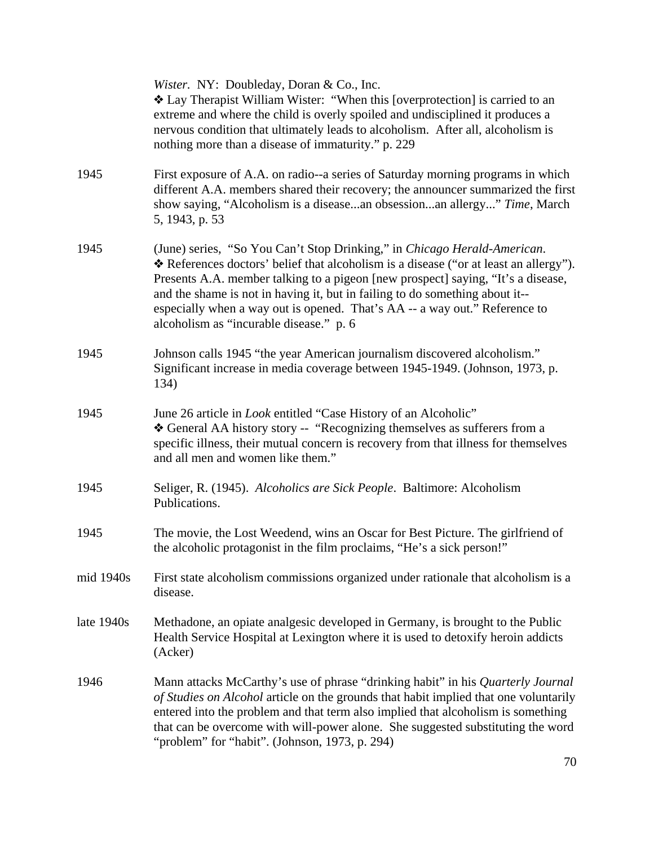|              | Wister. NY: Doubleday, Doran & Co., Inc.<br>* Lay Therapist William Wister: "When this [overprotection] is carried to an<br>extreme and where the child is overly spoiled and undisciplined it produces a<br>nervous condition that ultimately leads to alcoholism. After all, alcoholism is<br>nothing more than a disease of immaturity." p. 229                                                                                                             |
|--------------|----------------------------------------------------------------------------------------------------------------------------------------------------------------------------------------------------------------------------------------------------------------------------------------------------------------------------------------------------------------------------------------------------------------------------------------------------------------|
| 1945         | First exposure of A.A. on radio--a series of Saturday morning programs in which<br>different A.A. members shared their recovery; the announcer summarized the first<br>show saying, "Alcoholism is a diseasean obsessionan allergy" Time, March<br>5, 1943, p. 53                                                                                                                                                                                              |
| 1945         | (June) series, "So You Can't Stop Drinking," in Chicago Herald-American.<br>* References doctors' belief that alcoholism is a disease ("or at least an allergy").<br>Presents A.A. member talking to a pigeon [new prospect] saying, "It's a disease,<br>and the shame is not in having it, but in failing to do something about it--<br>especially when a way out is opened. That's AA -- a way out." Reference to<br>alcoholism as "incurable disease." p. 6 |
| 1945         | Johnson calls 1945 "the year American journalism discovered alcoholism."<br>Significant increase in media coverage between 1945-1949. (Johnson, 1973, p.<br>134)                                                                                                                                                                                                                                                                                               |
| 1945         | June 26 article in <i>Look</i> entitled "Case History of an Alcoholic"<br>❖ General AA history story -- "Recognizing themselves as sufferers from a<br>specific illness, their mutual concern is recovery from that illness for themselves<br>and all men and women like them."                                                                                                                                                                                |
| 1945         | Seliger, R. (1945). Alcoholics are Sick People. Baltimore: Alcoholism<br>Publications.                                                                                                                                                                                                                                                                                                                                                                         |
| 1945         | The movie, the Lost Weedend, wins an Oscar for Best Picture. The girlfriend of<br>the alcoholic protagonist in the film proclaims, "He's a sick person!"                                                                                                                                                                                                                                                                                                       |
| mid 1940s    | First state alcoholism commissions organized under rationale that alcoholism is a<br>disease.                                                                                                                                                                                                                                                                                                                                                                  |
| late $1940s$ | Methadone, an opiate analgesic developed in Germany, is brought to the Public<br>Health Service Hospital at Lexington where it is used to detoxify heroin addicts<br>(Acker)                                                                                                                                                                                                                                                                                   |
| 1946         | Mann attacks McCarthy's use of phrase "drinking habit" in his Quarterly Journal<br>of Studies on Alcohol article on the grounds that habit implied that one voluntarily<br>entered into the problem and that term also implied that alcoholism is something<br>that can be overcome with will-power alone. She suggested substituting the word<br>"problem" for "habit". (Johnson, 1973, p. 294)                                                               |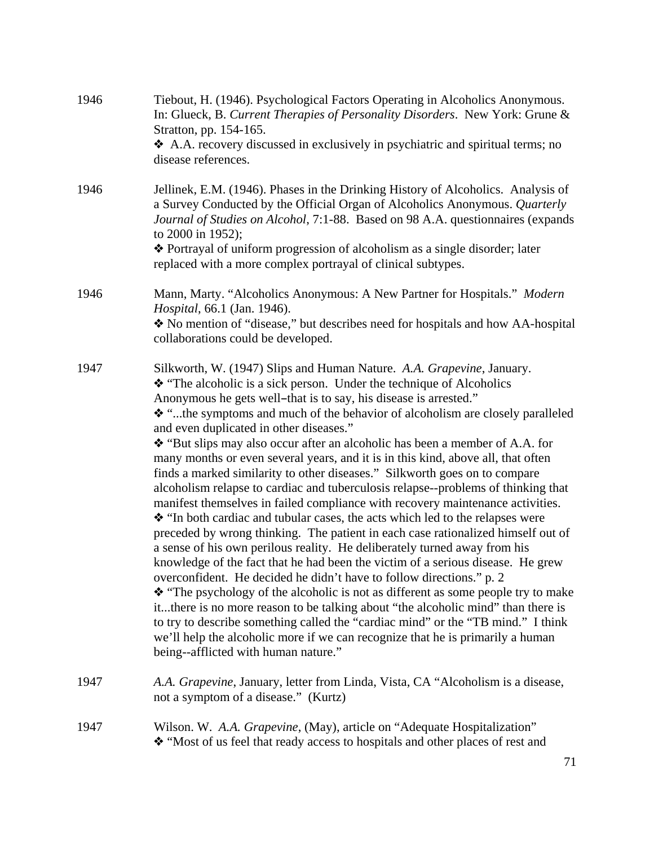| 1946 | Tiebout, H. (1946). Psychological Factors Operating in Alcoholics Anonymous.<br>In: Glueck, B. Current Therapies of Personality Disorders. New York: Grune &<br>Stratton, pp. 154-165.<br>A.A. recovery discussed in exclusively in psychiatric and spiritual terms; no<br>disease references.                                                                                                                                                                                                                                                                                                                                                                                                                                                                                                                                                                                                                                                                                                                                                                                                                                                                                                                                                                                                                                                                                                                                                                                                                                                                             |
|------|----------------------------------------------------------------------------------------------------------------------------------------------------------------------------------------------------------------------------------------------------------------------------------------------------------------------------------------------------------------------------------------------------------------------------------------------------------------------------------------------------------------------------------------------------------------------------------------------------------------------------------------------------------------------------------------------------------------------------------------------------------------------------------------------------------------------------------------------------------------------------------------------------------------------------------------------------------------------------------------------------------------------------------------------------------------------------------------------------------------------------------------------------------------------------------------------------------------------------------------------------------------------------------------------------------------------------------------------------------------------------------------------------------------------------------------------------------------------------------------------------------------------------------------------------------------------------|
| 1946 | Jellinek, E.M. (1946). Phases in the Drinking History of Alcoholics. Analysis of<br>a Survey Conducted by the Official Organ of Alcoholics Anonymous. Quarterly<br>Journal of Studies on Alcohol, 7:1-88. Based on 98 A.A. questionnaires (expands<br>to 2000 in 1952);<br>◆ Portrayal of uniform progression of alcoholism as a single disorder; later<br>replaced with a more complex portrayal of clinical subtypes.                                                                                                                                                                                                                                                                                                                                                                                                                                                                                                                                                                                                                                                                                                                                                                                                                                                                                                                                                                                                                                                                                                                                                    |
| 1946 | Mann, Marty. "Alcoholics Anonymous: A New Partner for Hospitals." Modern<br>Hospital, 66.1 (Jan. 1946).<br>* No mention of "disease," but describes need for hospitals and how AA-hospital<br>collaborations could be developed.                                                                                                                                                                                                                                                                                                                                                                                                                                                                                                                                                                                                                                                                                                                                                                                                                                                                                                                                                                                                                                                                                                                                                                                                                                                                                                                                           |
| 1947 | Silkworth, W. (1947) Slips and Human Nature. A.A. Grapevine, January.<br>* "The alcoholic is a sick person. Under the technique of Alcoholics"<br>Anonymous he gets well-that is to say, his disease is arrested."<br>• "the symptoms and much of the behavior of alcoholism are closely paralleled<br>and even duplicated in other diseases."<br>* "But slips may also occur after an alcoholic has been a member of A.A. for<br>many months or even several years, and it is in this kind, above all, that often<br>finds a marked similarity to other diseases." Silkworth goes on to compare<br>alcoholism relapse to cardiac and tuberculosis relapse--problems of thinking that<br>manifest themselves in failed compliance with recovery maintenance activities.<br>* "In both cardiac and tubular cases, the acts which led to the relapses were<br>preceded by wrong thinking. The patient in each case rationalized himself out of<br>a sense of his own perilous reality. He deliberately turned away from his<br>knowledge of the fact that he had been the victim of a serious disease. He grew<br>overconfident. He decided he didn't have to follow directions." p. 2<br>• The psychology of the alcoholic is not as different as some people try to make<br>itthere is no more reason to be talking about "the alcoholic mind" than there is<br>to try to describe something called the "cardiac mind" or the "TB mind." I think<br>we'll help the alcoholic more if we can recognize that he is primarily a human<br>being--afflicted with human nature." |
| 1947 | A.A. Grapevine, January, letter from Linda, Vista, CA "Alcoholism is a disease,<br>not a symptom of a disease." (Kurtz)                                                                                                                                                                                                                                                                                                                                                                                                                                                                                                                                                                                                                                                                                                                                                                                                                                                                                                                                                                                                                                                                                                                                                                                                                                                                                                                                                                                                                                                    |
| 1947 | Wilson. W. A.A. Grapevine, (May), article on "Adequate Hospitalization"<br>* "Most of us feel that ready access to hospitals and other places of rest and                                                                                                                                                                                                                                                                                                                                                                                                                                                                                                                                                                                                                                                                                                                                                                                                                                                                                                                                                                                                                                                                                                                                                                                                                                                                                                                                                                                                                  |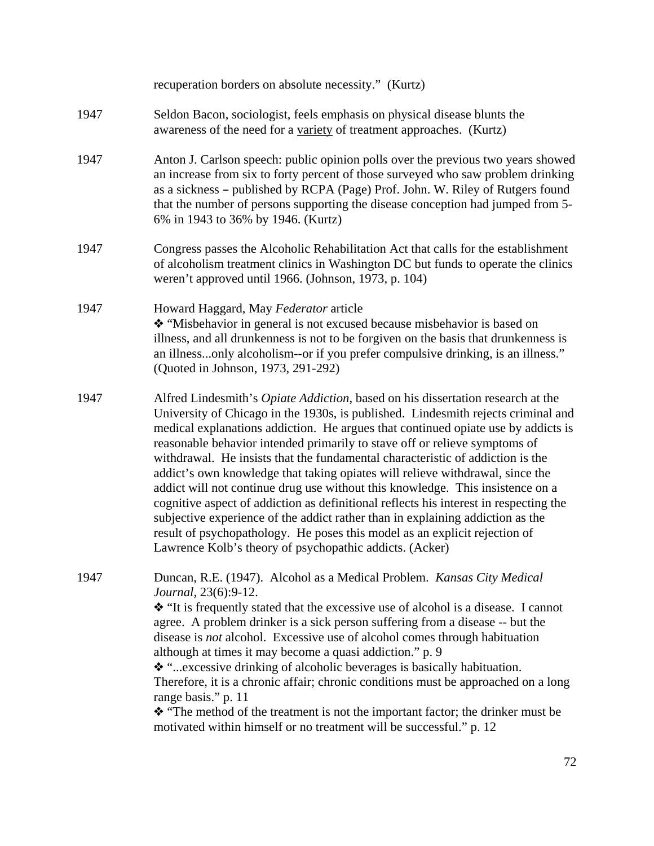|      | recuperation borders on absolute necessity." (Kurtz)                                                                                                                                                                                                                                                                                                                                                                                                                                                                                                                                                                                                                                                                                                                                                                                                                                                             |
|------|------------------------------------------------------------------------------------------------------------------------------------------------------------------------------------------------------------------------------------------------------------------------------------------------------------------------------------------------------------------------------------------------------------------------------------------------------------------------------------------------------------------------------------------------------------------------------------------------------------------------------------------------------------------------------------------------------------------------------------------------------------------------------------------------------------------------------------------------------------------------------------------------------------------|
| 1947 | Seldon Bacon, sociologist, feels emphasis on physical disease blunts the<br>awareness of the need for a variety of treatment approaches. (Kurtz)                                                                                                                                                                                                                                                                                                                                                                                                                                                                                                                                                                                                                                                                                                                                                                 |
| 1947 | Anton J. Carlson speech: public opinion polls over the previous two years showed<br>an increase from six to forty percent of those surveyed who saw problem drinking<br>as a sickness - published by RCPA (Page) Prof. John. W. Riley of Rutgers found<br>that the number of persons supporting the disease conception had jumped from 5-<br>6% in 1943 to 36% by 1946. (Kurtz)                                                                                                                                                                                                                                                                                                                                                                                                                                                                                                                                  |
| 1947 | Congress passes the Alcoholic Rehabilitation Act that calls for the establishment<br>of alcoholism treatment clinics in Washington DC but funds to operate the clinics<br>weren't approved until 1966. (Johnson, 1973, p. 104)                                                                                                                                                                                                                                                                                                                                                                                                                                                                                                                                                                                                                                                                                   |
| 1947 | Howard Haggard, May Federator article<br>* "Misbehavior in general is not excused because misbehavior is based on<br>illness, and all drunkenness is not to be forgiven on the basis that drunkenness is<br>an illnessonly alcoholism--or if you prefer compulsive drinking, is an illness."<br>(Quoted in Johnson, 1973, 291-292)                                                                                                                                                                                                                                                                                                                                                                                                                                                                                                                                                                               |
| 1947 | Alfred Lindesmith's Opiate Addiction, based on his dissertation research at the<br>University of Chicago in the 1930s, is published. Lindesmith rejects criminal and<br>medical explanations addiction. He argues that continued opiate use by addicts is<br>reasonable behavior intended primarily to stave off or relieve symptoms of<br>withdrawal. He insists that the fundamental characteristic of addiction is the<br>addict's own knowledge that taking opiates will relieve withdrawal, since the<br>addict will not continue drug use without this knowledge. This insistence on a<br>cognitive aspect of addiction as definitional reflects his interest in respecting the<br>subjective experience of the addict rather than in explaining addiction as the<br>result of psychopathology. He poses this model as an explicit rejection of<br>Lawrence Kolb's theory of psychopathic addicts. (Acker) |
| 1947 | Duncan, R.E. (1947). Alcohol as a Medical Problem. Kansas City Medical<br>Journal, 23(6):9-12.<br>* "It is frequently stated that the excessive use of alcohol is a disease. I cannot<br>agree. A problem drinker is a sick person suffering from a disease -- but the<br>disease is <i>not</i> alcohol. Excessive use of alcohol comes through habituation<br>although at times it may become a quasi addiction." p. 9<br>• "excessive drinking of alcoholic beverages is basically habituation.<br>Therefore, it is a chronic affair; chronic conditions must be approached on a long<br>range basis." p. 11<br>• The method of the treatment is not the important factor; the drinker must be<br>motivated within himself or no treatment will be successful." p. 12                                                                                                                                          |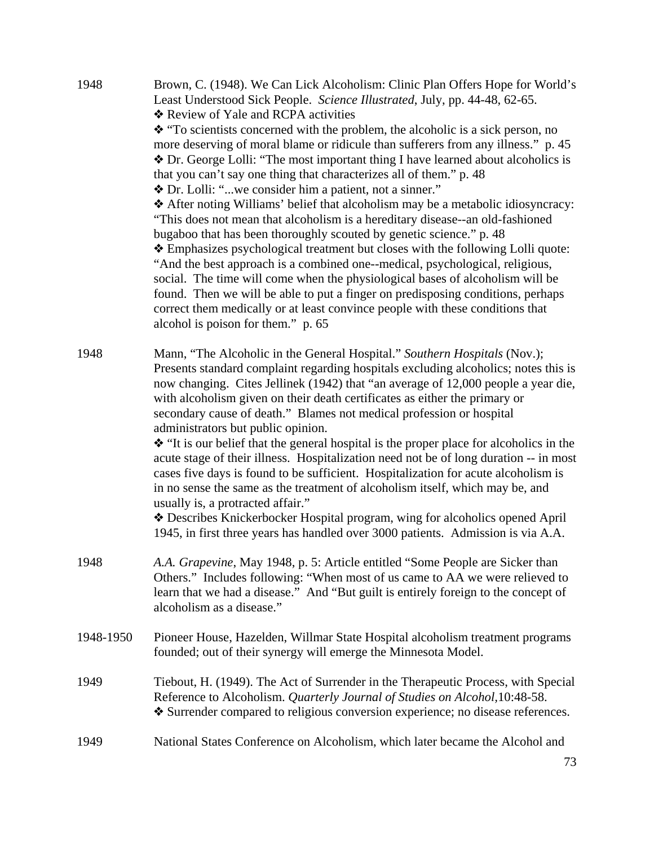| 1948      | Brown, C. (1948). We Can Lick Alcoholism: Clinic Plan Offers Hope for World's<br>Least Understood Sick People. Science Illustrated, July, pp. 44-48, 62-65.<br>❖ Review of Yale and RCPA activities<br>• "To scientists concerned with the problem, the alcoholic is a sick person, no<br>more deserving of moral blame or ridicule than sufferers from any illness." p. 45<br>◆ Dr. George Lolli: "The most important thing I have learned about alcoholics is<br>that you can't say one thing that characterizes all of them." p. 48<br>* Dr. Lolli: "we consider him a patient, not a sinner."<br>◆ After noting Williams' belief that alcoholism may be a metabolic idiosyncracy:<br>"This does not mean that alcoholism is a hereditary disease--an old-fashioned<br>bugaboo that has been thoroughly scouted by genetic science." p. 48<br>* Emphasizes psychological treatment but closes with the following Lolli quote:<br>"And the best approach is a combined one--medical, psychological, religious,<br>social. The time will come when the physiological bases of alcoholism will be<br>found. Then we will be able to put a finger on predisposing conditions, perhaps<br>correct them medically or at least convince people with these conditions that<br>alcohol is poison for them." p. 65 |
|-----------|-------------------------------------------------------------------------------------------------------------------------------------------------------------------------------------------------------------------------------------------------------------------------------------------------------------------------------------------------------------------------------------------------------------------------------------------------------------------------------------------------------------------------------------------------------------------------------------------------------------------------------------------------------------------------------------------------------------------------------------------------------------------------------------------------------------------------------------------------------------------------------------------------------------------------------------------------------------------------------------------------------------------------------------------------------------------------------------------------------------------------------------------------------------------------------------------------------------------------------------------------------------------------------------------------------------|
| 1948      | Mann, "The Alcoholic in the General Hospital." Southern Hospitals (Nov.);<br>Presents standard complaint regarding hospitals excluding alcoholics; notes this is<br>now changing. Cites Jellinek (1942) that "an average of 12,000 people a year die,<br>with alcoholism given on their death certificates as either the primary or<br>secondary cause of death." Blames not medical profession or hospital<br>administrators but public opinion.<br>* "It is our belief that the general hospital is the proper place for alcoholics in the                                                                                                                                                                                                                                                                                                                                                                                                                                                                                                                                                                                                                                                                                                                                                                |
|           | acute stage of their illness. Hospitalization need not be of long duration -- in most<br>cases five days is found to be sufficient. Hospitalization for acute alcoholism is<br>in no sense the same as the treatment of alcoholism itself, which may be, and<br>usually is, a protracted affair."<br>* Describes Knickerbocker Hospital program, wing for alcoholics opened April<br>1945, in first three years has handled over 3000 patients. Admission is via A.A.                                                                                                                                                                                                                                                                                                                                                                                                                                                                                                                                                                                                                                                                                                                                                                                                                                       |
| 1948      | A.A. Grapevine, May 1948, p. 5: Article entitled "Some People are Sicker than<br>Others." Includes following: "When most of us came to AA we were relieved to<br>learn that we had a disease." And "But guilt is entirely foreign to the concept of<br>alcoholism as a disease."                                                                                                                                                                                                                                                                                                                                                                                                                                                                                                                                                                                                                                                                                                                                                                                                                                                                                                                                                                                                                            |
| 1948-1950 | Pioneer House, Hazelden, Willmar State Hospital alcoholism treatment programs<br>founded; out of their synergy will emerge the Minnesota Model.                                                                                                                                                                                                                                                                                                                                                                                                                                                                                                                                                                                                                                                                                                                                                                                                                                                                                                                                                                                                                                                                                                                                                             |
| 1949      | Tiebout, H. (1949). The Act of Surrender in the Therapeutic Process, with Special<br>Reference to Alcoholism. Quarterly Journal of Studies on Alcohol, 10:48-58.<br>Surrender compared to religious conversion experience; no disease references.                                                                                                                                                                                                                                                                                                                                                                                                                                                                                                                                                                                                                                                                                                                                                                                                                                                                                                                                                                                                                                                           |
| 1949      | National States Conference on Alcoholism, which later became the Alcohol and                                                                                                                                                                                                                                                                                                                                                                                                                                                                                                                                                                                                                                                                                                                                                                                                                                                                                                                                                                                                                                                                                                                                                                                                                                |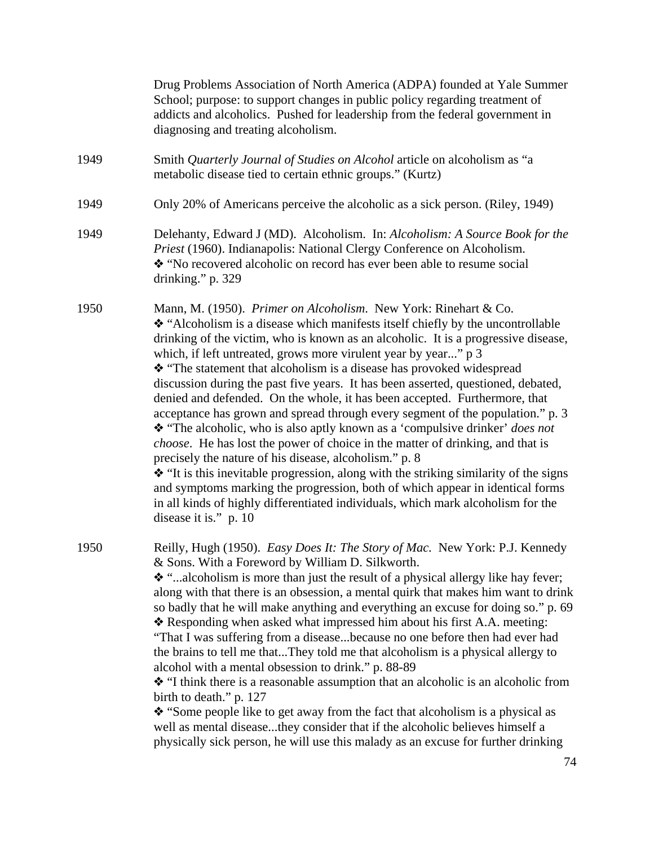|      | Drug Problems Association of North America (ADPA) founded at Yale Summer<br>School; purpose: to support changes in public policy regarding treatment of<br>addicts and alcoholics. Pushed for leadership from the federal government in<br>diagnosing and treating alcoholism.                                                                                                                                                                                                                                                                                                                                                                                                                                                                                                                                                                                                                                                                                                                                                                                                                                                                                      |
|------|---------------------------------------------------------------------------------------------------------------------------------------------------------------------------------------------------------------------------------------------------------------------------------------------------------------------------------------------------------------------------------------------------------------------------------------------------------------------------------------------------------------------------------------------------------------------------------------------------------------------------------------------------------------------------------------------------------------------------------------------------------------------------------------------------------------------------------------------------------------------------------------------------------------------------------------------------------------------------------------------------------------------------------------------------------------------------------------------------------------------------------------------------------------------|
| 1949 | Smith Quarterly Journal of Studies on Alcohol article on alcoholism as "a<br>metabolic disease tied to certain ethnic groups." (Kurtz)                                                                                                                                                                                                                                                                                                                                                                                                                                                                                                                                                                                                                                                                                                                                                                                                                                                                                                                                                                                                                              |
| 1949 | Only 20% of Americans perceive the alcoholic as a sick person. (Riley, 1949)                                                                                                                                                                                                                                                                                                                                                                                                                                                                                                                                                                                                                                                                                                                                                                                                                                                                                                                                                                                                                                                                                        |
| 1949 | Delehanty, Edward J (MD). Alcoholism. In: Alcoholism: A Source Book for the<br>Priest (1960). Indianapolis: National Clergy Conference on Alcoholism.<br>• "No recovered alcoholic on record has ever been able to resume social<br>drinking." p. 329                                                                                                                                                                                                                                                                                                                                                                                                                                                                                                                                                                                                                                                                                                                                                                                                                                                                                                               |
| 1950 | Mann, M. (1950). Primer on Alcoholism. New York: Rinehart & Co.<br>* "Alcoholism is a disease which manifests itself chiefly by the uncontrollable<br>drinking of the victim, who is known as an alcoholic. It is a progressive disease,<br>which, if left untreated, grows more virulent year by year" p 3<br>* "The statement that alcoholism is a disease has provoked widespread<br>discussion during the past five years. It has been asserted, questioned, debated,<br>denied and defended. On the whole, it has been accepted. Furthermore, that<br>acceptance has grown and spread through every segment of the population." p. 3<br>* "The alcoholic, who is also aptly known as a 'compulsive drinker' does not<br>choose. He has lost the power of choice in the matter of drinking, and that is<br>precisely the nature of his disease, alcoholism." p. 8<br><b>❖</b> "It is this inevitable progression, along with the striking similarity of the signs<br>and symptoms marking the progression, both of which appear in identical forms<br>in all kinds of highly differentiated individuals, which mark alcoholism for the<br>disease it is." p. 10 |
| 1950 | Reilly, Hugh (1950). Easy Does It: The Story of Mac. New York: P.J. Kennedy<br>& Sons. With a Foreword by William D. Silkworth.<br>• "alcoholism is more than just the result of a physical allergy like hay fever;<br>along with that there is an obsession, a mental quirk that makes him want to drink<br>so badly that he will make anything and everything an excuse for doing so." p. 69<br>* Responding when asked what impressed him about his first A.A. meeting:<br>"That I was suffering from a diseasebecause no one before then had ever had<br>the brains to tell me thatThey told me that alcoholism is a physical allergy to<br>alcohol with a mental obsession to drink." p. 88-89<br><b>♦ "I think there is a reasonable assumption that an alcoholic is an alcoholic from</b><br>birth to death." p. 127<br>* "Some people like to get away from the fact that alcoholism is a physical as<br>well as mental diseasethey consider that if the alcoholic believes himself a<br>physically sick person, he will use this malady as an excuse for further drinking                                                                                  |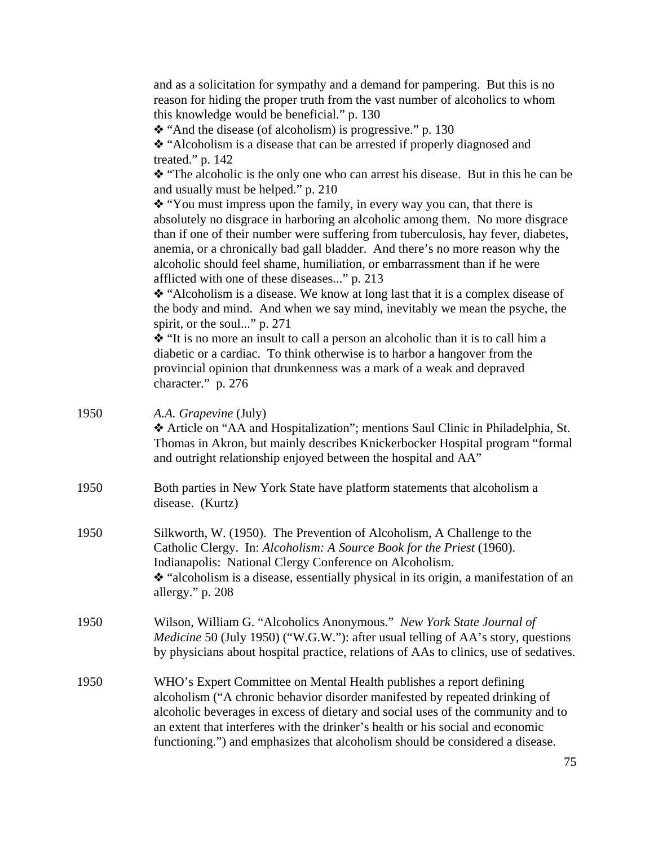|      | and as a solicitation for sympathy and a demand for pampering. But this is no<br>reason for hiding the proper truth from the vast number of alcoholics to whom<br>this knowledge would be beneficial." p. 130<br>* "And the disease (of alcoholism) is progressive." p. 130<br>* "Alcoholism is a disease that can be arrested if properly diagnosed and                                                                                                       |
|------|----------------------------------------------------------------------------------------------------------------------------------------------------------------------------------------------------------------------------------------------------------------------------------------------------------------------------------------------------------------------------------------------------------------------------------------------------------------|
|      | treated." $p. 142$<br><b>❖</b> "The alcoholic is the only one who can arrest his disease. But in this he can be<br>and usually must be helped." p. 210                                                                                                                                                                                                                                                                                                         |
|      | ❖ "You must impress upon the family, in every way you can, that there is<br>absolutely no disgrace in harboring an alcoholic among them. No more disgrace<br>than if one of their number were suffering from tuberculosis, hay fever, diabetes,<br>anemia, or a chronically bad gall bladder. And there's no more reason why the<br>alcoholic should feel shame, humiliation, or embarrassment than if he were<br>afflicted with one of these diseases" p. 213 |
|      | * "Alcoholism is a disease. We know at long last that it is a complex disease of<br>the body and mind. And when we say mind, inevitably we mean the psyche, the<br>spirit, or the soul" p. 271                                                                                                                                                                                                                                                                 |
|      | <b>❖</b> "It is no more an insult to call a person an alcoholic than it is to call him a<br>diabetic or a cardiac. To think otherwise is to harbor a hangover from the<br>provincial opinion that drunkenness was a mark of a weak and depraved<br>character." p. 276                                                                                                                                                                                          |
| 1950 | A.A. Grapevine (July)<br>* Article on "AA and Hospitalization"; mentions Saul Clinic in Philadelphia, St.<br>Thomas in Akron, but mainly describes Knickerbocker Hospital program "formal<br>and outright relationship enjoyed between the hospital and AA"                                                                                                                                                                                                    |
| 1950 | Both parties in New York State have platform statements that alcoholism a<br>disease. (Kurtz)                                                                                                                                                                                                                                                                                                                                                                  |
| 1950 | Silkworth, W. (1950). The Prevention of Alcoholism, A Challenge to the<br>Catholic Clergy. In: Alcoholism: A Source Book for the Priest (1960).<br>Indianapolis: National Clergy Conference on Alcoholism.<br>• "alcoholism is a disease, essentially physical in its origin, a manifestation of an<br>allergy." $p. 208$                                                                                                                                      |
| 1950 | Wilson, William G. "Alcoholics Anonymous." New York State Journal of<br><i>Medicine</i> 50 (July 1950) ("W.G.W."): after usual telling of AA's story, questions<br>by physicians about hospital practice, relations of AAs to clinics, use of sedatives.                                                                                                                                                                                                       |
| 1950 | WHO's Expert Committee on Mental Health publishes a report defining<br>alcoholism ("A chronic behavior disorder manifested by repeated drinking of<br>alcoholic beverages in excess of dietary and social uses of the community and to<br>an extent that interferes with the drinker's health or his social and economic<br>functioning.") and emphasizes that alcoholism should be considered a disease.                                                      |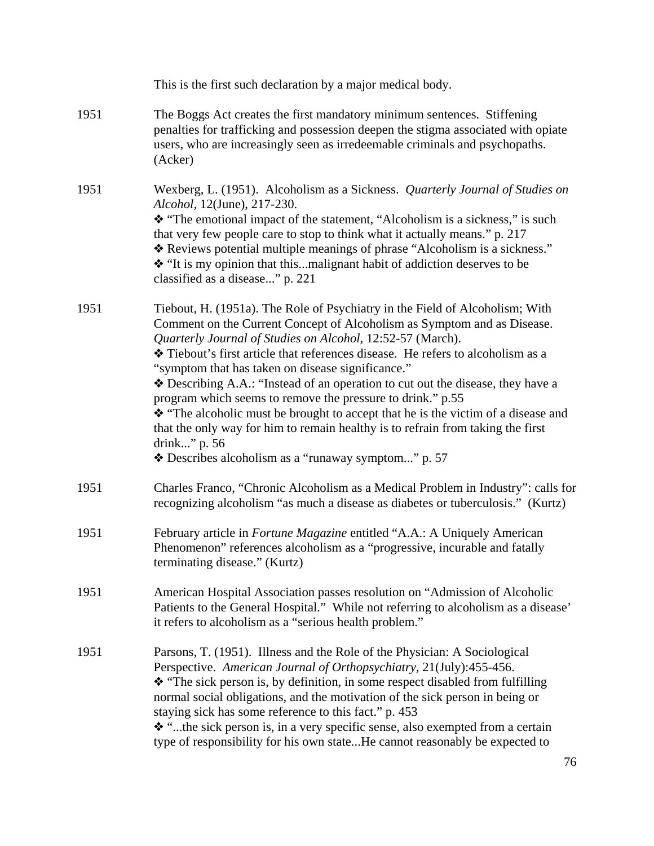|      | This is the first such declaration by a major medical body.                                                                                                                                                                                                                                                                                                                                                                                                                                                                                                                                                                                                                                                                                                |
|------|------------------------------------------------------------------------------------------------------------------------------------------------------------------------------------------------------------------------------------------------------------------------------------------------------------------------------------------------------------------------------------------------------------------------------------------------------------------------------------------------------------------------------------------------------------------------------------------------------------------------------------------------------------------------------------------------------------------------------------------------------------|
| 1951 | The Boggs Act creates the first mandatory minimum sentences. Stiffening<br>penalties for trafficking and possession deepen the stigma associated with opiate<br>users, who are increasingly seen as irredeemable criminals and psychopaths.<br>(Acker)                                                                                                                                                                                                                                                                                                                                                                                                                                                                                                     |
| 1951 | Wexberg, L. (1951). Alcoholism as a Sickness. Quarterly Journal of Studies on<br>Alcohol, 12(June), 217-230.<br>* "The emotional impact of the statement, "Alcoholism is a sickness," is such<br>that very few people care to stop to think what it actually means." p. 217<br>* Reviews potential multiple meanings of phrase "Alcoholism is a sickness."<br><b>❖</b> "It is my opinion that thismalignant habit of addiction deserves to be<br>classified as a disease" p. 221                                                                                                                                                                                                                                                                           |
| 1951 | Tiebout, H. (1951a). The Role of Psychiatry in the Field of Alcoholism; With<br>Comment on the Current Concept of Alcoholism as Symptom and as Disease.<br>Quarterly Journal of Studies on Alcohol, 12:52-57 (March).<br>Tiebout's first article that references disease. He refers to alcoholism as a<br>"symptom that has taken on disease significance."<br>◆ Describing A.A.: "Instead of an operation to cut out the disease, they have a<br>program which seems to remove the pressure to drink." p.55<br>• The alcoholic must be brought to accept that he is the victim of a disease and<br>that the only way for him to remain healthy is to refrain from taking the first<br>drink" p. 56<br>* Describes alcoholism as a "runaway symptom" p. 57 |
| 1951 | Charles Franco, "Chronic Alcoholism as a Medical Problem in Industry": calls for<br>recognizing alcoholism "as much a disease as diabetes or tuberculosis." (Kurtz)                                                                                                                                                                                                                                                                                                                                                                                                                                                                                                                                                                                        |
| 1951 | February article in <i>Fortune Magazine</i> entitled "A.A.: A Uniquely American<br>Phenomenon" references alcoholism as a "progressive, incurable and fatally<br>terminating disease." (Kurtz)                                                                                                                                                                                                                                                                                                                                                                                                                                                                                                                                                             |
| 1951 | American Hospital Association passes resolution on "Admission of Alcoholic<br>Patients to the General Hospital." While not referring to alcoholism as a disease'<br>it refers to alcoholism as a "serious health problem."                                                                                                                                                                                                                                                                                                                                                                                                                                                                                                                                 |
| 1951 | Parsons, T. (1951). Illness and the Role of the Physician: A Sociological<br>Perspective. American Journal of Orthopsychiatry, 21(July):455-456.<br>* "The sick person is, by definition, in some respect disabled from fulfilling<br>normal social obligations, and the motivation of the sick person in being or<br>staying sick has some reference to this fact." p. 453<br>• "the sick person is, in a very specific sense, also exempted from a certain<br>type of responsibility for his own stateHe cannot reasonably be expected to                                                                                                                                                                                                                |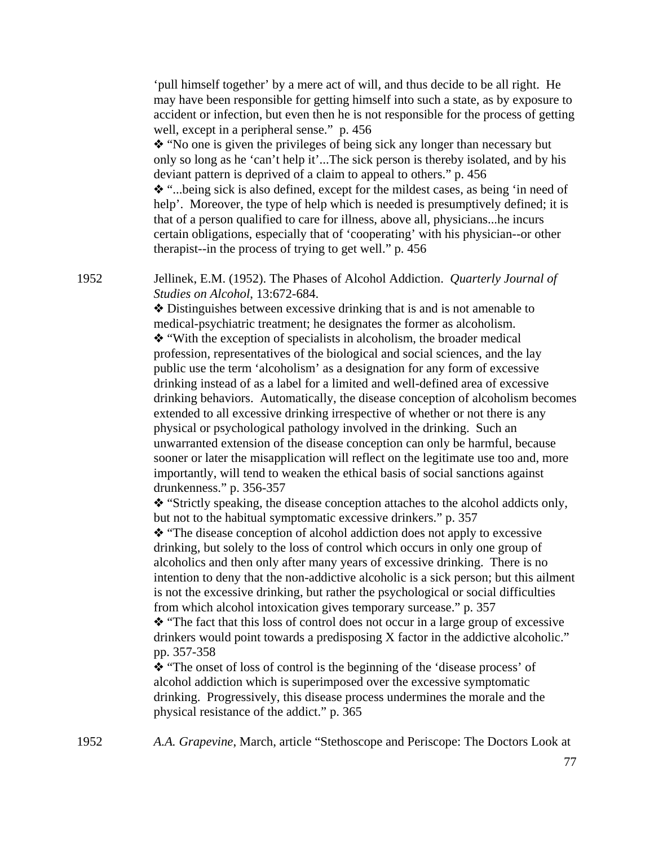'pull himself together' by a mere act of will, and thus decide to be all right. He may have been responsible for getting himself into such a state, as by exposure to accident or infection, but even then he is not responsible for the process of getting well, except in a peripheral sense." p. 456

˜ "No one is given the privileges of being sick any longer than necessary but only so long as he 'can't help it'...The sick person is thereby isolated, and by his deviant pattern is deprived of a claim to appeal to others." p. 456

˜ "...being sick is also defined, except for the mildest cases, as being 'in need of help'. Moreover, the type of help which is needed is presumptively defined; it is that of a person qualified to care for illness, above all, physicians...he incurs certain obligations, especially that of 'cooperating' with his physician--or other therapist--in the process of trying to get well." p. 456

1952 Jellinek, E.M. (1952). The Phases of Alcohol Addiction. *Quarterly Journal of Studies on Alcohol*, 13:672-684.

> ˜ Distinguishes between excessive drinking that is and is not amenable to medical-psychiatric treatment; he designates the former as alcoholism. ˜ "With the exception of specialists in alcoholism, the broader medical profession, representatives of the biological and social sciences, and the lay public use the term 'alcoholism' as a designation for any form of excessive drinking instead of as a label for a limited and well-defined area of excessive drinking behaviors. Automatically, the disease conception of alcoholism becomes extended to all excessive drinking irrespective of whether or not there is any physical or psychological pathology involved in the drinking. Such an unwarranted extension of the disease conception can only be harmful, because sooner or later the misapplication will reflect on the legitimate use too and, more importantly, will tend to weaken the ethical basis of social sanctions against drunkenness." p. 356-357

˜ "Strictly speaking, the disease conception attaches to the alcohol addicts only, but not to the habitual symptomatic excessive drinkers." p. 357

˜ "The disease conception of alcohol addiction does not apply to excessive drinking, but solely to the loss of control which occurs in only one group of alcoholics and then only after many years of excessive drinking. There is no intention to deny that the non-addictive alcoholic is a sick person; but this ailment is not the excessive drinking, but rather the psychological or social difficulties from which alcohol intoxication gives temporary surcease." p. 357

˜ "The fact that this loss of control does not occur in a large group of excessive drinkers would point towards a predisposing X factor in the addictive alcoholic." pp. 357-358

˜ "The onset of loss of control is the beginning of the 'disease process' of alcohol addiction which is superimposed over the excessive symptomatic drinking. Progressively, this disease process undermines the morale and the physical resistance of the addict." p. 365

1952 *A.A. Grapevine*, March, article "Stethoscope and Periscope: The Doctors Look at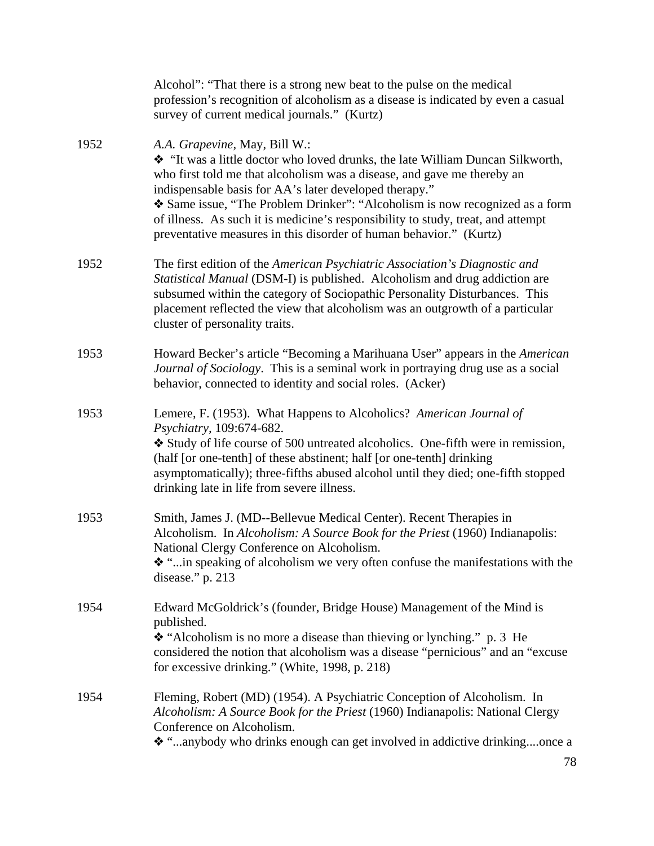|      | Alcohol": "That there is a strong new beat to the pulse on the medical<br>profession's recognition of alcoholism as a disease is indicated by even a casual<br>survey of current medical journals." (Kurtz)                                                                                                                                                                                                                                                                                  |
|------|----------------------------------------------------------------------------------------------------------------------------------------------------------------------------------------------------------------------------------------------------------------------------------------------------------------------------------------------------------------------------------------------------------------------------------------------------------------------------------------------|
| 1952 | A.A. Grapevine, May, Bill W.:<br>❖ "It was a little doctor who loved drunks, the late William Duncan Silkworth,<br>who first told me that alcoholism was a disease, and gave me thereby an<br>indispensable basis for AA's later developed therapy."<br>Same issue, "The Problem Drinker": "Alcoholism is now recognized as a form<br>of illness. As such it is medicine's responsibility to study, treat, and attempt<br>preventative measures in this disorder of human behavior." (Kurtz) |
| 1952 | The first edition of the American Psychiatric Association's Diagnostic and<br>Statistical Manual (DSM-I) is published. Alcoholism and drug addiction are<br>subsumed within the category of Sociopathic Personality Disturbances. This<br>placement reflected the view that alcoholism was an outgrowth of a particular<br>cluster of personality traits.                                                                                                                                    |
| 1953 | Howard Becker's article "Becoming a Marihuana User" appears in the American<br>Journal of Sociology. This is a seminal work in portraying drug use as a social<br>behavior, connected to identity and social roles. (Acker)                                                                                                                                                                                                                                                                  |
| 1953 | Lemere, F. (1953). What Happens to Alcoholics? American Journal of<br>Psychiatry, 109:674-682.<br><b>❖</b> Study of life course of 500 untreated alcoholics. One-fifth were in remission,<br>(half [or one-tenth] of these abstinent; half [or one-tenth] drinking<br>asymptomatically); three-fifths abused alcohol until they died; one-fifth stopped<br>drinking late in life from severe illness.                                                                                        |
| 1953 | Smith, James J. (MD--Bellevue Medical Center). Recent Therapies in<br>Alcoholism. In Alcoholism: A Source Book for the Priest (1960) Indianapolis:<br>National Clergy Conference on Alcoholism.<br>• "in speaking of alcoholism we very often confuse the manifestations with the<br>disease." p. 213                                                                                                                                                                                        |
| 1954 | Edward McGoldrick's (founder, Bridge House) Management of the Mind is<br>published.<br>* "Alcoholism is no more a disease than thieving or lynching." p. 3 He<br>considered the notion that alcoholism was a disease "pernicious" and an "excuse<br>for excessive drinking." (White, 1998, p. 218)                                                                                                                                                                                           |
| 1954 | Fleming, Robert (MD) (1954). A Psychiatric Conception of Alcoholism. In<br>Alcoholism: A Source Book for the Priest (1960) Indianapolis: National Clergy<br>Conference on Alcoholism.<br>* "anybody who drinks enough can get involved in addictive drinkingonce a                                                                                                                                                                                                                           |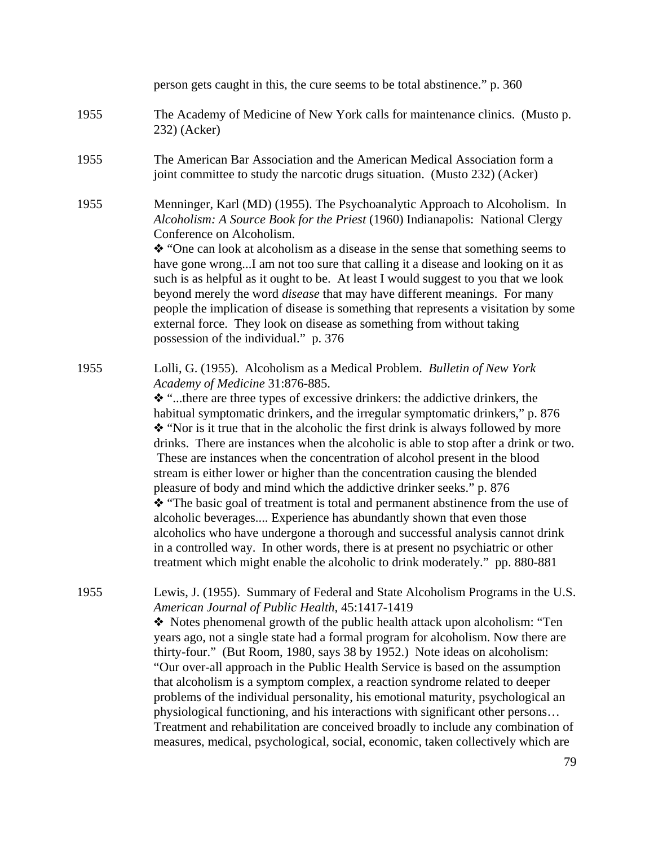|      | person gets caught in this, the cure seems to be total abstinence." p. 360                                                                                                                                                                                                                                                                                                                                                                                                                                                                                                                                                                                                                                                                                                                                                                                                                                                                                                                                                                                                                                      |
|------|-----------------------------------------------------------------------------------------------------------------------------------------------------------------------------------------------------------------------------------------------------------------------------------------------------------------------------------------------------------------------------------------------------------------------------------------------------------------------------------------------------------------------------------------------------------------------------------------------------------------------------------------------------------------------------------------------------------------------------------------------------------------------------------------------------------------------------------------------------------------------------------------------------------------------------------------------------------------------------------------------------------------------------------------------------------------------------------------------------------------|
| 1955 | The Academy of Medicine of New York calls for maintenance clinics. (Musto p.<br>232) (Acker)                                                                                                                                                                                                                                                                                                                                                                                                                                                                                                                                                                                                                                                                                                                                                                                                                                                                                                                                                                                                                    |
| 1955 | The American Bar Association and the American Medical Association form a<br>joint committee to study the narcotic drugs situation. (Musto 232) (Acker)                                                                                                                                                                                                                                                                                                                                                                                                                                                                                                                                                                                                                                                                                                                                                                                                                                                                                                                                                          |
| 1955 | Menninger, Karl (MD) (1955). The Psychoanalytic Approach to Alcoholism. In<br>Alcoholism: A Source Book for the Priest (1960) Indianapolis: National Clergy<br>Conference on Alcoholism.<br>• "One can look at alcoholism as a disease in the sense that something seems to<br>have gone wrongI am not too sure that calling it a disease and looking on it as<br>such is as helpful as it ought to be. At least I would suggest to you that we look<br>beyond merely the word <i>disease</i> that may have different meanings. For many<br>people the implication of disease is something that represents a visitation by some<br>external force. They look on disease as something from without taking<br>possession of the individual." p. 376                                                                                                                                                                                                                                                                                                                                                               |
| 1955 | Lolli, G. (1955). Alcoholism as a Medical Problem. Bulletin of New York<br>Academy of Medicine 31:876-885.<br>• "there are three types of excessive drinkers: the addictive drinkers, the<br>habitual symptomatic drinkers, and the irregular symptomatic drinkers," p. 876<br>We "Nor is it true that in the alcoholic the first drink is always followed by more<br>drinks. There are instances when the alcoholic is able to stop after a drink or two.<br>These are instances when the concentration of alcohol present in the blood<br>stream is either lower or higher than the concentration causing the blended<br>pleasure of body and mind which the addictive drinker seeks." p. 876<br>* "The basic goal of treatment is total and permanent abstinence from the use of<br>alcoholic beverages Experience has abundantly shown that even those<br>alcoholics who have undergone a thorough and successful analysis cannot drink<br>in a controlled way. In other words, there is at present no psychiatric or other<br>treatment which might enable the alcoholic to drink moderately." pp. 880-881 |
| 1955 | Lewis, J. (1955). Summary of Federal and State Alcoholism Programs in the U.S.<br>American Journal of Public Health, 45:1417-1419<br>Notes phenomenal growth of the public health attack upon alcoholism: "Ten<br>years ago, not a single state had a formal program for alcoholism. Now there are<br>thirty-four." (But Room, 1980, says 38 by 1952.) Note ideas on alcoholism:<br>"Our over-all approach in the Public Health Service is based on the assumption<br>that alcoholism is a symptom complex, a reaction syndrome related to deeper<br>problems of the individual personality, his emotional maturity, psychological an<br>physiological functioning, and his interactions with significant other persons<br>Treatment and rehabilitation are conceived broadly to include any combination of<br>measures, medical, psychological, social, economic, taken collectively which are                                                                                                                                                                                                                 |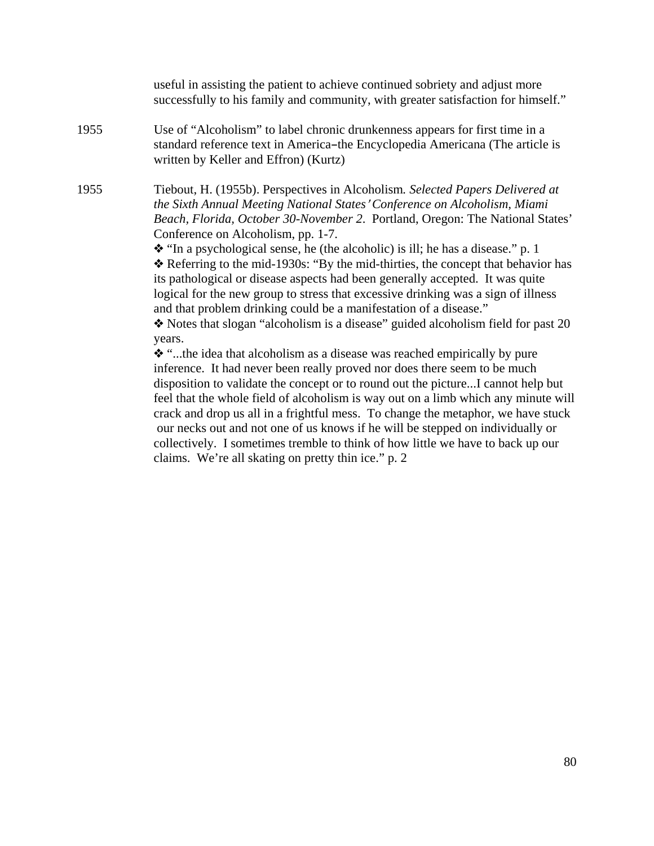useful in assisting the patient to achieve continued sobriety and adjust more successfully to his family and community, with greater satisfaction for himself." 1955 Use of "Alcoholism" to label chronic drunkenness appears for first time in a standard reference text in America-the Encyclopedia Americana (The article is written by Keller and Effron) (Kurtz) 1955 Tiebout, H. (1955b). Perspectives in Alcoholism*. Selected Papers Delivered at the Sixth Annual Meeting National States*= *Conference on Alcoholism, Miami Beach, Florida, October 30-November 2*. Portland, Oregon: The National States' Conference on Alcoholism, pp. 1-7.  $\hat{\mathbf{\cdot}}$  "In a psychological sense, he (the alcoholic) is ill; he has a disease." p. 1 ˜ Referring to the mid-1930s: "By the mid-thirties, the concept that behavior has its pathological or disease aspects had been generally accepted. It was quite logical for the new group to stress that excessive drinking was a sign of illness and that problem drinking could be a manifestation of a disease." ˜ Notes that slogan "alcoholism is a disease" guided alcoholism field for past 20 years. ˜ "...the idea that alcoholism as a disease was reached empirically by pure inference. It had never been really proved nor does there seem to be much disposition to validate the concept or to round out the picture...I cannot help but feel that the whole field of alcoholism is way out on a limb which any minute will crack and drop us all in a frightful mess. To change the metaphor, we have stuck our necks out and not one of us knows if he will be stepped on individually or collectively. I sometimes tremble to think of how little we have to back up our claims. We're all skating on pretty thin ice." p. 2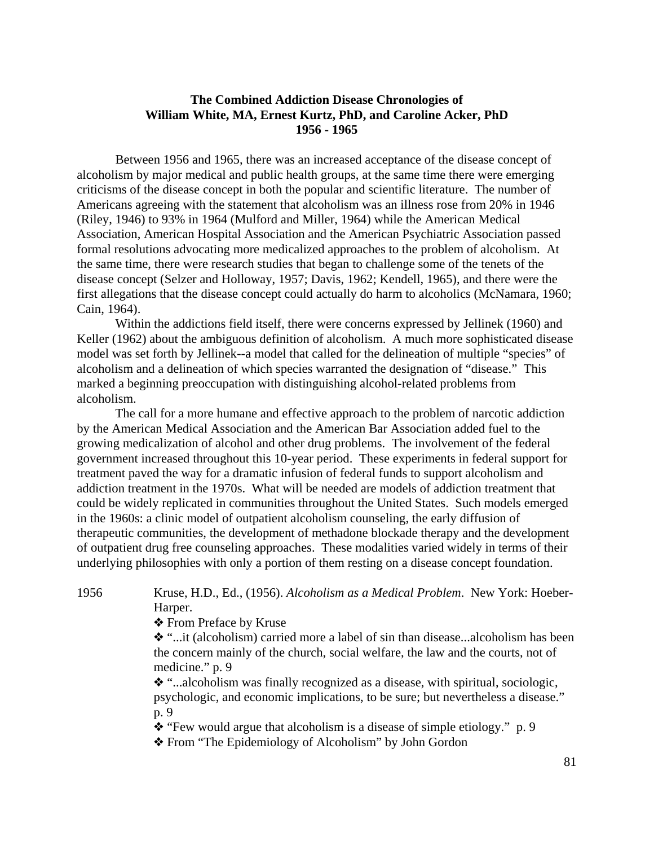## **The Combined Addiction Disease Chronologies of William White, MA, Ernest Kurtz, PhD, and Caroline Acker, PhD 1956 - 1965**

Between 1956 and 1965, there was an increased acceptance of the disease concept of alcoholism by major medical and public health groups, at the same time there were emerging criticisms of the disease concept in both the popular and scientific literature. The number of Americans agreeing with the statement that alcoholism was an illness rose from 20% in 1946 (Riley, 1946) to 93% in 1964 (Mulford and Miller, 1964) while the American Medical Association, American Hospital Association and the American Psychiatric Association passed formal resolutions advocating more medicalized approaches to the problem of alcoholism. At the same time, there were research studies that began to challenge some of the tenets of the disease concept (Selzer and Holloway, 1957; Davis, 1962; Kendell, 1965), and there were the first allegations that the disease concept could actually do harm to alcoholics (McNamara, 1960; Cain, 1964).

Within the addictions field itself, there were concerns expressed by Jellinek (1960) and Keller (1962) about the ambiguous definition of alcoholism. A much more sophisticated disease model was set forth by Jellinek--a model that called for the delineation of multiple "species" of alcoholism and a delineation of which species warranted the designation of "disease." This marked a beginning preoccupation with distinguishing alcohol-related problems from alcoholism.

The call for a more humane and effective approach to the problem of narcotic addiction by the American Medical Association and the American Bar Association added fuel to the growing medicalization of alcohol and other drug problems. The involvement of the federal government increased throughout this 10-year period. These experiments in federal support for treatment paved the way for a dramatic infusion of federal funds to support alcoholism and addiction treatment in the 1970s. What will be needed are models of addiction treatment that could be widely replicated in communities throughout the United States. Such models emerged in the 1960s: a clinic model of outpatient alcoholism counseling, the early diffusion of therapeutic communities, the development of methadone blockade therapy and the development of outpatient drug free counseling approaches. These modalities varied widely in terms of their underlying philosophies with only a portion of them resting on a disease concept foundation.

1956 Kruse, H.D., Ed., (1956). *Alcoholism as a Medical Problem*. New York: Hoeber-Harper.

˜ From Preface by Kruse

˜ "...it (alcoholism) carried more a label of sin than disease...alcoholism has been the concern mainly of the church, social welfare, the law and the courts, not of medicine." p. 9

˜ "...alcoholism was finally recognized as a disease, with spiritual, sociologic, psychologic, and economic implications, to be sure; but nevertheless a disease." p. 9

˜ "Few would argue that alcoholism is a disease of simple etiology." p. 9

˜ From "The Epidemiology of Alcoholism" by John Gordon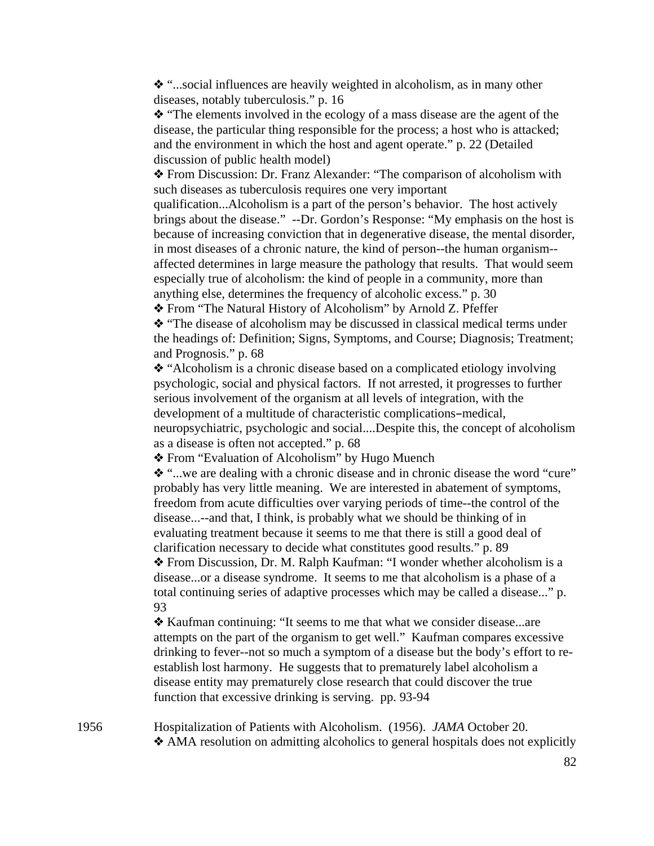˜ "...social influences are heavily weighted in alcoholism, as in many other diseases, notably tuberculosis." p. 16

˜ "The elements involved in the ecology of a mass disease are the agent of the disease, the particular thing responsible for the process; a host who is attacked; and the environment in which the host and agent operate." p. 22 (Detailed discussion of public health model)

˜ From Discussion: Dr. Franz Alexander: "The comparison of alcoholism with such diseases as tuberculosis requires one very important

qualification...Alcoholism is a part of the person's behavior. The host actively brings about the disease." --Dr. Gordon's Response: "My emphasis on the host is because of increasing conviction that in degenerative disease, the mental disorder, in most diseases of a chronic nature, the kind of person--the human organism- affected determines in large measure the pathology that results. That would seem especially true of alcoholism: the kind of people in a community, more than anything else, determines the frequency of alcoholic excess." p. 30

˜ From "The Natural History of Alcoholism" by Arnold Z. Pfeffer

˜ "The disease of alcoholism may be discussed in classical medical terms under the headings of: Definition; Signs, Symptoms, and Course; Diagnosis; Treatment; and Prognosis." p. 68

˜ "Alcoholism is a chronic disease based on a complicated etiology involving psychologic, social and physical factors. If not arrested, it progresses to further serious involvement of the organism at all levels of integration, with the development of a multitude of characteristic complications-medical, neuropsychiatric, psychologic and social....Despite this, the concept of alcoholism as a disease is often not accepted." p. 68

˜ From "Evaluation of Alcoholism" by Hugo Muench

˜ "...we are dealing with a chronic disease and in chronic disease the word "cure" probably has very little meaning. We are interested in abatement of symptoms, freedom from acute difficulties over varying periods of time--the control of the disease...--and that, I think, is probably what we should be thinking of in evaluating treatment because it seems to me that there is still a good deal of clarification necessary to decide what constitutes good results." p. 89

˜ From Discussion, Dr. M. Ralph Kaufman: "I wonder whether alcoholism is a disease...or a disease syndrome. It seems to me that alcoholism is a phase of a total continuing series of adaptive processes which may be called a disease..." p. 93

˜ Kaufman continuing: "It seems to me that what we consider disease...are attempts on the part of the organism to get well." Kaufman compares excessive drinking to fever--not so much a symptom of a disease but the body's effort to reestablish lost harmony. He suggests that to prematurely label alcoholism a disease entity may prematurely close research that could discover the true function that excessive drinking is serving. pp. 93-94

1956 Hospitalization of Patients with Alcoholism. (1956). *JAMA* October 20. ˜ AMA resolution on admitting alcoholics to general hospitals does not explicitly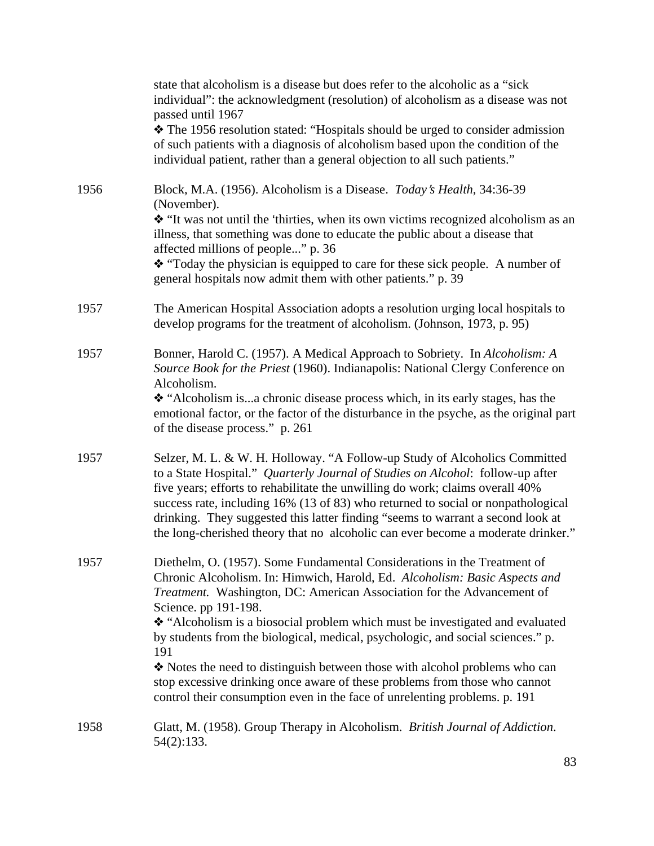|      | state that alcoholism is a disease but does refer to the alcoholic as a "sick"<br>individual": the acknowledgment (resolution) of alcoholism as a disease was not<br>passed until 1967<br>The 1956 resolution stated: "Hospitals should be urged to consider admission<br>of such patients with a diagnosis of alcoholism based upon the condition of the<br>individual patient, rather than a general objection to all such patients."                                                                                                                                                                                                                                      |
|------|------------------------------------------------------------------------------------------------------------------------------------------------------------------------------------------------------------------------------------------------------------------------------------------------------------------------------------------------------------------------------------------------------------------------------------------------------------------------------------------------------------------------------------------------------------------------------------------------------------------------------------------------------------------------------|
| 1956 | Block, M.A. (1956). Alcoholism is a Disease. Today's Health, 34:36-39<br>(November).<br><b>❖</b> "It was not until the 'thirties, when its own victims recognized alcoholism as an<br>illness, that something was done to educate the public about a disease that<br>affected millions of people" p. 36<br>* "Today the physician is equipped to care for these sick people. A number of<br>general hospitals now admit them with other patients." p. 39                                                                                                                                                                                                                     |
| 1957 | The American Hospital Association adopts a resolution urging local hospitals to<br>develop programs for the treatment of alcoholism. (Johnson, 1973, p. 95)                                                                                                                                                                                                                                                                                                                                                                                                                                                                                                                  |
| 1957 | Bonner, Harold C. (1957). A Medical Approach to Sobriety. In Alcoholism: A<br>Source Book for the Priest (1960). Indianapolis: National Clergy Conference on<br>Alcoholism.<br>* "Alcoholism isa chronic disease process which, in its early stages, has the<br>emotional factor, or the factor of the disturbance in the psyche, as the original part<br>of the disease process." p. 261                                                                                                                                                                                                                                                                                    |
| 1957 | Selzer, M. L. & W. H. Holloway. "A Follow-up Study of Alcoholics Committed<br>to a State Hospital." Quarterly Journal of Studies on Alcohol: follow-up after<br>five years; efforts to rehabilitate the unwilling do work; claims overall 40%<br>success rate, including 16% (13 of 83) who returned to social or nonpathological<br>drinking. They suggested this latter finding "seems to warrant a second look at<br>the long-cherished theory that no alcoholic can ever become a moderate drinker."                                                                                                                                                                     |
| 1957 | Diethelm, O. (1957). Some Fundamental Considerations in the Treatment of<br>Chronic Alcoholism. In: Himwich, Harold, Ed. Alcoholism: Basic Aspects and<br>Treatment. Washington, DC: American Association for the Advancement of<br>Science. pp 191-198.<br>* "Alcoholism is a biosocial problem which must be investigated and evaluated<br>by students from the biological, medical, psychologic, and social sciences." p.<br>191<br>Notes the need to distinguish between those with alcohol problems who can<br>stop excessive drinking once aware of these problems from those who cannot<br>control their consumption even in the face of unrelenting problems. p. 191 |
| 1958 | Glatt, M. (1958). Group Therapy in Alcoholism. British Journal of Addiction.<br>54(2):133.                                                                                                                                                                                                                                                                                                                                                                                                                                                                                                                                                                                   |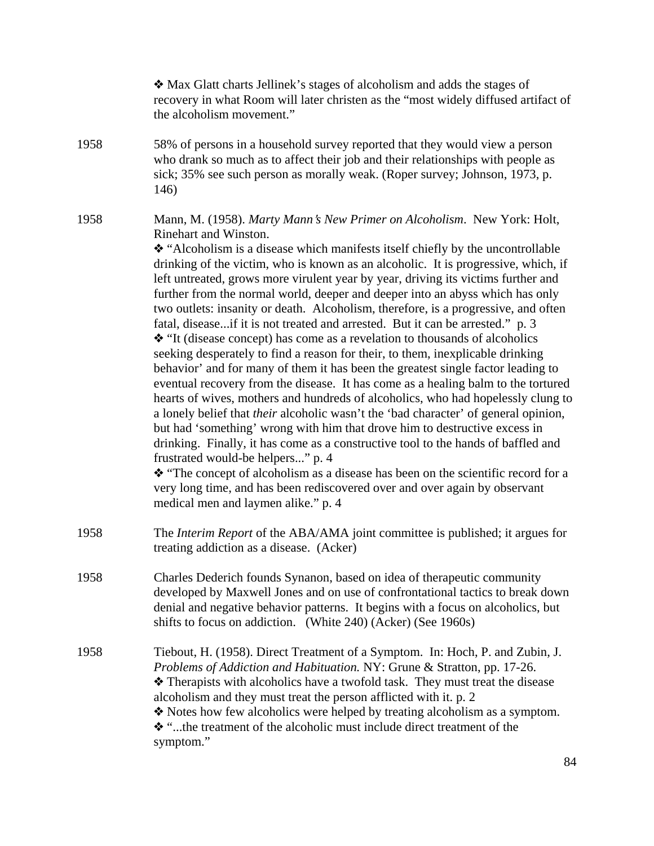|      | ◆ Max Glatt charts Jellinek's stages of alcoholism and adds the stages of<br>recovery in what Room will later christen as the "most widely diffused artifact of<br>the alcoholism movement."                                                                                                                                                                                                                                                                                                                                                                                                                                                                                                                                                                                                                                                                                                                                                                                                                                                                                                                                                                                                                                                                                                                                                                                                                                                                                                                                                                                 |
|------|------------------------------------------------------------------------------------------------------------------------------------------------------------------------------------------------------------------------------------------------------------------------------------------------------------------------------------------------------------------------------------------------------------------------------------------------------------------------------------------------------------------------------------------------------------------------------------------------------------------------------------------------------------------------------------------------------------------------------------------------------------------------------------------------------------------------------------------------------------------------------------------------------------------------------------------------------------------------------------------------------------------------------------------------------------------------------------------------------------------------------------------------------------------------------------------------------------------------------------------------------------------------------------------------------------------------------------------------------------------------------------------------------------------------------------------------------------------------------------------------------------------------------------------------------------------------------|
| 1958 | 58% of persons in a household survey reported that they would view a person<br>who drank so much as to affect their job and their relationships with people as<br>sick; 35% see such person as morally weak. (Roper survey; Johnson, 1973, p.<br>146)                                                                                                                                                                                                                                                                                                                                                                                                                                                                                                                                                                                                                                                                                                                                                                                                                                                                                                                                                                                                                                                                                                                                                                                                                                                                                                                        |
| 1958 | Mann, M. (1958). Marty Mann's New Primer on Alcoholism. New York: Holt,<br>Rinehart and Winston.<br>* "Alcoholism is a disease which manifests itself chiefly by the uncontrollable<br>drinking of the victim, who is known as an alcoholic. It is progressive, which, if<br>left untreated, grows more virulent year by year, driving its victims further and<br>further from the normal world, deeper and deeper into an abyss which has only<br>two outlets: insanity or death. Alcoholism, therefore, is a progressive, and often<br>fatal, diseaseif it is not treated and arrested. But it can be arrested." p. 3<br><b>❖</b> "It (disease concept) has come as a revelation to thousands of alcoholics<br>seeking desperately to find a reason for their, to them, inexplicable drinking<br>behavior' and for many of them it has been the greatest single factor leading to<br>eventual recovery from the disease. It has come as a healing balm to the tortured<br>hearts of wives, mothers and hundreds of alcoholics, who had hopelessly clung to<br>a lonely belief that <i>their</i> alcoholic wasn't the 'bad character' of general opinion,<br>but had 'something' wrong with him that drove him to destructive excess in<br>drinking. Finally, it has come as a constructive tool to the hands of baffled and<br>frustrated would-be helpers" p. 4<br>* "The concept of alcoholism as a disease has been on the scientific record for a<br>very long time, and has been rediscovered over and over again by observant<br>medical men and laymen alike." p. 4 |
| 1958 | The Interim Report of the ABA/AMA joint committee is published; it argues for<br>treating addiction as a disease. (Acker)                                                                                                                                                                                                                                                                                                                                                                                                                                                                                                                                                                                                                                                                                                                                                                                                                                                                                                                                                                                                                                                                                                                                                                                                                                                                                                                                                                                                                                                    |
| 1958 | Charles Dederich founds Synanon, based on idea of therapeutic community<br>developed by Maxwell Jones and on use of confrontational tactics to break down<br>denial and negative behavior patterns. It begins with a focus on alcoholics, but<br>shifts to focus on addiction. (White 240) (Acker) (See 1960s)                                                                                                                                                                                                                                                                                                                                                                                                                                                                                                                                                                                                                                                                                                                                                                                                                                                                                                                                                                                                                                                                                                                                                                                                                                                               |
| 1958 | Tiebout, H. (1958). Direct Treatment of a Symptom. In: Hoch, P. and Zubin, J.<br>Problems of Addiction and Habituation. NY: Grune & Stratton, pp. 17-26.<br>The Theorem The Therapists with alcoholics have a twofold task. They must treat the disease<br>alcoholism and they must treat the person afflicted with it. p. 2<br>◆ Notes how few alcoholics were helped by treating alcoholism as a symptom.<br>• "the treatment of the alcoholic must include direct treatment of the<br>symptom."                                                                                                                                                                                                                                                                                                                                                                                                                                                                                                                                                                                                                                                                                                                                                                                                                                                                                                                                                                                                                                                                           |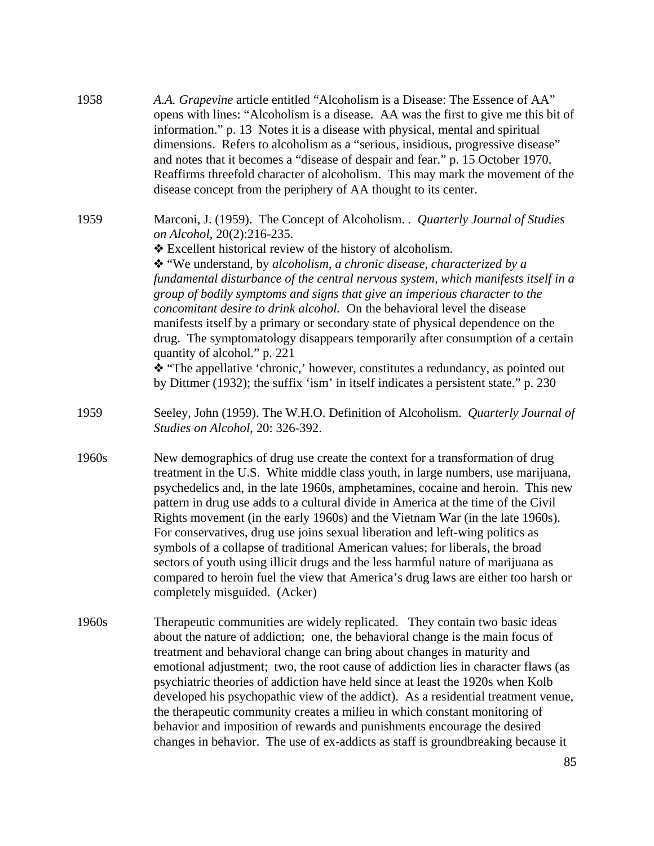| 1958  | A.A. Grapevine article entitled "Alcoholism is a Disease: The Essence of AA"<br>opens with lines: "Alcoholism is a disease. AA was the first to give me this bit of<br>information." p. 13 Notes it is a disease with physical, mental and spiritual<br>dimensions. Refers to alcoholism as a "serious, insidious, progressive disease"<br>and notes that it becomes a "disease of despair and fear." p. 15 October 1970.<br>Reaffirms threefold character of alcoholism. This may mark the movement of the<br>disease concept from the periphery of AA thought to its center.                                                                                                                                                                                                                                                                                                     |
|-------|------------------------------------------------------------------------------------------------------------------------------------------------------------------------------------------------------------------------------------------------------------------------------------------------------------------------------------------------------------------------------------------------------------------------------------------------------------------------------------------------------------------------------------------------------------------------------------------------------------------------------------------------------------------------------------------------------------------------------------------------------------------------------------------------------------------------------------------------------------------------------------|
| 1959  | Marconi, J. (1959). The Concept of Alcoholism. . Quarterly Journal of Studies<br>on Alcohol, 20(2):216-235.<br>❖ Excellent historical review of the history of alcoholism.<br>❖ "We understand, by alcoholism, a chronic disease, characterized by a<br>fundamental disturbance of the central nervous system, which manifests itself in a<br>group of bodily symptoms and signs that give an imperious character to the<br>concomitant desire to drink alcohol. On the behavioral level the disease<br>manifests itself by a primary or secondary state of physical dependence on the<br>drug. The symptomatology disappears temporarily after consumption of a certain<br>quantity of alcohol." p. 221<br>* "The appellative 'chronic,' however, constitutes a redundancy, as pointed out<br>by Dittmer (1932); the suffix 'ism' in itself indicates a persistent state." p. 230 |
| 1959  | Seeley, John (1959). The W.H.O. Definition of Alcoholism. Quarterly Journal of<br>Studies on Alcohol, 20: 326-392.                                                                                                                                                                                                                                                                                                                                                                                                                                                                                                                                                                                                                                                                                                                                                                 |
| 1960s | New demographics of drug use create the context for a transformation of drug<br>treatment in the U.S. White middle class youth, in large numbers, use marijuana,<br>psychedelics and, in the late 1960s, amphetamines, cocaine and heroin. This new<br>pattern in drug use adds to a cultural divide in America at the time of the Civil<br>Rights movement (in the early 1960s) and the Vietnam War (in the late 1960s).<br>For conservatives, drug use joins sexual liberation and left-wing politics as<br>symbols of a collapse of traditional American values; for liberals, the broad<br>sectors of youth using illicit drugs and the less harmful nature of marijuana as<br>compared to heroin fuel the view that America's drug laws are either too harsh or<br>completely misguided. (Acker)                                                                              |
| 1960s | Therapeutic communities are widely replicated. They contain two basic ideas<br>about the nature of addiction; one, the behavioral change is the main focus of<br>treatment and behavioral change can bring about changes in maturity and<br>emotional adjustment; two, the root cause of addiction lies in character flaws (as<br>psychiatric theories of addiction have held since at least the 1920s when Kolb<br>developed his psychopathic view of the addict). As a residential treatment venue,<br>the therapeutic community creates a milieu in which constant monitoring of<br>behavior and imposition of rewards and punishments encourage the desired                                                                                                                                                                                                                    |

changes in behavior. The use of ex-addicts as staff is groundbreaking because it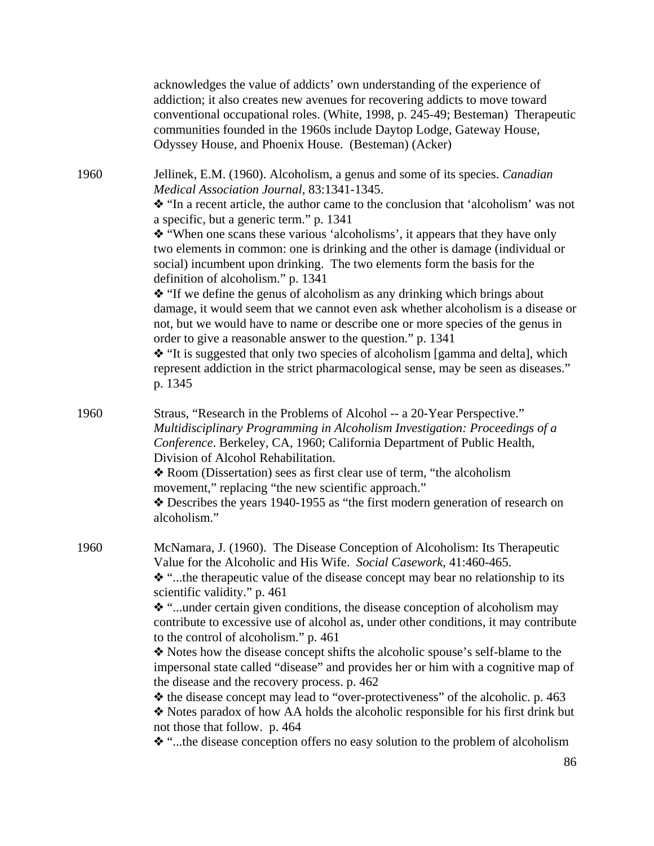| acknowledges the value of addicts' own understanding of the experience of<br>addiction; it also creates new avenues for recovering addicts to move toward<br>conventional occupational roles. (White, 1998, p. 245-49; Besteman) Therapeutic<br>communities founded in the 1960s include Daytop Lodge, Gateway House,<br>Odyssey House, and Phoenix House. (Besteman) (Acker)                                                                                                                                                                                                                                                                                                                                                                                                                                                                                                                                                                                                                                                                                           |
|-------------------------------------------------------------------------------------------------------------------------------------------------------------------------------------------------------------------------------------------------------------------------------------------------------------------------------------------------------------------------------------------------------------------------------------------------------------------------------------------------------------------------------------------------------------------------------------------------------------------------------------------------------------------------------------------------------------------------------------------------------------------------------------------------------------------------------------------------------------------------------------------------------------------------------------------------------------------------------------------------------------------------------------------------------------------------|
| Jellinek, E.M. (1960). Alcoholism, a genus and some of its species. Canadian<br>Medical Association Journal, 83:1341-1345.<br>• "In a recent article, the author came to the conclusion that 'alcoholism' was not<br>a specific, but a generic term." p. 1341<br>• "When one scans these various 'alcoholisms', it appears that they have only<br>two elements in common: one is drinking and the other is damage (individual or<br>social) incumbent upon drinking. The two elements form the basis for the<br>definition of alcoholism." p. 1341<br><b>❖</b> "If we define the genus of alcoholism as any drinking which brings about<br>damage, it would seem that we cannot even ask whether alcoholism is a disease or<br>not, but we would have to name or describe one or more species of the genus in<br>order to give a reasonable answer to the question." p. 1341<br><b>❖</b> "It is suggested that only two species of alcoholism [gamma and delta], which<br>represent addiction in the strict pharmacological sense, may be seen as diseases."<br>p. 1345 |
| Straus, "Research in the Problems of Alcohol -- a 20-Year Perspective."<br>Multidisciplinary Programming in Alcoholism Investigation: Proceedings of a<br>Conference. Berkeley, CA, 1960; California Department of Public Health,<br>Division of Alcohol Rehabilitation.<br>* Room (Dissertation) sees as first clear use of term, "the alcoholism<br>movement," replacing "the new scientific approach."<br>◆ Describes the years 1940-1955 as "the first modern generation of research on<br>alcoholism."                                                                                                                                                                                                                                                                                                                                                                                                                                                                                                                                                             |
| McNamara, J. (1960). The Disease Conception of Alcoholism: Its Therapeutic<br>Value for the Alcoholic and His Wife. Social Casework, 41:460-465.<br>• "the therapeutic value of the disease concept may bear no relationship to its<br>scientific validity." p. 461<br>• "under certain given conditions, the disease conception of alcoholism may<br>contribute to excessive use of alcohol as, under other conditions, it may contribute<br>to the control of alcoholism." p. 461<br>Notes how the disease concept shifts the alcoholic spouse's self-blame to the<br>impersonal state called "disease" and provides her or him with a cognitive map of<br>the disease and the recovery process. p. 462<br><b>♦</b> the disease concept may lead to "over-protectiveness" of the alcoholic. p. 463<br>Notes paradox of how AA holds the alcoholic responsible for his first drink but<br>not those that follow. p. 464<br>• "the disease conception offers no easy solution to the problem of alcoholism                                                              |
|                                                                                                                                                                                                                                                                                                                                                                                                                                                                                                                                                                                                                                                                                                                                                                                                                                                                                                                                                                                                                                                                         |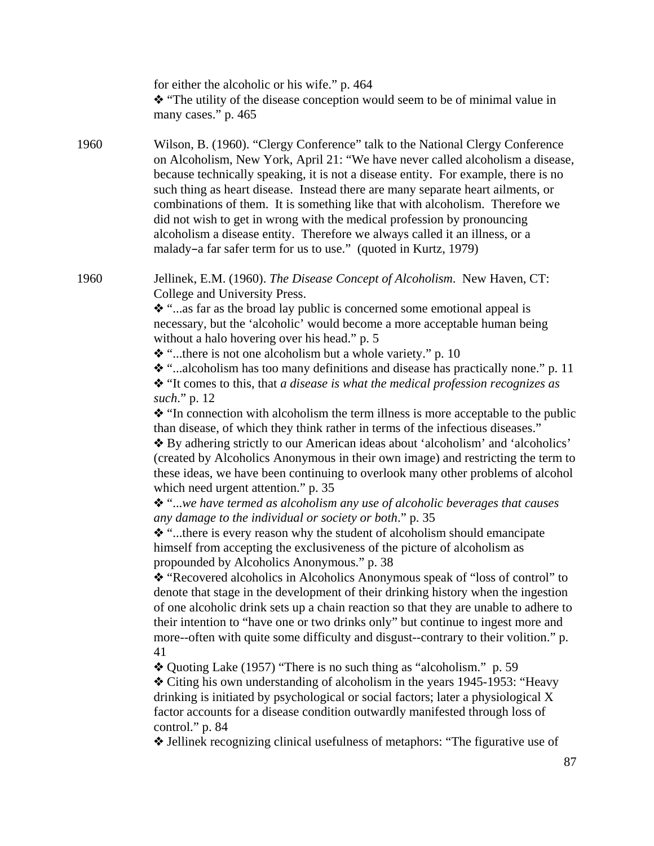for either the alcoholic or his wife." p. 464 ˜ "The utility of the disease conception would seem to be of minimal value in many cases." p. 465

1960 Wilson, B. (1960). "Clergy Conference" talk to the National Clergy Conference on Alcoholism, New York, April 21: "We have never called alcoholism a disease, because technically speaking, it is not a disease entity. For example, there is no such thing as heart disease. Instead there are many separate heart ailments, or combinations of them. It is something like that with alcoholism. Therefore we did not wish to get in wrong with the medical profession by pronouncing alcoholism a disease entity. Therefore we always called it an illness, or a malady–a far safer term for us to use." (quoted in Kurtz, 1979)

1960 Jellinek, E.M. (1960). *The Disease Concept of Alcoholism*. New Haven, CT: College and University Press.

> ˜ "...as far as the broad lay public is concerned some emotional appeal is necessary, but the 'alcoholic' would become a more acceptable human being without a halo hovering over his head." p. 5

˜ "...there is not one alcoholism but a whole variety." p. 10

 $\clubsuit$  "...alcoholism has too many definitions and disease has practically none." p. 11

˜ "It comes to this, that *a disease is what the medical profession recognizes as such*." p. 12

˜ "In connection with alcoholism the term illness is more acceptable to the public than disease, of which they think rather in terms of the infectious diseases."

˜ By adhering strictly to our American ideas about 'alcoholism' and 'alcoholics' (created by Alcoholics Anonymous in their own image) and restricting the term to these ideas, we have been continuing to overlook many other problems of alcohol which need urgent attention." p. 35

˜ "...*we have termed as alcoholism any use of alcoholic beverages that causes any damage to the individual or society or both*." p. 35

˜ "...there is every reason why the student of alcoholism should emancipate himself from accepting the exclusiveness of the picture of alcoholism as propounded by Alcoholics Anonymous." p. 38

˜ "Recovered alcoholics in Alcoholics Anonymous speak of "loss of control" to denote that stage in the development of their drinking history when the ingestion of one alcoholic drink sets up a chain reaction so that they are unable to adhere to their intention to "have one or two drinks only" but continue to ingest more and more--often with quite some difficulty and disgust--contrary to their volition." p. 41

˜ Quoting Lake (1957) "There is no such thing as "alcoholism." p. 59

˜ Citing his own understanding of alcoholism in the years 1945-1953: "Heavy drinking is initiated by psychological or social factors; later a physiological X factor accounts for a disease condition outwardly manifested through loss of control." p. 84

˜ Jellinek recognizing clinical usefulness of metaphors: "The figurative use of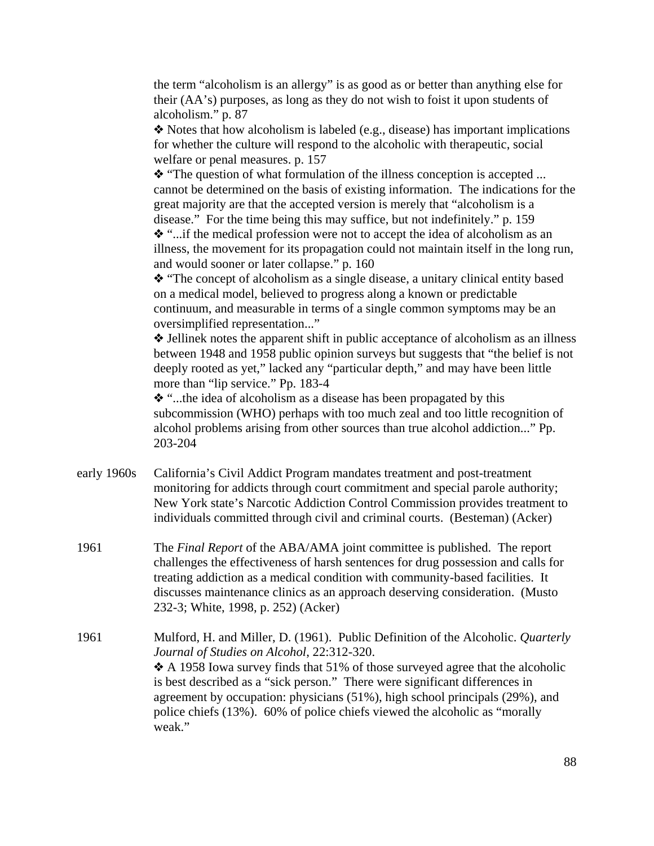the term "alcoholism is an allergy" is as good as or better than anything else for their (AA's) purposes, as long as they do not wish to foist it upon students of alcoholism." p. 87

˜ Notes that how alcoholism is labeled (e.g., disease) has important implications for whether the culture will respond to the alcoholic with therapeutic, social welfare or penal measures. p. 157

˜ "The question of what formulation of the illness conception is accepted ... cannot be determined on the basis of existing information. The indications for the great majority are that the accepted version is merely that "alcoholism is a disease." For the time being this may suffice, but not indefinitely." p. 159 ˜ "...if the medical profession were not to accept the idea of alcoholism as an illness, the movement for its propagation could not maintain itself in the long run,

and would sooner or later collapse." p. 160

˜ "The concept of alcoholism as a single disease, a unitary clinical entity based on a medical model, believed to progress along a known or predictable continuum, and measurable in terms of a single common symptoms may be an oversimplified representation..."

˜ Jellinek notes the apparent shift in public acceptance of alcoholism as an illness between 1948 and 1958 public opinion surveys but suggests that "the belief is not deeply rooted as yet," lacked any "particular depth," and may have been little more than "lip service." Pp. 183-4

˜ "...the idea of alcoholism as a disease has been propagated by this subcommission (WHO) perhaps with too much zeal and too little recognition of alcohol problems arising from other sources than true alcohol addiction..." Pp. 203-204

- early 1960s California's Civil Addict Program mandates treatment and post-treatment monitoring for addicts through court commitment and special parole authority; New York state's Narcotic Addiction Control Commission provides treatment to individuals committed through civil and criminal courts. (Besteman) (Acker)
- 1961 The *Final Report* of the ABA/AMA joint committee is published. The report challenges the effectiveness of harsh sentences for drug possession and calls for treating addiction as a medical condition with community-based facilities. It discusses maintenance clinics as an approach deserving consideration. (Musto 232-3; White, 1998, p. 252) (Acker)
- 1961 Mulford, H. and Miller, D. (1961). Public Definition of the Alcoholic. *Quarterly Journal of Studies on Alcohol*, 22:312-320.  $\triangle$  A 1958 Iowa survey finds that 51% of those surveyed agree that the alcoholic is best described as a "sick person." There were significant differences in agreement by occupation: physicians (51%), high school principals (29%), and police chiefs (13%). 60% of police chiefs viewed the alcoholic as "morally weak."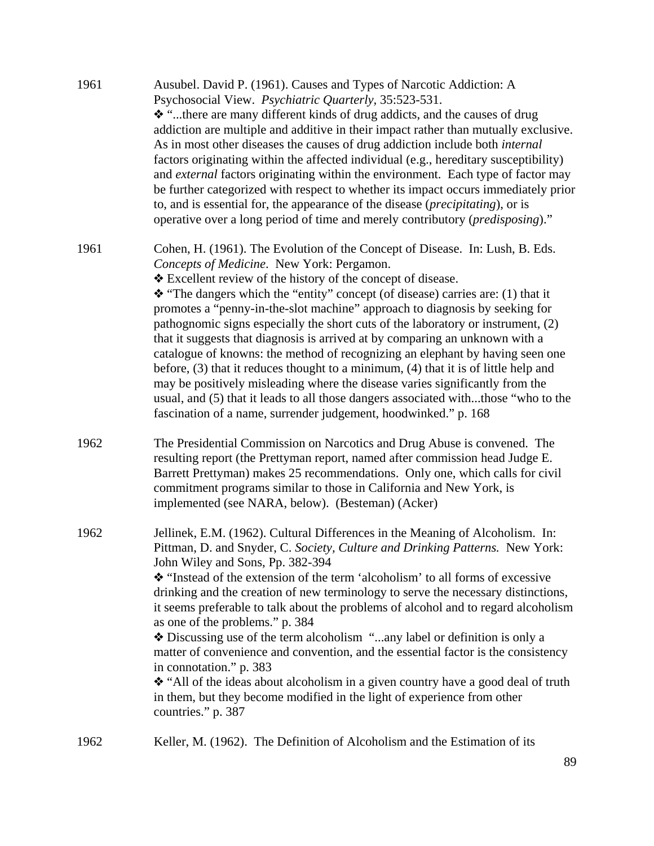| 1961 | Ausubel. David P. (1961). Causes and Types of Narcotic Addiction: A<br>Psychosocial View. Psychiatric Quarterly, 35:523-531.<br>* "there are many different kinds of drug addicts, and the causes of drug<br>addiction are multiple and additive in their impact rather than mutually exclusive.<br>As in most other diseases the causes of drug addiction include both <i>internal</i><br>factors originating within the affected individual (e.g., hereditary susceptibility)<br>and external factors originating within the environment. Each type of factor may<br>be further categorized with respect to whether its impact occurs immediately prior<br>to, and is essential for, the appearance of the disease ( <i>precipitating</i> ), or is<br>operative over a long period of time and merely contributory (predisposing)."                                                                                                                      |
|------|------------------------------------------------------------------------------------------------------------------------------------------------------------------------------------------------------------------------------------------------------------------------------------------------------------------------------------------------------------------------------------------------------------------------------------------------------------------------------------------------------------------------------------------------------------------------------------------------------------------------------------------------------------------------------------------------------------------------------------------------------------------------------------------------------------------------------------------------------------------------------------------------------------------------------------------------------------|
| 1961 | Cohen, H. (1961). The Evolution of the Concept of Disease. In: Lush, B. Eds.<br>Concepts of Medicine. New York: Pergamon.<br>❖ Excellent review of the history of the concept of disease.<br>$\triangle$ "The dangers which the "entity" concept (of disease) carries are: (1) that it<br>promotes a "penny-in-the-slot machine" approach to diagnosis by seeking for<br>pathognomic signs especially the short cuts of the laboratory or instrument, (2)<br>that it suggests that diagnosis is arrived at by comparing an unknown with a<br>catalogue of knowns: the method of recognizing an elephant by having seen one<br>before, (3) that it reduces thought to a minimum, (4) that it is of little help and<br>may be positively misleading where the disease varies significantly from the<br>usual, and (5) that it leads to all those dangers associated withthose "who to the<br>fascination of a name, surrender judgement, hoodwinked." p. 168 |
| 1962 | The Presidential Commission on Narcotics and Drug Abuse is convened. The<br>resulting report (the Prettyman report, named after commission head Judge E.<br>Barrett Prettyman) makes 25 recommendations. Only one, which calls for civil<br>commitment programs similar to those in California and New York, is<br>implemented (see NARA, below). (Besteman) (Acker)                                                                                                                                                                                                                                                                                                                                                                                                                                                                                                                                                                                       |
| 1962 | Jellinek, E.M. (1962). Cultural Differences in the Meaning of Alcoholism. In:<br>Pittman, D. and Snyder, C. Society, Culture and Drinking Patterns. New York:<br>John Wiley and Sons, Pp. 382-394<br>* "Instead of the extension of the term 'alcoholism' to all forms of excessive<br>drinking and the creation of new terminology to serve the necessary distinctions,<br>it seems preferable to talk about the problems of alcohol and to regard alcoholism<br>as one of the problems." p. 384<br>◆ Discussing use of the term alcoholism "any label or definition is only a<br>matter of convenience and convention, and the essential factor is the consistency<br>in connotation." p. 383<br>All of the ideas about alcoholism in a given country have a good deal of truth<br>in them, but they become modified in the light of experience from other<br>countries." p. 387                                                                         |
| 1962 | Keller, M. (1962). The Definition of Alcoholism and the Estimation of its                                                                                                                                                                                                                                                                                                                                                                                                                                                                                                                                                                                                                                                                                                                                                                                                                                                                                  |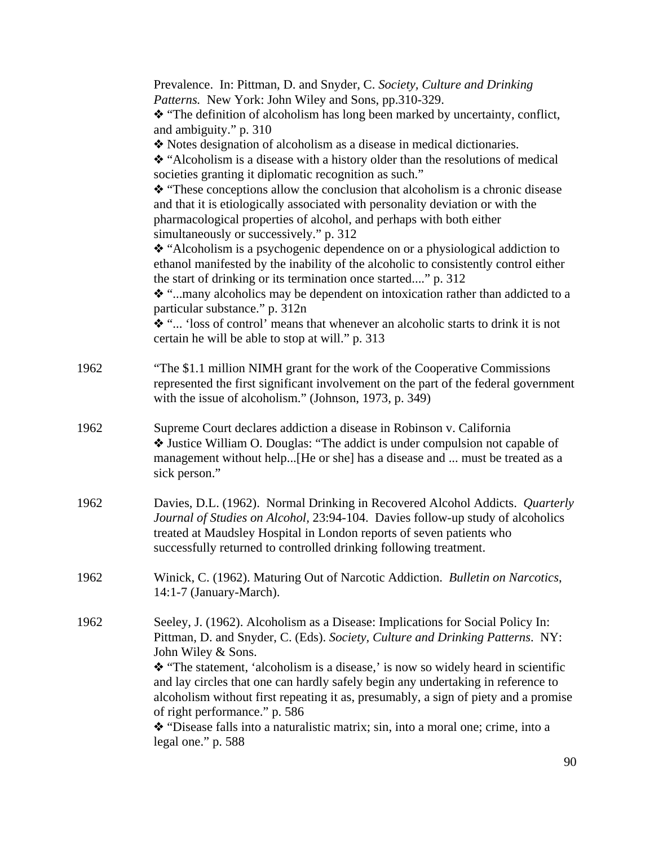|      | Prevalence. In: Pittman, D. and Snyder, C. Society, Culture and Drinking<br>Patterns. New York: John Wiley and Sons, pp.310-329.<br>* "The definition of alcoholism has long been marked by uncertainty, conflict,<br>and ambiguity." p. 310<br>Notes designation of alcoholism as a disease in medical dictionaries.                                            |
|------|------------------------------------------------------------------------------------------------------------------------------------------------------------------------------------------------------------------------------------------------------------------------------------------------------------------------------------------------------------------|
|      | * "Alcoholism is a disease with a history older than the resolutions of medical<br>societies granting it diplomatic recognition as such."                                                                                                                                                                                                                        |
|      | • These conceptions allow the conclusion that alcoholism is a chronic disease<br>and that it is etiologically associated with personality deviation or with the<br>pharmacological properties of alcohol, and perhaps with both either                                                                                                                           |
|      | simultaneously or successively." p. 312<br>* "Alcoholism is a psychogenic dependence on or a physiological addiction to<br>ethanol manifested by the inability of the alcoholic to consistently control either<br>the start of drinking or its termination once started" p. 312<br>• "many alcoholics may be dependent on intoxication rather than addicted to a |
|      | particular substance." p. 312n<br>❖ " 'loss of control' means that whenever an alcoholic starts to drink it is not<br>certain he will be able to stop at will." p. 313                                                                                                                                                                                           |
| 1962 | "The \$1.1 million NIMH grant for the work of the Cooperative Commissions<br>represented the first significant involvement on the part of the federal government<br>with the issue of alcoholism." (Johnson, 1973, p. 349)                                                                                                                                       |
| 1962 | Supreme Court declares addiction a disease in Robinson v. California<br>Ustice William O. Douglas: "The addict is under compulsion not capable of<br>management without help[He or she] has a disease and  must be treated as a<br>sick person."                                                                                                                 |
| 1962 | Davies, D.L. (1962). Normal Drinking in Recovered Alcohol Addicts. Quarterly<br>Journal of Studies on Alcohol, 23:94-104. Davies follow-up study of alcoholics<br>treated at Maudsley Hospital in London reports of seven patients who<br>successfully returned to controlled drinking following treatment.                                                      |
| 1962 | Winick, C. (1962). Maturing Out of Narcotic Addiction. Bulletin on Narcotics,<br>14:1-7 (January-March).                                                                                                                                                                                                                                                         |
| 1962 | Seeley, J. (1962). Alcoholism as a Disease: Implications for Social Policy In:<br>Pittman, D. and Snyder, C. (Eds). Society, Culture and Drinking Patterns. NY:<br>John Wiley & Sons.                                                                                                                                                                            |
|      | <b>❖</b> "The statement, 'alcoholism is a disease,' is now so widely heard in scientific<br>and lay circles that one can hardly safely begin any undertaking in reference to<br>alcoholism without first repeating it as, presumably, a sign of piety and a promise<br>of right performance." p. 586                                                             |
|      | * "Disease falls into a naturalistic matrix; sin, into a moral one; crime, into a<br>legal one." p. 588                                                                                                                                                                                                                                                          |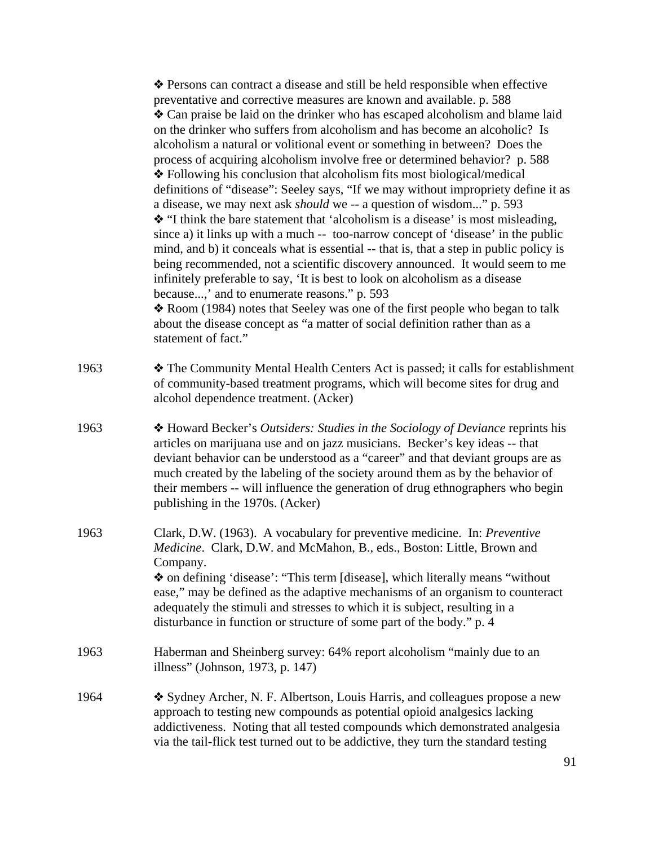|      | ◆ Persons can contract a disease and still be held responsible when effective<br>preventative and corrective measures are known and available. p. 588<br>◆ Can praise be laid on the drinker who has escaped alcoholism and blame laid<br>on the drinker who suffers from alcoholism and has become an alcoholic? Is<br>alcoholism a natural or volitional event or something in between? Does the<br>process of acquiring alcoholism involve free or determined behavior? p. 588<br>❖ Following his conclusion that alcoholism fits most biological/medical<br>definitions of "disease": Seeley says, "If we may without impropriety define it as<br>a disease, we may next ask <i>should</i> we -- a question of wisdom" p. 593<br>* "I think the bare statement that 'alcoholism is a disease' is most misleading,<br>since a) it links up with a much -- too-narrow concept of 'disease' in the public<br>mind, and b) it conceals what is essential -- that is, that a step in public policy is<br>being recommended, not a scientific discovery announced. It would seem to me<br>infinitely preferable to say, 'It is best to look on alcoholism as a disease<br>because,' and to enumerate reasons." p. 593<br>* Room (1984) notes that Seeley was one of the first people who began to talk<br>about the disease concept as "a matter of social definition rather than as a<br>statement of fact." |
|------|-------------------------------------------------------------------------------------------------------------------------------------------------------------------------------------------------------------------------------------------------------------------------------------------------------------------------------------------------------------------------------------------------------------------------------------------------------------------------------------------------------------------------------------------------------------------------------------------------------------------------------------------------------------------------------------------------------------------------------------------------------------------------------------------------------------------------------------------------------------------------------------------------------------------------------------------------------------------------------------------------------------------------------------------------------------------------------------------------------------------------------------------------------------------------------------------------------------------------------------------------------------------------------------------------------------------------------------------------------------------------------------------------------------|
| 1963 | The Community Mental Health Centers Act is passed; it calls for establishment<br>of community-based treatment programs, which will become sites for drug and<br>alcohol dependence treatment. (Acker)                                                                                                                                                                                                                                                                                                                                                                                                                                                                                                                                                                                                                                                                                                                                                                                                                                                                                                                                                                                                                                                                                                                                                                                                       |
| 1963 | * Howard Becker's Outsiders: Studies in the Sociology of Deviance reprints his<br>articles on marijuana use and on jazz musicians. Becker's key ideas -- that<br>deviant behavior can be understood as a "career" and that deviant groups are as<br>much created by the labeling of the society around them as by the behavior of<br>their members -- will influence the generation of drug ethnographers who begin<br>publishing in the 1970s. (Acker)                                                                                                                                                                                                                                                                                                                                                                                                                                                                                                                                                                                                                                                                                                                                                                                                                                                                                                                                                     |
| 1963 | Clark, D.W. (1963). A vocabulary for preventive medicine. In: Preventive<br>Medicine. Clark, D.W. and McMahon, B., eds., Boston: Little, Brown and<br>Company.<br>◆ on defining 'disease': "This term [disease], which literally means "without"<br>ease," may be defined as the adaptive mechanisms of an organism to counteract<br>adequately the stimuli and stresses to which it is subject, resulting in a<br>disturbance in function or structure of some part of the body." p. 4                                                                                                                                                                                                                                                                                                                                                                                                                                                                                                                                                                                                                                                                                                                                                                                                                                                                                                                     |
| 1963 | Haberman and Sheinberg survey: 64% report alcoholism "mainly due to an<br>illness" (Johnson, 1973, p. 147)                                                                                                                                                                                                                                                                                                                                                                                                                                                                                                                                                                                                                                                                                                                                                                                                                                                                                                                                                                                                                                                                                                                                                                                                                                                                                                  |
| 1964 | ❖ Sydney Archer, N. F. Albertson, Louis Harris, and colleagues propose a new<br>approach to testing new compounds as potential opioid analgesics lacking<br>addictiveness. Noting that all tested compounds which demonstrated analgesia<br>via the tail-flick test turned out to be addictive, they turn the standard testing                                                                                                                                                                                                                                                                                                                                                                                                                                                                                                                                                                                                                                                                                                                                                                                                                                                                                                                                                                                                                                                                              |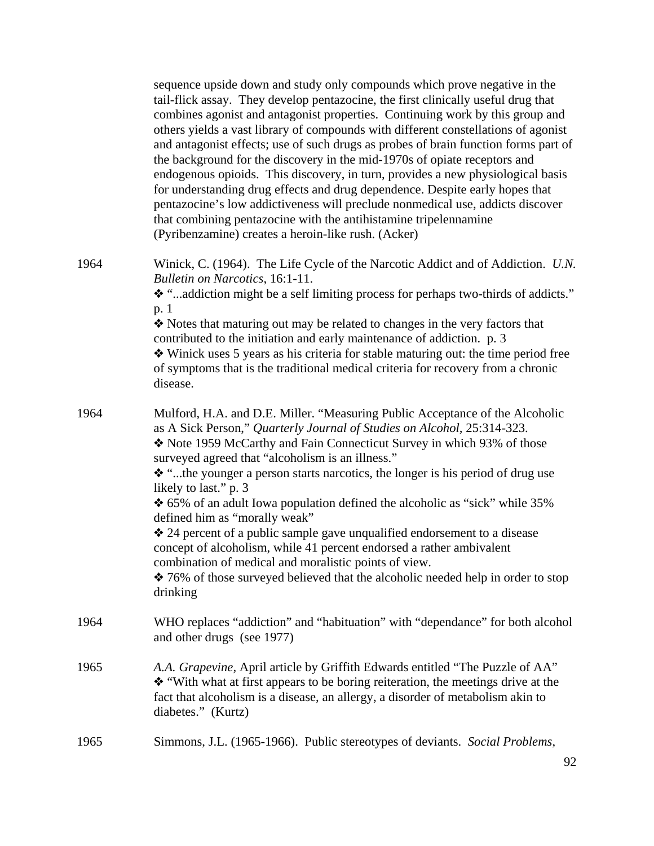|      | sequence upside down and study only compounds which prove negative in the<br>tail-flick assay. They develop pentazocine, the first clinically useful drug that<br>combines agonist and antagonist properties. Continuing work by this group and<br>others yields a vast library of compounds with different constellations of agonist<br>and antagonist effects; use of such drugs as probes of brain function forms part of<br>the background for the discovery in the mid-1970s of opiate receptors and<br>endogenous opioids. This discovery, in turn, provides a new physiological basis<br>for understanding drug effects and drug dependence. Despite early hopes that<br>pentazocine's low addictiveness will preclude nonmedical use, addicts discover<br>that combining pentazocine with the antihistamine tripelennamine<br>(Pyribenzamine) creates a heroin-like rush. (Acker) |
|------|-------------------------------------------------------------------------------------------------------------------------------------------------------------------------------------------------------------------------------------------------------------------------------------------------------------------------------------------------------------------------------------------------------------------------------------------------------------------------------------------------------------------------------------------------------------------------------------------------------------------------------------------------------------------------------------------------------------------------------------------------------------------------------------------------------------------------------------------------------------------------------------------|
| 1964 | Winick, C. (1964). The Life Cycle of the Narcotic Addict and of Addiction. U.N.<br>Bulletin on Narcotics, 16:1-11.<br>* "addiction might be a self limiting process for perhaps two-thirds of addicts."<br>p. 1<br>Notes that maturing out may be related to changes in the very factors that<br>contributed to the initiation and early maintenance of addiction. p. 3<br>Winick uses 5 years as his criteria for stable maturing out: the time period free<br>of symptoms that is the traditional medical criteria for recovery from a chronic<br>disease.                                                                                                                                                                                                                                                                                                                              |
| 1964 | Mulford, H.A. and D.E. Miller. "Measuring Public Acceptance of the Alcoholic<br>as A Sick Person," Quarterly Journal of Studies on Alcohol, 25:314-323.<br>Note 1959 McCarthy and Fain Connecticut Survey in which 93% of those<br>surveyed agreed that "alcoholism is an illness."<br>• "the younger a person starts narcotics, the longer is his period of drug use<br>likely to last." p. 3<br><b>♦ 65%</b> of an adult Iowa population defined the alcoholic as "sick" while 35%<br>defined him as "morally weak"<br>$\triangle$ 24 percent of a public sample gave unqualified endorsement to a disease<br>concept of alcoholism, while 41 percent endorsed a rather ambivalent<br>combination of medical and moralistic points of view.<br>◆ 76% of those surveyed believed that the alcoholic needed help in order to stop<br>drinking                                             |
| 1964 | WHO replaces "addiction" and "habituation" with "dependance" for both alcohol<br>and other drugs (see 1977)                                                                                                                                                                                                                                                                                                                                                                                                                                                                                                                                                                                                                                                                                                                                                                               |
| 1965 | A.A. Grapevine, April article by Griffith Edwards entitled "The Puzzle of AA"<br>With what at first appears to be boring reiteration, the meetings drive at the<br>fact that alcoholism is a disease, an allergy, a disorder of metabolism akin to<br>diabetes." (Kurtz)                                                                                                                                                                                                                                                                                                                                                                                                                                                                                                                                                                                                                  |
| 1965 | Simmons, J.L. (1965-1966). Public stereotypes of deviants. Social Problems,                                                                                                                                                                                                                                                                                                                                                                                                                                                                                                                                                                                                                                                                                                                                                                                                               |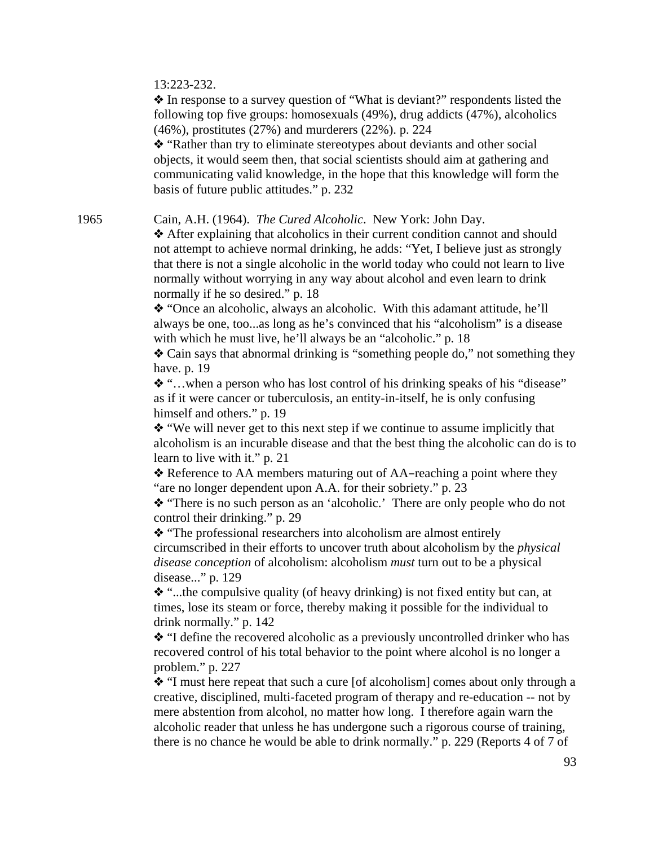13:223-232.

˜ In response to a survey question of "What is deviant?" respondents listed the following top five groups: homosexuals (49%), drug addicts (47%), alcoholics (46%), prostitutes (27%) and murderers (22%). p. 224

˜ "Rather than try to eliminate stereotypes about deviants and other social objects, it would seem then, that social scientists should aim at gathering and communicating valid knowledge, in the hope that this knowledge will form the basis of future public attitudes." p. 232

1965 Cain, A.H. (1964). *The Cured Alcoholic*. New York: John Day.

˜ After explaining that alcoholics in their current condition cannot and should not attempt to achieve normal drinking, he adds: "Yet, I believe just as strongly that there is not a single alcoholic in the world today who could not learn to live normally without worrying in any way about alcohol and even learn to drink normally if he so desired." p. 18

˜ "Once an alcoholic, always an alcoholic. With this adamant attitude, he'll always be one, too...as long as he's convinced that his "alcoholism" is a disease with which he must live, he'll always be an "alcoholic." p. 18

˜ Cain says that abnormal drinking is "something people do," not something they have. p. 19

˜ "…when a person who has lost control of his drinking speaks of his "disease" as if it were cancer or tuberculosis, an entity-in-itself, he is only confusing himself and others." p. 19

˜ "We will never get to this next step if we continue to assume implicitly that alcoholism is an incurable disease and that the best thing the alcoholic can do is to learn to live with it." p. 21

**❖** Reference to AA members maturing out of AA-reaching a point where they "are no longer dependent upon A.A. for their sobriety." p. 23

˜ "There is no such person as an 'alcoholic.' There are only people who do not control their drinking." p. 29

˜ "The professional researchers into alcoholism are almost entirely circumscribed in their efforts to uncover truth about alcoholism by the *physical disease conception* of alcoholism: alcoholism *must* turn out to be a physical disease..." p. 129

˜ "...the compulsive quality (of heavy drinking) is not fixed entity but can, at times, lose its steam or force, thereby making it possible for the individual to drink normally." p. 142

˜ "I define the recovered alcoholic as a previously uncontrolled drinker who has recovered control of his total behavior to the point where alcohol is no longer a problem." p. 227

˜ "I must here repeat that such a cure [of alcoholism] comes about only through a creative, disciplined, multi-faceted program of therapy and re-education -- not by mere abstention from alcohol, no matter how long. I therefore again warn the alcoholic reader that unless he has undergone such a rigorous course of training, there is no chance he would be able to drink normally." p. 229 (Reports 4 of 7 of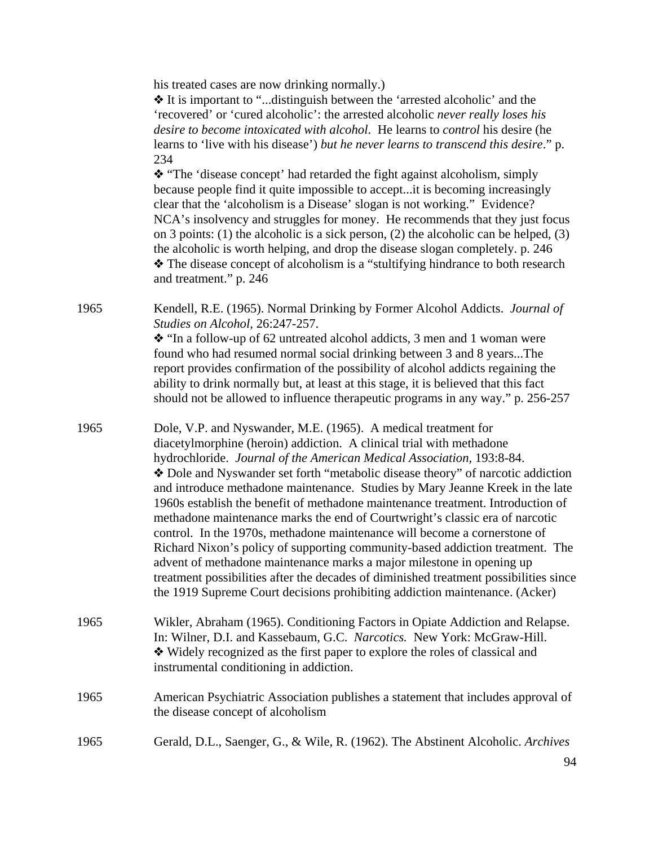his treated cases are now drinking normally.)

˜ It is important to "...distinguish between the 'arrested alcoholic' and the 'recovered' or 'cured alcoholic': the arrested alcoholic *never really loses his desire to become intoxicated with alcohol*. He learns to *control* his desire (he learns to 'live with his disease') *but he never learns to transcend this desire*." p. 234

˜ "The 'disease concept' had retarded the fight against alcoholism, simply because people find it quite impossible to accept...it is becoming increasingly clear that the 'alcoholism is a Disease' slogan is not working." Evidence? NCA's insolvency and struggles for money. He recommends that they just focus on 3 points: (1) the alcoholic is a sick person, (2) the alcoholic can be helped, (3) the alcoholic is worth helping, and drop the disease slogan completely. p. 246 ˜ The disease concept of alcoholism is a "stultifying hindrance to both research and treatment." p. 246

1965 Kendell, R.E. (1965). Normal Drinking by Former Alcohol Addicts. *Journal of Studies on Alcohol,* 26:247-257. ˜ "In a follow-up of 62 untreated alcohol addicts, 3 men and 1 woman were found who had resumed normal social drinking between 3 and 8 years...The report provides confirmation of the possibility of alcohol addicts regaining the

> ability to drink normally but, at least at this stage, it is believed that this fact should not be allowed to influence therapeutic programs in any way." p. 256-257

1965 Dole, V.P. and Nyswander, M.E. (1965). A medical treatment for diacetylmorphine (heroin) addiction. A clinical trial with methadone hydrochloride. *Journal of the American Medical Association,* 193:8-84. ˜ Dole and Nyswander set forth "metabolic disease theory" of narcotic addiction and introduce methadone maintenance. Studies by Mary Jeanne Kreek in the late 1960s establish the benefit of methadone maintenance treatment. Introduction of methadone maintenance marks the end of Courtwright's classic era of narcotic control. In the 1970s, methadone maintenance will become a cornerstone of Richard Nixon's policy of supporting community-based addiction treatment. The advent of methadone maintenance marks a major milestone in opening up treatment possibilities after the decades of diminished treatment possibilities since the 1919 Supreme Court decisions prohibiting addiction maintenance. (Acker)

- 1965 Wikler, Abraham (1965). Conditioning Factors in Opiate Addiction and Relapse. In: Wilner, D.I. and Kassebaum, G.C. *Narcotics.* New York: McGraw-Hill. ˜ Widely recognized as the first paper to explore the roles of classical and instrumental conditioning in addiction.
- 1965 American Psychiatric Association publishes a statement that includes approval of the disease concept of alcoholism
- 1965 Gerald, D.L., Saenger, G., & Wile, R. (1962). The Abstinent Alcoholic. *Archives*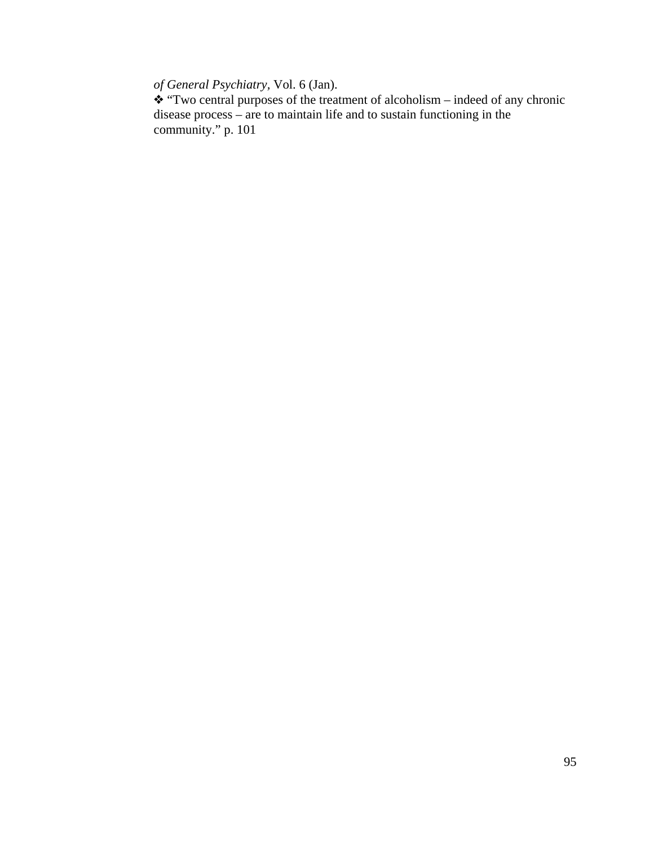*of General Psychiatry,* Vol. 6 (Jan).

 ˜ "Two central purposes of the treatment of alcoholism – indeed of any chronic disease process – are to maintain life and to sustain functioning in the community." p. 101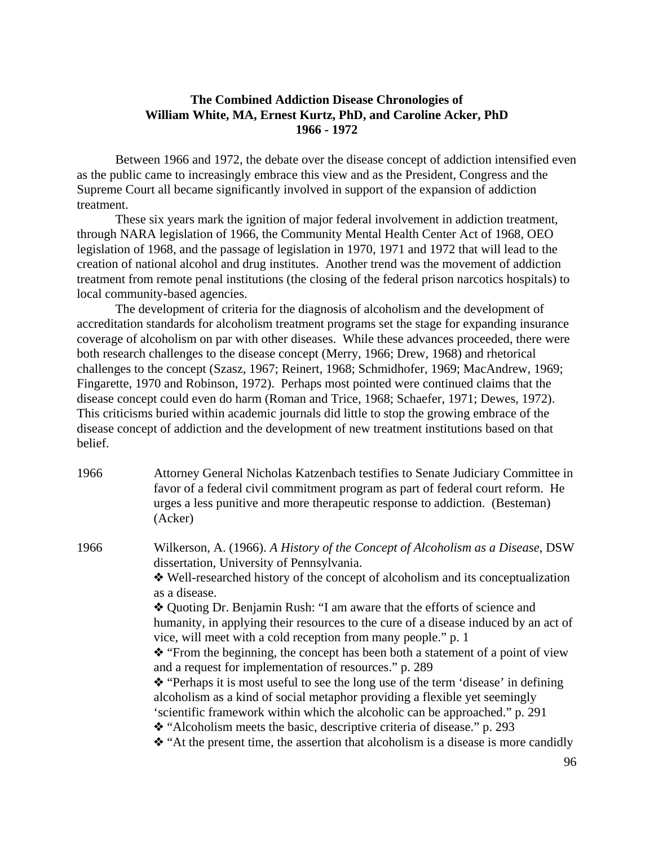## **The Combined Addiction Disease Chronologies of William White, MA, Ernest Kurtz, PhD, and Caroline Acker, PhD 1966 - 1972**

Between 1966 and 1972, the debate over the disease concept of addiction intensified even as the public came to increasingly embrace this view and as the President, Congress and the Supreme Court all became significantly involved in support of the expansion of addiction treatment.

These six years mark the ignition of major federal involvement in addiction treatment, through NARA legislation of 1966, the Community Mental Health Center Act of 1968, OEO legislation of 1968, and the passage of legislation in 1970, 1971 and 1972 that will lead to the creation of national alcohol and drug institutes. Another trend was the movement of addiction treatment from remote penal institutions (the closing of the federal prison narcotics hospitals) to local community-based agencies.

The development of criteria for the diagnosis of alcoholism and the development of accreditation standards for alcoholism treatment programs set the stage for expanding insurance coverage of alcoholism on par with other diseases. While these advances proceeded, there were both research challenges to the disease concept (Merry, 1966; Drew, 1968) and rhetorical challenges to the concept (Szasz, 1967; Reinert, 1968; Schmidhofer, 1969; MacAndrew, 1969; Fingarette, 1970 and Robinson, 1972). Perhaps most pointed were continued claims that the disease concept could even do harm (Roman and Trice, 1968; Schaefer, 1971; Dewes, 1972). This criticisms buried within academic journals did little to stop the growing embrace of the disease concept of addiction and the development of new treatment institutions based on that belief.

1966 Attorney General Nicholas Katzenbach testifies to Senate Judiciary Committee in favor of a federal civil commitment program as part of federal court reform. He urges a less punitive and more therapeutic response to addiction. (Besteman) (Acker)

1966 Wilkerson, A. (1966). *A History of the Concept of Alcoholism as a Disease*, DSW dissertation, University of Pennsylvania. ˜ Well-researched history of the concept of alcoholism and its conceptualization

as a disease.

˜ Quoting Dr. Benjamin Rush: "I am aware that the efforts of science and humanity, in applying their resources to the cure of a disease induced by an act of vice, will meet with a cold reception from many people." p. 1

˜ "From the beginning, the concept has been both a statement of a point of view and a request for implementation of resources." p. 289

˜ "Perhaps it is most useful to see the long use of the term 'disease' in defining alcoholism as a kind of social metaphor providing a flexible yet seemingly 'scientific framework within which the alcoholic can be approached." p. 291

- ˜ "Alcoholism meets the basic, descriptive criteria of disease." p. 293
- ˜ "At the present time, the assertion that alcoholism is a disease is more candidly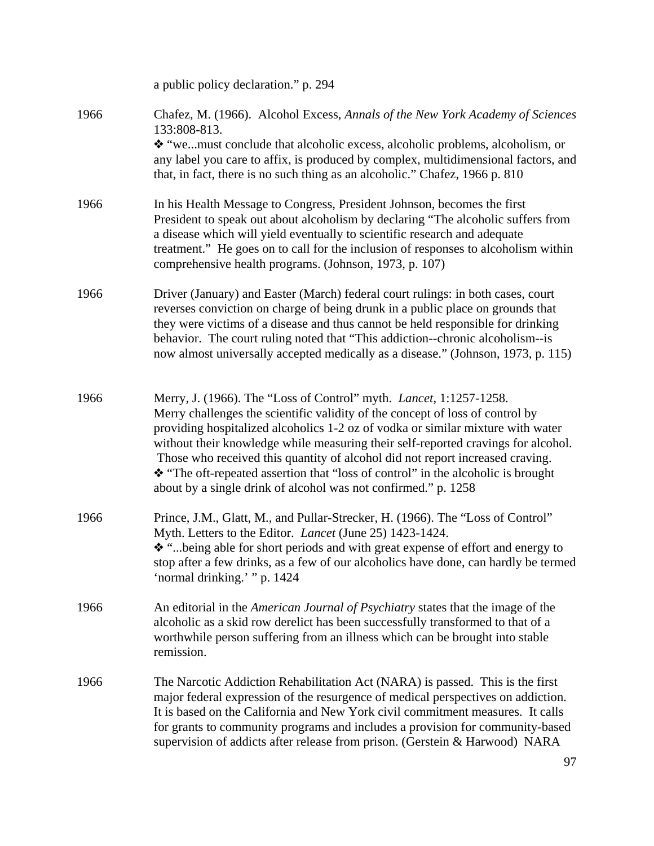|      | a public policy declaration." p. 294                                                                                                                                                                                                                                                                                                                                                                                                                                                                                                                               |
|------|--------------------------------------------------------------------------------------------------------------------------------------------------------------------------------------------------------------------------------------------------------------------------------------------------------------------------------------------------------------------------------------------------------------------------------------------------------------------------------------------------------------------------------------------------------------------|
| 1966 | Chafez, M. (1966). Alcohol Excess, Annals of the New York Academy of Sciences<br>133:808-813.<br>* "wemust conclude that alcoholic excess, alcoholic problems, alcoholism, or<br>any label you care to affix, is produced by complex, multidimensional factors, and<br>that, in fact, there is no such thing as an alcoholic." Chafez, 1966 p. 810                                                                                                                                                                                                                 |
| 1966 | In his Health Message to Congress, President Johnson, becomes the first<br>President to speak out about alcoholism by declaring "The alcoholic suffers from<br>a disease which will yield eventually to scientific research and adequate<br>treatment." He goes on to call for the inclusion of responses to alcoholism within<br>comprehensive health programs. (Johnson, 1973, p. 107)                                                                                                                                                                           |
| 1966 | Driver (January) and Easter (March) federal court rulings: in both cases, court<br>reverses conviction on charge of being drunk in a public place on grounds that<br>they were victims of a disease and thus cannot be held responsible for drinking<br>behavior. The court ruling noted that "This addiction--chronic alcoholism--is<br>now almost universally accepted medically as a disease." (Johnson, 1973, p. 115)                                                                                                                                          |
| 1966 | Merry, J. (1966). The "Loss of Control" myth. Lancet, 1:1257-1258.<br>Merry challenges the scientific validity of the concept of loss of control by<br>providing hospitalized alcoholics 1-2 oz of vodka or similar mixture with water<br>without their knowledge while measuring their self-reported cravings for alcohol.<br>Those who received this quantity of alcohol did not report increased craving.<br>* "The oft-repeated assertion that "loss of control" in the alcoholic is brought<br>about by a single drink of alcohol was not confirmed." p. 1258 |
| 1966 | Prince, J.M., Glatt, M., and Pullar-Strecker, H. (1966). The "Loss of Control"<br>Myth. Letters to the Editor. Lancet (June 25) 1423-1424.<br>• " being able for short periods and with great expense of effort and energy to<br>stop after a few drinks, as a few of our alcoholics have done, can hardly be termed<br>'normal drinking.' " p. 1424                                                                                                                                                                                                               |
| 1966 | An editorial in the American Journal of Psychiatry states that the image of the<br>alcoholic as a skid row derelict has been successfully transformed to that of a<br>worthwhile person suffering from an illness which can be brought into stable<br>remission.                                                                                                                                                                                                                                                                                                   |
| 1966 | The Narcotic Addiction Rehabilitation Act (NARA) is passed. This is the first<br>major federal expression of the resurgence of medical perspectives on addiction.<br>It is based on the California and New York civil commitment measures. It calls<br>for grants to community programs and includes a provision for community-based<br>supervision of addicts after release from prison. (Gerstein & Harwood) NARA                                                                                                                                                |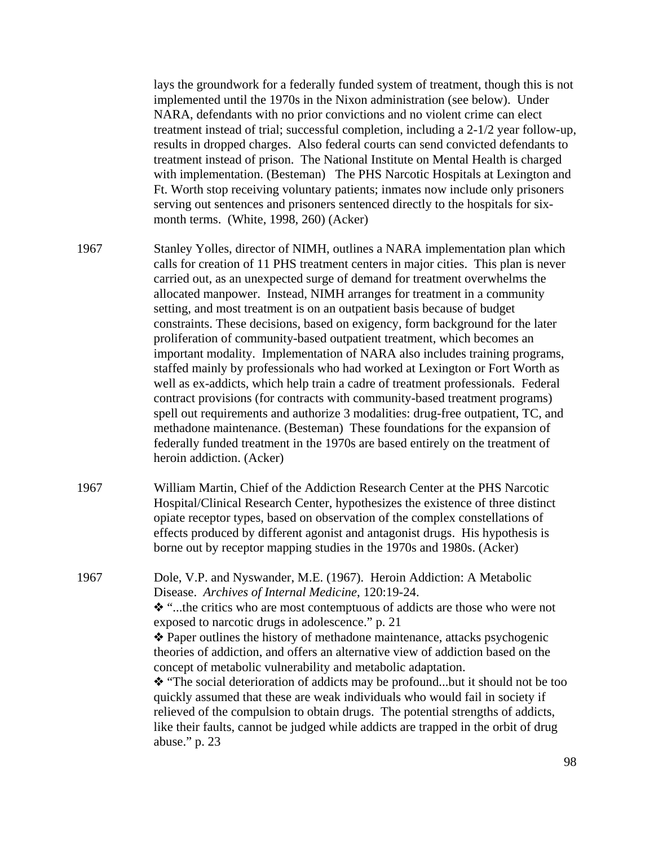lays the groundwork for a federally funded system of treatment, though this is not implemented until the 1970s in the Nixon administration (see below). Under NARA, defendants with no prior convictions and no violent crime can elect treatment instead of trial; successful completion, including a 2-1/2 year follow-up, results in dropped charges. Also federal courts can send convicted defendants to treatment instead of prison. The National Institute on Mental Health is charged with implementation. (Besteman) The PHS Narcotic Hospitals at Lexington and Ft. Worth stop receiving voluntary patients; inmates now include only prisoners serving out sentences and prisoners sentenced directly to the hospitals for sixmonth terms. (White, 1998, 260) (Acker)

- 1967 Stanley Yolles, director of NIMH, outlines a NARA implementation plan which calls for creation of 11 PHS treatment centers in major cities. This plan is never carried out, as an unexpected surge of demand for treatment overwhelms the allocated manpower. Instead, NIMH arranges for treatment in a community setting, and most treatment is on an outpatient basis because of budget constraints. These decisions, based on exigency, form background for the later proliferation of community-based outpatient treatment, which becomes an important modality. Implementation of NARA also includes training programs, staffed mainly by professionals who had worked at Lexington or Fort Worth as well as ex-addicts, which help train a cadre of treatment professionals. Federal contract provisions (for contracts with community-based treatment programs) spell out requirements and authorize 3 modalities: drug-free outpatient, TC, and methadone maintenance. (Besteman) These foundations for the expansion of federally funded treatment in the 1970s are based entirely on the treatment of heroin addiction. (Acker)
- 1967 William Martin, Chief of the Addiction Research Center at the PHS Narcotic Hospital/Clinical Research Center, hypothesizes the existence of three distinct opiate receptor types, based on observation of the complex constellations of effects produced by different agonist and antagonist drugs. His hypothesis is borne out by receptor mapping studies in the 1970s and 1980s. (Acker)

1967 Dole, V.P. and Nyswander, M.E. (1967). Heroin Addiction: A Metabolic Disease. *Archives of Internal Medicine*, 120:19-24. ˜ "...the critics who are most contemptuous of addicts are those who were not exposed to narcotic drugs in adolescence." p. 21 ˜ Paper outlines the history of methadone maintenance, attacks psychogenic theories of addiction, and offers an alternative view of addiction based on the concept of metabolic vulnerability and metabolic adaptation. ˜ "The social deterioration of addicts may be profound...but it should not be too quickly assumed that these are weak individuals who would fail in society if relieved of the compulsion to obtain drugs. The potential strengths of addicts, like their faults, cannot be judged while addicts are trapped in the orbit of drug abuse." p. 23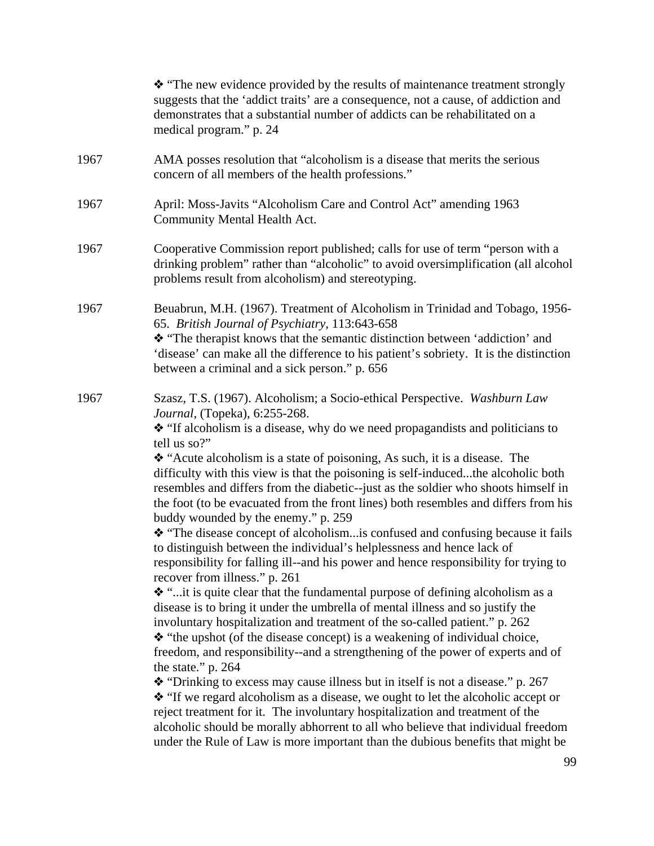|      | $\hat{\mathbf{\bullet}}$ "The new evidence provided by the results of maintenance treatment strongly<br>suggests that the 'addict traits' are a consequence, not a cause, of addiction and<br>demonstrates that a substantial number of addicts can be rehabilitated on a<br>medical program." p. 24                                                                                                                                                                                                                                                                                                                                                                                                                                                                                                                                                                                                                                                                                                                                                                                                                                                                                                                                                                                                                                                                                                                                                                                                                                                                                                                                                                                                                                                                     |
|------|--------------------------------------------------------------------------------------------------------------------------------------------------------------------------------------------------------------------------------------------------------------------------------------------------------------------------------------------------------------------------------------------------------------------------------------------------------------------------------------------------------------------------------------------------------------------------------------------------------------------------------------------------------------------------------------------------------------------------------------------------------------------------------------------------------------------------------------------------------------------------------------------------------------------------------------------------------------------------------------------------------------------------------------------------------------------------------------------------------------------------------------------------------------------------------------------------------------------------------------------------------------------------------------------------------------------------------------------------------------------------------------------------------------------------------------------------------------------------------------------------------------------------------------------------------------------------------------------------------------------------------------------------------------------------------------------------------------------------------------------------------------------------|
| 1967 | AMA posses resolution that "alcoholism is a disease that merits the serious<br>concern of all members of the health professions."                                                                                                                                                                                                                                                                                                                                                                                                                                                                                                                                                                                                                                                                                                                                                                                                                                                                                                                                                                                                                                                                                                                                                                                                                                                                                                                                                                                                                                                                                                                                                                                                                                        |
| 1967 | April: Moss-Javits "Alcoholism Care and Control Act" amending 1963<br>Community Mental Health Act.                                                                                                                                                                                                                                                                                                                                                                                                                                                                                                                                                                                                                                                                                                                                                                                                                                                                                                                                                                                                                                                                                                                                                                                                                                                                                                                                                                                                                                                                                                                                                                                                                                                                       |
| 1967 | Cooperative Commission report published; calls for use of term "person with a<br>drinking problem" rather than "alcoholic" to avoid oversimplification (all alcohol<br>problems result from alcoholism) and stereotyping.                                                                                                                                                                                                                                                                                                                                                                                                                                                                                                                                                                                                                                                                                                                                                                                                                                                                                                                                                                                                                                                                                                                                                                                                                                                                                                                                                                                                                                                                                                                                                |
| 1967 | Beuabrun, M.H. (1967). Treatment of Alcoholism in Trinidad and Tobago, 1956-<br>65. British Journal of Psychiatry, 113:643-658<br>* "The therapist knows that the semantic distinction between 'addiction' and<br>'disease' can make all the difference to his patient's sobriety. It is the distinction<br>between a criminal and a sick person." p. 656                                                                                                                                                                                                                                                                                                                                                                                                                                                                                                                                                                                                                                                                                                                                                                                                                                                                                                                                                                                                                                                                                                                                                                                                                                                                                                                                                                                                                |
| 1967 | Szasz, T.S. (1967). Alcoholism; a Socio-ethical Perspective. Washburn Law<br>Journal, (Topeka), 6:255-268.<br>$\cdot$ "If alcoholism is a disease, why do we need propagandists and politicians to<br>tell us so?"<br>* "Acute alcoholism is a state of poisoning, As such, it is a disease. The<br>difficulty with this view is that the poisoning is self-inducedthe alcoholic both<br>resembles and differs from the diabetic--just as the soldier who shoots himself in<br>the foot (to be evacuated from the front lines) both resembles and differs from his<br>buddy wounded by the enemy." p. 259<br>* "The disease concept of alcoholism is confused and confusing because it fails<br>to distinguish between the individual's helplessness and hence lack of<br>responsibility for falling ill--and his power and hence responsibility for trying to<br>recover from illness." p. 261<br>• "it is quite clear that the fundamental purpose of defining alcoholism as a<br>disease is to bring it under the umbrella of mental illness and so justify the<br>involuntary hospitalization and treatment of the so-called patient." p. 262<br>* "the upshot (of the disease concept) is a weakening of individual choice,<br>freedom, and responsibility--and a strengthening of the power of experts and of<br>the state." p. 264<br>* "Drinking to excess may cause illness but in itself is not a disease." p. 267<br>* "If we regard alcoholism as a disease, we ought to let the alcoholic accept or<br>reject treatment for it. The involuntary hospitalization and treatment of the<br>alcoholic should be morally abhorrent to all who believe that individual freedom<br>under the Rule of Law is more important than the dubious benefits that might be |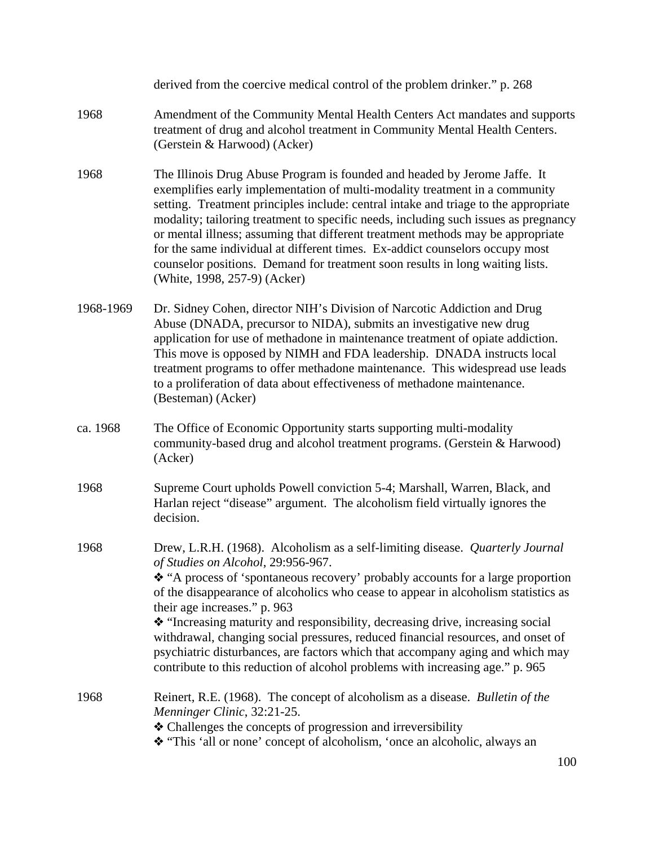|           | derived from the coercive medical control of the problem drinker." p. 268                                                                                                                                                                                                                                                                                                                                                                                                                                                                                                                                                                                             |
|-----------|-----------------------------------------------------------------------------------------------------------------------------------------------------------------------------------------------------------------------------------------------------------------------------------------------------------------------------------------------------------------------------------------------------------------------------------------------------------------------------------------------------------------------------------------------------------------------------------------------------------------------------------------------------------------------|
| 1968      | Amendment of the Community Mental Health Centers Act mandates and supports<br>treatment of drug and alcohol treatment in Community Mental Health Centers.<br>(Gerstein & Harwood) (Acker)                                                                                                                                                                                                                                                                                                                                                                                                                                                                             |
| 1968      | The Illinois Drug Abuse Program is founded and headed by Jerome Jaffe. It<br>exemplifies early implementation of multi-modality treatment in a community<br>setting. Treatment principles include: central intake and triage to the appropriate<br>modality; tailoring treatment to specific needs, including such issues as pregnancy<br>or mental illness; assuming that different treatment methods may be appropriate<br>for the same individual at different times. Ex-addict counselors occupy most<br>counselor positions. Demand for treatment soon results in long waiting lists.<br>(White, 1998, 257-9) (Acker)                                            |
| 1968-1969 | Dr. Sidney Cohen, director NIH's Division of Narcotic Addiction and Drug<br>Abuse (DNADA, precursor to NIDA), submits an investigative new drug<br>application for use of methadone in maintenance treatment of opiate addiction.<br>This move is opposed by NIMH and FDA leadership. DNADA instructs local<br>treatment programs to offer methadone maintenance. This widespread use leads<br>to a proliferation of data about effectiveness of methadone maintenance.<br>(Besteman) (Acker)                                                                                                                                                                         |
| ca. 1968  | The Office of Economic Opportunity starts supporting multi-modality<br>community-based drug and alcohol treatment programs. (Gerstein & Harwood)<br>(Acker)                                                                                                                                                                                                                                                                                                                                                                                                                                                                                                           |
| 1968      | Supreme Court upholds Powell conviction 5-4; Marshall, Warren, Black, and<br>Harlan reject "disease" argument. The alcoholism field virtually ignores the<br>decision.                                                                                                                                                                                                                                                                                                                                                                                                                                                                                                |
| 1968      | Drew, L.R.H. (1968). Alcoholism as a self-limiting disease. Quarterly Journal<br>of Studies on Alcohol, 29:956-967.<br>* "A process of 'spontaneous recovery' probably accounts for a large proportion<br>of the disappearance of alcoholics who cease to appear in alcoholism statistics as<br>their age increases." p. 963<br>* "Increasing maturity and responsibility, decreasing drive, increasing social<br>withdrawal, changing social pressures, reduced financial resources, and onset of<br>psychiatric disturbances, are factors which that accompany aging and which may<br>contribute to this reduction of alcohol problems with increasing age." p. 965 |
| 1968      | Reinert, R.E. (1968). The concept of alcoholism as a disease. Bulletin of the<br>Menninger Clinic, 32:21-25.<br>* Challenges the concepts of progression and irreversibility<br>* "This 'all or none' concept of alcoholism, 'once an alcoholic, always an                                                                                                                                                                                                                                                                                                                                                                                                            |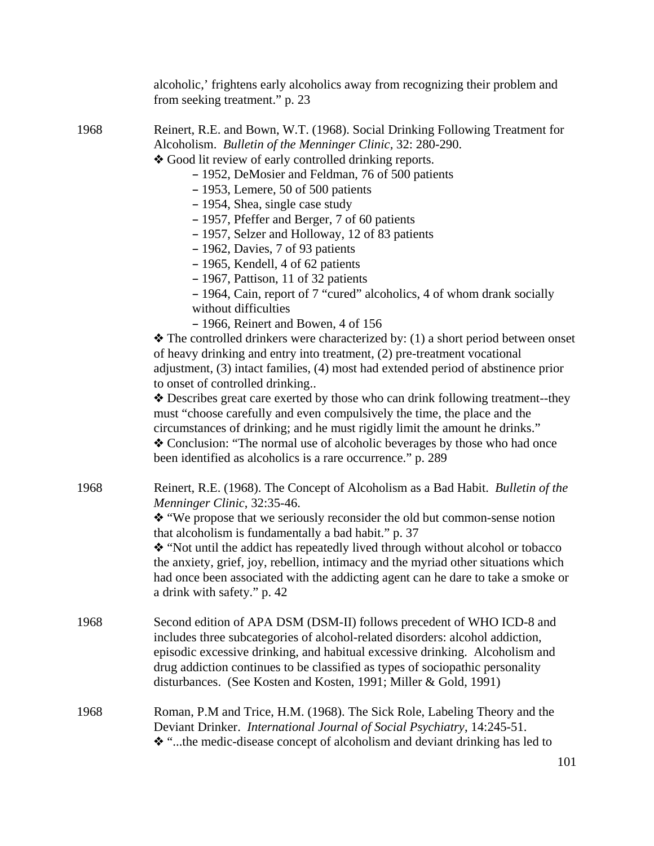|      | alcoholic,' frightens early alcoholics away from recognizing their problem and<br>from seeking treatment." p. 23                                                                                                                                                                                                                                                                                                                                                                                                                                                                                                                                                                                                                                                                                                                                                                                                                                                                                                                                                                                                                                                                                                                                                                                                                                                                              |
|------|-----------------------------------------------------------------------------------------------------------------------------------------------------------------------------------------------------------------------------------------------------------------------------------------------------------------------------------------------------------------------------------------------------------------------------------------------------------------------------------------------------------------------------------------------------------------------------------------------------------------------------------------------------------------------------------------------------------------------------------------------------------------------------------------------------------------------------------------------------------------------------------------------------------------------------------------------------------------------------------------------------------------------------------------------------------------------------------------------------------------------------------------------------------------------------------------------------------------------------------------------------------------------------------------------------------------------------------------------------------------------------------------------|
| 1968 | Reinert, R.E. and Bown, W.T. (1968). Social Drinking Following Treatment for<br>Alcoholism. Bulletin of the Menninger Clinic, 32: 280-290.<br>❖ Good lit review of early controlled drinking reports.<br>- 1952, DeMosier and Feldman, 76 of 500 patients<br>$-1953$ , Lemere, 50 of 500 patients<br>- 1954, Shea, single case study<br>- 1957, Pfeffer and Berger, 7 of 60 patients<br>- 1957, Selzer and Holloway, 12 of 83 patients<br>- 1962, Davies, 7 of 93 patients<br>- 1965, Kendell, 4 of 62 patients<br>- 1967, Pattison, 11 of 32 patients<br>- 1964, Cain, report of 7 "cured" alcoholics, 4 of whom drank socially<br>without difficulties<br>- 1966, Reinert and Bowen, 4 of 156<br>$\triangle$ The controlled drinkers were characterized by: (1) a short period between onset<br>of heavy drinking and entry into treatment, (2) pre-treatment vocational<br>adjustment, (3) intact families, (4) most had extended period of abstinence prior<br>to onset of controlled drinking<br>◆ Describes great care exerted by those who can drink following treatment--they<br>must "choose carefully and even compulsively the time, the place and the<br>circumstances of drinking; and he must rigidly limit the amount he drinks."<br>* Conclusion: "The normal use of alcoholic beverages by those who had once<br>been identified as alcoholics is a rare occurrence." p. 289 |
| 1968 | Reinert, R.E. (1968). The Concept of Alcoholism as a Bad Habit. Bulletin of the<br>Menninger Clinic, 32:35-46.<br>• "We propose that we seriously reconsider the old but common-sense notion<br>that alcoholism is fundamentally a bad habit." p. 37<br>* "Not until the addict has repeatedly lived through without alcohol or tobacco<br>the anxiety, grief, joy, rebellion, intimacy and the myriad other situations which<br>had once been associated with the addicting agent can he dare to take a smoke or<br>a drink with safety." p. 42                                                                                                                                                                                                                                                                                                                                                                                                                                                                                                                                                                                                                                                                                                                                                                                                                                              |
| 1968 | Second edition of APA DSM (DSM-II) follows precedent of WHO ICD-8 and<br>includes three subcategories of alcohol-related disorders: alcohol addiction,<br>episodic excessive drinking, and habitual excessive drinking. Alcoholism and<br>drug addiction continues to be classified as types of sociopathic personality<br>disturbances. (See Kosten and Kosten, 1991; Miller & Gold, 1991)                                                                                                                                                                                                                                                                                                                                                                                                                                                                                                                                                                                                                                                                                                                                                                                                                                                                                                                                                                                                   |
| 1968 | Roman, P.M and Trice, H.M. (1968). The Sick Role, Labeling Theory and the<br>Deviant Drinker. International Journal of Social Psychiatry, 14:245-51.<br>• "the medic-disease concept of alcoholism and deviant drinking has led to                                                                                                                                                                                                                                                                                                                                                                                                                                                                                                                                                                                                                                                                                                                                                                                                                                                                                                                                                                                                                                                                                                                                                            |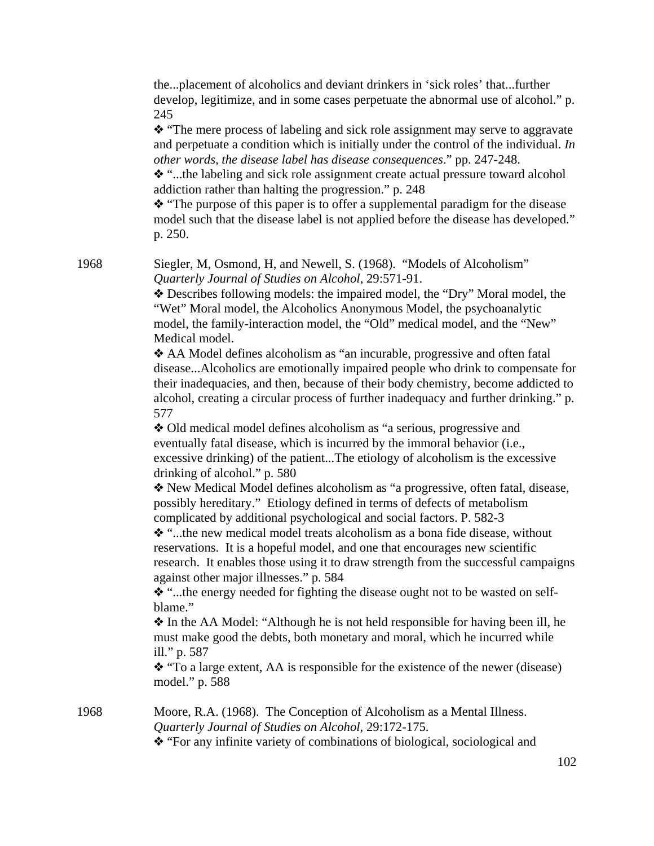the...placement of alcoholics and deviant drinkers in 'sick roles' that...further develop, legitimize, and in some cases perpetuate the abnormal use of alcohol." p. 245

˜ "The mere process of labeling and sick role assignment may serve to aggravate and perpetuate a condition which is initially under the control of the individual. *In other words, the disease label has disease consequences*." pp. 247-248.

˜ "...the labeling and sick role assignment create actual pressure toward alcohol addiction rather than halting the progression." p. 248

˜ "The purpose of this paper is to offer a supplemental paradigm for the disease model such that the disease label is not applied before the disease has developed." p. 250.

1968 Siegler, M, Osmond, H, and Newell, S. (1968). "Models of Alcoholism" *Quarterly Journal of Studies on Alcohol*, 29:571-91.

> ˜ Describes following models: the impaired model, the "Dry" Moral model, the "Wet" Moral model, the Alcoholics Anonymous Model, the psychoanalytic model, the family-interaction model, the "Old" medical model, and the "New" Medical model.

˜ AA Model defines alcoholism as "an incurable, progressive and often fatal disease...Alcoholics are emotionally impaired people who drink to compensate for their inadequacies, and then, because of their body chemistry, become addicted to alcohol, creating a circular process of further inadequacy and further drinking." p. 577

˜ Old medical model defines alcoholism as "a serious, progressive and eventually fatal disease, which is incurred by the immoral behavior (i.e., excessive drinking) of the patient...The etiology of alcoholism is the excessive drinking of alcohol." p. 580

˜ New Medical Model defines alcoholism as "a progressive, often fatal, disease, possibly hereditary." Etiology defined in terms of defects of metabolism complicated by additional psychological and social factors. P. 582-3

˜ "...the new medical model treats alcoholism as a bona fide disease, without reservations. It is a hopeful model, and one that encourages new scientific research. It enables those using it to draw strength from the successful campaigns against other major illnesses." p. 584

˜ "...the energy needed for fighting the disease ought not to be wasted on selfblame."

˜ In the AA Model: "Although he is not held responsible for having been ill, he must make good the debts, both monetary and moral, which he incurred while ill." p. 587

˜ "To a large extent, AA is responsible for the existence of the newer (disease) model." p. 588

## 1968 Moore, R.A. (1968). The Conception of Alcoholism as a Mental Illness. *Quarterly Journal of Studies on Alcohol,* 29:172-175.

˜ "For any infinite variety of combinations of biological, sociological and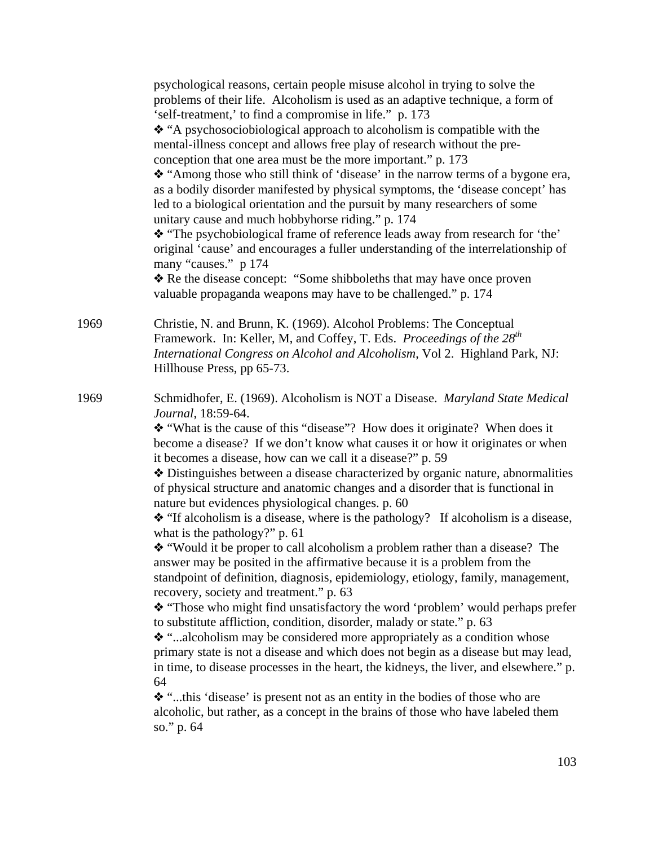|      | psychological reasons, certain people misuse alcohol in trying to solve the<br>problems of their life. Alcoholism is used as an adaptive technique, a form of<br>'self-treatment,' to find a compromise in life." p. 173<br>* "A psychosociobiological approach to alcoholism is compatible with the<br>mental-illness concept and allows free play of research without the pre-<br>conception that one area must be the more important." p. 173<br>* "Among those who still think of 'disease' in the narrow terms of a bygone era,<br>as a bodily disorder manifested by physical symptoms, the 'disease concept' has<br>led to a biological orientation and the pursuit by many researchers of some<br>unitary cause and much hobbyhorse riding." p. 174<br>* "The psychobiological frame of reference leads away from research for 'the'<br>original 'cause' and encourages a fuller understanding of the interrelationship of<br>many "causes." p 174<br>❖ Re the disease concept: "Some shibboleths that may have once proven<br>valuable propaganda weapons may have to be challenged." p. 174                                                                                                                                                                                                                                                                                                                                                                                                                                                                                                    |
|------|----------------------------------------------------------------------------------------------------------------------------------------------------------------------------------------------------------------------------------------------------------------------------------------------------------------------------------------------------------------------------------------------------------------------------------------------------------------------------------------------------------------------------------------------------------------------------------------------------------------------------------------------------------------------------------------------------------------------------------------------------------------------------------------------------------------------------------------------------------------------------------------------------------------------------------------------------------------------------------------------------------------------------------------------------------------------------------------------------------------------------------------------------------------------------------------------------------------------------------------------------------------------------------------------------------------------------------------------------------------------------------------------------------------------------------------------------------------------------------------------------------------------------------------------------------------------------------------------------------|
| 1969 | Christie, N. and Brunn, K. (1969). Alcohol Problems: The Conceptual<br>Framework. In: Keller, M, and Coffey, T. Eds. Proceedings of the 28 <sup>th</sup><br>International Congress on Alcohol and Alcoholism, Vol 2. Highland Park, NJ:<br>Hillhouse Press, pp 65-73.                                                                                                                                                                                                                                                                                                                                                                                                                                                                                                                                                                                                                                                                                                                                                                                                                                                                                                                                                                                                                                                                                                                                                                                                                                                                                                                                    |
| 1969 | Schmidhofer, E. (1969). Alcoholism is NOT a Disease. Maryland State Medical<br>Journal, 18:59-64.<br><b>❖</b> "What is the cause of this "disease"? How does it originate? When does it<br>become a disease? If we don't know what causes it or how it originates or when<br>it becomes a disease, how can we call it a disease?" p. 59<br>◆ Distinguishes between a disease characterized by organic nature, abnormalities<br>of physical structure and anatomic changes and a disorder that is functional in<br>nature but evidences physiological changes. p. 60<br>* "If alcoholism is a disease, where is the pathology? If alcoholism is a disease,<br>what is the pathology?" $p. 61$<br>• "Would it be proper to call alcoholism a problem rather than a disease? The<br>answer may be posited in the affirmative because it is a problem from the<br>standpoint of definition, diagnosis, epidemiology, etiology, family, management,<br>recovery, society and treatment." p. 63<br>* "Those who might find unsatisfactory the word 'problem' would perhaps prefer<br>to substitute affliction, condition, disorder, malady or state." p. 63<br>• "alcoholism may be considered more appropriately as a condition whose<br>primary state is not a disease and which does not begin as a disease but may lead,<br>in time, to disease processes in the heart, the kidneys, the liver, and elsewhere." p.<br>64<br>• "this 'disease' is present not as an entity in the bodies of those who are<br>alcoholic, but rather, as a concept in the brains of those who have labeled them<br>so." p. 64 |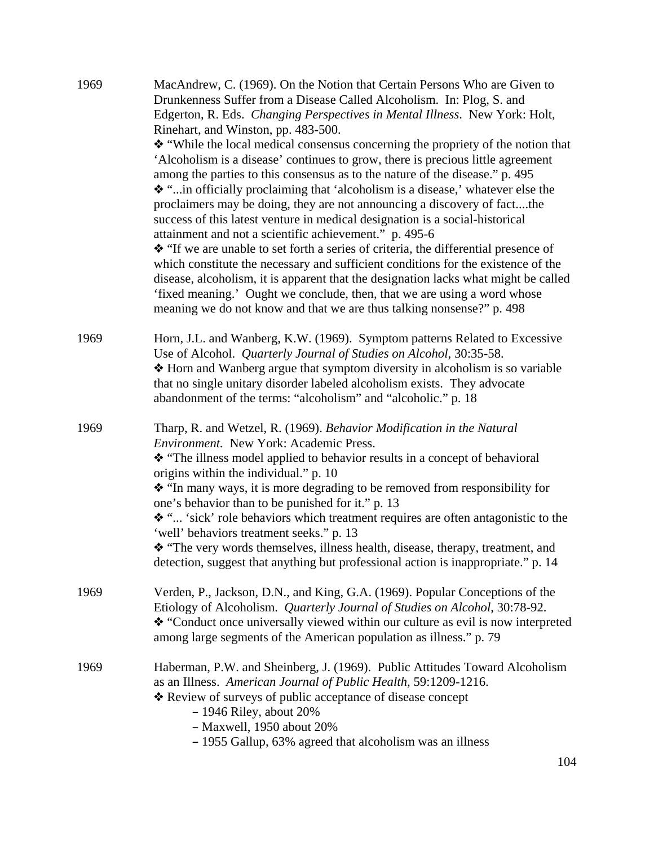| 1969 | MacAndrew, C. (1969). On the Notion that Certain Persons Who are Given to<br>Drunkenness Suffer from a Disease Called Alcoholism. In: Plog, S. and<br>Edgerton, R. Eds. Changing Perspectives in Mental Illness. New York: Holt,<br>Rinehart, and Winston, pp. 483-500.<br>• "While the local medical consensus concerning the propriety of the notion that<br>'Alcoholism is a disease' continues to grow, there is precious little agreement<br>among the parties to this consensus as to the nature of the disease." p. 495<br>• "in officially proclaiming that 'alcoholism is a disease,' whatever else the<br>proclaimers may be doing, they are not announcing a discovery of factthe<br>success of this latest venture in medical designation is a social-historical<br>attainment and not a scientific achievement." p. 495-6<br><b>♦</b> "If we are unable to set forth a series of criteria, the differential presence of<br>which constitute the necessary and sufficient conditions for the existence of the<br>disease, alcoholism, it is apparent that the designation lacks what might be called<br>'fixed meaning.' Ought we conclude, then, that we are using a word whose<br>meaning we do not know and that we are thus talking nonsense?" p. 498 |
|------|-----------------------------------------------------------------------------------------------------------------------------------------------------------------------------------------------------------------------------------------------------------------------------------------------------------------------------------------------------------------------------------------------------------------------------------------------------------------------------------------------------------------------------------------------------------------------------------------------------------------------------------------------------------------------------------------------------------------------------------------------------------------------------------------------------------------------------------------------------------------------------------------------------------------------------------------------------------------------------------------------------------------------------------------------------------------------------------------------------------------------------------------------------------------------------------------------------------------------------------------------------------------------|
| 1969 | Horn, J.L. and Wanberg, K.W. (1969). Symptom patterns Related to Excessive<br>Use of Alcohol. Quarterly Journal of Studies on Alcohol, 30:35-58.<br>◆ Horn and Wanberg argue that symptom diversity in alcoholism is so variable<br>that no single unitary disorder labeled alcoholism exists. They advocate<br>abandonment of the terms: "alcoholism" and "alcoholic." p. 18                                                                                                                                                                                                                                                                                                                                                                                                                                                                                                                                                                                                                                                                                                                                                                                                                                                                                         |
| 1969 | Tharp, R. and Wetzel, R. (1969). Behavior Modification in the Natural<br>Environment. New York: Academic Press.<br>• The illness model applied to behavior results in a concept of behavioral<br>origins within the individual." p. 10<br>❖ "In many ways, it is more degrading to be removed from responsibility for<br>one's behavior than to be punished for it." p. 13<br>* " 'sick' role behaviors which treatment requires are often antagonistic to the<br>'well' behaviors treatment seeks." p. 13<br>* "The very words themselves, illness health, disease, therapy, treatment, and<br>detection, suggest that anything but professional action is inappropriate." p. 14                                                                                                                                                                                                                                                                                                                                                                                                                                                                                                                                                                                     |
| 1969 | Verden, P., Jackson, D.N., and King, G.A. (1969). Popular Conceptions of the<br>Etiology of Alcoholism. Quarterly Journal of Studies on Alcohol, 30:78-92.<br>* "Conduct once universally viewed within our culture as evil is now interpreted<br>among large segments of the American population as illness." p. 79                                                                                                                                                                                                                                                                                                                                                                                                                                                                                                                                                                                                                                                                                                                                                                                                                                                                                                                                                  |
| 1969 | Haberman, P.W. and Sheinberg, J. (1969). Public Attitudes Toward Alcoholism<br>as an Illness. American Journal of Public Health, 59:1209-1216.<br>* Review of surveys of public acceptance of disease concept<br>$-1946$ Riley, about 20%<br>- Maxwell, 1950 about 20%<br>- 1955 Gallup, 63% agreed that alcoholism was an illness                                                                                                                                                                                                                                                                                                                                                                                                                                                                                                                                                                                                                                                                                                                                                                                                                                                                                                                                    |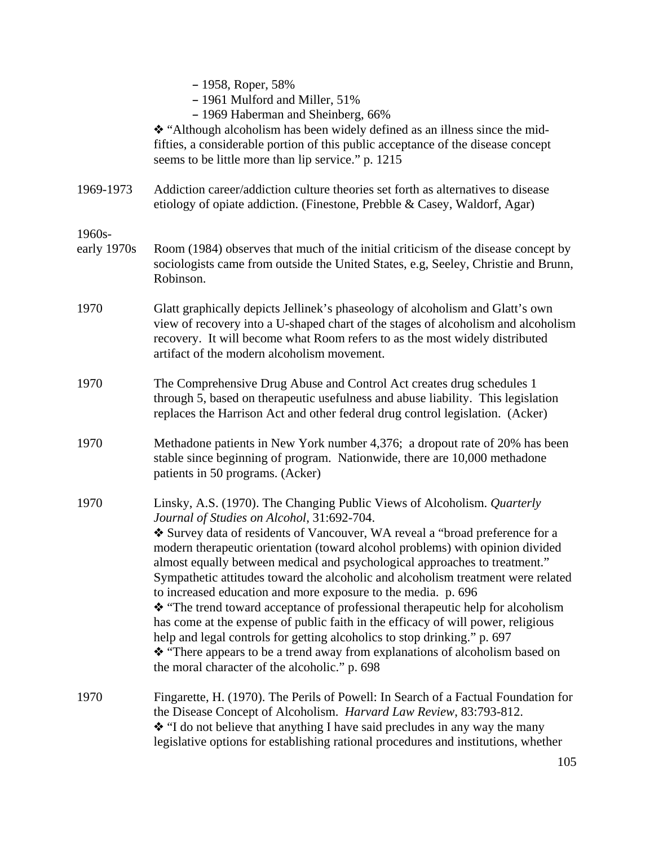|                       | $-1958$ , Roper, 58%<br>- 1961 Mulford and Miller, 51%<br>- 1969 Haberman and Sheinberg, 66%<br>* "Although alcoholism has been widely defined as an illness since the mid-<br>fifties, a considerable portion of this public acceptance of the disease concept<br>seems to be little more than lip service." p. 1215                                                                                                                                                                                                                                                                                                                                                                                                                                                                                                                                                                                      |
|-----------------------|------------------------------------------------------------------------------------------------------------------------------------------------------------------------------------------------------------------------------------------------------------------------------------------------------------------------------------------------------------------------------------------------------------------------------------------------------------------------------------------------------------------------------------------------------------------------------------------------------------------------------------------------------------------------------------------------------------------------------------------------------------------------------------------------------------------------------------------------------------------------------------------------------------|
| 1969-1973             | Addiction career/addiction culture theories set forth as alternatives to disease<br>etiology of opiate addiction. (Finestone, Prebble & Casey, Waldorf, Agar)                                                                                                                                                                                                                                                                                                                                                                                                                                                                                                                                                                                                                                                                                                                                              |
| 1960s-<br>early 1970s | Room (1984) observes that much of the initial criticism of the disease concept by<br>sociologists came from outside the United States, e.g, Seeley, Christie and Brunn,<br>Robinson.                                                                                                                                                                                                                                                                                                                                                                                                                                                                                                                                                                                                                                                                                                                       |
| 1970                  | Glatt graphically depicts Jellinek's phaseology of alcoholism and Glatt's own<br>view of recovery into a U-shaped chart of the stages of alcoholism and alcoholism<br>recovery. It will become what Room refers to as the most widely distributed<br>artifact of the modern alcoholism movement.                                                                                                                                                                                                                                                                                                                                                                                                                                                                                                                                                                                                           |
| 1970                  | The Comprehensive Drug Abuse and Control Act creates drug schedules 1<br>through 5, based on therapeutic usefulness and abuse liability. This legislation<br>replaces the Harrison Act and other federal drug control legislation. (Acker)                                                                                                                                                                                                                                                                                                                                                                                                                                                                                                                                                                                                                                                                 |
| 1970                  | Methadone patients in New York number 4,376; a dropout rate of 20% has been<br>stable since beginning of program. Nationwide, there are 10,000 methadone<br>patients in 50 programs. (Acker)                                                                                                                                                                                                                                                                                                                                                                                                                                                                                                                                                                                                                                                                                                               |
| 1970                  | Linsky, A.S. (1970). The Changing Public Views of Alcoholism. Quarterly<br>Journal of Studies on Alcohol, 31:692-704.<br>Survey data of residents of Vancouver, WA reveal a "broad preference for a<br>modern therapeutic orientation (toward alcohol problems) with opinion divided<br>almost equally between medical and psychological approaches to treatment."<br>Sympathetic attitudes toward the alcoholic and alcoholism treatment were related<br>to increased education and more exposure to the media. p. 696<br>* "The trend toward acceptance of professional therapeutic help for alcoholism<br>has come at the expense of public faith in the efficacy of will power, religious<br>help and legal controls for getting alcoholics to stop drinking." p. 697<br>* "There appears to be a trend away from explanations of alcoholism based on<br>the moral character of the alcoholic." p. 698 |
| 1970                  | Fingarette, H. (1970). The Perils of Powell: In Search of a Factual Foundation for<br>the Disease Concept of Alcoholism. Harvard Law Review, 83:793-812.<br>❖ "I do not believe that anything I have said precludes in any way the many<br>legislative options for establishing rational procedures and institutions, whether                                                                                                                                                                                                                                                                                                                                                                                                                                                                                                                                                                              |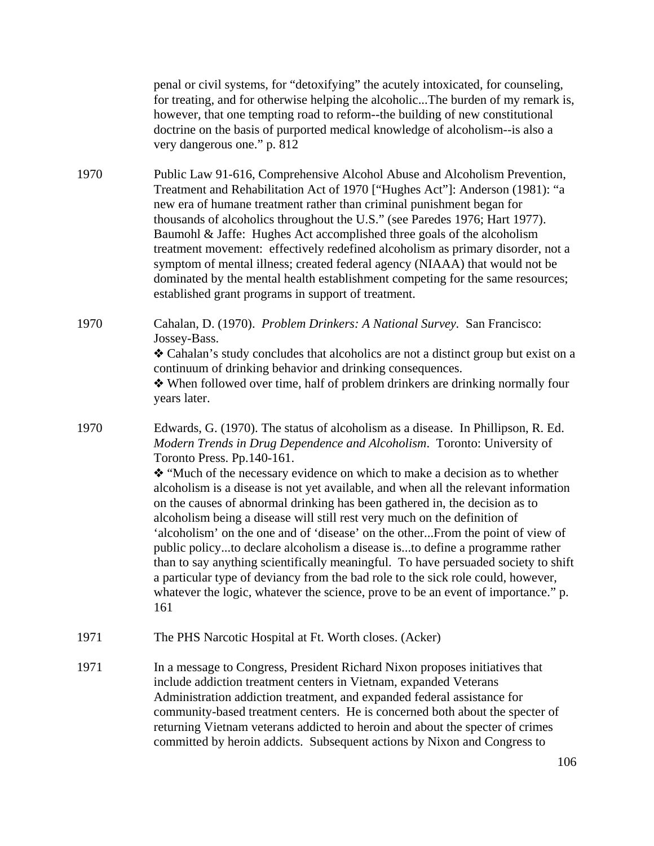penal or civil systems, for "detoxifying" the acutely intoxicated, for counseling, for treating, and for otherwise helping the alcoholic...The burden of my remark is, however, that one tempting road to reform--the building of new constitutional doctrine on the basis of purported medical knowledge of alcoholism--is also a very dangerous one." p. 812 1970 Public Law 91-616, Comprehensive Alcohol Abuse and Alcoholism Prevention, Treatment and Rehabilitation Act of 1970 ["Hughes Act"]: Anderson (1981): "a new era of humane treatment rather than criminal punishment began for thousands of alcoholics throughout the U.S." (see Paredes 1976; Hart 1977). Baumohl & Jaffe: Hughes Act accomplished three goals of the alcoholism treatment movement: effectively redefined alcoholism as primary disorder, not a symptom of mental illness; created federal agency (NIAAA) that would not be dominated by the mental health establishment competing for the same resources; established grant programs in support of treatment. 1970 Cahalan, D. (1970). *Problem Drinkers: A National Survey.* San Francisco: Jossey-Bass. ˜ Cahalan's study concludes that alcoholics are not a distinct group but exist on a continuum of drinking behavior and drinking consequences. ˜ When followed over time, half of problem drinkers are drinking normally four years later. 1970 Edwards, G. (1970). The status of alcoholism as a disease. In Phillipson, R. Ed. *Modern Trends in Drug Dependence and Alcoholism*. Toronto: University of Toronto Press. Pp.140-161. ˜ "Much of the necessary evidence on which to make a decision as to whether alcoholism is a disease is not yet available, and when all the relevant information on the causes of abnormal drinking has been gathered in, the decision as to alcoholism being a disease will still rest very much on the definition of 'alcoholism' on the one and of 'disease' on the other...From the point of view of public policy...to declare alcoholism a disease is...to define a programme rather than to say anything scientifically meaningful. To have persuaded society to shift a particular type of deviancy from the bad role to the sick role could, however, whatever the logic, whatever the science, prove to be an event of importance." p. 161 1971 The PHS Narcotic Hospital at Ft. Worth closes. (Acker) 1971 In a message to Congress, President Richard Nixon proposes initiatives that include addiction treatment centers in Vietnam, expanded Veterans Administration addiction treatment, and expanded federal assistance for community-based treatment centers. He is concerned both about the specter of returning Vietnam veterans addicted to heroin and about the specter of crimes committed by heroin addicts. Subsequent actions by Nixon and Congress to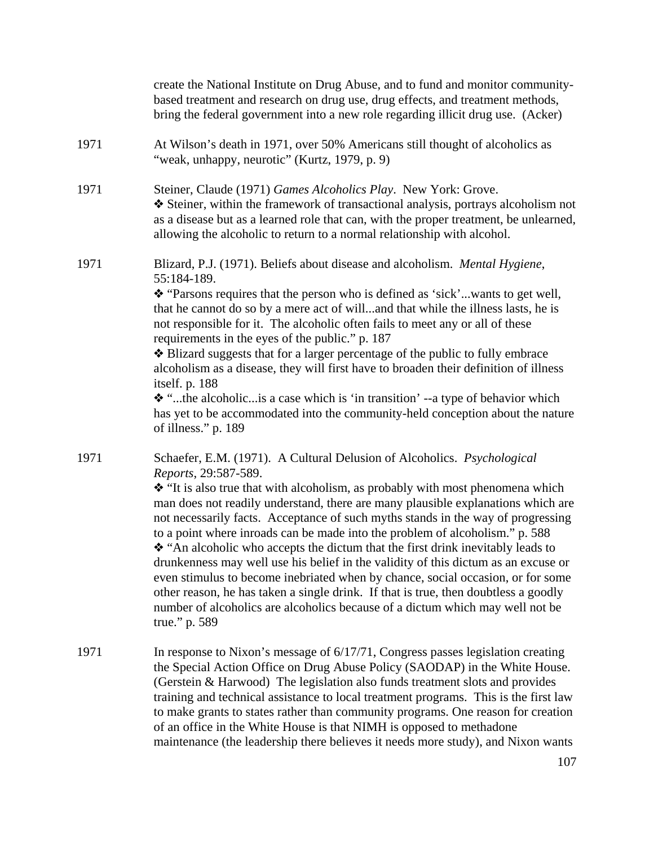|      | create the National Institute on Drug Abuse, and to fund and monitor community-<br>based treatment and research on drug use, drug effects, and treatment methods,<br>bring the federal government into a new role regarding illicit drug use. (Acker)                                                                                                                                                                                                                                                                                                                                                                                                                                                                                                                                                                                                                                              |
|------|----------------------------------------------------------------------------------------------------------------------------------------------------------------------------------------------------------------------------------------------------------------------------------------------------------------------------------------------------------------------------------------------------------------------------------------------------------------------------------------------------------------------------------------------------------------------------------------------------------------------------------------------------------------------------------------------------------------------------------------------------------------------------------------------------------------------------------------------------------------------------------------------------|
| 1971 | At Wilson's death in 1971, over 50% Americans still thought of alcoholics as<br>"weak, unhappy, neurotic" (Kurtz, 1979, p. 9)                                                                                                                                                                                                                                                                                                                                                                                                                                                                                                                                                                                                                                                                                                                                                                      |
| 1971 | Steiner, Claude (1971) Games Alcoholics Play. New York: Grove.<br>Steiner, within the framework of transactional analysis, portrays alcoholism not<br>as a disease but as a learned role that can, with the proper treatment, be unlearned,<br>allowing the alcoholic to return to a normal relationship with alcohol.                                                                                                                                                                                                                                                                                                                                                                                                                                                                                                                                                                             |
| 1971 | Blizard, P.J. (1971). Beliefs about disease and alcoholism. Mental Hygiene,<br>55:184-189.<br>* "Parsons requires that the person who is defined as 'sick'wants to get well,<br>that he cannot do so by a mere act of willand that while the illness lasts, he is<br>not responsible for it. The alcoholic often fails to meet any or all of these<br>requirements in the eyes of the public." p. 187<br>◆ Blizard suggests that for a larger percentage of the public to fully embrace<br>alcoholism as a disease, they will first have to broaden their definition of illness<br>itself. p. 188<br>• "the alcoholicis a case which is 'in transition' -- a type of behavior which<br>has yet to be accommodated into the community-held conception about the nature<br>of illness." p. 189                                                                                                       |
| 1971 | Schaefer, E.M. (1971). A Cultural Delusion of Alcoholics. Psychological<br>Reports, 29:587-589.<br><b>❖</b> "It is also true that with alcoholism, as probably with most phenomena which<br>man does not readily understand, there are many plausible explanations which are<br>not necessarily facts. Acceptance of such myths stands in the way of progressing<br>to a point where inroads can be made into the problem of alcoholism." p. 588<br>An alcoholic who accepts the dictum that the first drink inevitably leads to<br>drunkenness may well use his belief in the validity of this dictum as an excuse or<br>even stimulus to become inebriated when by chance, social occasion, or for some<br>other reason, he has taken a single drink. If that is true, then doubtless a goodly<br>number of alcoholics are alcoholics because of a dictum which may well not be<br>true." p. 589 |
| 1971 | In response to Nixon's message of 6/17/71, Congress passes legislation creating<br>the Special Action Office on Drug Abuse Policy (SAODAP) in the White House.<br>(Gerstein & Harwood) The legislation also funds treatment slots and provides<br>training and technical assistance to local treatment programs. This is the first law<br>to make grants to states rather than community programs. One reason for creation<br>of an office in the White House is that NIMH is opposed to methadone<br>maintenance (the leadership there believes it needs more study), and Nixon wants                                                                                                                                                                                                                                                                                                             |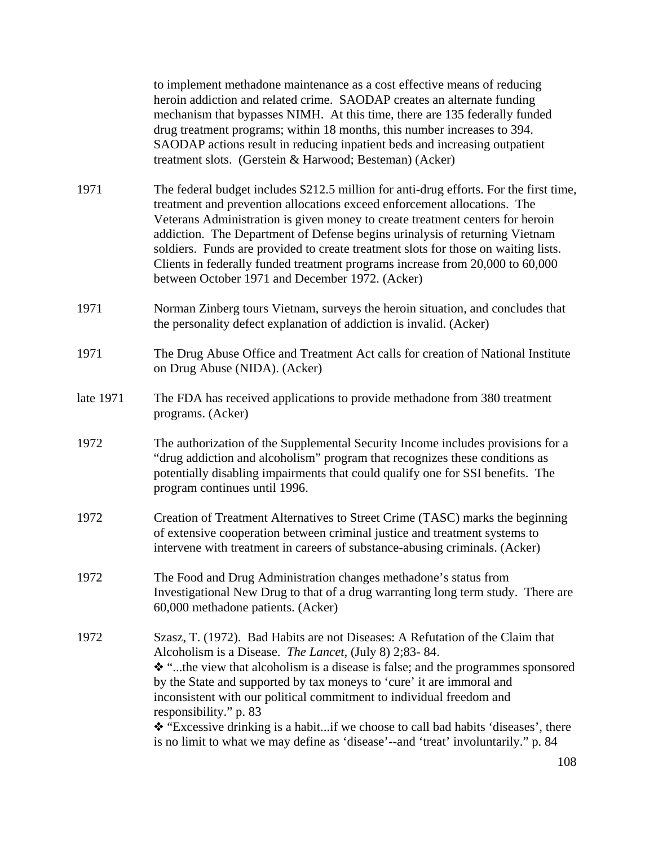to implement methadone maintenance as a cost effective means of reducing heroin addiction and related crime. SAODAP creates an alternate funding mechanism that bypasses NIMH. At this time, there are 135 federally funded drug treatment programs; within 18 months, this number increases to 394. SAODAP actions result in reducing inpatient beds and increasing outpatient treatment slots. (Gerstein & Harwood; Besteman) (Acker)

- 1971 The federal budget includes \$212.5 million for anti-drug efforts. For the first time, treatment and prevention allocations exceed enforcement allocations. The Veterans Administration is given money to create treatment centers for heroin addiction. The Department of Defense begins urinalysis of returning Vietnam soldiers. Funds are provided to create treatment slots for those on waiting lists. Clients in federally funded treatment programs increase from 20,000 to 60,000 between October 1971 and December 1972. (Acker)
- 1971 Norman Zinberg tours Vietnam, surveys the heroin situation, and concludes that the personality defect explanation of addiction is invalid. (Acker)
- 1971 The Drug Abuse Office and Treatment Act calls for creation of National Institute on Drug Abuse (NIDA). (Acker)
- late 1971 The FDA has received applications to provide methadone from 380 treatment programs. (Acker)
- 1972 The authorization of the Supplemental Security Income includes provisions for a "drug addiction and alcoholism" program that recognizes these conditions as potentially disabling impairments that could qualify one for SSI benefits. The program continues until 1996.
- 1972 Creation of Treatment Alternatives to Street Crime (TASC) marks the beginning of extensive cooperation between criminal justice and treatment systems to intervene with treatment in careers of substance-abusing criminals. (Acker)
- 1972 The Food and Drug Administration changes methadone's status from Investigational New Drug to that of a drug warranting long term study. There are 60,000 methadone patients. (Acker)
- 1972 Szasz, T. (1972). Bad Habits are not Diseases: A Refutation of the Claim that Alcoholism is a Disease. *The Lancet*, (July 8) 2;83- 84. ˜ "...the view that alcoholism is a disease is false; and the programmes sponsored by the State and supported by tax moneys to 'cure' it are immoral and inconsistent with our political commitment to individual freedom and responsibility." p. 83 ˜ "Excessive drinking is a habit...if we choose to call bad habits 'diseases', there is no limit to what we may define as 'disease'--and 'treat' involuntarily." p. 84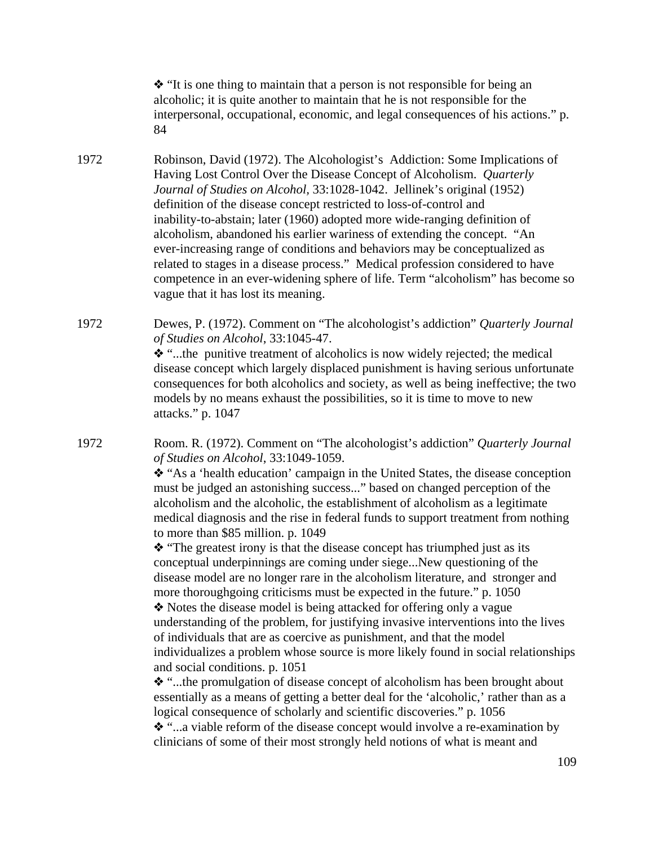˜ "It is one thing to maintain that a person is not responsible for being an alcoholic; it is quite another to maintain that he is not responsible for the interpersonal, occupational, economic, and legal consequences of his actions." p. 84

1972 Robinson, David (1972). The Alcohologist's Addiction: Some Implications of Having Lost Control Over the Disease Concept of Alcoholism. *Quarterly Journal of Studies on Alcohol,* 33:1028-1042. Jellinek's original (1952) definition of the disease concept restricted to loss-of-control and inability-to-abstain; later (1960) adopted more wide-ranging definition of alcoholism, abandoned his earlier wariness of extending the concept. "An ever-increasing range of conditions and behaviors may be conceptualized as related to stages in a disease process." Medical profession considered to have competence in an ever-widening sphere of life. Term "alcoholism" has become so vague that it has lost its meaning.

1972 Dewes, P. (1972). Comment on "The alcohologist's addiction" *Quarterly Journal of Studies on Alcohol*, 33:1045-47. ˜ "...the punitive treatment of alcoholics is now widely rejected; the medical disease concept which largely displaced punishment is having serious unfortunate consequences for both alcoholics and society, as well as being ineffective; the two models by no means exhaust the possibilities, so it is time to move to new attacks." p. 1047

1972 Room. R. (1972). Comment on "The alcohologist's addiction" *Quarterly Journal of Studies on Alcohol*, 33:1049-1059.

> ˜ "As a 'health education' campaign in the United States, the disease conception must be judged an astonishing success..." based on changed perception of the alcoholism and the alcoholic, the establishment of alcoholism as a legitimate medical diagnosis and the rise in federal funds to support treatment from nothing to more than \$85 million. p. 1049

˜ "The greatest irony is that the disease concept has triumphed just as its conceptual underpinnings are coming under siege...New questioning of the disease model are no longer rare in the alcoholism literature, and stronger and more thoroughgoing criticisms must be expected in the future." p. 1050

˜ Notes the disease model is being attacked for offering only a vague understanding of the problem, for justifying invasive interventions into the lives of individuals that are as coercive as punishment, and that the model individualizes a problem whose source is more likely found in social relationships and social conditions. p. 1051

˜ "...the promulgation of disease concept of alcoholism has been brought about essentially as a means of getting a better deal for the 'alcoholic,' rather than as a logical consequence of scholarly and scientific discoveries." p. 1056

˜ "...a viable reform of the disease concept would involve a re-examination by clinicians of some of their most strongly held notions of what is meant and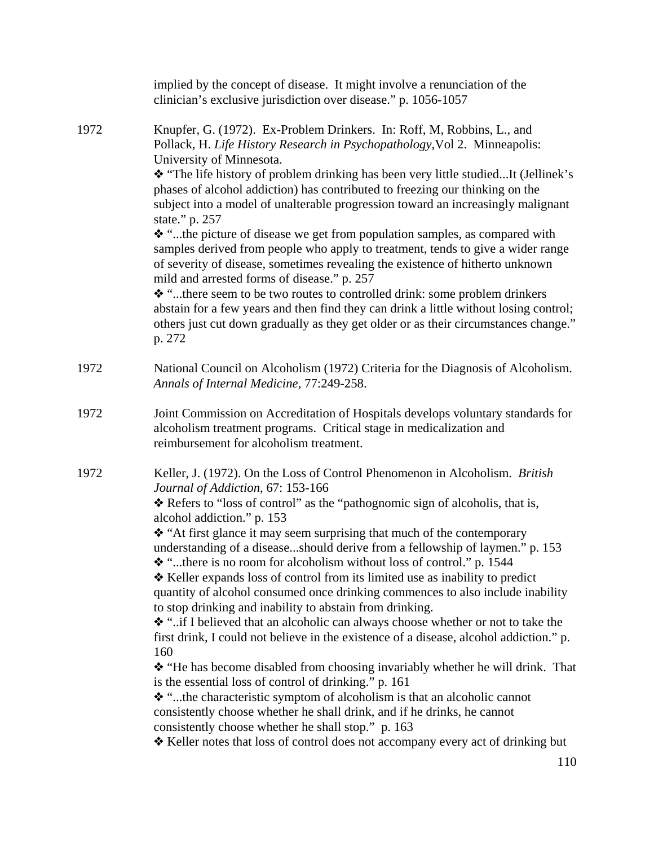| implied by the concept of disease. It might involve a renunciation of the<br>clinician's exclusive jurisdiction over disease." p. 1056-1057                                                                                                                                                                                                                                                                                                                                                                                                                                                                                                                                                                                                                                                                                                                                                                                                                                                                                                                                                                                                                                                                                                                                                                                                           |
|-------------------------------------------------------------------------------------------------------------------------------------------------------------------------------------------------------------------------------------------------------------------------------------------------------------------------------------------------------------------------------------------------------------------------------------------------------------------------------------------------------------------------------------------------------------------------------------------------------------------------------------------------------------------------------------------------------------------------------------------------------------------------------------------------------------------------------------------------------------------------------------------------------------------------------------------------------------------------------------------------------------------------------------------------------------------------------------------------------------------------------------------------------------------------------------------------------------------------------------------------------------------------------------------------------------------------------------------------------|
| Knupfer, G. (1972). Ex-Problem Drinkers. In: Roff, M, Robbins, L., and<br>Pollack, H. Life History Research in Psychopathology, Vol 2. Minneapolis:<br>University of Minnesota.<br>* "The life history of problem drinking has been very little studiedIt (Jellinek's<br>phases of alcohol addiction) has contributed to freezing our thinking on the<br>subject into a model of unalterable progression toward an increasingly malignant<br>state." p. 257<br>• "the picture of disease we get from population samples, as compared with<br>samples derived from people who apply to treatment, tends to give a wider range<br>of severity of disease, sometimes revealing the existence of hitherto unknown<br>mild and arrested forms of disease." p. 257<br>• "there seem to be two routes to controlled drink: some problem drinkers                                                                                                                                                                                                                                                                                                                                                                                                                                                                                                             |
| abstain for a few years and then find they can drink a little without losing control;<br>others just cut down gradually as they get older or as their circumstances change."<br>p. 272                                                                                                                                                                                                                                                                                                                                                                                                                                                                                                                                                                                                                                                                                                                                                                                                                                                                                                                                                                                                                                                                                                                                                                |
| National Council on Alcoholism (1972) Criteria for the Diagnosis of Alcoholism.<br>Annals of Internal Medicine, 77:249-258.                                                                                                                                                                                                                                                                                                                                                                                                                                                                                                                                                                                                                                                                                                                                                                                                                                                                                                                                                                                                                                                                                                                                                                                                                           |
| Joint Commission on Accreditation of Hospitals develops voluntary standards for<br>alcoholism treatment programs. Critical stage in medicalization and<br>reimbursement for alcoholism treatment.                                                                                                                                                                                                                                                                                                                                                                                                                                                                                                                                                                                                                                                                                                                                                                                                                                                                                                                                                                                                                                                                                                                                                     |
| Keller, J. (1972). On the Loss of Control Phenomenon in Alcoholism. British<br>Journal of Addiction, 67: 153-166<br>* Refers to "loss of control" as the "pathognomic sign of alcoholis, that is,<br>alcohol addiction." p. 153<br>* "At first glance it may seem surprising that much of the contemporary<br>understanding of a diseaseshould derive from a fellowship of laymen." p. 153<br><b>❖</b> "there is no room for alcoholism without loss of control." p. 1544<br>❖ Keller expands loss of control from its limited use as inability to predict<br>quantity of alcohol consumed once drinking commences to also include inability<br>to stop drinking and inability to abstain from drinking.<br>❖ "if I believed that an alcoholic can always choose whether or not to take the<br>first drink, I could not believe in the existence of a disease, alcohol addiction." p.<br>160<br><b>❖</b> "He has become disabled from choosing invariably whether he will drink. That<br>is the essential loss of control of drinking." p. 161<br>• "the characteristic symptom of alcoholism is that an alcoholic cannot<br>consistently choose whether he shall drink, and if he drinks, he cannot<br>consistently choose whether he shall stop." p. 163<br>❖ Keller notes that loss of control does not accompany every act of drinking but<br>110 |
|                                                                                                                                                                                                                                                                                                                                                                                                                                                                                                                                                                                                                                                                                                                                                                                                                                                                                                                                                                                                                                                                                                                                                                                                                                                                                                                                                       |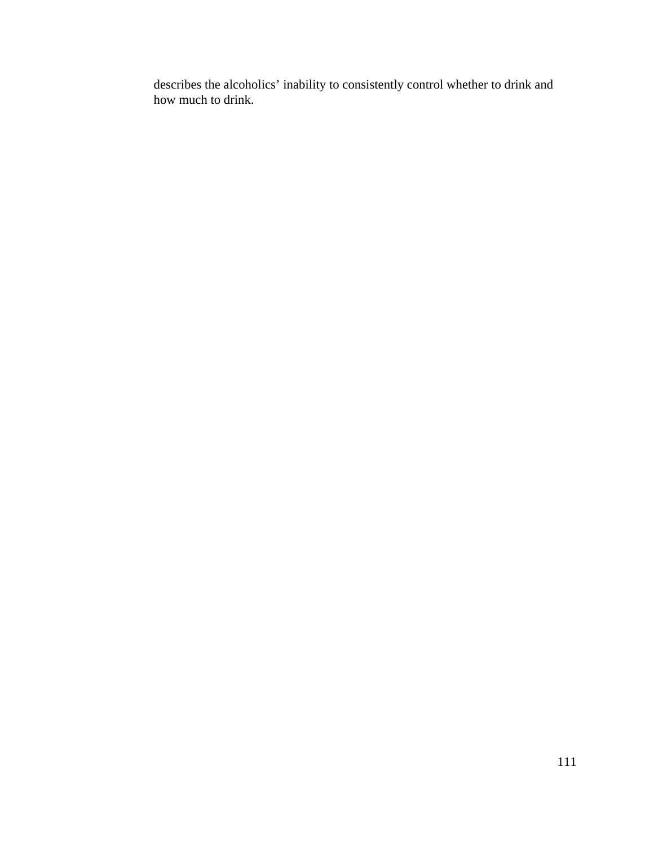describes the alcoholics' inability to consistently control whether to drink and how much to drink.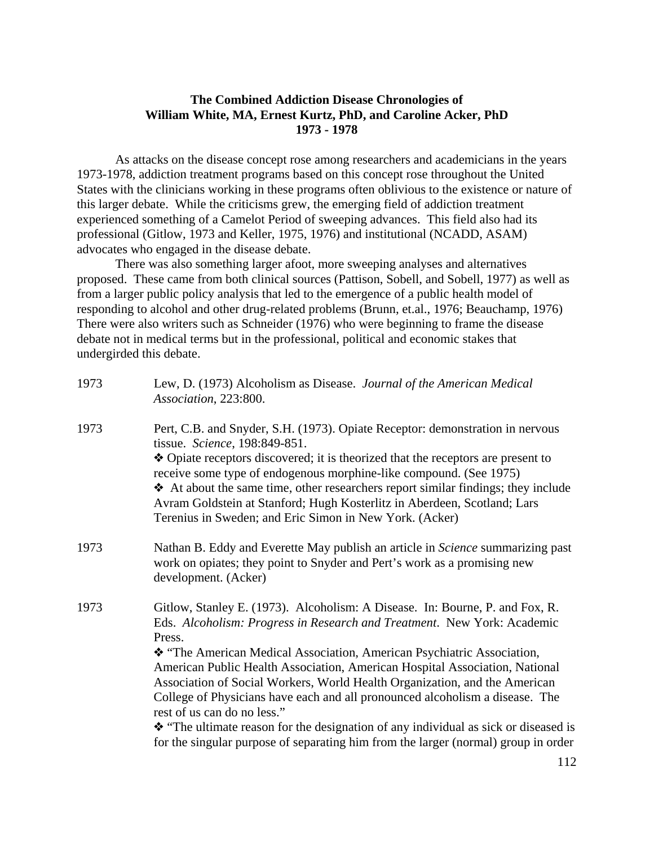## **The Combined Addiction Disease Chronologies of William White, MA, Ernest Kurtz, PhD, and Caroline Acker, PhD 1973 - 1978**

As attacks on the disease concept rose among researchers and academicians in the years 1973-1978, addiction treatment programs based on this concept rose throughout the United States with the clinicians working in these programs often oblivious to the existence or nature of this larger debate. While the criticisms grew, the emerging field of addiction treatment experienced something of a Camelot Period of sweeping advances. This field also had its professional (Gitlow, 1973 and Keller, 1975, 1976) and institutional (NCADD, ASAM) advocates who engaged in the disease debate.

There was also something larger afoot, more sweeping analyses and alternatives proposed. These came from both clinical sources (Pattison, Sobell, and Sobell, 1977) as well as from a larger public policy analysis that led to the emergence of a public health model of responding to alcohol and other drug-related problems (Brunn, et.al., 1976; Beauchamp, 1976) There were also writers such as Schneider (1976) who were beginning to frame the disease debate not in medical terms but in the professional, political and economic stakes that undergirded this debate.

| 1973 | Lew, D. (1973) Alcoholism as Disease. Journal of the American Medical<br>Association, 223:800.                                                                                                                                                                                                                                                                                                                                                                                                                                                                                                                                                                                                      |
|------|-----------------------------------------------------------------------------------------------------------------------------------------------------------------------------------------------------------------------------------------------------------------------------------------------------------------------------------------------------------------------------------------------------------------------------------------------------------------------------------------------------------------------------------------------------------------------------------------------------------------------------------------------------------------------------------------------------|
| 1973 | Pert, C.B. and Snyder, S.H. (1973). Opiate Receptor: demonstration in nervous<br>tissue. Science, 198:849-851.<br>◆ Opiate receptors discovered; it is theorized that the receptors are present to<br>receive some type of endogenous morphine-like compound. (See 1975)<br>❖ At about the same time, other researchers report similar findings; they include<br>Avram Goldstein at Stanford; Hugh Kosterlitz in Aberdeen, Scotland; Lars<br>Terenius in Sweden; and Eric Simon in New York. (Acker)                                                                                                                                                                                                |
| 1973 | Nathan B. Eddy and Everette May publish an article in Science summarizing past<br>work on opiates; they point to Snyder and Pert's work as a promising new<br>development. (Acker)                                                                                                                                                                                                                                                                                                                                                                                                                                                                                                                  |
| 1973 | Gitlow, Stanley E. (1973). Alcoholism: A Disease. In: Bourne, P. and Fox, R.<br>Eds. Alcoholism: Progress in Research and Treatment. New York: Academic<br>Press.<br>* "The American Medical Association, American Psychiatric Association,<br>American Public Health Association, American Hospital Association, National<br>Association of Social Workers, World Health Organization, and the American<br>College of Physicians have each and all pronounced alcoholism a disease. The<br>rest of us can do no less."<br>• The ultimate reason for the designation of any individual as sick or diseased is<br>for the singular purpose of separating him from the larger (normal) group in order |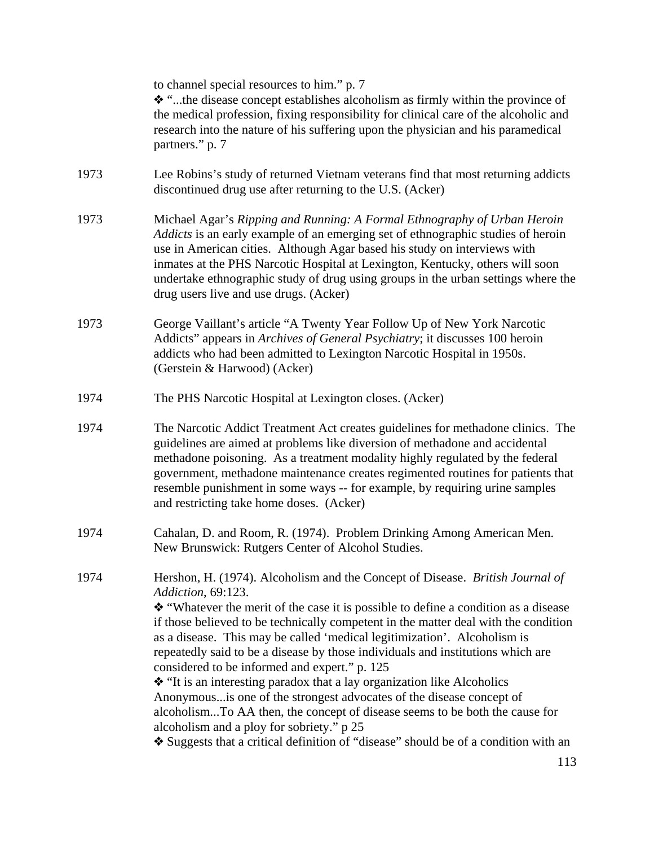|      | to channel special resources to him." p. 7<br>• "the disease concept establishes alcoholism as firmly within the province of<br>the medical profession, fixing responsibility for clinical care of the alcoholic and<br>research into the nature of his suffering upon the physician and his paramedical<br>partners." p. 7                                                                                                                                                                                                                                                                                                                                                                                                                                                                                                                                                   |
|------|-------------------------------------------------------------------------------------------------------------------------------------------------------------------------------------------------------------------------------------------------------------------------------------------------------------------------------------------------------------------------------------------------------------------------------------------------------------------------------------------------------------------------------------------------------------------------------------------------------------------------------------------------------------------------------------------------------------------------------------------------------------------------------------------------------------------------------------------------------------------------------|
| 1973 | Lee Robins's study of returned Vietnam veterans find that most returning addicts<br>discontinued drug use after returning to the U.S. (Acker)                                                                                                                                                                                                                                                                                                                                                                                                                                                                                                                                                                                                                                                                                                                                 |
| 1973 | Michael Agar's Ripping and Running: A Formal Ethnography of Urban Heroin<br>Addicts is an early example of an emerging set of ethnographic studies of heroin<br>use in American cities. Although Agar based his study on interviews with<br>inmates at the PHS Narcotic Hospital at Lexington, Kentucky, others will soon<br>undertake ethnographic study of drug using groups in the urban settings where the<br>drug users live and use drugs. (Acker)                                                                                                                                                                                                                                                                                                                                                                                                                      |
| 1973 | George Vaillant's article "A Twenty Year Follow Up of New York Narcotic<br>Addicts" appears in Archives of General Psychiatry; it discusses 100 heroin<br>addicts who had been admitted to Lexington Narcotic Hospital in 1950s.<br>(Gerstein & Harwood) (Acker)                                                                                                                                                                                                                                                                                                                                                                                                                                                                                                                                                                                                              |
| 1974 | The PHS Narcotic Hospital at Lexington closes. (Acker)                                                                                                                                                                                                                                                                                                                                                                                                                                                                                                                                                                                                                                                                                                                                                                                                                        |
| 1974 | The Narcotic Addict Treatment Act creates guidelines for methadone clinics. The<br>guidelines are aimed at problems like diversion of methadone and accidental<br>methadone poisoning. As a treatment modality highly regulated by the federal<br>government, methadone maintenance creates regimented routines for patients that<br>resemble punishment in some ways -- for example, by requiring urine samples<br>and restricting take home doses. (Acker)                                                                                                                                                                                                                                                                                                                                                                                                                  |
| 1974 | Cahalan, D. and Room, R. (1974). Problem Drinking Among American Men.<br>New Brunswick: Rutgers Center of Alcohol Studies.                                                                                                                                                                                                                                                                                                                                                                                                                                                                                                                                                                                                                                                                                                                                                    |
| 1974 | Hershon, H. (1974). Alcoholism and the Concept of Disease. British Journal of<br>Addiction, 69:123.<br>• "Whatever the merit of the case it is possible to define a condition as a disease<br>if those believed to be technically competent in the matter deal with the condition<br>as a disease. This may be called 'medical legitimization'. Alcoholism is<br>repeatedly said to be a disease by those individuals and institutions which are<br>considered to be informed and expert." p. 125<br><b>❖</b> "It is an interesting paradox that a lay organization like Alcoholics<br>Anonymous is one of the strongest advocates of the disease concept of<br>alcoholismTo AA then, the concept of disease seems to be both the cause for<br>alcoholism and a ploy for sobriety." p 25<br>Suggests that a critical definition of "disease" should be of a condition with an |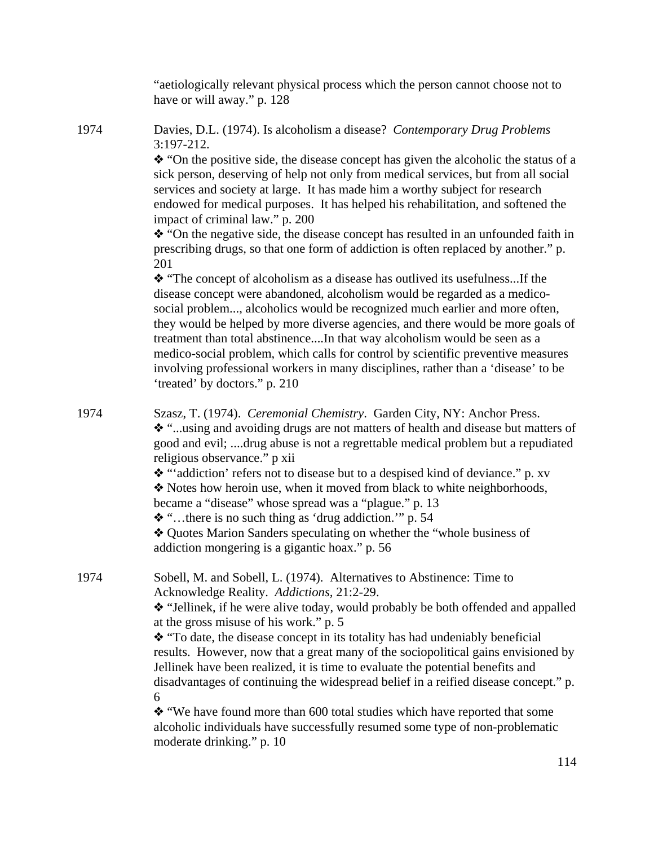"aetiologically relevant physical process which the person cannot choose not to have or will away." p. 128

1974 Davies, D.L. (1974). Is alcoholism a disease? *Contemporary Drug Problems*  3:197-212.

> $\triangle$  "On the positive side, the disease concept has given the alcoholic the status of a sick person, deserving of help not only from medical services, but from all social services and society at large. It has made him a worthy subject for research endowed for medical purposes. It has helped his rehabilitation, and softened the impact of criminal law." p. 200

> ˜ "On the negative side, the disease concept has resulted in an unfounded faith in prescribing drugs, so that one form of addiction is often replaced by another." p. 201

> ˜ "The concept of alcoholism as a disease has outlived its usefulness...If the disease concept were abandoned, alcoholism would be regarded as a medicosocial problem..., alcoholics would be recognized much earlier and more often, they would be helped by more diverse agencies, and there would be more goals of treatment than total abstinence....In that way alcoholism would be seen as a medico-social problem, which calls for control by scientific preventive measures involving professional workers in many disciplines, rather than a 'disease' to be 'treated' by doctors." p. 210

1974 Szasz, T. (1974). *Ceremonial Chemistry*. Garden City, NY: Anchor Press. ˜ "...using and avoiding drugs are not matters of health and disease but matters of good and evil; ....drug abuse is not a regrettable medical problem but a repudiated religious observance." p xii

> ˜ "'addiction' refers not to disease but to a despised kind of deviance." p. xv ˜ Notes how heroin use, when it moved from black to white neighborhoods,

became a "disease" whose spread was a "plague." p. 13

˜ "…there is no such thing as 'drug addiction.'" p. 54

˜ Quotes Marion Sanders speculating on whether the "whole business of addiction mongering is a gigantic hoax." p. 56

1974 Sobell, M. and Sobell, L. (1974). Alternatives to Abstinence: Time to Acknowledge Reality. *Addictions,* 21:2-29.

> ˜ "Jellinek, if he were alive today, would probably be both offended and appalled at the gross misuse of his work." p. 5

> ˜ "To date, the disease concept in its totality has had undeniably beneficial results. However, now that a great many of the sociopolitical gains envisioned by Jellinek have been realized, it is time to evaluate the potential benefits and disadvantages of continuing the widespread belief in a reified disease concept." p. 6

˜ "We have found more than 600 total studies which have reported that some alcoholic individuals have successfully resumed some type of non-problematic moderate drinking." p. 10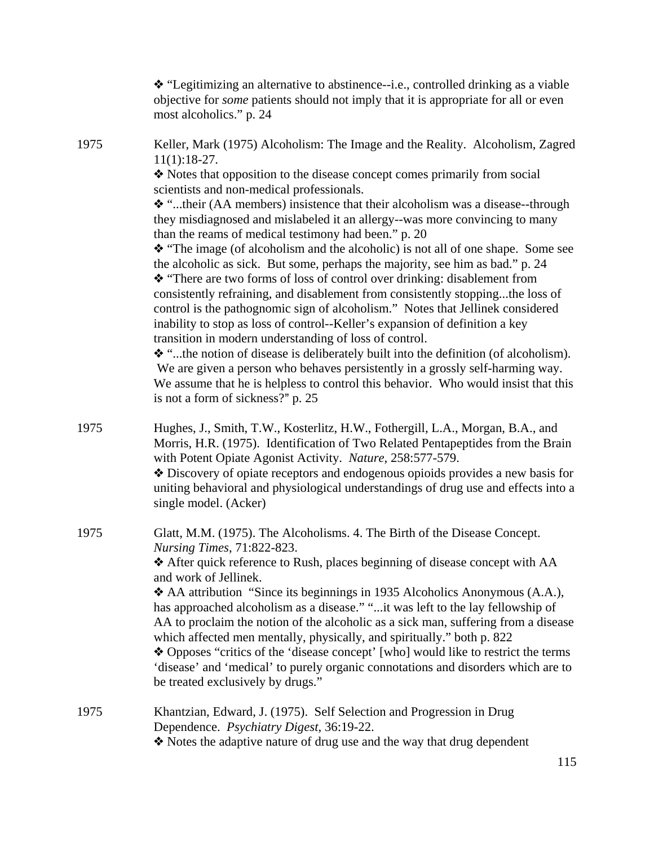|      | ❖ "Legitimizing an alternative to abstinence--i.e., controlled drinking as a viable<br>objective for <i>some</i> patients should not imply that it is appropriate for all or even<br>most alcoholics." p. 24                                                                                                                  |
|------|-------------------------------------------------------------------------------------------------------------------------------------------------------------------------------------------------------------------------------------------------------------------------------------------------------------------------------|
| 1975 | Keller, Mark (1975) Alcoholism: The Image and the Reality. Alcoholism, Zagred<br>$11(1):18-27.$                                                                                                                                                                                                                               |
|      | Notes that opposition to the disease concept comes primarily from social<br>scientists and non-medical professionals.                                                                                                                                                                                                         |
|      | • "their (AA members) insistence that their alcoholism was a disease--through<br>they misdiagnosed and mislabeled it an allergy--was more convincing to many<br>than the reams of medical testimony had been." p. 20                                                                                                          |
|      | • The image (of alcoholism and the alcoholic) is not all of one shape. Some see<br>the alcoholic as sick. But some, perhaps the majority, see him as bad." p. 24                                                                                                                                                              |
|      | * "There are two forms of loss of control over drinking: disablement from<br>consistently refraining, and disablement from consistently stoppingthe loss of<br>control is the pathognomic sign of alcoholism." Notes that Jellinek considered<br>inability to stop as loss of control--Keller's expansion of definition a key |
|      | transition in modern understanding of loss of control.                                                                                                                                                                                                                                                                        |
|      | • "the notion of disease is deliberately built into the definition (of alcoholism).<br>We are given a person who behaves persistently in a grossly self-harming way.<br>We assume that he is helpless to control this behavior. Who would insist that this<br>is not a form of sickness?" p. 25                               |
| 1975 | Hughes, J., Smith, T.W., Kosterlitz, H.W., Fothergill, L.A., Morgan, B.A., and<br>Morris, H.R. (1975). Identification of Two Related Pentapeptides from the Brain<br>with Potent Opiate Agonist Activity. Nature, 258:577-579.                                                                                                |
|      | ◆ Discovery of opiate receptors and endogenous opioids provides a new basis for<br>uniting behavioral and physiological understandings of drug use and effects into a<br>single model. (Acker)                                                                                                                                |
| 1975 | Glatt, M.M. (1975). The Alcoholisms. 4. The Birth of the Disease Concept.<br><b>Nursing Times, 71:822-823.</b>                                                                                                                                                                                                                |
|      | ❖ After quick reference to Rush, places beginning of disease concept with AA<br>and work of Jellinek.                                                                                                                                                                                                                         |
|      | * AA attribution "Since its beginnings in 1935 Alcoholics Anonymous (A.A.),<br>has approached alcoholism as a disease." "it was left to the lay fellowship of                                                                                                                                                                 |
|      | AA to proclaim the notion of the alcoholic as a sick man, suffering from a disease<br>which affected men mentally, physically, and spiritually." both p. 822                                                                                                                                                                  |
|      | ◆ Opposes "critics of the 'disease concept' [who] would like to restrict the terms<br>'disease' and 'medical' to purely organic connotations and disorders which are to<br>be treated exclusively by drugs."                                                                                                                  |
| 1975 | Khantzian, Edward, J. (1975). Self Selection and Progression in Drug<br>Dependence. Psychiatry Digest, 36:19-22.                                                                                                                                                                                                              |
|      | ◆ Notes the adaptive nature of drug use and the way that drug dependent                                                                                                                                                                                                                                                       |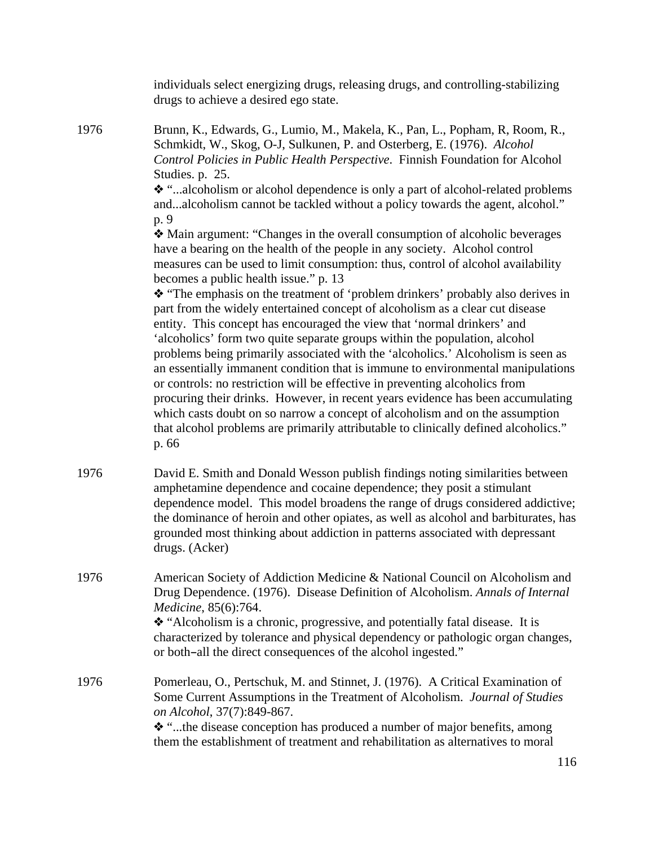individuals select energizing drugs, releasing drugs, and controlling-stabilizing drugs to achieve a desired ego state.

1976 Brunn, K., Edwards, G., Lumio, M., Makela, K., Pan, L., Popham, R, Room, R., Schmkidt, W., Skog, O-J, Sulkunen, P. and Osterberg, E. (1976). *Alcohol Control Policies in Public Health Perspective*. Finnish Foundation for Alcohol Studies. p. 25.

> ˜ "...alcoholism or alcohol dependence is only a part of alcohol-related problems and...alcoholism cannot be tackled without a policy towards the agent, alcohol." p. 9

˜ Main argument: "Changes in the overall consumption of alcoholic beverages have a bearing on the health of the people in any society. Alcohol control measures can be used to limit consumption: thus, control of alcohol availability becomes a public health issue." p. 13

˜ "The emphasis on the treatment of 'problem drinkers' probably also derives in part from the widely entertained concept of alcoholism as a clear cut disease entity. This concept has encouraged the view that 'normal drinkers' and 'alcoholics' form two quite separate groups within the population, alcohol problems being primarily associated with the 'alcoholics.' Alcoholism is seen as an essentially immanent condition that is immune to environmental manipulations or controls: no restriction will be effective in preventing alcoholics from procuring their drinks. However, in recent years evidence has been accumulating which casts doubt on so narrow a concept of alcoholism and on the assumption that alcohol problems are primarily attributable to clinically defined alcoholics." p. 66

- 1976 David E. Smith and Donald Wesson publish findings noting similarities between amphetamine dependence and cocaine dependence; they posit a stimulant dependence model. This model broadens the range of drugs considered addictive; the dominance of heroin and other opiates, as well as alcohol and barbiturates, has grounded most thinking about addiction in patterns associated with depressant drugs. (Acker)
- 1976 American Society of Addiction Medicine & National Council on Alcoholism and Drug Dependence. (1976). Disease Definition of Alcoholism. *Annals of Internal Medicine*, 85(6):764.

˜ "Alcoholism is a chronic, progressive, and potentially fatal disease. It is characterized by tolerance and physical dependency or pathologic organ changes, or both-all the direct consequences of the alcohol ingested."

1976 Pomerleau, O., Pertschuk, M. and Stinnet, J. (1976). A Critical Examination of Some Current Assumptions in the Treatment of Alcoholism. *Journal of Studies on Alcohol*, 37(7):849-867.

˜ "...the disease conception has produced a number of major benefits, among them the establishment of treatment and rehabilitation as alternatives to moral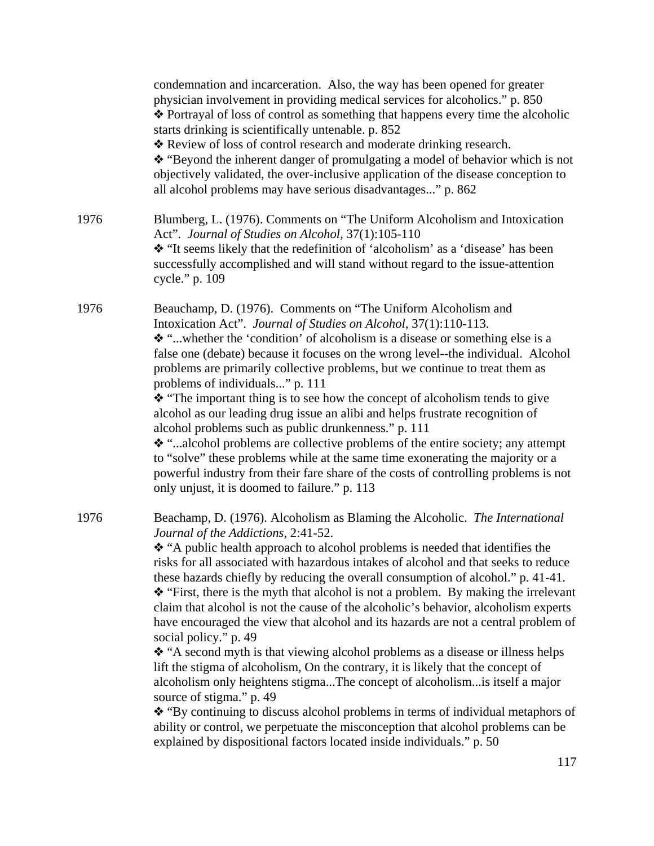|      | condemnation and incarceration. Also, the way has been opened for greater<br>physician involvement in providing medical services for alcoholics." p. 850<br>◆ Portrayal of loss of control as something that happens every time the alcoholic<br>starts drinking is scientifically untenable. p. 852<br>* Review of loss of control research and moderate drinking research.<br>* "Beyond the inherent danger of promulgating a model of behavior which is not<br>objectively validated, the over-inclusive application of the disease conception to<br>all alcohol problems may have serious disadvantages" p. 862                                                                                                                                                                                                                                                                                                                                                                                                                                                                                                                                                                                           |
|------|---------------------------------------------------------------------------------------------------------------------------------------------------------------------------------------------------------------------------------------------------------------------------------------------------------------------------------------------------------------------------------------------------------------------------------------------------------------------------------------------------------------------------------------------------------------------------------------------------------------------------------------------------------------------------------------------------------------------------------------------------------------------------------------------------------------------------------------------------------------------------------------------------------------------------------------------------------------------------------------------------------------------------------------------------------------------------------------------------------------------------------------------------------------------------------------------------------------|
| 1976 | Blumberg, L. (1976). Comments on "The Uniform Alcoholism and Intoxication<br>Act". Journal of Studies on Alcohol, 37(1):105-110<br>❖ "It seems likely that the redefinition of 'alcoholism' as a 'disease' has been<br>successfully accomplished and will stand without regard to the issue-attention<br>cycle." p. 109                                                                                                                                                                                                                                                                                                                                                                                                                                                                                                                                                                                                                                                                                                                                                                                                                                                                                       |
| 1976 | Beauchamp, D. (1976). Comments on "The Uniform Alcoholism and<br>Intoxication Act". Journal of Studies on Alcohol, 37(1):110-113.<br>• "whether the 'condition' of alcoholism is a disease or something else is a<br>false one (debate) because it focuses on the wrong level--the individual. Alcohol<br>problems are primarily collective problems, but we continue to treat them as<br>problems of individuals" p. 111<br>• The important thing is to see how the concept of alcoholism tends to give<br>alcohol as our leading drug issue an alibi and helps frustrate recognition of<br>alcohol problems such as public drunkenness." p. 111<br>• "alcohol problems are collective problems of the entire society; any attempt<br>to "solve" these problems while at the same time exonerating the majority or a<br>powerful industry from their fare share of the costs of controlling problems is not<br>only unjust, it is doomed to failure." p. 113                                                                                                                                                                                                                                                 |
| 1976 | Beachamp, D. (1976). Alcoholism as Blaming the Alcoholic. The International<br>Journal of the Addictions, 2:41-52.<br>* "A public health approach to alcohol problems is needed that identifies the<br>risks for all associated with hazardous intakes of alcohol and that seeks to reduce<br>these hazards chiefly by reducing the overall consumption of alcohol." p. 41-41.<br>* "First, there is the myth that alcohol is not a problem. By making the irrelevant<br>claim that alcohol is not the cause of the alcoholic's behavior, alcoholism experts<br>have encouraged the view that alcohol and its hazards are not a central problem of<br>social policy." p. 49<br>* "A second myth is that viewing alcohol problems as a disease or illness helps<br>lift the stigma of alcoholism, On the contrary, it is likely that the concept of<br>alcoholism only heightens stigmaThe concept of alcoholismis itself a major<br>source of stigma." p. 49<br>* "By continuing to discuss alcohol problems in terms of individual metaphors of<br>ability or control, we perpetuate the misconception that alcohol problems can be<br>explained by dispositional factors located inside individuals." p. 50 |
|      | 117                                                                                                                                                                                                                                                                                                                                                                                                                                                                                                                                                                                                                                                                                                                                                                                                                                                                                                                                                                                                                                                                                                                                                                                                           |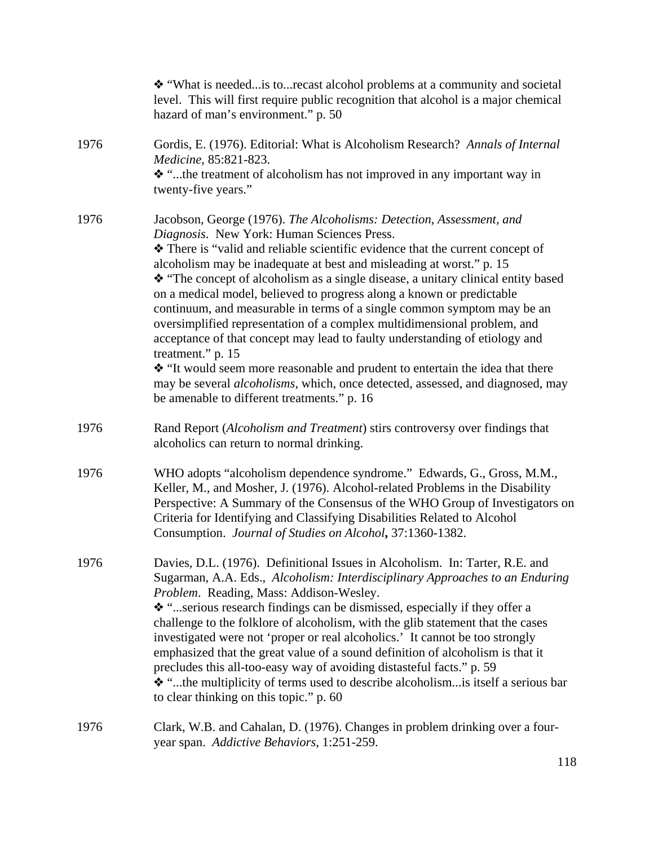|      | • "What is needed is to  recast alcohol problems at a community and societal<br>level. This will first require public recognition that alcohol is a major chemical<br>hazard of man's environment." p. 50                                                                                                                                                                                                                                                                                                                                                                                                                                                                                                                                                                                                                                                                                                             |
|------|-----------------------------------------------------------------------------------------------------------------------------------------------------------------------------------------------------------------------------------------------------------------------------------------------------------------------------------------------------------------------------------------------------------------------------------------------------------------------------------------------------------------------------------------------------------------------------------------------------------------------------------------------------------------------------------------------------------------------------------------------------------------------------------------------------------------------------------------------------------------------------------------------------------------------|
| 1976 | Gordis, E. (1976). Editorial: What is Alcoholism Research? Annals of Internal<br>Medicine, 85:821-823.<br>• "the treatment of alcoholism has not improved in any important way in<br>twenty-five years."                                                                                                                                                                                                                                                                                                                                                                                                                                                                                                                                                                                                                                                                                                              |
| 1976 | Jacobson, George (1976). The Alcoholisms: Detection, Assessment, and<br>Diagnosis. New York: Human Sciences Press.<br>There is "valid and reliable scientific evidence that the current concept of<br>alcoholism may be inadequate at best and misleading at worst." p. 15<br>* "The concept of alcoholism as a single disease, a unitary clinical entity based<br>on a medical model, believed to progress along a known or predictable<br>continuum, and measurable in terms of a single common symptom may be an<br>oversimplified representation of a complex multidimensional problem, and<br>acceptance of that concept may lead to faulty understanding of etiology and<br>treatment." p. 15<br>* "It would seem more reasonable and prudent to entertain the idea that there<br>may be several alcoholisms, which, once detected, assessed, and diagnosed, may<br>be amenable to different treatments." p. 16 |
| 1976 | Rand Report (Alcoholism and Treatment) stirs controversy over findings that<br>alcoholics can return to normal drinking.                                                                                                                                                                                                                                                                                                                                                                                                                                                                                                                                                                                                                                                                                                                                                                                              |
| 1976 | WHO adopts "alcoholism dependence syndrome." Edwards, G., Gross, M.M.,<br>Keller, M., and Mosher, J. (1976). Alcohol-related Problems in the Disability<br>Perspective: A Summary of the Consensus of the WHO Group of Investigators on<br>Criteria for Identifying and Classifying Disabilities Related to Alcohol<br>Consumption. Journal of Studies on Alcohol, 37:1360-1382.                                                                                                                                                                                                                                                                                                                                                                                                                                                                                                                                      |
| 1976 | Davies, D.L. (1976). Definitional Issues in Alcoholism. In: Tarter, R.E. and<br>Sugarman, A.A. Eds., Alcoholism: Interdisciplinary Approaches to an Enduring<br>Problem. Reading, Mass: Addison-Wesley.<br>• "serious research findings can be dismissed, especially if they offer a<br>challenge to the folklore of alcoholism, with the glib statement that the cases<br>investigated were not 'proper or real alcoholics.' It cannot be too strongly<br>emphasized that the great value of a sound definition of alcoholism is that it<br>precludes this all-too-easy way of avoiding distasteful facts." p. 59<br>◆ "the multiplicity of terms used to describe alcoholismis itself a serious bar<br>to clear thinking on this topic." p. 60                                                                                                                                                                      |
| 1976 | Clark, W.B. and Cahalan, D. (1976). Changes in problem drinking over a four-<br>year span. Addictive Behaviors, 1:251-259.                                                                                                                                                                                                                                                                                                                                                                                                                                                                                                                                                                                                                                                                                                                                                                                            |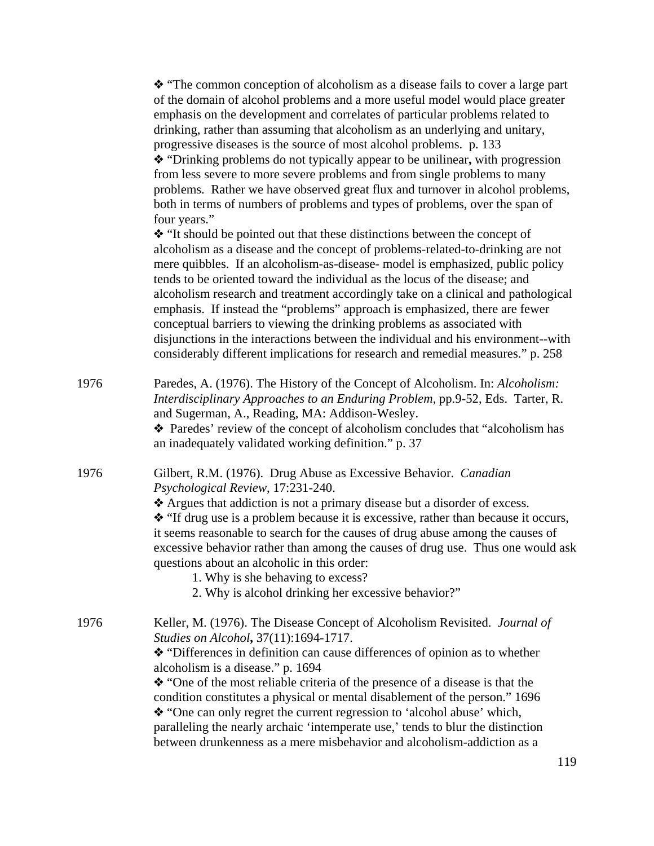|      | • The common conception of alcoholism as a disease fails to cover a large part<br>of the domain of alcohol problems and a more useful model would place greater<br>emphasis on the development and correlates of particular problems related to<br>drinking, rather than assuming that alcoholism as an underlying and unitary,<br>progressive diseases is the source of most alcohol problems. p. 133<br>❖ "Drinking problems do not typically appear to be unilinear, with progression<br>from less severe to more severe problems and from single problems to many<br>problems. Rather we have observed great flux and turnover in alcohol problems,<br>both in terms of numbers of problems and types of problems, over the span of                                      |
|------|------------------------------------------------------------------------------------------------------------------------------------------------------------------------------------------------------------------------------------------------------------------------------------------------------------------------------------------------------------------------------------------------------------------------------------------------------------------------------------------------------------------------------------------------------------------------------------------------------------------------------------------------------------------------------------------------------------------------------------------------------------------------------|
|      | four years."<br><b>♦</b> "It should be pointed out that these distinctions between the concept of<br>alcoholism as a disease and the concept of problems-related-to-drinking are not<br>mere quibbles. If an alcoholism-as-disease- model is emphasized, public policy<br>tends to be oriented toward the individual as the locus of the disease; and<br>alcoholism research and treatment accordingly take on a clinical and pathological<br>emphasis. If instead the "problems" approach is emphasized, there are fewer<br>conceptual barriers to viewing the drinking problems as associated with<br>disjunctions in the interactions between the individual and his environment--with<br>considerably different implications for research and remedial measures." p. 258 |
| 1976 | Paredes, A. (1976). The History of the Concept of Alcoholism. In: Alcoholism:<br>Interdisciplinary Approaches to an Enduring Problem, pp.9-52, Eds. Tarter, R.<br>and Sugerman, A., Reading, MA: Addison-Wesley.<br>❖ Paredes' review of the concept of alcoholism concludes that "alcoholism has<br>an inadequately validated working definition." p. 37                                                                                                                                                                                                                                                                                                                                                                                                                    |
| 1976 | Gilbert, R.M. (1976). Drug Abuse as Excessive Behavior. Canadian<br>Psychological Review, 17:231-240.<br>❖ Argues that addiction is not a primary disease but a disorder of excess.<br>* "If drug use is a problem because it is excessive, rather than because it occurs,<br>it seems reasonable to search for the causes of drug abuse among the causes of<br>excessive behavior rather than among the causes of drug use. Thus one would ask<br>questions about an alcoholic in this order:<br>1. Why is she behaving to excess?<br>2. Why is alcohol drinking her excessive behavior?"                                                                                                                                                                                   |
| 1976 | Keller, M. (1976). The Disease Concept of Alcoholism Revisited. Journal of<br>Studies on Alcohol, 37(11):1694-1717.<br>◆ "Differences in definition can cause differences of opinion as to whether<br>alcoholism is a disease." p. 1694<br>• "One of the most reliable criteria of the presence of a disease is that the<br>condition constitutes a physical or mental disablement of the person." 1696<br>• "One can only regret the current regression to 'alcohol abuse' which,<br>paralleling the nearly archaic 'intemperate use,' tends to blur the distinction<br>between drunkenness as a mere misbehavior and alcoholism-addiction as a                                                                                                                             |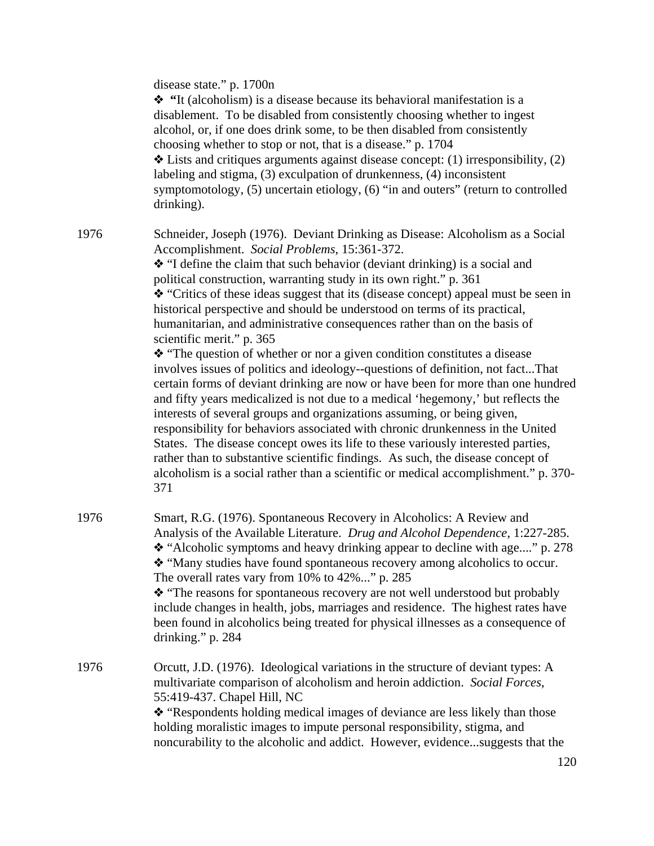disease state." p. 1700n

˜ **"**It (alcoholism) is a disease because its behavioral manifestation is a disablement. To be disabled from consistently choosing whether to ingest alcohol, or, if one does drink some, to be then disabled from consistently choosing whether to stop or not, that is a disease." p. 1704  $\triangleleft$  Lists and critiques arguments against disease concept: (1) irresponsibility, (2) labeling and stigma, (3) exculpation of drunkenness, (4) inconsistent symptomotology, (5) uncertain etiology, (6) "in and outers" (return to controlled drinking). 1976 Schneider, Joseph (1976). Deviant Drinking as Disease: Alcoholism as a Social Accomplishment. *Social Problems*, 15:361-372. ˜ "I define the claim that such behavior (deviant drinking) is a social and political construction, warranting study in its own right." p. 361 ˜ "Critics of these ideas suggest that its (disease concept) appeal must be seen in historical perspective and should be understood on terms of its practical, humanitarian, and administrative consequences rather than on the basis of scientific merit." p. 365 ˜ "The question of whether or nor a given condition constitutes a disease involves issues of politics and ideology--questions of definition, not fact...That certain forms of deviant drinking are now or have been for more than one hundred and fifty years medicalized is not due to a medical 'hegemony,' but reflects the interests of several groups and organizations assuming, or being given, responsibility for behaviors associated with chronic drunkenness in the United States. The disease concept owes its life to these variously interested parties, rather than to substantive scientific findings. As such, the disease concept of alcoholism is a social rather than a scientific or medical accomplishment." p. 370- 371 1976 Smart, R.G. (1976). Spontaneous Recovery in Alcoholics: A Review and Analysis of the Available Literature. *Drug and Alcohol Dependence*, 1:227-285.  $\triangleq$  "Alcoholic symptoms and heavy drinking appear to decline with age...." p. 278 ˜ "Many studies have found spontaneous recovery among alcoholics to occur. The overall rates vary from 10% to 42%..." p. 285 ˜ "The reasons for spontaneous recovery are not well understood but probably include changes in health, jobs, marriages and residence. The highest rates have been found in alcoholics being treated for physical illnesses as a consequence of drinking." p. 284 1976 Orcutt, J.D. (1976). Ideological variations in the structure of deviant types: A multivariate comparison of alcoholism and heroin addiction. *Social Forces*, 55:419-437. Chapel Hill, NC ˜ "Respondents holding medical images of deviance are less likely than those holding moralistic images to impute personal responsibility, stigma, and noncurability to the alcoholic and addict. However, evidence...suggests that the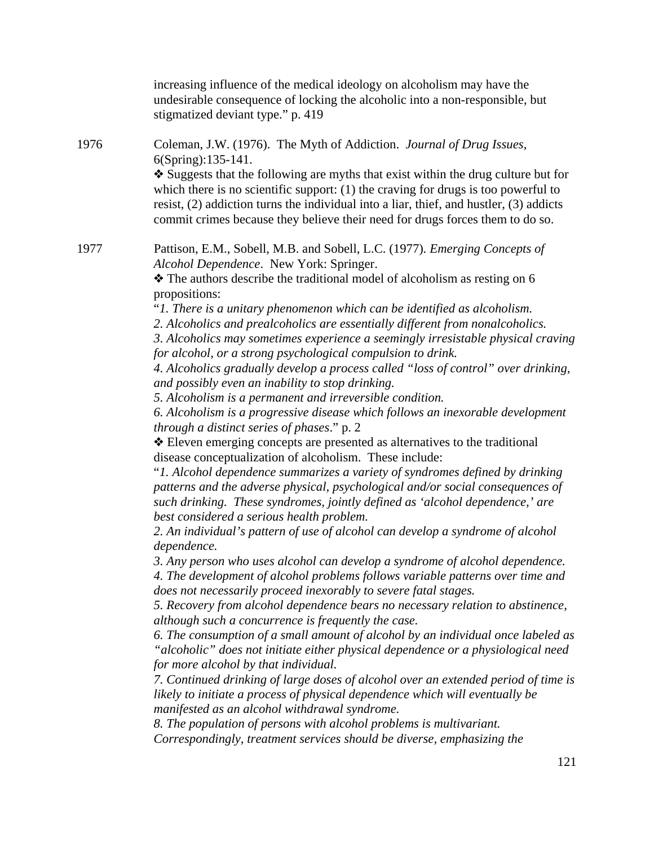|      | increasing influence of the medical ideology on alcoholism may have the<br>undesirable consequence of locking the alcoholic into a non-responsible, but<br>stigmatized deviant type." p. 419                                                                                                                                                           |
|------|--------------------------------------------------------------------------------------------------------------------------------------------------------------------------------------------------------------------------------------------------------------------------------------------------------------------------------------------------------|
| 1976 | Coleman, J.W. (1976). The Myth of Addiction. Journal of Drug Issues,<br>6(Spring):135-141.                                                                                                                                                                                                                                                             |
|      | ❖ Suggests that the following are myths that exist within the drug culture but for<br>which there is no scientific support: $(1)$ the craving for drugs is too powerful to<br>resist, (2) addiction turns the individual into a liar, thief, and hustler, (3) addicts<br>commit crimes because they believe their need for drugs forces them to do so. |
| 1977 | Pattison, E.M., Sobell, M.B. and Sobell, L.C. (1977). <i>Emerging Concepts of</i><br>Alcohol Dependence. New York: Springer.                                                                                                                                                                                                                           |
|      | The authors describe the traditional model of alcoholism as resting on 6<br>propositions:                                                                                                                                                                                                                                                              |
|      | "1. There is a unitary phenomenon which can be identified as alcoholism.<br>2. Alcoholics and prealcoholics are essentially different from nonalcoholics.<br>3. Alcoholics may sometimes experience a seemingly irresistable physical craving                                                                                                          |
|      | for alcohol, or a strong psychological compulsion to drink.<br>4. Alcoholics gradually develop a process called "loss of control" over drinking,                                                                                                                                                                                                       |
|      | and possibly even an inability to stop drinking.<br>5. Alcoholism is a permanent and irreversible condition.                                                                                                                                                                                                                                           |
|      | 6. Alcoholism is a progressive disease which follows an inexorable development<br>through a distinct series of phases." p. 2                                                                                                                                                                                                                           |
|      | Eleven emerging concepts are presented as alternatives to the traditional<br>disease conceptualization of alcoholism. These include:                                                                                                                                                                                                                   |
|      | "I. Alcohol dependence summarizes a variety of syndromes defined by drinking<br>patterns and the adverse physical, psychological and/or social consequences of<br>such drinking. These syndromes, jointly defined as 'alcohol dependence,' are<br>best considered a serious health problem.                                                            |
|      | 2. An individual's pattern of use of alcohol can develop a syndrome of alcohol<br>dependence.                                                                                                                                                                                                                                                          |
|      | 3. Any person who uses alcohol can develop a syndrome of alcohol dependence.<br>4. The development of alcohol problems follows variable patterns over time and<br>does not necessarily proceed inexorably to severe fatal stages.                                                                                                                      |
|      | 5. Recovery from alcohol dependence bears no necessary relation to abstinence,<br>although such a concurrence is frequently the case.                                                                                                                                                                                                                  |
|      | 6. The consumption of a small amount of alcohol by an individual once labeled as<br>"alcoholic" does not initiate either physical dependence or a physiological need<br>for more alcohol by that individual.                                                                                                                                           |
|      | 7. Continued drinking of large doses of alcohol over an extended period of time is<br>likely to initiate a process of physical dependence which will eventually be                                                                                                                                                                                     |
|      | manifested as an alcohol withdrawal syndrome.<br>8. The population of persons with alcohol problems is multivariant.                                                                                                                                                                                                                                   |
|      | Correspondingly, treatment services should be diverse, emphasizing the                                                                                                                                                                                                                                                                                 |
|      |                                                                                                                                                                                                                                                                                                                                                        |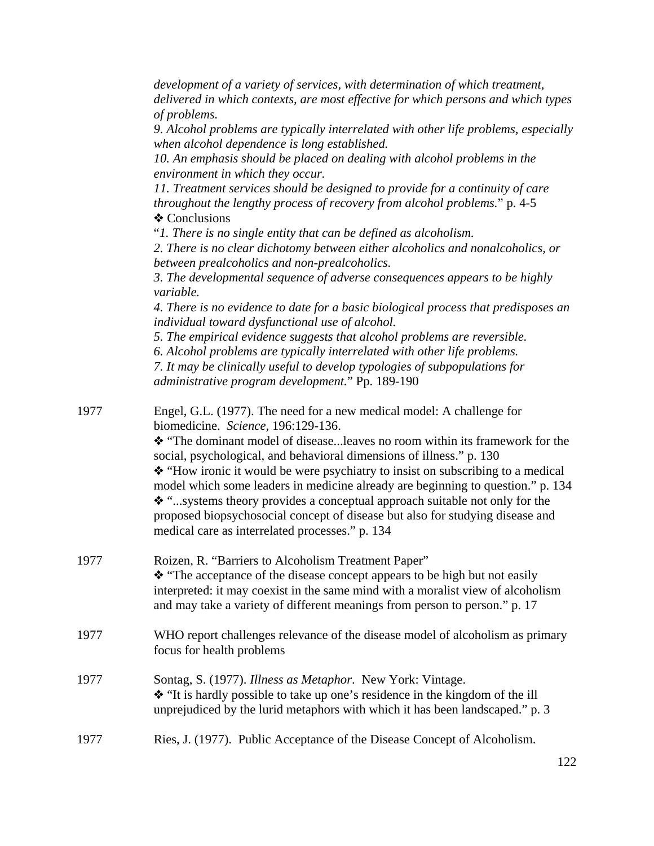|      | development of a variety of services, with determination of which treatment,<br>delivered in which contexts, are most effective for which persons and which types<br>of problems.<br>9. Alcohol problems are typically interrelated with other life problems, especially<br>when alcohol dependence is long established.<br>10. An emphasis should be placed on dealing with alcohol problems in the<br>environment in which they occur.<br>11. Treatment services should be designed to provide for a continuity of care<br>throughout the lengthy process of recovery from alcohol problems." p. 4-5<br>❖ Conclusions<br>"I. There is no single entity that can be defined as alcoholism.<br>2. There is no clear dichotomy between either alcoholics and nonalcoholics, or<br>between prealcoholics and non-prealcoholics.<br>3. The developmental sequence of adverse consequences appears to be highly<br>variable.<br>4. There is no evidence to date for a basic biological process that predisposes an<br>individual toward dysfunctional use of alcohol.<br>5. The empirical evidence suggests that alcohol problems are reversible.<br>6. Alcohol problems are typically interrelated with other life problems.<br>7. It may be clinically useful to develop typologies of subpopulations for<br>administrative program development." Pp. 189-190 |
|------|-------------------------------------------------------------------------------------------------------------------------------------------------------------------------------------------------------------------------------------------------------------------------------------------------------------------------------------------------------------------------------------------------------------------------------------------------------------------------------------------------------------------------------------------------------------------------------------------------------------------------------------------------------------------------------------------------------------------------------------------------------------------------------------------------------------------------------------------------------------------------------------------------------------------------------------------------------------------------------------------------------------------------------------------------------------------------------------------------------------------------------------------------------------------------------------------------------------------------------------------------------------------------------------------------------------------------------------------------------------|
| 1977 | Engel, G.L. (1977). The need for a new medical model: A challenge for<br>biomedicine. Science, 196:129-136.<br><b>❖</b> "The dominant model of diseaseleaves no room within its framework for the<br>social, psychological, and behavioral dimensions of illness." p. 130<br><b>❖</b> "How ironic it would be were psychiatry to insist on subscribing to a medical<br>model which some leaders in medicine already are beginning to question." p. 134<br>* "systems theory provides a conceptual approach suitable not only for the<br>proposed biopsychosocial concept of disease but also for studying disease and<br>medical care as interrelated processes." p. 134                                                                                                                                                                                                                                                                                                                                                                                                                                                                                                                                                                                                                                                                                    |
| 1977 | Roizen, R. "Barriers to Alcoholism Treatment Paper"<br>* "The acceptance of the disease concept appears to be high but not easily<br>interpreted: it may coexist in the same mind with a moralist view of alcoholism<br>and may take a variety of different meanings from person to person." p. 17                                                                                                                                                                                                                                                                                                                                                                                                                                                                                                                                                                                                                                                                                                                                                                                                                                                                                                                                                                                                                                                          |
| 1977 | WHO report challenges relevance of the disease model of alcoholism as primary<br>focus for health problems                                                                                                                                                                                                                                                                                                                                                                                                                                                                                                                                                                                                                                                                                                                                                                                                                                                                                                                                                                                                                                                                                                                                                                                                                                                  |
| 1977 | Sontag, S. (1977). Illness as Metaphor. New York: Vintage.<br><b>❖</b> "It is hardly possible to take up one's residence in the kingdom of the ill<br>unprejudiced by the lurid metaphors with which it has been landscaped." p. 3                                                                                                                                                                                                                                                                                                                                                                                                                                                                                                                                                                                                                                                                                                                                                                                                                                                                                                                                                                                                                                                                                                                          |
| 1977 | Ries, J. (1977). Public Acceptance of the Disease Concept of Alcoholism.                                                                                                                                                                                                                                                                                                                                                                                                                                                                                                                                                                                                                                                                                                                                                                                                                                                                                                                                                                                                                                                                                                                                                                                                                                                                                    |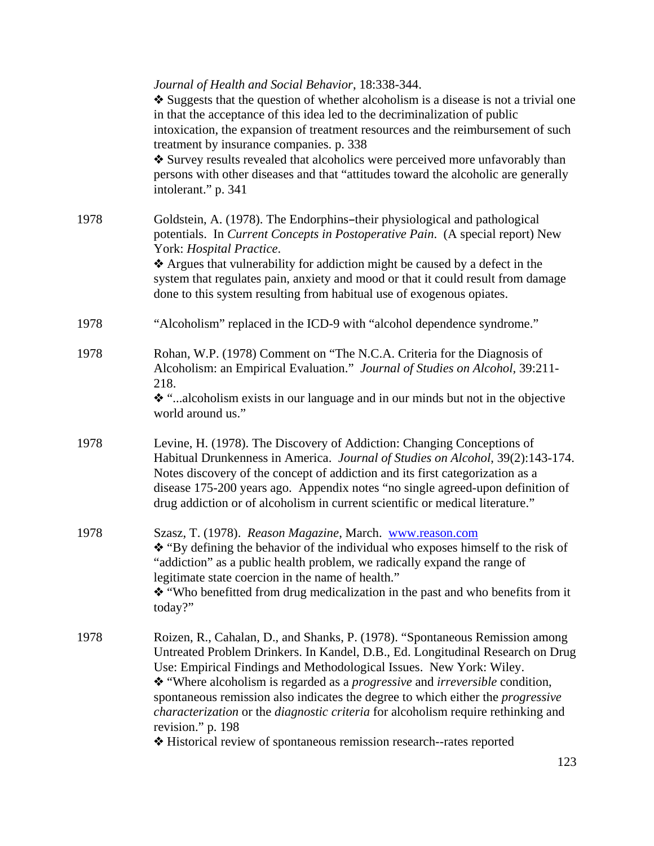|      | Journal of Health and Social Behavior, 18:338-344.<br>Suggests that the question of whether alcoholism is a disease is not a trivial one<br>in that the acceptance of this idea led to the decriminalization of public<br>intoxication, the expansion of treatment resources and the reimbursement of such<br>treatment by insurance companies. p. 338<br>Survey results revealed that alcoholics were perceived more unfavorably than<br>persons with other diseases and that "attitudes toward the alcoholic are generally<br>intolerant." p. 341                                                                  |
|------|----------------------------------------------------------------------------------------------------------------------------------------------------------------------------------------------------------------------------------------------------------------------------------------------------------------------------------------------------------------------------------------------------------------------------------------------------------------------------------------------------------------------------------------------------------------------------------------------------------------------|
| 1978 | Goldstein, A. (1978). The Endorphins-their physiological and pathological<br>potentials. In Current Concepts in Postoperative Pain. (A special report) New<br>York: Hospital Practice.<br>❖ Argues that vulnerability for addiction might be caused by a defect in the<br>system that regulates pain, anxiety and mood or that it could result from damage<br>done to this system resulting from habitual use of exogenous opiates.                                                                                                                                                                                  |
| 1978 | "Alcoholism" replaced in the ICD-9 with "alcohol dependence syndrome."                                                                                                                                                                                                                                                                                                                                                                                                                                                                                                                                               |
| 1978 | Rohan, W.P. (1978) Comment on "The N.C.A. Criteria for the Diagnosis of<br>Alcoholism: an Empirical Evaluation." Journal of Studies on Alcohol, 39:211-<br>218.<br>* "alcoholism exists in our language and in our minds but not in the objective<br>world around us."                                                                                                                                                                                                                                                                                                                                               |
| 1978 | Levine, H. (1978). The Discovery of Addiction: Changing Conceptions of<br>Habitual Drunkenness in America. Journal of Studies on Alcohol, 39(2):143-174.<br>Notes discovery of the concept of addiction and its first categorization as a<br>disease 175-200 years ago. Appendix notes "no single agreed-upon definition of<br>drug addiction or of alcoholism in current scientific or medical literature."                                                                                                                                                                                                         |
| 1978 | Szasz, T. (1978). Reason Magazine, March. www.reason.com<br>* "By defining the behavior of the individual who exposes himself to the risk of<br>"addiction" as a public health problem, we radically expand the range of<br>legitimate state coercion in the name of health."<br>* "Who benefitted from drug medicalization in the past and who benefits from it<br>today?"                                                                                                                                                                                                                                          |
| 1978 | Roizen, R., Cahalan, D., and Shanks, P. (1978). "Spontaneous Remission among<br>Untreated Problem Drinkers. In Kandel, D.B., Ed. Longitudinal Research on Drug<br>Use: Empirical Findings and Methodological Issues. New York: Wiley.<br><b>❖</b> "Where alcoholism is regarded as a <i>progressive</i> and <i>irreversible</i> condition,<br>spontaneous remission also indicates the degree to which either the <i>progressive</i><br>characterization or the diagnostic criteria for alcoholism require rethinking and<br>revision." p. 198<br>Historical review of spontaneous remission research-rates reported |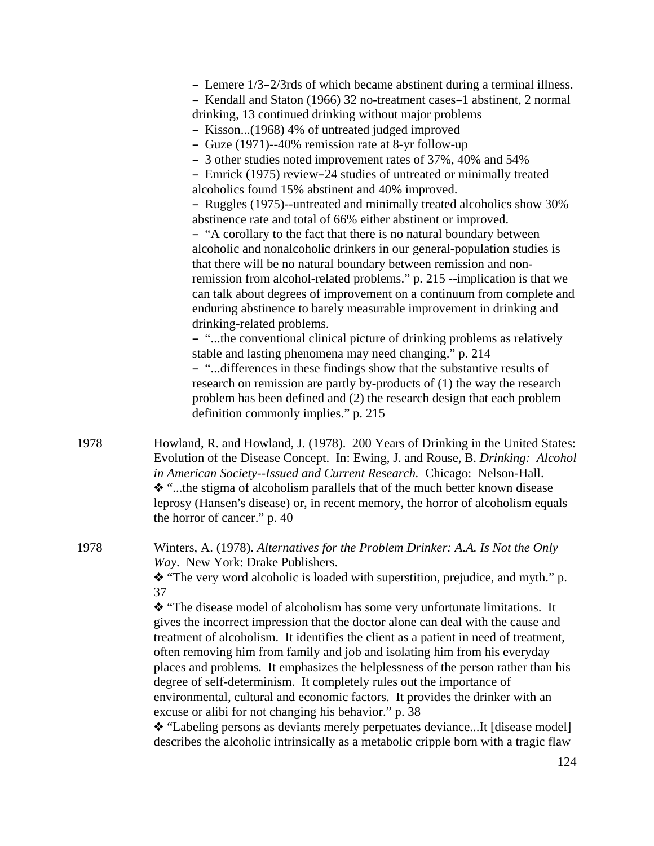|      | - Lemere 1/3-2/3rds of which became abstinent during a terminal illness.<br>- Kendall and Staton (1966) 32 no-treatment cases-1 abstinent, 2 normal<br>drinking, 13 continued drinking without major problems<br>- Kisson(1968) 4% of untreated judged improved<br>- Guze (1971)--40% remission rate at 8-yr follow-up<br>- 3 other studies noted improvement rates of 37%, 40% and 54%<br>- Emrick (1975) review-24 studies of untreated or minimally treated<br>alcoholics found 15% abstinent and 40% improved.<br>- Ruggles (1975)--untreated and minimally treated alcoholics show 30%<br>abstinence rate and total of 66% either abstinent or improved.<br>- "A corollary to the fact that there is no natural boundary between<br>alcoholic and nonalcoholic drinkers in our general-population studies is<br>that there will be no natural boundary between remission and non-<br>remission from alcohol-related problems." p. 215 --implication is that we<br>can talk about degrees of improvement on a continuum from complete and<br>enduring abstinence to barely measurable improvement in drinking and<br>drinking-related problems.<br>- "the conventional clinical picture of drinking problems as relatively<br>stable and lasting phenomena may need changing." p. 214<br>- "differences in these findings show that the substantive results of<br>research on remission are partly by-products of (1) the way the research<br>problem has been defined and (2) the research design that each problem<br>definition commonly implies." p. 215 |
|------|------------------------------------------------------------------------------------------------------------------------------------------------------------------------------------------------------------------------------------------------------------------------------------------------------------------------------------------------------------------------------------------------------------------------------------------------------------------------------------------------------------------------------------------------------------------------------------------------------------------------------------------------------------------------------------------------------------------------------------------------------------------------------------------------------------------------------------------------------------------------------------------------------------------------------------------------------------------------------------------------------------------------------------------------------------------------------------------------------------------------------------------------------------------------------------------------------------------------------------------------------------------------------------------------------------------------------------------------------------------------------------------------------------------------------------------------------------------------------------------------------------------------------------------------------------------|
| 1978 | Howland, R. and Howland, J. (1978). 200 Years of Drinking in the United States:<br>Evolution of the Disease Concept. In: Ewing, J. and Rouse, B. Drinking: Alcohol<br>in American Society--Issued and Current Research. Chicago: Nelson-Hall.<br>• "the stigma of alcoholism parallels that of the much better known disease<br>leprosy (Hansen's disease) or, in recent memory, the horror of alcoholism equals<br>the horror of cancer." p. 40                                                                                                                                                                                                                                                                                                                                                                                                                                                                                                                                                                                                                                                                                                                                                                                                                                                                                                                                                                                                                                                                                                                 |
| 1978 | Winters, A. (1978). Alternatives for the Problem Drinker: A.A. Is Not the Only<br>Way. New York: Drake Publishers.<br>* "The very word alcoholic is loaded with superstition, prejudice, and myth." p.<br>37<br>* "The disease model of alcoholism has some very unfortunate limitations. It<br>gives the incorrect impression that the doctor alone can deal with the cause and<br>treatment of alcoholism. It identifies the client as a patient in need of treatment,<br>often removing him from family and job and isolating him from his everyday<br>places and problems. It emphasizes the helplessness of the person rather than his<br>degree of self-determinism. It completely rules out the importance of<br>environmental, cultural and economic factors. It provides the drinker with an<br>excuse or alibi for not changing his behavior." p. 38<br>* "Labeling persons as deviants merely perpetuates devianceIt [disease model]<br>describes the alcoholic intrinsically as a metabolic cripple born with a tragic flaw                                                                                                                                                                                                                                                                                                                                                                                                                                                                                                                          |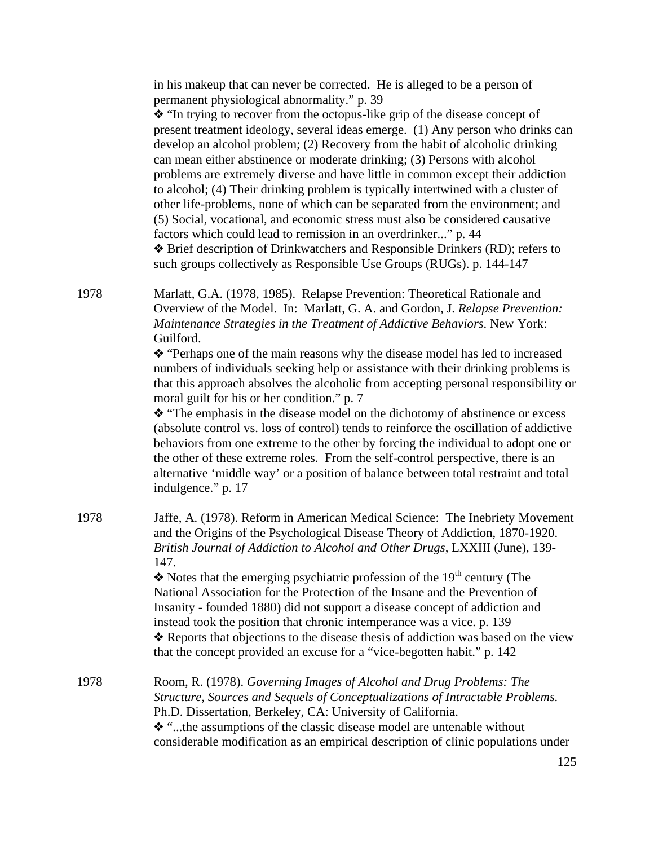in his makeup that can never be corrected. He is alleged to be a person of permanent physiological abnormality." p. 39

˜ "In trying to recover from the octopus-like grip of the disease concept of present treatment ideology, several ideas emerge. (1) Any person who drinks can develop an alcohol problem; (2) Recovery from the habit of alcoholic drinking can mean either abstinence or moderate drinking; (3) Persons with alcohol problems are extremely diverse and have little in common except their addiction to alcohol; (4) Their drinking problem is typically intertwined with a cluster of other life-problems, none of which can be separated from the environment; and (5) Social, vocational, and economic stress must also be considered causative factors which could lead to remission in an overdrinker..." p. 44 ˜ Brief description of Drinkwatchers and Responsible Drinkers (RD); refers to such groups collectively as Responsible Use Groups (RUGs). p. 144-147

1978 Marlatt, G.A. (1978, 1985). Relapse Prevention: Theoretical Rationale and Overview of the Model. In: Marlatt, G. A. and Gordon, J. *Relapse Prevention: Maintenance Strategies in the Treatment of Addictive Behaviors*. New York: Guilford.

> ˜ "Perhaps one of the main reasons why the disease model has led to increased numbers of individuals seeking help or assistance with their drinking problems is that this approach absolves the alcoholic from accepting personal responsibility or moral guilt for his or her condition." p. 7

> ˜ "The emphasis in the disease model on the dichotomy of abstinence or excess (absolute control vs. loss of control) tends to reinforce the oscillation of addictive behaviors from one extreme to the other by forcing the individual to adopt one or the other of these extreme roles. From the self-control perspective, there is an alternative 'middle way' or a position of balance between total restraint and total indulgence." p. 17

1978 Jaffe, A. (1978). Reform in American Medical Science: The Inebriety Movement and the Origins of the Psychological Disease Theory of Addiction, 1870-1920. *British Journal of Addiction to Alcohol and Other Drugs*, LXXIII (June), 139- 147.  $\bullet$  Notes that the emerging psychiatric profession of the 19<sup>th</sup> century (The National Association for the Protection of the Insane and the Prevention of Insanity - founded 1880) did not support a disease concept of addiction and instead took the position that chronic intemperance was a vice. p. 139 ˜ Reports that objections to the disease thesis of addiction was based on the view that the concept provided an excuse for a "vice-begotten habit." p. 142 1978 Room, R. (1978). *Governing Images of Alcohol and Drug Problems: The Structure, Sources and Sequels of Conceptualizations of Intractable Problems.* Ph.D. Dissertation, Berkeley, CA: University of California.

> ˜ "...the assumptions of the classic disease model are untenable without considerable modification as an empirical description of clinic populations under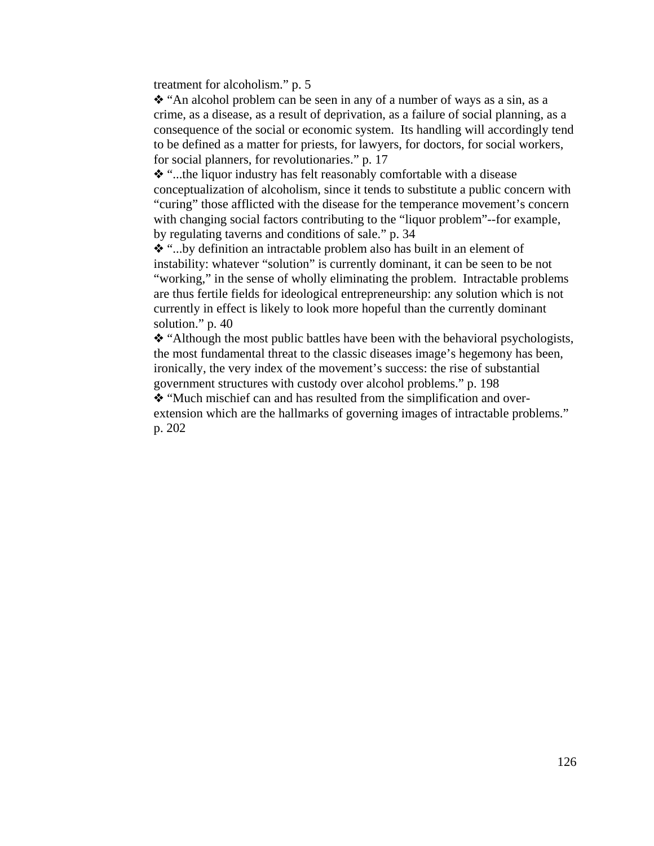treatment for alcoholism." p. 5

˜ "An alcohol problem can be seen in any of a number of ways as a sin, as a crime, as a disease, as a result of deprivation, as a failure of social planning, as a consequence of the social or economic system. Its handling will accordingly tend to be defined as a matter for priests, for lawyers, for doctors, for social workers, for social planners, for revolutionaries." p. 17

˜ "...the liquor industry has felt reasonably comfortable with a disease conceptualization of alcoholism, since it tends to substitute a public concern with "curing" those afflicted with the disease for the temperance movement's concern with changing social factors contributing to the "liquor problem"--for example, by regulating taverns and conditions of sale." p. 34

˜ "...by definition an intractable problem also has built in an element of instability: whatever "solution" is currently dominant, it can be seen to be not "working," in the sense of wholly eliminating the problem. Intractable problems are thus fertile fields for ideological entrepreneurship: any solution which is not currently in effect is likely to look more hopeful than the currently dominant solution." p. 40

˜ "Although the most public battles have been with the behavioral psychologists, the most fundamental threat to the classic diseases image's hegemony has been, ironically, the very index of the movement's success: the rise of substantial government structures with custody over alcohol problems." p. 198

˜ "Much mischief can and has resulted from the simplification and overextension which are the hallmarks of governing images of intractable problems." p. 202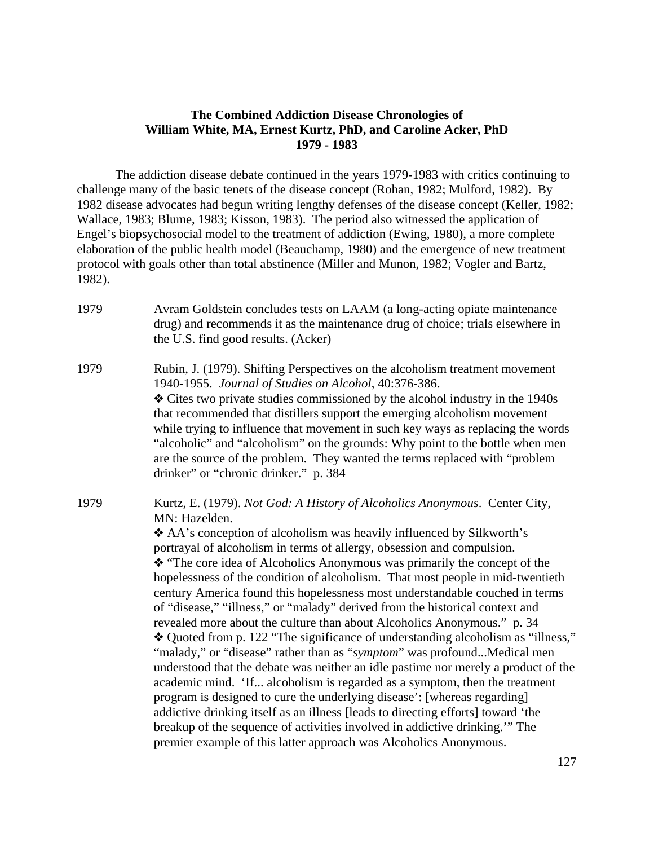## **The Combined Addiction Disease Chronologies of William White, MA, Ernest Kurtz, PhD, and Caroline Acker, PhD 1979 - 1983**

The addiction disease debate continued in the years 1979-1983 with critics continuing to challenge many of the basic tenets of the disease concept (Rohan, 1982; Mulford, 1982). By 1982 disease advocates had begun writing lengthy defenses of the disease concept (Keller, 1982; Wallace, 1983; Blume, 1983; Kisson, 1983). The period also witnessed the application of Engel's biopsychosocial model to the treatment of addiction (Ewing, 1980), a more complete elaboration of the public health model (Beauchamp, 1980) and the emergence of new treatment protocol with goals other than total abstinence (Miller and Munon, 1982; Vogler and Bartz, 1982).

- 1979 Avram Goldstein concludes tests on LAAM (a long-acting opiate maintenance drug) and recommends it as the maintenance drug of choice; trials elsewhere in the U.S. find good results. (Acker)
- 1979 Rubin, J. (1979). Shifting Perspectives on the alcoholism treatment movement 1940-1955. *Journal of Studies on Alcohol*, 40:376-386. ˜ Cites two private studies commissioned by the alcohol industry in the 1940s that recommended that distillers support the emerging alcoholism movement while trying to influence that movement in such key ways as replacing the words "alcoholic" and "alcoholism" on the grounds: Why point to the bottle when men are the source of the problem. They wanted the terms replaced with "problem drinker" or "chronic drinker." p. 384
- 1979 Kurtz, E. (1979). *Not God: A History of Alcoholics Anonymous*. Center City, MN: Hazelden. ˜ AA's conception of alcoholism was heavily influenced by Silkworth's portrayal of alcoholism in terms of allergy, obsession and compulsion. ˜ "The core idea of Alcoholics Anonymous was primarily the concept of the hopelessness of the condition of alcoholism. That most people in mid-twentieth century America found this hopelessness most understandable couched in terms of "disease," "illness," or "malady" derived from the historical context and revealed more about the culture than about Alcoholics Anonymous." p. 34 ˜ Quoted from p. 122 "The significance of understanding alcoholism as "illness," "malady," or "disease" rather than as "*symptom*" was profound...Medical men understood that the debate was neither an idle pastime nor merely a product of the academic mind. 'If... alcoholism is regarded as a symptom, then the treatment program is designed to cure the underlying disease': [whereas regarding] addictive drinking itself as an illness [leads to directing efforts] toward 'the breakup of the sequence of activities involved in addictive drinking.'" The premier example of this latter approach was Alcoholics Anonymous.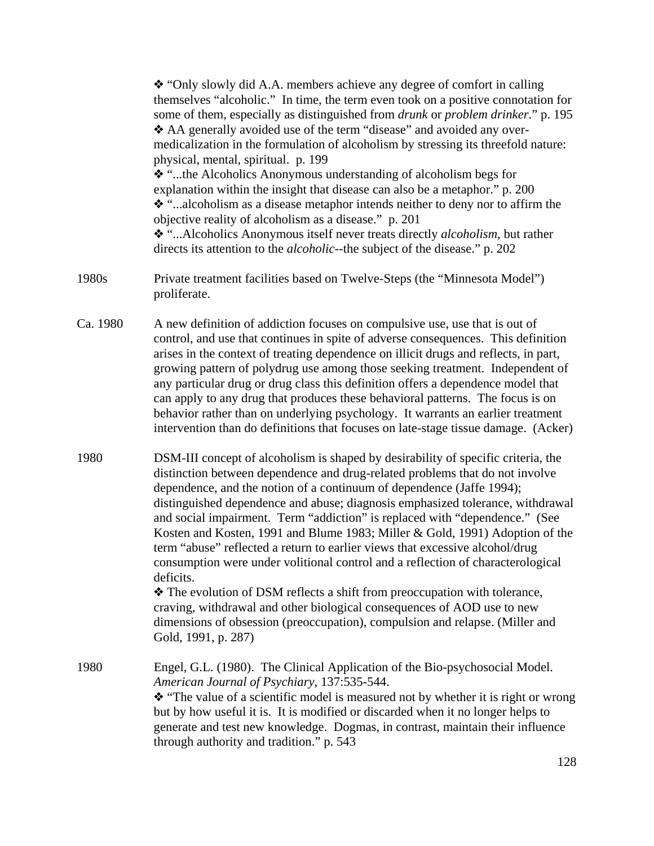˜ "Only slowly did A.A. members achieve any degree of comfort in calling themselves "alcoholic." In time, the term even took on a positive connotation for some of them, especially as distinguished from *drunk* or *problem drinker*." p. 195 ˜ AA generally avoided use of the term "disease" and avoided any overmedicalization in the formulation of alcoholism by stressing its threefold nature: physical, mental, spiritual. p. 199 ˜ "...the Alcoholics Anonymous understanding of alcoholism begs for explanation within the insight that disease can also be a metaphor." p. 200 ˜ "...alcoholism as a disease metaphor intends neither to deny nor to affirm the objective reality of alcoholism as a disease." p. 201 ˜ "...Alcoholics Anonymous itself never treats directly *alcoholism*, but rather directs its attention to the *alcoholic--*the subject of the disease." p. 202 1980s Private treatment facilities based on Twelve-Steps (the "Minnesota Model") proliferate. Ca. 1980 A new definition of addiction focuses on compulsive use, use that is out of control, and use that continues in spite of adverse consequences. This definition arises in the context of treating dependence on illicit drugs and reflects, in part, growing pattern of polydrug use among those seeking treatment. Independent of any particular drug or drug class this definition offers a dependence model that can apply to any drug that produces these behavioral patterns. The focus is on behavior rather than on underlying psychology. It warrants an earlier treatment intervention than do definitions that focuses on late-stage tissue damage. (Acker) 1980 DSM-III concept of alcoholism is shaped by desirability of specific criteria, the distinction between dependence and drug-related problems that do not involve dependence, and the notion of a continuum of dependence (Jaffe 1994); distinguished dependence and abuse; diagnosis emphasized tolerance, withdrawal and social impairment. Term "addiction" is replaced with "dependence." (See Kosten and Kosten, 1991 and Blume 1983; Miller & Gold, 1991) Adoption of the term "abuse" reflected a return to earlier views that excessive alcohol/drug consumption were under volitional control and a reflection of characterological deficits. ˜ The evolution of DSM reflects a shift from preoccupation with tolerance, craving, withdrawal and other biological consequences of AOD use to new dimensions of obsession (preoccupation), compulsion and relapse. (Miller and Gold, 1991, p. 287) 1980 Engel, G.L. (1980). The Clinical Application of the Bio-psychosocial Model. *American Journal of Psychiary*, 137:535-544. ˜ "The value of a scientific model is measured not by whether it is right or wrong but by how useful it is. It is modified or discarded when it no longer helps to generate and test new knowledge. Dogmas, in contrast, maintain their influence through authority and tradition." p. 543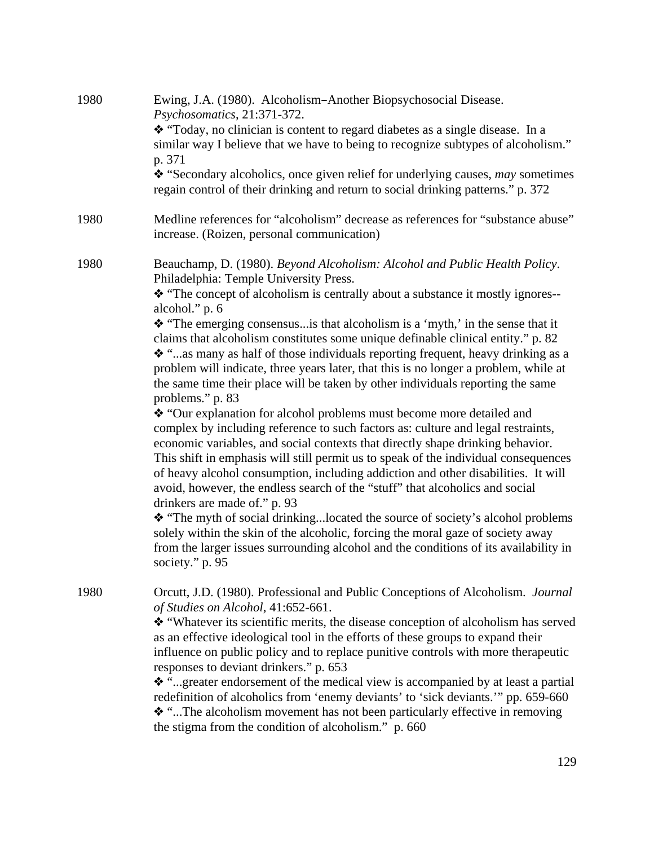| 1980 | Ewing, J.A. (1980). Alcoholism-Another Biopsychosocial Disease.<br>Psychosomatics, 21:371-372.<br>* "Today, no clinician is content to regard diabetes as a single disease. In a<br>similar way I believe that we have to being to recognize subtypes of alcoholism."<br>p. 371<br>❖ "Secondary alcoholics, once given relief for underlying causes, <i>may</i> sometimes<br>regain control of their drinking and return to social drinking patterns." p. 372                                                                                                                                                                                                                                                                                                                                                                                                                                                                                                                                                                                                                                                                                                                                                                                                                                                                                                                                                                                                                                                |
|------|--------------------------------------------------------------------------------------------------------------------------------------------------------------------------------------------------------------------------------------------------------------------------------------------------------------------------------------------------------------------------------------------------------------------------------------------------------------------------------------------------------------------------------------------------------------------------------------------------------------------------------------------------------------------------------------------------------------------------------------------------------------------------------------------------------------------------------------------------------------------------------------------------------------------------------------------------------------------------------------------------------------------------------------------------------------------------------------------------------------------------------------------------------------------------------------------------------------------------------------------------------------------------------------------------------------------------------------------------------------------------------------------------------------------------------------------------------------------------------------------------------------|
| 1980 | Medline references for "alcoholism" decrease as references for "substance abuse"<br>increase. (Roizen, personal communication)                                                                                                                                                                                                                                                                                                                                                                                                                                                                                                                                                                                                                                                                                                                                                                                                                                                                                                                                                                                                                                                                                                                                                                                                                                                                                                                                                                               |
| 1980 | Beauchamp, D. (1980). Beyond Alcoholism: Alcohol and Public Health Policy.<br>Philadelphia: Temple University Press.<br>* "The concept of alcoholism is centrally about a substance it mostly ignores--<br>alcohol." p. 6<br>* "The emerging consensus is that alcoholism is a 'myth,' in the sense that it<br>claims that alcoholism constitutes some unique definable clinical entity." p. 82<br>❖ "as many as half of those individuals reporting frequent, heavy drinking as a<br>problem will indicate, three years later, that this is no longer a problem, while at<br>the same time their place will be taken by other individuals reporting the same<br>problems." p. 83<br>* "Our explanation for alcohol problems must become more detailed and<br>complex by including reference to such factors as: culture and legal restraints,<br>economic variables, and social contexts that directly shape drinking behavior.<br>This shift in emphasis will still permit us to speak of the individual consequences<br>of heavy alcohol consumption, including addiction and other disabilities. It will<br>avoid, however, the endless search of the "stuff" that alcoholics and social<br>drinkers are made of." p. 93<br>* "The myth of social drinkinglocated the source of society's alcohol problems<br>solely within the skin of the alcoholic, forcing the moral gaze of society away<br>from the larger issues surrounding alcohol and the conditions of its availability in<br>society." p. 95 |
| 1980 | Orcutt, J.D. (1980). Professional and Public Conceptions of Alcoholism. Journal<br>of Studies on Alcohol, 41:652-661.<br>* "Whatever its scientific merits, the disease conception of alcoholism has served<br>as an effective ideological tool in the efforts of these groups to expand their<br>influence on public policy and to replace punitive controls with more therapeutic<br>responses to deviant drinkers." p. 653<br>❖ "greater endorsement of the medical view is accompanied by at least a partial<br>redefinition of alcoholics from 'enemy deviants' to 'sick deviants.'" pp. 659-660<br>• " The alcoholism movement has not been particularly effective in removing<br>the stigma from the condition of alcoholism." p. 660                                                                                                                                                                                                                                                                                                                                                                                                                                                                                                                                                                                                                                                                                                                                                                 |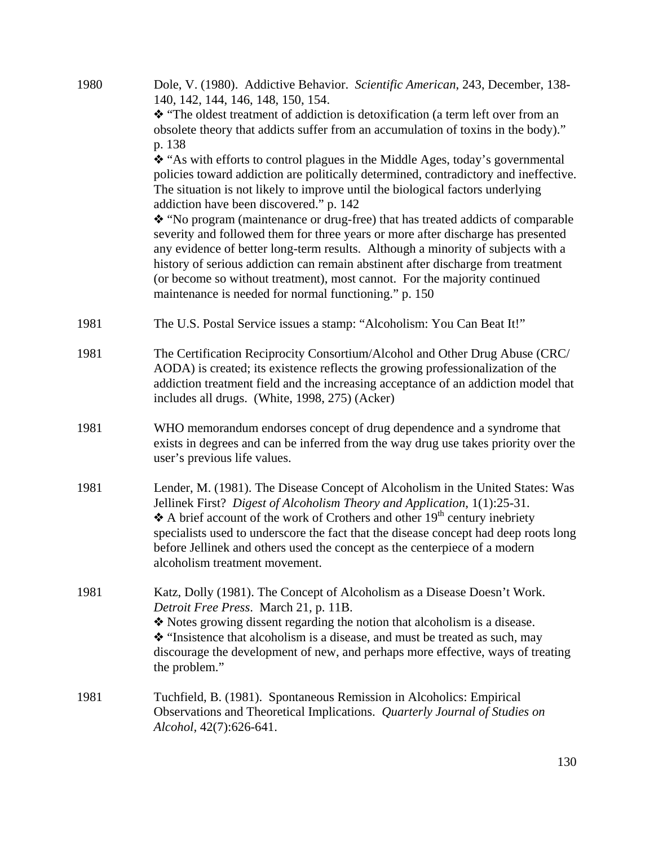| 1980 | Dole, V. (1980). Addictive Behavior. Scientific American, 243, December, 138-<br>140, 142, 144, 146, 148, 150, 154.<br>* "The oldest treatment of addiction is detoxification (a term left over from an<br>obsolete theory that addicts suffer from an accumulation of toxins in the body)."<br>p. 138<br>* "As with efforts to control plagues in the Middle Ages, today's governmental<br>policies toward addiction are politically determined, contradictory and ineffective.<br>The situation is not likely to improve until the biological factors underlying<br>addiction have been discovered." p. 142<br>* "No program (maintenance or drug-free) that has treated addicts of comparable<br>severity and followed them for three years or more after discharge has presented<br>any evidence of better long-term results. Although a minority of subjects with a<br>history of serious addiction can remain abstinent after discharge from treatment<br>(or become so without treatment), most cannot. For the majority continued<br>maintenance is needed for normal functioning." p. 150 |
|------|----------------------------------------------------------------------------------------------------------------------------------------------------------------------------------------------------------------------------------------------------------------------------------------------------------------------------------------------------------------------------------------------------------------------------------------------------------------------------------------------------------------------------------------------------------------------------------------------------------------------------------------------------------------------------------------------------------------------------------------------------------------------------------------------------------------------------------------------------------------------------------------------------------------------------------------------------------------------------------------------------------------------------------------------------------------------------------------------------|
| 1981 | The U.S. Postal Service issues a stamp: "Alcoholism: You Can Beat It!"                                                                                                                                                                                                                                                                                                                                                                                                                                                                                                                                                                                                                                                                                                                                                                                                                                                                                                                                                                                                                             |
| 1981 | The Certification Reciprocity Consortium/Alcohol and Other Drug Abuse (CRC/<br>AODA) is created; its existence reflects the growing professionalization of the<br>addiction treatment field and the increasing acceptance of an addiction model that<br>includes all drugs. (White, 1998, 275) (Acker)                                                                                                                                                                                                                                                                                                                                                                                                                                                                                                                                                                                                                                                                                                                                                                                             |
| 1981 | WHO memorandum endorses concept of drug dependence and a syndrome that<br>exists in degrees and can be inferred from the way drug use takes priority over the<br>user's previous life values.                                                                                                                                                                                                                                                                                                                                                                                                                                                                                                                                                                                                                                                                                                                                                                                                                                                                                                      |
| 1981 | Lender, M. (1981). The Disease Concept of Alcoholism in the United States: Was<br>Jellinek First? Digest of Alcoholism Theory and Application, 1(1):25-31.<br>$\triangle$ A brief account of the work of Crothers and other 19 <sup>th</sup> century inebriety<br>specialists used to underscore the fact that the disease concept had deep roots long<br>before Jellinek and others used the concept as the centerpiece of a modern<br>alcoholism treatment movement.                                                                                                                                                                                                                                                                                                                                                                                                                                                                                                                                                                                                                             |
| 1981 | Katz, Dolly (1981). The Concept of Alcoholism as a Disease Doesn't Work.<br>Detroit Free Press. March 21, p. 11B.<br>Notes growing dissent regarding the notion that alcoholism is a disease.<br>* "Insistence that alcoholism is a disease, and must be treated as such, may<br>discourage the development of new, and perhaps more effective, ways of treating<br>the problem."                                                                                                                                                                                                                                                                                                                                                                                                                                                                                                                                                                                                                                                                                                                  |
| 1981 | Tuchfield, B. (1981). Spontaneous Remission in Alcoholics: Empirical<br>Observations and Theoretical Implications. Quarterly Journal of Studies on<br>Alcohol, 42(7):626-641.                                                                                                                                                                                                                                                                                                                                                                                                                                                                                                                                                                                                                                                                                                                                                                                                                                                                                                                      |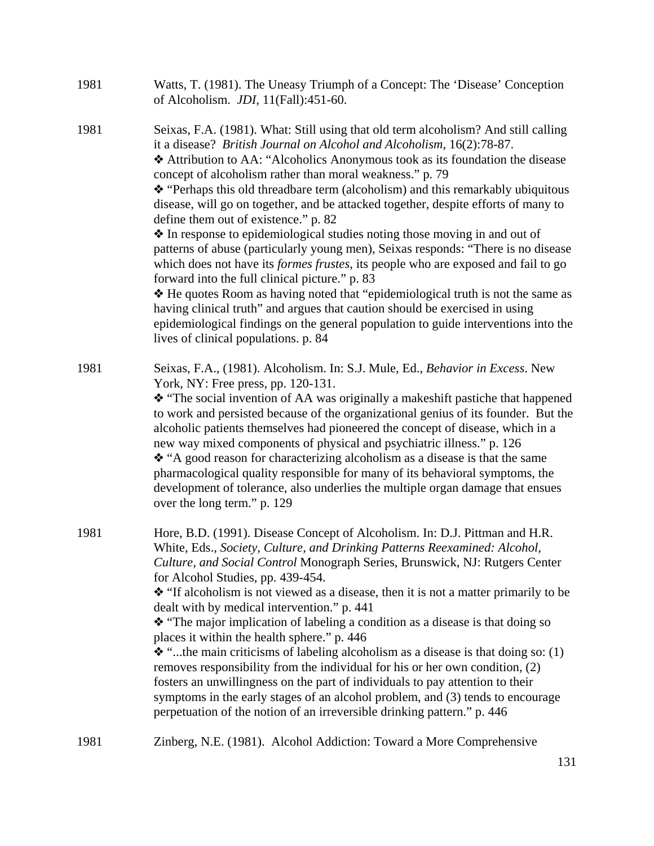| 1981 | Watts, T. (1981). The Uneasy Triumph of a Concept: The 'Disease' Conception<br>of Alcoholism. JDI, 11(Fall):451-60.                                                                                                                                                                                                                                                                                                                                                                                                                                                                                                                                                                                                                                                                                                                                                                                                                                                                                                                                                                                                                         |
|------|---------------------------------------------------------------------------------------------------------------------------------------------------------------------------------------------------------------------------------------------------------------------------------------------------------------------------------------------------------------------------------------------------------------------------------------------------------------------------------------------------------------------------------------------------------------------------------------------------------------------------------------------------------------------------------------------------------------------------------------------------------------------------------------------------------------------------------------------------------------------------------------------------------------------------------------------------------------------------------------------------------------------------------------------------------------------------------------------------------------------------------------------|
| 1981 | Seixas, F.A. (1981). What: Still using that old term alcoholism? And still calling<br>it a disease? British Journal on Alcohol and Alcoholism, 16(2):78-87.<br>❖ Attribution to AA: "Alcoholics Anonymous took as its foundation the disease<br>concept of alcoholism rather than moral weakness." p. 79<br>* "Perhaps this old threadbare term (alcoholism) and this remarkably ubiquitous<br>disease, will go on together, and be attacked together, despite efforts of many to<br>define them out of existence." p. 82<br>• In response to epidemiological studies noting those moving in and out of<br>patterns of abuse (particularly young men), Seixas responds: "There is no disease<br>which does not have its <i>formes frustes</i> , its people who are exposed and fail to go<br>forward into the full clinical picture." p. 83<br>◆ He quotes Room as having noted that "epidemiological truth is not the same as<br>having clinical truth" and argues that caution should be exercised in using<br>epidemiological findings on the general population to guide interventions into the<br>lives of clinical populations. p. 84 |
| 1981 | Seixas, F.A., (1981). Alcoholism. In: S.J. Mule, Ed., Behavior in Excess. New<br>York, NY: Free press, pp. 120-131.<br>• The social invention of AA was originally a makeshift pastiche that happened<br>to work and persisted because of the organizational genius of its founder. But the<br>alcoholic patients themselves had pioneered the concept of disease, which in a<br>new way mixed components of physical and psychiatric illness." p. 126<br>* "A good reason for characterizing alcoholism as a disease is that the same<br>pharmacological quality responsible for many of its behavioral symptoms, the<br>development of tolerance, also underlies the multiple organ damage that ensues<br>over the long term." p. 129                                                                                                                                                                                                                                                                                                                                                                                                     |
| 1981 | Hore, B.D. (1991). Disease Concept of Alcoholism. In: D.J. Pittman and H.R.<br>White, Eds., Society, Culture, and Drinking Patterns Reexamined: Alcohol,<br>Culture, and Social Control Monograph Series, Brunswick, NJ: Rutgers Center<br>for Alcohol Studies, pp. 439-454.<br>* "If alcoholism is not viewed as a disease, then it is not a matter primarily to be<br>dealt with by medical intervention." p. 441<br>• The major implication of labeling a condition as a disease is that doing so<br>places it within the health sphere." p. 446<br>$\triangleq$ "the main criticisms of labeling alcoholism as a disease is that doing so: (1)<br>removes responsibility from the individual for his or her own condition, (2)<br>fosters an unwillingness on the part of individuals to pay attention to their<br>symptoms in the early stages of an alcohol problem, and (3) tends to encourage<br>perpetuation of the notion of an irreversible drinking pattern." p. 446                                                                                                                                                            |
| 1981 | Zinberg, N.E. (1981). Alcohol Addiction: Toward a More Comprehensive                                                                                                                                                                                                                                                                                                                                                                                                                                                                                                                                                                                                                                                                                                                                                                                                                                                                                                                                                                                                                                                                        |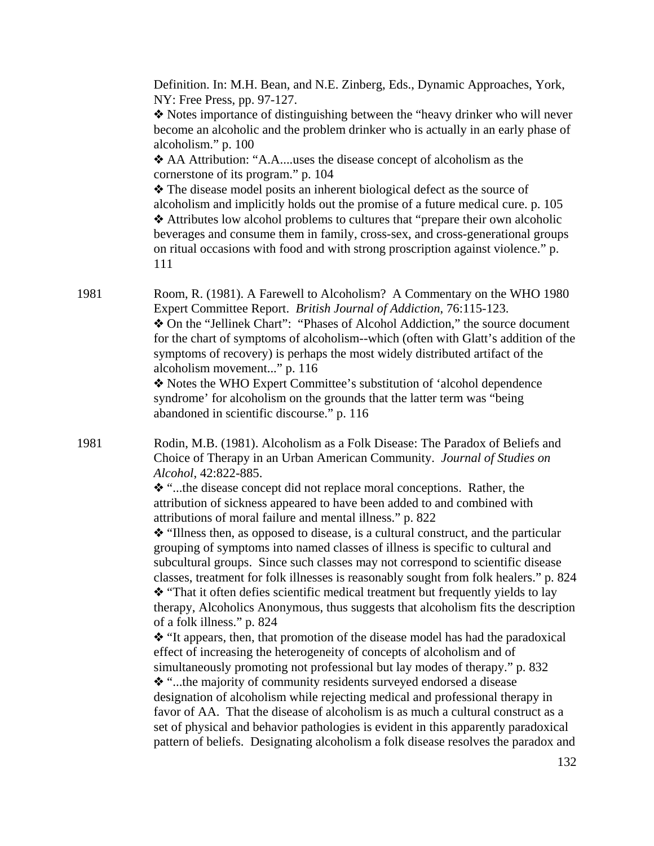Definition. In: M.H. Bean, and N.E. Zinberg, Eds., Dynamic Approaches, York, NY: Free Press, pp. 97-127.

˜ Notes importance of distinguishing between the "heavy drinker who will never become an alcoholic and the problem drinker who is actually in an early phase of alcoholism." p. 100

˜ AA Attribution: "A.A....uses the disease concept of alcoholism as the cornerstone of its program." p. 104

˜ The disease model posits an inherent biological defect as the source of alcoholism and implicitly holds out the promise of a future medical cure. p. 105 ˜ Attributes low alcohol problems to cultures that "prepare their own alcoholic beverages and consume them in family, cross-sex, and cross-generational groups on ritual occasions with food and with strong proscription against violence." p. 111

1981 Room, R. (1981). A Farewell to Alcoholism? A Commentary on the WHO 1980 Expert Committee Report. *British Journal of Addiction*, 76:115-123. ˜ On the "Jellinek Chart": "Phases of Alcohol Addiction," the source document for the chart of symptoms of alcoholism--which (often with Glatt's addition of the symptoms of recovery) is perhaps the most widely distributed artifact of the alcoholism movement..." p. 116

˜ Notes the WHO Expert Committee's substitution of 'alcohol dependence syndrome' for alcoholism on the grounds that the latter term was "being abandoned in scientific discourse." p. 116

1981 Rodin, M.B. (1981). Alcoholism as a Folk Disease: The Paradox of Beliefs and Choice of Therapy in an Urban American Community. *Journal of Studies on Alcohol*, 42:822-885.

> ˜ "...the disease concept did not replace moral conceptions. Rather, the attribution of sickness appeared to have been added to and combined with attributions of moral failure and mental illness." p. 822

˜ "Illness then, as opposed to disease, is a cultural construct, and the particular grouping of symptoms into named classes of illness is specific to cultural and subcultural groups. Since such classes may not correspond to scientific disease classes, treatment for folk illnesses is reasonably sought from folk healers." p. 824 ˜ "That it often defies scientific medical treatment but frequently yields to lay therapy, Alcoholics Anonymous, thus suggests that alcoholism fits the description of a folk illness." p. 824

˜ "It appears, then, that promotion of the disease model has had the paradoxical effect of increasing the heterogeneity of concepts of alcoholism and of simultaneously promoting not professional but lay modes of therapy." p. 832 ˜ "...the majority of community residents surveyed endorsed a disease designation of alcoholism while rejecting medical and professional therapy in favor of AA. That the disease of alcoholism is as much a cultural construct as a set of physical and behavior pathologies is evident in this apparently paradoxical pattern of beliefs. Designating alcoholism a folk disease resolves the paradox and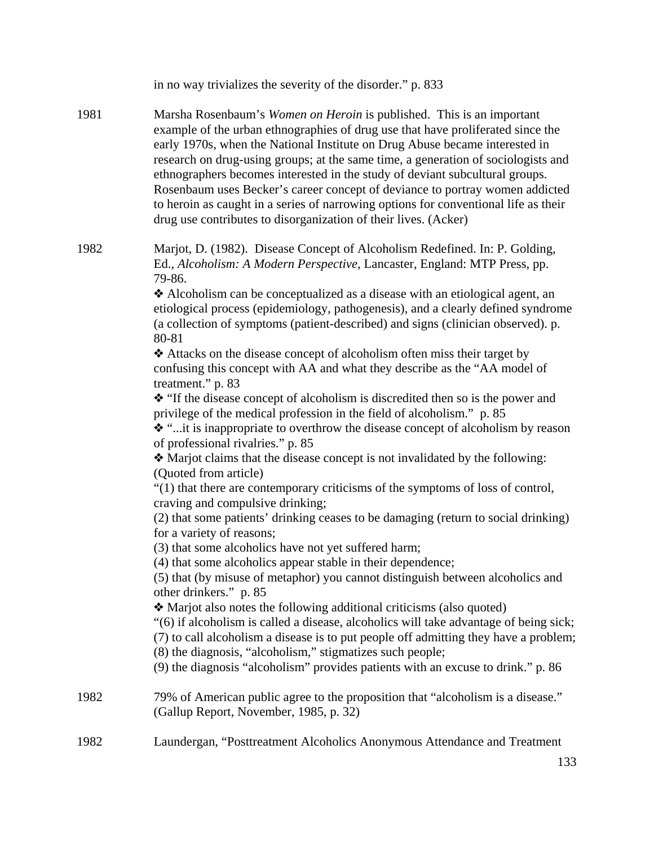|      | in no way trivializes the severity of the disorder." p. 833                                                                                                                                                                                                                                                                                                                                                                                                                                                                                                                                                                                            |
|------|--------------------------------------------------------------------------------------------------------------------------------------------------------------------------------------------------------------------------------------------------------------------------------------------------------------------------------------------------------------------------------------------------------------------------------------------------------------------------------------------------------------------------------------------------------------------------------------------------------------------------------------------------------|
| 1981 | Marsha Rosenbaum's Women on Heroin is published. This is an important<br>example of the urban ethnographies of drug use that have proliferated since the<br>early 1970s, when the National Institute on Drug Abuse became interested in<br>research on drug-using groups; at the same time, a generation of sociologists and<br>ethnographers becomes interested in the study of deviant subcultural groups.<br>Rosenbaum uses Becker's career concept of deviance to portray women addicted<br>to heroin as caught in a series of narrowing options for conventional life as their<br>drug use contributes to disorganization of their lives. (Acker) |
| 1982 | Marjot, D. (1982). Disease Concept of Alcoholism Redefined. In: P. Golding,<br>Ed., Alcoholism: A Modern Perspective, Lancaster, England: MTP Press, pp.<br>79-86.                                                                                                                                                                                                                                                                                                                                                                                                                                                                                     |
|      | Alcoholism can be conceptualized as a disease with an etiological agent, an<br>etiological process (epidemiology, pathogenesis), and a clearly defined syndrome<br>(a collection of symptoms (patient-described) and signs (clinician observed). p.<br>80-81                                                                                                                                                                                                                                                                                                                                                                                           |
|      | ◆ Attacks on the disease concept of alcoholism often miss their target by<br>confusing this concept with AA and what they describe as the "AA model of<br>treatment." p. 83                                                                                                                                                                                                                                                                                                                                                                                                                                                                            |
|      | <b>♦</b> "If the disease concept of alcoholism is discredited then so is the power and<br>privilege of the medical profession in the field of alcoholism." p. 85<br>• "it is inappropriate to overthrow the disease concept of alcoholism by reason                                                                                                                                                                                                                                                                                                                                                                                                    |
|      | of professional rivalries." p. 85<br>* Marjot claims that the disease concept is not invalidated by the following:                                                                                                                                                                                                                                                                                                                                                                                                                                                                                                                                     |
|      | (Quoted from article)<br>"(1) that there are contemporary criticisms of the symptoms of loss of control,<br>craving and compulsive drinking;                                                                                                                                                                                                                                                                                                                                                                                                                                                                                                           |
|      | (2) that some patients' drinking ceases to be damaging (return to social drinking)<br>for a variety of reasons;                                                                                                                                                                                                                                                                                                                                                                                                                                                                                                                                        |
|      | (3) that some alcoholics have not yet suffered harm;                                                                                                                                                                                                                                                                                                                                                                                                                                                                                                                                                                                                   |
|      | (4) that some alcoholics appear stable in their dependence;<br>(5) that (by misuse of metaphor) you cannot distinguish between alcoholics and<br>other drinkers." p. 85                                                                                                                                                                                                                                                                                                                                                                                                                                                                                |
|      | * Marjot also notes the following additional criticisms (also quoted)<br>"(6) if alcoholism is called a disease, alcoholics will take advantage of being sick;<br>(7) to call alcoholism a disease is to put people off admitting they have a problem;<br>(8) the diagnosis, "alcoholism," stigmatizes such people;<br>(9) the diagnosis "alcoholism" provides patients with an excuse to drink." p. 86                                                                                                                                                                                                                                                |
| 1982 | 79% of American public agree to the proposition that "alcoholism is a disease."<br>(Gallup Report, November, 1985, p. 32)                                                                                                                                                                                                                                                                                                                                                                                                                                                                                                                              |
| 1982 | Laundergan, "Posttreatment Alcoholics Anonymous Attendance and Treatment                                                                                                                                                                                                                                                                                                                                                                                                                                                                                                                                                                               |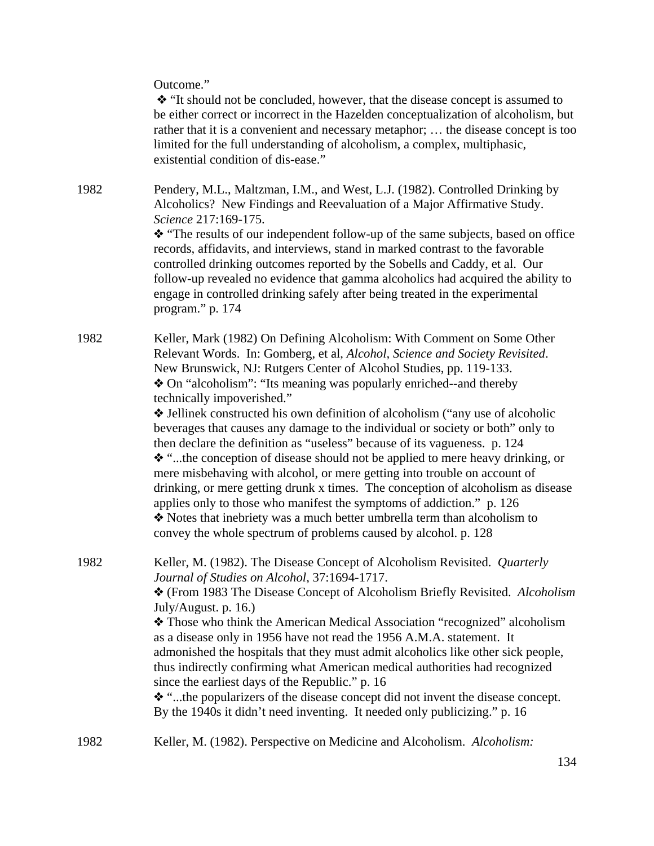| Outcome. |  |
|----------|--|
|          |  |

˜ "It should not be concluded, however, that the disease concept is assumed to be either correct or incorrect in the Hazelden conceptualization of alcoholism, but rather that it is a convenient and necessary metaphor; … the disease concept is too limited for the full understanding of alcoholism, a complex, multiphasic, existential condition of dis-ease."

1982 Pendery, M.L., Maltzman, I.M., and West, L.J. (1982). Controlled Drinking by Alcoholics? New Findings and Reevaluation of a Major Affirmative Study. *Science* 217:169-175.

˜ "The results of our independent follow-up of the same subjects, based on office records, affidavits, and interviews, stand in marked contrast to the favorable controlled drinking outcomes reported by the Sobells and Caddy, et al. Our follow-up revealed no evidence that gamma alcoholics had acquired the ability to engage in controlled drinking safely after being treated in the experimental program." p. 174

1982 Keller, Mark (1982) On Defining Alcoholism: With Comment on Some Other Relevant Words. In: Gomberg, et al, *Alcohol, Science and Society Revisited*. New Brunswick, NJ: Rutgers Center of Alcohol Studies, pp. 119-133. ˜ On "alcoholism": "Its meaning was popularly enriched--and thereby technically impoverished."

> ˜ Jellinek constructed his own definition of alcoholism ("any use of alcoholic beverages that causes any damage to the individual or society or both" only to then declare the definition as "useless" because of its vagueness. p. 124 ˜ "...the conception of disease should not be applied to mere heavy drinking, or mere misbehaving with alcohol, or mere getting into trouble on account of drinking, or mere getting drunk x times. The conception of alcoholism as disease applies only to those who manifest the symptoms of addiction." p. 126 ˜ Notes that inebriety was a much better umbrella term than alcoholism to convey the whole spectrum of problems caused by alcohol. p. 128

1982 Keller, M. (1982). The Disease Concept of Alcoholism Revisited. *Quarterly Journal of Studies on Alcohol*, 37:1694-1717. ˜ (From 1983 The Disease Concept of Alcoholism Briefly Revisited. *Alcoholism* July/August. p. 16.) ˜ Those who think the American Medical Association "recognized" alcoholism as a disease only in 1956 have not read the 1956 A.M.A. statement. It admonished the hospitals that they must admit alcoholics like other sick people, thus indirectly confirming what American medical authorities had recognized since the earliest days of the Republic." p. 16 ˜ "...the popularizers of the disease concept did not invent the disease concept. By the 1940s it didn't need inventing. It needed only publicizing." p. 16

1982 Keller, M. (1982). Perspective on Medicine and Alcoholism. *Alcoholism:*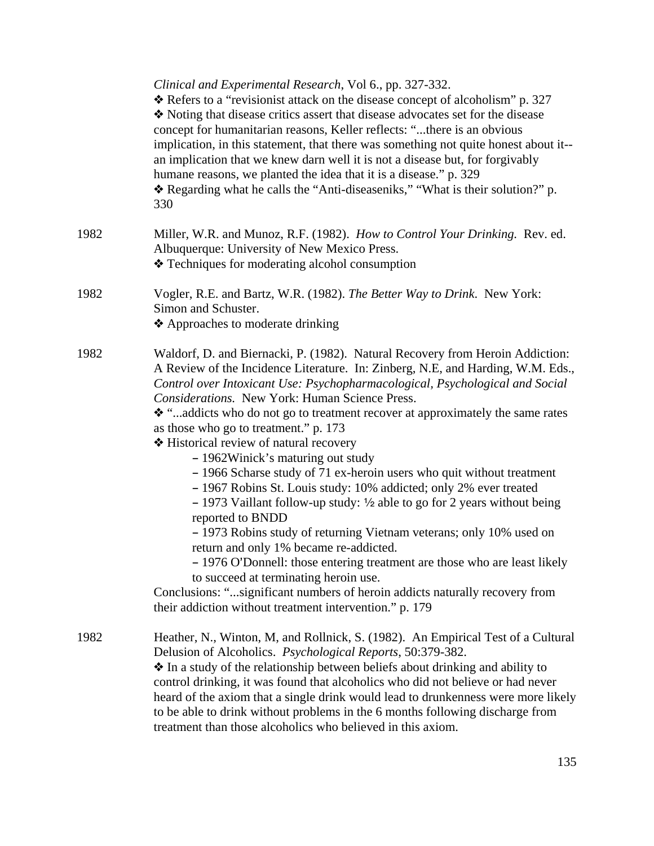|      | Clinical and Experimental Research, Vol 6., pp. 327-332.<br>* Refers to a "revisionist attack on the disease concept of alcoholism" p. 327<br>◆ Noting that disease critics assert that disease advocates set for the disease<br>concept for humanitarian reasons, Keller reflects: "there is an obvious<br>implication, in this statement, that there was something not quite honest about it--<br>an implication that we knew darn well it is not a disease but, for forgivably<br>humane reasons, we planted the idea that it is a disease." p. 329<br>* Regarding what he calls the "Anti-diseaseniks," "What is their solution?" p.<br>330                                                                                                                                                                                                                                                                                                                                                                                                                                                                                               |
|------|-----------------------------------------------------------------------------------------------------------------------------------------------------------------------------------------------------------------------------------------------------------------------------------------------------------------------------------------------------------------------------------------------------------------------------------------------------------------------------------------------------------------------------------------------------------------------------------------------------------------------------------------------------------------------------------------------------------------------------------------------------------------------------------------------------------------------------------------------------------------------------------------------------------------------------------------------------------------------------------------------------------------------------------------------------------------------------------------------------------------------------------------------|
| 1982 | Miller, W.R. and Munoz, R.F. (1982). How to Control Your Drinking. Rev. ed.<br>Albuquerque: University of New Mexico Press.<br>❖ Techniques for moderating alcohol consumption                                                                                                                                                                                                                                                                                                                                                                                                                                                                                                                                                                                                                                                                                                                                                                                                                                                                                                                                                                |
| 1982 | Vogler, R.E. and Bartz, W.R. (1982). The Better Way to Drink. New York:<br>Simon and Schuster.<br>❖ Approaches to moderate drinking                                                                                                                                                                                                                                                                                                                                                                                                                                                                                                                                                                                                                                                                                                                                                                                                                                                                                                                                                                                                           |
| 1982 | Waldorf, D. and Biernacki, P. (1982). Natural Recovery from Heroin Addiction:<br>A Review of the Incidence Literature. In: Zinberg, N.E, and Harding, W.M. Eds.,<br>Control over Intoxicant Use: Psychopharmacological, Psychological and Social<br>Considerations. New York: Human Science Press.<br>◆ "addicts who do not go to treatment recover at approximately the same rates<br>as those who go to treatment." p. 173<br>◆ Historical review of natural recovery<br>- 1962 Winick's maturing out study<br>- 1966 Scharse study of 71 ex-heroin users who quit without treatment<br>- 1967 Robins St. Louis study: 10% addicted; only 2% ever treated<br>- 1973 Vaillant follow-up study: 1/2 able to go for 2 years without being<br>reported to BNDD<br>- 1973 Robins study of returning Vietnam veterans; only 10% used on<br>return and only 1% became re-addicted.<br>- 1976 O'Donnell: those entering treatment are those who are least likely<br>to succeed at terminating heroin use.<br>Conclusions: "significant numbers of heroin addicts naturally recovery from<br>their addiction without treatment intervention." p. 179 |
| 1982 | Heather, N., Winton, M. and Rollnick, S. (1982). An Empirical Test of a Cultural<br>Delusion of Alcoholics. Psychological Reports, 50:379-382.<br>• In a study of the relationship between beliefs about drinking and ability to<br>control drinking, it was found that alcoholics who did not believe or had never<br>heard of the axiom that a single drink would lead to drunkenness were more likely<br>to be able to drink without problems in the 6 months following discharge from<br>treatment than those alcoholics who believed in this axiom.                                                                                                                                                                                                                                                                                                                                                                                                                                                                                                                                                                                      |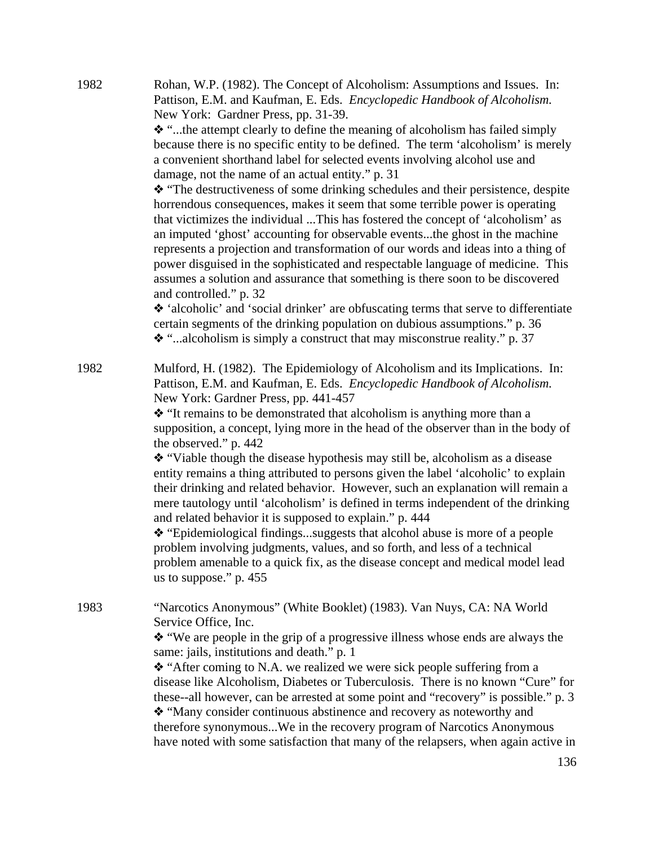1982 Rohan, W.P. (1982). The Concept of Alcoholism: Assumptions and Issues. In: Pattison, E.M. and Kaufman, E. Eds. *Encyclopedic Handbook of Alcoholism.* New York: Gardner Press, pp. 31-39.

> ˜ "...the attempt clearly to define the meaning of alcoholism has failed simply because there is no specific entity to be defined. The term 'alcoholism' is merely a convenient shorthand label for selected events involving alcohol use and damage, not the name of an actual entity." p. 31

> ˜ "The destructiveness of some drinking schedules and their persistence, despite horrendous consequences, makes it seem that some terrible power is operating that victimizes the individual ...This has fostered the concept of 'alcoholism' as an imputed 'ghost' accounting for observable events...the ghost in the machine represents a projection and transformation of our words and ideas into a thing of power disguised in the sophisticated and respectable language of medicine. This assumes a solution and assurance that something is there soon to be discovered and controlled." p. 32

> ˜ 'alcoholic' and 'social drinker' are obfuscating terms that serve to differentiate certain segments of the drinking population on dubious assumptions." p. 36 ˜ "...alcoholism is simply a construct that may misconstrue reality." p. 37

1982 Mulford, H. (1982). The Epidemiology of Alcoholism and its Implications. In: Pattison, E.M. and Kaufman, E. Eds. *Encyclopedic Handbook of Alcoholism.* New York: Gardner Press, pp. 441-457

> ˜ "It remains to be demonstrated that alcoholism is anything more than a supposition, a concept, lying more in the head of the observer than in the body of the observed." p. 442

> ˜ "Viable though the disease hypothesis may still be, alcoholism as a disease entity remains a thing attributed to persons given the label 'alcoholic' to explain their drinking and related behavior. However, such an explanation will remain a mere tautology until 'alcoholism' is defined in terms independent of the drinking and related behavior it is supposed to explain." p. 444

> ˜ "Epidemiological findings...suggests that alcohol abuse is more of a people problem involving judgments, values, and so forth, and less of a technical problem amenable to a quick fix, as the disease concept and medical model lead us to suppose." p. 455

1983 "Narcotics Anonymous" (White Booklet) (1983). Van Nuys, CA: NA World Service Office, Inc.

> ˜ "We are people in the grip of a progressive illness whose ends are always the same: jails, institutions and death." p. 1

˜ "After coming to N.A. we realized we were sick people suffering from a disease like Alcoholism, Diabetes or Tuberculosis. There is no known "Cure" for these--all however, can be arrested at some point and "recovery" is possible." p. 3 ˜ "Many consider continuous abstinence and recovery as noteworthy and

therefore synonymous...We in the recovery program of Narcotics Anonymous have noted with some satisfaction that many of the relapsers, when again active in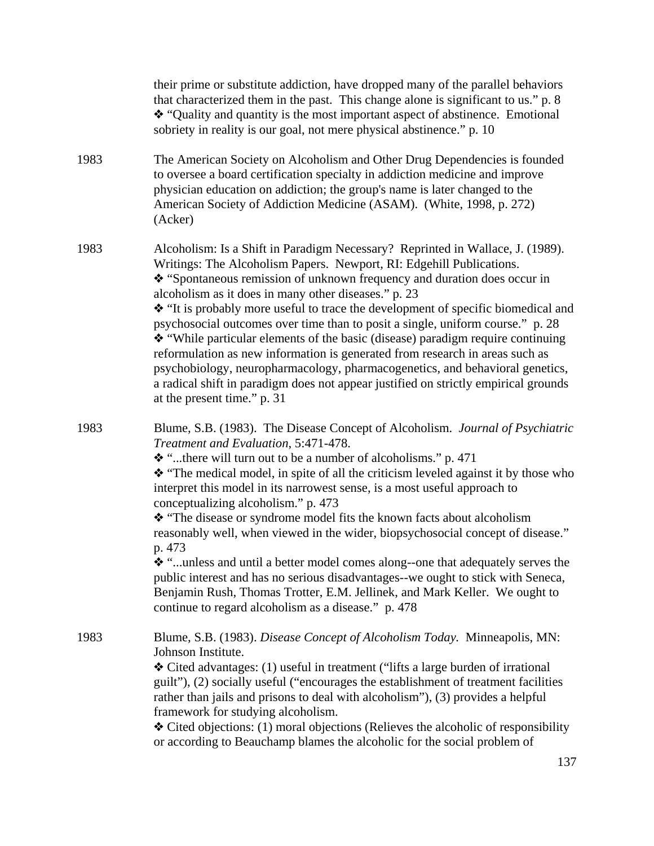|      | their prime or substitute addiction, have dropped many of the parallel behaviors<br>that characterized them in the past. This change alone is significant to us." p. 8<br>* "Quality and quantity is the most important aspect of abstinence. Emotional<br>sobriety in reality is our goal, not mere physical abstinence." p. 10                                                                                                                                                                                                                                                                                                                                                                                                                                                                                                                                                                  |
|------|---------------------------------------------------------------------------------------------------------------------------------------------------------------------------------------------------------------------------------------------------------------------------------------------------------------------------------------------------------------------------------------------------------------------------------------------------------------------------------------------------------------------------------------------------------------------------------------------------------------------------------------------------------------------------------------------------------------------------------------------------------------------------------------------------------------------------------------------------------------------------------------------------|
| 1983 | The American Society on Alcoholism and Other Drug Dependencies is founded<br>to oversee a board certification specialty in addiction medicine and improve<br>physician education on addiction; the group's name is later changed to the<br>American Society of Addiction Medicine (ASAM). (White, 1998, p. 272)<br>(Acker)                                                                                                                                                                                                                                                                                                                                                                                                                                                                                                                                                                        |
| 1983 | Alcoholism: Is a Shift in Paradigm Necessary? Reprinted in Wallace, J. (1989).<br>Writings: The Alcoholism Papers. Newport, RI: Edgehill Publications.<br>* "Spontaneous remission of unknown frequency and duration does occur in<br>alcoholism as it does in many other diseases." p. 23<br><b>❖</b> "It is probably more useful to trace the development of specific biomedical and<br>psychosocial outcomes over time than to posit a single, uniform course." p. 28<br>• "While particular elements of the basic (disease) paradigm require continuing<br>reformulation as new information is generated from research in areas such as<br>psychobiology, neuropharmacology, pharmacogenetics, and behavioral genetics,<br>a radical shift in paradigm does not appear justified on strictly empirical grounds<br>at the present time." p. 31                                                 |
| 1983 | Blume, S.B. (1983). The Disease Concept of Alcoholism. Journal of Psychiatric<br>Treatment and Evaluation, 5:471-478.<br><b>❖</b> "there will turn out to be a number of alcoholisms." p. 471<br><b>❖</b> "The medical model, in spite of all the criticism leveled against it by those who<br>interpret this model in its narrowest sense, is a most useful approach to<br>conceptualizing alcoholism." p. 473<br>* "The disease or syndrome model fits the known facts about alcoholism<br>reasonably well, when viewed in the wider, biopsychosocial concept of disease."<br>p. 473<br>❖ "unless and until a better model comes along--one that adequately serves the<br>public interest and has no serious disadvantages--we ought to stick with Seneca,<br>Benjamin Rush, Thomas Trotter, E.M. Jellinek, and Mark Keller. We ought to<br>continue to regard alcoholism as a disease." p. 478 |
| 1983 | Blume, S.B. (1983). Disease Concept of Alcoholism Today. Minneapolis, MN:<br>Johnson Institute.<br>◆ Cited advantages: (1) useful in treatment ("lifts a large burden of irrational<br>guilt"), (2) socially useful ("encourages the establishment of treatment facilities<br>rather than jails and prisons to deal with alcoholism"), (3) provides a helpful<br>framework for studying alcoholism.<br>$\triangleleft$ Cited objections: (1) moral objections (Relieves the alcoholic of responsibility<br>or according to Beauchamp blames the alcoholic for the social problem of                                                                                                                                                                                                                                                                                                               |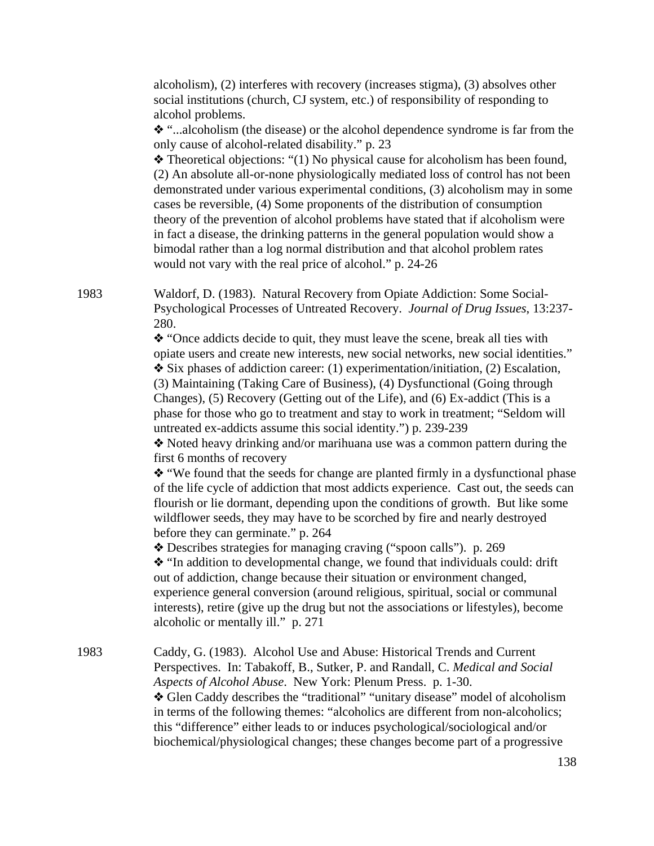alcoholism), (2) interferes with recovery (increases stigma), (3) absolves other social institutions (church, CJ system, etc.) of responsibility of responding to alcohol problems.

˜ "...alcoholism (the disease) or the alcohol dependence syndrome is far from the only cause of alcohol-related disability." p. 23

˜ Theoretical objections: "(1) No physical cause for alcoholism has been found, (2) An absolute all-or-none physiologically mediated loss of control has not been demonstrated under various experimental conditions, (3) alcoholism may in some cases be reversible, (4) Some proponents of the distribution of consumption theory of the prevention of alcohol problems have stated that if alcoholism were in fact a disease, the drinking patterns in the general population would show a bimodal rather than a log normal distribution and that alcohol problem rates would not vary with the real price of alcohol." p. 24-26

1983 Waldorf, D. (1983). Natural Recovery from Opiate Addiction: Some Social-Psychological Processes of Untreated Recovery. *Journal of Drug Issues*, 13:237- 280.

> ˜ "Once addicts decide to quit, they must leave the scene, break all ties with opiate users and create new interests, new social networks, new social identities." ˜ Six phases of addiction career: (1) experimentation/initiation, (2) Escalation, (3) Maintaining (Taking Care of Business), (4) Dysfunctional (Going through Changes), (5) Recovery (Getting out of the Life), and (6) Ex-addict (This is a phase for those who go to treatment and stay to work in treatment; "Seldom will untreated ex-addicts assume this social identity.") p. 239-239

˜ Noted heavy drinking and/or marihuana use was a common pattern during the first 6 months of recovery

˜ "We found that the seeds for change are planted firmly in a dysfunctional phase of the life cycle of addiction that most addicts experience. Cast out, the seeds can flourish or lie dormant, depending upon the conditions of growth. But like some wildflower seeds, they may have to be scorched by fire and nearly destroyed before they can germinate." p. 264

˜ Describes strategies for managing craving ("spoon calls"). p. 269

˜ "In addition to developmental change, we found that individuals could: drift out of addiction, change because their situation or environment changed, experience general conversion (around religious, spiritual, social or communal interests), retire (give up the drug but not the associations or lifestyles), become alcoholic or mentally ill." p. 271

1983 Caddy, G. (1983). Alcohol Use and Abuse: Historical Trends and Current Perspectives. In: Tabakoff, B., Sutker, P. and Randall, C. *Medical and Social Aspects of Alcohol Abuse*. New York: Plenum Press. p. 1-30. ˜ Glen Caddy describes the "traditional" "unitary disease" model of alcoholism in terms of the following themes: "alcoholics are different from non-alcoholics; this "difference" either leads to or induces psychological/sociological and/or biochemical/physiological changes; these changes become part of a progressive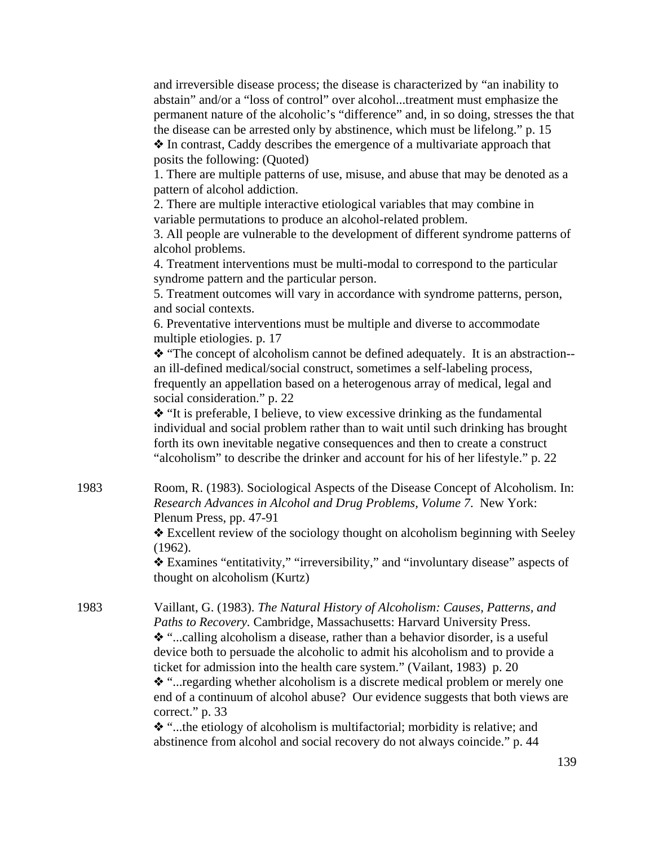and irreversible disease process; the disease is characterized by "an inability to abstain" and/or a "loss of control" over alcohol...treatment must emphasize the permanent nature of the alcoholic's "difference" and, in so doing, stresses the that the disease can be arrested only by abstinence, which must be lifelong." p. 15

˜ In contrast, Caddy describes the emergence of a multivariate approach that posits the following: (Quoted)

1. There are multiple patterns of use, misuse, and abuse that may be denoted as a pattern of alcohol addiction.

2. There are multiple interactive etiological variables that may combine in variable permutations to produce an alcohol-related problem.

3. All people are vulnerable to the development of different syndrome patterns of alcohol problems.

4. Treatment interventions must be multi-modal to correspond to the particular syndrome pattern and the particular person.

5. Treatment outcomes will vary in accordance with syndrome patterns, person, and social contexts.

6. Preventative interventions must be multiple and diverse to accommodate multiple etiologies. p. 17

˜ "The concept of alcoholism cannot be defined adequately. It is an abstraction- an ill-defined medical/social construct, sometimes a self-labeling process, frequently an appellation based on a heterogenous array of medical, legal and social consideration." p. 22

˜ "It is preferable, I believe, to view excessive drinking as the fundamental individual and social problem rather than to wait until such drinking has brought forth its own inevitable negative consequences and then to create a construct "alcoholism" to describe the drinker and account for his of her lifestyle." p. 22

1983 Room, R. (1983). Sociological Aspects of the Disease Concept of Alcoholism. In: *Research Advances in Alcohol and Drug Problems, Volume 7*. New York: Plenum Press, pp. 47-91

> ˜ Excellent review of the sociology thought on alcoholism beginning with Seeley (1962).

˜ Examines "entitativity," "irreversibility," and "involuntary disease" aspects of thought on alcoholism (Kurtz)

1983 Vaillant, G. (1983). *The Natural History of Alcoholism: Causes, Patterns, and Paths to Recovery.* Cambridge, Massachusetts: Harvard University Press. ˜ "...calling alcoholism a disease, rather than a behavior disorder, is a useful device both to persuade the alcoholic to admit his alcoholism and to provide a ticket for admission into the health care system." (Vailant, 1983) p. 20 ˜ "...regarding whether alcoholism is a discrete medical problem or merely one end of a continuum of alcohol abuse? Our evidence suggests that both views are correct." p. 33 ˜ "...the etiology of alcoholism is multifactorial; morbidity is relative; and

abstinence from alcohol and social recovery do not always coincide." p. 44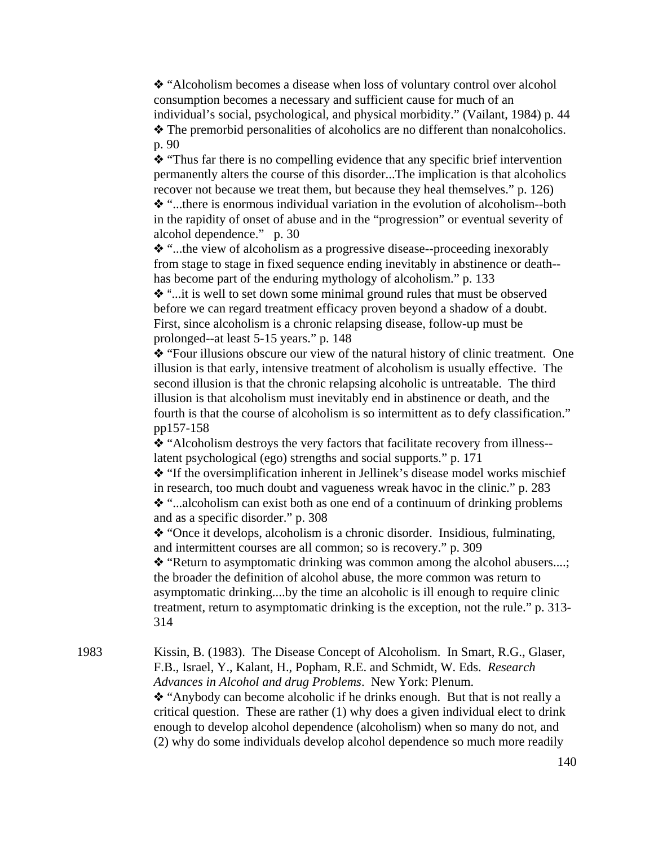˜ "Alcoholism becomes a disease when loss of voluntary control over alcohol consumption becomes a necessary and sufficient cause for much of an individual's social, psychological, and physical morbidity." (Vailant, 1984) p. 44

˜ The premorbid personalities of alcoholics are no different than nonalcoholics. p. 90

˜ "Thus far there is no compelling evidence that any specific brief intervention permanently alters the course of this disorder...The implication is that alcoholics recover not because we treat them, but because they heal themselves." p. 126)

˜ "...there is enormous individual variation in the evolution of alcoholism--both in the rapidity of onset of abuse and in the "progression" or eventual severity of alcohol dependence." p. 30

˜ "...the view of alcoholism as a progressive disease--proceeding inexorably from stage to stage in fixed sequence ending inevitably in abstinence or death- has become part of the enduring mythology of alcoholism." p. 133

˜ A...it is well to set down some minimal ground rules that must be observed before we can regard treatment efficacy proven beyond a shadow of a doubt. First, since alcoholism is a chronic relapsing disease, follow-up must be prolonged--at least 5-15 years." p. 148

˜ "Four illusions obscure our view of the natural history of clinic treatment. One illusion is that early, intensive treatment of alcoholism is usually effective. The second illusion is that the chronic relapsing alcoholic is untreatable. The third illusion is that alcoholism must inevitably end in abstinence or death, and the fourth is that the course of alcoholism is so intermittent as to defy classification." pp157-158

˜ "Alcoholism destroys the very factors that facilitate recovery from illness- latent psychological (ego) strengths and social supports." p. 171

˜ "If the oversimplification inherent in Jellinek's disease model works mischief in research, too much doubt and vagueness wreak havoc in the clinic." p. 283 ˜ "...alcoholism can exist both as one end of a continuum of drinking problems and as a specific disorder." p. 308

˜ "Once it develops, alcoholism is a chronic disorder. Insidious, fulminating, and intermittent courses are all common; so is recovery." p. 309

˜ "Return to asymptomatic drinking was common among the alcohol abusers....; the broader the definition of alcohol abuse, the more common was return to asymptomatic drinking....by the time an alcoholic is ill enough to require clinic treatment, return to asymptomatic drinking is the exception, not the rule." p. 313- 314

1983 Kissin, B. (1983). The Disease Concept of Alcoholism. In Smart, R.G., Glaser, F.B., Israel, Y., Kalant, H., Popham, R.E. and Schmidt, W. Eds. *Research Advances in Alcohol and drug Problems*. New York: Plenum. ˜ "Anybody can become alcoholic if he drinks enough. But that is not really a

critical question. These are rather  $(1)$  why does a given individual elect to drink enough to develop alcohol dependence (alcoholism) when so many do not, and (2) why do some individuals develop alcohol dependence so much more readily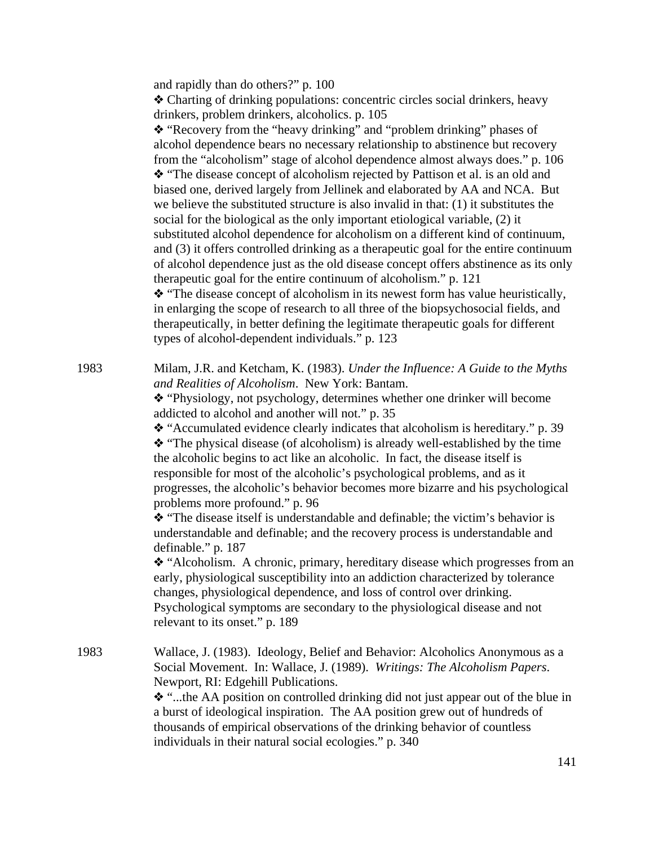and rapidly than do others?" p. 100

˜ Charting of drinking populations: concentric circles social drinkers, heavy drinkers, problem drinkers, alcoholics. p. 105

˜ "Recovery from the "heavy drinking" and "problem drinking" phases of alcohol dependence bears no necessary relationship to abstinence but recovery from the "alcoholism" stage of alcohol dependence almost always does." p. 106 ˜ "The disease concept of alcoholism rejected by Pattison et al. is an old and biased one, derived largely from Jellinek and elaborated by AA and NCA. But we believe the substituted structure is also invalid in that: (1) it substitutes the social for the biological as the only important etiological variable, (2) it substituted alcohol dependence for alcoholism on a different kind of continuum, and (3) it offers controlled drinking as a therapeutic goal for the entire continuum of alcohol dependence just as the old disease concept offers abstinence as its only therapeutic goal for the entire continuum of alcoholism." p. 121

˜ "The disease concept of alcoholism in its newest form has value heuristically, in enlarging the scope of research to all three of the biopsychosocial fields, and therapeutically, in better defining the legitimate therapeutic goals for different types of alcohol-dependent individuals." p. 123

1983 Milam, J.R. and Ketcham, K. (1983). *Under the Influence: A Guide to the Myths and Realities of Alcoholism*. New York: Bantam.

˜ "Physiology, not psychology, determines whether one drinker will become addicted to alcohol and another will not." p. 35

˜ "Accumulated evidence clearly indicates that alcoholism is hereditary." p. 39 ˜ "The physical disease (of alcoholism) is already well-established by the time the alcoholic begins to act like an alcoholic. In fact, the disease itself is responsible for most of the alcoholic's psychological problems, and as it progresses, the alcoholic's behavior becomes more bizarre and his psychological

problems more profound." p. 96

˜ "The disease itself is understandable and definable; the victim's behavior is understandable and definable; and the recovery process is understandable and definable." p. 187

˜ "Alcoholism. A chronic, primary, hereditary disease which progresses from an early, physiological susceptibility into an addiction characterized by tolerance changes, physiological dependence, and loss of control over drinking. Psychological symptoms are secondary to the physiological disease and not relevant to its onset." p. 189

1983 Wallace, J. (1983). Ideology, Belief and Behavior: Alcoholics Anonymous as a Social Movement. In: Wallace, J. (1989). *Writings: The Alcoholism Papers*. Newport, RI: Edgehill Publications.

˜ "...the AA position on controlled drinking did not just appear out of the blue in a burst of ideological inspiration. The AA position grew out of hundreds of thousands of empirical observations of the drinking behavior of countless individuals in their natural social ecologies." p. 340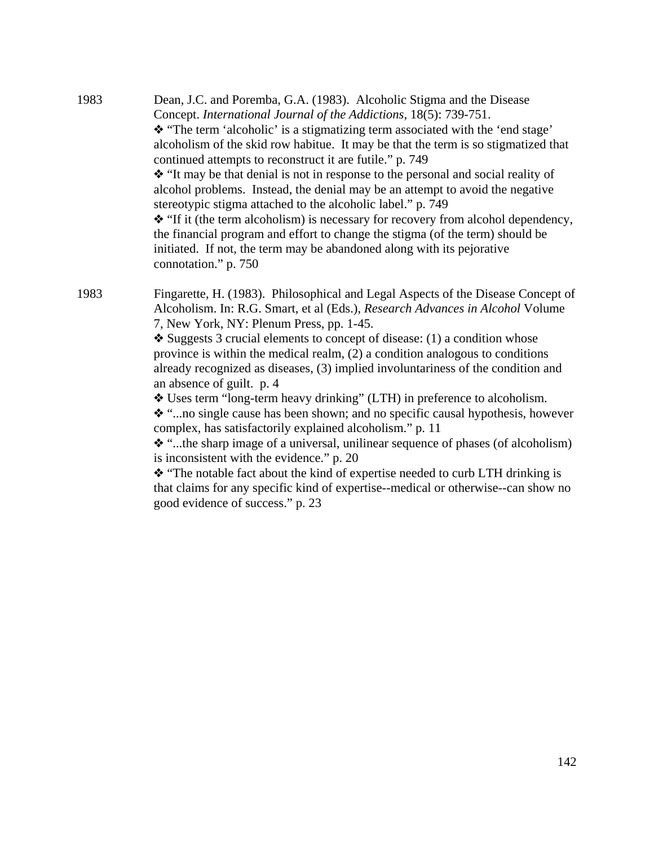| 1983 | Dean, J.C. and Poremba, G.A. (1983). Alcoholic Stigma and the Disease<br>Concept. International Journal of the Addictions, 18(5): 739-751.<br>* "The term 'alcoholic' is a stigmatizing term associated with the 'end stage'<br>alcoholism of the skid row habitue. It may be that the term is so stigmatized that<br>continued attempts to reconstruct it are futile." p. 749<br>* "It may be that denial is not in response to the personal and social reality of<br>alcohol problems. Instead, the denial may be an attempt to avoid the negative<br>stereotypic stigma attached to the alcoholic label." p. 749<br><b>❖</b> "If it (the term alcoholism) is necessary for recovery from alcohol dependency,<br>the financial program and effort to change the stigma (of the term) should be<br>initiated. If not, the term may be abandoned along with its pejorative<br>connotation." p. 750                                                                                                                                                                                 |
|------|------------------------------------------------------------------------------------------------------------------------------------------------------------------------------------------------------------------------------------------------------------------------------------------------------------------------------------------------------------------------------------------------------------------------------------------------------------------------------------------------------------------------------------------------------------------------------------------------------------------------------------------------------------------------------------------------------------------------------------------------------------------------------------------------------------------------------------------------------------------------------------------------------------------------------------------------------------------------------------------------------------------------------------------------------------------------------------|
| 1983 | Fingarette, H. (1983). Philosophical and Legal Aspects of the Disease Concept of<br>Alcoholism. In: R.G. Smart, et al (Eds.), Research Advances in Alcohol Volume<br>7, New York, NY: Plenum Press, pp. 1-45.<br>$\triangleleft$ Suggests 3 crucial elements to concept of disease: (1) a condition whose<br>province is within the medical realm, $(2)$ a condition analogous to conditions<br>already recognized as diseases, (3) implied involuntariness of the condition and<br>an absence of guilt. p. 4<br>* Uses term "long-term heavy drinking" (LTH) in preference to alcoholism.<br>• "no single cause has been shown; and no specific causal hypothesis, however<br>complex, has satisfactorily explained alcoholism." p. 11<br>• "the sharp image of a universal, unilinear sequence of phases (of alcoholism)<br>is inconsistent with the evidence." p. 20<br>* "The notable fact about the kind of expertise needed to curb LTH drinking is<br>that claims for any specific kind of expertise--medical or otherwise--can show no<br>good evidence of success." p. 23 |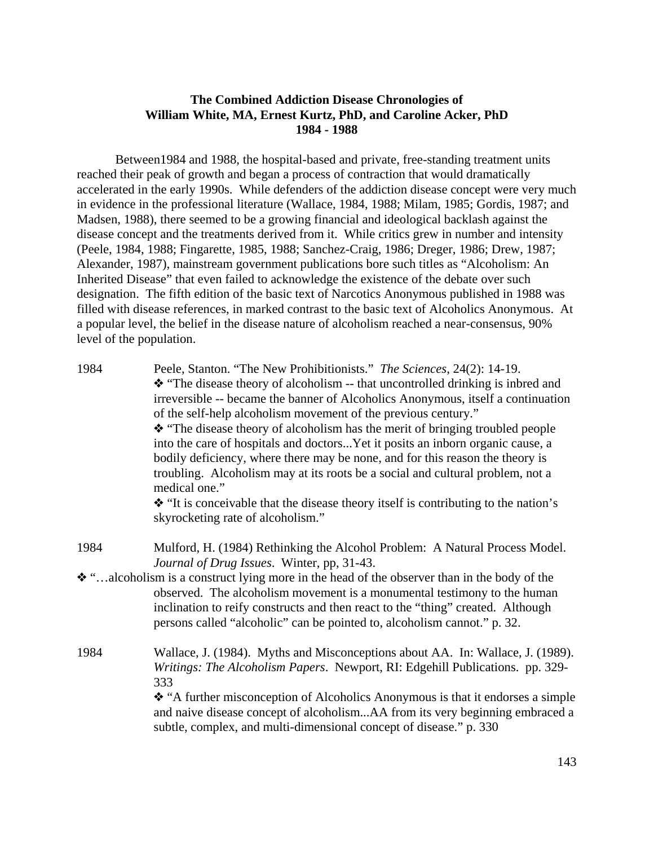## **The Combined Addiction Disease Chronologies of William White, MA, Ernest Kurtz, PhD, and Caroline Acker, PhD 1984 - 1988**

Between1984 and 1988, the hospital-based and private, free-standing treatment units reached their peak of growth and began a process of contraction that would dramatically accelerated in the early 1990s. While defenders of the addiction disease concept were very much in evidence in the professional literature (Wallace, 1984, 1988; Milam, 1985; Gordis, 1987; and Madsen, 1988), there seemed to be a growing financial and ideological backlash against the disease concept and the treatments derived from it. While critics grew in number and intensity (Peele, 1984, 1988; Fingarette, 1985, 1988; Sanchez-Craig, 1986; Dreger, 1986; Drew, 1987; Alexander, 1987), mainstream government publications bore such titles as "Alcoholism: An Inherited Disease" that even failed to acknowledge the existence of the debate over such designation. The fifth edition of the basic text of Narcotics Anonymous published in 1988 was filled with disease references, in marked contrast to the basic text of Alcoholics Anonymous. At a popular level, the belief in the disease nature of alcoholism reached a near-consensus, 90% level of the population.

1984 Peele, Stanton. "The New Prohibitionists." *The Sciences*, 24(2): 14-19. ˜ "The disease theory of alcoholism -- that uncontrolled drinking is inbred and irreversible -- became the banner of Alcoholics Anonymous, itself a continuation of the self-help alcoholism movement of the previous century." ˜ "The disease theory of alcoholism has the merit of bringing troubled people into the care of hospitals and doctors...Yet it posits an inborn organic cause, a bodily deficiency, where there may be none, and for this reason the theory is troubling. Alcoholism may at its roots be a social and cultural problem, not a medical one." ˜ "It is conceivable that the disease theory itself is contributing to the nation's skyrocketing rate of alcoholism." 1984 Mulford, H. (1984) Rethinking the Alcohol Problem: A Natural Process Model. *Journal of Drug Issues*. Winter, pp, 31-43. ˜ "…alcoholism is a construct lying more in the head of the observer than in the body of the observed. The alcoholism movement is a monumental testimony to the human inclination to reify constructs and then react to the "thing" created. Although persons called "alcoholic" can be pointed to, alcoholism cannot." p. 32. 1984 Wallace, J. (1984). Myths and Misconceptions about AA. In: Wallace, J. (1989). *Writings: The Alcoholism Papers*. Newport, RI: Edgehill Publications. pp. 329- 333 ˜ "A further misconception of Alcoholics Anonymous is that it endorses a simple and naive disease concept of alcoholism...AA from its very beginning embraced a subtle, complex, and multi-dimensional concept of disease." p. 330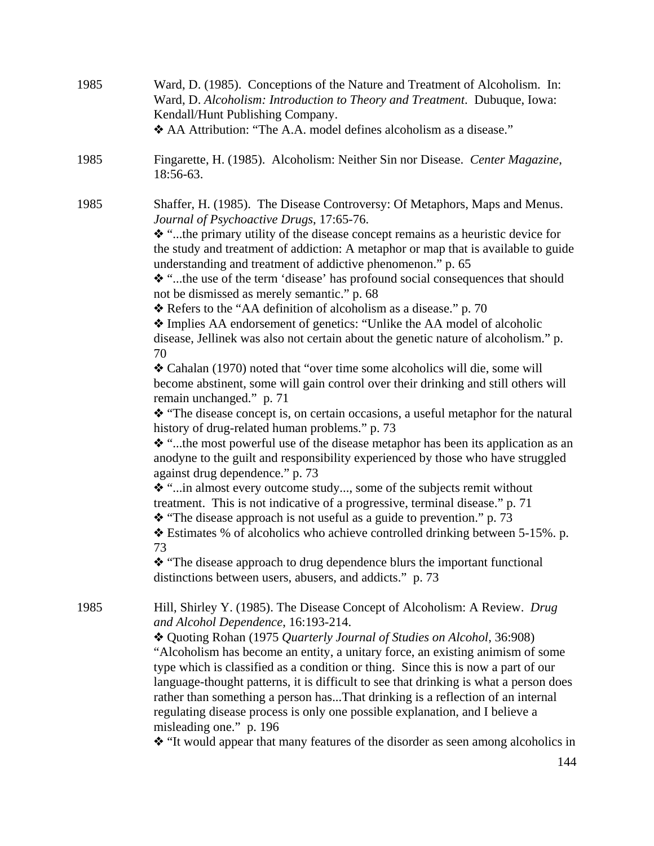| 1985 | Ward, D. (1985). Conceptions of the Nature and Treatment of Alcoholism. In:<br>Ward, D. Alcoholism: Introduction to Theory and Treatment. Dubuque, Iowa:<br>Kendall/Hunt Publishing Company.<br>* AA Attribution: "The A.A. model defines alcoholism as a disease."                                                                                                                                                                                                                                                                                                                                                                                                                                                                                                                                                                                                                                                                                                                                                                                                                                                                                                                                                                                                                                                                                                                                                                                                                                                                                                                                                                                                                                                                                         |
|------|-------------------------------------------------------------------------------------------------------------------------------------------------------------------------------------------------------------------------------------------------------------------------------------------------------------------------------------------------------------------------------------------------------------------------------------------------------------------------------------------------------------------------------------------------------------------------------------------------------------------------------------------------------------------------------------------------------------------------------------------------------------------------------------------------------------------------------------------------------------------------------------------------------------------------------------------------------------------------------------------------------------------------------------------------------------------------------------------------------------------------------------------------------------------------------------------------------------------------------------------------------------------------------------------------------------------------------------------------------------------------------------------------------------------------------------------------------------------------------------------------------------------------------------------------------------------------------------------------------------------------------------------------------------------------------------------------------------------------------------------------------------|
| 1985 | Fingarette, H. (1985). Alcoholism: Neither Sin nor Disease. Center Magazine,<br>18:56-63.                                                                                                                                                                                                                                                                                                                                                                                                                                                                                                                                                                                                                                                                                                                                                                                                                                                                                                                                                                                                                                                                                                                                                                                                                                                                                                                                                                                                                                                                                                                                                                                                                                                                   |
| 1985 | Shaffer, H. (1985). The Disease Controversy: Of Metaphors, Maps and Menus.<br>Journal of Psychoactive Drugs, 17:65-76.<br>* "the primary utility of the disease concept remains as a heuristic device for<br>the study and treatment of addiction: A metaphor or map that is available to guide<br>understanding and treatment of addictive phenomenon." p. 65<br>◆ "the use of the term 'disease' has profound social consequences that should<br>not be dismissed as merely semantic." p. 68<br>❖ Refers to the "AA definition of alcoholism as a disease." p. 70<br>* Implies AA endorsement of genetics: "Unlike the AA model of alcoholic<br>disease, Jellinek was also not certain about the genetic nature of alcoholism." p.<br>70<br>◆ Cahalan (1970) noted that "over time some alcoholics will die, some will<br>become abstinent, some will gain control over their drinking and still others will<br>remain unchanged." p. 71<br>* "The disease concept is, on certain occasions, a useful metaphor for the natural<br>history of drug-related human problems." p. 73<br>• "the most powerful use of the disease metaphor has been its application as an<br>anodyne to the guilt and responsibility experienced by those who have struggled<br>against drug dependence." p. 73<br>• "in almost every outcome study, some of the subjects remit without<br>treatment. This is not indicative of a progressive, terminal disease." p. 71<br>• The disease approach is not useful as a guide to prevention." p. 73<br>❖ Estimates % of alcoholics who achieve controlled drinking between 5-15%. p.<br>73<br>• The disease approach to drug dependence blurs the important functional<br>distinctions between users, abusers, and addicts." p. 73 |
| 1985 | Hill, Shirley Y. (1985). The Disease Concept of Alcoholism: A Review. Drug<br>and Alcohol Dependence, 16:193-214.<br>◆ Quoting Rohan (1975 Quarterly Journal of Studies on Alcohol, 36:908)<br>"Alcoholism has become an entity, a unitary force, an existing animism of some<br>type which is classified as a condition or thing. Since this is now a part of our<br>language-thought patterns, it is difficult to see that drinking is what a person does<br>rather than something a person hasThat drinking is a reflection of an internal<br>regulating disease process is only one possible explanation, and I believe a<br>misleading one." p. 196<br>* "It would appear that many features of the disorder as seen among alcoholics in                                                                                                                                                                                                                                                                                                                                                                                                                                                                                                                                                                                                                                                                                                                                                                                                                                                                                                                                                                                                               |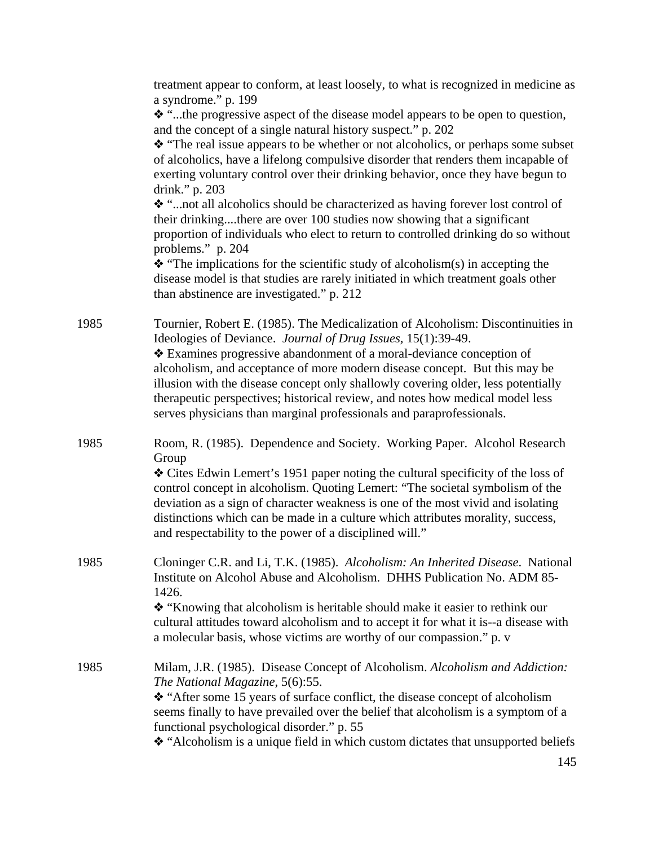|      | treatment appear to conform, at least loosely, to what is recognized in medicine as<br>a syndrome." p. 199                                                                                                                                                                                                                                                                                                                                                                                                                                           |
|------|------------------------------------------------------------------------------------------------------------------------------------------------------------------------------------------------------------------------------------------------------------------------------------------------------------------------------------------------------------------------------------------------------------------------------------------------------------------------------------------------------------------------------------------------------|
|      | • "the progressive aspect of the disease model appears to be open to question,<br>and the concept of a single natural history suspect." p. 202                                                                                                                                                                                                                                                                                                                                                                                                       |
|      | * "The real issue appears to be whether or not alcoholics, or perhaps some subset<br>of alcoholics, have a lifelong compulsive disorder that renders them incapable of<br>exerting voluntary control over their drinking behavior, once they have begun to<br>drink." p. 203                                                                                                                                                                                                                                                                         |
|      | * "not all alcoholics should be characterized as having forever lost control of<br>their drinkingthere are over 100 studies now showing that a significant<br>proportion of individuals who elect to return to controlled drinking do so without<br>problems." p. 204                                                                                                                                                                                                                                                                                |
|      | $\triangleq$ "The implications for the scientific study of alcoholism(s) in accepting the<br>disease model is that studies are rarely initiated in which treatment goals other<br>than abstinence are investigated." p. 212                                                                                                                                                                                                                                                                                                                          |
| 1985 | Tournier, Robert E. (1985). The Medicalization of Alcoholism: Discontinuities in<br>Ideologies of Deviance. Journal of Drug Issues, 15(1):39-49.<br>* Examines progressive abandonment of a moral-deviance conception of<br>alcoholism, and acceptance of more modern disease concept. But this may be<br>illusion with the disease concept only shallowly covering older, less potentially<br>therapeutic perspectives; historical review, and notes how medical model less<br>serves physicians than marginal professionals and paraprofessionals. |
| 1985 | Room, R. (1985). Dependence and Society. Working Paper. Alcohol Research<br>Group<br>◆ Cites Edwin Lemert's 1951 paper noting the cultural specificity of the loss of<br>control concept in alcoholism. Quoting Lemert: "The societal symbolism of the<br>deviation as a sign of character weakness is one of the most vivid and isolating<br>distinctions which can be made in a culture which attributes morality, success,<br>and respectability to the power of a disciplined will."                                                             |
| 1985 | Cloninger C.R. and Li, T.K. (1985). Alcoholism: An Inherited Disease. National<br>Institute on Alcohol Abuse and Alcoholism. DHHS Publication No. ADM 85-<br>1426.<br>* "Knowing that alcoholism is heritable should make it easier to rethink our<br>cultural attitudes toward alcoholism and to accept it for what it is--a disease with<br>a molecular basis, whose victims are worthy of our compassion." p. v                                                                                                                                   |
| 1985 | Milam, J.R. (1985). Disease Concept of Alcoholism. Alcoholism and Addiction:<br>The National Magazine, 5(6):55.<br>* "After some 15 years of surface conflict, the disease concept of alcoholism<br>seems finally to have prevailed over the belief that alcoholism is a symptom of a<br>functional psychological disorder." p. 55<br>* "Alcoholism is a unique field in which custom dictates that unsupported beliefs                                                                                                                              |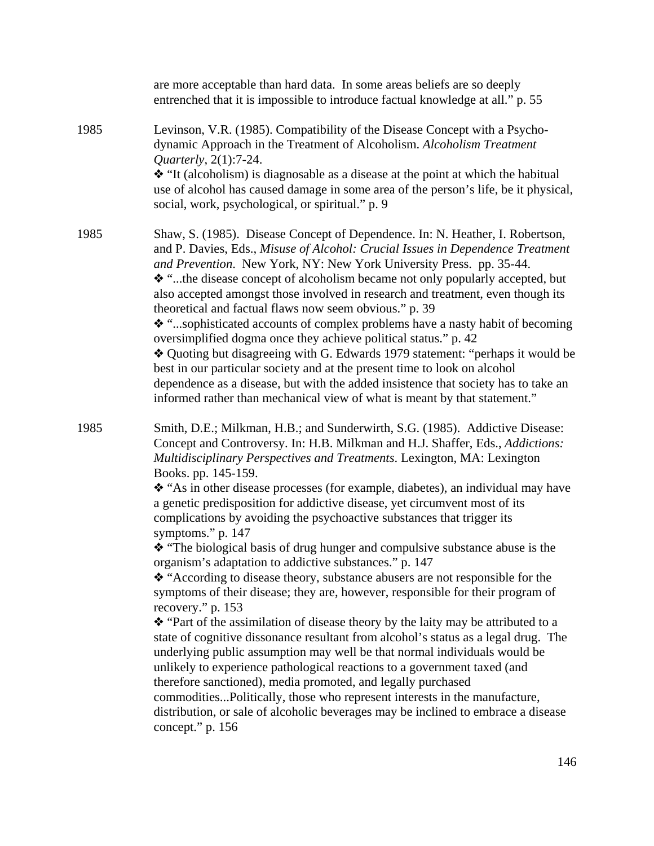|      | are more acceptable than hard data. In some areas beliefs are so deeply<br>entrenched that it is impossible to introduce factual knowledge at all." p. 55                                                                                                                                                                                                                                                                                                                                                                                                                                                                                                                                                                                                                                                                                                                                                                                                                                                                                                                                                                                                                                                                                                                                                                                                                                                                                                    |
|------|--------------------------------------------------------------------------------------------------------------------------------------------------------------------------------------------------------------------------------------------------------------------------------------------------------------------------------------------------------------------------------------------------------------------------------------------------------------------------------------------------------------------------------------------------------------------------------------------------------------------------------------------------------------------------------------------------------------------------------------------------------------------------------------------------------------------------------------------------------------------------------------------------------------------------------------------------------------------------------------------------------------------------------------------------------------------------------------------------------------------------------------------------------------------------------------------------------------------------------------------------------------------------------------------------------------------------------------------------------------------------------------------------------------------------------------------------------------|
| 1985 | Levinson, V.R. (1985). Compatibility of the Disease Concept with a Psycho-<br>dynamic Approach in the Treatment of Alcoholism. Alcoholism Treatment<br><i>Quarterly</i> , $2(1)$ :7-24.                                                                                                                                                                                                                                                                                                                                                                                                                                                                                                                                                                                                                                                                                                                                                                                                                                                                                                                                                                                                                                                                                                                                                                                                                                                                      |
|      | <b>❖</b> "It (alcoholism) is diagnosable as a disease at the point at which the habitual<br>use of alcohol has caused damage in some area of the person's life, be it physical,<br>social, work, psychological, or spiritual." p. 9                                                                                                                                                                                                                                                                                                                                                                                                                                                                                                                                                                                                                                                                                                                                                                                                                                                                                                                                                                                                                                                                                                                                                                                                                          |
| 1985 | Shaw, S. (1985). Disease Concept of Dependence. In: N. Heather, I. Robertson,<br>and P. Davies, Eds., Misuse of Alcohol: Crucial Issues in Dependence Treatment<br>and Prevention. New York, NY: New York University Press. pp. 35-44.<br>• "the disease concept of alcoholism became not only popularly accepted, but<br>also accepted amongst those involved in research and treatment, even though its<br>theoretical and factual flaws now seem obvious." p. 39<br>◆ "sophisticated accounts of complex problems have a nasty habit of becoming<br>oversimplified dogma once they achieve political status." p. 42<br>◆ Quoting but disagreeing with G. Edwards 1979 statement: "perhaps it would be<br>best in our particular society and at the present time to look on alcohol<br>dependence as a disease, but with the added insistence that society has to take an<br>informed rather than mechanical view of what is meant by that statement."                                                                                                                                                                                                                                                                                                                                                                                                                                                                                                     |
| 1985 | Smith, D.E.; Milkman, H.B.; and Sunderwirth, S.G. (1985). Addictive Disease:<br>Concept and Controversy. In: H.B. Milkman and H.J. Shaffer, Eds., Addictions:<br>Multidisciplinary Perspectives and Treatments. Lexington, MA: Lexington<br>Books. pp. 145-159.<br>* "As in other disease processes (for example, diabetes), an individual may have<br>a genetic predisposition for addictive disease, yet circumvent most of its<br>complications by avoiding the psychoactive substances that trigger its<br>symptoms." p. 147<br>* "The biological basis of drug hunger and compulsive substance abuse is the<br>organism's adaptation to addictive substances." p. 147<br>* "According to disease theory, substance abusers are not responsible for the<br>symptoms of their disease; they are, however, responsible for their program of<br>recovery." p. 153<br>* "Part of the assimilation of disease theory by the laity may be attributed to a<br>state of cognitive dissonance resultant from alcohol's status as a legal drug. The<br>underlying public assumption may well be that normal individuals would be<br>unlikely to experience pathological reactions to a government taxed (and<br>therefore sanctioned), media promoted, and legally purchased<br>commoditiesPolitically, those who represent interests in the manufacture,<br>distribution, or sale of alcoholic beverages may be inclined to embrace a disease<br>concept." p. 156 |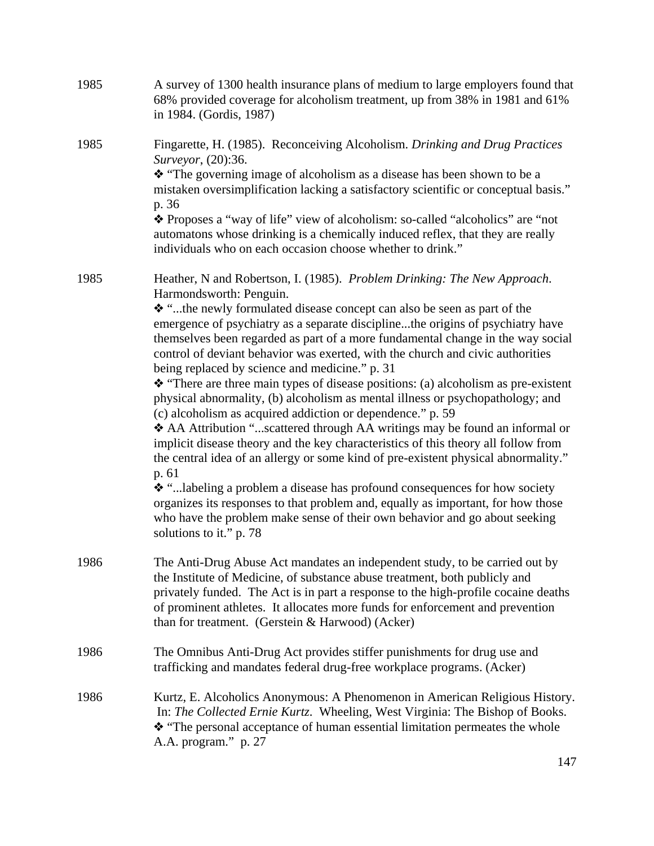| 1985 | A survey of 1300 health insurance plans of medium to large employers found that<br>68% provided coverage for alcoholism treatment, up from 38% in 1981 and 61%<br>in 1984. (Gordis, 1987)                                                                                                                                                                                                                                                                                                                                                                                                                                                                                                                                                                                                                                                                                                                                                                                                                                                                                                                                                                                                                                                                                              |
|------|----------------------------------------------------------------------------------------------------------------------------------------------------------------------------------------------------------------------------------------------------------------------------------------------------------------------------------------------------------------------------------------------------------------------------------------------------------------------------------------------------------------------------------------------------------------------------------------------------------------------------------------------------------------------------------------------------------------------------------------------------------------------------------------------------------------------------------------------------------------------------------------------------------------------------------------------------------------------------------------------------------------------------------------------------------------------------------------------------------------------------------------------------------------------------------------------------------------------------------------------------------------------------------------|
| 1985 | Fingarette, H. (1985). Reconceiving Alcoholism. Drinking and Drug Practices<br>Surveyor, (20):36.<br>* "The governing image of alcoholism as a disease has been shown to be a<br>mistaken oversimplification lacking a satisfactory scientific or conceptual basis."<br>p. 36<br>◆ Proposes a "way of life" view of alcoholism: so-called "alcoholics" are "not<br>automatons whose drinking is a chemically induced reflex, that they are really<br>individuals who on each occasion choose whether to drink."                                                                                                                                                                                                                                                                                                                                                                                                                                                                                                                                                                                                                                                                                                                                                                        |
| 1985 | Heather, N and Robertson, I. (1985). Problem Drinking: The New Approach.<br>Harmondsworth: Penguin.<br>• "the newly formulated disease concept can also be seen as part of the<br>emergence of psychiatry as a separate disciplinethe origins of psychiatry have<br>themselves been regarded as part of a more fundamental change in the way social<br>control of deviant behavior was exerted, with the church and civic authorities<br>being replaced by science and medicine." p. 31<br>$\triangle$ "There are three main types of disease positions: (a) alcoholism as pre-existent<br>physical abnormality, (b) alcoholism as mental illness or psychopathology; and<br>(c) alcoholism as acquired addiction or dependence." p. 59<br>* AA Attribution "scattered through AA writings may be found an informal or<br>implicit disease theory and the key characteristics of this theory all follow from<br>the central idea of an allergy or some kind of pre-existent physical abnormality."<br>p. 61<br>• " labeling a problem a disease has profound consequences for how society<br>organizes its responses to that problem and, equally as important, for how those<br>who have the problem make sense of their own behavior and go about seeking<br>solutions to it." p. 78 |
| 1986 | The Anti-Drug Abuse Act mandates an independent study, to be carried out by<br>the Institute of Medicine, of substance abuse treatment, both publicly and<br>privately funded. The Act is in part a response to the high-profile cocaine deaths<br>of prominent athletes. It allocates more funds for enforcement and prevention<br>than for treatment. (Gerstein & Harwood) (Acker)                                                                                                                                                                                                                                                                                                                                                                                                                                                                                                                                                                                                                                                                                                                                                                                                                                                                                                   |
| 1986 | The Omnibus Anti-Drug Act provides stiffer punishments for drug use and<br>trafficking and mandates federal drug-free workplace programs. (Acker)                                                                                                                                                                                                                                                                                                                                                                                                                                                                                                                                                                                                                                                                                                                                                                                                                                                                                                                                                                                                                                                                                                                                      |
| 1986 | Kurtz, E. Alcoholics Anonymous: A Phenomenon in American Religious History.<br>In: The Collected Ernie Kurtz. Wheeling, West Virginia: The Bishop of Books.<br>* "The personal acceptance of human essential limitation permeates the whole<br>A.A. program." p. 27                                                                                                                                                                                                                                                                                                                                                                                                                                                                                                                                                                                                                                                                                                                                                                                                                                                                                                                                                                                                                    |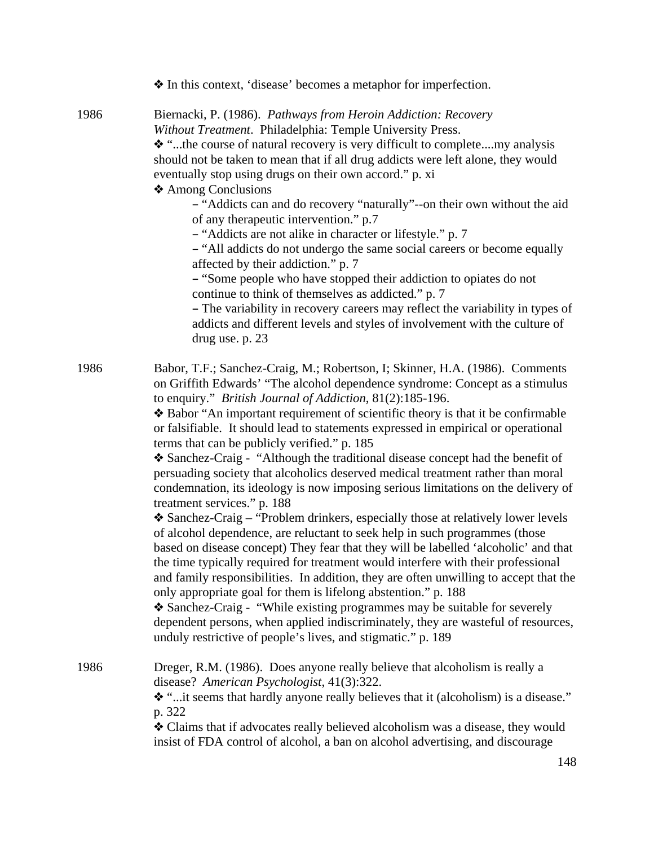|      | The this context, 'disease' becomes a metaphor for imperfection.                                                                                                                                                                                                                                                                                                                                                                                                                                                                                                                                                                                                                                                                                                                                                                                                                                                                                                                                                                                                                                                                                                                                                                                                                                                                                                                                                                                                                       |
|------|----------------------------------------------------------------------------------------------------------------------------------------------------------------------------------------------------------------------------------------------------------------------------------------------------------------------------------------------------------------------------------------------------------------------------------------------------------------------------------------------------------------------------------------------------------------------------------------------------------------------------------------------------------------------------------------------------------------------------------------------------------------------------------------------------------------------------------------------------------------------------------------------------------------------------------------------------------------------------------------------------------------------------------------------------------------------------------------------------------------------------------------------------------------------------------------------------------------------------------------------------------------------------------------------------------------------------------------------------------------------------------------------------------------------------------------------------------------------------------------|
| 1986 | Biernacki, P. (1986). Pathways from Heroin Addiction: Recovery<br>Without Treatment. Philadelphia: Temple University Press.<br>• "the course of natural recovery is very difficult to completemy analysis<br>should not be taken to mean that if all drug addicts were left alone, they would<br>eventually stop using drugs on their own accord." p. xi<br>❖ Among Conclusions<br>- "Addicts can and do recovery "naturally"--on their own without the aid<br>of any therapeutic intervention." p.7<br>- "Addicts are not alike in character or lifestyle." p. 7<br>- "All addicts do not undergo the same social careers or become equally<br>affected by their addiction." p. 7<br>- "Some people who have stopped their addiction to opiates do not<br>continue to think of themselves as addicted." p. 7<br>- The variability in recovery careers may reflect the variability in types of<br>addicts and different levels and styles of involvement with the culture of<br>drug use. p. 23                                                                                                                                                                                                                                                                                                                                                                                                                                                                                        |
| 1986 | Babor, T.F.; Sanchez-Craig, M.; Robertson, I; Skinner, H.A. (1986). Comments<br>on Griffith Edwards' "The alcohol dependence syndrome: Concept as a stimulus<br>to enquiry." British Journal of Addiction, 81(2):185-196.<br>* Babor "An important requirement of scientific theory is that it be confirmable<br>or falsifiable. It should lead to statements expressed in empirical or operational<br>terms that can be publicly verified." p. 185<br>Sanchez-Craig - "Although the traditional disease concept had the benefit of<br>persuading society that alcoholics deserved medical treatment rather than moral<br>condemnation, its ideology is now imposing serious limitations on the delivery of<br>treatment services." p. 188<br>❖ Sanchez-Craig – "Problem drinkers, especially those at relatively lower levels<br>of alcohol dependence, are reluctant to seek help in such programmes (those<br>based on disease concept) They fear that they will be labelled 'alcoholic' and that<br>the time typically required for treatment would interfere with their professional<br>and family responsibilities. In addition, they are often unwilling to accept that the<br>only appropriate goal for them is lifelong abstention." p. 188<br>❖ Sanchez-Craig - "While existing programmes may be suitable for severely<br>dependent persons, when applied indiscriminately, they are wasteful of resources,<br>unduly restrictive of people's lives, and stigmatic." p. 189 |
| 1986 | Dreger, R.M. (1986). Does anyone really believe that alcoholism is really a<br>disease? American Psychologist, 41(3):322.<br>* "it seems that hardly anyone really believes that it (alcoholism) is a disease."<br>p. 322<br>◆ Claims that if advocates really believed alcoholism was a disease, they would<br>insist of FDA control of alcohol, a ban on alcohol advertising, and discourage                                                                                                                                                                                                                                                                                                                                                                                                                                                                                                                                                                                                                                                                                                                                                                                                                                                                                                                                                                                                                                                                                         |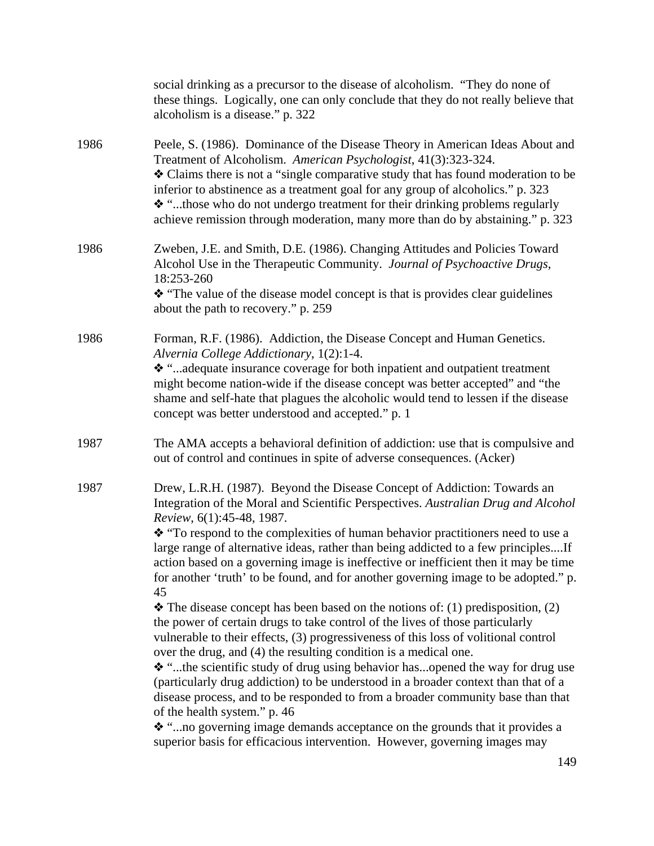|      | social drinking as a precursor to the disease of alcoholism. "They do none of<br>these things. Logically, one can only conclude that they do not really believe that<br>alcoholism is a disease." p. 322                                                                                                                                                                                                                                                                                                                                                                                                                                                                                                                                                                                                                                                                                                                                                                                                                                                                                                                                                                                                                                                                                                                                                   |
|------|------------------------------------------------------------------------------------------------------------------------------------------------------------------------------------------------------------------------------------------------------------------------------------------------------------------------------------------------------------------------------------------------------------------------------------------------------------------------------------------------------------------------------------------------------------------------------------------------------------------------------------------------------------------------------------------------------------------------------------------------------------------------------------------------------------------------------------------------------------------------------------------------------------------------------------------------------------------------------------------------------------------------------------------------------------------------------------------------------------------------------------------------------------------------------------------------------------------------------------------------------------------------------------------------------------------------------------------------------------|
| 1986 | Peele, S. (1986). Dominance of the Disease Theory in American Ideas About and<br>Treatment of Alcoholism. American Psychologist, 41(3):323-324.<br>◆ Claims there is not a "single comparative study that has found moderation to be<br>inferior to abstinence as a treatment goal for any group of alcoholics." p. 323<br>* "those who do not undergo treatment for their drinking problems regularly<br>achieve remission through moderation, many more than do by abstaining." p. 323                                                                                                                                                                                                                                                                                                                                                                                                                                                                                                                                                                                                                                                                                                                                                                                                                                                                   |
| 1986 | Zweben, J.E. and Smith, D.E. (1986). Changing Attitudes and Policies Toward<br>Alcohol Use in the Therapeutic Community. Journal of Psychoactive Drugs,<br>18:253-260<br>• The value of the disease model concept is that is provides clear guidelines<br>about the path to recovery." p. 259                                                                                                                                                                                                                                                                                                                                                                                                                                                                                                                                                                                                                                                                                                                                                                                                                                                                                                                                                                                                                                                              |
| 1986 | Forman, R.F. (1986). Addiction, the Disease Concept and Human Genetics.<br>Alvernia College Addictionary, 1(2):1-4.<br>❖ "adequate insurance coverage for both inpatient and outpatient treatment<br>might become nation-wide if the disease concept was better accepted" and "the<br>shame and self-hate that plagues the alcoholic would tend to lessen if the disease<br>concept was better understood and accepted." p. 1                                                                                                                                                                                                                                                                                                                                                                                                                                                                                                                                                                                                                                                                                                                                                                                                                                                                                                                              |
| 1987 | The AMA accepts a behavioral definition of addiction: use that is compulsive and<br>out of control and continues in spite of adverse consequences. (Acker)                                                                                                                                                                                                                                                                                                                                                                                                                                                                                                                                                                                                                                                                                                                                                                                                                                                                                                                                                                                                                                                                                                                                                                                                 |
| 1987 | Drew, L.R.H. (1987). Beyond the Disease Concept of Addiction: Towards an<br>Integration of the Moral and Scientific Perspectives. Australian Drug and Alcohol<br>Review, 6(1):45-48, 1987.<br>* "To respond to the complexities of human behavior practitioners need to use a<br>large range of alternative ideas, rather than being addicted to a few principlesIf<br>action based on a governing image is ineffective or inefficient then it may be time<br>for another 'truth' to be found, and for another governing image to be adopted." p.<br>45<br>$\triangleleft$ The disease concept has been based on the notions of: (1) predisposition, (2)<br>the power of certain drugs to take control of the lives of those particularly<br>vulnerable to their effects, (3) progressiveness of this loss of volitional control<br>over the drug, and (4) the resulting condition is a medical one.<br>• "the scientific study of drug using behavior hasopened the way for drug use<br>(particularly drug addiction) to be understood in a broader context than that of a<br>disease process, and to be responded to from a broader community base than that<br>of the health system." p. 46<br>• "no governing image demands acceptance on the grounds that it provides a<br>superior basis for efficacious intervention. However, governing images may |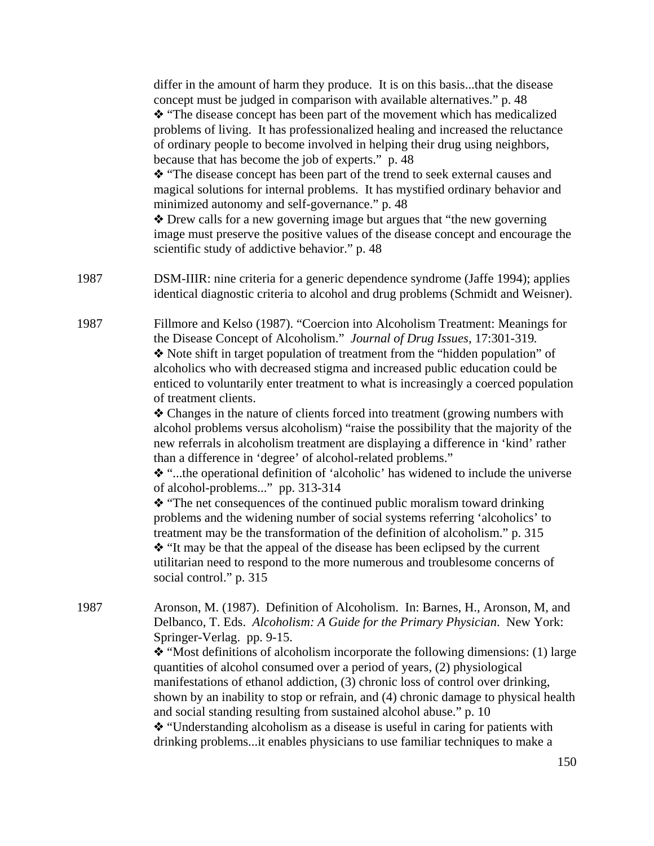differ in the amount of harm they produce. It is on this basis...that the disease concept must be judged in comparison with available alternatives." p. 48 ˜ "The disease concept has been part of the movement which has medicalized problems of living. It has professionalized healing and increased the reluctance of ordinary people to become involved in helping their drug using neighbors, because that has become the job of experts." p. 48

˜ "The disease concept has been part of the trend to seek external causes and magical solutions for internal problems. It has mystified ordinary behavior and minimized autonomy and self-governance." p. 48

˜ Drew calls for a new governing image but argues that "the new governing image must preserve the positive values of the disease concept and encourage the scientific study of addictive behavior." p. 48

- 1987 DSM-IIIR: nine criteria for a generic dependence syndrome (Jaffe 1994); applies identical diagnostic criteria to alcohol and drug problems (Schmidt and Weisner).
- 1987 Fillmore and Kelso (1987). "Coercion into Alcoholism Treatment: Meanings for the Disease Concept of Alcoholism." *Journal of Drug Issues,* 17:301-319*.*  ˜ Note shift in target population of treatment from the "hidden population" of alcoholics who with decreased stigma and increased public education could be enticed to voluntarily enter treatment to what is increasingly a coerced population of treatment clients.

˜ Changes in the nature of clients forced into treatment (growing numbers with alcohol problems versus alcoholism) "raise the possibility that the majority of the new referrals in alcoholism treatment are displaying a difference in 'kind' rather than a difference in 'degree' of alcohol-related problems."

˜ "...the operational definition of 'alcoholic' has widened to include the universe of alcohol-problems..." pp. 313-314

˜ "The net consequences of the continued public moralism toward drinking problems and the widening number of social systems referring 'alcoholics' to treatment may be the transformation of the definition of alcoholism." p. 315

˜ "It may be that the appeal of the disease has been eclipsed by the current utilitarian need to respond to the more numerous and troublesome concerns of social control." p. 315

1987 Aronson, M. (1987). Definition of Alcoholism. In: Barnes, H., Aronson, M, and Delbanco, T. Eds. *Alcoholism: A Guide for the Primary Physician*. New York: Springer-Verlag. pp. 9-15.

> ˜ "Most definitions of alcoholism incorporate the following dimensions: (1) large quantities of alcohol consumed over a period of years, (2) physiological manifestations of ethanol addiction, (3) chronic loss of control over drinking, shown by an inability to stop or refrain, and (4) chronic damage to physical health and social standing resulting from sustained alcohol abuse." p. 10

˜ "Understanding alcoholism as a disease is useful in caring for patients with drinking problems...it enables physicians to use familiar techniques to make a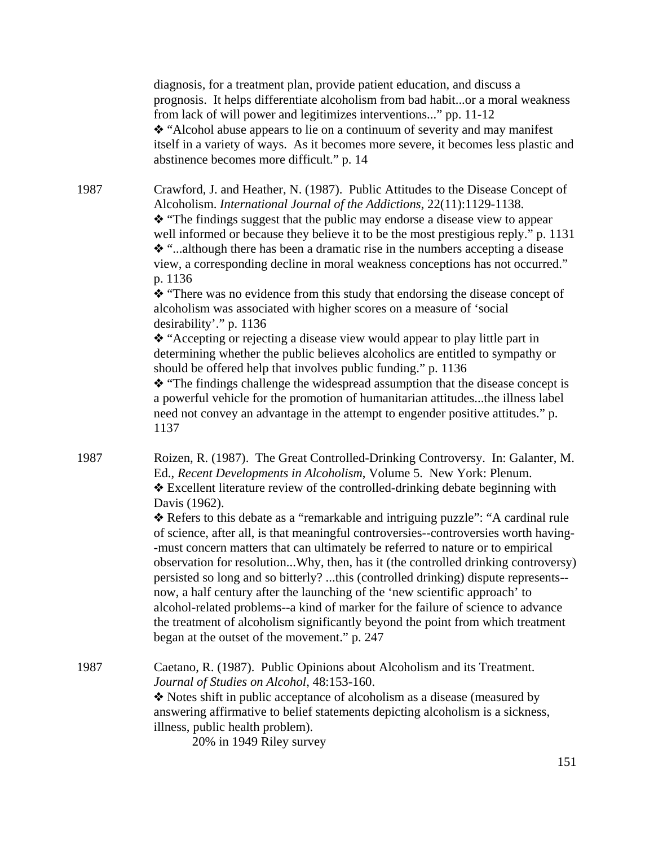diagnosis, for a treatment plan, provide patient education, and discuss a prognosis. It helps differentiate alcoholism from bad habit...or a moral weakness from lack of will power and legitimizes interventions..." pp. 11-12 ˜ "Alcohol abuse appears to lie on a continuum of severity and may manifest itself in a variety of ways. As it becomes more severe, it becomes less plastic and abstinence becomes more difficult." p. 14

1987 Crawford, J. and Heather, N. (1987). Public Attitudes to the Disease Concept of Alcoholism. *International Journal of the Addictions*, 22(11):1129-1138. ˜ "The findings suggest that the public may endorse a disease view to appear well informed or because they believe it to be the most prestigious reply." p. 1131  $\triangleq$  "...although there has been a dramatic rise in the numbers accepting a disease

view, a corresponding decline in moral weakness conceptions has not occurred." p. 1136

˜ "There was no evidence from this study that endorsing the disease concept of alcoholism was associated with higher scores on a measure of 'social desirability'." p. 1136

˜ "Accepting or rejecting a disease view would appear to play little part in determining whether the public believes alcoholics are entitled to sympathy or should be offered help that involves public funding." p. 1136

˜ "The findings challenge the widespread assumption that the disease concept is a powerful vehicle for the promotion of humanitarian attitudes...the illness label need not convey an advantage in the attempt to engender positive attitudes." p. 1137

1987 Roizen, R. (1987). The Great Controlled-Drinking Controversy. In: Galanter, M. Ed., *Recent Developments in Alcoholism*, Volume 5. New York: Plenum. ˜ Excellent literature review of the controlled-drinking debate beginning with Davis (1962).

> ˜ Refers to this debate as a "remarkable and intriguing puzzle": "A cardinal rule of science, after all, is that meaningful controversies--controversies worth having- -must concern matters that can ultimately be referred to nature or to empirical observation for resolution...Why, then, has it (the controlled drinking controversy) persisted so long and so bitterly? ...this (controlled drinking) dispute represents- now, a half century after the launching of the 'new scientific approach' to alcohol-related problems--a kind of marker for the failure of science to advance the treatment of alcoholism significantly beyond the point from which treatment began at the outset of the movement." p. 247

1987 Caetano, R. (1987). Public Opinions about Alcoholism and its Treatment. *Journal of Studies on Alcohol*, 48:153-160. ˜ Notes shift in public acceptance of alcoholism as a disease (measured by answering affirmative to belief statements depicting alcoholism is a sickness, illness, public health problem).

20% in 1949 Riley survey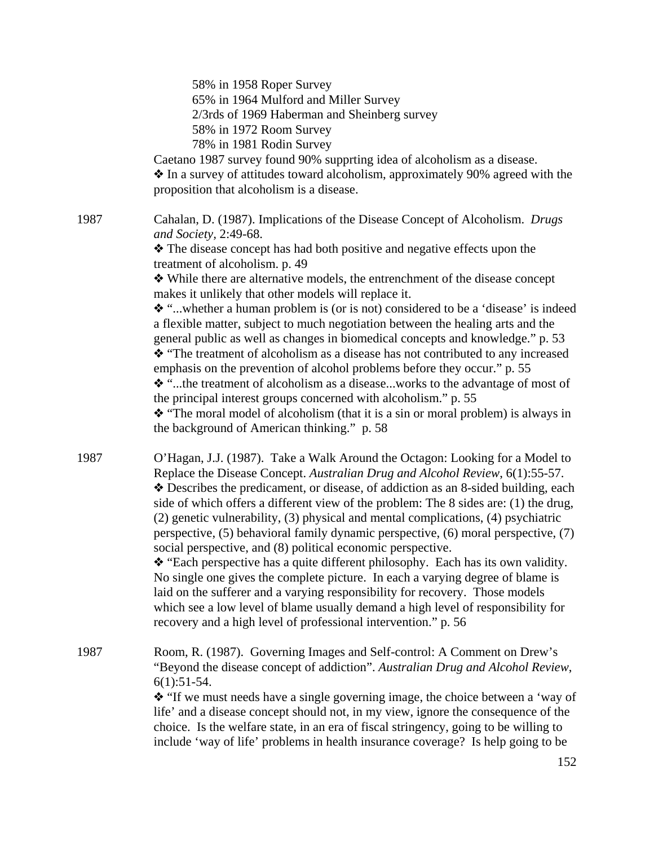|      | 58% in 1958 Roper Survey<br>65% in 1964 Mulford and Miller Survey<br>2/3rds of 1969 Haberman and Sheinberg survey<br>58% in 1972 Room Survey<br>78% in 1981 Rodin Survey<br>Caetano 1987 survey found 90% supprting idea of alcoholism as a disease.<br>* In a survey of attitudes toward alcoholism, approximately 90% agreed with the<br>proposition that alcoholism is a disease.                                                                                                                                                                                                                                                                                                                                                                                                                                                                                                                                                                                                                                                                                        |
|------|-----------------------------------------------------------------------------------------------------------------------------------------------------------------------------------------------------------------------------------------------------------------------------------------------------------------------------------------------------------------------------------------------------------------------------------------------------------------------------------------------------------------------------------------------------------------------------------------------------------------------------------------------------------------------------------------------------------------------------------------------------------------------------------------------------------------------------------------------------------------------------------------------------------------------------------------------------------------------------------------------------------------------------------------------------------------------------|
| 1987 | Cahalan, D. (1987). Implications of the Disease Concept of Alcoholism. Drugs<br>and Society, 2:49-68.<br>The disease concept has had both positive and negative effects upon the<br>treatment of alcoholism. p. 49<br>• While there are alternative models, the entrenchment of the disease concept<br>makes it unlikely that other models will replace it.<br>❖ "whether a human problem is (or is not) considered to be a 'disease' is indeed<br>a flexible matter, subject to much negotiation between the healing arts and the<br>general public as well as changes in biomedical concepts and knowledge." p. 53<br>* "The treatment of alcoholism as a disease has not contributed to any increased<br>emphasis on the prevention of alcohol problems before they occur." p. 55<br>• "the treatment of alcoholism as a diseaseworks to the advantage of most of<br>the principal interest groups concerned with alcoholism." p. 55<br>* "The moral model of alcoholism (that it is a sin or moral problem) is always in<br>the background of American thinking." p. 58 |
| 1987 | O'Hagan, J.J. (1987). Take a Walk Around the Octagon: Looking for a Model to<br>Replace the Disease Concept. Australian Drug and Alcohol Review, 6(1):55-57.<br>◆ Describes the predicament, or disease, of addiction as an 8-sided building, each<br>side of which offers a different view of the problem: The 8 sides are: (1) the drug,<br>(2) genetic vulnerability, (3) physical and mental complications, (4) psychiatric<br>perspective, (5) behavioral family dynamic perspective, (6) moral perspective, (7)<br>social perspective, and (8) political economic perspective.<br>* "Each perspective has a quite different philosophy. Each has its own validity.<br>No single one gives the complete picture. In each a varying degree of blame is<br>laid on the sufferer and a varying responsibility for recovery. Those models<br>which see a low level of blame usually demand a high level of responsibility for<br>recovery and a high level of professional intervention." p. 56                                                                            |
| 1987 | Room, R. (1987). Governing Images and Self-control: A Comment on Drew's<br>"Beyond the disease concept of addiction". Australian Drug and Alcohol Review,<br>$6(1):51-54.$<br><b>❖</b> "If we must needs have a single governing image, the choice between a 'way of<br>life' and a disease concept should not, in my view, ignore the consequence of the<br>choice. Is the welfare state, in an era of fiscal stringency, going to be willing to<br>include 'way of life' problems in health insurance coverage? Is help going to be                                                                                                                                                                                                                                                                                                                                                                                                                                                                                                                                       |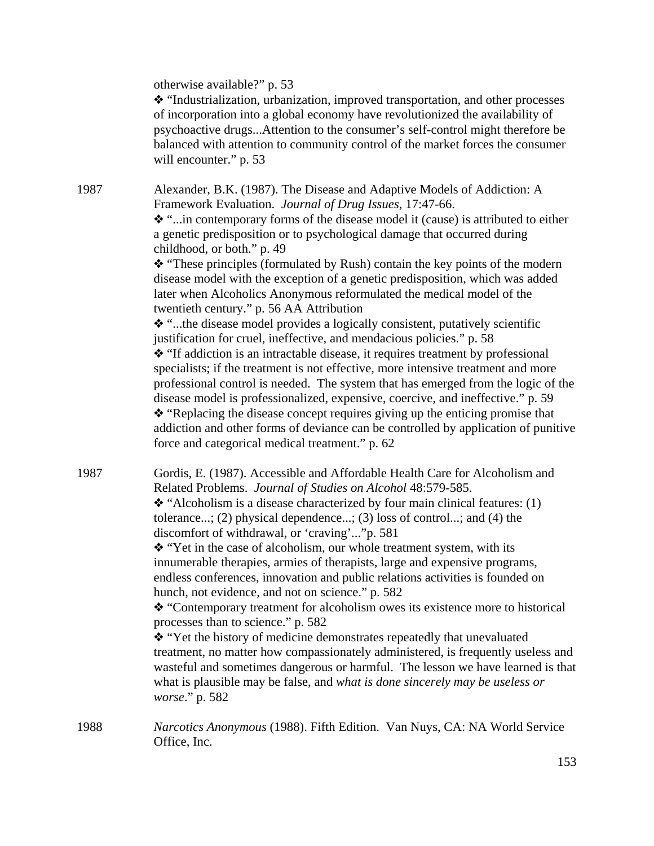otherwise available?" p. 53

˜ "Industrialization, urbanization, improved transportation, and other processes of incorporation into a global economy have revolutionized the availability of psychoactive drugs...Attention to the consumer's self-control might therefore be balanced with attention to community control of the market forces the consumer will encounter." p. 53

1987 Alexander, B.K. (1987). The Disease and Adaptive Models of Addiction: A Framework Evaluation. *Journal of Drug Issues*, 17:47-66.

> ˜ "...in contemporary forms of the disease model it (cause) is attributed to either a genetic predisposition or to psychological damage that occurred during childhood, or both." p. 49

˜ "These principles (formulated by Rush) contain the key points of the modern disease model with the exception of a genetic predisposition, which was added later when Alcoholics Anonymous reformulated the medical model of the twentieth century." p. 56 AA Attribution

˜ "...the disease model provides a logically consistent, putatively scientific justification for cruel, ineffective, and mendacious policies." p. 58

˜ "If addiction is an intractable disease, it requires treatment by professional specialists; if the treatment is not effective, more intensive treatment and more professional control is needed. The system that has emerged from the logic of the disease model is professionalized, expensive, coercive, and ineffective." p. 59

˜ "Replacing the disease concept requires giving up the enticing promise that addiction and other forms of deviance can be controlled by application of punitive force and categorical medical treatment." p. 62

1987 Gordis, E. (1987). Accessible and Affordable Health Care for Alcoholism and Related Problems. *Journal of Studies on Alcohol* 48:579-585.

> $\triangleq$  "Alcoholism is a disease characterized by four main clinical features: (1) tolerance...; (2) physical dependence...; (3) loss of control...; and (4) the discomfort of withdrawal, or 'craving'..."p. 581

˜ "Yet in the case of alcoholism, our whole treatment system, with its innumerable therapies, armies of therapists, large and expensive programs, endless conferences, innovation and public relations activities is founded on hunch, not evidence, and not on science." p. 582

˜ "Contemporary treatment for alcoholism owes its existence more to historical processes than to science." p. 582

˜ "Yet the history of medicine demonstrates repeatedly that unevaluated treatment, no matter how compassionately administered, is frequently useless and wasteful and sometimes dangerous or harmful. The lesson we have learned is that what is plausible may be false, and *what is done sincerely may be useless or worse*." p. 582

1988 *Narcotics Anonymous* (1988). Fifth Edition. Van Nuys, CA: NA World Service Office, Inc.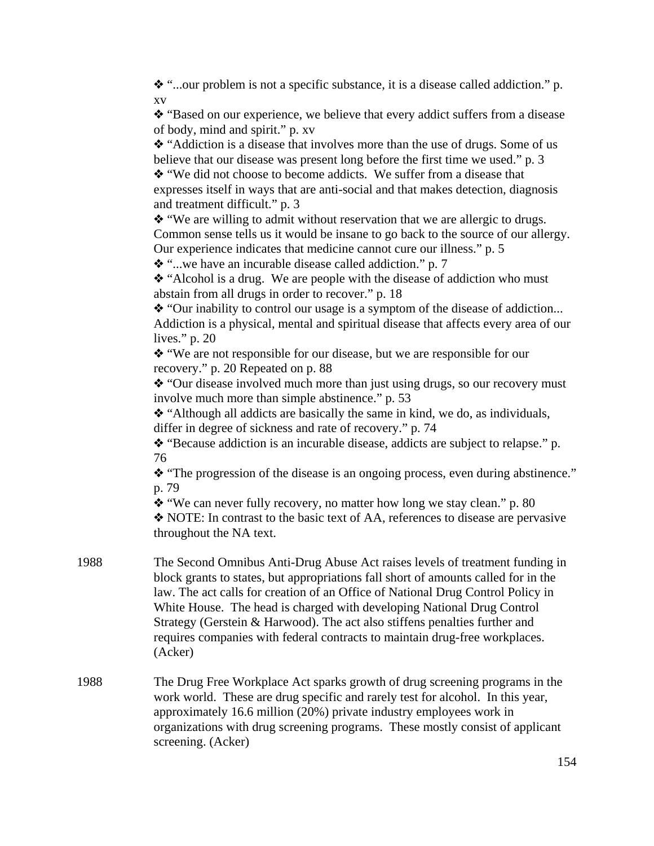$\clubsuit$  "...our problem is not a specific substance, it is a disease called addiction." p. xv

˜ "Based on our experience, we believe that every addict suffers from a disease of body, mind and spirit." p. xv

˜ "Addiction is a disease that involves more than the use of drugs. Some of us believe that our disease was present long before the first time we used." p. 3

˜ "We did not choose to become addicts. We suffer from a disease that expresses itself in ways that are anti-social and that makes detection, diagnosis and treatment difficult." p. 3

˜ "We are willing to admit without reservation that we are allergic to drugs. Common sense tells us it would be insane to go back to the source of our allergy. Our experience indicates that medicine cannot cure our illness." p. 5

˜ "...we have an incurable disease called addiction." p. 7

˜ "Alcohol is a drug. We are people with the disease of addiction who must abstain from all drugs in order to recover." p. 18

˜ "Our inability to control our usage is a symptom of the disease of addiction... Addiction is a physical, mental and spiritual disease that affects every area of our lives." p. 20

˜ "We are not responsible for our disease, but we are responsible for our recovery." p. 20 Repeated on p. 88

˜ "Our disease involved much more than just using drugs, so our recovery must involve much more than simple abstinence." p. 53

˜ "Although all addicts are basically the same in kind, we do, as individuals, differ in degree of sickness and rate of recovery." p. 74

˜ "Because addiction is an incurable disease, addicts are subject to relapse." p. 76

˜ "The progression of the disease is an ongoing process, even during abstinence." p. 79

˜ "We can never fully recovery, no matter how long we stay clean." p. 80 ˜ NOTE: In contrast to the basic text of AA, references to disease are pervasive throughout the NA text.

- 1988 The Second Omnibus Anti-Drug Abuse Act raises levels of treatment funding in block grants to states, but appropriations fall short of amounts called for in the law. The act calls for creation of an Office of National Drug Control Policy in White House. The head is charged with developing National Drug Control Strategy (Gerstein & Harwood). The act also stiffens penalties further and requires companies with federal contracts to maintain drug-free workplaces. (Acker)
- 1988 The Drug Free Workplace Act sparks growth of drug screening programs in the work world. These are drug specific and rarely test for alcohol. In this year, approximately 16.6 million (20%) private industry employees work in organizations with drug screening programs. These mostly consist of applicant screening. (Acker)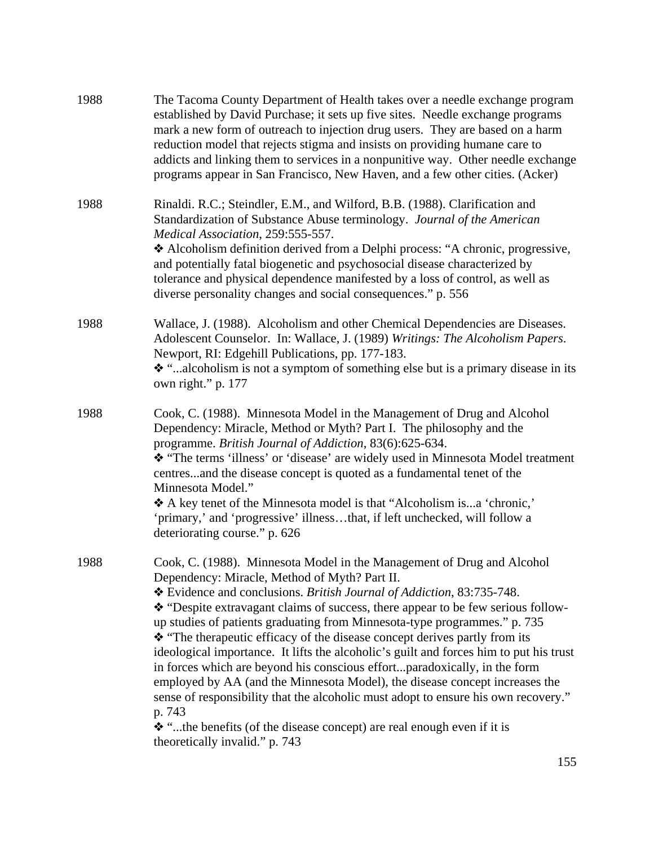| 1988 | The Tacoma County Department of Health takes over a needle exchange program<br>established by David Purchase; it sets up five sites. Needle exchange programs<br>mark a new form of outreach to injection drug users. They are based on a harm<br>reduction model that rejects stigma and insists on providing humane care to<br>addicts and linking them to services in a nonpunitive way. Other needle exchange<br>programs appear in San Francisco, New Haven, and a few other cities. (Acker)                                                                                                                                                                                                                                                                                                                                                                                                                |
|------|------------------------------------------------------------------------------------------------------------------------------------------------------------------------------------------------------------------------------------------------------------------------------------------------------------------------------------------------------------------------------------------------------------------------------------------------------------------------------------------------------------------------------------------------------------------------------------------------------------------------------------------------------------------------------------------------------------------------------------------------------------------------------------------------------------------------------------------------------------------------------------------------------------------|
| 1988 | Rinaldi. R.C.; Steindler, E.M., and Wilford, B.B. (1988). Clarification and<br>Standardization of Substance Abuse terminology. Journal of the American<br>Medical Association, 259:555-557.<br>Alcoholism definition derived from a Delphi process: "A chronic, progressive,<br>and potentially fatal biogenetic and psychosocial disease characterized by<br>tolerance and physical dependence manifested by a loss of control, as well as<br>diverse personality changes and social consequences." p. 556                                                                                                                                                                                                                                                                                                                                                                                                      |
| 1988 | Wallace, J. (1988). Alcoholism and other Chemical Dependencies are Diseases.<br>Adolescent Counselor. In: Wallace, J. (1989) Writings: The Alcoholism Papers.<br>Newport, RI: Edgehill Publications, pp. 177-183.<br>• "alcoholism is not a symptom of something else but is a primary disease in its<br>own right." p. 177                                                                                                                                                                                                                                                                                                                                                                                                                                                                                                                                                                                      |
| 1988 | Cook, C. (1988). Minnesota Model in the Management of Drug and Alcohol<br>Dependency: Miracle, Method or Myth? Part I. The philosophy and the<br>programme. British Journal of Addiction, 83(6):625-634.<br>* "The terms 'illness' or 'disease' are widely used in Minnesota Model treatment<br>centresand the disease concept is quoted as a fundamental tenet of the<br>Minnesota Model."<br>A key tenet of the Minnesota model is that "Alcoholism isa 'chronic,'<br>'primary,' and 'progressive' illnessthat, if left unchecked, will follow a<br>deteriorating course." p. 626                                                                                                                                                                                                                                                                                                                              |
| 1988 | Cook, C. (1988). Minnesota Model in the Management of Drug and Alcohol<br>Dependency: Miracle, Method of Myth? Part II.<br>❖ Evidence and conclusions. British Journal of Addiction, 83:735-748.<br>* "Despite extravagant claims of success, there appear to be few serious follow-<br>up studies of patients graduating from Minnesota-type programmes." p. 735<br>• The therapeutic efficacy of the disease concept derives partly from its<br>ideological importance. It lifts the alcoholic's guilt and forces him to put his trust<br>in forces which are beyond his conscious effortparadoxically, in the form<br>employed by AA (and the Minnesota Model), the disease concept increases the<br>sense of responsibility that the alcoholic must adopt to ensure his own recovery."<br>p. 743<br>• "the benefits (of the disease concept) are real enough even if it is<br>theoretically invalid." p. 743 |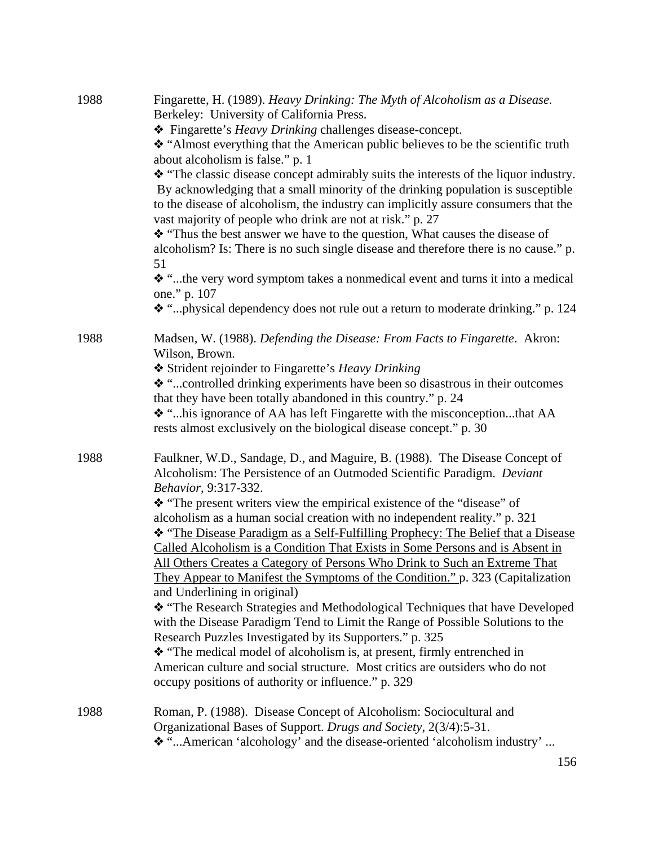| 1988 | Fingarette, H. (1989). Heavy Drinking: The Myth of Alcoholism as a Disease.<br>Berkeley: University of California Press.<br>❖ Fingarette's Heavy Drinking challenges disease-concept.<br>* "Almost everything that the American public believes to be the scientific truth<br>about alcoholism is false." p. 1<br>* "The classic disease concept admirably suits the interests of the liquor industry.<br>By acknowledging that a small minority of the drinking population is susceptible<br>to the disease of alcoholism, the industry can implicitly assure consumers that the<br>vast majority of people who drink are not at risk." p. 27<br>* "Thus the best answer we have to the question, What causes the disease of<br>alcoholism? Is: There is no such single disease and therefore there is no cause." p.<br>51                                                                                                                                                                                                                                                                                                                                 |
|------|-------------------------------------------------------------------------------------------------------------------------------------------------------------------------------------------------------------------------------------------------------------------------------------------------------------------------------------------------------------------------------------------------------------------------------------------------------------------------------------------------------------------------------------------------------------------------------------------------------------------------------------------------------------------------------------------------------------------------------------------------------------------------------------------------------------------------------------------------------------------------------------------------------------------------------------------------------------------------------------------------------------------------------------------------------------------------------------------------------------------------------------------------------------|
|      | ◆ "the very word symptom takes a nonmedical event and turns it into a medical<br>one." p. 107<br>❖ "physical dependency does not rule out a return to moderate drinking." p. 124                                                                                                                                                                                                                                                                                                                                                                                                                                                                                                                                                                                                                                                                                                                                                                                                                                                                                                                                                                            |
| 1988 | Madsen, W. (1988). Defending the Disease: From Facts to Fingarette. Akron:<br>Wilson, Brown.<br>Strident rejoinder to Fingarette's Heavy Drinking<br>* "controlled drinking experiments have been so disastrous in their outcomes<br>that they have been totally abandoned in this country." p. 24<br>* "his ignorance of AA has left Fingarette with the misconceptionthat AA<br>rests almost exclusively on the biological disease concept." p. 30                                                                                                                                                                                                                                                                                                                                                                                                                                                                                                                                                                                                                                                                                                        |
| 1988 | Faulkner, W.D., Sandage, D., and Maguire, B. (1988). The Disease Concept of<br>Alcoholism: The Persistence of an Outmoded Scientific Paradigm. Deviant<br>Behavior, 9:317-332.<br>* "The present writers view the empirical existence of the "disease" of<br>alcoholism as a human social creation with no independent reality." p. 321<br>* "The Disease Paradigm as a Self-Fulfilling Prophecy: The Belief that a Disease<br>Called Alcoholism is a Condition That Exists in Some Persons and is Absent in<br>All Others Creates a Category of Persons Who Drink to Such an Extreme That<br>They Appear to Manifest the Symptoms of the Condition." p. 323 (Capitalization<br>and Underlining in original)<br>* "The Research Strategies and Methodological Techniques that have Developed<br>with the Disease Paradigm Tend to Limit the Range of Possible Solutions to the<br>Research Puzzles Investigated by its Supporters." p. 325<br>• The medical model of alcoholism is, at present, firmly entrenched in<br>American culture and social structure. Most critics are outsiders who do not<br>occupy positions of authority or influence." p. 329 |
| 1988 | Roman, P. (1988). Disease Concept of Alcoholism: Sociocultural and<br>Organizational Bases of Support. Drugs and Society, 2(3/4):5-31.<br>* "American 'alcohology' and the disease-oriented 'alcoholism industry'                                                                                                                                                                                                                                                                                                                                                                                                                                                                                                                                                                                                                                                                                                                                                                                                                                                                                                                                           |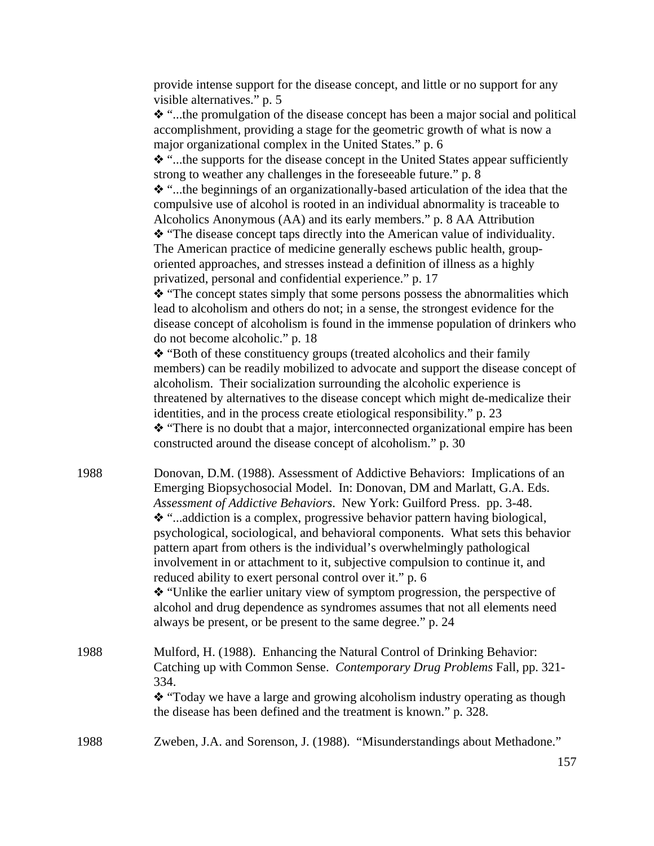provide intense support for the disease concept, and little or no support for any visible alternatives." p. 5

˜ "...the promulgation of the disease concept has been a major social and political accomplishment, providing a stage for the geometric growth of what is now a major organizational complex in the United States." p. 6

˜ "...the supports for the disease concept in the United States appear sufficiently strong to weather any challenges in the foreseeable future." p. 8

˜ "...the beginnings of an organizationally-based articulation of the idea that the compulsive use of alcohol is rooted in an individual abnormality is traceable to Alcoholics Anonymous (AA) and its early members." p. 8 AA Attribution

˜ "The disease concept taps directly into the American value of individuality. The American practice of medicine generally eschews public health, grouporiented approaches, and stresses instead a definition of illness as a highly privatized, personal and confidential experience." p. 17

˜ "The concept states simply that some persons possess the abnormalities which lead to alcoholism and others do not; in a sense, the strongest evidence for the disease concept of alcoholism is found in the immense population of drinkers who do not become alcoholic." p. 18

˜ "Both of these constituency groups (treated alcoholics and their family members) can be readily mobilized to advocate and support the disease concept of alcoholism. Their socialization surrounding the alcoholic experience is threatened by alternatives to the disease concept which might de-medicalize their identities, and in the process create etiological responsibility." p. 23

˜ "There is no doubt that a major, interconnected organizational empire has been constructed around the disease concept of alcoholism." p. 30

| 1988 | Donovan, D.M. (1988). Assessment of Addictive Behaviors: Implications of an<br>Emerging Biopsychosocial Model. In: Donovan, DM and Marlatt, G.A. Eds.<br>Assessment of Addictive Behaviors. New York: Guilford Press. pp. 3-48.<br>• "addiction is a complex, progressive behavior pattern having biological,                                                                                                                                                                                                                            |
|------|------------------------------------------------------------------------------------------------------------------------------------------------------------------------------------------------------------------------------------------------------------------------------------------------------------------------------------------------------------------------------------------------------------------------------------------------------------------------------------------------------------------------------------------|
|      | psychological, sociological, and behavioral components. What sets this behavior<br>pattern apart from others is the individual's overwhelmingly pathological<br>involvement in or attachment to it, subjective compulsion to continue it, and<br>reduced ability to exert personal control over it." p. 6<br>• "Unlike the earlier unitary view of symptom progression, the perspective of<br>alcohol and drug dependence as syndromes assumes that not all elements need<br>always be present, or be present to the same degree." p. 24 |
| 1988 | Mulford, H. (1988). Enhancing the Natural Control of Drinking Behavior:<br>Catching up with Common Sense. Contemporary Drug Problems Fall, pp. 321-<br>334.<br>* "Today we have a large and growing alcoholism industry operating as though<br>the disease has been defined and the treatment is known." p. 328.                                                                                                                                                                                                                         |

1988 Zweben, J.A. and Sorenson, J. (1988). "Misunderstandings about Methadone."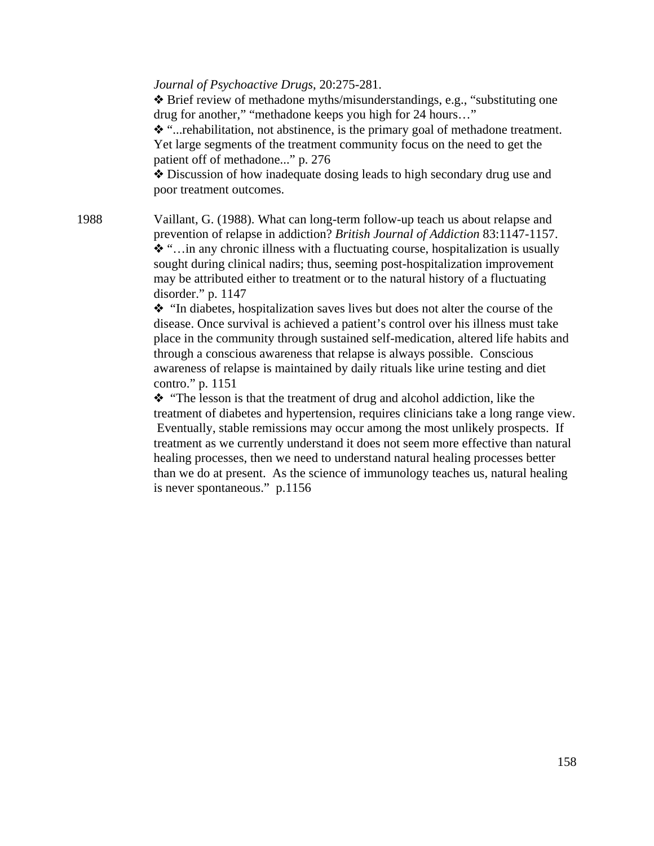*Journal of Psychoactive Drugs*, 20:275-281.

˜ Brief review of methadone myths/misunderstandings, e.g., "substituting one drug for another," "methadone keeps you high for 24 hours…"

˜ "...rehabilitation, not abstinence, is the primary goal of methadone treatment. Yet large segments of the treatment community focus on the need to get the patient off of methadone..." p. 276

˜ Discussion of how inadequate dosing leads to high secondary drug use and poor treatment outcomes.

1988 Vaillant, G. (1988). What can long-term follow-up teach us about relapse and prevention of relapse in addiction? *British Journal of Addiction* 83:1147-1157.  $\triangleq$  "... in any chronic illness with a fluctuating course, hospitalization is usually sought during clinical nadirs; thus, seeming post-hospitalization improvement may be attributed either to treatment or to the natural history of a fluctuating disorder." p. 1147

> ˜ "In diabetes, hospitalization saves lives but does not alter the course of the disease. Once survival is achieved a patient's control over his illness must take place in the community through sustained self-medication, altered life habits and through a conscious awareness that relapse is always possible. Conscious awareness of relapse is maintained by daily rituals like urine testing and diet contro." p. 1151

˜ "The lesson is that the treatment of drug and alcohol addiction, like the treatment of diabetes and hypertension, requires clinicians take a long range view. Eventually, stable remissions may occur among the most unlikely prospects. If treatment as we currently understand it does not seem more effective than natural healing processes, then we need to understand natural healing processes better than we do at present. As the science of immunology teaches us, natural healing is never spontaneous." p.1156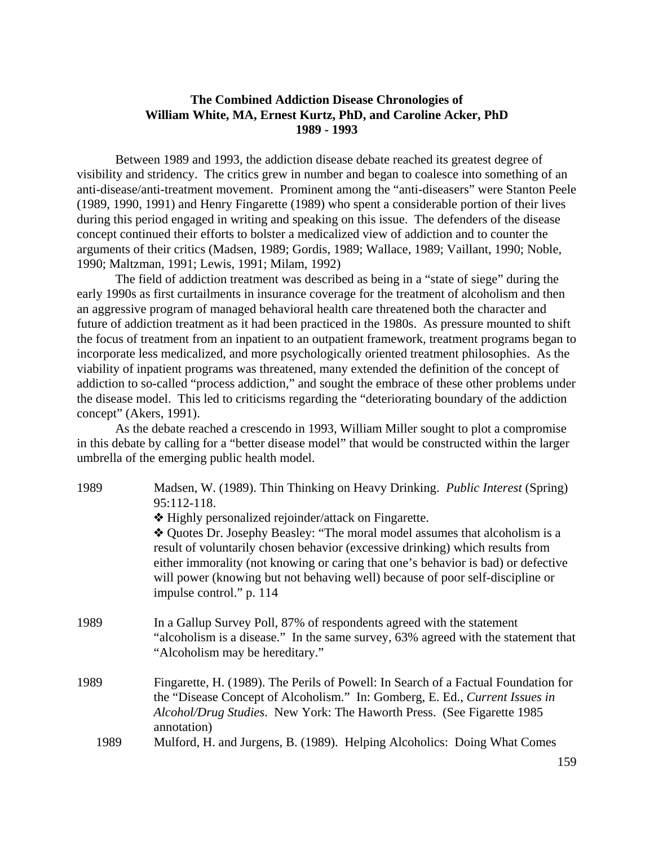## **The Combined Addiction Disease Chronologies of William White, MA, Ernest Kurtz, PhD, and Caroline Acker, PhD 1989 - 1993**

Between 1989 and 1993, the addiction disease debate reached its greatest degree of visibility and stridency. The critics grew in number and began to coalesce into something of an anti-disease/anti-treatment movement. Prominent among the "anti-diseasers" were Stanton Peele (1989, 1990, 1991) and Henry Fingarette (1989) who spent a considerable portion of their lives during this period engaged in writing and speaking on this issue. The defenders of the disease concept continued their efforts to bolster a medicalized view of addiction and to counter the arguments of their critics (Madsen, 1989; Gordis, 1989; Wallace, 1989; Vaillant, 1990; Noble, 1990; Maltzman, 1991; Lewis, 1991; Milam, 1992)

The field of addiction treatment was described as being in a "state of siege" during the early 1990s as first curtailments in insurance coverage for the treatment of alcoholism and then an aggressive program of managed behavioral health care threatened both the character and future of addiction treatment as it had been practiced in the 1980s. As pressure mounted to shift the focus of treatment from an inpatient to an outpatient framework, treatment programs began to incorporate less medicalized, and more psychologically oriented treatment philosophies. As the viability of inpatient programs was threatened, many extended the definition of the concept of addiction to so-called "process addiction," and sought the embrace of these other problems under the disease model. This led to criticisms regarding the "deteriorating boundary of the addiction concept" (Akers, 1991).

As the debate reached a crescendo in 1993, William Miller sought to plot a compromise in this debate by calling for a "better disease model" that would be constructed within the larger umbrella of the emerging public health model.

| 1989 | Madsen, W. (1989). Thin Thinking on Heavy Drinking. Public Interest (Spring)<br>95:112-118.                                                                                                                                                                                                                                                                    |
|------|----------------------------------------------------------------------------------------------------------------------------------------------------------------------------------------------------------------------------------------------------------------------------------------------------------------------------------------------------------------|
|      | <b>❖</b> Highly personalized rejoinder/attack on Fingarette.                                                                                                                                                                                                                                                                                                   |
|      | ❖ Quotes Dr. Josephy Beasley: "The moral model assumes that alcoholism is a<br>result of voluntarily chosen behavior (excessive drinking) which results from<br>either immorality (not knowing or caring that one's behavior is bad) or defective<br>will power (knowing but not behaving well) because of poor self-discipline or<br>impulse control." p. 114 |
| 1989 | In a Gallup Survey Poll, 87% of respondents agreed with the statement<br>"alcoholism is a disease." In the same survey, 63% agreed with the statement that<br>"Alcoholism may be hereditary."                                                                                                                                                                  |
| 1989 | Fingarette, H. (1989). The Perils of Powell: In Search of a Factual Foundation for<br>the "Disease Concept of Alcoholism." In: Gomberg, E. Ed., Current Issues in<br>Alcohol/Drug Studies. New York: The Haworth Press. (See Figarette 1985<br>annotation)                                                                                                     |
| 1989 | Mulford, H. and Jurgens, B. (1989). Helping Alcoholics: Doing What Comes                                                                                                                                                                                                                                                                                       |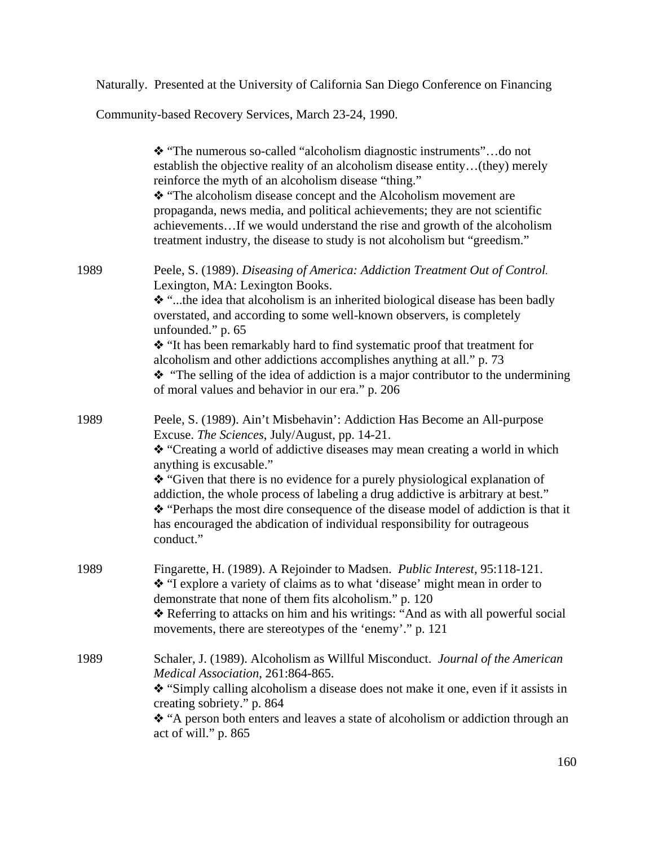Naturally. Presented at the University of California San Diego Conference on Financing

Community-based Recovery Services, March 23-24, 1990.

|      | <b>❖</b> "The numerous so-called "alcoholism diagnostic instruments"do not<br>establish the objective reality of an alcoholism disease entity(they) merely<br>reinforce the myth of an alcoholism disease "thing."<br>• The alcoholism disease concept and the Alcoholism movement are<br>propaganda, news media, and political achievements; they are not scientific<br>achievementsIf we would understand the rise and growth of the alcoholism<br>treatment industry, the disease to study is not alcoholism but "greedism."                                                              |
|------|----------------------------------------------------------------------------------------------------------------------------------------------------------------------------------------------------------------------------------------------------------------------------------------------------------------------------------------------------------------------------------------------------------------------------------------------------------------------------------------------------------------------------------------------------------------------------------------------|
| 1989 | Peele, S. (1989). Diseasing of America: Addiction Treatment Out of Control.<br>Lexington, MA: Lexington Books.<br>* "the idea that alcoholism is an inherited biological disease has been badly<br>overstated, and according to some well-known observers, is completely<br>unfounded." p. 65<br>* "It has been remarkably hard to find systematic proof that treatment for<br>alcoholism and other addictions accomplishes anything at all." p. 73<br>• "The selling of the idea of addiction is a major contributor to the undermining<br>of moral values and behavior in our era." p. 206 |
| 1989 | Peele, S. (1989). Ain't Misbehavin': Addiction Has Become an All-purpose<br>Excuse. The Sciences, July/August, pp. 14-21.<br>❖ "Creating a world of addictive diseases may mean creating a world in which<br>anything is excusable."<br>• "Given that there is no evidence for a purely physiological explanation of<br>addiction, the whole process of labeling a drug addictive is arbitrary at best."<br>* "Perhaps the most dire consequence of the disease model of addiction is that it<br>has encouraged the abdication of individual responsibility for outrageous<br>conduct."      |
| 1989 | Fingarette, H. (1989). A Rejoinder to Madsen. Public Interest, 95:118-121.<br>❖ "I explore a variety of claims as to what 'disease' might mean in order to<br>demonstrate that none of them fits alcoholism." p. 120<br>* Referring to attacks on him and his writings: "And as with all powerful social<br>movements, there are stereotypes of the 'enemy'." p. 121                                                                                                                                                                                                                         |
| 1989 | Schaler, J. (1989). Alcoholism as Willful Misconduct. Journal of the American<br>Medical Association, 261:864-865.<br>Simply calling alcoholism a disease does not make it one, even if it assists in<br>creating sobriety." p. 864<br>* "A person both enters and leaves a state of alcoholism or addiction through an<br>act of will." p. 865                                                                                                                                                                                                                                              |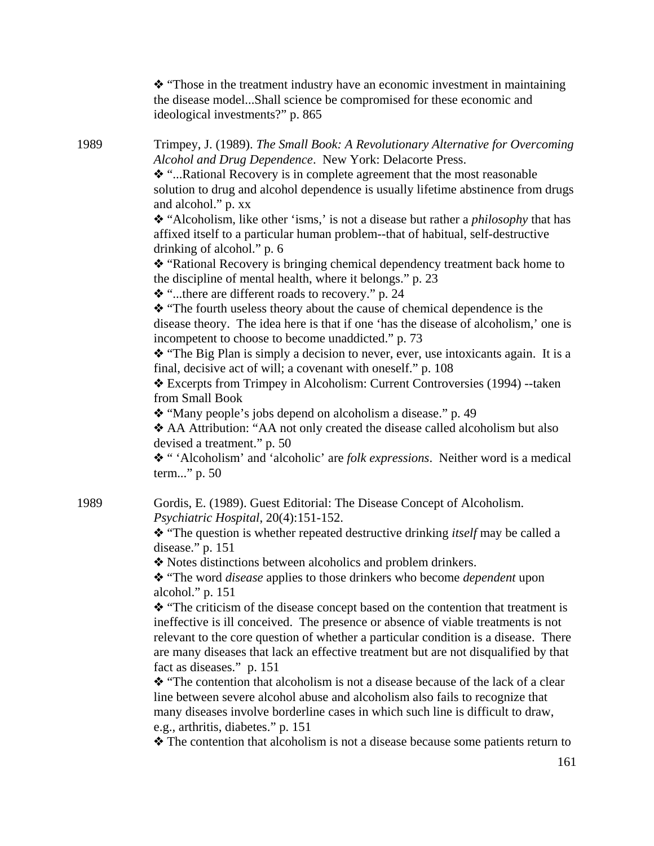|      | • Those in the treatment industry have an economic investment in maintaining<br>the disease modelShall science be compromised for these economic and<br>ideological investments?" p. 865                                                                                                                                                                                         |
|------|----------------------------------------------------------------------------------------------------------------------------------------------------------------------------------------------------------------------------------------------------------------------------------------------------------------------------------------------------------------------------------|
| 1989 | Trimpey, J. (1989). The Small Book: A Revolutionary Alternative for Overcoming<br>Alcohol and Drug Dependence. New York: Delacorte Press.<br>• "Rational Recovery is in complete agreement that the most reasonable<br>solution to drug and alcohol dependence is usually lifetime abstinence from drugs<br>and alcohol." p. xx                                                  |
|      | * "Alcoholism, like other 'isms,' is not a disease but rather a <i>philosophy</i> that has<br>affixed itself to a particular human problem--that of habitual, self-destructive<br>drinking of alcohol." p. 6                                                                                                                                                                     |
|      | * "Rational Recovery is bringing chemical dependency treatment back home to<br>the discipline of mental health, where it belongs." p. 23<br>❖ "there are different roads to recovery." p. 24                                                                                                                                                                                     |
|      | * "The fourth useless theory about the cause of chemical dependence is the<br>disease theory. The idea here is that if one 'has the disease of alcoholism,' one is<br>incompetent to choose to become unaddicted." p. 73                                                                                                                                                         |
|      | * "The Big Plan is simply a decision to never, ever, use intoxicants again. It is a<br>final, decisive act of will; a covenant with oneself." p. 108                                                                                                                                                                                                                             |
|      | ❖ Excerpts from Trimpey in Alcoholism: Current Controversies (1994) --taken<br>from Small Book<br>* "Many people's jobs depend on alcoholism a disease." p. 49                                                                                                                                                                                                                   |
|      | * AA Attribution: "AA not only created the disease called alcoholism but also<br>devised a treatment." p. 50                                                                                                                                                                                                                                                                     |
|      | * "Alcoholism' and 'alcoholic' are <i>folk expressions</i> . Neither word is a medical<br>term" p. 50                                                                                                                                                                                                                                                                            |
| 1989 | Gordis, E. (1989). Guest Editorial: The Disease Concept of Alcoholism.<br>Psychiatric Hospital, 20(4):151-152.                                                                                                                                                                                                                                                                   |
|      | * "The question is whether repeated destructive drinking <i>itself</i> may be called a<br>disease." p. 151                                                                                                                                                                                                                                                                       |
|      | Notes distinctions between alcoholics and problem drinkers.<br><b>❖</b> "The word <i>disease</i> applies to those drinkers who become <i>dependent</i> upon<br>alcohol." $p. 151$                                                                                                                                                                                                |
|      | • The criticism of the disease concept based on the contention that treatment is<br>ineffective is ill conceived. The presence or absence of viable treatments is not<br>relevant to the core question of whether a particular condition is a disease. There<br>are many diseases that lack an effective treatment but are not disqualified by that<br>fact as diseases." p. 151 |
|      | * "The contention that alcoholism is not a disease because of the lack of a clear<br>line between severe alcohol abuse and alcoholism also fails to recognize that<br>many diseases involve borderline cases in which such line is difficult to draw,<br>e.g., arthritis, diabetes." p. 151                                                                                      |
|      | The contention that alcoholism is not a disease because some patients return to                                                                                                                                                                                                                                                                                                  |
|      | 161                                                                                                                                                                                                                                                                                                                                                                              |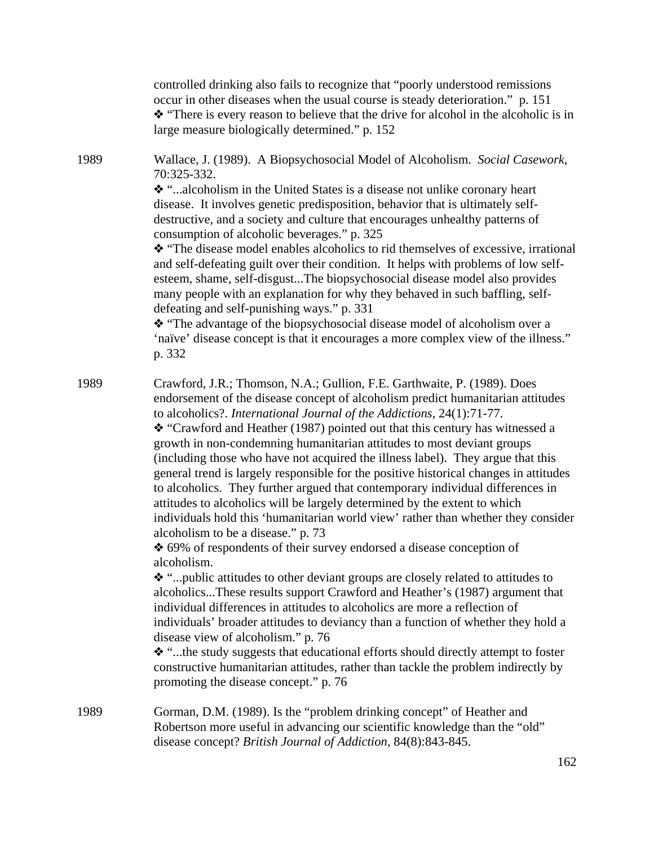|      | controlled drinking also fails to recognize that "poorly understood remissions<br>occur in other diseases when the usual course is steady deterioration." p. 151<br>* "There is every reason to believe that the drive for alcohol in the alcoholic is in<br>large measure biologically determined." p. 152                                                                                                                                                                                                                                                                                                                                                                                                                                                                                                                                                                                                                                                                                                                                                                                                                                                                                                                                                                                                                                                                                                                                                                                                                                                |
|------|------------------------------------------------------------------------------------------------------------------------------------------------------------------------------------------------------------------------------------------------------------------------------------------------------------------------------------------------------------------------------------------------------------------------------------------------------------------------------------------------------------------------------------------------------------------------------------------------------------------------------------------------------------------------------------------------------------------------------------------------------------------------------------------------------------------------------------------------------------------------------------------------------------------------------------------------------------------------------------------------------------------------------------------------------------------------------------------------------------------------------------------------------------------------------------------------------------------------------------------------------------------------------------------------------------------------------------------------------------------------------------------------------------------------------------------------------------------------------------------------------------------------------------------------------------|
| 1989 | Wallace, J. (1989). A Biopsychosocial Model of Alcoholism. Social Casework,<br>70:325-332.<br>• "alcoholism in the United States is a disease not unlike coronary heart<br>disease. It involves genetic predisposition, behavior that is ultimately self-<br>destructive, and a society and culture that encourages unhealthy patterns of<br>consumption of alcoholic beverages." p. 325<br>* "The disease model enables alcoholics to rid themselves of excessive, irrational<br>and self-defeating guilt over their condition. It helps with problems of low self-<br>esteem, shame, self-disgustThe biopsychosocial disease model also provides<br>many people with an explanation for why they behaved in such baffling, self-<br>defeating and self-punishing ways." p. 331<br>* "The advantage of the biopsychosocial disease model of alcoholism over a<br>'naïve' disease concept is that it encourages a more complex view of the illness."<br>p. 332                                                                                                                                                                                                                                                                                                                                                                                                                                                                                                                                                                                             |
| 1989 | Crawford, J.R.; Thomson, N.A.; Gullion, F.E. Garthwaite, P. (1989). Does<br>endorsement of the disease concept of alcoholism predict humanitarian attitudes<br>to alcoholics?. International Journal of the Addictions, 24(1):71-77.<br>* "Crawford and Heather (1987) pointed out that this century has witnessed a<br>growth in non-condemning humanitarian attitudes to most deviant groups<br>(including those who have not acquired the illness label). They argue that this<br>general trend is largely responsible for the positive historical changes in attitudes<br>to alcoholics. They further argued that contemporary individual differences in<br>attitudes to alcoholics will be largely determined by the extent to which<br>individuals hold this 'humanitarian world view' rather than whether they consider<br>alcoholism to be a disease." p. 73<br>◆ 69% of respondents of their survey endorsed a disease conception of<br>alcoholism.<br>❖ " public attitudes to other deviant groups are closely related to attitudes to<br>alcoholicsThese results support Crawford and Heather's (1987) argument that<br>individual differences in attitudes to alcoholics are more a reflection of<br>individuals' broader attitudes to deviancy than a function of whether they hold a<br>disease view of alcoholism." p. 76<br>* "the study suggests that educational efforts should directly attempt to foster<br>constructive humanitarian attitudes, rather than tackle the problem indirectly by<br>promoting the disease concept." p. 76 |
| 1989 | Gorman, D.M. (1989). Is the "problem drinking concept" of Heather and<br>Robertson more useful in advancing our scientific knowledge than the "old"<br>disease concept? British Journal of Addiction, 84(8):843-845.                                                                                                                                                                                                                                                                                                                                                                                                                                                                                                                                                                                                                                                                                                                                                                                                                                                                                                                                                                                                                                                                                                                                                                                                                                                                                                                                       |
|      |                                                                                                                                                                                                                                                                                                                                                                                                                                                                                                                                                                                                                                                                                                                                                                                                                                                                                                                                                                                                                                                                                                                                                                                                                                                                                                                                                                                                                                                                                                                                                            |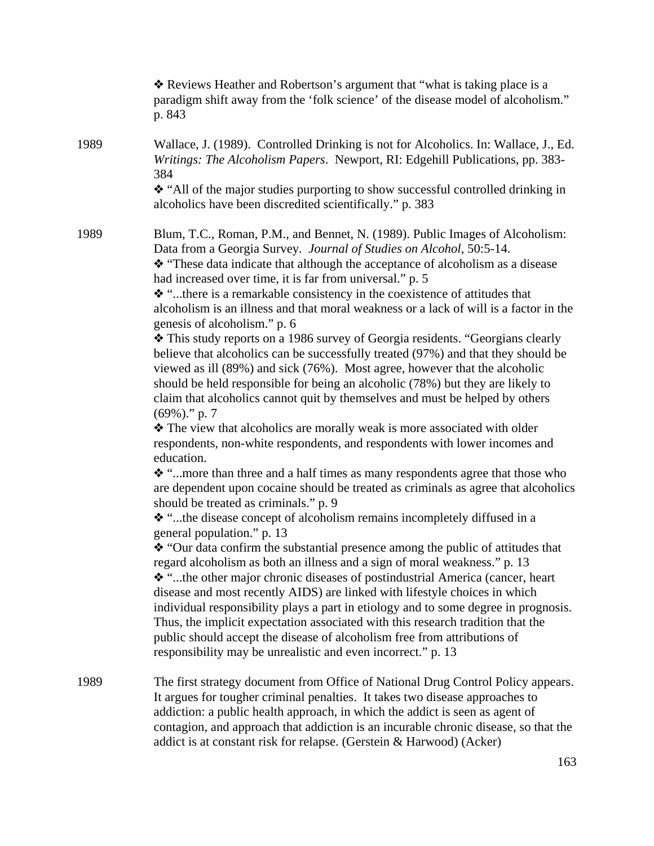|      | * Reviews Heather and Robertson's argument that "what is taking place is a<br>paradigm shift away from the 'folk science' of the disease model of alcoholism."<br>p. 843                                                                                                                                                                                                                                                                                                                                                                                                                                                                                                                                                                                                                                                                                                                                                                                                                                                                                                                                                                                                                                                                                                                                                                                                                                                                                                                                                                                                                                               |
|------|------------------------------------------------------------------------------------------------------------------------------------------------------------------------------------------------------------------------------------------------------------------------------------------------------------------------------------------------------------------------------------------------------------------------------------------------------------------------------------------------------------------------------------------------------------------------------------------------------------------------------------------------------------------------------------------------------------------------------------------------------------------------------------------------------------------------------------------------------------------------------------------------------------------------------------------------------------------------------------------------------------------------------------------------------------------------------------------------------------------------------------------------------------------------------------------------------------------------------------------------------------------------------------------------------------------------------------------------------------------------------------------------------------------------------------------------------------------------------------------------------------------------------------------------------------------------------------------------------------------------|
| 1989 | Wallace, J. (1989). Controlled Drinking is not for Alcoholics. In: Wallace, J., Ed.<br>Writings: The Alcoholism Papers. Newport, RI: Edgehill Publications, pp. 383-<br>384                                                                                                                                                                                                                                                                                                                                                                                                                                                                                                                                                                                                                                                                                                                                                                                                                                                                                                                                                                                                                                                                                                                                                                                                                                                                                                                                                                                                                                            |
|      | * "All of the major studies purporting to show successful controlled drinking in<br>alcoholics have been discredited scientifically." p. 383                                                                                                                                                                                                                                                                                                                                                                                                                                                                                                                                                                                                                                                                                                                                                                                                                                                                                                                                                                                                                                                                                                                                                                                                                                                                                                                                                                                                                                                                           |
| 1989 | Blum, T.C., Roman, P.M., and Bennet, N. (1989). Public Images of Alcoholism:<br>Data from a Georgia Survey. Journal of Studies on Alcohol, 50:5-14.<br>* "These data indicate that although the acceptance of alcoholism as a disease<br>had increased over time, it is far from universal." p. 5<br>❖ "there is a remarkable consistency in the coexistence of attitudes that<br>alcoholism is an illness and that moral weakness or a lack of will is a factor in the<br>genesis of alcoholism." p. 6<br>This study reports on a 1986 survey of Georgia residents. "Georgians clearly<br>believe that alcoholics can be successfully treated (97%) and that they should be<br>viewed as ill $(89\%)$ and sick $(76\%)$ . Most agree, however that the alcoholic<br>should be held responsible for being an alcoholic (78%) but they are likely to<br>claim that alcoholics cannot quit by themselves and must be helped by others<br>$(69\%)$ ." p. 7<br>The view that alcoholics are morally weak is more associated with older<br>respondents, non-white respondents, and respondents with lower incomes and<br>education.<br>• "more than three and a half times as many respondents agree that those who<br>are dependent upon cocaine should be treated as criminals as agree that alcoholics<br>should be treated as criminals." p. 9<br>* "the disease concept of alcoholism remains incompletely diffused in a<br>general population." p. 13<br>◆ "Our data confirm the substantial presence among the public of attitudes that<br>regard alcoholism as both an illness and a sign of moral weakness." p. 13 |
|      | • "the other major chronic diseases of postindustrial America (cancer, heart<br>disease and most recently AIDS) are linked with lifestyle choices in which<br>individual responsibility plays a part in etiology and to some degree in prognosis.<br>Thus, the implicit expectation associated with this research tradition that the<br>public should accept the disease of alcoholism free from attributions of<br>responsibility may be unrealistic and even incorrect." p. 13                                                                                                                                                                                                                                                                                                                                                                                                                                                                                                                                                                                                                                                                                                                                                                                                                                                                                                                                                                                                                                                                                                                                       |
| 1989 | The first strategy document from Office of National Drug Control Policy appears.<br>It argues for tougher criminal penalties. It takes two disease approaches to<br>addiction: a public health approach, in which the addict is seen as agent of<br>contagion, and approach that addiction is an incurable chronic disease, so that the<br>addict is at constant risk for relapse. (Gerstein & Harwood) (Acker)                                                                                                                                                                                                                                                                                                                                                                                                                                                                                                                                                                                                                                                                                                                                                                                                                                                                                                                                                                                                                                                                                                                                                                                                        |
|      | 163                                                                                                                                                                                                                                                                                                                                                                                                                                                                                                                                                                                                                                                                                                                                                                                                                                                                                                                                                                                                                                                                                                                                                                                                                                                                                                                                                                                                                                                                                                                                                                                                                    |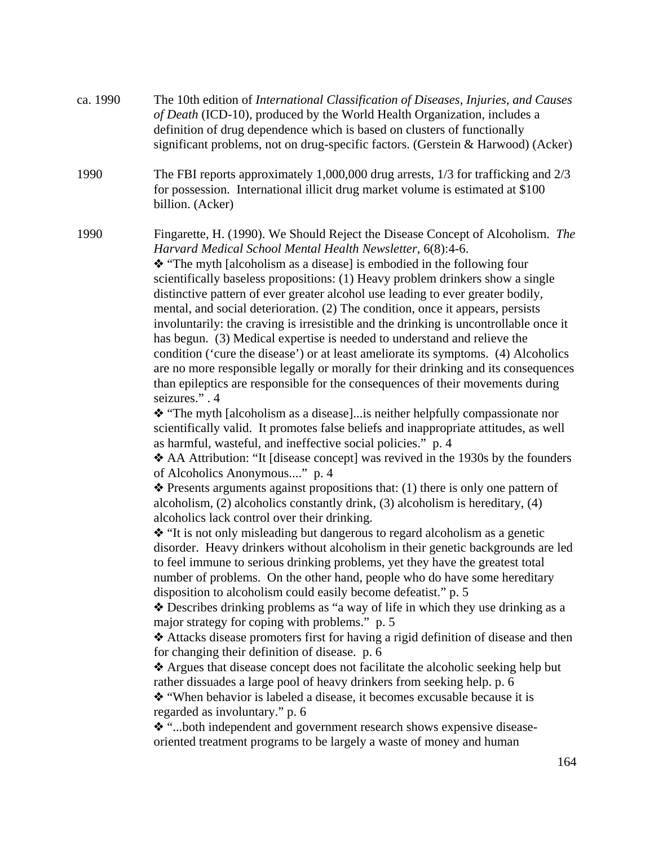| ca. 1990 | The 10th edition of International Classification of Diseases, Injuries, and Causes<br>of Death (ICD-10), produced by the World Health Organization, includes a<br>definition of drug dependence which is based on clusters of functionally<br>significant problems, not on drug-specific factors. (Gerstein & Harwood) (Acker)                                                                                                                                                                                                                                                                                                                                                                                                                                                                                                                                                                                                                                                                                                                                                                                                                                                                                                                                                                                                                                                                                                                                                                                                                                                                                                                                                                                                                                                                                                                                                                                                                                                                                                                                                                                                                                                                                                                                                                                                                                                                                                                                                                                                                                                                                                                                      |
|----------|---------------------------------------------------------------------------------------------------------------------------------------------------------------------------------------------------------------------------------------------------------------------------------------------------------------------------------------------------------------------------------------------------------------------------------------------------------------------------------------------------------------------------------------------------------------------------------------------------------------------------------------------------------------------------------------------------------------------------------------------------------------------------------------------------------------------------------------------------------------------------------------------------------------------------------------------------------------------------------------------------------------------------------------------------------------------------------------------------------------------------------------------------------------------------------------------------------------------------------------------------------------------------------------------------------------------------------------------------------------------------------------------------------------------------------------------------------------------------------------------------------------------------------------------------------------------------------------------------------------------------------------------------------------------------------------------------------------------------------------------------------------------------------------------------------------------------------------------------------------------------------------------------------------------------------------------------------------------------------------------------------------------------------------------------------------------------------------------------------------------------------------------------------------------------------------------------------------------------------------------------------------------------------------------------------------------------------------------------------------------------------------------------------------------------------------------------------------------------------------------------------------------------------------------------------------------------------------------------------------------------------------------------------------------|
| 1990     | The FBI reports approximately 1,000,000 drug arrests, $1/3$ for trafficking and $2/3$<br>for possession. International illicit drug market volume is estimated at \$100<br>billion. (Acker)                                                                                                                                                                                                                                                                                                                                                                                                                                                                                                                                                                                                                                                                                                                                                                                                                                                                                                                                                                                                                                                                                                                                                                                                                                                                                                                                                                                                                                                                                                                                                                                                                                                                                                                                                                                                                                                                                                                                                                                                                                                                                                                                                                                                                                                                                                                                                                                                                                                                         |
| 1990     | Fingarette, H. (1990). We Should Reject the Disease Concept of Alcoholism. The<br>Harvard Medical School Mental Health Newsletter, 6(8):4-6.<br><b>❖</b> "The myth [alcoholism as a disease] is embodied in the following four<br>scientifically baseless propositions: (1) Heavy problem drinkers show a single<br>distinctive pattern of ever greater alcohol use leading to ever greater bodily,<br>mental, and social deterioration. (2) The condition, once it appears, persists<br>involuntarily: the craving is irresistible and the drinking is uncontrollable once it<br>has begun. (3) Medical expertise is needed to understand and relieve the<br>condition ('cure the disease') or at least ameliorate its symptoms. (4) Alcoholics<br>are no more responsible legally or morally for their drinking and its consequences<br>than epileptics are responsible for the consequences of their movements during<br>seizures.". 4<br>* "The myth [alcoholism as a disease] is neither helpfully compassionate nor<br>scientifically valid. It promotes false beliefs and inappropriate attitudes, as well<br>as harmful, wasteful, and ineffective social policies." p. 4<br>❖ AA Attribution: "It [disease concept] was revived in the 1930s by the founders<br>of Alcoholics Anonymous" p. 4<br>$\triangle$ Presents arguments against propositions that: (1) there is only one pattern of<br>alcoholism, $(2)$ alcoholics constantly drink, $(3)$ alcoholism is hereditary, $(4)$<br>alcoholics lack control over their drinking.<br><b>❖</b> "It is not only misleading but dangerous to regard alcoholism as a genetic<br>disorder. Heavy drinkers without alcoholism in their genetic backgrounds are led<br>to feel immune to serious drinking problems, yet they have the greatest total<br>number of problems. On the other hand, people who do have some hereditary<br>disposition to alcoholism could easily become defeatist." p. 5<br>* Describes drinking problems as "a way of life in which they use drinking as a<br>major strategy for coping with problems." p. 5<br>* Attacks disease promoters first for having a rigid definition of disease and then<br>for changing their definition of disease. p. 6<br>❖ Argues that disease concept does not facilitate the alcoholic seeking help but<br>rather dissuades a large pool of heavy drinkers from seeking help. p. 6<br>• "When behavior is labeled a disease, it becomes excusable because it is<br>regarded as involuntary." p. 6<br>• "both independent and government research shows expensive disease-<br>oriented treatment programs to be largely a waste of money and human |
|          | 164                                                                                                                                                                                                                                                                                                                                                                                                                                                                                                                                                                                                                                                                                                                                                                                                                                                                                                                                                                                                                                                                                                                                                                                                                                                                                                                                                                                                                                                                                                                                                                                                                                                                                                                                                                                                                                                                                                                                                                                                                                                                                                                                                                                                                                                                                                                                                                                                                                                                                                                                                                                                                                                                 |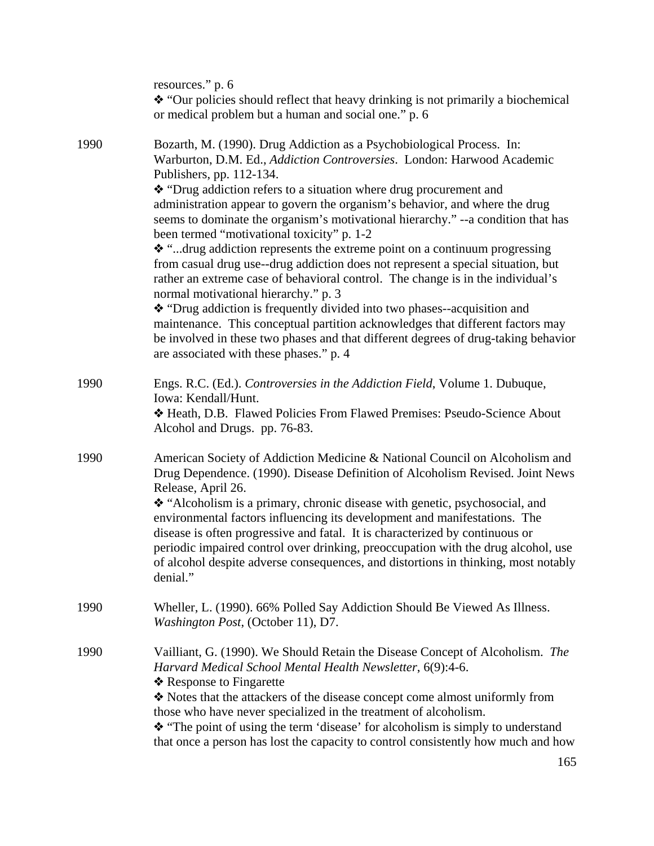|      | resources." p. 6<br>❖ "Our policies should reflect that heavy drinking is not primarily a biochemical<br>or medical problem but a human and social one." p. 6                                                                                                                                                                                                                                                                                                                                                                                                                                                                                                                                                                                                                                                                                                                                                                                                                                                                                                  |
|------|----------------------------------------------------------------------------------------------------------------------------------------------------------------------------------------------------------------------------------------------------------------------------------------------------------------------------------------------------------------------------------------------------------------------------------------------------------------------------------------------------------------------------------------------------------------------------------------------------------------------------------------------------------------------------------------------------------------------------------------------------------------------------------------------------------------------------------------------------------------------------------------------------------------------------------------------------------------------------------------------------------------------------------------------------------------|
| 1990 | Bozarth, M. (1990). Drug Addiction as a Psychobiological Process. In:<br>Warburton, D.M. Ed., Addiction Controversies. London: Harwood Academic<br>Publishers, pp. 112-134.<br>* "Drug addiction refers to a situation where drug procurement and<br>administration appear to govern the organism's behavior, and where the drug<br>seems to dominate the organism's motivational hierarchy." -- a condition that has<br>been termed "motivational toxicity" p. 1-2<br>• "drug addiction represents the extreme point on a continuum progressing<br>from casual drug use--drug addiction does not represent a special situation, but<br>rather an extreme case of behavioral control. The change is in the individual's<br>normal motivational hierarchy." p. 3<br>* "Drug addiction is frequently divided into two phases--acquisition and<br>maintenance. This conceptual partition acknowledges that different factors may<br>be involved in these two phases and that different degrees of drug-taking behavior<br>are associated with these phases." p. 4 |
| 1990 | Engs. R.C. (Ed.). Controversies in the Addiction Field, Volume 1. Dubuque,<br>Iowa: Kendall/Hunt.<br>* Heath, D.B. Flawed Policies From Flawed Premises: Pseudo-Science About<br>Alcohol and Drugs. pp. 76-83.                                                                                                                                                                                                                                                                                                                                                                                                                                                                                                                                                                                                                                                                                                                                                                                                                                                 |
| 1990 | American Society of Addiction Medicine & National Council on Alcoholism and<br>Drug Dependence. (1990). Disease Definition of Alcoholism Revised. Joint News<br>Release, April 26.<br>* "Alcoholism is a primary, chronic disease with genetic, psychosocial, and<br>environmental factors influencing its development and manifestations. The<br>disease is often progressive and fatal. It is characterized by continuous or<br>periodic impaired control over drinking, preoccupation with the drug alcohol, use<br>of alcohol despite adverse consequences, and distortions in thinking, most notably<br>denial."                                                                                                                                                                                                                                                                                                                                                                                                                                          |
| 1990 | Wheller, L. (1990). 66% Polled Say Addiction Should Be Viewed As Illness.<br>Washington Post, (October 11), D7.                                                                                                                                                                                                                                                                                                                                                                                                                                                                                                                                                                                                                                                                                                                                                                                                                                                                                                                                                |
| 1990 | Vailliant, G. (1990). We Should Retain the Disease Concept of Alcoholism. The<br>Harvard Medical School Mental Health Newsletter, 6(9):4-6.<br>❖ Response to Fingarette<br>Notes that the attackers of the disease concept come almost uniformly from<br>those who have never specialized in the treatment of alcoholism.<br><b>❖</b> "The point of using the term 'disease' for alcoholism is simply to understand<br>that once a person has lost the capacity to control consistently how much and how                                                                                                                                                                                                                                                                                                                                                                                                                                                                                                                                                       |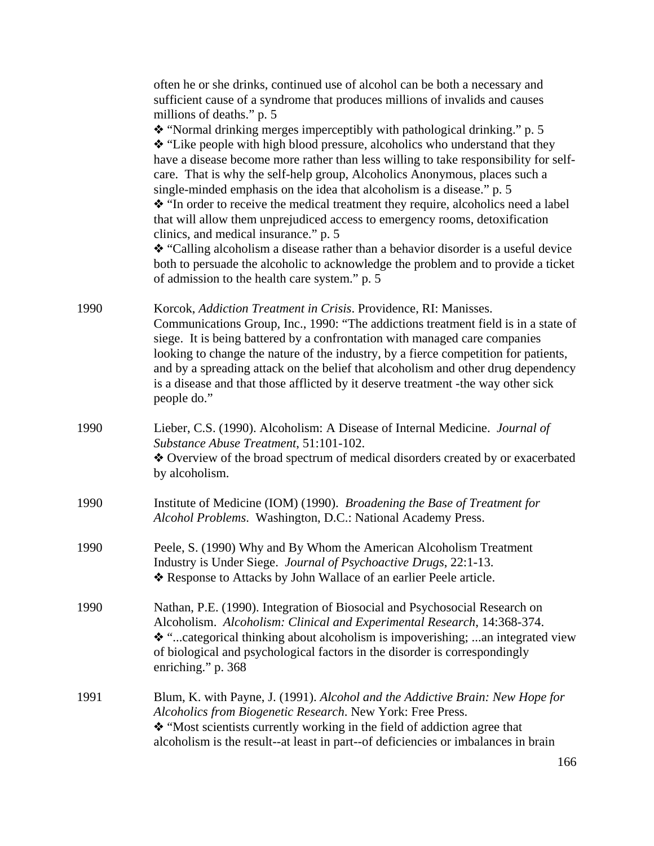|      | often he or she drinks, continued use of alcohol can be both a necessary and<br>sufficient cause of a syndrome that produces millions of invalids and causes<br>millions of deaths." p. 5                                                                                                                                                                                                                                                                                                                                                                                                                                                                                                                                                                                                                                                           |
|------|-----------------------------------------------------------------------------------------------------------------------------------------------------------------------------------------------------------------------------------------------------------------------------------------------------------------------------------------------------------------------------------------------------------------------------------------------------------------------------------------------------------------------------------------------------------------------------------------------------------------------------------------------------------------------------------------------------------------------------------------------------------------------------------------------------------------------------------------------------|
|      | * "Normal drinking merges imperceptibly with pathological drinking." p. 5<br>* "Like people with high blood pressure, alcoholics who understand that they<br>have a disease become more rather than less willing to take responsibility for self-<br>care. That is why the self-help group, Alcoholics Anonymous, places such a<br>single-minded emphasis on the idea that alcoholism is a disease." p. 5<br>* "In order to receive the medical treatment they require, alcoholics need a label<br>that will allow them unprejudiced access to emergency rooms, detoxification<br>clinics, and medical insurance." p. 5<br>* "Calling alcoholism a disease rather than a behavior disorder is a useful device<br>both to persuade the alcoholic to acknowledge the problem and to provide a ticket<br>of admission to the health care system." p. 5 |
| 1990 | Korcok, Addiction Treatment in Crisis. Providence, RI: Manisses.<br>Communications Group, Inc., 1990: "The addictions treatment field is in a state of<br>siege. It is being battered by a confrontation with managed care companies<br>looking to change the nature of the industry, by a fierce competition for patients,<br>and by a spreading attack on the belief that alcoholism and other drug dependency<br>is a disease and that those afflicted by it deserve treatment - the way other sick<br>people do."                                                                                                                                                                                                                                                                                                                               |
| 1990 | Lieber, C.S. (1990). Alcoholism: A Disease of Internal Medicine. Journal of<br>Substance Abuse Treatment, 51:101-102.<br>◆ Overview of the broad spectrum of medical disorders created by or exacerbated<br>by alcoholism.                                                                                                                                                                                                                                                                                                                                                                                                                                                                                                                                                                                                                          |
| 1990 | Institute of Medicine (IOM) (1990). Broadening the Base of Treatment for<br>Alcohol Problems. Washington, D.C.: National Academy Press.                                                                                                                                                                                                                                                                                                                                                                                                                                                                                                                                                                                                                                                                                                             |
| 1990 | Peele, S. (1990) Why and By Whom the American Alcoholism Treatment<br>Industry is Under Siege. Journal of Psychoactive Drugs, 22:1-13.<br>* Response to Attacks by John Wallace of an earlier Peele article.                                                                                                                                                                                                                                                                                                                                                                                                                                                                                                                                                                                                                                        |
| 1990 | Nathan, P.E. (1990). Integration of Biosocial and Psychosocial Research on<br>Alcoholism. Alcoholism: Clinical and Experimental Research, 14:368-374.<br>◆ "categorical thinking about alcoholism is impoverishing; an integrated view<br>of biological and psychological factors in the disorder is correspondingly<br>enriching." p. 368                                                                                                                                                                                                                                                                                                                                                                                                                                                                                                          |
| 1991 | Blum, K. with Payne, J. (1991). Alcohol and the Addictive Brain: New Hope for<br>Alcoholics from Biogenetic Research. New York: Free Press.<br>• "Most scientists currently working in the field of addiction agree that<br>alcoholism is the result--at least in part--of deficiencies or imbalances in brain                                                                                                                                                                                                                                                                                                                                                                                                                                                                                                                                      |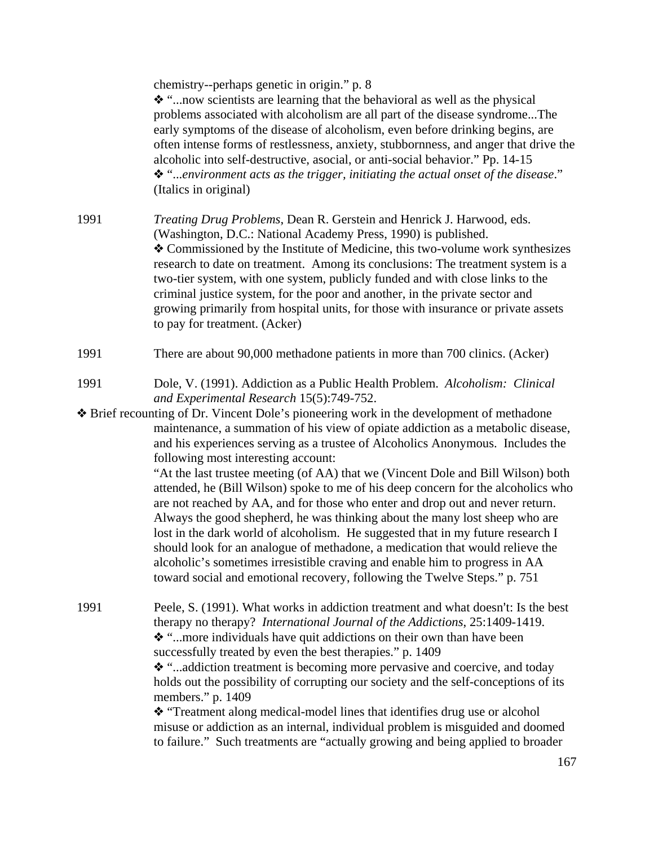chemistry--perhaps genetic in origin." p. 8 ˜ "...now scientists are learning that the behavioral as well as the physical problems associated with alcoholism are all part of the disease syndrome...The early symptoms of the disease of alcoholism, even before drinking begins, are often intense forms of restlessness, anxiety, stubbornness, and anger that drive the alcoholic into self-destructive, asocial, or anti-social behavior." Pp. 14-15 ˜ "...*environment acts as the trigger, initiating the actual onset of the disease*." (Italics in original)

1991 *Treating Drug Problems*, Dean R. Gerstein and Henrick J. Harwood, eds. (Washington, D.C.: National Academy Press, 1990) is published. ˜ Commissioned by the Institute of Medicine, this two-volume work synthesizes research to date on treatment. Among its conclusions: The treatment system is a two-tier system, with one system, publicly funded and with close links to the criminal justice system, for the poor and another, in the private sector and growing primarily from hospital units, for those with insurance or private assets to pay for treatment. (Acker)

- 1991 There are about 90,000 methadone patients in more than 700 clinics. (Acker)
- 1991 Dole, V. (1991). Addiction as a Public Health Problem. *Alcoholism: Clinical and Experimental Research* 15(5):749-752.
- ˜ Brief recounting of Dr. Vincent Dole's pioneering work in the development of methadone maintenance, a summation of his view of opiate addiction as a metabolic disease, and his experiences serving as a trustee of Alcoholics Anonymous. Includes the following most interesting account:

"At the last trustee meeting (of AA) that we (Vincent Dole and Bill Wilson) both attended, he (Bill Wilson) spoke to me of his deep concern for the alcoholics who are not reached by AA, and for those who enter and drop out and never return. Always the good shepherd, he was thinking about the many lost sheep who are lost in the dark world of alcoholism. He suggested that in my future research I should look for an analogue of methadone, a medication that would relieve the alcoholic's sometimes irresistible craving and enable him to progress in AA toward social and emotional recovery, following the Twelve Steps." p. 751

1991 Peele, S. (1991). What works in addiction treatment and what doesn't: Is the best therapy no therapy? *International Journal of the Addictions*, 25:1409-1419. ˜ "...more individuals have quit addictions on their own than have been successfully treated by even the best therapies." p. 1409 ˜ "...addiction treatment is becoming more pervasive and coercive, and today holds out the possibility of corrupting our society and the self-conceptions of its members." p. 1409

˜ "Treatment along medical-model lines that identifies drug use or alcohol misuse or addiction as an internal, individual problem is misguided and doomed to failure." Such treatments are "actually growing and being applied to broader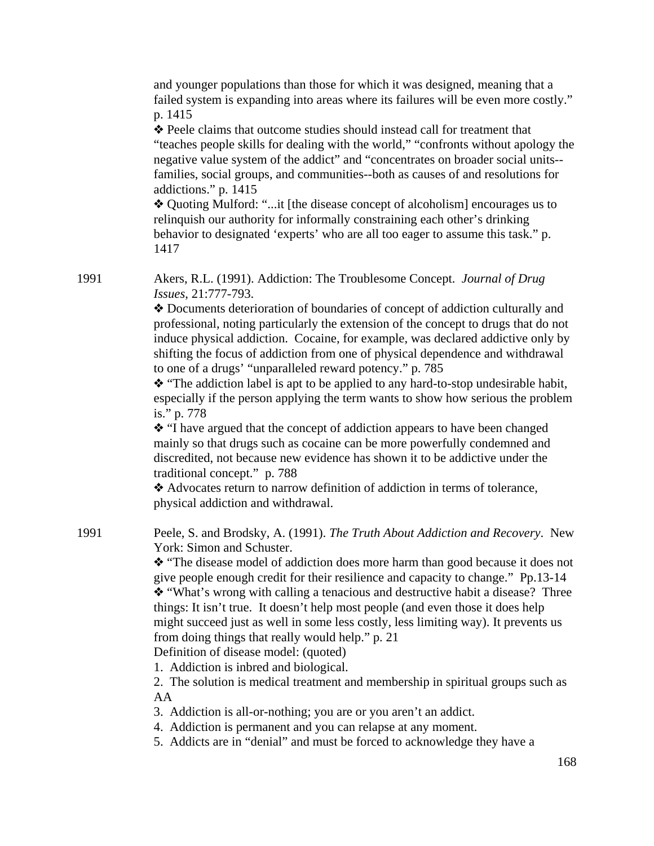and younger populations than those for which it was designed, meaning that a failed system is expanding into areas where its failures will be even more costly." p. 1415

˜ Peele claims that outcome studies should instead call for treatment that "teaches people skills for dealing with the world," "confronts without apology the negative value system of the addict" and "concentrates on broader social units- families, social groups, and communities--both as causes of and resolutions for addictions." p. 1415

˜ Quoting Mulford: "...it [the disease concept of alcoholism] encourages us to relinquish our authority for informally constraining each other's drinking behavior to designated 'experts' who are all too eager to assume this task." p. 1417

1991 Akers, R.L. (1991). Addiction: The Troublesome Concept. *Journal of Drug Issues*, 21:777-793.

> ˜ Documents deterioration of boundaries of concept of addiction culturally and professional, noting particularly the extension of the concept to drugs that do not induce physical addiction. Cocaine, for example, was declared addictive only by shifting the focus of addiction from one of physical dependence and withdrawal to one of a drugs' "unparalleled reward potency." p. 785

> ˜ "The addiction label is apt to be applied to any hard-to-stop undesirable habit, especially if the person applying the term wants to show how serious the problem is." p. 778

˜ "I have argued that the concept of addiction appears to have been changed mainly so that drugs such as cocaine can be more powerfully condemned and discredited, not because new evidence has shown it to be addictive under the traditional concept." p. 788

˜ Advocates return to narrow definition of addiction in terms of tolerance, physical addiction and withdrawal.

1991 Peele, S. and Brodsky, A. (1991). *The Truth About Addiction and Recovery*. New York: Simon and Schuster.

> ˜ "The disease model of addiction does more harm than good because it does not give people enough credit for their resilience and capacity to change." Pp.13-14 ˜ "What's wrong with calling a tenacious and destructive habit a disease? Three things: It isn't true. It doesn't help most people (and even those it does help might succeed just as well in some less costly, less limiting way). It prevents us from doing things that really would help." p. 21

Definition of disease model: (quoted)

1. Addiction is inbred and biological.

2. The solution is medical treatment and membership in spiritual groups such as AA

3. Addiction is all-or-nothing; you are or you aren't an addict.

4. Addiction is permanent and you can relapse at any moment.

5. Addicts are in "denial" and must be forced to acknowledge they have a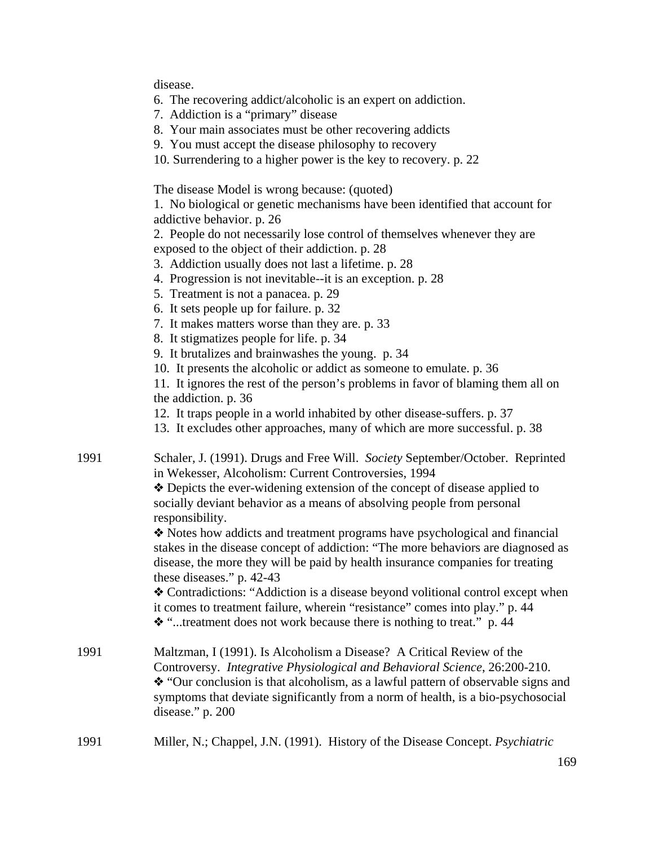disease.

|  | 6. The recovering addict/alcoholic is an expert on addiction. |  |
|--|---------------------------------------------------------------|--|
|  |                                                               |  |

- 7. Addiction is a "primary" disease
- 8. Your main associates must be other recovering addicts
- 9. You must accept the disease philosophy to recovery
- 10. Surrendering to a higher power is the key to recovery. p. 22

The disease Model is wrong because: (quoted)

1. No biological or genetic mechanisms have been identified that account for addictive behavior. p. 26

2. People do not necessarily lose control of themselves whenever they are exposed to the object of their addiction. p. 28

- 3. Addiction usually does not last a lifetime. p. 28
- 4. Progression is not inevitable--it is an exception. p. 28
- 5. Treatment is not a panacea. p. 29
- 6. It sets people up for failure. p. 32
- 7. It makes matters worse than they are. p. 33
- 8. It stigmatizes people for life. p. 34
- 9. It brutalizes and brainwashes the young. p. 34
- 10. It presents the alcoholic or addict as someone to emulate. p. 36

11. It ignores the rest of the person's problems in favor of blaming them all on the addiction. p. 36

12. It traps people in a world inhabited by other disease-suffers. p. 37

13. It excludes other approaches, many of which are more successful. p. 38

1991 Schaler, J. (1991). Drugs and Free Will. *Society* September/October. Reprinted in Wekesser, Alcoholism: Current Controversies, 1994

˜ Depicts the ever-widening extension of the concept of disease applied to socially deviant behavior as a means of absolving people from personal responsibility.

˜ Notes how addicts and treatment programs have psychological and financial stakes in the disease concept of addiction: "The more behaviors are diagnosed as disease, the more they will be paid by health insurance companies for treating these diseases." p. 42-43

˜ Contradictions: "Addiction is a disease beyond volitional control except when it comes to treatment failure, wherein "resistance" comes into play." p. 44 ˜ "...treatment does not work because there is nothing to treat." p. 44

- 1991 Maltzman, I (1991). Is Alcoholism a Disease? A Critical Review of the Controversy. *Integrative Physiological and Behavioral Science*, 26:200-210. ˜ "Our conclusion is that alcoholism, as a lawful pattern of observable signs and symptoms that deviate significantly from a norm of health, is a bio-psychosocial disease." p. 200
- 1991 Miller, N.; Chappel, J.N. (1991). History of the Disease Concept. *Psychiatric*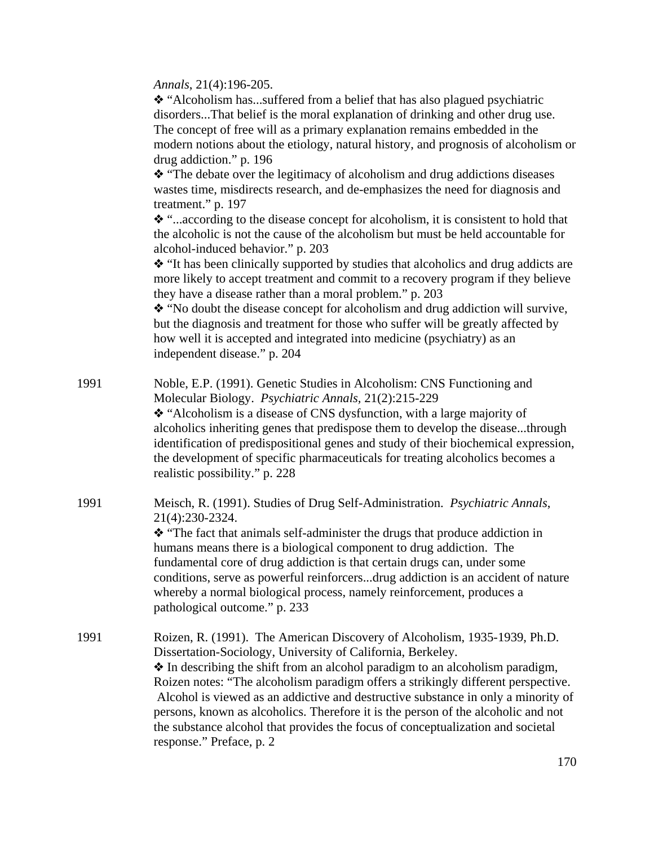*Annals*, 21(4):196-205.

˜ "Alcoholism has...suffered from a belief that has also plagued psychiatric disorders...That belief is the moral explanation of drinking and other drug use. The concept of free will as a primary explanation remains embedded in the modern notions about the etiology, natural history, and prognosis of alcoholism or drug addiction." p. 196

˜ "The debate over the legitimacy of alcoholism and drug addictions diseases wastes time, misdirects research, and de-emphasizes the need for diagnosis and treatment." p. 197

˜ "...according to the disease concept for alcoholism, it is consistent to hold that the alcoholic is not the cause of the alcoholism but must be held accountable for alcohol-induced behavior." p. 203

˜ "It has been clinically supported by studies that alcoholics and drug addicts are more likely to accept treatment and commit to a recovery program if they believe they have a disease rather than a moral problem." p. 203

˜ "No doubt the disease concept for alcoholism and drug addiction will survive, but the diagnosis and treatment for those who suffer will be greatly affected by how well it is accepted and integrated into medicine (psychiatry) as an independent disease." p. 204

1991 Noble, E.P. (1991). Genetic Studies in Alcoholism: CNS Functioning and Molecular Biology. *Psychiatric Annals,* 21(2):215-229 ˜ "Alcoholism is a disease of CNS dysfunction, with a large majority of alcoholics inheriting genes that predispose them to develop the disease...through identification of predispositional genes and study of their biochemical expression, the development of specific pharmaceuticals for treating alcoholics becomes a realistic possibility." p. 228

1991 Meisch, R. (1991). Studies of Drug Self-Administration. *Psychiatric Annals*, 21(4):230-2324.

> ˜ "The fact that animals self-administer the drugs that produce addiction in humans means there is a biological component to drug addiction. The fundamental core of drug addiction is that certain drugs can, under some conditions, serve as powerful reinforcers...drug addiction is an accident of nature whereby a normal biological process, namely reinforcement, produces a pathological outcome." p. 233

1991 Roizen, R. (1991). The American Discovery of Alcoholism, 1935-1939, Ph.D. Dissertation-Sociology, University of California, Berkeley. ˜ In describing the shift from an alcohol paradigm to an alcoholism paradigm, Roizen notes: "The alcoholism paradigm offers a strikingly different perspective. Alcohol is viewed as an addictive and destructive substance in only a minority of persons, known as alcoholics. Therefore it is the person of the alcoholic and not the substance alcohol that provides the focus of conceptualization and societal response." Preface, p. 2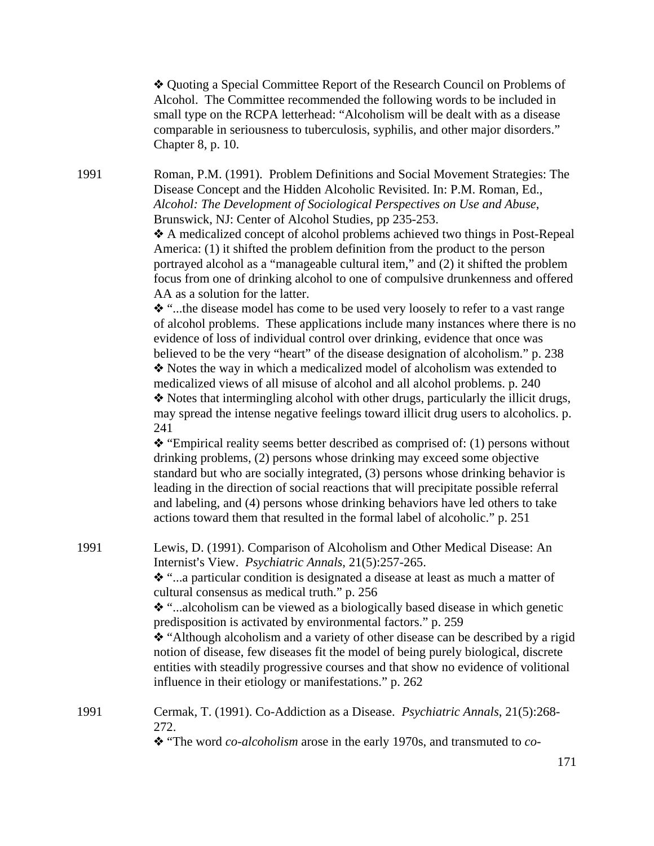˜ Quoting a Special Committee Report of the Research Council on Problems of Alcohol. The Committee recommended the following words to be included in small type on the RCPA letterhead: "Alcoholism will be dealt with as a disease comparable in seriousness to tuberculosis, syphilis, and other major disorders." Chapter 8, p. 10.

1991 Roman, P.M. (1991). Problem Definitions and Social Movement Strategies: The Disease Concept and the Hidden Alcoholic Revisited. In: P.M. Roman, Ed., *Alcohol: The Development of Sociological Perspectives on Use and Abuse*, Brunswick, NJ: Center of Alcohol Studies, pp 235-253.

> ˜ A medicalized concept of alcohol problems achieved two things in Post-Repeal America: (1) it shifted the problem definition from the product to the person portrayed alcohol as a "manageable cultural item," and (2) it shifted the problem focus from one of drinking alcohol to one of compulsive drunkenness and offered AA as a solution for the latter.

> ˜ "...the disease model has come to be used very loosely to refer to a vast range of alcohol problems. These applications include many instances where there is no evidence of loss of individual control over drinking, evidence that once was believed to be the very "heart" of the disease designation of alcoholism." p. 238 ˜ Notes the way in which a medicalized model of alcoholism was extended to medicalized views of all misuse of alcohol and all alcohol problems. p. 240 ˜ Notes that intermingling alcohol with other drugs, particularly the illicit drugs, may spread the intense negative feelings toward illicit drug users to alcoholics. p. 241

 $*$  "Empirical reality seems better described as comprised of: (1) persons without drinking problems, (2) persons whose drinking may exceed some objective standard but who are socially integrated, (3) persons whose drinking behavior is leading in the direction of social reactions that will precipitate possible referral and labeling, and (4) persons whose drinking behaviors have led others to take actions toward them that resulted in the formal label of alcoholic." p. 251

1991 Lewis, D. (1991). Comparison of Alcoholism and Other Medical Disease: An Internist's View. *Psychiatric Annals*, 21(5):257-265.

˜ "...a particular condition is designated a disease at least as much a matter of cultural consensus as medical truth." p. 256

˜ "...alcoholism can be viewed as a biologically based disease in which genetic predisposition is activated by environmental factors." p. 259

˜ "Although alcoholism and a variety of other disease can be described by a rigid notion of disease, few diseases fit the model of being purely biological, discrete entities with steadily progressive courses and that show no evidence of volitional influence in their etiology or manifestations." p. 262

## 1991 Cermak, T. (1991). Co-Addiction as a Disease. *Psychiatric Annals*, 21(5):268- 272.

˜ "The word *co-alcoholism* arose in the early 1970s, and transmuted to *co-*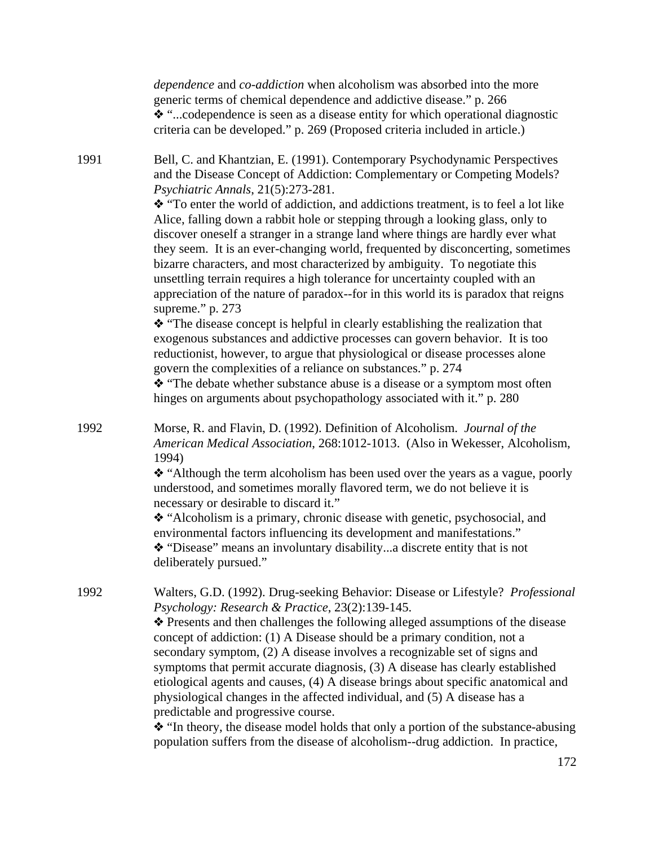|      | dependence and co-addiction when alcoholism was absorbed into the more<br>generic terms of chemical dependence and addictive disease." p. 266<br>• "codependence is seen as a disease entity for which operational diagnostic<br>criteria can be developed." p. 269 (Proposed criteria included in article.)                                                                                                                                                                                                                                                                                                                                                                                                                                                                                                                                                                                                                                                                                                                                                                                                                                                                                                                                                                                |
|------|---------------------------------------------------------------------------------------------------------------------------------------------------------------------------------------------------------------------------------------------------------------------------------------------------------------------------------------------------------------------------------------------------------------------------------------------------------------------------------------------------------------------------------------------------------------------------------------------------------------------------------------------------------------------------------------------------------------------------------------------------------------------------------------------------------------------------------------------------------------------------------------------------------------------------------------------------------------------------------------------------------------------------------------------------------------------------------------------------------------------------------------------------------------------------------------------------------------------------------------------------------------------------------------------|
| 1991 | Bell, C. and Khantzian, E. (1991). Contemporary Psychodynamic Perspectives<br>and the Disease Concept of Addiction: Complementary or Competing Models?<br>Psychiatric Annals, 21(5):273-281.<br>* "To enter the world of addiction, and addictions treatment, is to feel a lot like<br>Alice, falling down a rabbit hole or stepping through a looking glass, only to<br>discover oneself a stranger in a strange land where things are hardly ever what<br>they seem. It is an ever-changing world, frequented by disconcerting, sometimes<br>bizarre characters, and most characterized by ambiguity. To negotiate this<br>unsettling terrain requires a high tolerance for uncertainty coupled with an<br>appreciation of the nature of paradox-for in this world its is paradox that reigns<br>supreme." p. 273<br>• The disease concept is helpful in clearly establishing the realization that<br>exogenous substances and addictive processes can govern behavior. It is too<br>reductionist, however, to argue that physiological or disease processes alone<br>govern the complexities of a reliance on substances." p. 274<br>* "The debate whether substance abuse is a disease or a symptom most often<br>hinges on arguments about psychopathology associated with it." p. 280 |
| 1992 | Morse, R. and Flavin, D. (1992). Definition of Alcoholism. Journal of the<br>American Medical Association, 268:1012-1013. (Also in Wekesser, Alcoholism,<br>1994)<br>* "Although the term alcoholism has been used over the years as a vague, poorly<br>understood, and sometimes morally flavored term, we do not believe it is<br>necessary or desirable to discard it."<br>* "Alcoholism is a primary, chronic disease with genetic, psychosocial, and<br>environmental factors influencing its development and manifestations."<br>❖ "Disease" means an involuntary disabilitya discrete entity that is not<br>deliberately pursued."                                                                                                                                                                                                                                                                                                                                                                                                                                                                                                                                                                                                                                                   |
| 1992 | Walters, G.D. (1992). Drug-seeking Behavior: Disease or Lifestyle? Professional<br>Psychology: Research & Practice, 23(2):139-145.<br>◆ Presents and then challenges the following alleged assumptions of the disease<br>concept of addiction: (1) A Disease should be a primary condition, not a<br>secondary symptom, (2) A disease involves a recognizable set of signs and<br>symptoms that permit accurate diagnosis, (3) A disease has clearly established<br>etiological agents and causes, (4) A disease brings about specific anatomical and<br>physiological changes in the affected individual, and (5) A disease has a<br>predictable and progressive course.<br>* "In theory, the disease model holds that only a portion of the substance-abusing<br>population suffers from the disease of alcoholism--drug addiction. In practice,                                                                                                                                                                                                                                                                                                                                                                                                                                          |

172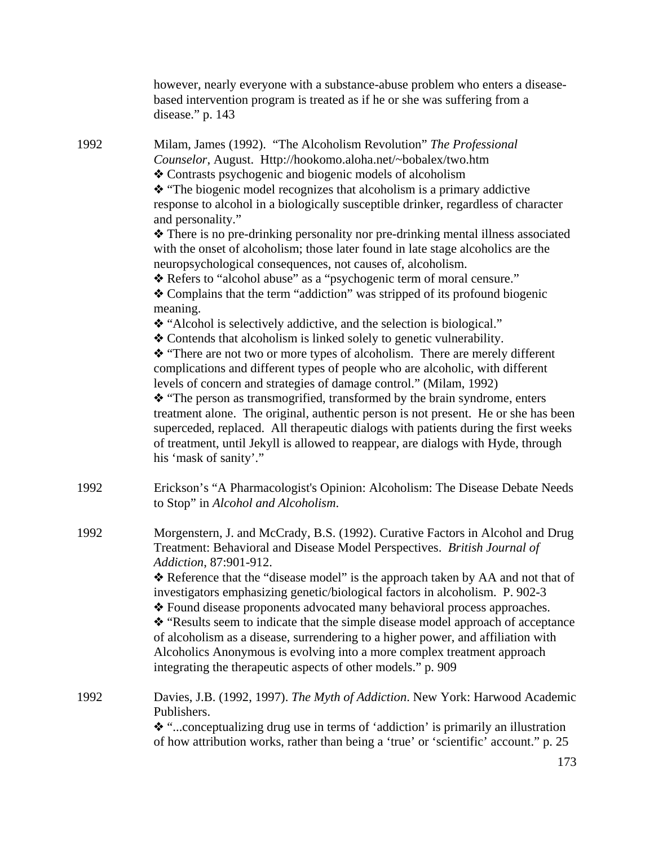|      | however, nearly everyone with a substance-abuse problem who enters a disease-<br>based intervention program is treated as if he or she was suffering from a<br>disease." p. 143                                                                                                                                                                                                                                                                                                                                                                                                                                                                                                                                                                                 |
|------|-----------------------------------------------------------------------------------------------------------------------------------------------------------------------------------------------------------------------------------------------------------------------------------------------------------------------------------------------------------------------------------------------------------------------------------------------------------------------------------------------------------------------------------------------------------------------------------------------------------------------------------------------------------------------------------------------------------------------------------------------------------------|
| 1992 | Milam, James (1992). "The Alcoholism Revolution" The Professional<br>Counselor, August. Http://hookomo.aloha.net/~bobalex/two.htm<br>❖ Contrasts psychogenic and biogenic models of alcoholism<br>* "The biogenic model recognizes that alcoholism is a primary addictive<br>response to alcohol in a biologically susceptible drinker, regardless of character<br>and personality."<br>There is no pre-drinking personality nor pre-drinking mental illness associated<br>with the onset of alcoholism; those later found in late stage alcoholics are the<br>neuropsychological consequences, not causes of, alcoholism.                                                                                                                                      |
|      | * Refers to "alcohol abuse" as a "psychogenic term of moral censure."<br>❖ Complains that the term "addiction" was stripped of its profound biogenic<br>meaning.                                                                                                                                                                                                                                                                                                                                                                                                                                                                                                                                                                                                |
|      | * "Alcohol is selectively addictive, and the selection is biological."<br>❖ Contends that alcoholism is linked solely to genetic vulnerability.<br>* "There are not two or more types of alcoholism. There are merely different<br>complications and different types of people who are alcoholic, with different<br>levels of concern and strategies of damage control." (Milam, 1992)<br>* "The person as transmogrified, transformed by the brain syndrome, enters<br>treatment alone. The original, authentic person is not present. He or she has been<br>superceded, replaced. All therapeutic dialogs with patients during the first weeks<br>of treatment, until Jekyll is allowed to reappear, are dialogs with Hyde, through<br>his 'mask of sanity'." |
| 1992 | Erickson's "A Pharmacologist's Opinion: Alcoholism: The Disease Debate Needs<br>to Stop" in Alcohol and Alcoholism.                                                                                                                                                                                                                                                                                                                                                                                                                                                                                                                                                                                                                                             |
| 1992 | Morgenstern, J. and McCrady, B.S. (1992). Curative Factors in Alcohol and Drug<br>Treatment: Behavioral and Disease Model Perspectives. British Journal of<br>Addiction, 87:901-912.<br>◆ Reference that the "disease model" is the approach taken by AA and not that of<br>investigators emphasizing genetic/biological factors in alcoholism. P. 902-3<br>* Found disease proponents advocated many behavioral process approaches.<br>* "Results seem to indicate that the simple disease model approach of acceptance<br>of alcoholism as a disease, surrendering to a higher power, and affiliation with<br>Alcoholics Anonymous is evolving into a more complex treatment approach<br>integrating the therapeutic aspects of other models." p. 909         |
| 1992 | Davies, J.B. (1992, 1997). The Myth of Addiction. New York: Harwood Academic<br>Publishers.<br><b>❖</b> "conceptualizing drug use in terms of 'addiction' is primarily an illustration<br>of how attribution works, rather than being a 'true' or 'scientific' account." p. 25                                                                                                                                                                                                                                                                                                                                                                                                                                                                                  |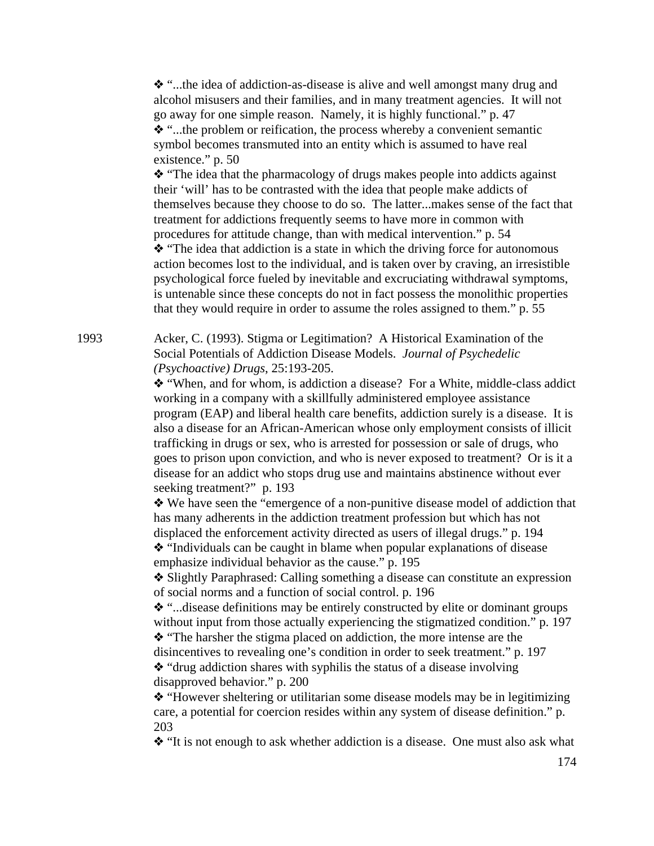˜ "...the idea of addiction-as-disease is alive and well amongst many drug and alcohol misusers and their families, and in many treatment agencies. It will not go away for one simple reason. Namely, it is highly functional." p. 47 ˜ "...the problem or reification, the process whereby a convenient semantic symbol becomes transmuted into an entity which is assumed to have real existence." p. 50

˜ "The idea that the pharmacology of drugs makes people into addicts against their 'will' has to be contrasted with the idea that people make addicts of themselves because they choose to do so. The latter...makes sense of the fact that treatment for addictions frequently seems to have more in common with procedures for attitude change, than with medical intervention." p. 54

˜ "The idea that addiction is a state in which the driving force for autonomous action becomes lost to the individual, and is taken over by craving, an irresistible psychological force fueled by inevitable and excruciating withdrawal symptoms, is untenable since these concepts do not in fact possess the monolithic properties that they would require in order to assume the roles assigned to them." p. 55

1993 Acker, C. (1993). Stigma or Legitimation? A Historical Examination of the Social Potentials of Addiction Disease Models. *Journal of Psychedelic (Psychoactive) Drugs*, 25:193-205.

> ˜ "When, and for whom, is addiction a disease? For a White, middle-class addict working in a company with a skillfully administered employee assistance program (EAP) and liberal health care benefits, addiction surely is a disease. It is also a disease for an African-American whose only employment consists of illicit trafficking in drugs or sex, who is arrested for possession or sale of drugs, who goes to prison upon conviction, and who is never exposed to treatment? Or is it a disease for an addict who stops drug use and maintains abstinence without ever seeking treatment?" p. 193

> ˜ We have seen the "emergence of a non-punitive disease model of addiction that has many adherents in the addiction treatment profession but which has not displaced the enforcement activity directed as users of illegal drugs." p. 194

˜ "Individuals can be caught in blame when popular explanations of disease emphasize individual behavior as the cause." p. 195

˜ Slightly Paraphrased: Calling something a disease can constitute an expression of social norms and a function of social control. p. 196

˜ "...disease definitions may be entirely constructed by elite or dominant groups without input from those actually experiencing the stigmatized condition." p. 197 ˜ "The harsher the stigma placed on addiction, the more intense are the

disincentives to revealing one's condition in order to seek treatment." p. 197 ˜ "drug addiction shares with syphilis the status of a disease involving disapproved behavior." p. 200

˜ "However sheltering or utilitarian some disease models may be in legitimizing care, a potential for coercion resides within any system of disease definition." p. 203

˜ "It is not enough to ask whether addiction is a disease. One must also ask what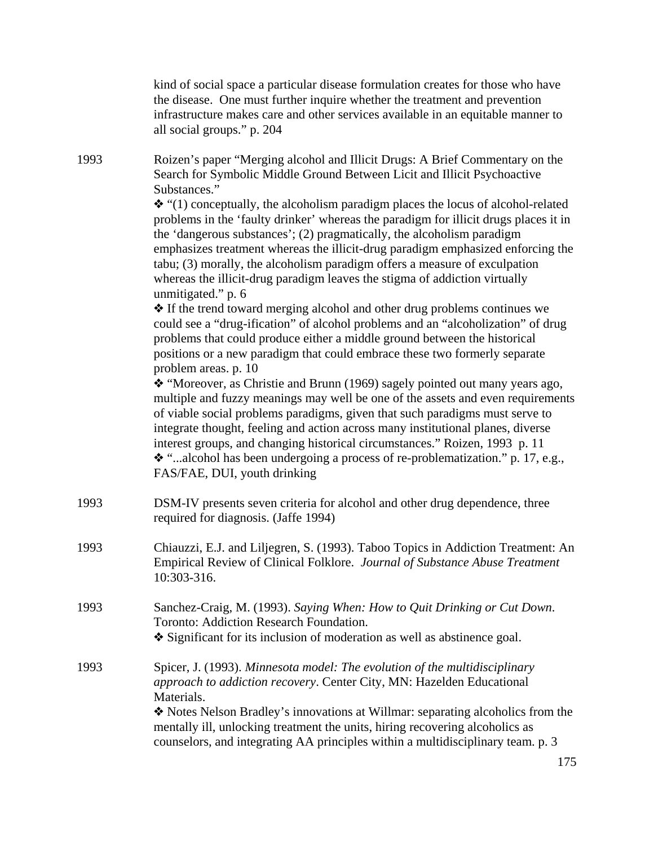|      | kind of social space a particular disease formulation creates for those who have<br>the disease. One must further inquire whether the treatment and prevention<br>infrastructure makes care and other services available in an equitable manner to<br>all social groups." p. 204                                                                                                                                                                                                                                                    |
|------|-------------------------------------------------------------------------------------------------------------------------------------------------------------------------------------------------------------------------------------------------------------------------------------------------------------------------------------------------------------------------------------------------------------------------------------------------------------------------------------------------------------------------------------|
| 1993 | Roizen's paper "Merging alcohol and Illicit Drugs: A Brief Commentary on the<br>Search for Symbolic Middle Ground Between Licit and Illicit Psychoactive<br>Substances."                                                                                                                                                                                                                                                                                                                                                            |
|      | $\cdot$ "(1) conceptually, the alcoholism paradigm places the locus of alcohol-related<br>problems in the 'faulty drinker' whereas the paradigm for illicit drugs places it in<br>the 'dangerous substances'; (2) pragmatically, the alcoholism paradigm<br>emphasizes treatment whereas the illicit-drug paradigm emphasized enforcing the<br>tabu; (3) morally, the alcoholism paradigm offers a measure of exculpation<br>whereas the illicit-drug paradigm leaves the stigma of addiction virtually<br>unmitigated." p. 6       |
|      | ◆ If the trend toward merging alcohol and other drug problems continues we<br>could see a "drug-ification" of alcohol problems and an "alcoholization" of drug<br>problems that could produce either a middle ground between the historical<br>positions or a new paradigm that could embrace these two formerly separate<br>problem areas. p. 10                                                                                                                                                                                   |
|      | * "Moreover, as Christie and Brunn (1969) sagely pointed out many years ago,<br>multiple and fuzzy meanings may well be one of the assets and even requirements<br>of viable social problems paradigms, given that such paradigms must serve to<br>integrate thought, feeling and action across many institutional planes, diverse<br>interest groups, and changing historical circumstances." Roizen, 1993 p. 11<br>* "alcohol has been undergoing a process of re-problematization." p. 17, e.g.,<br>FAS/FAE, DUI, youth drinking |
| 1993 | DSM-IV presents seven criteria for alcohol and other drug dependence, three<br>required for diagnosis. (Jaffe 1994)                                                                                                                                                                                                                                                                                                                                                                                                                 |
| 1993 | Chiauzzi, E.J. and Liljegren, S. (1993). Taboo Topics in Addiction Treatment: An<br>Empirical Review of Clinical Folklore. Journal of Substance Abuse Treatment<br>10:303-316.                                                                                                                                                                                                                                                                                                                                                      |
| 1993 | Sanchez-Craig, M. (1993). Saying When: How to Quit Drinking or Cut Down.<br>Toronto: Addiction Research Foundation.<br>Significant for its inclusion of moderation as well as abstinence goal.                                                                                                                                                                                                                                                                                                                                      |
| 1993 | Spicer, J. (1993). Minnesota model: The evolution of the multidisciplinary<br>approach to addiction recovery. Center City, MN: Hazelden Educational<br>Materials.                                                                                                                                                                                                                                                                                                                                                                   |
|      | * Notes Nelson Bradley's innovations at Willmar: separating alcoholics from the<br>mentally ill, unlocking treatment the units, hiring recovering alcoholics as<br>counselors, and integrating AA principles within a multidisciplinary team. p. 3                                                                                                                                                                                                                                                                                  |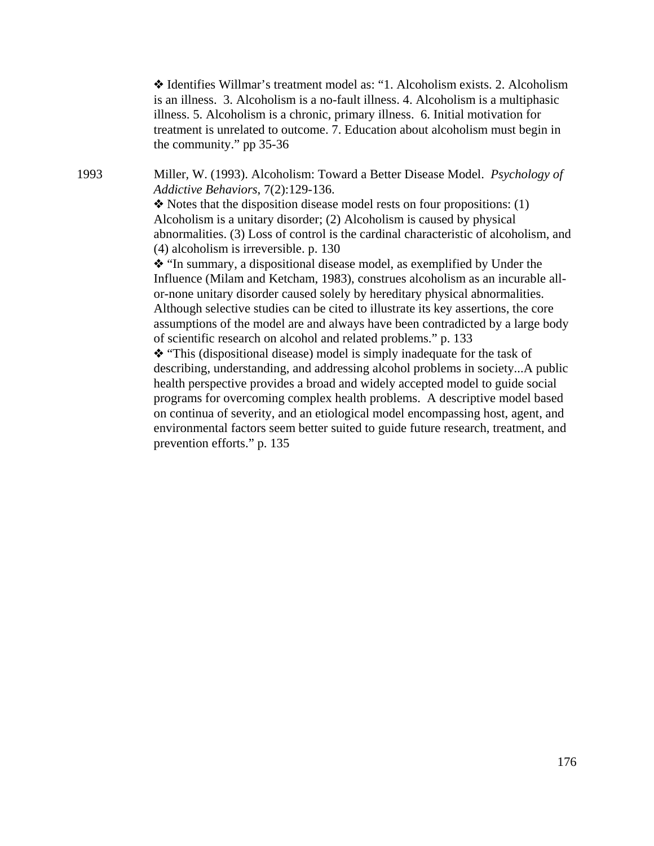˜ Identifies Willmar's treatment model as: "1. Alcoholism exists. 2. Alcoholism is an illness. 3. Alcoholism is a no-fault illness. 4. Alcoholism is a multiphasic illness. 5. Alcoholism is a chronic, primary illness. 6. Initial motivation for treatment is unrelated to outcome. 7. Education about alcoholism must begin in the community." pp 35-36

1993 Miller, W. (1993). Alcoholism: Toward a Better Disease Model. *Psychology of Addictive Behaviors*, 7(2):129-136.

> $\triangleleft$  Notes that the disposition disease model rests on four propositions: (1) Alcoholism is a unitary disorder; (2) Alcoholism is caused by physical abnormalities. (3) Loss of control is the cardinal characteristic of alcoholism, and (4) alcoholism is irreversible. p. 130

> ˜ "In summary, a dispositional disease model, as exemplified by Under the Influence (Milam and Ketcham, 1983), construes alcoholism as an incurable allor-none unitary disorder caused solely by hereditary physical abnormalities. Although selective studies can be cited to illustrate its key assertions, the core assumptions of the model are and always have been contradicted by a large body of scientific research on alcohol and related problems." p. 133

> ˜ "This (dispositional disease) model is simply inadequate for the task of describing, understanding, and addressing alcohol problems in society...A public health perspective provides a broad and widely accepted model to guide social programs for overcoming complex health problems. A descriptive model based on continua of severity, and an etiological model encompassing host, agent, and environmental factors seem better suited to guide future research, treatment, and prevention efforts." p. 135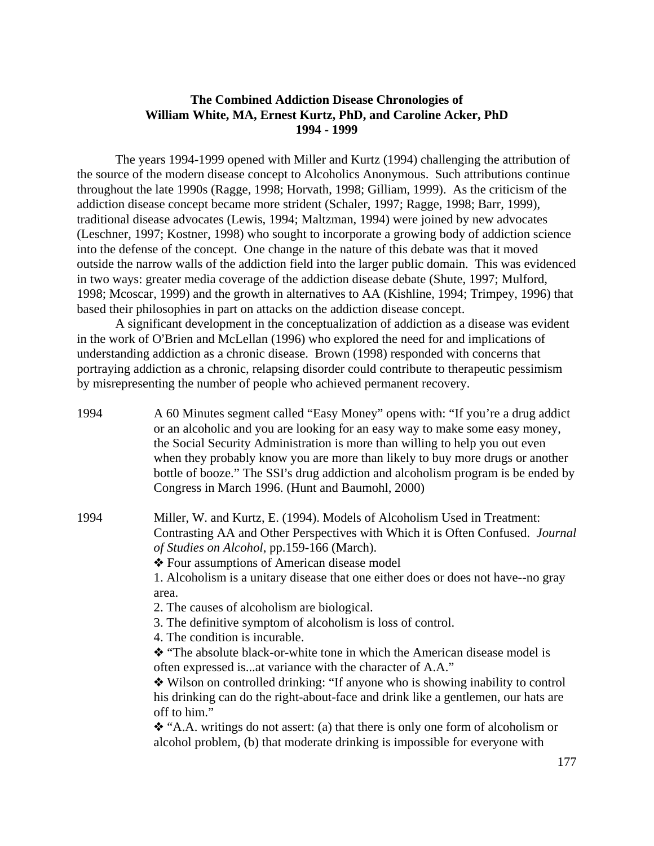## **The Combined Addiction Disease Chronologies of William White, MA, Ernest Kurtz, PhD, and Caroline Acker, PhD 1994 - 1999**

The years 1994-1999 opened with Miller and Kurtz (1994) challenging the attribution of the source of the modern disease concept to Alcoholics Anonymous. Such attributions continue throughout the late 1990s (Ragge, 1998; Horvath, 1998; Gilliam, 1999). As the criticism of the addiction disease concept became more strident (Schaler, 1997; Ragge, 1998; Barr, 1999), traditional disease advocates (Lewis, 1994; Maltzman, 1994) were joined by new advocates (Leschner, 1997; Kostner, 1998) who sought to incorporate a growing body of addiction science into the defense of the concept. One change in the nature of this debate was that it moved outside the narrow walls of the addiction field into the larger public domain. This was evidenced in two ways: greater media coverage of the addiction disease debate (Shute, 1997; Mulford, 1998; Mcoscar, 1999) and the growth in alternatives to AA (Kishline, 1994; Trimpey, 1996) that based their philosophies in part on attacks on the addiction disease concept.

A significant development in the conceptualization of addiction as a disease was evident in the work of O'Brien and McLellan (1996) who explored the need for and implications of understanding addiction as a chronic disease. Brown (1998) responded with concerns that portraying addiction as a chronic, relapsing disorder could contribute to therapeutic pessimism by misrepresenting the number of people who achieved permanent recovery.

| 1994 | A 60 Minutes segment called "Easy Money" opens with: "If you're a drug addict<br>or an alcoholic and you are looking for an easy way to make some easy money,<br>the Social Security Administration is more than willing to help you out even<br>when they probably know you are more than likely to buy more drugs or another<br>bottle of booze." The SSI's drug addiction and alcoholism program is be ended by<br>Congress in March 1996. (Hunt and Baumohl, 2000)                                                                                                                                        |
|------|---------------------------------------------------------------------------------------------------------------------------------------------------------------------------------------------------------------------------------------------------------------------------------------------------------------------------------------------------------------------------------------------------------------------------------------------------------------------------------------------------------------------------------------------------------------------------------------------------------------|
| 1994 | Miller, W. and Kurtz, E. (1994). Models of Alcoholism Used in Treatment:<br>Contrasting AA and Other Perspectives with Which it is Often Confused. Journal<br>of Studies on Alcohol, pp.159-166 (March).<br>❖ Four assumptions of American disease model<br>1. Alcoholism is a unitary disease that one either does or does not have--no gray<br>area.<br>2. The causes of alcoholism are biological.                                                                                                                                                                                                         |
|      | 3. The definitive symptom of alcoholism is loss of control.<br>4. The condition is incurable.<br>* "The absolute black-or-white tone in which the American disease model is<br>often expressed isat variance with the character of A.A."<br>◆ Wilson on controlled drinking: "If anyone who is showing inability to control<br>his drinking can do the right-about-face and drink like a gentlemen, our hats are<br>off to him."<br>$\triangle$ "A.A. writings do not assert: (a) that there is only one form of alcoholism or<br>alcohol problem, (b) that moderate drinking is impossible for everyone with |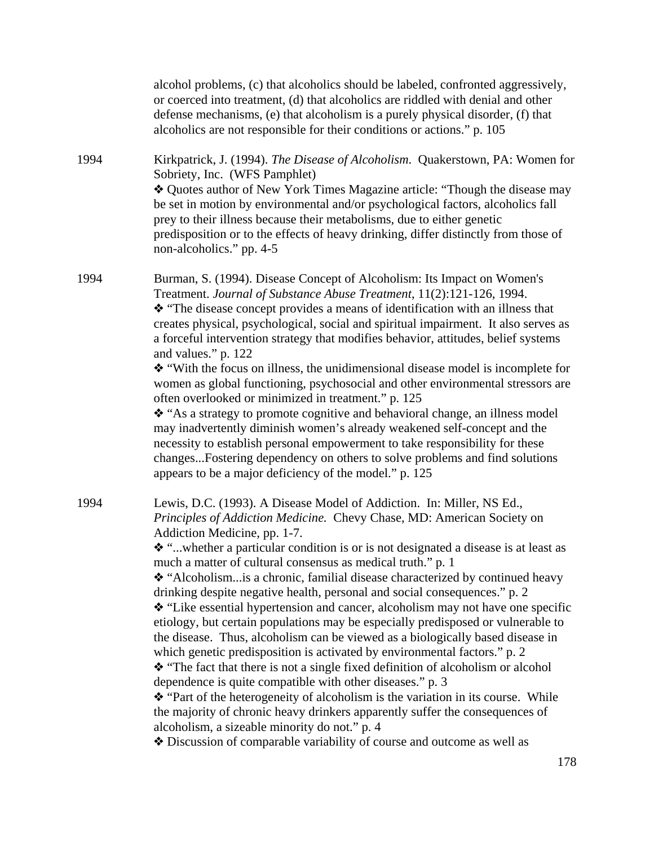|      | alcohol problems, (c) that alcoholics should be labeled, confronted aggressively,<br>or coerced into treatment, (d) that alcoholics are riddled with denial and other<br>defense mechanisms, (e) that alcoholism is a purely physical disorder, (f) that<br>alcoholics are not responsible for their conditions or actions." p. 105                                                                                                                                                                                                                                                                                                                                                                                                                                                                                                                                                                                                                                                                                                                                                                                                                                                                                                                                                     |
|------|-----------------------------------------------------------------------------------------------------------------------------------------------------------------------------------------------------------------------------------------------------------------------------------------------------------------------------------------------------------------------------------------------------------------------------------------------------------------------------------------------------------------------------------------------------------------------------------------------------------------------------------------------------------------------------------------------------------------------------------------------------------------------------------------------------------------------------------------------------------------------------------------------------------------------------------------------------------------------------------------------------------------------------------------------------------------------------------------------------------------------------------------------------------------------------------------------------------------------------------------------------------------------------------------|
| 1994 | Kirkpatrick, J. (1994). The Disease of Alcoholism. Quakerstown, PA: Women for<br>Sobriety, Inc. (WFS Pamphlet)<br>* Quotes author of New York Times Magazine article: "Though the disease may<br>be set in motion by environmental and/or psychological factors, alcoholics fall<br>prey to their illness because their metabolisms, due to either genetic<br>predisposition or to the effects of heavy drinking, differ distinctly from those of<br>non-alcoholics." pp. 4-5                                                                                                                                                                                                                                                                                                                                                                                                                                                                                                                                                                                                                                                                                                                                                                                                           |
| 1994 | Burman, S. (1994). Disease Concept of Alcoholism: Its Impact on Women's<br>Treatment. Journal of Substance Abuse Treatment, 11(2):121-126, 1994.<br>* "The disease concept provides a means of identification with an illness that<br>creates physical, psychological, social and spiritual impairment. It also serves as<br>a forceful intervention strategy that modifies behavior, attitudes, belief systems<br>and values." p. 122<br>With the focus on illness, the unidimensional disease model is incomplete for<br>women as global functioning, psychosocial and other environmental stressors are<br>often overlooked or minimized in treatment." p. 125<br>* "As a strategy to promote cognitive and behavioral change, an illness model<br>may inadvertently diminish women's already weakened self-concept and the<br>necessity to establish personal empowerment to take responsibility for these<br>changesFostering dependency on others to solve problems and find solutions<br>appears to be a major deficiency of the model." p. 125                                                                                                                                                                                                                                  |
| 1994 | Lewis, D.C. (1993). A Disease Model of Addiction. In: Miller, NS Ed.,<br>Principles of Addiction Medicine. Chevy Chase, MD: American Society on<br>Addiction Medicine, pp. 1-7.<br>• "whether a particular condition is or is not designated a disease is at least as<br>much a matter of cultural consensus as medical truth." p. 1<br>* "Alcoholismis a chronic, familial disease characterized by continued heavy<br>drinking despite negative health, personal and social consequences." p. 2<br>• "Like essential hypertension and cancer, alcoholism may not have one specific<br>etiology, but certain populations may be especially predisposed or vulnerable to<br>the disease. Thus, alcoholism can be viewed as a biologically based disease in<br>which genetic predisposition is activated by environmental factors." p. 2<br>• The fact that there is not a single fixed definition of alcoholism or alcohol<br>dependence is quite compatible with other diseases." p. 3<br>❖ "Part of the heterogeneity of alcoholism is the variation in its course. While<br>the majority of chronic heavy drinkers apparently suffer the consequences of<br>alcoholism, a sizeable minority do not." p. 4<br>◆ Discussion of comparable variability of course and outcome as well as |
|      | 178                                                                                                                                                                                                                                                                                                                                                                                                                                                                                                                                                                                                                                                                                                                                                                                                                                                                                                                                                                                                                                                                                                                                                                                                                                                                                     |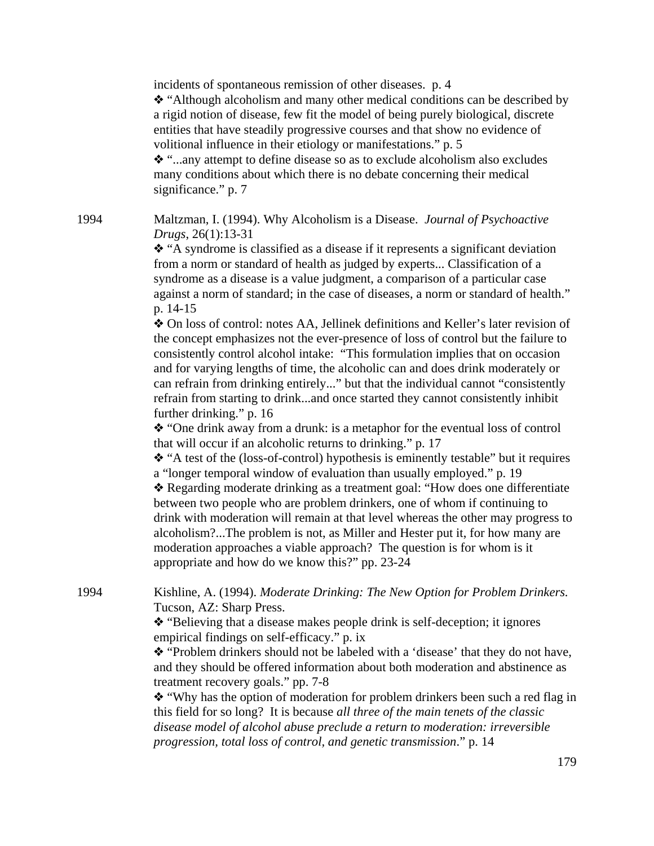incidents of spontaneous remission of other diseases. p. 4

˜ "Although alcoholism and many other medical conditions can be described by a rigid notion of disease, few fit the model of being purely biological, discrete entities that have steadily progressive courses and that show no evidence of volitional influence in their etiology or manifestations." p. 5

˜ "...any attempt to define disease so as to exclude alcoholism also excludes many conditions about which there is no debate concerning their medical significance." p. 7

1994 Maltzman, I. (1994). Why Alcoholism is a Disease. *Journal of Psychoactive Drugs*, 26(1):13-31

> ˜ "A syndrome is classified as a disease if it represents a significant deviation from a norm or standard of health as judged by experts... Classification of a syndrome as a disease is a value judgment, a comparison of a particular case against a norm of standard; in the case of diseases, a norm or standard of health." p. 14-15

> ˜ On loss of control: notes AA, Jellinek definitions and Keller's later revision of the concept emphasizes not the ever-presence of loss of control but the failure to consistently control alcohol intake: "This formulation implies that on occasion and for varying lengths of time, the alcoholic can and does drink moderately or can refrain from drinking entirely..." but that the individual cannot "consistently refrain from starting to drink...and once started they cannot consistently inhibit further drinking." p. 16

˜ "One drink away from a drunk: is a metaphor for the eventual loss of control that will occur if an alcoholic returns to drinking." p. 17

˜ "A test of the (loss-of-control) hypothesis is eminently testable" but it requires a "longer temporal window of evaluation than usually employed." p. 19

˜ Regarding moderate drinking as a treatment goal: "How does one differentiate between two people who are problem drinkers, one of whom if continuing to drink with moderation will remain at that level whereas the other may progress to alcoholism?...The problem is not, as Miller and Hester put it, for how many are moderation approaches a viable approach? The question is for whom is it appropriate and how do we know this?" pp. 23-24

1994 Kishline, A. (1994). *Moderate Drinking: The New Option for Problem Drinkers.* Tucson, AZ: Sharp Press.

> ˜ "Believing that a disease makes people drink is self-deception; it ignores empirical findings on self-efficacy." p. ix

˜ "Problem drinkers should not be labeled with a 'disease' that they do not have, and they should be offered information about both moderation and abstinence as treatment recovery goals." pp. 7-8

˜ "Why has the option of moderation for problem drinkers been such a red flag in this field for so long? It is because *all three of the main tenets of the classic disease model of alcohol abuse preclude a return to moderation: irreversible progression, total loss of control, and genetic transmission*." p. 14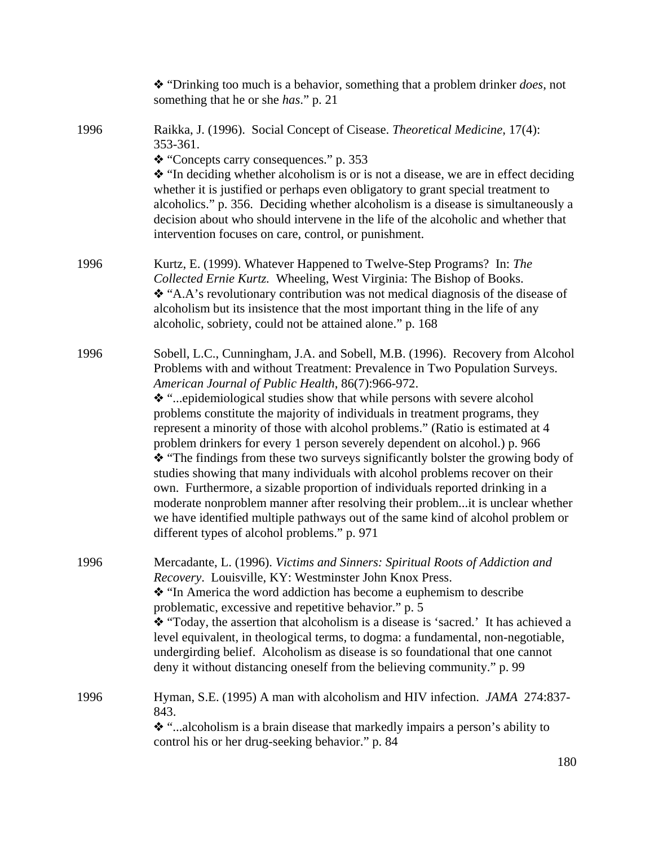|      | ❖ "Drinking too much is a behavior, something that a problem drinker <i>does</i> , not<br>something that he or she has." p. 21                                                                                                                                                                                                                                                                                                                                                                                                                                                                                                                                                                                                                                                                                                                                                                                                                                                                                    |
|------|-------------------------------------------------------------------------------------------------------------------------------------------------------------------------------------------------------------------------------------------------------------------------------------------------------------------------------------------------------------------------------------------------------------------------------------------------------------------------------------------------------------------------------------------------------------------------------------------------------------------------------------------------------------------------------------------------------------------------------------------------------------------------------------------------------------------------------------------------------------------------------------------------------------------------------------------------------------------------------------------------------------------|
| 1996 | Raikka, J. (1996). Social Concept of Cisease. Theoretical Medicine, 17(4):<br>353-361.<br>* "Concepts carry consequences." p. 353<br>* "In deciding whether alcoholism is or is not a disease, we are in effect deciding<br>whether it is justified or perhaps even obligatory to grant special treatment to<br>alcoholics." p. 356. Deciding whether alcoholism is a disease is simultaneously a<br>decision about who should intervene in the life of the alcoholic and whether that<br>intervention focuses on care, control, or punishment.                                                                                                                                                                                                                                                                                                                                                                                                                                                                   |
| 1996 | Kurtz, E. (1999). Whatever Happened to Twelve-Step Programs? In: The<br>Collected Ernie Kurtz. Wheeling, West Virginia: The Bishop of Books.<br>* "A.A's revolutionary contribution was not medical diagnosis of the disease of<br>alcoholism but its insistence that the most important thing in the life of any<br>alcoholic, sobriety, could not be attained alone." p. 168                                                                                                                                                                                                                                                                                                                                                                                                                                                                                                                                                                                                                                    |
| 1996 | Sobell, L.C., Cunningham, J.A. and Sobell, M.B. (1996). Recovery from Alcohol<br>Problems with and without Treatment: Prevalence in Two Population Surveys.<br>American Journal of Public Health, 86(7):966-972.<br>❖ "epidemiological studies show that while persons with severe alcohol<br>problems constitute the majority of individuals in treatment programs, they<br>represent a minority of those with alcohol problems." (Ratio is estimated at 4<br>problem drinkers for every 1 person severely dependent on alcohol.) p. 966<br>* "The findings from these two surveys significantly bolster the growing body of<br>studies showing that many individuals with alcohol problems recover on their<br>own. Furthermore, a sizable proportion of individuals reported drinking in a<br>moderate nonproblem manner after resolving their problemit is unclear whether<br>we have identified multiple pathways out of the same kind of alcohol problem or<br>different types of alcohol problems." p. 971 |
| 1996 | Mercadante, L. (1996). Victims and Sinners: Spiritual Roots of Addiction and<br>Recovery. Louisville, KY: Westminster John Knox Press.<br>• "In America the word addiction has become a euphemism to describe<br>problematic, excessive and repetitive behavior." p. 5<br>* "Today, the assertion that alcoholism is a disease is 'sacred.' It has achieved a<br>level equivalent, in theological terms, to dogma: a fundamental, non-negotiable,<br>undergirding belief. Alcoholism as disease is so foundational that one cannot<br>deny it without distancing oneself from the believing community." p. 99                                                                                                                                                                                                                                                                                                                                                                                                     |
| 1996 | Hyman, S.E. (1995) A man with alcoholism and HIV infection. <i>JAMA</i> 274:837-<br>843.<br>• "alcoholism is a brain disease that markedly impairs a person's ability to<br>control his or her drug-seeking behavior." p. 84                                                                                                                                                                                                                                                                                                                                                                                                                                                                                                                                                                                                                                                                                                                                                                                      |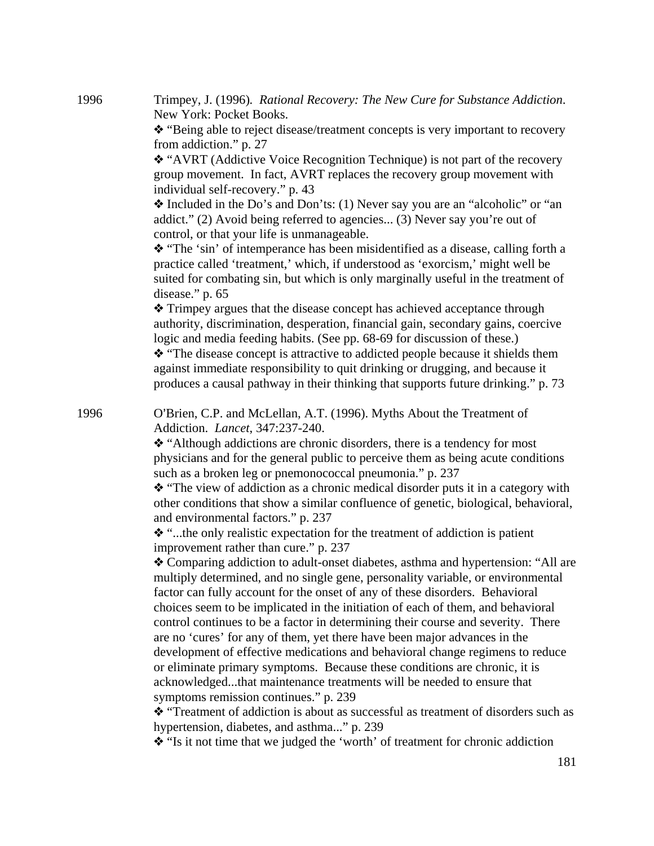1996 Trimpey, J. (1996)*. Rational Recovery: The New Cure for Substance Addiction*. New York: Pocket Books.

> ˜ "Being able to reject disease/treatment concepts is very important to recovery from addiction." p. 27

> ˜ "AVRT (Addictive Voice Recognition Technique) is not part of the recovery group movement. In fact, AVRT replaces the recovery group movement with individual self-recovery." p. 43

> ˜ Included in the Do's and Don'ts: (1) Never say you are an "alcoholic" or "an addict." (2) Avoid being referred to agencies... (3) Never say you're out of control, or that your life is unmanageable.

> ˜ "The 'sin' of intemperance has been misidentified as a disease, calling forth a practice called 'treatment,' which, if understood as 'exorcism,' might well be suited for combating sin, but which is only marginally useful in the treatment of disease." p. 65

> ˜ Trimpey argues that the disease concept has achieved acceptance through authority, discrimination, desperation, financial gain, secondary gains, coercive logic and media feeding habits. (See pp. 68-69 for discussion of these.)

> ˜ "The disease concept is attractive to addicted people because it shields them against immediate responsibility to quit drinking or drugging, and because it produces a causal pathway in their thinking that supports future drinking." p. 73

1996 O'Brien, C.P. and McLellan, A.T. (1996). Myths About the Treatment of Addiction. *Lancet*, 347:237-240.

> ˜ "Although addictions are chronic disorders, there is a tendency for most physicians and for the general public to perceive them as being acute conditions such as a broken leg or pnemonococcal pneumonia." p. 237

˜ "The view of addiction as a chronic medical disorder puts it in a category with other conditions that show a similar confluence of genetic, biological, behavioral, and environmental factors." p. 237

˜ "...the only realistic expectation for the treatment of addiction is patient improvement rather than cure." p. 237

˜ Comparing addiction to adult-onset diabetes, asthma and hypertension: "All are multiply determined, and no single gene, personality variable, or environmental factor can fully account for the onset of any of these disorders. Behavioral choices seem to be implicated in the initiation of each of them, and behavioral control continues to be a factor in determining their course and severity. There are no 'cures' for any of them, yet there have been major advances in the development of effective medications and behavioral change regimens to reduce or eliminate primary symptoms. Because these conditions are chronic, it is acknowledged...that maintenance treatments will be needed to ensure that symptoms remission continues." p. 239

˜ "Treatment of addiction is about as successful as treatment of disorders such as hypertension, diabetes, and asthma..." p. 239

˜ "Is it not time that we judged the 'worth' of treatment for chronic addiction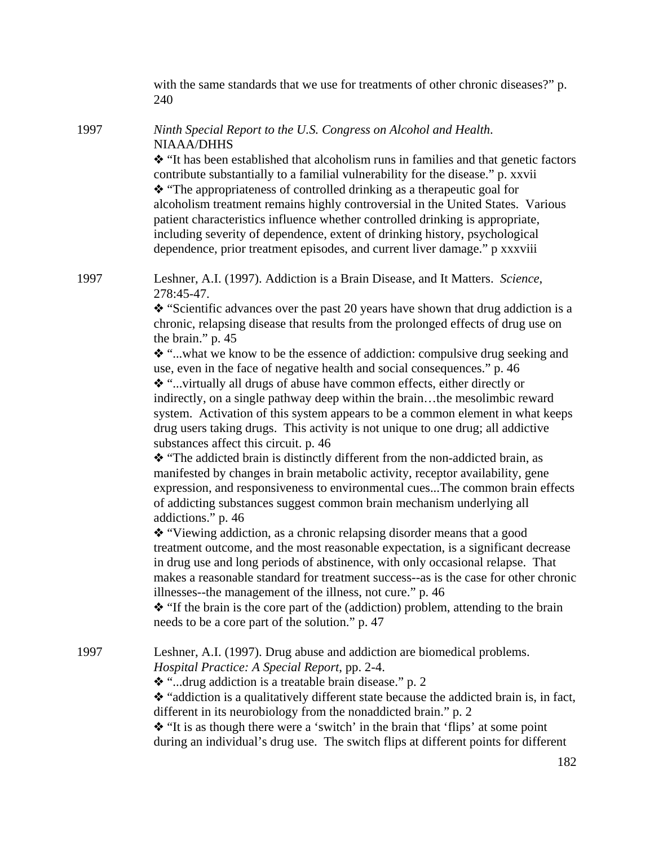|      | with the same standards that we use for treatments of other chronic diseases?" p.<br>240                                                                                                                                                                                                                                                                                                                                                                                                                                                                                                   |
|------|--------------------------------------------------------------------------------------------------------------------------------------------------------------------------------------------------------------------------------------------------------------------------------------------------------------------------------------------------------------------------------------------------------------------------------------------------------------------------------------------------------------------------------------------------------------------------------------------|
| 1997 | Ninth Special Report to the U.S. Congress on Alcohol and Health.<br>NIAAA/DHHS                                                                                                                                                                                                                                                                                                                                                                                                                                                                                                             |
|      | <b>❖</b> "It has been established that alcoholism runs in families and that genetic factors<br>contribute substantially to a familial vulnerability for the disease." p. xxvii<br>* "The appropriateness of controlled drinking as a therapeutic goal for<br>alcoholism treatment remains highly controversial in the United States. Various<br>patient characteristics influence whether controlled drinking is appropriate,<br>including severity of dependence, extent of drinking history, psychological<br>dependence, prior treatment episodes, and current liver damage." p xxxviii |
| 1997 | Leshner, A.I. (1997). Addiction is a Brain Disease, and It Matters. Science,<br>278:45-47.                                                                                                                                                                                                                                                                                                                                                                                                                                                                                                 |
|      | <b>❖</b> "Scientific advances over the past 20 years have shown that drug addiction is a<br>chronic, relapsing disease that results from the prolonged effects of drug use on<br>the brain." p. 45                                                                                                                                                                                                                                                                                                                                                                                         |
|      | ❖ "what we know to be the essence of addiction: compulsive drug seeking and<br>use, even in the face of negative health and social consequences." p. 46                                                                                                                                                                                                                                                                                                                                                                                                                                    |
|      | ◆ "virtually all drugs of abuse have common effects, either directly or                                                                                                                                                                                                                                                                                                                                                                                                                                                                                                                    |
|      | indirectly, on a single pathway deep within the brainthe mesolimbic reward<br>system. Activation of this system appears to be a common element in what keeps<br>drug users taking drugs. This activity is not unique to one drug; all addictive<br>substances affect this circuit. p. 46                                                                                                                                                                                                                                                                                                   |
|      | * "The addicted brain is distinctly different from the non-addicted brain, as<br>manifested by changes in brain metabolic activity, receptor availability, gene<br>expression, and responsiveness to environmental cuesThe common brain effects<br>of addicting substances suggest common brain mechanism underlying all<br>addictions." p. 46                                                                                                                                                                                                                                             |
|      | ❖ "Viewing addiction, as a chronic relapsing disorder means that a good<br>treatment outcome, and the most reasonable expectation, is a significant decrease<br>in drug use and long periods of abstinence, with only occasional relapse. That<br>makes a reasonable standard for treatment success--as is the case for other chronic<br>illnesses--the management of the illness, not cure." p. 46<br>* "If the brain is the core part of the (addiction) problem, attending to the brain<br>needs to be a core part of the solution." p. 47                                              |
| 1997 | Leshner, A.I. (1997). Drug abuse and addiction are biomedical problems.<br>Hospital Practice: A Special Report, pp. 2-4.<br><b>❖</b> "drug addiction is a treatable brain disease." p. 2<br>* "addiction is a qualitatively different state because the addicted brain is, in fact,<br>different in its neurobiology from the nonaddicted brain." p. 2<br><b>❖</b> "It is as though there were a 'switch' in the brain that 'flips' at some point<br>during an individual's drug use. The switch flips at different points for different                                                   |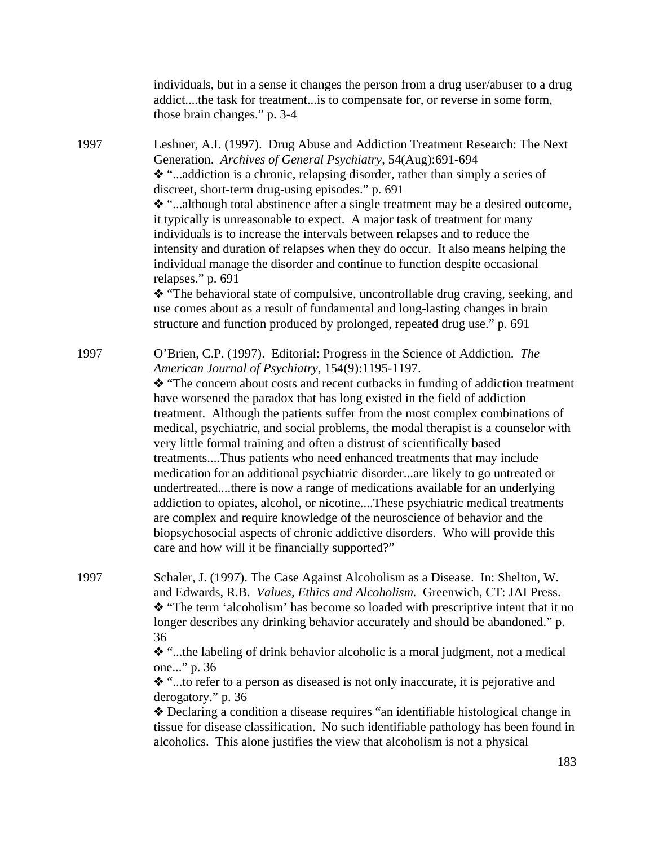|      | individuals, but in a sense it changes the person from a drug user/abuser to a drug<br>addictthe task for treatmentis to compensate for, or reverse in some form,<br>those brain changes." p. 3-4                                                                                                                                                                                                                                                                                                                                                                                                                                                                                                                                                                                                                                                                                                                                                                                                                                                                                                |
|------|--------------------------------------------------------------------------------------------------------------------------------------------------------------------------------------------------------------------------------------------------------------------------------------------------------------------------------------------------------------------------------------------------------------------------------------------------------------------------------------------------------------------------------------------------------------------------------------------------------------------------------------------------------------------------------------------------------------------------------------------------------------------------------------------------------------------------------------------------------------------------------------------------------------------------------------------------------------------------------------------------------------------------------------------------------------------------------------------------|
| 1997 | Leshner, A.I. (1997). Drug Abuse and Addiction Treatment Research: The Next<br>Generation. Archives of General Psychiatry, 54(Aug):691-694<br>❖ "addiction is a chronic, relapsing disorder, rather than simply a series of<br>discreet, short-term drug-using episodes." p. 691<br>* "although total abstinence after a single treatment may be a desired outcome,<br>it typically is unreasonable to expect. A major task of treatment for many<br>individuals is to increase the intervals between relapses and to reduce the<br>intensity and duration of relapses when they do occur. It also means helping the<br>individual manage the disorder and continue to function despite occasional<br>relapses." p. 691<br>* "The behavioral state of compulsive, uncontrollable drug craving, seeking, and<br>use comes about as a result of fundamental and long-lasting changes in brain<br>structure and function produced by prolonged, repeated drug use." p. 691                                                                                                                          |
| 1997 | O'Brien, C.P. (1997). Editorial: Progress in the Science of Addiction. The<br>American Journal of Psychiatry, 154(9):1195-1197.<br>* "The concern about costs and recent cutbacks in funding of addiction treatment<br>have worsened the paradox that has long existed in the field of addiction<br>treatment. Although the patients suffer from the most complex combinations of<br>medical, psychiatric, and social problems, the modal therapist is a counselor with<br>very little formal training and often a distrust of scientifically based<br>treatmentsThus patients who need enhanced treatments that may include<br>medication for an additional psychiatric disorderare likely to go untreated or<br>undertreatedthere is now a range of medications available for an underlying<br>addiction to opiates, alcohol, or nicotineThese psychiatric medical treatments<br>are complex and require knowledge of the neuroscience of behavior and the<br>biopsychosocial aspects of chronic addictive disorders. Who will provide this<br>care and how will it be financially supported?" |
| 1997 | Schaler, J. (1997). The Case Against Alcoholism as a Disease. In: Shelton, W.<br>and Edwards, R.B. Values, Ethics and Alcoholism. Greenwich, CT: JAI Press.<br>* "The term 'alcoholism' has become so loaded with prescriptive intent that it no<br>longer describes any drinking behavior accurately and should be abandoned." p.<br>36<br>* "the labeling of drink behavior alcoholic is a moral judgment, not a medical<br>one" p. 36<br>• "to refer to a person as diseased is not only inaccurate, it is pejorative and<br>derogatory." p. 36                                                                                                                                                                                                                                                                                                                                                                                                                                                                                                                                               |

˜ Declaring a condition a disease requires "an identifiable histological change in tissue for disease classification. No such identifiable pathology has been found in alcoholics. This alone justifies the view that alcoholism is not a physical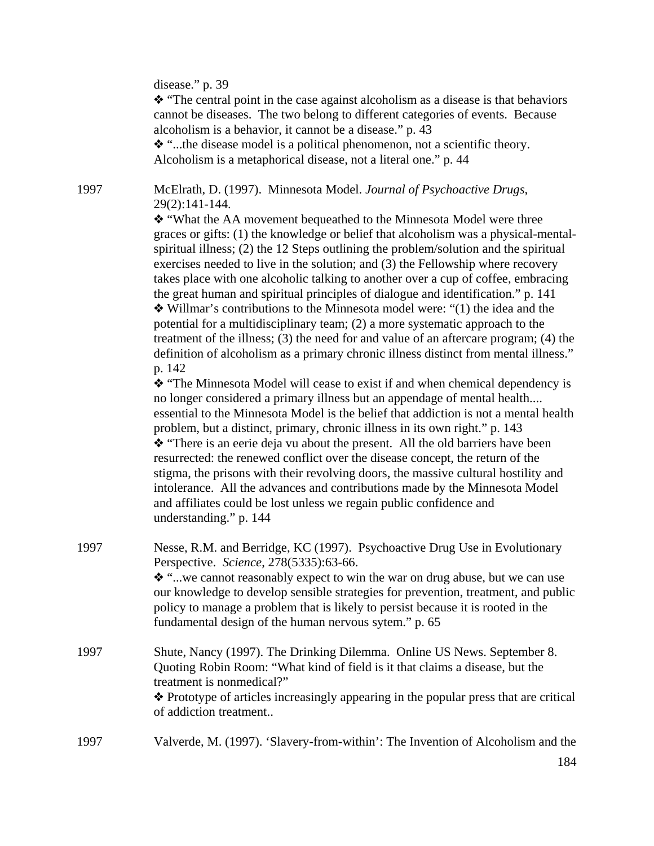disease." p. 39

˜ "The central point in the case against alcoholism as a disease is that behaviors cannot be diseases. The two belong to different categories of events. Because alcoholism is a behavior, it cannot be a disease." p. 43

˜ "...the disease model is a political phenomenon, not a scientific theory. Alcoholism is a metaphorical disease, not a literal one." p. 44

1997 McElrath, D. (1997). Minnesota Model. *Journal of Psychoactive Drugs*, 29(2):141-144.

> ˜ "What the AA movement bequeathed to the Minnesota Model were three graces or gifts: (1) the knowledge or belief that alcoholism was a physical-mentalspiritual illness; (2) the 12 Steps outlining the problem/solution and the spiritual exercises needed to live in the solution; and (3) the Fellowship where recovery takes place with one alcoholic talking to another over a cup of coffee, embracing the great human and spiritual principles of dialogue and identification." p. 141 ˜ Willmar's contributions to the Minnesota model were: "(1) the idea and the potential for a multidisciplinary team; (2) a more systematic approach to the treatment of the illness; (3) the need for and value of an aftercare program; (4) the definition of alcoholism as a primary chronic illness distinct from mental illness." p. 142

> ˜ "The Minnesota Model will cease to exist if and when chemical dependency is no longer considered a primary illness but an appendage of mental health.... essential to the Minnesota Model is the belief that addiction is not a mental health problem, but a distinct, primary, chronic illness in its own right." p. 143 ˜ "There is an eerie deja vu about the present. All the old barriers have been resurrected: the renewed conflict over the disease concept, the return of the stigma, the prisons with their revolving doors, the massive cultural hostility and intolerance. All the advances and contributions made by the Minnesota Model and affiliates could be lost unless we regain public confidence and understanding." p. 144

| Nesse, R.M. and Berridge, KC (1997). Psychoactive Drug Use in Evolutionary                                                                                                                                                                                                                                     |  |  |
|----------------------------------------------------------------------------------------------------------------------------------------------------------------------------------------------------------------------------------------------------------------------------------------------------------------|--|--|
| Perspective. Science, 278(5335):63-66.                                                                                                                                                                                                                                                                         |  |  |
| • "we cannot reasonably expect to win the war on drug abuse, but we can use<br>our knowledge to develop sensible strategies for prevention, treatment, and public<br>policy to manage a problem that is likely to persist because it is rooted in the<br>fundamental design of the human nervous sytem." p. 65 |  |  |
| Shute, Nancy (1997). The Drinking Dilemma. Online US News. September 8.<br>Quoting Robin Room: "What kind of field is it that claims a disease, but the<br>treatment is nonmedical?"                                                                                                                           |  |  |
| ❖ Prototype of articles increasingly appearing in the popular press that are critical<br>of addiction treatment                                                                                                                                                                                                |  |  |
|                                                                                                                                                                                                                                                                                                                |  |  |

184 1997 Valverde, M. (1997). 'Slavery-from-within': The Invention of Alcoholism and the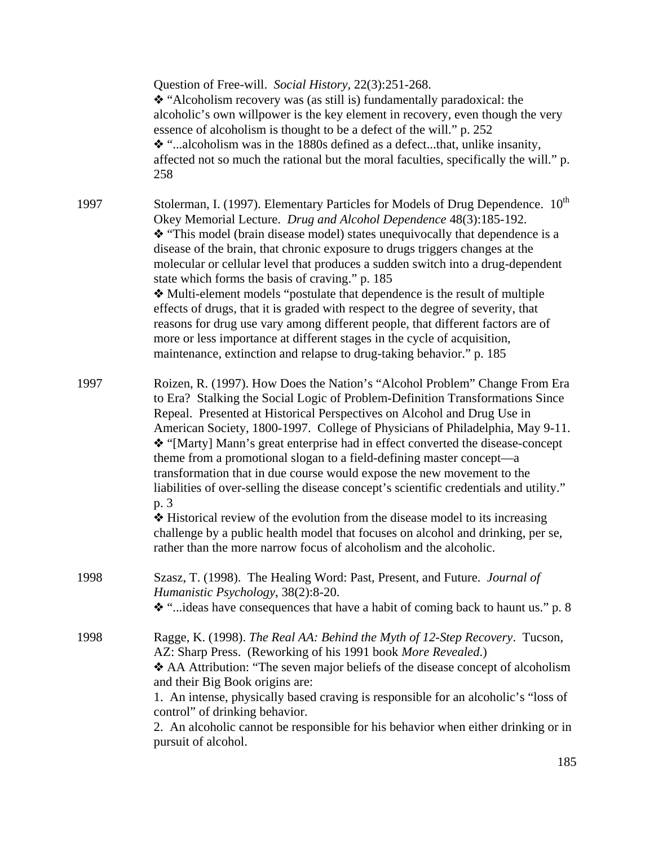|      | Question of Free-will. Social History, 22(3):251-268.<br>* "Alcoholism recovery was (as still is) fundamentally paradoxical: the<br>alcoholic's own willpower is the key element in recovery, even though the very<br>essence of alcoholism is thought to be a defect of the will." p. 252<br>• "alcoholism was in the 1880s defined as a defectthat, unlike insanity,<br>affected not so much the rational but the moral faculties, specifically the will." p.<br>258                                                                                                                                                                                                                                                                                                                                                                                                                                   |
|------|----------------------------------------------------------------------------------------------------------------------------------------------------------------------------------------------------------------------------------------------------------------------------------------------------------------------------------------------------------------------------------------------------------------------------------------------------------------------------------------------------------------------------------------------------------------------------------------------------------------------------------------------------------------------------------------------------------------------------------------------------------------------------------------------------------------------------------------------------------------------------------------------------------|
| 1997 | Stolerman, I. (1997). Elementary Particles for Models of Drug Dependence. 10 <sup>th</sup><br>Okey Memorial Lecture. Drug and Alcohol Dependence 48(3):185-192.<br>* "This model (brain disease model) states unequivocally that dependence is a<br>disease of the brain, that chronic exposure to drugs triggers changes at the<br>molecular or cellular level that produces a sudden switch into a drug-dependent<br>state which forms the basis of craving." p. 185<br>Multi-element models "postulate that dependence is the result of multiple<br>effects of drugs, that it is graded with respect to the degree of severity, that<br>reasons for drug use vary among different people, that different factors are of<br>more or less importance at different stages in the cycle of acquisition,<br>maintenance, extinction and relapse to drug-taking behavior." p. 185                           |
| 1997 | Roizen, R. (1997). How Does the Nation's "Alcohol Problem" Change From Era<br>to Era? Stalking the Social Logic of Problem-Definition Transformations Since<br>Repeal. Presented at Historical Perspectives on Alcohol and Drug Use in<br>American Society, 1800-1997. College of Physicians of Philadelphia, May 9-11.<br>* "[Marty] Mann's great enterprise had in effect converted the disease-concept<br>theme from a promotional slogan to a field-defining master concept—a<br>transformation that in due course would expose the new movement to the<br>liabilities of over-selling the disease concept's scientific credentials and utility."<br>p. 3<br>◆ Historical review of the evolution from the disease model to its increasing<br>challenge by a public health model that focuses on alcohol and drinking, per se,<br>rather than the more narrow focus of alcoholism and the alcoholic. |
| 1998 | Szasz, T. (1998). The Healing Word: Past, Present, and Future. Journal of<br>Humanistic Psychology, 38(2):8-20.<br>• "ideas have consequences that have a habit of coming back to haunt us." p. 8                                                                                                                                                                                                                                                                                                                                                                                                                                                                                                                                                                                                                                                                                                        |
| 1998 | Ragge, K. (1998). The Real AA: Behind the Myth of 12-Step Recovery. Tucson,<br>AZ: Sharp Press. (Reworking of his 1991 book More Revealed.)<br>* AA Attribution: "The seven major beliefs of the disease concept of alcoholism<br>and their Big Book origins are:<br>1. An intense, physically based craving is responsible for an alcoholic's "loss of<br>control" of drinking behavior.<br>2. An alcoholic cannot be responsible for his behavior when either drinking or in<br>pursuit of alcohol.                                                                                                                                                                                                                                                                                                                                                                                                    |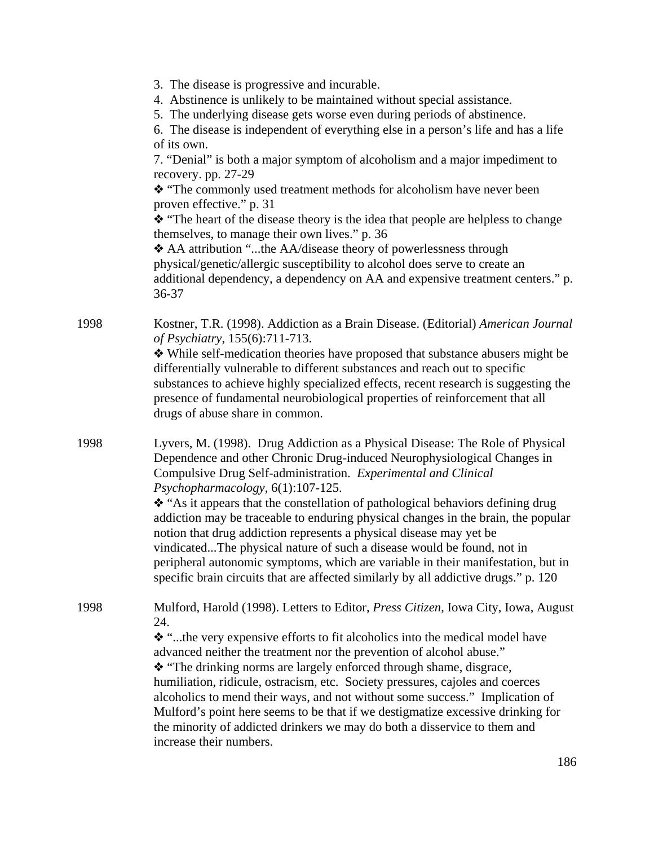|      | 3. The disease is progressive and incurable.<br>4. Abstinence is unlikely to be maintained without special assistance.<br>5. The underlying disease gets worse even during periods of abstinence.<br>6. The disease is independent of everything else in a person's life and has a life<br>of its own.<br>7. "Denial" is both a major symptom of alcoholism and a major impediment to<br>recovery. pp. 27-29<br>* "The commonly used treatment methods for alcoholism have never been<br>proven effective." p. 31<br>* "The heart of the disease theory is the idea that people are helpless to change<br>themselves, to manage their own lives." p. 36<br>* AA attribution "the AA/disease theory of powerlessness through<br>physical/genetic/allergic susceptibility to alcohol does serve to create an<br>additional dependency, a dependency on AA and expensive treatment centers." p.<br>36-37 |
|------|-------------------------------------------------------------------------------------------------------------------------------------------------------------------------------------------------------------------------------------------------------------------------------------------------------------------------------------------------------------------------------------------------------------------------------------------------------------------------------------------------------------------------------------------------------------------------------------------------------------------------------------------------------------------------------------------------------------------------------------------------------------------------------------------------------------------------------------------------------------------------------------------------------|
| 1998 | Kostner, T.R. (1998). Addiction as a Brain Disease. (Editorial) American Journal<br>of Psychiatry, 155(6):711-713.<br>While self-medication theories have proposed that substance abusers might be<br>differentially vulnerable to different substances and reach out to specific<br>substances to achieve highly specialized effects, recent research is suggesting the<br>presence of fundamental neurobiological properties of reinforcement that all<br>drugs of abuse share in common.                                                                                                                                                                                                                                                                                                                                                                                                           |
| 1998 | Lyvers, M. (1998). Drug Addiction as a Physical Disease: The Role of Physical<br>Dependence and other Chronic Drug-induced Neurophysiological Changes in<br>Compulsive Drug Self-administration. Experimental and Clinical<br>Psychopharmacology, 6(1):107-125.<br>* "As it appears that the constellation of pathological behaviors defining drug<br>addiction may be traceable to enduring physical changes in the brain, the popular<br>notion that drug addiction represents a physical disease may yet be<br>vindicatedThe physical nature of such a disease would be found, not in<br>peripheral autonomic symptoms, which are variable in their manifestation, but in<br>specific brain circuits that are affected similarly by all addictive drugs." p. 120                                                                                                                                   |
| 1998 | Mulford, Harold (1998). Letters to Editor, <i>Press Citizen</i> , Iowa City, Iowa, August<br>24.<br>* "the very expensive efforts to fit alcoholics into the medical model have<br>advanced neither the treatment nor the prevention of alcohol abuse."<br>* "The drinking norms are largely enforced through shame, disgrace,<br>humiliation, ridicule, ostracism, etc. Society pressures, cajoles and coerces<br>alcoholics to mend their ways, and not without some success." Implication of<br>Mulford's point here seems to be that if we destigmatize excessive drinking for<br>the minority of addicted drinkers we may do both a disservice to them and<br>increase their numbers.                                                                                                                                                                                                            |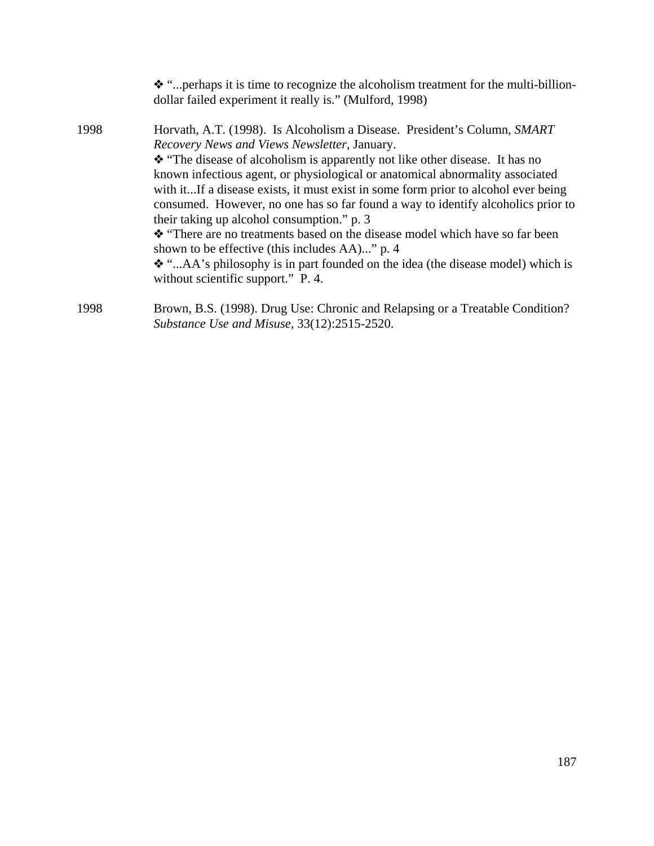|      | $\hat{\mathbf{\cdot}}$ " perhaps it is time to recognize the alcoholism treatment for the multi-billion-<br>dollar failed experiment it really is." (Mulford, 1998)                                                                                                                                                                                                                                                                                                                                                                                                                                                                                                                                                                                                                                |
|------|----------------------------------------------------------------------------------------------------------------------------------------------------------------------------------------------------------------------------------------------------------------------------------------------------------------------------------------------------------------------------------------------------------------------------------------------------------------------------------------------------------------------------------------------------------------------------------------------------------------------------------------------------------------------------------------------------------------------------------------------------------------------------------------------------|
| 1998 | Horvath, A.T. (1998). Is Alcoholism a Disease. President's Column, SMART<br>Recovery News and Views Newsletter, January.<br>• The disease of alcoholism is apparently not like other disease. It has no<br>known infectious agent, or physiological or anatomical abnormality associated<br>with itIf a disease exists, it must exist in some form prior to alcohol ever being<br>consumed. However, no one has so far found a way to identify alcoholics prior to<br>their taking up alcohol consumption." p. 3<br>❖ "There are no treatments based on the disease model which have so far been<br>shown to be effective (this includes AA)" p. 4<br>$\hat{\mathbf{\bullet}}$ " AA's philosophy is in part founded on the idea (the disease model) which is<br>without scientific support." P. 4. |
| 1998 | Brown, B.S. (1998). Drug Use: Chronic and Relapsing or a Treatable Condition?<br>Substance Use and Misuse, 33(12):2515-2520.                                                                                                                                                                                                                                                                                                                                                                                                                                                                                                                                                                                                                                                                       |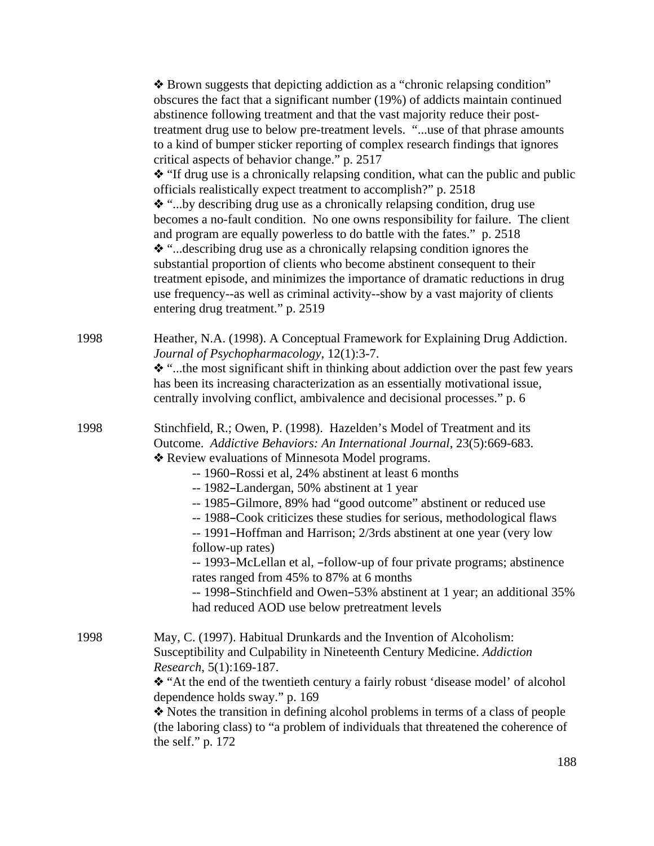|      | * Brown suggests that depicting addiction as a "chronic relapsing condition"<br>obscures the fact that a significant number (19%) of addicts maintain continued<br>abstinence following treatment and that the vast majority reduce their post-<br>treatment drug use to below pre-treatment levels. "use of that phrase amounts<br>to a kind of bumper sticker reporting of complex research findings that ignores<br>critical aspects of behavior change." p. 2517<br>* "If drug use is a chronically relapsing condition, what can the public and public<br>officials realistically expect treatment to accomplish?" p. 2518<br>❖ "by describing drug use as a chronically relapsing condition, drug use<br>becomes a no-fault condition. No one owns responsibility for failure. The client<br>and program are equally powerless to do battle with the fates." p. 2518<br><b>❖</b> " describing drug use as a chronically relapsing condition ignores the<br>substantial proportion of clients who become abstinent consequent to their<br>treatment episode, and minimizes the importance of dramatic reductions in drug<br>use frequency--as well as criminal activity--show by a vast majority of clients<br>entering drug treatment." p. 2519 |
|------|-------------------------------------------------------------------------------------------------------------------------------------------------------------------------------------------------------------------------------------------------------------------------------------------------------------------------------------------------------------------------------------------------------------------------------------------------------------------------------------------------------------------------------------------------------------------------------------------------------------------------------------------------------------------------------------------------------------------------------------------------------------------------------------------------------------------------------------------------------------------------------------------------------------------------------------------------------------------------------------------------------------------------------------------------------------------------------------------------------------------------------------------------------------------------------------------------------------------------------------------------------|
| 1998 | Heather, N.A. (1998). A Conceptual Framework for Explaining Drug Addiction.<br>Journal of Psychopharmacology, 12(1):3-7.<br>• "the most significant shift in thinking about addiction over the past few years<br>has been its increasing characterization as an essentially motivational issue,<br>centrally involving conflict, ambivalence and decisional processes." p. 6                                                                                                                                                                                                                                                                                                                                                                                                                                                                                                                                                                                                                                                                                                                                                                                                                                                                          |
| 1998 | Stinchfield, R.; Owen, P. (1998). Hazelden's Model of Treatment and its<br>Outcome. Addictive Behaviors: An International Journal, 23(5):669-683.<br>* Review evaluations of Minnesota Model programs.<br>-- 1960–Rossi et al, 24% abstinent at least 6 months<br>-- 1982–Landergan, 50% abstinent at 1 year<br>-- 1985-Gilmore, 89% had "good outcome" abstinent or reduced use<br>-- 1988–Cook criticizes these studies for serious, methodological flaws<br>-- 1991–Hoffman and Harrison; 2/3rds abstinent at one year (very low<br>follow-up rates)<br>-- 1993–McLellan et al, -follow-up of four private programs; abstinence<br>rates ranged from 45% to 87% at 6 months<br>-- 1998-Stinchfield and Owen-53% abstinent at 1 year; an additional 35%<br>had reduced AOD use below pretreatment levels                                                                                                                                                                                                                                                                                                                                                                                                                                            |
| 1998 | May, C. (1997). Habitual Drunkards and the Invention of Alcoholism:<br>Susceptibility and Culpability in Nineteenth Century Medicine. Addiction<br>Research, 5(1):169-187.<br>* "At the end of the twentieth century a fairly robust 'disease model' of alcohol<br>dependence holds sway." p. 169<br>Notes the transition in defining alcohol problems in terms of a class of people<br>(the laboring class) to "a problem of individuals that threatened the coherence of<br>the self." p. 172                                                                                                                                                                                                                                                                                                                                                                                                                                                                                                                                                                                                                                                                                                                                                       |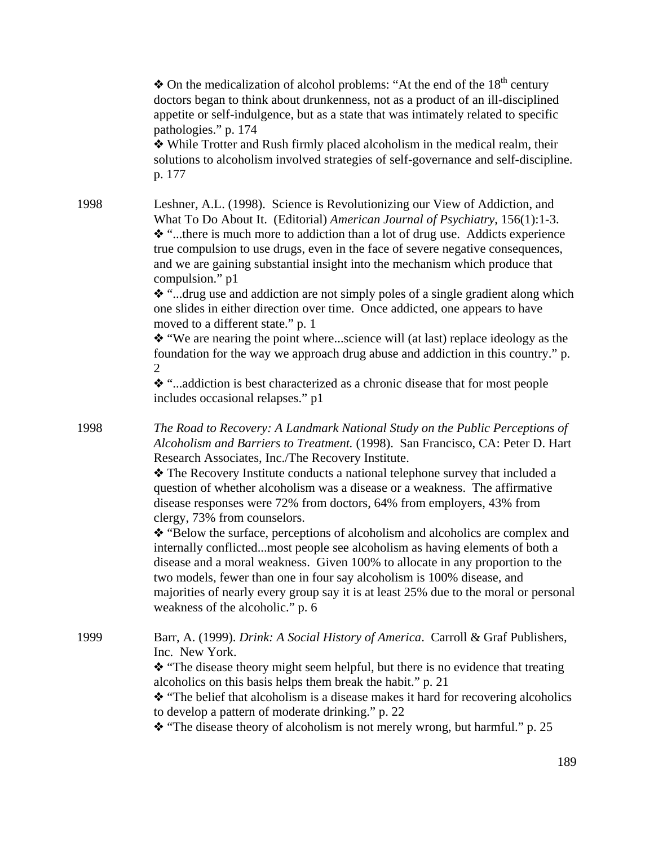$\triangle$  On the medicalization of alcohol problems: "At the end of the 18<sup>th</sup> century doctors began to think about drunkenness, not as a product of an ill-disciplined appetite or self-indulgence, but as a state that was intimately related to specific pathologies." p. 174

˜ While Trotter and Rush firmly placed alcoholism in the medical realm, their solutions to alcoholism involved strategies of self-governance and self-discipline. p. 177

1998 Leshner, A.L. (1998). Science is Revolutionizing our View of Addiction, and What To Do About It. (Editorial) *American Journal of Psychiatry*, 156(1):1-3. ˜ "...there is much more to addiction than a lot of drug use. Addicts experience true compulsion to use drugs, even in the face of severe negative consequences, and we are gaining substantial insight into the mechanism which produce that compulsion." p1

> ˜ "...drug use and addiction are not simply poles of a single gradient along which one slides in either direction over time. Once addicted, one appears to have moved to a different state." p. 1

> ˜ "We are nearing the point where...science will (at last) replace ideology as the foundation for the way we approach drug abuse and addiction in this country." p. 2

˜ "...addiction is best characterized as a chronic disease that for most people includes occasional relapses." p1

1998 *The Road to Recovery: A Landmark National Study on the Public Perceptions of Alcoholism and Barriers to Treatment.* (1998). San Francisco, CA: Peter D. Hart Research Associates, Inc./The Recovery Institute.

> ˜ The Recovery Institute conducts a national telephone survey that included a question of whether alcoholism was a disease or a weakness. The affirmative disease responses were 72% from doctors, 64% from employers, 43% from clergy, 73% from counselors.

˜ "Below the surface, perceptions of alcoholism and alcoholics are complex and internally conflicted...most people see alcoholism as having elements of both a disease and a moral weakness. Given 100% to allocate in any proportion to the two models, fewer than one in four say alcoholism is 100% disease, and majorities of nearly every group say it is at least 25% due to the moral or personal weakness of the alcoholic." p. 6

| 1999 | Barr, A. (1999). Drink: A Social History of America. Carroll & Graf Publishers,             |
|------|---------------------------------------------------------------------------------------------|
|      | Inc. New York.                                                                              |
|      | $\triangleq$ "The disease theory might seem helpful, but there is no evidence that treating |
|      | alcoholics on this basis helps them break the habit." p. 21                                 |
|      | • The belief that alcoholism is a disease makes it hard for recovering alcoholics           |
|      | to develop a pattern of moderate drinking." p. 22                                           |
|      | $\cdot$ "The disease theory of alcoholism is not merely wrong, but harmful." p. 25          |
|      |                                                                                             |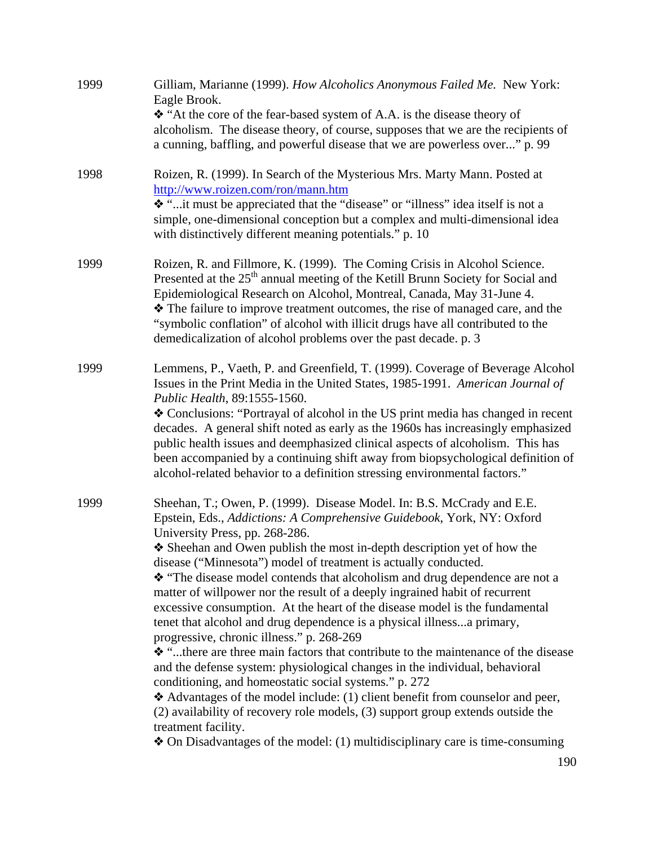| 1999 | Gilliam, Marianne (1999). How Alcoholics Anonymous Failed Me. New York:<br>Eagle Brook.<br>* "At the core of the fear-based system of A.A. is the disease theory of<br>alcoholism. The disease theory, of course, supposes that we are the recipients of<br>a cunning, baffling, and powerful disease that we are powerless over" p. 99                                                                                                                                                                                                                                                                                                                                                                                                                                                                                                                                                                                                                                                                                                                                                                                                                                                                                |
|------|------------------------------------------------------------------------------------------------------------------------------------------------------------------------------------------------------------------------------------------------------------------------------------------------------------------------------------------------------------------------------------------------------------------------------------------------------------------------------------------------------------------------------------------------------------------------------------------------------------------------------------------------------------------------------------------------------------------------------------------------------------------------------------------------------------------------------------------------------------------------------------------------------------------------------------------------------------------------------------------------------------------------------------------------------------------------------------------------------------------------------------------------------------------------------------------------------------------------|
| 1998 | Roizen, R. (1999). In Search of the Mysterious Mrs. Marty Mann. Posted at<br>http://www.roizen.com/ron/mann.htm<br>* "it must be appreciated that the "disease" or "illness" idea itself is not a<br>simple, one-dimensional conception but a complex and multi-dimensional idea<br>with distinctively different meaning potentials." p. 10                                                                                                                                                                                                                                                                                                                                                                                                                                                                                                                                                                                                                                                                                                                                                                                                                                                                            |
| 1999 | Roizen, R. and Fillmore, K. (1999). The Coming Crisis in Alcohol Science.<br>Presented at the 25 <sup>th</sup> annual meeting of the Ketill Brunn Society for Social and<br>Epidemiological Research on Alcohol, Montreal, Canada, May 31-June 4.<br>The failure to improve treatment outcomes, the rise of managed care, and the<br>"symbolic conflation" of alcohol with illicit drugs have all contributed to the<br>demedicalization of alcohol problems over the past decade. p. 3                                                                                                                                                                                                                                                                                                                                                                                                                                                                                                                                                                                                                                                                                                                                |
| 1999 | Lemmens, P., Vaeth, P. and Greenfield, T. (1999). Coverage of Beverage Alcohol<br>Issues in the Print Media in the United States, 1985-1991. American Journal of<br>Public Health, 89:1555-1560.<br>◆ Conclusions: "Portrayal of alcohol in the US print media has changed in recent<br>decades. A general shift noted as early as the 1960s has increasingly emphasized<br>public health issues and deemphasized clinical aspects of alcoholism. This has<br>been accompanied by a continuing shift away from biopsychological definition of<br>alcohol-related behavior to a definition stressing environmental factors."                                                                                                                                                                                                                                                                                                                                                                                                                                                                                                                                                                                            |
| 1999 | Sheehan, T.; Owen, P. (1999). Disease Model. In: B.S. McCrady and E.E.<br>Epstein, Eds., Addictions: A Comprehensive Guidebook, York, NY: Oxford<br>University Press, pp. 268-286.<br>Sheehan and Owen publish the most in-depth description yet of how the<br>disease ("Minnesota") model of treatment is actually conducted.<br>* "The disease model contends that alcoholism and drug dependence are not a<br>matter of willpower nor the result of a deeply ingrained habit of recurrent<br>excessive consumption. At the heart of the disease model is the fundamental<br>tenet that alcohol and drug dependence is a physical illnessa primary,<br>progressive, chronic illness." p. 268-269<br>❖ "there are three main factors that contribute to the maintenance of the disease<br>and the defense system: physiological changes in the individual, behavioral<br>conditioning, and homeostatic social systems." p. 272<br>* Advantages of the model include: (1) client benefit from counselor and peer,<br>(2) availability of recovery role models, (3) support group extends outside the<br>treatment facility.<br>$\triangle$ On Disadvantages of the model: (1) multidisciplinary care is time-consuming |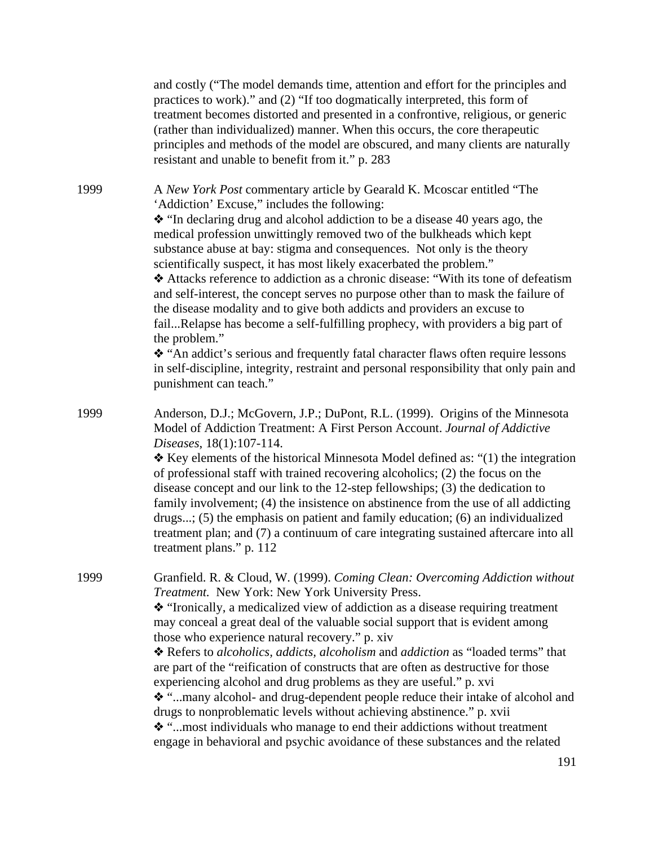|      | and costly ("The model demands time, attention and effort for the principles and<br>practices to work)." and (2) "If too dogmatically interpreted, this form of<br>treatment becomes distorted and presented in a confrontive, religious, or generic<br>(rather than individualized) manner. When this occurs, the core therapeutic<br>principles and methods of the model are obscured, and many clients are naturally<br>resistant and unable to benefit from it." p. 283                                                                                                                                                                                                                                                                                                                                                                                                                                                                                                                               |
|------|-----------------------------------------------------------------------------------------------------------------------------------------------------------------------------------------------------------------------------------------------------------------------------------------------------------------------------------------------------------------------------------------------------------------------------------------------------------------------------------------------------------------------------------------------------------------------------------------------------------------------------------------------------------------------------------------------------------------------------------------------------------------------------------------------------------------------------------------------------------------------------------------------------------------------------------------------------------------------------------------------------------|
| 1999 | A New York Post commentary article by Gearald K. Mcoscar entitled "The<br>'Addiction' Excuse," includes the following:<br>• "In declaring drug and alcohol addiction to be a disease 40 years ago, the<br>medical profession unwittingly removed two of the bulkheads which kept<br>substance abuse at bay: stigma and consequences. Not only is the theory<br>scientifically suspect, it has most likely exacerbated the problem."<br>◆ Attacks reference to addiction as a chronic disease: "With its tone of defeatism<br>and self-interest, the concept serves no purpose other than to mask the failure of<br>the disease modality and to give both addicts and providers an excuse to<br>failRelapse has become a self-fulfilling prophecy, with providers a big part of<br>the problem."<br>* "An addict's serious and frequently fatal character flaws often require lessons<br>in self-discipline, integrity, restraint and personal responsibility that only pain and<br>punishment can teach." |
| 1999 | Anderson, D.J.; McGovern, J.P.; DuPont, R.L. (1999). Origins of the Minnesota<br>Model of Addiction Treatment: A First Person Account. Journal of Addictive<br>Diseases, 18(1):107-114.<br>$\triangle$ Key elements of the historical Minnesota Model defined as: "(1) the integration<br>of professional staff with trained recovering alcoholics; (2) the focus on the<br>disease concept and our link to the 12-step fellowships; (3) the dedication to<br>family involvement; (4) the insistence on abstinence from the use of all addicting<br>$drugs$ ; (5) the emphasis on patient and family education; (6) an individualized<br>treatment plan; and (7) a continuum of care integrating sustained aftercare into all<br>treatment plans." p. 112                                                                                                                                                                                                                                                 |
| 1999 | Granfield. R. & Cloud, W. (1999). Coming Clean: Overcoming Addiction without<br>Treatment. New York: New York University Press.<br>* "Ironically, a medicalized view of addiction as a disease requiring treatment<br>may conceal a great deal of the valuable social support that is evident among<br>those who experience natural recovery." p. xiv<br>* Refers to alcoholics, addicts, alcoholism and addiction as "loaded terms" that<br>are part of the "reification of constructs that are often as destructive for those<br>experiencing alcohol and drug problems as they are useful." p. xvi<br>* "many alcohol- and drug-dependent people reduce their intake of alcohol and<br>drugs to nonproblematic levels without achieving abstinence." p. xvii<br>* "most individuals who manage to end their addictions without treatment<br>engage in behavioral and psychic avoidance of these substances and the related                                                                             |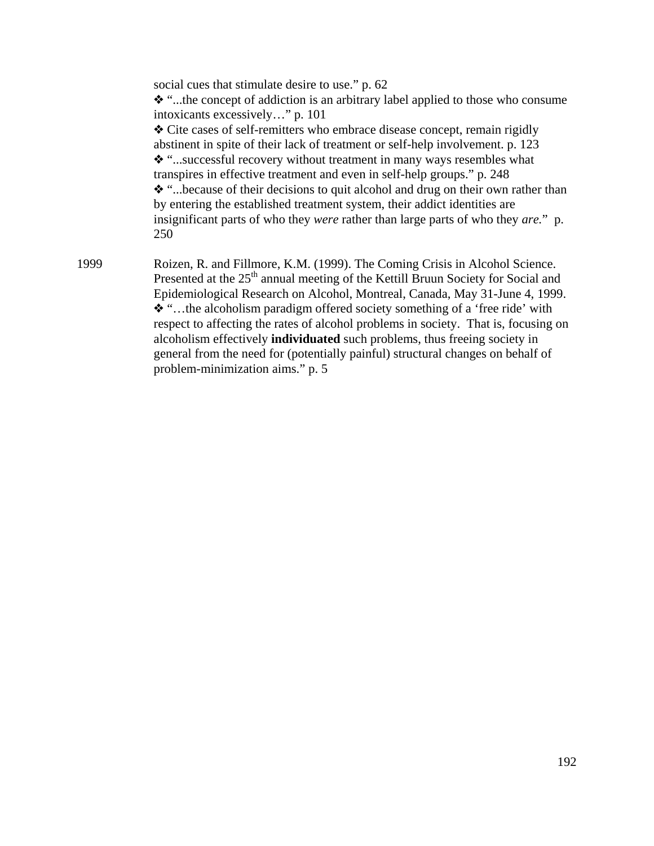social cues that stimulate desire to use." p. 62 ˜ "...the concept of addiction is an arbitrary label applied to those who consume intoxicants excessively…" p. 101 ˜ Cite cases of self-remitters who embrace disease concept, remain rigidly abstinent in spite of their lack of treatment or self-help involvement. p. 123 ˜ "...successful recovery without treatment in many ways resembles what transpires in effective treatment and even in self-help groups." p. 248 ˜ "...because of their decisions to quit alcohol and drug on their own rather than by entering the established treatment system, their addict identities are insignificant parts of who they *were* rather than large parts of who they *are.*"p. 250

1999 Roizen, R. and Fillmore, K.M. (1999). The Coming Crisis in Alcohol Science. Presented at the 25<sup>th</sup> annual meeting of the Kettill Bruun Society for Social and Epidemiological Research on Alcohol, Montreal, Canada, May 31-June 4, 1999. ˜ "…the alcoholism paradigm offered society something of a 'free ride' with respect to affecting the rates of alcohol problems in society. That is, focusing on alcoholism effectively **individuated** such problems, thus freeing society in general from the need for (potentially painful) structural changes on behalf of problem-minimization aims." p. 5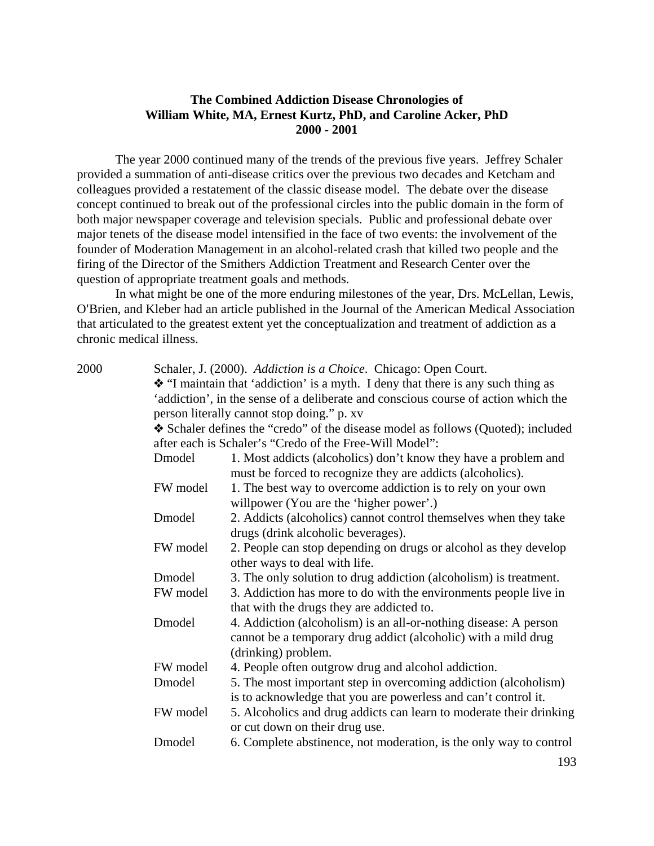## **The Combined Addiction Disease Chronologies of William White, MA, Ernest Kurtz, PhD, and Caroline Acker, PhD 2000 - 2001**

The year 2000 continued many of the trends of the previous five years. Jeffrey Schaler provided a summation of anti-disease critics over the previous two decades and Ketcham and colleagues provided a restatement of the classic disease model. The debate over the disease concept continued to break out of the professional circles into the public domain in the form of both major newspaper coverage and television specials. Public and professional debate over major tenets of the disease model intensified in the face of two events: the involvement of the founder of Moderation Management in an alcohol-related crash that killed two people and the firing of the Director of the Smithers Addiction Treatment and Research Center over the question of appropriate treatment goals and methods.

In what might be one of the more enduring milestones of the year, Drs. McLellan, Lewis, O'Brien, and Kleber had an article published in the Journal of the American Medical Association that articulated to the greatest extent yet the conceptualization and treatment of addiction as a chronic medical illness.

| 2000 |                                                                                  | Schaler, J. (2000). Addiction is a Choice. Chicago: Open Court.                                       |  |  |  |
|------|----------------------------------------------------------------------------------|-------------------------------------------------------------------------------------------------------|--|--|--|
|      | ❖ "I maintain that 'addiction' is a myth. I deny that there is any such thing as |                                                                                                       |  |  |  |
|      |                                                                                  | 'addiction', in the sense of a deliberate and conscious course of action which the                    |  |  |  |
|      |                                                                                  | person literally cannot stop doing." p. xv                                                            |  |  |  |
|      |                                                                                  | Schaler defines the "credo" of the disease model as follows (Quoted); included                        |  |  |  |
|      |                                                                                  | after each is Schaler's "Credo of the Free-Will Model":                                               |  |  |  |
|      | Dmodel                                                                           | 1. Most addicts (alcoholics) don't know they have a problem and                                       |  |  |  |
|      |                                                                                  | must be forced to recognize they are addicts (alcoholics).                                            |  |  |  |
|      | FW model                                                                         | 1. The best way to overcome addiction is to rely on your own                                          |  |  |  |
|      |                                                                                  | willpower (You are the 'higher power'.)                                                               |  |  |  |
|      | Dmodel                                                                           | 2. Addicts (alcoholics) cannot control themselves when they take                                      |  |  |  |
|      |                                                                                  | drugs (drink alcoholic beverages).                                                                    |  |  |  |
|      | FW model                                                                         | 2. People can stop depending on drugs or alcohol as they develop                                      |  |  |  |
|      |                                                                                  | other ways to deal with life.                                                                         |  |  |  |
|      | Dmodel                                                                           | 3. The only solution to drug addiction (alcoholism) is treatment.                                     |  |  |  |
|      | FW model                                                                         | 3. Addiction has more to do with the environments people live in                                      |  |  |  |
|      |                                                                                  | that with the drugs they are addicted to.                                                             |  |  |  |
|      | Dmodel                                                                           | 4. Addiction (alcoholism) is an all-or-nothing disease: A person                                      |  |  |  |
|      |                                                                                  | cannot be a temporary drug addict (alcoholic) with a mild drug                                        |  |  |  |
|      |                                                                                  | (drinking) problem.                                                                                   |  |  |  |
|      | FW model                                                                         | 4. People often outgrow drug and alcohol addiction.                                                   |  |  |  |
|      | Dmodel                                                                           | 5. The most important step in overcoming addiction (alcoholism)                                       |  |  |  |
|      |                                                                                  | is to acknowledge that you are powerless and can't control it.                                        |  |  |  |
|      | FW model                                                                         | 5. Alcoholics and drug addicts can learn to moderate their drinking<br>or cut down on their drug use. |  |  |  |
|      | Dmodel                                                                           | 6. Complete abstinence, not moderation, is the only way to control                                    |  |  |  |
|      |                                                                                  |                                                                                                       |  |  |  |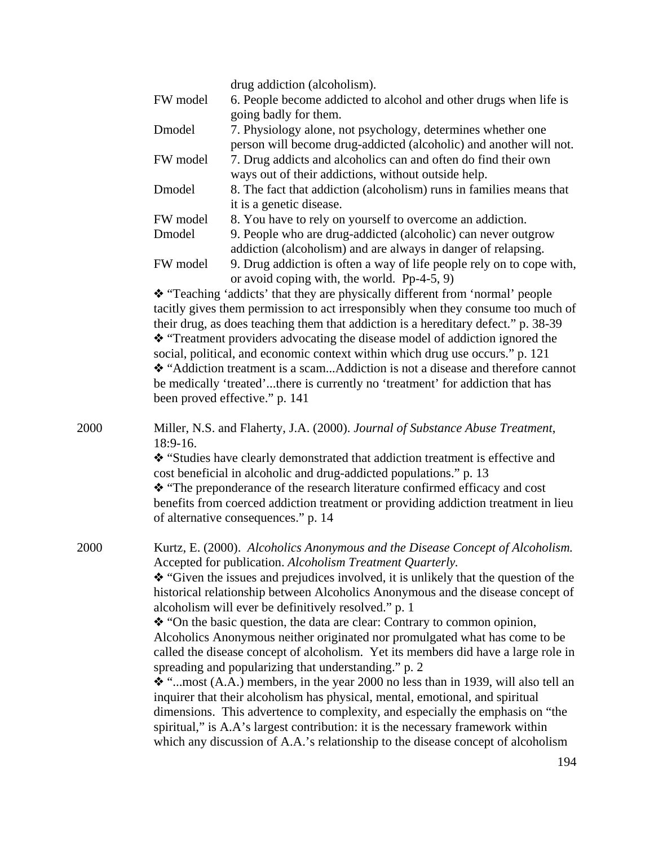|      | FW model | drug addiction (alcoholism).<br>6. People become addicted to alcohol and other drugs when life is                                                                                                                                                                                                                                                                                                                                                                                                                                              |
|------|----------|------------------------------------------------------------------------------------------------------------------------------------------------------------------------------------------------------------------------------------------------------------------------------------------------------------------------------------------------------------------------------------------------------------------------------------------------------------------------------------------------------------------------------------------------|
|      | Dmodel   | going badly for them.<br>7. Physiology alone, not psychology, determines whether one                                                                                                                                                                                                                                                                                                                                                                                                                                                           |
|      | FW model | person will become drug-addicted (alcoholic) and another will not.<br>7. Drug addicts and alcoholics can and often do find their own<br>ways out of their addictions, without outside help.                                                                                                                                                                                                                                                                                                                                                    |
|      | Dmodel   | 8. The fact that addiction (alcoholism) runs in families means that<br>it is a genetic disease.                                                                                                                                                                                                                                                                                                                                                                                                                                                |
|      | FW model | 8. You have to rely on yourself to overcome an addiction.                                                                                                                                                                                                                                                                                                                                                                                                                                                                                      |
|      | Dmodel   | 9. People who are drug-addicted (alcoholic) can never outgrow<br>addiction (alcoholism) and are always in danger of relapsing.                                                                                                                                                                                                                                                                                                                                                                                                                 |
|      | FW model | 9. Drug addiction is often a way of life people rely on to cope with,<br>or avoid coping with, the world. Pp-4-5, 9)                                                                                                                                                                                                                                                                                                                                                                                                                           |
|      |          | * "Teaching 'addicts' that they are physically different from 'normal' people                                                                                                                                                                                                                                                                                                                                                                                                                                                                  |
|      |          | tacitly gives them permission to act irresponsibly when they consume too much of<br>their drug, as does teaching them that addiction is a hereditary defect." p. 38-39<br>* "Treatment providers advocating the disease model of addiction ignored the<br>social, political, and economic context within which drug use occurs." p. 121<br>❖ "Addiction treatment is a scamAddiction is not a disease and therefore cannot<br>be medically 'treated'there is currently no 'treatment' for addiction that has<br>been proved effective." p. 141 |
| 2000 | 18:9-16. | Miller, N.S. and Flaherty, J.A. (2000). Journal of Substance Abuse Treatment,                                                                                                                                                                                                                                                                                                                                                                                                                                                                  |
|      |          | * "Studies have clearly demonstrated that addiction treatment is effective and<br>cost beneficial in alcoholic and drug-addicted populations." p. 13                                                                                                                                                                                                                                                                                                                                                                                           |
|      |          | * "The preponderance of the research literature confirmed efficacy and cost<br>benefits from coerced addiction treatment or providing addiction treatment in lieu<br>of alternative consequences." p. 14                                                                                                                                                                                                                                                                                                                                       |
| 2000 |          | Kurtz, E. (2000). Alcoholics Anonymous and the Disease Concept of Alcoholism.<br>Accepted for publication. Alcoholism Treatment Quarterly.                                                                                                                                                                                                                                                                                                                                                                                                     |
|      |          | ❖ "Given the issues and prejudices involved, it is unlikely that the question of the<br>historical relationship between Alcoholics Anonymous and the disease concept of<br>alcoholism will ever be definitively resolved." p. 1                                                                                                                                                                                                                                                                                                                |
|      |          | • "On the basic question, the data are clear: Contrary to common opinion,<br>Alcoholics Anonymous neither originated nor promulgated what has come to be                                                                                                                                                                                                                                                                                                                                                                                       |
|      |          | called the disease concept of alcoholism. Yet its members did have a large role in                                                                                                                                                                                                                                                                                                                                                                                                                                                             |
|      |          | spreading and popularizing that understanding." p. 2<br>❖ "most (A.A.) members, in the year 2000 no less than in 1939, will also tell an                                                                                                                                                                                                                                                                                                                                                                                                       |
|      |          | inquirer that their alcoholism has physical, mental, emotional, and spiritual<br>dimensions. This advertence to complexity, and especially the emphasis on "the<br>spiritual," is A.A's largest contribution: it is the necessary framework within<br>which any discussion of A.A.'s relationship to the disease concept of alcoholism                                                                                                                                                                                                         |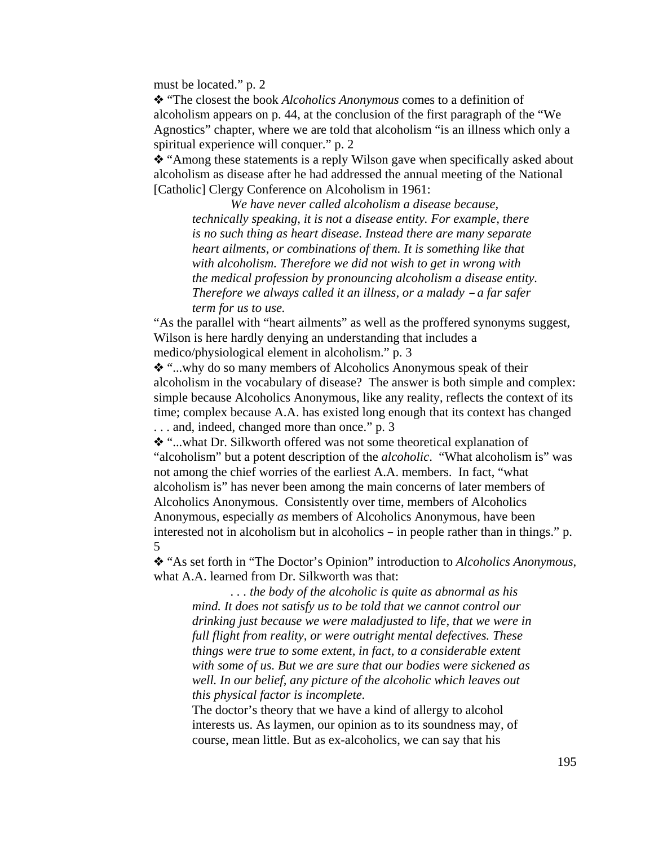must be located." p. 2

˜ "The closest the book *Alcoholics Anonymous* comes to a definition of alcoholism appears on p. 44, at the conclusion of the first paragraph of the "We Agnostics" chapter, where we are told that alcoholism "is an illness which only a spiritual experience will conquer." p. 2

˜ "Among these statements is a reply Wilson gave when specifically asked about alcoholism as disease after he had addressed the annual meeting of the National [Catholic] Clergy Conference on Alcoholism in 1961:

*We have never called alcoholism a disease because, technically speaking, it is not a disease entity. For example, there is no such thing as heart disease. Instead there are many separate heart ailments, or combinations of them. It is something like that with alcoholism. Therefore we did not wish to get in wrong with the medical profession by pronouncing alcoholism a disease entity. Therefore we always called it an illness, or a malady - a far safer term for us to use.*

 "As the parallel with "heart ailments" as well as the proffered synonyms suggest, Wilson is here hardly denying an understanding that includes a medico/physiological element in alcoholism." p. 3

˜ "...why do so many members of Alcoholics Anonymous speak of their alcoholism in the vocabulary of disease? The answer is both simple and complex: simple because Alcoholics Anonymous, like any reality, reflects the context of its time; complex because A.A. has existed long enough that its context has changed . . . and, indeed, changed more than once." p. 3

˜ "...what Dr. Silkworth offered was not some theoretical explanation of "alcoholism" but a potent description of the *alcoholic*. "What alcoholism is" was not among the chief worries of the earliest A.A. members. In fact, "what alcoholism is" has never been among the main concerns of later members of Alcoholics Anonymous. Consistently over time, members of Alcoholics Anonymous, especially *as* members of Alcoholics Anonymous, have been interested not in alcoholism but in alcoholics  $-\text{ in people rather than in things." p.}$ 5

˜ "As set forth in "The Doctor's Opinion" introduction to *Alcoholics Anonymous*, what A.A. learned from Dr. Silkworth was that:

*. . . the body of the alcoholic is quite as abnormal as his mind. It does not satisfy us to be told that we cannot control our drinking just because we were maladjusted to life, that we were in full flight from reality, or were outright mental defectives. These things were true to some extent, in fact, to a considerable extent with some of us. But we are sure that our bodies were sickened as well. In our belief, any picture of the alcoholic which leaves out this physical factor is incomplete.* 

The doctor's theory that we have a kind of allergy to alcohol interests us. As laymen, our opinion as to its soundness may, of course, mean little. But as ex-alcoholics, we can say that his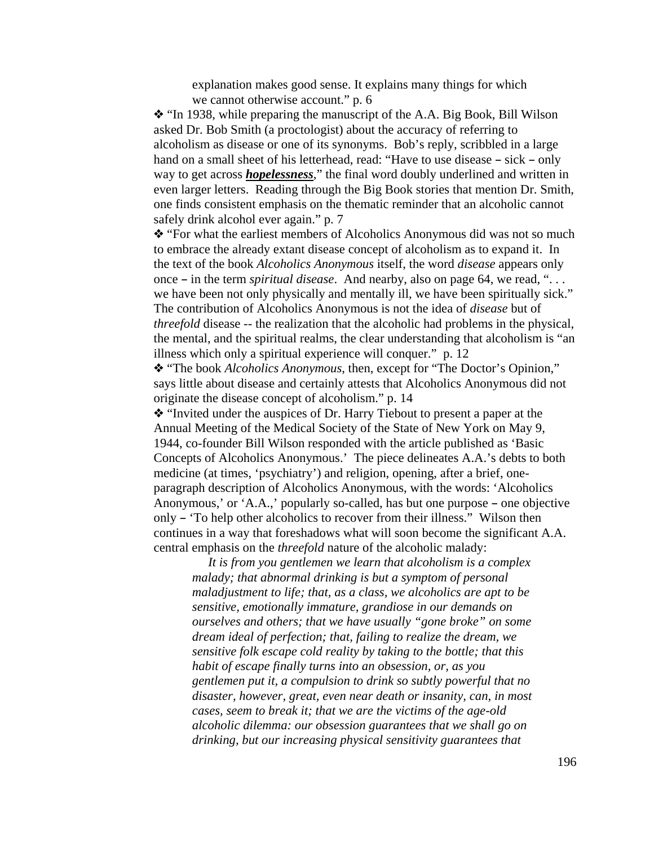explanation makes good sense. It explains many things for which we cannot otherwise account." p. 6

˜ "In 1938, while preparing the manuscript of the A.A. Big Book, Bill Wilson asked Dr. Bob Smith (a proctologist) about the accuracy of referring to alcoholism as disease or one of its synonyms. Bob's reply, scribbled in a large hand on a small sheet of his letterhead, read: "Have to use disease – sick – only way to get across *hopelessness*," the final word doubly underlined and written in even larger letters. Reading through the Big Book stories that mention Dr. Smith, one finds consistent emphasis on the thematic reminder that an alcoholic cannot safely drink alcohol ever again." p. 7

˜ "For what the earliest members of Alcoholics Anonymous did was not so much to embrace the already extant disease concept of alcoholism as to expand it. In the text of the book *Alcoholics Anonymous* itself, the word *disease* appears only once – in the term *spiritual disease*. And nearby, also on page 64, we read, "... we have been not only physically and mentally ill, we have been spiritually sick." The contribution of Alcoholics Anonymous is not the idea of *disease* but of *threefold* disease -- the realization that the alcoholic had problems in the physical, the mental, and the spiritual realms, the clear understanding that alcoholism is "an illness which only a spiritual experience will conquer." p. 12

˜ "The book *Alcoholics Anonymous*, then, except for "The Doctor's Opinion," says little about disease and certainly attests that Alcoholics Anonymous did not originate the disease concept of alcoholism." p. 14

˜ "Invited under the auspices of Dr. Harry Tiebout to present a paper at the Annual Meeting of the Medical Society of the State of New York on May 9, 1944, co-founder Bill Wilson responded with the article published as 'Basic Concepts of Alcoholics Anonymous.' The piece delineates A.A.'s debts to both medicine (at times, 'psychiatry') and religion, opening, after a brief, oneparagraph description of Alcoholics Anonymous, with the words: 'Alcoholics Anonymous,' or 'A.A.,' popularly so-called, has but one purpose  $-$  one objective only - 'To help other alcoholics to recover from their illness." Wilson then continues in a way that foreshadows what will soon become the significant A.A. central emphasis on the *threefold* nature of the alcoholic malady:

 *It is from you gentlemen we learn that alcoholism is a complex malady; that abnormal drinking is but a symptom of personal maladjustment to life; that, as a class, we alcoholics are apt to be sensitive, emotionally immature, grandiose in our demands on ourselves and others; that we have usually "gone broke" on some dream ideal of perfection; that, failing to realize the dream, we sensitive folk escape cold reality by taking to the bottle; that this habit of escape finally turns into an obsession, or, as you gentlemen put it, a compulsion to drink so subtly powerful that no disaster, however, great, even near death or insanity, can, in most cases, seem to break it; that we are the victims of the age-old alcoholic dilemma: our obsession guarantees that we shall go on drinking, but our increasing physical sensitivity guarantees that*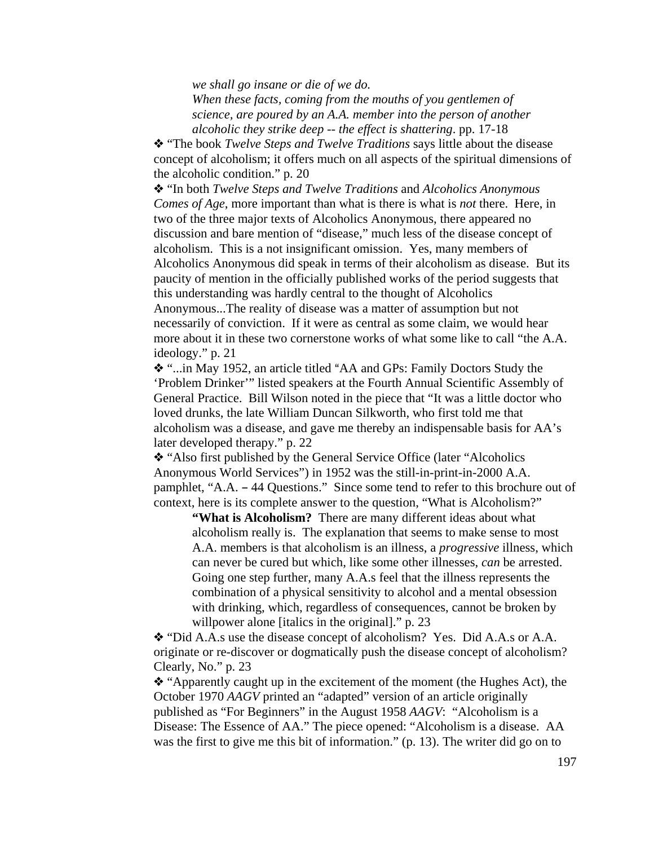*we shall go insane or die of we do. When these facts, coming from the mouths of you gentlemen of science, are poured by an A.A. member into the person of another alcoholic they strike deep -- the effect is shattering*. pp. 17-18

˜ "The book *Twelve Steps and Twelve Traditions* says little about the disease concept of alcoholism; it offers much on all aspects of the spiritual dimensions of the alcoholic condition." p. 20

 ˜ "In both *Twelve Steps and Twelve Traditions* and *Alcoholics Anonymous Comes of Age*, more important than what is there is what is *not* there. Here, in two of the three major texts of Alcoholics Anonymous, there appeared no discussion and bare mention of "disease," much less of the disease concept of alcoholism. This is a not insignificant omission. Yes, many members of Alcoholics Anonymous did speak in terms of their alcoholism as disease. But its paucity of mention in the officially published works of the period suggests that this understanding was hardly central to the thought of Alcoholics Anonymous...The reality of disease was a matter of assumption but not necessarily of conviction. If it were as central as some claim, we would hear more about it in these two cornerstone works of what some like to call "the A.A. ideology." p. 21

**❖** "...in May 1952, an article titled "AA and GPs: Family Doctors Study the 'Problem Drinker'" listed speakers at the Fourth Annual Scientific Assembly of General Practice. Bill Wilson noted in the piece that "It was a little doctor who loved drunks, the late William Duncan Silkworth, who first told me that alcoholism was a disease, and gave me thereby an indispensable basis for AA's later developed therapy." p. 22

˜ "Also first published by the General Service Office (later "Alcoholics Anonymous World Services") in 1952 was the still-in-print-in-2000 A.A. pamphlet, "A.A. - 44 Questions." Since some tend to refer to this brochure out of context, here is its complete answer to the question, "What is Alcoholism?"

**"What is Alcoholism?** There are many different ideas about what alcoholism really is. The explanation that seems to make sense to most A.A. members is that alcoholism is an illness, a *progressive* illness, which can never be cured but which, like some other illnesses, *can* be arrested. Going one step further, many A.A.s feel that the illness represents the combination of a physical sensitivity to alcohol and a mental obsession with drinking, which, regardless of consequences, cannot be broken by willpower alone *[italics in the original]*." p. 23

˜ "Did A.A.s use the disease concept of alcoholism? Yes. Did A.A.s or A.A. originate or re-discover or dogmatically push the disease concept of alcoholism? Clearly, No." p. 23

˜ "Apparently caught up in the excitement of the moment (the Hughes Act), the October 1970 *AAGV* printed an "adapted" version of an article originally published as "For Beginners" in the August 1958 *AAGV*: "Alcoholism is a Disease: The Essence of AA." The piece opened: "Alcoholism is a disease. AA was the first to give me this bit of information." (p. 13). The writer did go on to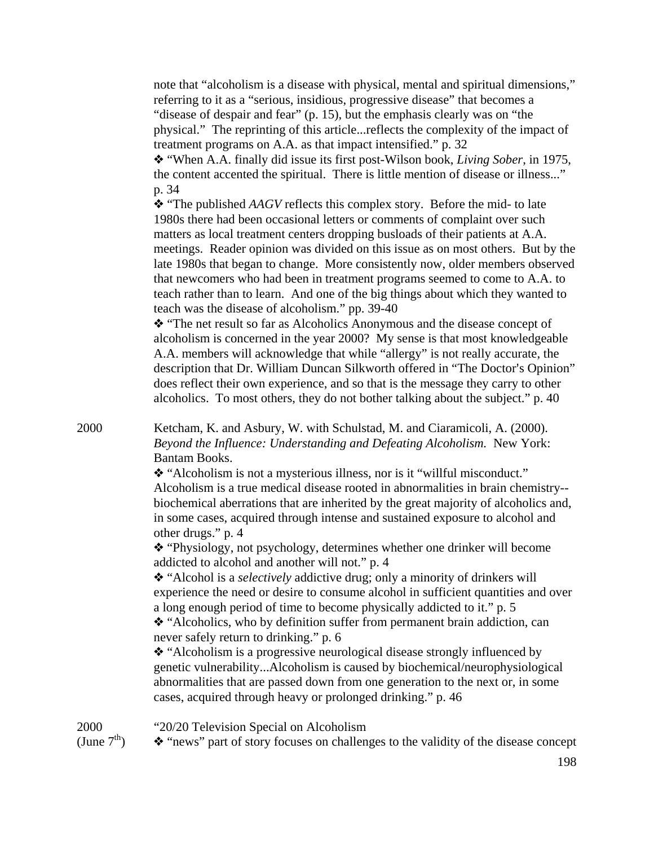note that "alcoholism is a disease with physical, mental and spiritual dimensions," referring to it as a "serious, insidious, progressive disease" that becomes a "disease of despair and fear" (p. 15), but the emphasis clearly was on "the physical." The reprinting of this article...reflects the complexity of the impact of treatment programs on A.A. as that impact intensified." p. 32

˜ "When A.A. finally did issue its first post-Wilson book, *Living Sober*, in 1975, the content accented the spiritual. There is little mention of disease or illness..." p. 34

˜ "The published *AAGV* reflects this complex story. Before the mid- to late 1980s there had been occasional letters or comments of complaint over such matters as local treatment centers dropping busloads of their patients at A.A. meetings. Reader opinion was divided on this issue as on most others. But by the late 1980s that began to change. More consistently now, older members observed that newcomers who had been in treatment programs seemed to come to A.A. to teach rather than to learn. And one of the big things about which they wanted to teach was the disease of alcoholism." pp. 39-40

 ˜ "The net result so far as Alcoholics Anonymous and the disease concept of alcoholism is concerned in the year 2000? My sense is that most knowledgeable A.A. members will acknowledge that while "allergy" is not really accurate, the description that Dr. William Duncan Silkworth offered in "The Doctor's Opinion" does reflect their own experience, and so that is the message they carry to other alcoholics. To most others, they do not bother talking about the subject." p. 40

2000 Ketcham, K. and Asbury, W. with Schulstad, M. and Ciaramicoli, A. (2000). *Beyond the Influence: Understanding and Defeating Alcoholism.* New York: Bantam Books.

> ˜ "Alcoholism is not a mysterious illness, nor is it "willful misconduct." Alcoholism is a true medical disease rooted in abnormalities in brain chemistry- biochemical aberrations that are inherited by the great majority of alcoholics and, in some cases, acquired through intense and sustained exposure to alcohol and other drugs." p. 4

˜ "Physiology, not psychology, determines whether one drinker will become addicted to alcohol and another will not." p. 4

˜ "Alcohol is a *selectively* addictive drug; only a minority of drinkers will experience the need or desire to consume alcohol in sufficient quantities and over a long enough period of time to become physically addicted to it." p. 5

˜ "Alcoholics, who by definition suffer from permanent brain addiction, can never safely return to drinking." p. 6

 ˜ "Alcoholism is a progressive neurological disease strongly influenced by genetic vulnerability...Alcoholism is caused by biochemical/neurophysiological abnormalities that are passed down from one generation to the next or, in some cases, acquired through heavy or prolonged drinking." p. 46

| 2000          | "20/20 Television Special on Alcoholism"                                            |
|---------------|-------------------------------------------------------------------------------------|
| (June $7th$ ) | * "news" part of story focuses on challenges to the validity of the disease concept |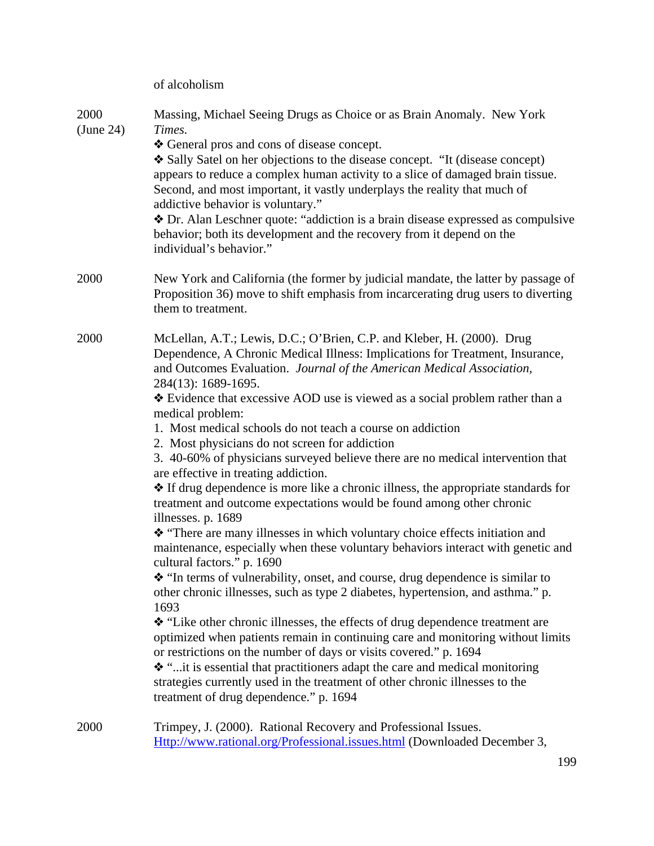|                   | of alcoholism                                                                                                                                                                                                                                                                                                                                                                                                                                                                                                                                                                                                                                                                                                                                                                                                                                                                                                                                                                                                                                                                                                                                                                                                                                                                                                                                                                                                                                                                                                                                                                                                                 |
|-------------------|-------------------------------------------------------------------------------------------------------------------------------------------------------------------------------------------------------------------------------------------------------------------------------------------------------------------------------------------------------------------------------------------------------------------------------------------------------------------------------------------------------------------------------------------------------------------------------------------------------------------------------------------------------------------------------------------------------------------------------------------------------------------------------------------------------------------------------------------------------------------------------------------------------------------------------------------------------------------------------------------------------------------------------------------------------------------------------------------------------------------------------------------------------------------------------------------------------------------------------------------------------------------------------------------------------------------------------------------------------------------------------------------------------------------------------------------------------------------------------------------------------------------------------------------------------------------------------------------------------------------------------|
| 2000<br>(June 24) | Massing, Michael Seeing Drugs as Choice or as Brain Anomaly. New York<br>Times.<br>General pros and cons of disease concept.<br>Sally Satel on her objections to the disease concept. "It (disease concept)<br>appears to reduce a complex human activity to a slice of damaged brain tissue.<br>Second, and most important, it vastly underplays the reality that much of<br>addictive behavior is voluntary."<br>◆ Dr. Alan Leschner quote: "addiction is a brain disease expressed as compulsive<br>behavior; both its development and the recovery from it depend on the<br>individual's behavior."                                                                                                                                                                                                                                                                                                                                                                                                                                                                                                                                                                                                                                                                                                                                                                                                                                                                                                                                                                                                                       |
| 2000              | New York and California (the former by judicial mandate, the latter by passage of<br>Proposition 36) move to shift emphasis from incarcerating drug users to diverting<br>them to treatment.                                                                                                                                                                                                                                                                                                                                                                                                                                                                                                                                                                                                                                                                                                                                                                                                                                                                                                                                                                                                                                                                                                                                                                                                                                                                                                                                                                                                                                  |
| 2000              | McLellan, A.T.; Lewis, D.C.; O'Brien, C.P. and Kleber, H. (2000). Drug<br>Dependence, A Chronic Medical Illness: Implications for Treatment, Insurance,<br>and Outcomes Evaluation. Journal of the American Medical Association,<br>284(13): 1689-1695.<br>❖ Evidence that excessive AOD use is viewed as a social problem rather than a<br>medical problem:<br>1. Most medical schools do not teach a course on addiction<br>2. Most physicians do not screen for addiction<br>3. 40-60% of physicians surveyed believe there are no medical intervention that<br>are effective in treating addiction.<br>* If drug dependence is more like a chronic illness, the appropriate standards for<br>treatment and outcome expectations would be found among other chronic<br>illnesses. p. 1689<br>* "There are many illnesses in which voluntary choice effects initiation and<br>maintenance, especially when these voluntary behaviors interact with genetic and<br>cultural factors." p. 1690<br>* "In terms of vulnerability, onset, and course, drug dependence is similar to<br>other chronic illnesses, such as type 2 diabetes, hypertension, and asthma." p.<br>1693<br>* "Like other chronic illnesses, the effects of drug dependence treatment are<br>optimized when patients remain in continuing care and monitoring without limits<br>or restrictions on the number of days or visits covered." p. 1694<br>• "it is essential that practitioners adapt the care and medical monitoring<br>strategies currently used in the treatment of other chronic illnesses to the<br>treatment of drug dependence." p. 1694 |
| 2000              | Trimpey, J. (2000). Rational Recovery and Professional Issues.<br>Http://www.rational.org/Professional.issues.html (Downloaded December 3,<br>199                                                                                                                                                                                                                                                                                                                                                                                                                                                                                                                                                                                                                                                                                                                                                                                                                                                                                                                                                                                                                                                                                                                                                                                                                                                                                                                                                                                                                                                                             |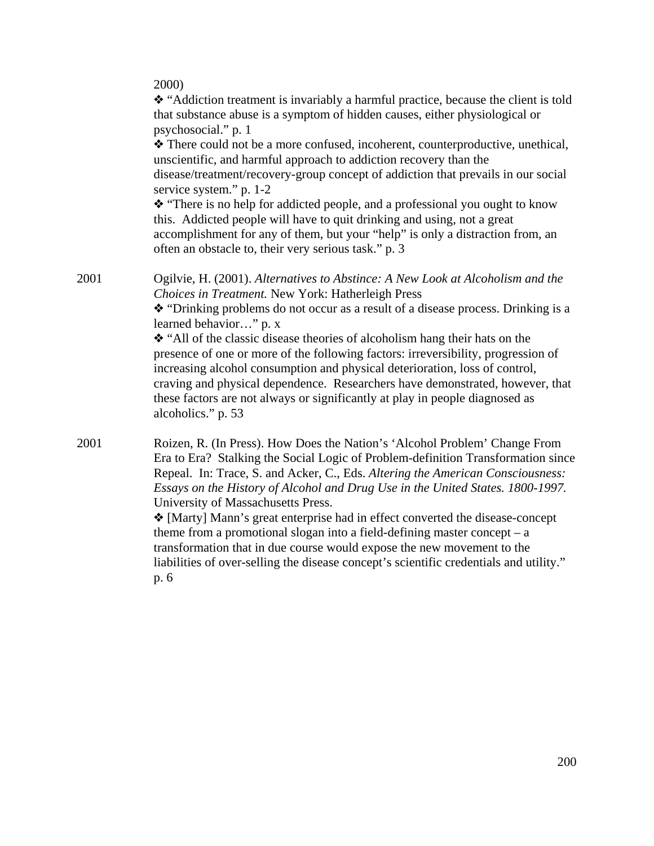2000)

˜ "Addiction treatment is invariably a harmful practice, because the client is told that substance abuse is a symptom of hidden causes, either physiological or psychosocial." p. 1

˜ There could not be a more confused, incoherent, counterproductive, unethical, unscientific, and harmful approach to addiction recovery than the disease/treatment/recovery-group concept of addiction that prevails in our social service system." p. 1-2

˜ "There is no help for addicted people, and a professional you ought to know this. Addicted people will have to quit drinking and using, not a great accomplishment for any of them, but your "help" is only a distraction from, an often an obstacle to, their very serious task." p. 3

2001 Ogilvie, H. (2001). *Alternatives to Abstince: A New Look at Alcoholism and the Choices in Treatment.* New York: Hatherleigh Press

˜ "Drinking problems do not occur as a result of a disease process. Drinking is a learned behavior…" p. x

˜ "All of the classic disease theories of alcoholism hang their hats on the presence of one or more of the following factors: irreversibility, progression of increasing alcohol consumption and physical deterioration, loss of control, craving and physical dependence. Researchers have demonstrated, however, that these factors are not always or significantly at play in people diagnosed as alcoholics." p. 53

2001 Roizen, R. (In Press). How Does the Nation's 'Alcohol Problem' Change From Era to Era? Stalking the Social Logic of Problem-definition Transformation since Repeal. In: Trace, S. and Acker, C., Eds. *Altering the American Consciousness: Essays on the History of Alcohol and Drug Use in the United States. 1800-1997.* University of Massachusetts Press.

> ˜ [Marty] Mann's great enterprise had in effect converted the disease-concept theme from a promotional slogan into a field-defining master concept – a transformation that in due course would expose the new movement to the liabilities of over-selling the disease concept's scientific credentials and utility." p. 6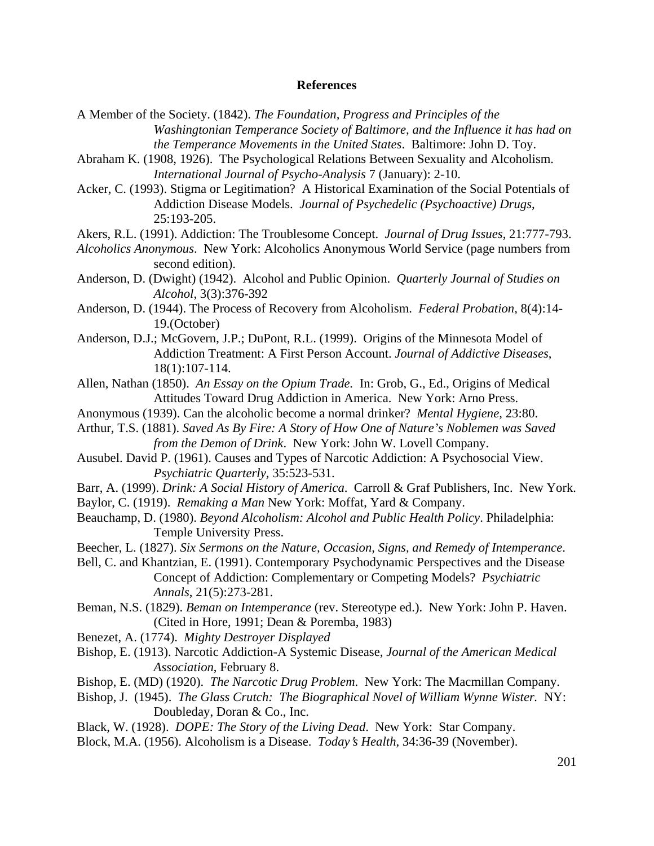## **References**

- A Member of the Society. (1842). *The Foundation, Progress and Principles of the Washingtonian Temperance Society of Baltimore, and the Influence it has had on the Temperance Movements in the United States*. Baltimore: John D. Toy.
- Abraham K. (1908, 1926). The Psychological Relations Between Sexuality and Alcoholism. *International Journal of Psycho-Analysis* 7 (January): 2-10.

Acker, C. (1993). Stigma or Legitimation? A Historical Examination of the Social Potentials of Addiction Disease Models. *Journal of Psychedelic (Psychoactive) Drugs*, 25:193-205.

- Akers, R.L. (1991). Addiction: The Troublesome Concept. *Journal of Drug Issues*, 21:777-793.
- *Alcoholics Anonymous*. New York: Alcoholics Anonymous World Service (page numbers from second edition).
- Anderson, D. (Dwight) (1942). Alcohol and Public Opinion. *Quarterly Journal of Studies on Alcohol*, 3(3):376-392
- Anderson, D. (1944). The Process of Recovery from Alcoholism. *Federal Probation*, 8(4):14- 19.(October)
- Anderson, D.J.; McGovern, J.P.; DuPont, R.L. (1999). Origins of the Minnesota Model of Addiction Treatment: A First Person Account. *Journal of Addictive Diseases*, 18(1):107-114.
- Allen, Nathan (1850). *An Essay on the Opium Trade.* In: Grob, G., Ed., Origins of Medical Attitudes Toward Drug Addiction in America. New York: Arno Press.
- Anonymous (1939). Can the alcoholic become a normal drinker? *Mental Hygiene,* 23:80.
- Arthur, T.S. (1881). *Saved As By Fire: A Story of How One of Nature's Noblemen was Saved from the Demon of Drink*. New York: John W. Lovell Company.
- Ausubel. David P. (1961). Causes and Types of Narcotic Addiction: A Psychosocial View. *Psychiatric Quarterly,* 35:523-531.
- Barr, A. (1999). *Drink: A Social History of America*. Carroll & Graf Publishers, Inc. New York.
- Baylor, C. (1919). *Remaking a Man* New York: Moffat, Yard & Company.
- Beauchamp, D. (1980). *Beyond Alcoholism: Alcohol and Public Health Policy*. Philadelphia: Temple University Press.
- Beecher, L. (1827). *Six Sermons on the Nature, Occasion, Signs, and Remedy of Intemperance*.
- Bell, C. and Khantzian, E. (1991). Contemporary Psychodynamic Perspectives and the Disease Concept of Addiction: Complementary or Competing Models? *Psychiatric Annals*, 21(5):273-281.
- Beman, N.S. (1829). *Beman on Intemperance* (rev. Stereotype ed.). New York: John P. Haven. (Cited in Hore, 1991; Dean & Poremba, 1983)
- Benezet, A. (1774). *Mighty Destroyer Displayed*
- Bishop, E. (1913). Narcotic Addiction-A Systemic Disease, *Journal of the American Medical Association*, February 8.
- Bishop, E. (MD) (1920). *The Narcotic Drug Problem*. New York: The Macmillan Company.
- Bishop, J. (1945). *The Glass Crutch: The Biographical Novel of William Wynne Wister.* NY: Doubleday, Doran & Co., Inc.
- Black, W. (1928). *DOPE: The Story of the Living Dead*. New York: Star Company.
- Block, M.A. (1956). Alcoholism is a Disease. *Today*=*s Health*, 34:36-39 (November).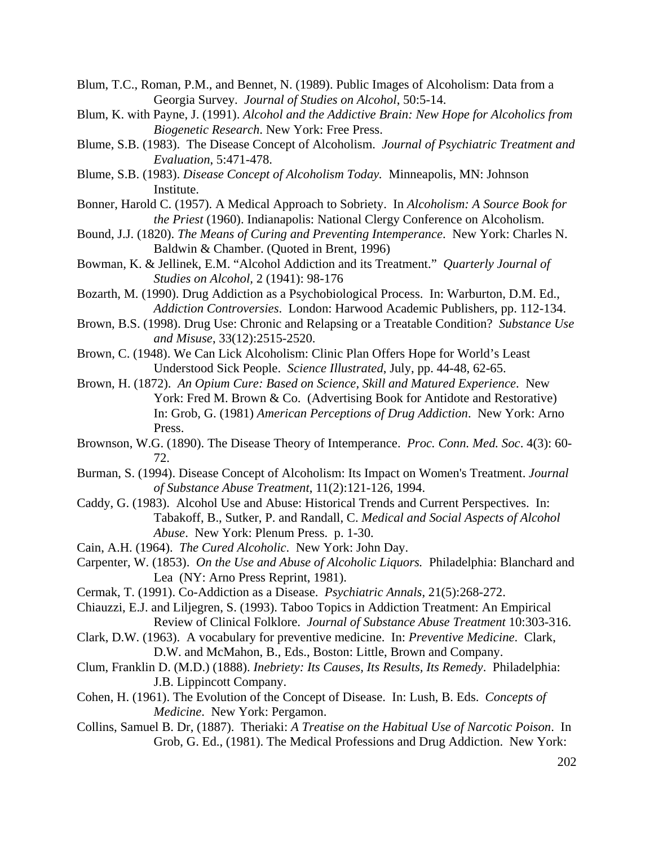- Blum, T.C., Roman, P.M., and Bennet, N. (1989). Public Images of Alcoholism: Data from a Georgia Survey. *Journal of Studies on Alcohol*, 50:5-14.
- Blum, K. with Payne, J. (1991). *Alcohol and the Addictive Brain: New Hope for Alcoholics from Biogenetic Research*. New York: Free Press.
- Blume, S.B. (1983). The Disease Concept of Alcoholism. *Journal of Psychiatric Treatment and Evaluation*, 5:471-478.
- Blume, S.B. (1983). *Disease Concept of Alcoholism Today.* Minneapolis, MN: Johnson Institute.
- Bonner, Harold C. (1957). A Medical Approach to Sobriety. In *Alcoholism: A Source Book for the Priest* (1960). Indianapolis: National Clergy Conference on Alcoholism.
- Bound, J.J. (1820). *The Means of Curing and Preventing Intemperance*. New York: Charles N. Baldwin & Chamber. (Quoted in Brent, 1996)
- Bowman, K. & Jellinek, E.M. "Alcohol Addiction and its Treatment." *Quarterly Journal of Studies on Alcohol,* 2 (1941): 98-176
- Bozarth, M. (1990). Drug Addiction as a Psychobiological Process. In: Warburton, D.M. Ed., *Addiction Controversies*. London: Harwood Academic Publishers, pp. 112-134.
- Brown, B.S. (1998). Drug Use: Chronic and Relapsing or a Treatable Condition? *Substance Use and Misuse*, 33(12):2515-2520.
- Brown, C. (1948). We Can Lick Alcoholism: Clinic Plan Offers Hope for World's Least Understood Sick People. *Science Illustrated*, July, pp. 44-48, 62-65.
- Brown, H. (1872). *An Opium Cure: Based on Science, Skill and Matured Experience*. New York: Fred M. Brown & Co. (Advertising Book for Antidote and Restorative) In: Grob, G. (1981) *American Perceptions of Drug Addiction*. New York: Arno Press.
- Brownson, W.G. (1890). The Disease Theory of Intemperance. *Proc. Conn. Med. Soc*. 4(3): 60- 72.
- Burman, S. (1994). Disease Concept of Alcoholism: Its Impact on Women's Treatment. *Journal of Substance Abuse Treatment*, 11(2):121-126, 1994.
- Caddy, G. (1983). Alcohol Use and Abuse: Historical Trends and Current Perspectives. In: Tabakoff, B., Sutker, P. and Randall, C. *Medical and Social Aspects of Alcohol Abuse*. New York: Plenum Press. p. 1-30.
- Cain, A.H. (1964). *The Cured Alcoholic*. New York: John Day.
- Carpenter, W. (1853). *On the Use and Abuse of Alcoholic Liquors.* Philadelphia: Blanchard and Lea (NY: Arno Press Reprint, 1981).
- Cermak, T. (1991). Co-Addiction as a Disease. *Psychiatric Annals*, 21(5):268-272.
- Chiauzzi, E.J. and Liljegren, S. (1993). Taboo Topics in Addiction Treatment: An Empirical Review of Clinical Folklore. *Journal of Substance Abuse Treatment* 10:303-316.
- Clark, D.W. (1963). A vocabulary for preventive medicine. In: *Preventive Medicine*. Clark, D.W. and McMahon, B., Eds., Boston: Little, Brown and Company.
- Clum, Franklin D. (M.D.) (1888). *Inebriety: Its Causes, Its Results, Its Remedy*. Philadelphia: J.B. Lippincott Company.
- Cohen, H. (1961). The Evolution of the Concept of Disease. In: Lush, B. Eds. *Concepts of Medicine*. New York: Pergamon.
- Collins, Samuel B. Dr, (1887). Theriaki: *A Treatise on the Habitual Use of Narcotic Poison*. In Grob, G. Ed., (1981). The Medical Professions and Drug Addiction. New York: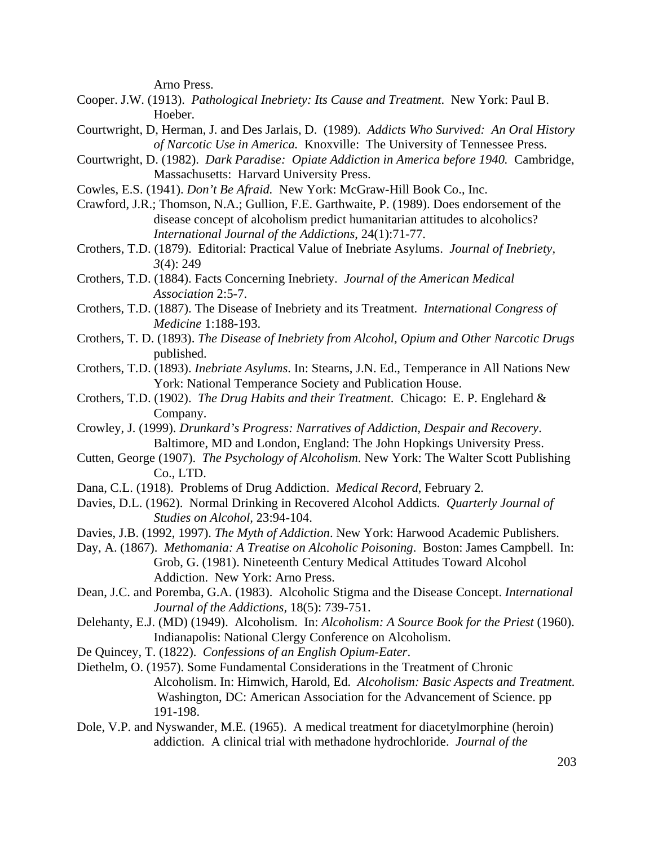Arno Press.

- Cooper. J.W. (1913). *Pathological Inebriety: Its Cause and Treatment*. New York: Paul B. Hoeber.
- Courtwright, D, Herman, J. and Des Jarlais, D. (1989). *Addicts Who Survived: An Oral History of Narcotic Use in America.* Knoxville: The University of Tennessee Press.
- Courtwright, D. (1982). *Dark Paradise: Opiate Addiction in America before 1940.* Cambridge, Massachusetts: Harvard University Press.
- Cowles, E.S. (1941). *Don't Be Afraid.* New York: McGraw-Hill Book Co., Inc.
- Crawford, J.R.; Thomson, N.A.; Gullion, F.E. Garthwaite, P. (1989). Does endorsement of the disease concept of alcoholism predict humanitarian attitudes to alcoholics? *International Journal of the Addictions*, 24(1):71-77.
- Crothers, T.D. (1879). Editorial: Practical Value of Inebriate Asylums. *Journal of Inebriety, 3*(4): 249
- Crothers, T.D. (1884). Facts Concerning Inebriety. *Journal of the American Medical Association* 2:5-7.
- Crothers, T.D. (1887). The Disease of Inebriety and its Treatment. *International Congress of Medicine* 1:188-193.
- Crothers, T. D. (1893). *The Disease of Inebriety from Alcohol, Opium and Other Narcotic Drugs* published.
- Crothers, T.D. (1893). *Inebriate Asylums*. In: Stearns, J.N. Ed., Temperance in All Nations New York: National Temperance Society and Publication House.
- Crothers, T.D. (1902). *The Drug Habits and their Treatment*. Chicago: E. P. Englehard & Company.
- Crowley, J. (1999). *Drunkard's Progress: Narratives of Addiction, Despair and Recovery*. Baltimore, MD and London, England: The John Hopkings University Press.
- Cutten, George (1907). *The Psychology of Alcoholism*. New York: The Walter Scott Publishing Co., LTD.
- Dana, C.L. (1918). Problems of Drug Addiction. *Medical Record*, February 2.
- Davies, D.L. (1962). Normal Drinking in Recovered Alcohol Addicts. *Quarterly Journal of Studies on Alcohol,* 23:94-104.
- Davies, J.B. (1992, 1997). *The Myth of Addiction*. New York: Harwood Academic Publishers.
- Day, A. (1867). *Methomania: A Treatise on Alcoholic Poisoning*. Boston: James Campbell. In: Grob, G. (1981). Nineteenth Century Medical Attitudes Toward Alcohol Addiction. New York: Arno Press.
- Dean, J.C. and Poremba, G.A. (1983). Alcoholic Stigma and the Disease Concept. *International Journal of the Addictions,* 18(5): 739-751.
- Delehanty, E.J. (MD) (1949). Alcoholism. In: *Alcoholism: A Source Book for the Priest* (1960). Indianapolis: National Clergy Conference on Alcoholism.
- De Quincey, T. (1822). *Confessions of an English Opium-Eater*.
- Diethelm, O. (1957). Some Fundamental Considerations in the Treatment of Chronic Alcoholism. In: Himwich, Harold, Ed. *Alcoholism: Basic Aspects and Treatment.*  Washington, DC: American Association for the Advancement of Science. pp 191-198.
- Dole, V.P. and Nyswander, M.E. (1965). A medical treatment for diacetylmorphine (heroin) addiction. A clinical trial with methadone hydrochloride. *Journal of the*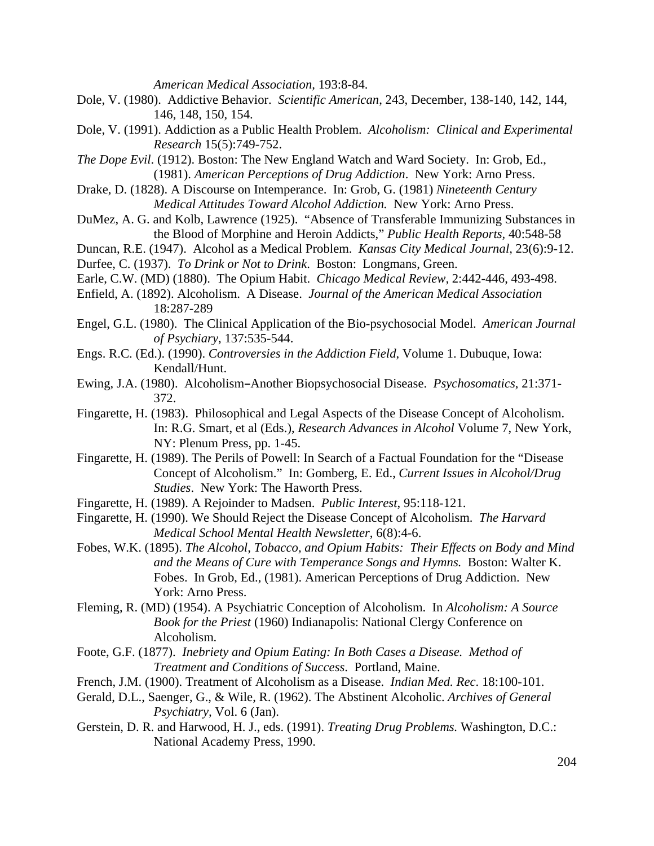*American Medical Association,* 193:8-84.

- Dole, V. (1980). Addictive Behavior. *Scientific American*, 243, December, 138-140, 142, 144, 146, 148, 150, 154.
- Dole, V. (1991). Addiction as a Public Health Problem. *Alcoholism: Clinical and Experimental Research* 15(5):749-752.
- *The Dope Evil*. (1912). Boston: The New England Watch and Ward Society. In: Grob, Ed., (1981). *American Perceptions of Drug Addiction*. New York: Arno Press.
- Drake, D. (1828). A Discourse on Intemperance. In: Grob, G. (1981) *Nineteenth Century Medical Attitudes Toward Alcohol Addiction.* New York: Arno Press.
- DuMez, A. G. and Kolb, Lawrence (1925). "Absence of Transferable Immunizing Substances in the Blood of Morphine and Heroin Addicts," *Public Health Reports,* 40:548-58
- Duncan, R.E. (1947). Alcohol as a Medical Problem. *Kansas City Medical Journal,* 23(6):9-12.
- Durfee, C. (1937). *To Drink or Not to Drink*. Boston: Longmans, Green.
- Earle, C.W. (MD) (1880). The Opium Habit. *Chicago Medical Review,* 2:442-446, 493-498.
- Enfield, A. (1892). Alcoholism. A Disease. *Journal of the American Medical Association* 18:287-289
- Engel, G.L. (1980). The Clinical Application of the Bio-psychosocial Model. *American Journal of Psychiary*, 137:535-544.
- Engs. R.C. (Ed.). (1990). *Controversies in the Addiction Field*, Volume 1. Dubuque, Iowa: Kendall/Hunt.
- Ewing, J.A. (1980). Alcoholism–Another Biopsychosocial Disease. *Psychosomatics*, 21:371-372.
- Fingarette, H. (1983). Philosophical and Legal Aspects of the Disease Concept of Alcoholism. In: R.G. Smart, et al (Eds.), *Research Advances in Alcohol* Volume 7, New York, NY: Plenum Press, pp. 1-45.
- Fingarette, H. (1989). The Perils of Powell: In Search of a Factual Foundation for the "Disease Concept of Alcoholism." In: Gomberg, E. Ed., *Current Issues in Alcohol/Drug Studies*. New York: The Haworth Press.
- Fingarette, H. (1989). A Rejoinder to Madsen. *Public Interest*, 95:118-121.
- Fingarette, H. (1990). We Should Reject the Disease Concept of Alcoholism. *The Harvard Medical School Mental Health Newsletter*, 6(8):4-6.
- Fobes, W.K. (1895). *The Alcohol, Tobacco, and Opium Habits: Their Effects on Body and Mind and the Means of Cure with Temperance Songs and Hymns.* Boston: Walter K. Fobes. In Grob, Ed., (1981). American Perceptions of Drug Addiction. New York: Arno Press.
- Fleming, R. (MD) (1954). A Psychiatric Conception of Alcoholism. In *Alcoholism: A Source Book for the Priest* (1960) Indianapolis: National Clergy Conference on Alcoholism.
- Foote, G.F. (1877). *Inebriety and Opium Eating: In Both Cases a Disease. Method of Treatment and Conditions of Success*. Portland, Maine.
- French, J.M. (1900). Treatment of Alcoholism as a Disease. *Indian Med. Rec*. 18:100-101.
- Gerald, D.L., Saenger, G., & Wile, R. (1962). The Abstinent Alcoholic. *Archives of General Psychiatry,* Vol. 6 (Jan).
- Gerstein, D. R. and Harwood, H. J., eds. (1991). *Treating Drug Problems.* Washington, D.C.: National Academy Press, 1990.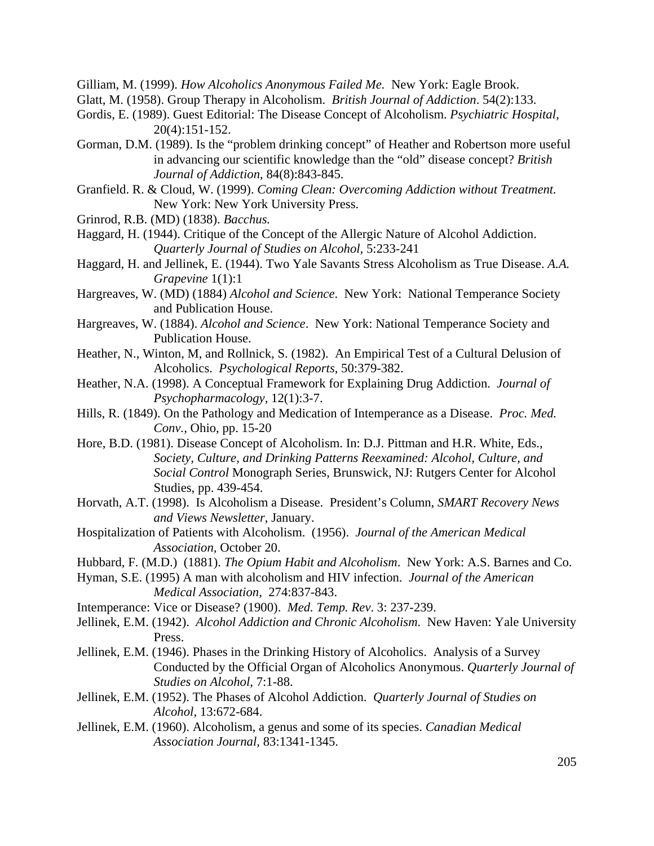Gilliam, M. (1999). *How Alcoholics Anonymous Failed Me.* New York: Eagle Brook.

- Glatt, M. (1958). Group Therapy in Alcoholism. *British Journal of Addiction*. 54(2):133.
- Gordis, E. (1989). Guest Editorial: The Disease Concept of Alcoholism. *Psychiatric Hospital*, 20(4):151-152.
- Gorman, D.M. (1989). Is the "problem drinking concept" of Heather and Robertson more useful in advancing our scientific knowledge than the "old" disease concept? *British Journal of Addiction*, 84(8):843-845.
- Granfield. R. & Cloud, W. (1999). *Coming Clean: Overcoming Addiction without Treatment.* New York: New York University Press.
- Grinrod, R.B. (MD) (1838). *Bacchus.*
- Haggard, H. (1944). Critique of the Concept of the Allergic Nature of Alcohol Addiction. *Quarterly Journal of Studies on Alcohol,* 5:233-241
- Haggard, H. and Jellinek, E. (1944). Two Yale Savants Stress Alcoholism as True Disease. *A.A. Grapevine* 1(1):1
- Hargreaves, W. (MD) (1884) *Alcohol and Science*. New York: National Temperance Society and Publication House.
- Hargreaves, W. (1884). *Alcohol and Science*. New York: National Temperance Society and Publication House.
- Heather, N., Winton, M, and Rollnick, S. (1982). An Empirical Test of a Cultural Delusion of Alcoholics. *Psychological Reports*, 50:379-382.
- Heather, N.A. (1998). A Conceptual Framework for Explaining Drug Addiction. *Journal of Psychopharmacology*, 12(1):3-7.
- Hills, R. (1849). On the Pathology and Medication of Intemperance as a Disease. *Proc. Med. Conv.*, Ohio, pp. 15-20
- Hore, B.D. (1981). Disease Concept of Alcoholism. In: D.J. Pittman and H.R. White, Eds., *Society, Culture, and Drinking Patterns Reexamined: Alcohol, Culture, and Social Control* Monograph Series, Brunswick, NJ: Rutgers Center for Alcohol Studies, pp. 439-454.
- Horvath, A.T. (1998). Is Alcoholism a Disease. President's Column, *SMART Recovery News and Views Newsletter*, January.
- Hospitalization of Patients with Alcoholism. (1956). *Journal of the American Medical Association,* October 20.
- Hubbard, F. (M.D.) (1881). *The Opium Habit and Alcoholism*. New York: A.S. Barnes and Co.
- Hyman, S.E. (1995) A man with alcoholism and HIV infection. *Journal of the American Medical Association,* 274:837-843.
- Intemperance: Vice or Disease? (1900). *Med. Temp. Rev*. 3: 237-239.
- Jellinek, E.M. (1942). *Alcohol Addiction and Chronic Alcoholism*. New Haven: Yale University Press.
- Jellinek, E.M. (1946). Phases in the Drinking History of Alcoholics. Analysis of a Survey Conducted by the Official Organ of Alcoholics Anonymous. *Quarterly Journal of Studies on Alcohol*, 7:1-88.
- Jellinek, E.M. (1952). The Phases of Alcohol Addiction. *Quarterly Journal of Studies on Alcohol*, 13:672-684.
- Jellinek, E.M. (1960). Alcoholism, a genus and some of its species. *Canadian Medical Association Journal,* 83:1341-1345.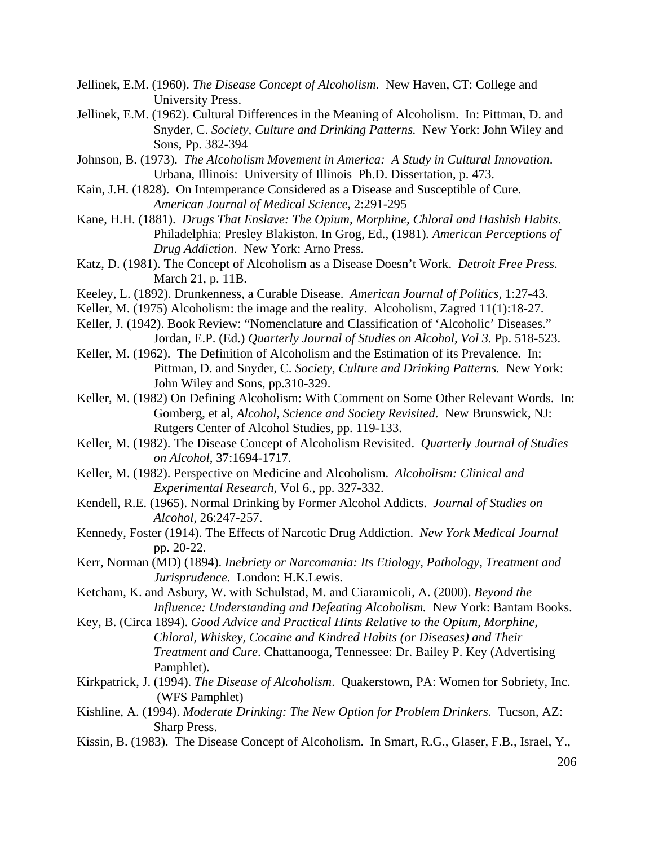- Jellinek, E.M. (1960). *The Disease Concept of Alcoholism*. New Haven, CT: College and University Press.
- Jellinek, E.M. (1962). Cultural Differences in the Meaning of Alcoholism. In: Pittman, D. and Snyder, C. *Society, Culture and Drinking Patterns.* New York: John Wiley and Sons, Pp. 382-394
- Johnson, B. (1973). *The Alcoholism Movement in America: A Study in Cultural Innovation*. Urbana, Illinois: University of Illinois Ph.D. Dissertation, p. 473.
- Kain, J.H. (1828). On Intemperance Considered as a Disease and Susceptible of Cure. *American Journal of Medical Science*, 2:291-295
- Kane, H.H. (1881). *Drugs That Enslave: The Opium, Morphine, Chloral and Hashish Habits*. Philadelphia: Presley Blakiston. In Grog, Ed., (1981)*. American Perceptions of Drug Addiction*. New York: Arno Press.
- Katz, D. (1981). The Concept of Alcoholism as a Disease Doesn't Work. *Detroit Free Press*. March 21, p. 11B.
- Keeley, L. (1892). Drunkenness, a Curable Disease. *American Journal of Politics,* 1:27-43.
- Keller, M. (1975) Alcoholism: the image and the reality. Alcoholism, Zagred 11(1):18-27.
- Keller, J. (1942). Book Review: "Nomenclature and Classification of 'Alcoholic' Diseases." Jordan, E.P. (Ed.) *Quarterly Journal of Studies on Alcohol, Vol 3.* Pp. 518-523.
- Keller, M. (1962). The Definition of Alcoholism and the Estimation of its Prevalence. In: Pittman, D. and Snyder, C. *Society, Culture and Drinking Patterns.* New York: John Wiley and Sons, pp.310-329.
- Keller, M. (1982) On Defining Alcoholism: With Comment on Some Other Relevant Words. In: Gomberg, et al, *Alcohol, Science and Society Revisited*. New Brunswick, NJ: Rutgers Center of Alcohol Studies, pp. 119-133.
- Keller, M. (1982). The Disease Concept of Alcoholism Revisited. *Quarterly Journal of Studies on Alcohol*, 37:1694-1717.
- Keller, M. (1982). Perspective on Medicine and Alcoholism. *Alcoholism: Clinical and Experimental Research*, Vol 6., pp. 327-332.
- Kendell, R.E. (1965). Normal Drinking by Former Alcohol Addicts. *Journal of Studies on Alcohol,* 26:247-257.
- Kennedy, Foster (1914). The Effects of Narcotic Drug Addiction. *New York Medical Journal* pp. 20-22.
- Kerr, Norman (MD) (1894). *Inebriety or Narcomania: Its Etiology, Pathology, Treatment and Jurisprudence*. London: H.K.Lewis.
- Ketcham, K. and Asbury, W. with Schulstad, M. and Ciaramicoli, A. (2000). *Beyond the Influence: Understanding and Defeating Alcoholism.* New York: Bantam Books.
- Key, B. (Circa 1894). *Good Advice and Practical Hints Relative to the Opium, Morphine, Chloral, Whiskey, Cocaine and Kindred Habits (or Diseases) and Their Treatment and Cure*. Chattanooga, Tennessee: Dr. Bailey P. Key (Advertising Pamphlet).
- Kirkpatrick, J. (1994). *The Disease of Alcoholism*. Quakerstown, PA: Women for Sobriety, Inc. (WFS Pamphlet)
- Kishline, A. (1994). *Moderate Drinking: The New Option for Problem Drinkers.* Tucson, AZ: Sharp Press.
- Kissin, B. (1983). The Disease Concept of Alcoholism. In Smart, R.G., Glaser, F.B., Israel, Y.,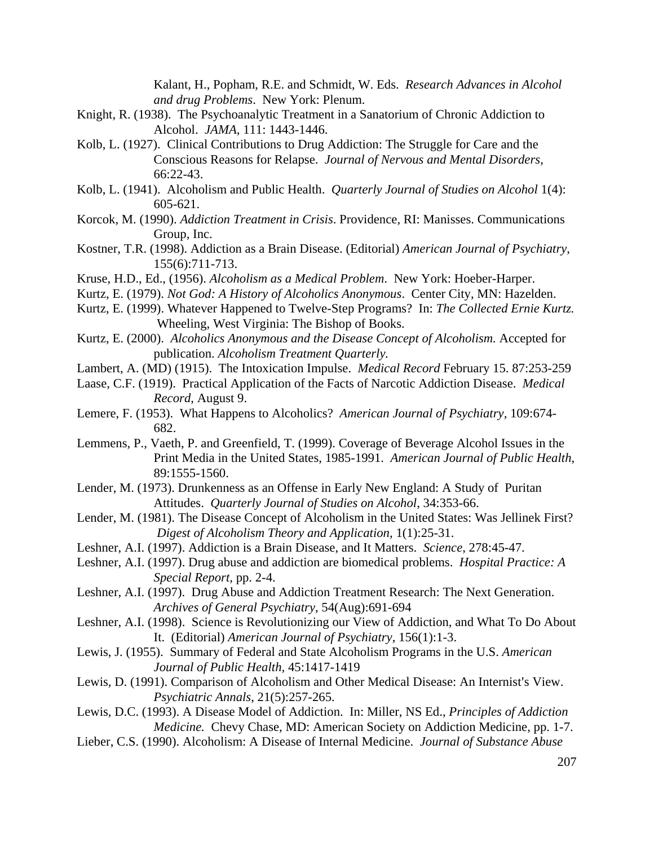Kalant, H., Popham, R.E. and Schmidt, W. Eds. *Research Advances in Alcohol and drug Problems*. New York: Plenum.

- Knight, R. (1938). The Psychoanalytic Treatment in a Sanatorium of Chronic Addiction to Alcohol. *JAMA*, 111: 1443-1446.
- Kolb, L. (1927). Clinical Contributions to Drug Addiction: The Struggle for Care and the Conscious Reasons for Relapse. *Journal of Nervous and Mental Disorders*, 66:22-43.
- Kolb, L. (1941). Alcoholism and Public Health. *Quarterly Journal of Studies on Alcohol* 1(4): 605-621.
- Korcok, M. (1990). *Addiction Treatment in Crisis*. Providence, RI: Manisses. Communications Group, Inc.
- Kostner, T.R. (1998). Addiction as a Brain Disease. (Editorial) *American Journal of Psychiatry*, 155(6):711-713.
- Kruse, H.D., Ed., (1956). *Alcoholism as a Medical Problem*. New York: Hoeber-Harper.
- Kurtz, E. (1979). *Not God: A History of Alcoholics Anonymous*. Center City, MN: Hazelden.
- Kurtz, E. (1999). Whatever Happened to Twelve-Step Programs? In: *The Collected Ernie Kurtz.* Wheeling, West Virginia: The Bishop of Books.
- Kurtz, E. (2000). *Alcoholics Anonymous and the Disease Concept of Alcoholism.* Accepted for publication. *Alcoholism Treatment Quarterly.*
- Lambert, A. (MD) (1915). The Intoxication Impulse. *Medical Record* February 15. 87:253-259
- Laase, C.F. (1919). Practical Application of the Facts of Narcotic Addiction Disease. *Medical Record*, August 9.
- Lemere, F. (1953). What Happens to Alcoholics? *American Journal of Psychiatry,* 109:674- 682.
- Lemmens, P., Vaeth, P. and Greenfield, T. (1999). Coverage of Beverage Alcohol Issues in the Print Media in the United States, 1985-1991. *American Journal of Public Health*, 89:1555-1560.
- Lender, M. (1973). Drunkenness as an Offense in Early New England: A Study of Puritan Attitudes. *Quarterly Journal of Studies on Alcohol*, 34:353-66.
- Lender, M. (1981). The Disease Concept of Alcoholism in the United States: Was Jellinek First?  *Digest of Alcoholism Theory and Application*, 1(1):25-31.
- Leshner, A.I. (1997). Addiction is a Brain Disease, and It Matters. *Science*, 278:45-47.
- Leshner, A.I. (1997). Drug abuse and addiction are biomedical problems. *Hospital Practice: A Special Report*, pp. 2-4.
- Leshner, A.I. (1997). Drug Abuse and Addiction Treatment Research: The Next Generation. *Archives of General Psychiatry*, 54(Aug):691-694
- Leshner, A.I. (1998). Science is Revolutionizing our View of Addiction, and What To Do About It. (Editorial) *American Journal of Psychiatry*, 156(1):1-3.
- Lewis, J. (1955). Summary of Federal and State Alcoholism Programs in the U.S. *American Journal of Public Health,* 45:1417-1419
- Lewis, D. (1991). Comparison of Alcoholism and Other Medical Disease: An Internist's View. *Psychiatric Annals*, 21(5):257-265.
- Lewis, D.C. (1993). A Disease Model of Addiction. In: Miller, NS Ed., *Principles of Addiction Medicine.* Chevy Chase, MD: American Society on Addiction Medicine, pp. 1-7.
- Lieber, C.S. (1990). Alcoholism: A Disease of Internal Medicine. *Journal of Substance Abuse*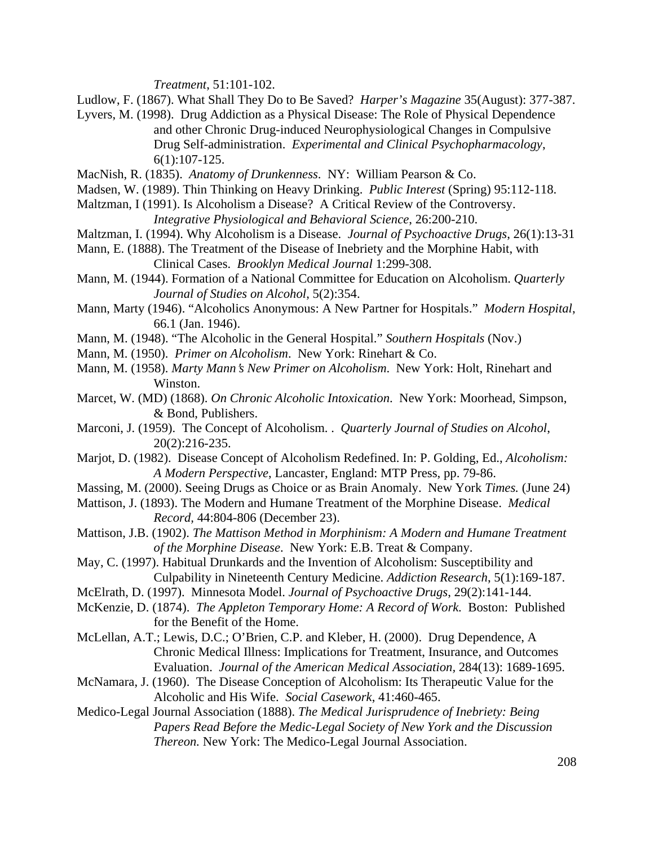*Treatment*, 51:101-102.

Ludlow, F. (1867). What Shall They Do to Be Saved? *Harper's Magazine* 35(August): 377-387.

- Lyvers, M. (1998). Drug Addiction as a Physical Disease: The Role of Physical Dependence and other Chronic Drug-induced Neurophysiological Changes in Compulsive Drug Self-administration. *Experimental and Clinical Psychopharmacology*, 6(1):107-125.
- MacNish, R. (1835). *Anatomy of Drunkenness*. NY: William Pearson & Co.
- Madsen, W. (1989). Thin Thinking on Heavy Drinking. *Public Interest* (Spring) 95:112-118.
- Maltzman, I (1991). Is Alcoholism a Disease? A Critical Review of the Controversy.

*Integrative Physiological and Behavioral Science*, 26:200-210.

- Maltzman, I. (1994). Why Alcoholism is a Disease. *Journal of Psychoactive Drugs*, 26(1):13-31
- Mann, E. (1888). The Treatment of the Disease of Inebriety and the Morphine Habit, with Clinical Cases. *Brooklyn Medical Journal* 1:299-308.
- Mann, M. (1944). Formation of a National Committee for Education on Alcoholism. *Quarterly Journal of Studies on Alcohol*, 5(2):354.
- Mann, Marty (1946). "Alcoholics Anonymous: A New Partner for Hospitals." *Modern Hospital*, 66.1 (Jan. 1946).
- Mann, M. (1948). "The Alcoholic in the General Hospital." *Southern Hospitals* (Nov.)
- Mann, M. (1950). *Primer on Alcoholism*. New York: Rinehart & Co.
- Mann, M. (1958). *Marty Mann's New Primer on Alcoholism*. New York: Holt, Rinehart and Winston.
- Marcet, W. (MD) (1868). *On Chronic Alcoholic Intoxication*. New York: Moorhead, Simpson, & Bond, Publishers.
- Marconi, J. (1959). The Concept of Alcoholism. . *Quarterly Journal of Studies on Alcohol*, 20(2):216-235.
- Marjot, D. (1982). Disease Concept of Alcoholism Redefined. In: P. Golding, Ed., *Alcoholism: A Modern Perspective*, Lancaster, England: MTP Press, pp. 79-86.
- Massing, M. (2000). Seeing Drugs as Choice or as Brain Anomaly. New York *Times.* (June 24)
- Mattison, J. (1893). The Modern and Humane Treatment of the Morphine Disease. *Medical Record,* 44:804-806 (December 23).
- Mattison, J.B. (1902). *The Mattison Method in Morphinism: A Modern and Humane Treatment of the Morphine Disease*. New York: E.B. Treat & Company.
- May, C. (1997). Habitual Drunkards and the Invention of Alcoholism: Susceptibility and Culpability in Nineteenth Century Medicine. *Addiction Research*, 5(1):169-187.
- McElrath, D. (1997). Minnesota Model. *Journal of Psychoactive Drugs*, 29(2):141-144.
- McKenzie, D. (1874). *The Appleton Temporary Home: A Record of Work.* Boston: Published for the Benefit of the Home.
- McLellan, A.T.; Lewis, D.C.; O'Brien, C.P. and Kleber, H. (2000). Drug Dependence, A Chronic Medical Illness: Implications for Treatment, Insurance, and Outcomes Evaluation. *Journal of the American Medical Association,* 284(13): 1689-1695.
- McNamara, J. (1960). The Disease Conception of Alcoholism: Its Therapeutic Value for the Alcoholic and His Wife. *Social Casework*, 41:460-465.
- Medico-Legal Journal Association (1888). *The Medical Jurisprudence of Inebriety: Being Papers Read Before the Medic-Legal Society of New York and the Discussion Thereon.* New York: The Medico-Legal Journal Association.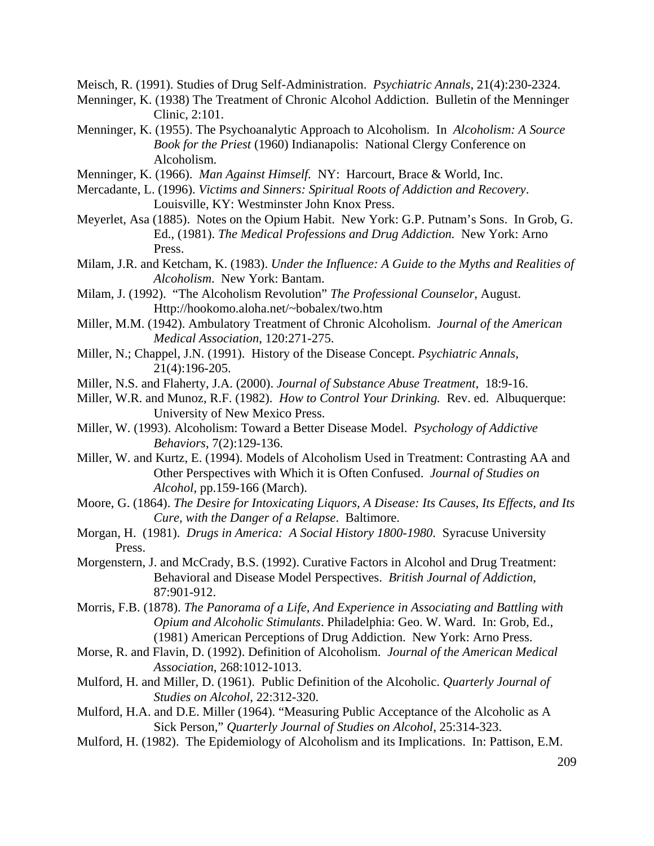Meisch, R. (1991). Studies of Drug Self-Administration. *Psychiatric Annals*, 21(4):230-2324.

- Menninger, K. (1938) The Treatment of Chronic Alcohol Addiction. Bulletin of the Menninger Clinic, 2:101.
- Menninger, K. (1955). The Psychoanalytic Approach to Alcoholism. In *Alcoholism: A Source Book for the Priest* (1960) Indianapolis: National Clergy Conference on Alcoholism.
- Menninger, K. (1966). *Man Against Himself.* NY: Harcourt, Brace & World, Inc.
- Mercadante, L. (1996). *Victims and Sinners: Spiritual Roots of Addiction and Recovery*. Louisville, KY: Westminster John Knox Press.
- Meyerlet, Asa (1885). Notes on the Opium Habit. New York: G.P. Putnam's Sons. In Grob, G. Ed., (1981). *The Medical Professions and Drug Addiction.* New York: Arno Press.
- Milam, J.R. and Ketcham, K. (1983). *Under the Influence: A Guide to the Myths and Realities of Alcoholism*. New York: Bantam.
- Milam, J. (1992). "The Alcoholism Revolution" *The Professional Counselor*, August. Http://hookomo.aloha.net/~bobalex/two.htm
- Miller, M.M. (1942). Ambulatory Treatment of Chronic Alcoholism. *Journal of the American Medical Association*, 120:271-275.
- Miller, N.; Chappel, J.N. (1991). History of the Disease Concept. *Psychiatric Annals*, 21(4):196-205.
- Miller, N.S. and Flaherty, J.A. (2000). *Journal of Substance Abuse Treatment*, 18:9-16.
- Miller, W.R. and Munoz, R.F. (1982). *How to Control Your Drinking.* Rev. ed. Albuquerque: University of New Mexico Press.
- Miller, W. (1993). Alcoholism: Toward a Better Disease Model. *Psychology of Addictive Behaviors*, 7(2):129-136.
- Miller, W. and Kurtz, E. (1994). Models of Alcoholism Used in Treatment: Contrasting AA and Other Perspectives with Which it is Often Confused. *Journal of Studies on Alcohol*, pp.159-166 (March).
- Moore, G. (1864). *The Desire for Intoxicating Liquors, A Disease: Its Causes, Its Effects, and Its Cure, with the Danger of a Relapse*. Baltimore.
- Morgan, H. (1981). *Drugs in America: A Social History 1800-1980*. Syracuse University Press.
- Morgenstern, J. and McCrady, B.S. (1992). Curative Factors in Alcohol and Drug Treatment: Behavioral and Disease Model Perspectives. *British Journal of Addiction*, 87:901-912.
- Morris, F.B. (1878). *The Panorama of a Life, And Experience in Associating and Battling with Opium and Alcoholic Stimulants*. Philadelphia: Geo. W. Ward. In: Grob, Ed., (1981) American Perceptions of Drug Addiction. New York: Arno Press.
- Morse, R. and Flavin, D. (1992). Definition of Alcoholism. *Journal of the American Medical Association*, 268:1012-1013.
- Mulford, H. and Miller, D. (1961). Public Definition of the Alcoholic. *Quarterly Journal of Studies on Alcohol*, 22:312-320.
- Mulford, H.A. and D.E. Miller (1964). "Measuring Public Acceptance of the Alcoholic as A Sick Person," *Quarterly Journal of Studies on Alcohol,* 25:314-323.
- Mulford, H. (1982). The Epidemiology of Alcoholism and its Implications. In: Pattison, E.M.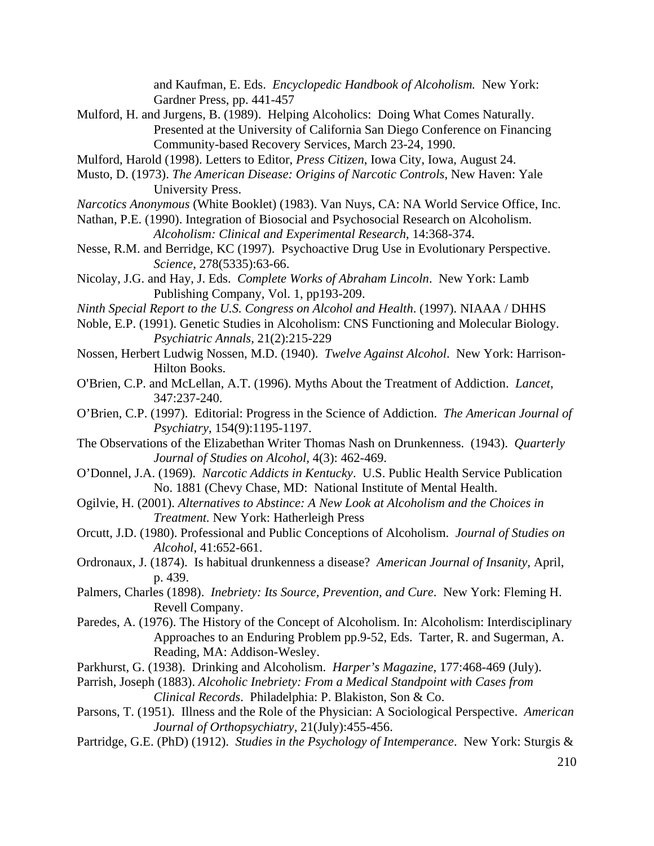and Kaufman, E. Eds. *Encyclopedic Handbook of Alcoholism.* New York: Gardner Press, pp. 441-457

- Mulford, H. and Jurgens, B. (1989). Helping Alcoholics: Doing What Comes Naturally. Presented at the University of California San Diego Conference on Financing Community-based Recovery Services, March 23-24, 1990.
- Mulford, Harold (1998). Letters to Editor, *Press Citizen*, Iowa City, Iowa, August 24.
- Musto, D. (1973). *The American Disease: Origins of Narcotic Controls*, New Haven: Yale University Press.
- *Narcotics Anonymous* (White Booklet) (1983). Van Nuys, CA: NA World Service Office, Inc.
- Nathan, P.E. (1990). Integration of Biosocial and Psychosocial Research on Alcoholism. *Alcoholism: Clinical and Experimental Research*, 14:368-374.
- Nesse, R.M. and Berridge, KC (1997). Psychoactive Drug Use in Evolutionary Perspective. *Science*, 278(5335):63-66.
- Nicolay, J.G. and Hay, J. Eds. *Complete Works of Abraham Lincoln*. New York: Lamb Publishing Company, Vol. 1, pp193-209.

*Ninth Special Report to the U.S. Congress on Alcohol and Health*. (1997). NIAAA / DHHS

- Noble, E.P. (1991). Genetic Studies in Alcoholism: CNS Functioning and Molecular Biology. *Psychiatric Annals,* 21(2):215-229
- Nossen, Herbert Ludwig Nossen, M.D. (1940). *Twelve Against Alcohol*. New York: Harrison-Hilton Books.
- O=Brien, C.P. and McLellan, A.T. (1996). Myths About the Treatment of Addiction. *Lancet*, 347:237-240.
- O'Brien, C.P. (1997). Editorial: Progress in the Science of Addiction. *The American Journal of Psychiatry*, 154(9):1195-1197.
- The Observations of the Elizabethan Writer Thomas Nash on Drunkenness. (1943). *Quarterly Journal of Studies on Alcohol,* 4(3): 462-469.
- O'Donnel, J.A. (1969). *Narcotic Addicts in Kentucky*. U.S. Public Health Service Publication No. 1881 (Chevy Chase, MD: National Institute of Mental Health.
- Ogilvie, H. (2001). *Alternatives to Abstince: A New Look at Alcoholism and the Choices in Treatment.* New York: Hatherleigh Press
- Orcutt, J.D. (1980). Professional and Public Conceptions of Alcoholism. *Journal of Studies on Alcohol*, 41:652-661.
- Ordronaux, J. (1874). Is habitual drunkenness a disease? *American Journal of Insanity,* April, p. 439.
- Palmers, Charles (1898). *Inebriety: Its Source, Prevention, and Cure*. New York: Fleming H. Revell Company.
- Paredes, A. (1976). The History of the Concept of Alcoholism. In: Alcoholism: Interdisciplinary Approaches to an Enduring Problem pp.9-52, Eds. Tarter, R. and Sugerman, A. Reading, MA: Addison-Wesley.
- Parkhurst, G. (1938). Drinking and Alcoholism. *Harper's Magazine,* 177:468-469 (July).
- Parrish, Joseph (1883). *Alcoholic Inebriety: From a Medical Standpoint with Cases from Clinical Records*. Philadelphia: P. Blakiston, Son & Co.
- Parsons, T. (1951). Illness and the Role of the Physician: A Sociological Perspective. *American Journal of Orthopsychiatry,* 21(July):455-456.
- Partridge, G.E. (PhD) (1912). *Studies in the Psychology of Intemperance*. New York: Sturgis &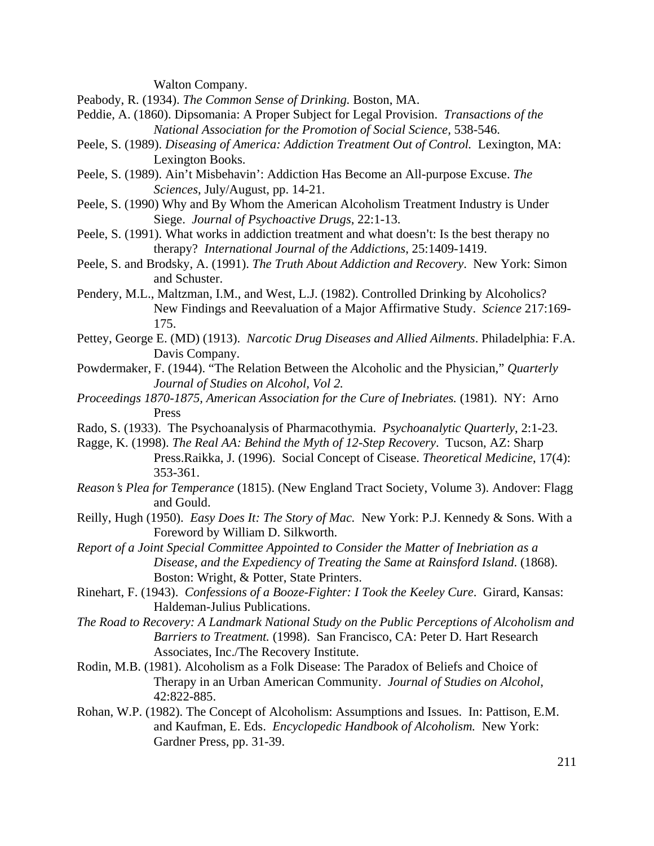Walton Company.

- Peabody, R. (1934). *The Common Sense of Drinking.* Boston, MA.
- Peddie, A. (1860). Dipsomania: A Proper Subject for Legal Provision. *Transactions of the National Association for the Promotion of Social Science,* 538-546.
- Peele, S. (1989). *Diseasing of America: Addiction Treatment Out of Control.* Lexington, MA: Lexington Books.
- Peele, S. (1989). Ain't Misbehavin': Addiction Has Become an All-purpose Excuse. *The Sciences*, July/August, pp. 14-21.
- Peele, S. (1990) Why and By Whom the American Alcoholism Treatment Industry is Under Siege. *Journal of Psychoactive Drugs*, 22:1-13.
- Peele, S. (1991). What works in addiction treatment and what doesn't: Is the best therapy no therapy? *International Journal of the Addictions*, 25:1409-1419.
- Peele, S. and Brodsky, A. (1991). *The Truth About Addiction and Recovery*. New York: Simon and Schuster.
- Pendery, M.L., Maltzman, I.M., and West, L.J. (1982). Controlled Drinking by Alcoholics? New Findings and Reevaluation of a Major Affirmative Study. *Science* 217:169- 175.
- Pettey, George E. (MD) (1913). *Narcotic Drug Diseases and Allied Ailments*. Philadelphia: F.A. Davis Company.
- Powdermaker, F. (1944). "The Relation Between the Alcoholic and the Physician," *Quarterly Journal of Studies on Alcohol, Vol 2.*
- *Proceedings 1870-1875, American Association for the Cure of Inebriates.* (1981). NY: Arno Press
- Rado, S. (1933). The Psychoanalysis of Pharmacothymia. *Psychoanalytic Quarterly*, 2:1-23.
- Ragge, K. (1998). *The Real AA: Behind the Myth of 12-Step Recovery*. Tucson, AZ: Sharp Press.Raikka, J. (1996). Social Concept of Cisease. *Theoretical Medicine*, 17(4): 353-361.
- *Reason's Plea for Temperance* (1815). (New England Tract Society, Volume 3). Andover: Flagg and Gould.
- Reilly, Hugh (1950). *Easy Does It: The Story of Mac.* New York: P.J. Kennedy & Sons. With a Foreword by William D. Silkworth.
- *Report of a Joint Special Committee Appointed to Consider the Matter of Inebriation as a Disease, and the Expediency of Treating the Same at Rainsford Island*. (1868). Boston: Wright, & Potter, State Printers.
- Rinehart, F. (1943). *Confessions of a Booze-Fighter: I Took the Keeley Cure*. Girard, Kansas: Haldeman-Julius Publications.
- *The Road to Recovery: A Landmark National Study on the Public Perceptions of Alcoholism and Barriers to Treatment.* (1998). San Francisco, CA: Peter D. Hart Research Associates, Inc./The Recovery Institute.
- Rodin, M.B. (1981). Alcoholism as a Folk Disease: The Paradox of Beliefs and Choice of Therapy in an Urban American Community. *Journal of Studies on Alcohol*, 42:822-885.
- Rohan, W.P. (1982). The Concept of Alcoholism: Assumptions and Issues. In: Pattison, E.M. and Kaufman, E. Eds. *Encyclopedic Handbook of Alcoholism.* New York: Gardner Press, pp. 31-39.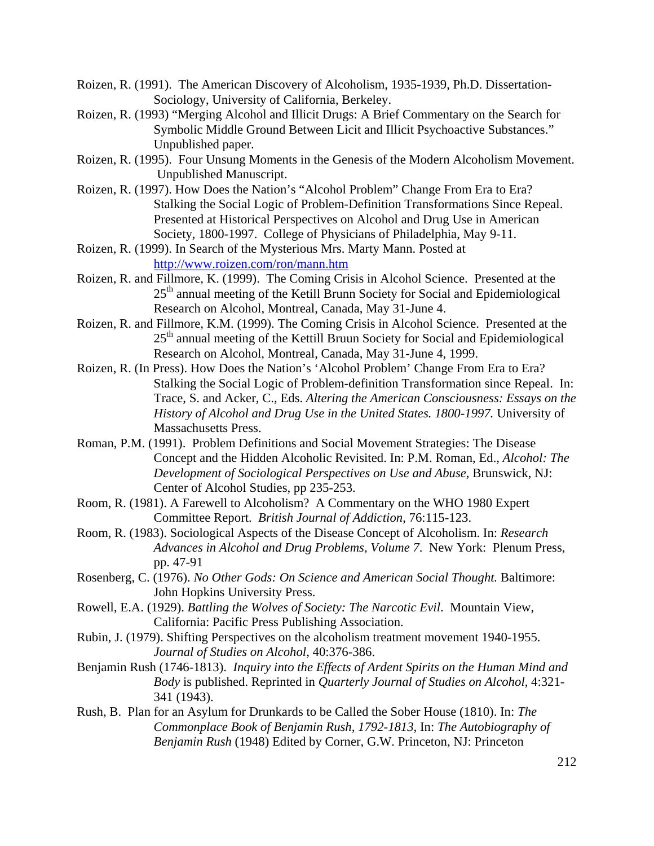- Roizen, R. (1991). The American Discovery of Alcoholism, 1935-1939, Ph.D. Dissertation-Sociology, University of California, Berkeley.
- Roizen, R. (1993) "Merging Alcohol and Illicit Drugs: A Brief Commentary on the Search for Symbolic Middle Ground Between Licit and Illicit Psychoactive Substances." Unpublished paper.
- Roizen, R. (1995). Four Unsung Moments in the Genesis of the Modern Alcoholism Movement. Unpublished Manuscript.
- Roizen, R. (1997). How Does the Nation's "Alcohol Problem" Change From Era to Era? Stalking the Social Logic of Problem-Definition Transformations Since Repeal. Presented at Historical Perspectives on Alcohol and Drug Use in American Society, 1800-1997. College of Physicians of Philadelphia, May 9-11.
- Roizen, R. (1999). In Search of the Mysterious Mrs. Marty Mann. Posted at <http://www.roizen.com/ron/mann.htm>
- Roizen, R. and Fillmore, K. (1999). The Coming Crisis in Alcohol Science. Presented at the 25<sup>th</sup> annual meeting of the Ketill Brunn Society for Social and Epidemiological Research on Alcohol, Montreal, Canada, May 31-June 4.
- Roizen, R. and Fillmore, K.M. (1999). The Coming Crisis in Alcohol Science. Presented at the 25<sup>th</sup> annual meeting of the Kettill Bruun Society for Social and Epidemiological Research on Alcohol, Montreal, Canada, May 31-June 4, 1999.
- Roizen, R. (In Press). How Does the Nation's 'Alcohol Problem' Change From Era to Era? Stalking the Social Logic of Problem-definition Transformation since Repeal. In: Trace, S. and Acker, C., Eds. *Altering the American Consciousness: Essays on the History of Alcohol and Drug Use in the United States. 1800-1997.* University of Massachusetts Press.
- Roman, P.M. (1991). Problem Definitions and Social Movement Strategies: The Disease Concept and the Hidden Alcoholic Revisited. In: P.M. Roman, Ed., *Alcohol: The Development of Sociological Perspectives on Use and Abuse*, Brunswick, NJ: Center of Alcohol Studies, pp 235-253.
- Room, R. (1981). A Farewell to Alcoholism? A Commentary on the WHO 1980 Expert Committee Report. *British Journal of Addiction*, 76:115-123.
- Room, R. (1983). Sociological Aspects of the Disease Concept of Alcoholism. In: *Research Advances in Alcohol and Drug Problems, Volume 7*. New York: Plenum Press, pp. 47-91
- Rosenberg, C. (1976). *No Other Gods: On Science and American Social Thought.* Baltimore: John Hopkins University Press.
- Rowell, E.A. (1929). *Battling the Wolves of Society: The Narcotic Evil*. Mountain View, California: Pacific Press Publishing Association.
- Rubin, J. (1979). Shifting Perspectives on the alcoholism treatment movement 1940-1955. *Journal of Studies on Alcohol*, 40:376-386.
- Benjamin Rush (1746-1813). *Inquiry into the Effects of Ardent Spirits on the Human Mind and Body* is published. Reprinted in *Quarterly Journal of Studies on Alcohol*, 4:321- 341 (1943).
- Rush, B. Plan for an Asylum for Drunkards to be Called the Sober House (1810). In: *The Commonplace Book of Benjamin Rush, 1792-1813*, In: *The Autobiography of Benjamin Rush* (1948) Edited by Corner, G.W. Princeton, NJ: Princeton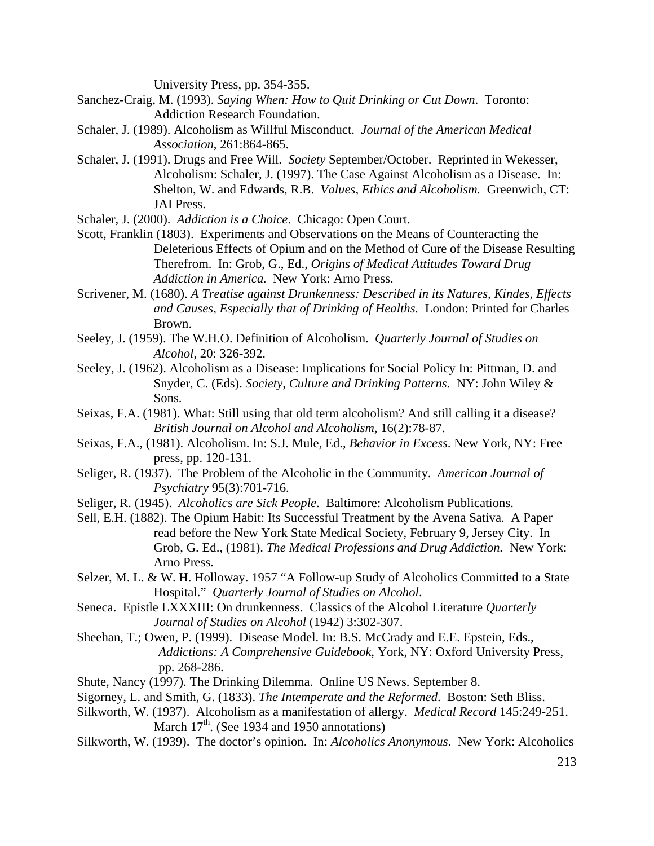University Press, pp. 354-355.

- Sanchez-Craig, M. (1993). *Saying When: How to Quit Drinking or Cut Down*. Toronto: Addiction Research Foundation.
- Schaler, J. (1989). Alcoholism as Willful Misconduct. *Journal of the American Medical Association*, 261:864-865.
- Schaler, J. (1991). Drugs and Free Will. *Society* September/October. Reprinted in Wekesser, Alcoholism: Schaler, J. (1997). The Case Against Alcoholism as a Disease. In: Shelton, W. and Edwards, R.B. *Values, Ethics and Alcoholism.* Greenwich, CT: JAI Press.
- Schaler, J. (2000). *Addiction is a Choice*. Chicago: Open Court.
- Scott, Franklin (1803). Experiments and Observations on the Means of Counteracting the Deleterious Effects of Opium and on the Method of Cure of the Disease Resulting Therefrom. In: Grob, G., Ed., *Origins of Medical Attitudes Toward Drug Addiction in America.* New York: Arno Press.
- Scrivener, M. (1680). *A Treatise against Drunkenness: Described in its Natures, Kindes, Effects and Causes, Especially that of Drinking of Healths.* London: Printed for Charles Brown.
- Seeley, J. (1959). The W.H.O. Definition of Alcoholism. *Quarterly Journal of Studies on Alcohol*, 20: 326-392.
- Seeley, J. (1962). Alcoholism as a Disease: Implications for Social Policy In: Pittman, D. and Snyder, C. (Eds). *Society, Culture and Drinking Patterns*. NY: John Wiley & Sons.
- Seixas, F.A. (1981). What: Still using that old term alcoholism? And still calling it a disease? *British Journal on Alcohol and Alcoholism*, 16(2):78-87.
- Seixas, F.A., (1981). Alcoholism. In: S.J. Mule, Ed., *Behavior in Excess*. New York, NY: Free press, pp. 120-131.
- Seliger, R. (1937). The Problem of the Alcoholic in the Community. *American Journal of Psychiatry* 95(3):701-716.
- Seliger, R. (1945). *Alcoholics are Sick People*. Baltimore: Alcoholism Publications.
- Sell, E.H. (1882). The Opium Habit: Its Successful Treatment by the Avena Sativa. A Paper read before the New York State Medical Society, February 9, Jersey City. In Grob, G. Ed., (1981). *The Medical Professions and Drug Addiction.* New York: Arno Press.
- Selzer, M. L. & W. H. Holloway. 1957 "A Follow-up Study of Alcoholics Committed to a State Hospital." *Quarterly Journal of Studies on Alcohol*.
- Seneca. Epistle LXXXIII: On drunkenness. Classics of the Alcohol Literature *Quarterly Journal of Studies on Alcohol* (1942) 3:302-307.
- Sheehan, T.; Owen, P. (1999). Disease Model. In: B.S. McCrady and E.E. Epstein, Eds., *Addictions: A Comprehensive Guidebook*, York, NY: Oxford University Press, pp. 268-286.
- Shute, Nancy (1997). The Drinking Dilemma. Online US News. September 8.
- Sigorney, L. and Smith, G. (1833). *The Intemperate and the Reformed*. Boston: Seth Bliss.
- Silkworth, W. (1937). Alcoholism as a manifestation of allergy. *Medical Record* 145:249-251. March  $17<sup>th</sup>$ . (See 1934 and 1950 annotations)
- Silkworth, W. (1939). The doctor's opinion. In: *Alcoholics Anonymous*. New York: Alcoholics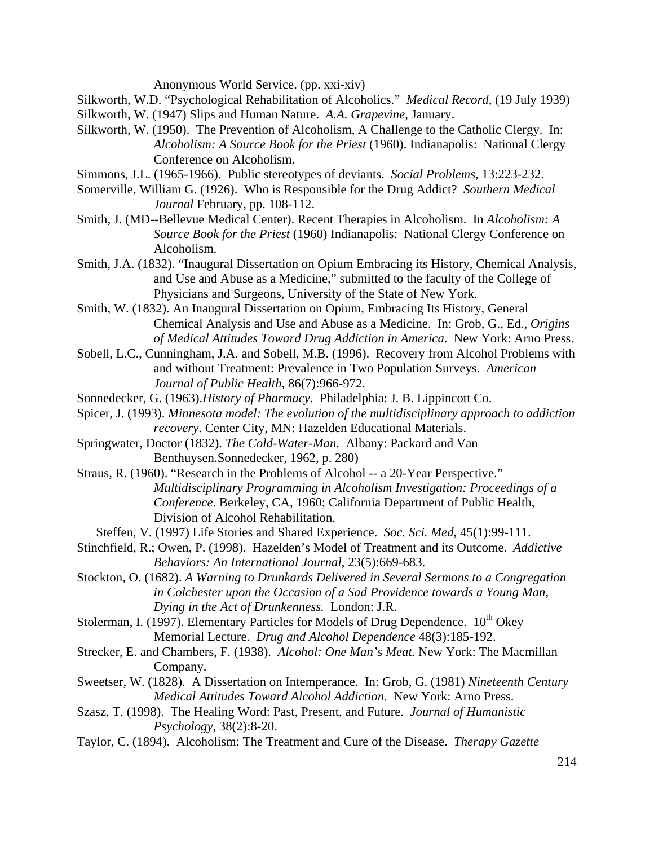Anonymous World Service. (pp. xxi-xiv)

- Silkworth, W.D. "Psychological Rehabilitation of Alcoholics." *Medical Record,* (19 July 1939)
- Silkworth, W. (1947) Slips and Human Nature. *A.A. Grapevine*, January.
- Silkworth, W. (1950). The Prevention of Alcoholism, A Challenge to the Catholic Clergy. In: *Alcoholism: A Source Book for the Priest* (1960). Indianapolis: National Clergy Conference on Alcoholism.
- Simmons, J.L. (1965-1966). Public stereotypes of deviants. *Social Problems*, 13:223-232.
- Somerville, William G. (1926). Who is Responsible for the Drug Addict? *Southern Medical Journal* February, pp. 108-112.
- Smith, J. (MD--Bellevue Medical Center). Recent Therapies in Alcoholism. In *Alcoholism: A Source Book for the Priest* (1960) Indianapolis: National Clergy Conference on Alcoholism.
- Smith, J.A. (1832). "Inaugural Dissertation on Opium Embracing its History, Chemical Analysis, and Use and Abuse as a Medicine," submitted to the faculty of the College of Physicians and Surgeons, University of the State of New York.
- Smith, W. (1832). An Inaugural Dissertation on Opium, Embracing Its History, General Chemical Analysis and Use and Abuse as a Medicine. In: Grob, G., Ed., *Origins of Medical Attitudes Toward Drug Addiction in America*. New York: Arno Press.
- Sobell, L.C., Cunningham, J.A. and Sobell, M.B. (1996). Recovery from Alcohol Problems with and without Treatment: Prevalence in Two Population Surveys. *American Journal of Public Health*, 86(7):966-972.
- Sonnedecker, G. (1963).*History of Pharmacy.* Philadelphia: J. B. Lippincott Co.
- Spicer, J. (1993). *Minnesota model: The evolution of the multidisciplinary approach to addiction recovery*. Center City, MN: Hazelden Educational Materials.
- Springwater, Doctor (1832). *The Cold-Water-Man*. Albany: Packard and Van Benthuysen.Sonnedecker, 1962, p. 280)
- Straus, R. (1960). "Research in the Problems of Alcohol -- a 20-Year Perspective." *Multidisciplinary Programming in Alcoholism Investigation: Proceedings of a Conference*. Berkeley, CA, 1960; California Department of Public Health, Division of Alcohol Rehabilitation.
	- Steffen, V. (1997) Life Stories and Shared Experience. *Soc. Sci. Med,* 45(1):99-111.

## Stinchfield, R.; Owen, P. (1998). Hazelden's Model of Treatment and its Outcome. *Addictive Behaviors: An International Journal*, 23(5):669-683.

- Stockton, O. (1682). *A Warning to Drunkards Delivered in Several Sermons to a Congregation in Colchester upon the Occasion of a Sad Providence towards a Young Man, Dying in the Act of Drunkenness.* London: J.R.
- Stolerman, I. (1997). Elementary Particles for Models of Drug Dependence.  $10^{th}$  Okey Memorial Lecture. *Drug and Alcohol Dependence* 48(3):185-192.
- Strecker, E. and Chambers, F. (1938). *Alcohol: One Man's Meat.* New York: The Macmillan Company.
- Sweetser, W. (1828). A Dissertation on Intemperance. In: Grob, G. (1981) *Nineteenth Century Medical Attitudes Toward Alcohol Addiction*. New York: Arno Press.
- Szasz, T. (1998). The Healing Word: Past, Present, and Future. *Journal of Humanistic Psychology*, 38(2):8-20.
- Taylor, C. (1894). Alcoholism: The Treatment and Cure of the Disease. *Therapy Gazette*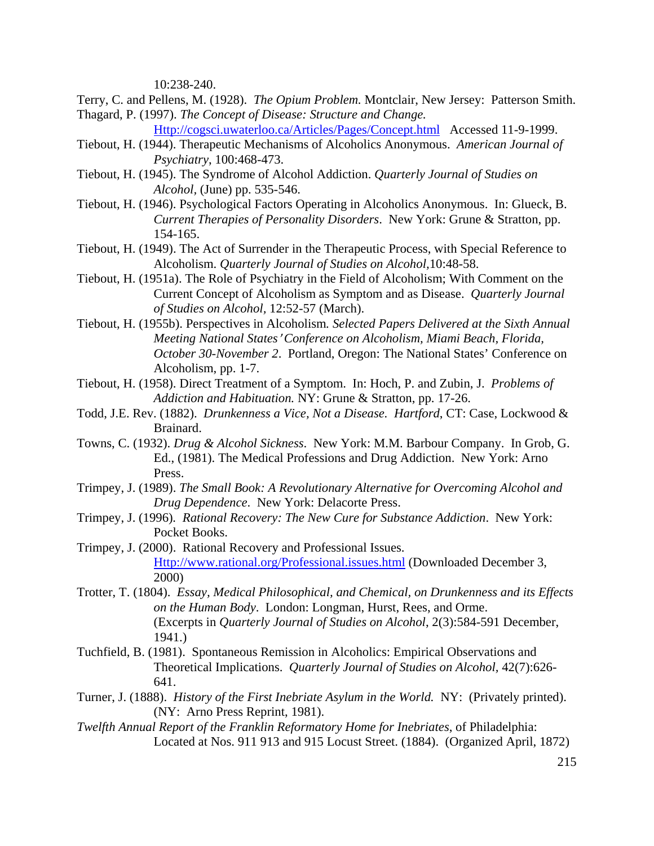10:238-240.

Terry, C. and Pellens, M. (1928). *The Opium Problem.* Montclair, New Jersey: Patterson Smith. Thagard, P. (1997). *The Concept of Disease: Structure and Change.* 

Http://cogsci.uwaterloo.ca/Articles/Pages/Concept.html Accessed 11-9-1999.

- Tiebout, H. (1944). Therapeutic Mechanisms of Alcoholics Anonymous. *American Journal of Psychiatry*, 100:468-473.
- Tiebout, H. (1945). The Syndrome of Alcohol Addiction. *Quarterly Journal of Studies on Alcohol,* (June) pp. 535-546.
- Tiebout, H. (1946). Psychological Factors Operating in Alcoholics Anonymous. In: Glueck, B. *Current Therapies of Personality Disorders*. New York: Grune & Stratton, pp. 154-165.
- Tiebout, H. (1949). The Act of Surrender in the Therapeutic Process, with Special Reference to Alcoholism. *Quarterly Journal of Studies on Alcohol,*10:48-58.
- Tiebout, H. (1951a). The Role of Psychiatry in the Field of Alcoholism; With Comment on the Current Concept of Alcoholism as Symptom and as Disease. *Quarterly Journal of Studies on Alcohol,* 12:52-57 (March).
- Tiebout, H. (1955b). Perspectives in Alcoholism*. Selected Papers Delivered at the Sixth Annual Meeting National States*= *Conference on Alcoholism, Miami Beach, Florida, October 30-November 2*. Portland, Oregon: The National States' Conference on Alcoholism, pp. 1-7.
- Tiebout, H. (1958). Direct Treatment of a Symptom. In: Hoch, P. and Zubin, J. *Problems of Addiction and Habituation.* NY: Grune & Stratton, pp. 17-26.
- Todd, J.E. Rev. (1882). *Drunkenness a Vice, Not a Disease. Hartford*, CT: Case, Lockwood & Brainard.
- Towns, C. (1932). *Drug & Alcohol Sickness*. New York: M.M. Barbour Company. In Grob, G. Ed., (1981). The Medical Professions and Drug Addiction. New York: Arno Press.
- Trimpey, J. (1989). *The Small Book: A Revolutionary Alternative for Overcoming Alcohol and Drug Dependence*. New York: Delacorte Press.
- Trimpey, J. (1996)*. Rational Recovery: The New Cure for Substance Addiction*. New York: Pocket Books.
- Trimpey, J. (2000). Rational Recovery and Professional Issues. Http://www.rational.org/Professional.issues.html (Downloaded December 3, 2000)
- Trotter, T. (1804). *Essay, Medical Philosophical, and Chemical, on Drunkenness and its Effects on the Human Body*. London: Longman, Hurst, Rees, and Orme. (Excerpts in *Quarterly Journal of Studies on Alcohol*, 2(3):584-591 December, 1941.)
- Tuchfield, B. (1981). Spontaneous Remission in Alcoholics: Empirical Observations and Theoretical Implications. *Quarterly Journal of Studies on Alcohol,* 42(7):626- 641.
- Turner, J. (1888). *History of the First Inebriate Asylum in the World.* NY: (Privately printed). (NY: Arno Press Reprint, 1981).
- *Twelfth Annual Report of the Franklin Reformatory Home for Inebriates*, of Philadelphia: Located at Nos. 911 913 and 915 Locust Street. (1884). (Organized April, 1872)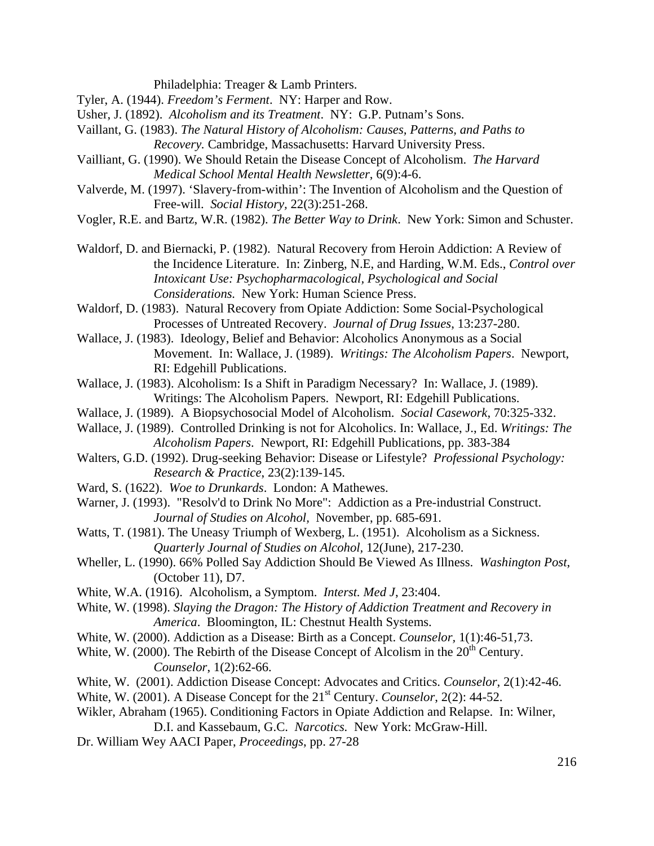Philadelphia: Treager & Lamb Printers.

- Tyler, A. (1944). *Freedom's Ferment*. NY: Harper and Row.
- Usher, J. (1892). *Alcoholism and its Treatment*. NY: G.P. Putnam's Sons.
- Vaillant, G. (1983). *The Natural History of Alcoholism: Causes, Patterns, and Paths to Recovery.* Cambridge, Massachusetts: Harvard University Press.
- Vailliant, G. (1990). We Should Retain the Disease Concept of Alcoholism. *The Harvard Medical School Mental Health Newsletter*, 6(9):4-6.
- Valverde, M. (1997). 'Slavery-from-within': The Invention of Alcoholism and the Question of Free-will. *Social History,* 22(3):251-268.
- Vogler, R.E. and Bartz, W.R. (1982). *The Better Way to Drink*. New York: Simon and Schuster.
- Waldorf, D. and Biernacki, P. (1982). Natural Recovery from Heroin Addiction: A Review of the Incidence Literature. In: Zinberg, N.E, and Harding, W.M. Eds., *Control over Intoxicant Use: Psychopharmacological, Psychological and Social Considerations.* New York: Human Science Press.
- Waldorf, D. (1983). Natural Recovery from Opiate Addiction: Some Social-Psychological Processes of Untreated Recovery. *Journal of Drug Issues*, 13:237-280.
- Wallace, J. (1983). Ideology, Belief and Behavior: Alcoholics Anonymous as a Social Movement. In: Wallace, J. (1989). *Writings: The Alcoholism Papers*. Newport, RI: Edgehill Publications.
- Wallace, J. (1983). Alcoholism: Is a Shift in Paradigm Necessary? In: Wallace, J. (1989). Writings: The Alcoholism Papers. Newport, RI: Edgehill Publications.
- Wallace, J. (1989). A Biopsychosocial Model of Alcoholism. *Social Casework*, 70:325-332.
- Wallace, J. (1989). Controlled Drinking is not for Alcoholics. In: Wallace, J., Ed. *Writings: The Alcoholism Papers*. Newport, RI: Edgehill Publications, pp. 383-384
- Walters, G.D. (1992). Drug-seeking Behavior: Disease or Lifestyle? *Professional Psychology: Research & Practice*, 23(2):139-145.
- Ward, S. (1622). *Woe to Drunkards*. London: A Mathewes.
- Warner, J. (1993). "Resolv'd to Drink No More": Addiction as a Pre-industrial Construct. *Journal of Studies on Alcohol,* November, pp. 685-691.
- Watts, T. (1981). The Uneasy Triumph of Wexberg, L. (1951). Alcoholism as a Sickness. *Quarterly Journal of Studies on Alcohol,* 12(June), 217-230.
- Wheller, L. (1990). 66% Polled Say Addiction Should Be Viewed As Illness. *Washington Post*, (October 11), D7.
- White, W.A. (1916). Alcoholism, a Symptom. *Interst. Med J*, 23:404.
- White, W. (1998). *Slaying the Dragon: The History of Addiction Treatment and Recovery in America*. Bloomington, IL: Chestnut Health Systems.
- White, W. (2000). Addiction as a Disease: Birth as a Concept. *Counselor,* 1(1):46-51,73.
- White, W. (2000). The Rebirth of the Disease Concept of Alcolism in the  $20<sup>th</sup>$  Century. *Counselor*, 1(2):62-66.
- White, W. (2001). Addiction Disease Concept: Advocates and Critics. *Counselor*, 2(1):42-46.
- White, W. (2001). A Disease Concept for the 21<sup>st</sup> Century. *Counselor*, 2(2): 44-52.
- Wikler, Abraham (1965). Conditioning Factors in Opiate Addiction and Relapse. In: Wilner, D.I. and Kassebaum, G.C. *Narcotics.* New York: McGraw-Hill.
- Dr. William Wey AACI Paper, *Proceedings*, pp. 27-28